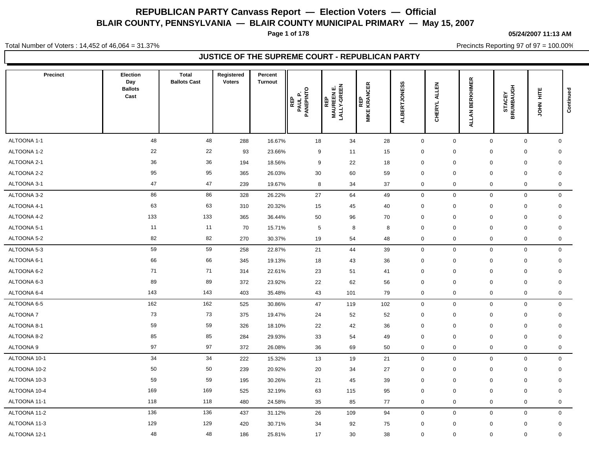**Page 1 of 178**

#### **05/24/2007 11:13 AM**

Total Number of Voters : 14,452 of 46,064 = 31.37%

Precincts Reporting 97 of 97 = 100.00%

| <b>Precinct</b> | Election<br>Day<br><b>Ballots</b><br>Cast | <b>Total</b><br><b>Ballots Cast</b> | Registered<br><b>Voters</b> | Percent<br><b>Turnout</b> | PAUL P.<br>PANEPINTO<br>REP | <b>REP<br/>MAUREENE.<br/>LALLY-GREEN</b> | <b>REP<br/>: KRANCER</b><br><b>MIKE</b> | <b>ERTJONESS</b><br>ЯJA | 핈<br>₹<br><b>CHERYL</b> | <b>BERKHIMER</b><br><b>ALLANI</b> | <b>STACEY<br/>BRUMBAUGH</b> | JOHN HITE | Continued    |
|-----------------|-------------------------------------------|-------------------------------------|-----------------------------|---------------------------|-----------------------------|------------------------------------------|-----------------------------------------|-------------------------|-------------------------|-----------------------------------|-----------------------------|-----------|--------------|
|                 |                                           |                                     |                             |                           |                             |                                          |                                         |                         |                         |                                   |                             |           |              |
| ALTOONA 1-1     | 48                                        | 48                                  | 288                         | 16.67%                    | 18                          | 34                                       | 28                                      | $\mathbf 0$             | 0                       | $\mathbf 0$                       | $\mathbf 0$                 |           | $\mathbf 0$  |
| ALTOONA 1-2     | 22                                        | 22                                  | 93                          | 23.66%                    | 9                           | 11                                       | 15                                      | $\mathbf 0$             | $\mathbf 0$             | $\mathbf 0$                       | $\mathbf 0$                 |           | $\mathbf 0$  |
| ALTOONA 2-1     | 36                                        | 36                                  | 194                         | 18.56%                    | 9                           | 22                                       | 18                                      | $\mathbf 0$             | $\mathbf 0$             | $\mathbf 0$                       | $\mathbf 0$                 |           | $\mathbf 0$  |
| ALTOONA 2-2     | 95                                        | 95                                  | 365                         | 26.03%                    | 30                          | 60                                       | 59                                      | $\mathbf 0$             | $\pmb{0}$               | $\Omega$                          | $\mathbf 0$                 |           | $\mathbf 0$  |
| ALTOONA 3-1     | 47                                        | 47                                  | 239                         | 19.67%                    | 8                           | 34                                       | 37                                      | $\mathbf 0$             | 0                       | $\mathbf 0$                       | 0                           |           | 0            |
| ALTOONA 3-2     | 86                                        | 86                                  | 328                         | 26.22%                    | 27                          | 64                                       | 49                                      | $\mathbf 0$             | 0                       | $\mathbf 0$                       | $\mathbf 0$                 |           | $\mathbf 0$  |
| ALTOONA 4-1     | 63                                        | 63                                  | 310                         | 20.32%                    | 15                          | 45                                       | 40                                      | $\mathbf 0$             | $\mathbf 0$             | 0                                 | $\mathbf 0$                 |           | $\mathbf 0$  |
| ALTOONA 4-2     | 133                                       | 133                                 | 365                         | 36.44%                    | 50                          | 96                                       | 70                                      | $\mathbf 0$             | $\Omega$                | $\mathbf 0$                       | $\mathbf 0$                 |           | $\mathbf 0$  |
| ALTOONA 5-1     | 11                                        | 11                                  | 70                          | 15.71%                    | 5                           | 8                                        | 8                                       | $\mathbf 0$             | $\mathbf 0$             | $\Omega$                          | $\mathbf 0$                 |           | $\mathbf 0$  |
| ALTOONA 5-2     | 82                                        | 82                                  | 270                         | 30.37%                    | 19                          | 54                                       | 48                                      | $\mathbf 0$             | $\mathbf 0$             | $\mathbf 0$                       | $\mathsf{O}\xspace$         |           | 0            |
| ALTOONA 5-3     | 59                                        | 59                                  | 258                         | 22.87%                    | 21                          | 44                                       | 39                                      | $\mathbf 0$             | 0                       | $\mathbf 0$                       | $\mathbf 0$                 |           | $\mathbf 0$  |
| ALTOONA 6-1     | 66                                        | 66                                  | 345                         | 19.13%                    | 18                          | 43                                       | 36                                      | $\mathbf 0$             | 0                       | $\mathbf 0$                       | $\mathbf 0$                 |           | $\mathbf 0$  |
| ALTOONA 6-2     | 71                                        | 71                                  | 314                         | 22.61%                    | 23                          | 51                                       | 41                                      | $\mathbf 0$             | $\mathbf 0$             | $\mathbf 0$                       | $\mathbf 0$                 |           | $\mathbf 0$  |
| ALTOONA 6-3     | 89                                        | 89                                  | 372                         | 23.92%                    | 22                          | 62                                       | 56                                      | $\mathbf 0$             | $\mathbf 0$             | $\mathbf 0$                       | $\mathbf 0$                 |           | $\mathbf 0$  |
| ALTOONA 6-4     | 143                                       | 143                                 | 403                         | 35.48%                    | 43                          | 101                                      | 79                                      | $\mathbf 0$             | $\mathbf 0$             | $\mathbf 0$                       | $\mathbf 0$                 |           | 0            |
| ALTOONA 6-5     | 162                                       | 162                                 | 525                         | 30.86%                    | 47                          | 119                                      | 102                                     | $\boldsymbol{0}$        | $\mathbf 0$             | $\mathbf 0$                       | $\mathbf 0$                 |           | $\mathbf 0$  |
| <b>ALTOONA7</b> | 73                                        | 73                                  | 375                         | 19.47%                    | 24                          | 52                                       | 52                                      | $\mathbf 0$             | 0                       | $\mathbf 0$                       | $\mathbf 0$                 |           | $\mathbf 0$  |
| ALTOONA 8-1     | 59                                        | 59                                  | 326                         | 18.10%                    | 22                          | 42                                       | 36                                      | $\mathbf 0$             | $\mathbf 0$             | $\mathbf 0$                       | $\mathbf 0$                 |           | $\mathbf 0$  |
| ALTOONA 8-2     | 85                                        | 85                                  | 284                         | 29.93%                    | 33                          | 54                                       | 49                                      | $\mathbf 0$             | $\mathbf 0$             | $\mathbf 0$                       | $\mathbf 0$                 |           | $\mathbf 0$  |
| ALTOONA 9       | 97                                        | 97                                  | 372                         | 26.08%                    | 36                          | 69                                       | 50                                      | $\pmb{0}$               | 0                       | $\mathbf 0$                       | $\mathsf{O}\xspace$         |           | $\mathbf 0$  |
| ALTOONA 10-1    | 34                                        | 34                                  | 222                         | 15.32%                    | 13                          | 19                                       | 21                                      | $\mathbf 0$             | 0                       | $\mathbf 0$                       | $\mathbf 0$                 |           | $\mathbf 0$  |
| ALTOONA 10-2    | 50                                        | 50                                  | 239                         | 20.92%                    | 20                          | 34                                       | 27                                      | $\mathbf 0$             | 0                       | $\mathbf 0$                       | $\mathbf 0$                 |           | $\mathbf 0$  |
| ALTOONA 10-3    | 59                                        | 59                                  | 195                         | 30.26%                    | 21                          | 45                                       | 39                                      | $\mathbf 0$             | $\mathbf 0$             | 0                                 | $\mathbf 0$                 |           | $\mathbf 0$  |
| ALTOONA 10-4    | 169                                       | 169                                 | 525                         | 32.19%                    | 63                          | 115                                      | 95                                      | $\mathbf 0$             | $\mathbf 0$             | $\mathbf 0$                       | $\mathbf 0$                 |           | $\mathbf 0$  |
| ALTOONA 11-1    | 118                                       | 118                                 | 480                         | 24.58%                    | 35                          | 85                                       | 77                                      | $\mathbf 0$             | 0                       | $\mathbf 0$                       | $\mathbf 0$                 |           | $\mathbf 0$  |
| ALTOONA 11-2    | 136                                       | 136                                 | 437                         | 31.12%                    | 26                          | 109                                      | 94                                      | $\mathbf 0$             | $\mathbf 0$             | $\mathbf 0$                       | $\mathbf 0$                 |           | $\mathbf 0$  |
| ALTOONA 11-3    | 129                                       | 129                                 | 420                         | 30.71%                    | 34                          | 92                                       | 75                                      | $\mathbf 0$             | $\mathbf 0$             | $\mathbf 0$                       | $\mathbf 0$                 |           | $\mathsf{O}$ |
| ALTOONA 12-1    | 48                                        | 48                                  | 186                         | 25.81%                    | 17                          | 30                                       | 38                                      | $\mathbf 0$             | $\mathbf 0$             | 0                                 | $\mathbf 0$                 |           | $\mathbf 0$  |
|                 |                                           |                                     |                             |                           |                             |                                          |                                         |                         |                         |                                   |                             |           |              |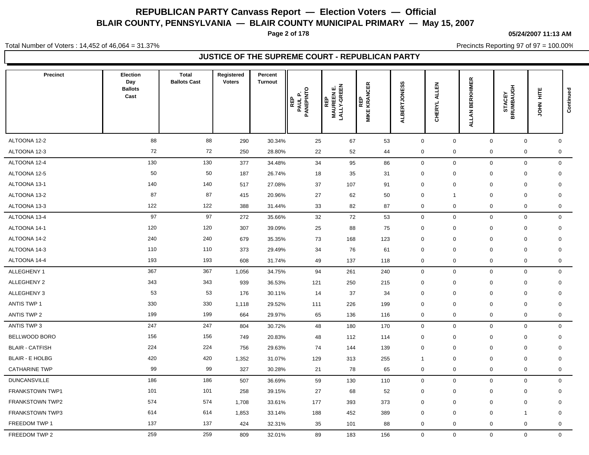**Page 2 of 178**

#### **05/24/2007 11:13 AM**

Total Number of Voters : 14,452 of 46,064 = 31.37%

Precincts Reporting 97 of 97 = 100.00%

| Precinct               | <b>Election</b><br>Day<br><b>Ballots</b><br>Cast | <b>Total</b><br><b>Ballots Cast</b> | Registered<br><b>Voters</b> | Percent<br><b>Turnout</b> | PAUL P.<br>PANEPINTO<br>REP<br>௨ | <b>REP<br/>MAUREENE.<br/>LALLY-GREEN</b> | REP<br>MIKE KRANCER | ALBERTJONESS   | 즚<br>₹<br><b>CHERYL</b> | <b>BERKHIMER</b><br><b>ALLAN</b> | <b>STACEY<br/>BRUMBAUGH</b> | Ë<br>$rac{2}{5}$ | Continued    |
|------------------------|--------------------------------------------------|-------------------------------------|-----------------------------|---------------------------|----------------------------------|------------------------------------------|---------------------|----------------|-------------------------|----------------------------------|-----------------------------|------------------|--------------|
| ALTOONA 12-2           | 88                                               | 88                                  |                             |                           |                                  |                                          |                     | $\mathbf 0$    |                         | $\mathbf 0$                      | $\mathbf 0$                 |                  | $\mathbf 0$  |
| ALTOONA 12-3           | 72                                               | 72                                  | 290<br>250                  | 30.34%<br>28.80%          | 25<br>22                         | 67<br>52                                 | 53<br>44            | $\mathbf 0$    | 0<br>0                  | $\mathbf 0$                      | $\mathbf 0$                 |                  | 0            |
| ALTOONA 12-4           | 130                                              | 130                                 | 377                         | 34.48%                    | 34                               | 95                                       | 86                  | $\mathbf 0$    | 0                       | $\mathbf 0$                      | $\mathbf 0$                 |                  | $\mathsf{O}$ |
| ALTOONA 12-5           | 50                                               | 50                                  | 187                         | 26.74%                    | 18                               | 35                                       | 31                  | $\mathbf 0$    | $\mathbf 0$             | $\mathbf 0$                      | $\mathbf 0$                 |                  | $\mathbf 0$  |
| ALTOONA 13-1           | 140                                              | 140                                 | 517                         | 27.08%                    | 37                               | 107                                      | 91                  | $\mathbf 0$    | $\mathbf 0$             | $\mathbf 0$                      | $\mathbf 0$                 |                  | $\mathbf 0$  |
| ALTOONA 13-2           | 87                                               | 87                                  | 415                         | 20.96%                    | 27                               | 62                                       | 50                  | $\mathbf 0$    | -1                      | $\mathbf 0$                      | $\mathbf 0$                 |                  | $\mathbf 0$  |
| ALTOONA 13-3           | 122                                              | 122                                 | 388                         | 31.44%                    | 33                               | 82                                       | 87                  | $\mathbf 0$    | $\mathbf 0$             | $\mathsf 0$                      | $\mathbf 0$                 |                  | $\mathbf 0$  |
| ALTOONA 13-4           | 97                                               | 97                                  | 272                         | 35.66%                    | 32                               | 72                                       | 53                  | $\mathbf 0$    | $\mathbf 0$             | $\mathbf 0$                      | $\mathsf 0$                 |                  | $\mathbf 0$  |
| ALTOONA 14-1           | 120                                              | 120                                 | 307                         | 39.09%                    | 25                               | 88                                       | 75                  | $\mathbf 0$    | $\mathbf 0$             | $\mathbf 0$                      | $\mathbf 0$                 |                  | $\mathbf 0$  |
| ALTOONA 14-2           | 240                                              | 240                                 | 679                         | 35.35%                    | 73                               | 168                                      | 123                 | $\mathbf 0$    | $\mathbf 0$             | $\mathbf 0$                      | $\mathbf 0$                 |                  | $\mathbf 0$  |
| ALTOONA 14-3           | 110                                              | 110                                 | 373                         | 29.49%                    | 34                               | 76                                       | 61                  | $\mathbf 0$    | $\Omega$                | $\mathbf 0$                      | $\mathbf 0$                 |                  | $\mathbf 0$  |
| ALTOONA 14-4           | 193                                              | 193                                 | 608                         | 31.74%                    | 49                               | 137                                      | 118                 | $\pmb{0}$      | 0                       | $\mathsf 0$                      | $\mathbf 0$                 |                  | $\mathbf 0$  |
| ALLEGHENY 1            | 367                                              | 367                                 | 1,056                       | 34.75%                    | 94                               | 261                                      | 240                 | $\pmb{0}$      | $\mathbf{0}$            | $\mathbf 0$                      | $\mathsf 0$                 |                  | $\mathbf 0$  |
| ALLEGHENY 2            | 343                                              | 343                                 | 939                         | 36.53%                    | 121                              | 250                                      | 215                 | $\mathbf 0$    | $\mathbf 0$             | $\mathbf 0$                      | $\mathbf 0$                 |                  | $\mathbf 0$  |
| ALLEGHENY 3            | 53                                               | 53                                  | 176                         | 30.11%                    | 14                               | 37                                       | 34                  | $\mathbf 0$    | $\mathbf 0$             | $\mathbf 0$                      | $\mathbf 0$                 |                  | $\mathbf 0$  |
| <b>ANTIS TWP 1</b>     | 330                                              | 330                                 | 1,118                       | 29.52%                    | 111                              | 226                                      | 199                 | $\mathbf 0$    | $\Omega$                | $\mathbf 0$                      | $\mathbf 0$                 |                  | 0            |
| <b>ANTIS TWP 2</b>     | 199                                              | 199                                 | 664                         | 29.97%                    | 65                               | 136                                      | 116                 | $\mathbf 0$    | $\mathbf 0$             | $\mathbf 0$                      | $\mathsf{O}\xspace$         |                  | $\mathbf 0$  |
| <b>ANTIS TWP 3</b>     | 247                                              | 247                                 | 804                         | 30.72%                    | 48                               | 180                                      | 170                 | $\mathbf 0$    | $\mathbf 0$             | $\mathbf 0$                      | $\mathbf 0$                 |                  | $\mathbf 0$  |
| BELLWOOD BORO          | 156                                              | 156                                 | 749                         | 20.83%                    | 48                               | 112                                      | 114                 | $\mathbf 0$    | $\mathbf 0$             | $\mathbf 0$                      | $\mathbf 0$                 |                  | $\mathbf 0$  |
| <b>BLAIR - CATFISH</b> | 224                                              | 224                                 | 756                         | 29.63%                    | 74                               | 144                                      | 139                 | $\mathbf 0$    | $\mathbf 0$             | $\mathbf 0$                      | $\mathbf 0$                 |                  | $\mathbf 0$  |
| <b>BLAIR - E HOLBG</b> | 420                                              | 420                                 | 1,352                       | 31.07%                    | 129                              | 313                                      | 255                 | $\overline{1}$ | $\mathbf 0$             | $\mathbf 0$                      | $\mathbf 0$                 |                  | $\mathbf 0$  |
| <b>CATHARINE TWP</b>   | 99                                               | 99                                  | 327                         | 30.28%                    | 21                               | 78                                       | 65                  | $\pmb{0}$      | 0                       | $\mathsf 0$                      | $\mathbf 0$                 |                  | $\mathbf 0$  |
| <b>DUNCANSVILLE</b>    | 186                                              | 186                                 | 507                         | 36.69%                    | 59                               | 130                                      | 110                 | $\pmb{0}$      | $\mathbf 0$             | $\mathbf 0$                      | $\mathsf 0$                 |                  | $\mathbf 0$  |
| FRANKSTOWN TWP1        | 101                                              | 101                                 | 258                         | 39.15%                    | 27                               | 68                                       | 52                  | $\mathbf 0$    | $\mathbf 0$             | $\mathbf 0$                      | $\mathbf 0$                 |                  | $\mathbf 0$  |
| FRANKSTOWN TWP2        | 574                                              | 574                                 | 1,708                       | 33.61%                    | 177                              | 393                                      | 373                 | $\mathbf 0$    | $\mathbf 0$             | 0                                | $\mathbf 0$                 |                  | $\mathbf 0$  |
| <b>FRANKSTOWN TWP3</b> | 614                                              | 614                                 | 1,853                       | 33.14%                    | 188                              | 452                                      | 389                 | $\mathbf 0$    | $\Omega$                | $\mathbf 0$                      | 1                           |                  | $\mathbf 0$  |
| FREEDOM TWP 1          | 137                                              | 137                                 | 424                         | 32.31%                    | 35                               | 101                                      | 88                  | $\mathbf 0$    | $\mathbf 0$             | $\mathbf 0$                      | $\mathbf 0$                 |                  | $\mathbf 0$  |
| FREEDOM TWP 2          | 259                                              | 259                                 | 809                         | 32.01%                    | 89                               | 183                                      | 156                 | $\mathbf 0$    | $\mathbf 0$             | $\mathbf 0$                      | $\mathbf 0$                 |                  | $\mathbf 0$  |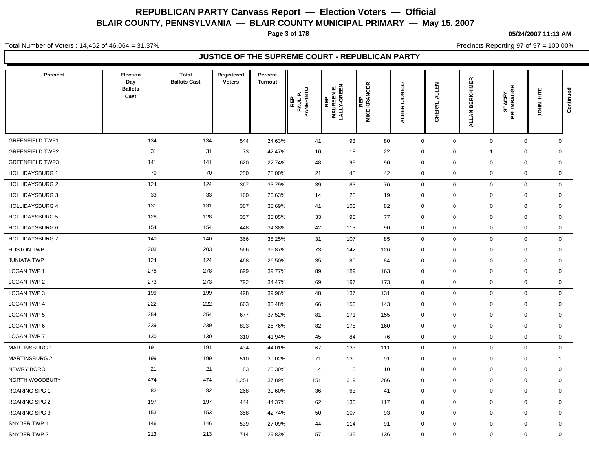**Page 3 of 178**

#### **05/24/2007 11:13 AM**

Total Number of Voters : 14,452 of 46,064 = 31.37%

Precincts Reporting 97 of 97 = 100.00%

| <b>Precinct</b>        | Election<br>Day<br><b>Ballots</b><br>Cast | <b>Total</b><br><b>Ballots Cast</b> | Registered<br><b>Voters</b> | Percent<br><b>Turnout</b> | $\circ$<br>PAUL P.<br>PANEPINTC<br>REP | <b>REP<br/>MAUREENE.<br/>LALLY-GREEN</b> | REP<br>MIKE KRANCER | w<br>ERTJONES<br><b>ALB</b> | 즚<br>ᆜ<br>₹<br><b>CHERYL</b> | <b>BERKHIMER</b><br><b>ALLAN</b> | <b>STACEY<br/>BRUMBAUGH</b> | Ë<br>$rac{2}{5}$ | Continued    |
|------------------------|-------------------------------------------|-------------------------------------|-----------------------------|---------------------------|----------------------------------------|------------------------------------------|---------------------|-----------------------------|------------------------------|----------------------------------|-----------------------------|------------------|--------------|
| <b>GREENFIELD TWP1</b> | 134                                       | 134                                 | 544                         | 24.63%                    | 41                                     | 93                                       | 80                  | $\mathbf 0$                 | 0                            | $\mathbf 0$                      | $\mathbf 0$                 |                  | $\mathbf 0$  |
| <b>GREENFIELD TWP2</b> | 31                                        | 31                                  | 73                          | 42.47%                    | 10                                     | 18                                       | 22                  | $\mathbf 0$                 | $\mathbf 0$                  | $\mathbf{1}$                     | $\pmb{0}$                   |                  | $\mathbf 0$  |
| <b>GREENFIELD TWP3</b> | 141                                       | 141                                 | 620                         | 22.74%                    | 48                                     | 99                                       | 90                  | $\mathbf 0$                 | 0                            | $\mathbf 0$                      | $\mathbf 0$                 |                  | $\mathbf 0$  |
| <b>HOLLIDAYSBURG 1</b> | 70                                        | 70                                  | 250                         | 28.00%                    | 21                                     | 48                                       | 42                  | $\mathbf 0$                 | 0                            | $\mathbf 0$                      | $\mathbf 0$                 |                  | $\mathbf 0$  |
| <b>HOLLIDAYSBURG 2</b> | 124                                       | 124                                 | 367                         | 33.79%                    | 39                                     | 83                                       | 76                  | $\mathbf 0$                 | $\mathbf 0$                  | $\mathbf 0$                      | $\mathbf 0$                 |                  | $\mathbf 0$  |
| <b>HOLLIDAYSBURG 3</b> | 33                                        | 33                                  | 160                         | 20.63%                    | 14                                     | 23                                       | 19                  | $\mathbf 0$                 | $\mathbf 0$                  | $\mathbf 0$                      | $\mathbf 0$                 |                  | $\mathbf 0$  |
| <b>HOLLIDAYSBURG 4</b> | 131                                       | 131                                 | 367                         | 35.69%                    | 41                                     | 103                                      | 82                  | $\mathbf 0$                 | $\mathbf 0$                  | $\mathbf 0$                      | $\mathbf 0$                 |                  | $\mathbf 0$  |
| <b>HOLLIDAYSBURG 5</b> | 128                                       | 128                                 | 357                         | 35.85%                    | 33                                     | 93                                       | 77                  | $\mathbf 0$                 | $\Omega$                     | $\mathbf 0$                      | $\mathbf 0$                 |                  | $\mathbf 0$  |
| <b>HOLLIDAYSBURG 6</b> | 154                                       | 154                                 | 448                         | 34.38%                    | 42                                     | 113                                      | 90                  | $\mathbf 0$                 | 0                            | $\mathbf 0$                      | $\mathbf 0$                 |                  | $\mathbf 0$  |
| <b>HOLLIDAYSBURG 7</b> | 140                                       | 140                                 | 366                         | 38.25%                    | 31                                     | 107                                      | 85                  | $\mathbf 0$                 | 0                            | $\mathbf 0$                      | $\mathbf 0$                 |                  | $\mathbf 0$  |
| <b>HUSTON TWP</b>      | 203                                       | 203                                 | 566                         | 35.87%                    | 73                                     | 142                                      | 126                 | $\mathbf 0$                 | $\mathbf 0$                  | $\mathbf 0$                      | 0                           |                  | 0            |
| <b>JUNIATA TWP</b>     | 124                                       | 124                                 | 468                         | 26.50%                    | 35                                     | 80                                       | 84                  | $\mathbf 0$                 | 0                            | $\mathbf 0$                      | $\mathbf 0$                 |                  | $\mathbf 0$  |
| LOGAN TWP 1            | 278                                       | 278                                 | 699                         | 39.77%                    | 89                                     | 189                                      | 163                 | $\mathbf 0$                 | 0                            | $\mathbf 0$                      | $\mathbf 0$                 |                  | $\mathbf 0$  |
| LOGAN TWP 2            | 273                                       | 273                                 | 792                         | 34.47%                    | 69                                     | 197                                      | 173                 | $\mathbf 0$                 | 0                            | $\mathbf 0$                      | $\mathbf 0$                 |                  | $\mathbf 0$  |
| LOGAN TWP 3            | 199                                       | 199                                 | 498                         | 39.96%                    | 48                                     | 137                                      | 131                 | $\mathbf 0$                 | $\mathbf 0$                  | $\mathbf 0$                      | $\mathbf 0$                 |                  | $\mathbf 0$  |
| <b>LOGAN TWP 4</b>     | 222                                       | 222                                 | 663                         | 33.48%                    | 66                                     | 150                                      | 143                 | $\mathbf 0$                 | $\mathbf{0}$                 | $\mathbf 0$                      | $\mathbf 0$                 |                  | $\mathbf 0$  |
| LOGAN TWP 5            | 254                                       | 254                                 | 677                         | 37.52%                    | 81                                     | 171                                      | 155                 | $\mathbf 0$                 | $\mathbf 0$                  | $\mathbf 0$                      | $\mathbf 0$                 |                  | $\mathbf 0$  |
| LOGAN TWP 6            | 239                                       | 239                                 | 893                         | 26.76%                    | 82                                     | 175                                      | 160                 | $\mathbf 0$                 | 0                            | $\mathbf 0$                      | $\mathbf 0$                 |                  | $\mathbf 0$  |
| <b>LOGAN TWP 7</b>     | 130                                       | 130                                 | 310                         | 41.94%                    | 45                                     | 84                                       | 76                  | $\mathbf 0$                 | 0                            | $\mathbf 0$                      | $\mathbf 0$                 |                  | $\mathbf 0$  |
| <b>MARTINSBURG 1</b>   | 191                                       | 191                                 | 434                         | 44.01%                    | 67                                     | 133                                      | 111                 | $\mathbf 0$                 | $\mathbf 0$                  | $\mathbf 0$                      | $\mathbf 0$                 |                  | $\mathbf 0$  |
| <b>MARTINSBURG 2</b>   | 199                                       | 199                                 | 510                         | 39.02%                    | 71                                     | 130                                      | 91                  | $\mathbf 0$                 | $\mathbf 0$                  | $\mathbf 0$                      | 0                           |                  | $\mathbf{1}$ |
| NEWRY BORO             | 21                                        | 21                                  | 83                          | 25.30%                    | $\overline{4}$                         | 15                                       | 10                  | $\mathbf 0$                 | $\mathbf 0$                  | 0                                | $\mathbf 0$                 |                  | $\mathbf 0$  |
| NORTH WOODBURY         | 474                                       | 474                                 | 1,251                       | 37.89%                    | 151                                    | 319                                      | 266                 | $\mathbf 0$                 | $\mathbf 0$                  | $\mathbf 0$                      | $\mathbf 0$                 |                  | $\mathbf 0$  |
| <b>ROARING SPG 1</b>   | 82                                        | 82                                  | 268                         | 30.60%                    | 36                                     | 63                                       | 41                  | $\mathbf 0$                 | 0                            | $\mathbf 0$                      | $\mathbf 0$                 |                  | $\mathbf 0$  |
| ROARING SPG 2          | 197                                       | 197                                 | 444                         | 44.37%                    | 62                                     | 130                                      | 117                 | $\mathbf 0$                 | 0                            | $\mathbf 0$                      | $\mathbf 0$                 |                  | $\mathbf 0$  |
| <b>ROARING SPG 3</b>   | 153                                       | 153                                 | 358                         | 42.74%                    | 50                                     | 107                                      | 93                  | $\mathbf 0$                 | 0                            | $\mathbf 0$                      | $\mathbf 0$                 |                  | $\mathbf 0$  |
| SNYDER TWP 1           | 146                                       | 146                                 | 539                         | 27.09%                    | 44                                     | 114                                      | 91                  | $\mathbf 0$                 | $\Omega$                     | 0                                | $\mathbf 0$                 |                  | $\mathbf 0$  |
| SNYDER TWP 2           | 213                                       | 213                                 | 714                         | 29.83%                    | 57                                     | 135                                      | 136                 | $\mathbf 0$                 | $\mathbf 0$                  | $\mathbf 0$                      | $\mathbf 0$                 |                  | $\mathbf 0$  |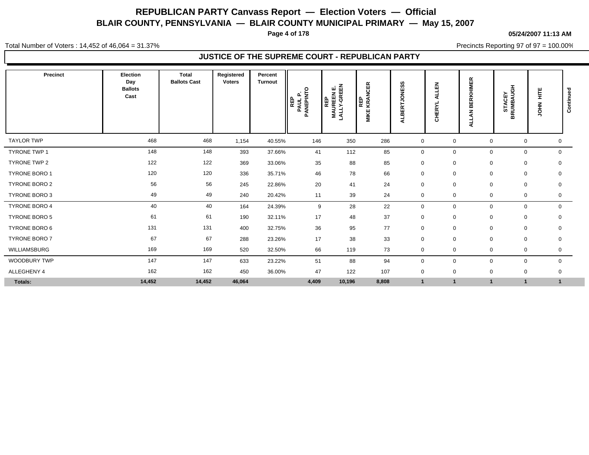**Page 4 of 178**

#### **05/24/2007 11:13 AM**

Total Number of Voters : 14,452 of 46,064 = 31.37%

Precincts Reporting 97 of 97 = 100.00%

| Precinct             | Election<br>Day<br><b>Ballots</b><br>Cast | <b>Total</b><br><b>Ballots Cast</b> | Registered<br><b>Voters</b> | Percent<br><b>Turnout</b> | O<br>PAUL P.<br>ANEPINT<br>உ<br>REP<br>$\mathbf{a}$ | ᇟᅙ<br>LALLY-GREE<br>MAUREEN E<br>LALLY-GREE | <b>CER</b><br>KRANG<br>KRANG<br>MIKE | ဖာ<br><b>NES</b><br>ဥ<br>Ë<br>m<br>ā | 孟<br>⋖<br>≻<br>띥<br>로<br>$\overline{\mathbf{o}}$ | <b>BERKHIMER</b><br>z<br>Ę | <b>STACEY<br/>BRUMBAUGH</b> | Ë<br>HROL    | ಾ<br>Continue |
|----------------------|-------------------------------------------|-------------------------------------|-----------------------------|---------------------------|-----------------------------------------------------|---------------------------------------------|--------------------------------------|--------------------------------------|--------------------------------------------------|----------------------------|-----------------------------|--------------|---------------|
| <b>TAYLOR TWP</b>    | 468                                       | 468                                 | 1,154                       | 40.55%                    | 146                                                 | 350                                         | 286                                  | $\mathbf 0$                          | $\mathbf 0$                                      | $\mathbf 0$                | 0                           | 0            |               |
| <b>TYRONE TWP 1</b>  | 148                                       | 148                                 | 393                         | 37.66%                    | 41                                                  | 112                                         | 85                                   | $\mathbf 0$                          | $\mathbf 0$                                      | $\mathbf 0$                | $\mathbf 0$                 | $\mathbf 0$  |               |
| TYRONE TWP 2         | 122                                       | 122                                 | 369                         | 33.06%                    | 35                                                  | 88                                          | 85                                   | $\mathbf 0$                          | $\mathbf 0$                                      | $\mathbf 0$                | 0                           | $\mathbf 0$  |               |
| <b>TYRONE BORO 1</b> | 120                                       | 120                                 | 336                         | 35.71%                    | 46                                                  | 78                                          | 66                                   | $\mathbf 0$                          | $\mathbf 0$                                      | $\mathbf 0$                | $\mathbf 0$                 | 0            |               |
| <b>TYRONE BORO 2</b> | 56                                        | 56                                  | 245                         | 22.86%                    | 20                                                  | 41                                          | 24                                   | $\mathbf 0$                          | $\mathbf 0$                                      | $\mathbf 0$                | $\mathbf 0$                 | $\mathbf 0$  |               |
| <b>TYRONE BORO 3</b> | 49                                        | 49                                  | 240                         | 20.42%                    | 11                                                  | 39                                          | 24                                   | $\mathbf 0$                          | $\mathbf 0$                                      | $\mathbf 0$                | $\mathbf 0$                 | 0            |               |
| TYRONE BORO 4        | 40                                        | 40                                  | 164                         | 24.39%                    | 9                                                   | 28                                          | 22                                   | $\mathbf 0$                          | 0                                                | $\mathbf 0$                | $\mathbf 0$                 | 0            |               |
| <b>TYRONE BORO 5</b> | 61                                        | 61                                  | 190                         | 32.11%                    | 17                                                  | 48                                          | 37                                   | $\mathbf 0$                          | $\mathbf 0$                                      | $\mathbf 0$                | 0                           | 0            |               |
| <b>TYRONE BORO 6</b> | 131                                       | 131                                 | 400                         | 32.75%                    | 36                                                  | 95                                          | 77                                   | $\mathbf 0$                          | $\mathbf 0$                                      | $\mathbf 0$                | 0                           | $\mathbf 0$  |               |
| TYRONE BORO 7        | 67                                        | 67                                  | 288                         | 23.26%                    | 17                                                  | 38                                          | 33                                   | $\mathbf 0$                          | $\mathbf 0$                                      | $\mathbf 0$                | 0                           | $\mathbf 0$  |               |
| WILLIAMSBURG         | 169                                       | 169                                 | 520                         | 32.50%                    | 66                                                  | 119                                         | 73                                   | $\mathbf 0$                          | $\mathbf 0$                                      | 0                          | 0                           | 0            |               |
| WOODBURY TWP         | 147                                       | 147                                 | 633                         | 23.22%                    | 51                                                  | 88                                          | 94                                   | $\mathbf 0$                          | $\mathbf 0$                                      | $\mathbf 0$                | $\mathbf 0$                 | $\mathbf 0$  |               |
| ALLEGHENY 4          | 162                                       | 162                                 | 450                         | 36.00%                    | 47                                                  | 122                                         | 107                                  | $\mathbf 0$                          | $\mathbf 0$                                      | 0                          | 0                           | 0            |               |
| Totals:              | 14,452                                    | 14,452                              | 46,064                      |                           | 4,409                                               | 10,196                                      | 8,808                                | $\overline{1}$                       | $\mathbf 1$                                      |                            |                             | $\mathbf{1}$ |               |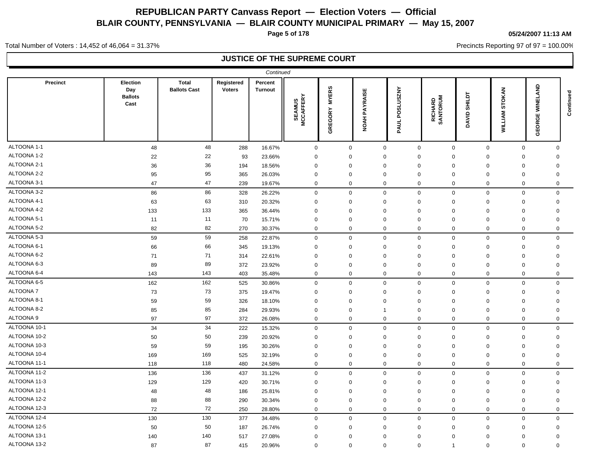**Page 5 of 178**

#### **05/24/2007 11:13 AM**

Precincts Reporting 97 of 97 = 100.00%

Total Number of Voters : 14,452 of 46,064 = 31.37%

| <b>Total</b><br>Registered<br>Precinct<br>Election<br>Percent<br>$rac{1}{2}$<br><b>MYERS</b><br><b>SLUSZNY</b><br>STOKAN<br><b>Ballots Cast</b><br><b>Voters</b><br>Day<br><b>Turnout</b><br><b>NOAH PAYRAISE</b><br><b>SHILDT</b><br><b>Ballots</b><br><b>SEAMUS<br/>MCCAFFERY</b><br>RICHARD<br>SANTORUM<br>ᇚ<br>Cast<br><b>GREGORY</b><br><b>WILLIAM</b><br>ğ<br>DAVID.<br>GEORGE<br>PAUL<br>ALTOONA 1-1<br>48<br>48<br>$\mathsf 0$<br>288<br>16.67%<br>$\mathbf 0$<br>$\mathbf 0$<br>$\mathbf 0$<br>$\mathbf 0$<br>$\mathsf{O}$<br>$\mathbf 0$<br>$\Omega$<br>ALTOONA 1-2<br>22<br>22<br>93<br>23.66%<br>$\mathbf 0$<br>$\mathbf 0$<br>$\mathbf 0$<br>$\mathbf 0$<br>$\mathbf 0$<br>$\mathbf 0$<br>$\mathbf 0$<br>0<br>ALTOONA 2-1<br>36<br>36<br>$\Omega$<br>$\mathbf 0$<br>194<br>18.56%<br>$\mathbf 0$<br>$\Omega$<br>$\mathbf 0$<br>$\Omega$<br>$\mathbf 0$<br>$\mathbf 0$<br>ALTOONA 2-2<br>95<br>95<br>365<br>26.03%<br>$\mathbf 0$<br>$\mathbf 0$<br>$\Omega$<br>$\overline{0}$<br>$\mathbf 0$<br>$\mathbf 0$<br>$\mathbf 0$<br>$\mathbf 0$<br>ALTOONA 3-1<br>47<br>47<br>239<br>19.67%<br>$\mathbf 0$<br>$\mathbf 0$<br>$\mathbf 0$<br>$\mathbf 0$<br>$\mathbf 0$<br>$\mathbf 0$<br>$\mathbf 0$<br>0<br>ALTOONA 3-2<br>86<br>86<br>328<br>$\pmb{0}$<br>$\mathbf 0$<br>$\mathbf 0$<br>$\mathbf 0$<br>$\mathbf 0$<br>26.22%<br>0<br>$\mathbf 0$<br>$\mathbf 0$<br>ALTOONA 4-1<br>63<br>63<br>310<br>20.32%<br>$\mathbf 0$<br>$\mathbf 0$<br>$\mathbf 0$<br>$\mathbf 0$<br>$\mathbf 0$<br>$\mathbf 0$<br>$\mathbf 0$<br>$\mathbf 0$<br>ALTOONA 4-2<br>133<br>133<br>365<br>$\mathbf 0$<br>36.44%<br>$\mathbf 0$<br>$\mathbf 0$<br>$\mathbf 0$<br>$\mathbf 0$<br>$\mathbf 0$<br>$\mathbf 0$<br>$\mathbf 0$<br>ALTOONA 5-1<br>11<br>11<br>70<br>15.71%<br>$\mathbf 0$<br>$\mathbf 0$<br>$\mathbf 0$<br>$\mathbf 0$<br>$\mathbf 0$<br>$\mathbf 0$<br>$\mathbf 0$<br>$\mathbf 0$<br>ALTOONA 5-2<br>82<br>82<br>270<br>30.37%<br>$\mathbf 0$<br>$\mathbf 0$<br>$\mathbf 0$<br>$\mathbf 0$<br>$\mathbf 0$<br>$\mathbf 0$<br>$\mathbf 0$<br>$\mathbf 0$<br>ALTOONA 5-3<br>59<br>59<br>$\mathbf 0$<br>$\mathbf 0$<br>$\mathbf 0$<br>$\mathbf 0$<br>$\mathbf 0$<br>$\mathbf 0$<br>$\mathbf 0$<br>$\Omega$<br>258<br>22.87%<br>ALTOONA 6-1<br>66<br>66<br>19.13%<br>$\Omega$<br>$\mathsf 0$<br>345<br>$\mathbf 0$<br>$\Omega$<br>$\Omega$<br>$\Omega$<br>$\Omega$<br>$\Omega$<br>ALTOONA 6-2<br>71<br>71<br>22.61%<br>$\mathbf 0$<br>$\mathsf{O}\xspace$<br>314<br>$\Omega$<br>$\mathbf 0$<br>$\Omega$<br>$\Omega$<br>$\mathbf 0$<br>$\Omega$<br>ALTOONA 6-3<br>89<br>89<br>372<br>23.92%<br>$\mathbf 0$<br>$\mathbf 0$<br>$\mathbf 0$<br>$\Omega$<br>$\mathbf 0$<br>$\mathbf 0$<br>$\mathbf 0$<br>0<br>ALTOONA 6-4<br>143<br>143<br>403<br>35.48%<br>$\mathbf 0$<br>$\mathbf 0$<br>$\mathbf 0$<br>$\mathbf 0$<br>$\mathbf 0$<br>$\mathbf 0$<br>$\mathbf 0$<br>$\mathbf 0$<br>ALTOONA 6-5<br>162<br>162<br>$\mathsf 0$<br>525<br>30.86%<br>$\mathbf 0$<br>$\mathbf 0$<br>$\mathbf 0$<br>$\mathbf 0$<br>$\mathbf 0$<br>$\mathbf 0$<br>$\mathbf 0$<br>ALTOONA 7<br>73<br>73<br>375<br>19.47%<br>$\mathbf 0$<br>$\mathbf 0$<br>$\mathbf 0$<br>$\mathbf 0$<br>$\overline{0}$<br>$\mathbf 0$<br>$\mathbf 0$<br>$\mathbf 0$<br>ALTOONA 8-1<br>59<br>59<br>326<br>$\mathbf 0$<br>18.10%<br>$\Omega$<br>$\Omega$<br>$\Omega$<br>$\mathbf 0$<br>$\mathbf 0$<br>$\Omega$<br>$\Omega$<br>ALTOONA 8-2<br>85<br>85<br>284<br>$\mathbf 0$<br>29.93%<br>$\mathbf 0$<br>0<br>$\overline{0}$<br>$\mathbf 0$<br>0<br>$\Omega$<br>$\overline{1}$<br>ALTOONA 9<br>97<br>97<br>372<br>26.08%<br>$\mathbf 0$<br>$\mathbf 0$<br>$\mathbf 0$<br>$\mathbf 0$<br>$\mathbf 0$<br>$\mathbf 0$<br>$\mathbf 0$<br>0<br>ALTOONA 10-1<br>34<br>34<br>222<br>15.32%<br>$\mathbf 0$<br>$\mathbf 0$<br>$\mathbf 0$<br>$\mathbf 0$<br>$\mathbf 0$<br>$\mathbf 0$<br>$\mathbf 0$<br>$\mathbf 0$ | Continued                                                                                                         |
|-----------------------------------------------------------------------------------------------------------------------------------------------------------------------------------------------------------------------------------------------------------------------------------------------------------------------------------------------------------------------------------------------------------------------------------------------------------------------------------------------------------------------------------------------------------------------------------------------------------------------------------------------------------------------------------------------------------------------------------------------------------------------------------------------------------------------------------------------------------------------------------------------------------------------------------------------------------------------------------------------------------------------------------------------------------------------------------------------------------------------------------------------------------------------------------------------------------------------------------------------------------------------------------------------------------------------------------------------------------------------------------------------------------------------------------------------------------------------------------------------------------------------------------------------------------------------------------------------------------------------------------------------------------------------------------------------------------------------------------------------------------------------------------------------------------------------------------------------------------------------------------------------------------------------------------------------------------------------------------------------------------------------------------------------------------------------------------------------------------------------------------------------------------------------------------------------------------------------------------------------------------------------------------------------------------------------------------------------------------------------------------------------------------------------------------------------------------------------------------------------------------------------------------------------------------------------------------------------------------------------------------------------------------------------------------------------------------------------------------------------------------------------------------------------------------------------------------------------------------------------------------------------------------------------------------------------------------------------------------------------------------------------------------------------------------------------------------------------------------------------------------------------------------------------------------------------------------------------------------------------------------------------------------------------------------------------------------------------------------------------------------------------------------------------------------------------------------------------------------------------------------------------------------------------------------------------------------------------------------------------------------------------------------------------------------------------------------------------------------------------------------------------------------------------------------------------------------------------------------|-------------------------------------------------------------------------------------------------------------------|
|                                                                                                                                                                                                                                                                                                                                                                                                                                                                                                                                                                                                                                                                                                                                                                                                                                                                                                                                                                                                                                                                                                                                                                                                                                                                                                                                                                                                                                                                                                                                                                                                                                                                                                                                                                                                                                                                                                                                                                                                                                                                                                                                                                                                                                                                                                                                                                                                                                                                                                                                                                                                                                                                                                                                                                                                                                                                                                                                                                                                                                                                                                                                                                                                                                                                                                                                                                                                                                                                                                                                                                                                                                                                                                                                                                                                                                                           |                                                                                                                   |
|                                                                                                                                                                                                                                                                                                                                                                                                                                                                                                                                                                                                                                                                                                                                                                                                                                                                                                                                                                                                                                                                                                                                                                                                                                                                                                                                                                                                                                                                                                                                                                                                                                                                                                                                                                                                                                                                                                                                                                                                                                                                                                                                                                                                                                                                                                                                                                                                                                                                                                                                                                                                                                                                                                                                                                                                                                                                                                                                                                                                                                                                                                                                                                                                                                                                                                                                                                                                                                                                                                                                                                                                                                                                                                                                                                                                                                                           |                                                                                                                   |
|                                                                                                                                                                                                                                                                                                                                                                                                                                                                                                                                                                                                                                                                                                                                                                                                                                                                                                                                                                                                                                                                                                                                                                                                                                                                                                                                                                                                                                                                                                                                                                                                                                                                                                                                                                                                                                                                                                                                                                                                                                                                                                                                                                                                                                                                                                                                                                                                                                                                                                                                                                                                                                                                                                                                                                                                                                                                                                                                                                                                                                                                                                                                                                                                                                                                                                                                                                                                                                                                                                                                                                                                                                                                                                                                                                                                                                                           |                                                                                                                   |
|                                                                                                                                                                                                                                                                                                                                                                                                                                                                                                                                                                                                                                                                                                                                                                                                                                                                                                                                                                                                                                                                                                                                                                                                                                                                                                                                                                                                                                                                                                                                                                                                                                                                                                                                                                                                                                                                                                                                                                                                                                                                                                                                                                                                                                                                                                                                                                                                                                                                                                                                                                                                                                                                                                                                                                                                                                                                                                                                                                                                                                                                                                                                                                                                                                                                                                                                                                                                                                                                                                                                                                                                                                                                                                                                                                                                                                                           |                                                                                                                   |
|                                                                                                                                                                                                                                                                                                                                                                                                                                                                                                                                                                                                                                                                                                                                                                                                                                                                                                                                                                                                                                                                                                                                                                                                                                                                                                                                                                                                                                                                                                                                                                                                                                                                                                                                                                                                                                                                                                                                                                                                                                                                                                                                                                                                                                                                                                                                                                                                                                                                                                                                                                                                                                                                                                                                                                                                                                                                                                                                                                                                                                                                                                                                                                                                                                                                                                                                                                                                                                                                                                                                                                                                                                                                                                                                                                                                                                                           |                                                                                                                   |
|                                                                                                                                                                                                                                                                                                                                                                                                                                                                                                                                                                                                                                                                                                                                                                                                                                                                                                                                                                                                                                                                                                                                                                                                                                                                                                                                                                                                                                                                                                                                                                                                                                                                                                                                                                                                                                                                                                                                                                                                                                                                                                                                                                                                                                                                                                                                                                                                                                                                                                                                                                                                                                                                                                                                                                                                                                                                                                                                                                                                                                                                                                                                                                                                                                                                                                                                                                                                                                                                                                                                                                                                                                                                                                                                                                                                                                                           |                                                                                                                   |
|                                                                                                                                                                                                                                                                                                                                                                                                                                                                                                                                                                                                                                                                                                                                                                                                                                                                                                                                                                                                                                                                                                                                                                                                                                                                                                                                                                                                                                                                                                                                                                                                                                                                                                                                                                                                                                                                                                                                                                                                                                                                                                                                                                                                                                                                                                                                                                                                                                                                                                                                                                                                                                                                                                                                                                                                                                                                                                                                                                                                                                                                                                                                                                                                                                                                                                                                                                                                                                                                                                                                                                                                                                                                                                                                                                                                                                                           |                                                                                                                   |
|                                                                                                                                                                                                                                                                                                                                                                                                                                                                                                                                                                                                                                                                                                                                                                                                                                                                                                                                                                                                                                                                                                                                                                                                                                                                                                                                                                                                                                                                                                                                                                                                                                                                                                                                                                                                                                                                                                                                                                                                                                                                                                                                                                                                                                                                                                                                                                                                                                                                                                                                                                                                                                                                                                                                                                                                                                                                                                                                                                                                                                                                                                                                                                                                                                                                                                                                                                                                                                                                                                                                                                                                                                                                                                                                                                                                                                                           |                                                                                                                   |
|                                                                                                                                                                                                                                                                                                                                                                                                                                                                                                                                                                                                                                                                                                                                                                                                                                                                                                                                                                                                                                                                                                                                                                                                                                                                                                                                                                                                                                                                                                                                                                                                                                                                                                                                                                                                                                                                                                                                                                                                                                                                                                                                                                                                                                                                                                                                                                                                                                                                                                                                                                                                                                                                                                                                                                                                                                                                                                                                                                                                                                                                                                                                                                                                                                                                                                                                                                                                                                                                                                                                                                                                                                                                                                                                                                                                                                                           |                                                                                                                   |
|                                                                                                                                                                                                                                                                                                                                                                                                                                                                                                                                                                                                                                                                                                                                                                                                                                                                                                                                                                                                                                                                                                                                                                                                                                                                                                                                                                                                                                                                                                                                                                                                                                                                                                                                                                                                                                                                                                                                                                                                                                                                                                                                                                                                                                                                                                                                                                                                                                                                                                                                                                                                                                                                                                                                                                                                                                                                                                                                                                                                                                                                                                                                                                                                                                                                                                                                                                                                                                                                                                                                                                                                                                                                                                                                                                                                                                                           |                                                                                                                   |
|                                                                                                                                                                                                                                                                                                                                                                                                                                                                                                                                                                                                                                                                                                                                                                                                                                                                                                                                                                                                                                                                                                                                                                                                                                                                                                                                                                                                                                                                                                                                                                                                                                                                                                                                                                                                                                                                                                                                                                                                                                                                                                                                                                                                                                                                                                                                                                                                                                                                                                                                                                                                                                                                                                                                                                                                                                                                                                                                                                                                                                                                                                                                                                                                                                                                                                                                                                                                                                                                                                                                                                                                                                                                                                                                                                                                                                                           |                                                                                                                   |
|                                                                                                                                                                                                                                                                                                                                                                                                                                                                                                                                                                                                                                                                                                                                                                                                                                                                                                                                                                                                                                                                                                                                                                                                                                                                                                                                                                                                                                                                                                                                                                                                                                                                                                                                                                                                                                                                                                                                                                                                                                                                                                                                                                                                                                                                                                                                                                                                                                                                                                                                                                                                                                                                                                                                                                                                                                                                                                                                                                                                                                                                                                                                                                                                                                                                                                                                                                                                                                                                                                                                                                                                                                                                                                                                                                                                                                                           |                                                                                                                   |
|                                                                                                                                                                                                                                                                                                                                                                                                                                                                                                                                                                                                                                                                                                                                                                                                                                                                                                                                                                                                                                                                                                                                                                                                                                                                                                                                                                                                                                                                                                                                                                                                                                                                                                                                                                                                                                                                                                                                                                                                                                                                                                                                                                                                                                                                                                                                                                                                                                                                                                                                                                                                                                                                                                                                                                                                                                                                                                                                                                                                                                                                                                                                                                                                                                                                                                                                                                                                                                                                                                                                                                                                                                                                                                                                                                                                                                                           |                                                                                                                   |
|                                                                                                                                                                                                                                                                                                                                                                                                                                                                                                                                                                                                                                                                                                                                                                                                                                                                                                                                                                                                                                                                                                                                                                                                                                                                                                                                                                                                                                                                                                                                                                                                                                                                                                                                                                                                                                                                                                                                                                                                                                                                                                                                                                                                                                                                                                                                                                                                                                                                                                                                                                                                                                                                                                                                                                                                                                                                                                                                                                                                                                                                                                                                                                                                                                                                                                                                                                                                                                                                                                                                                                                                                                                                                                                                                                                                                                                           |                                                                                                                   |
|                                                                                                                                                                                                                                                                                                                                                                                                                                                                                                                                                                                                                                                                                                                                                                                                                                                                                                                                                                                                                                                                                                                                                                                                                                                                                                                                                                                                                                                                                                                                                                                                                                                                                                                                                                                                                                                                                                                                                                                                                                                                                                                                                                                                                                                                                                                                                                                                                                                                                                                                                                                                                                                                                                                                                                                                                                                                                                                                                                                                                                                                                                                                                                                                                                                                                                                                                                                                                                                                                                                                                                                                                                                                                                                                                                                                                                                           |                                                                                                                   |
|                                                                                                                                                                                                                                                                                                                                                                                                                                                                                                                                                                                                                                                                                                                                                                                                                                                                                                                                                                                                                                                                                                                                                                                                                                                                                                                                                                                                                                                                                                                                                                                                                                                                                                                                                                                                                                                                                                                                                                                                                                                                                                                                                                                                                                                                                                                                                                                                                                                                                                                                                                                                                                                                                                                                                                                                                                                                                                                                                                                                                                                                                                                                                                                                                                                                                                                                                                                                                                                                                                                                                                                                                                                                                                                                                                                                                                                           |                                                                                                                   |
|                                                                                                                                                                                                                                                                                                                                                                                                                                                                                                                                                                                                                                                                                                                                                                                                                                                                                                                                                                                                                                                                                                                                                                                                                                                                                                                                                                                                                                                                                                                                                                                                                                                                                                                                                                                                                                                                                                                                                                                                                                                                                                                                                                                                                                                                                                                                                                                                                                                                                                                                                                                                                                                                                                                                                                                                                                                                                                                                                                                                                                                                                                                                                                                                                                                                                                                                                                                                                                                                                                                                                                                                                                                                                                                                                                                                                                                           |                                                                                                                   |
|                                                                                                                                                                                                                                                                                                                                                                                                                                                                                                                                                                                                                                                                                                                                                                                                                                                                                                                                                                                                                                                                                                                                                                                                                                                                                                                                                                                                                                                                                                                                                                                                                                                                                                                                                                                                                                                                                                                                                                                                                                                                                                                                                                                                                                                                                                                                                                                                                                                                                                                                                                                                                                                                                                                                                                                                                                                                                                                                                                                                                                                                                                                                                                                                                                                                                                                                                                                                                                                                                                                                                                                                                                                                                                                                                                                                                                                           |                                                                                                                   |
|                                                                                                                                                                                                                                                                                                                                                                                                                                                                                                                                                                                                                                                                                                                                                                                                                                                                                                                                                                                                                                                                                                                                                                                                                                                                                                                                                                                                                                                                                                                                                                                                                                                                                                                                                                                                                                                                                                                                                                                                                                                                                                                                                                                                                                                                                                                                                                                                                                                                                                                                                                                                                                                                                                                                                                                                                                                                                                                                                                                                                                                                                                                                                                                                                                                                                                                                                                                                                                                                                                                                                                                                                                                                                                                                                                                                                                                           |                                                                                                                   |
|                                                                                                                                                                                                                                                                                                                                                                                                                                                                                                                                                                                                                                                                                                                                                                                                                                                                                                                                                                                                                                                                                                                                                                                                                                                                                                                                                                                                                                                                                                                                                                                                                                                                                                                                                                                                                                                                                                                                                                                                                                                                                                                                                                                                                                                                                                                                                                                                                                                                                                                                                                                                                                                                                                                                                                                                                                                                                                                                                                                                                                                                                                                                                                                                                                                                                                                                                                                                                                                                                                                                                                                                                                                                                                                                                                                                                                                           |                                                                                                                   |
|                                                                                                                                                                                                                                                                                                                                                                                                                                                                                                                                                                                                                                                                                                                                                                                                                                                                                                                                                                                                                                                                                                                                                                                                                                                                                                                                                                                                                                                                                                                                                                                                                                                                                                                                                                                                                                                                                                                                                                                                                                                                                                                                                                                                                                                                                                                                                                                                                                                                                                                                                                                                                                                                                                                                                                                                                                                                                                                                                                                                                                                                                                                                                                                                                                                                                                                                                                                                                                                                                                                                                                                                                                                                                                                                                                                                                                                           |                                                                                                                   |
|                                                                                                                                                                                                                                                                                                                                                                                                                                                                                                                                                                                                                                                                                                                                                                                                                                                                                                                                                                                                                                                                                                                                                                                                                                                                                                                                                                                                                                                                                                                                                                                                                                                                                                                                                                                                                                                                                                                                                                                                                                                                                                                                                                                                                                                                                                                                                                                                                                                                                                                                                                                                                                                                                                                                                                                                                                                                                                                                                                                                                                                                                                                                                                                                                                                                                                                                                                                                                                                                                                                                                                                                                                                                                                                                                                                                                                                           |                                                                                                                   |
| ALTOONA 10-2<br>50<br>50<br>239<br>20.92%                                                                                                                                                                                                                                                                                                                                                                                                                                                                                                                                                                                                                                                                                                                                                                                                                                                                                                                                                                                                                                                                                                                                                                                                                                                                                                                                                                                                                                                                                                                                                                                                                                                                                                                                                                                                                                                                                                                                                                                                                                                                                                                                                                                                                                                                                                                                                                                                                                                                                                                                                                                                                                                                                                                                                                                                                                                                                                                                                                                                                                                                                                                                                                                                                                                                                                                                                                                                                                                                                                                                                                                                                                                                                                                                                                                                                 | $\Omega$<br>$\mathbf 0$<br>$\mathbf 0$<br>$\mathbf 0$<br>$\mathbf 0$<br>$\mathbf 0$<br>$\mathbf 0$<br>$\mathbf 0$ |
| ALTOONA 10-3<br>59<br>59<br>195<br>$\mathbf 0$<br>30.26%<br>$\mathbf 0$<br>$\mathbf 0$<br>$\mathbf 0$<br>$\mathbf 0$<br>$\mathbf 0$<br>$\mathbf 0$<br>$\mathbf 0$                                                                                                                                                                                                                                                                                                                                                                                                                                                                                                                                                                                                                                                                                                                                                                                                                                                                                                                                                                                                                                                                                                                                                                                                                                                                                                                                                                                                                                                                                                                                                                                                                                                                                                                                                                                                                                                                                                                                                                                                                                                                                                                                                                                                                                                                                                                                                                                                                                                                                                                                                                                                                                                                                                                                                                                                                                                                                                                                                                                                                                                                                                                                                                                                                                                                                                                                                                                                                                                                                                                                                                                                                                                                                         |                                                                                                                   |
| ALTOONA 10-4<br>169<br>169<br>525<br>32.19%<br>$\Omega$<br>$\mathbf 0$<br>$\mathbf 0$<br>$\mathbf 0$<br>$\mathbf 0$<br>$\mathbf 0$<br>$\mathbf 0$<br>$\mathbf 0$                                                                                                                                                                                                                                                                                                                                                                                                                                                                                                                                                                                                                                                                                                                                                                                                                                                                                                                                                                                                                                                                                                                                                                                                                                                                                                                                                                                                                                                                                                                                                                                                                                                                                                                                                                                                                                                                                                                                                                                                                                                                                                                                                                                                                                                                                                                                                                                                                                                                                                                                                                                                                                                                                                                                                                                                                                                                                                                                                                                                                                                                                                                                                                                                                                                                                                                                                                                                                                                                                                                                                                                                                                                                                          |                                                                                                                   |
| ALTOONA 11-1<br>118<br>118<br>480<br>24.58%<br>$\mathbf 0$<br>$\mathbf 0$<br>$\mathbf 0$<br>$\mathbf 0$<br>$\mathbf 0$<br>$\mathbf 0$<br>$\mathbf 0$<br>0                                                                                                                                                                                                                                                                                                                                                                                                                                                                                                                                                                                                                                                                                                                                                                                                                                                                                                                                                                                                                                                                                                                                                                                                                                                                                                                                                                                                                                                                                                                                                                                                                                                                                                                                                                                                                                                                                                                                                                                                                                                                                                                                                                                                                                                                                                                                                                                                                                                                                                                                                                                                                                                                                                                                                                                                                                                                                                                                                                                                                                                                                                                                                                                                                                                                                                                                                                                                                                                                                                                                                                                                                                                                                                 |                                                                                                                   |
| ALTOONA 11-2<br>136<br>136<br>437<br>$\mathbf 0$<br>$\mathbf 0$<br>$\Omega$<br>$\mathbf 0$<br>$\mathbf 0$<br>$\mathbf 0$<br>$\mathsf{O}\xspace$<br>$\Omega$<br>31.12%                                                                                                                                                                                                                                                                                                                                                                                                                                                                                                                                                                                                                                                                                                                                                                                                                                                                                                                                                                                                                                                                                                                                                                                                                                                                                                                                                                                                                                                                                                                                                                                                                                                                                                                                                                                                                                                                                                                                                                                                                                                                                                                                                                                                                                                                                                                                                                                                                                                                                                                                                                                                                                                                                                                                                                                                                                                                                                                                                                                                                                                                                                                                                                                                                                                                                                                                                                                                                                                                                                                                                                                                                                                                                     |                                                                                                                   |
| ALTOONA 11-3<br>129<br>129<br>420<br>30.71%<br>$\mathbf 0$<br>$\mathbf 0$<br>$\Omega$<br>$\mathbf 0$<br>$\mathbf 0$<br>$\mathbf 0$<br>0<br>0                                                                                                                                                                                                                                                                                                                                                                                                                                                                                                                                                                                                                                                                                                                                                                                                                                                                                                                                                                                                                                                                                                                                                                                                                                                                                                                                                                                                                                                                                                                                                                                                                                                                                                                                                                                                                                                                                                                                                                                                                                                                                                                                                                                                                                                                                                                                                                                                                                                                                                                                                                                                                                                                                                                                                                                                                                                                                                                                                                                                                                                                                                                                                                                                                                                                                                                                                                                                                                                                                                                                                                                                                                                                                                              |                                                                                                                   |
| ALTOONA 12-1<br>48<br>48<br>186<br>$\mathbf 0$<br>25.81%<br>$\mathbf 0$<br>$\mathbf 0$<br>$\Omega$<br>$\mathbf 0$<br>$\mathbf 0$<br>$\mathbf 0$<br>0                                                                                                                                                                                                                                                                                                                                                                                                                                                                                                                                                                                                                                                                                                                                                                                                                                                                                                                                                                                                                                                                                                                                                                                                                                                                                                                                                                                                                                                                                                                                                                                                                                                                                                                                                                                                                                                                                                                                                                                                                                                                                                                                                                                                                                                                                                                                                                                                                                                                                                                                                                                                                                                                                                                                                                                                                                                                                                                                                                                                                                                                                                                                                                                                                                                                                                                                                                                                                                                                                                                                                                                                                                                                                                      |                                                                                                                   |
| ALTOONA 12-2<br>88<br>88<br>290<br>30.34%<br>$\mathbf 0$<br>$\mathbf 0$<br>$\Omega$<br>$\mathbf 0$<br>$\mathbf 0$<br>$\mathbf 0$<br>$\mathbf 0$<br>$\mathbf 0$                                                                                                                                                                                                                                                                                                                                                                                                                                                                                                                                                                                                                                                                                                                                                                                                                                                                                                                                                                                                                                                                                                                                                                                                                                                                                                                                                                                                                                                                                                                                                                                                                                                                                                                                                                                                                                                                                                                                                                                                                                                                                                                                                                                                                                                                                                                                                                                                                                                                                                                                                                                                                                                                                                                                                                                                                                                                                                                                                                                                                                                                                                                                                                                                                                                                                                                                                                                                                                                                                                                                                                                                                                                                                            |                                                                                                                   |
| ALTOONA 12-3<br>72<br>72<br>250<br>$\mathbf 0$<br>$\mathbf 0$<br>$\mathbf 0$<br>$\mathbf 0$<br>28.80%<br>$\mathbf 0$<br>$\mathbf 0$<br>$\mathbf 0$<br>$\Omega$                                                                                                                                                                                                                                                                                                                                                                                                                                                                                                                                                                                                                                                                                                                                                                                                                                                                                                                                                                                                                                                                                                                                                                                                                                                                                                                                                                                                                                                                                                                                                                                                                                                                                                                                                                                                                                                                                                                                                                                                                                                                                                                                                                                                                                                                                                                                                                                                                                                                                                                                                                                                                                                                                                                                                                                                                                                                                                                                                                                                                                                                                                                                                                                                                                                                                                                                                                                                                                                                                                                                                                                                                                                                                            |                                                                                                                   |
| ALTOONA 12-4<br>130<br>130<br>377<br>$\mathbf 0$<br>$\mathbf 0$<br>$\mathbf 0$<br>$\mathbf 0$<br>$\mathbf 0$<br>$\mathbf 0$<br>34.48%<br>$\mathbf 0$<br>$\mathbf 0$                                                                                                                                                                                                                                                                                                                                                                                                                                                                                                                                                                                                                                                                                                                                                                                                                                                                                                                                                                                                                                                                                                                                                                                                                                                                                                                                                                                                                                                                                                                                                                                                                                                                                                                                                                                                                                                                                                                                                                                                                                                                                                                                                                                                                                                                                                                                                                                                                                                                                                                                                                                                                                                                                                                                                                                                                                                                                                                                                                                                                                                                                                                                                                                                                                                                                                                                                                                                                                                                                                                                                                                                                                                                                       |                                                                                                                   |
| ALTOONA 12-5<br>50<br>50<br>187<br>26.74%<br>$\Omega$<br>0<br>$\mathbf 0$<br>$\mathbf 0$<br>$\mathbf 0$<br>$\mathbf 0$<br>$\mathbf 0$<br>$\mathbf 0$                                                                                                                                                                                                                                                                                                                                                                                                                                                                                                                                                                                                                                                                                                                                                                                                                                                                                                                                                                                                                                                                                                                                                                                                                                                                                                                                                                                                                                                                                                                                                                                                                                                                                                                                                                                                                                                                                                                                                                                                                                                                                                                                                                                                                                                                                                                                                                                                                                                                                                                                                                                                                                                                                                                                                                                                                                                                                                                                                                                                                                                                                                                                                                                                                                                                                                                                                                                                                                                                                                                                                                                                                                                                                                      |                                                                                                                   |
| ALTOONA 13-1<br>140<br>140<br>517<br>$\mathbf 0$<br>27.08%<br>0<br>$\Omega$<br>$\Omega$<br>$\Omega$<br>$\Omega$<br>$\Omega$<br>0                                                                                                                                                                                                                                                                                                                                                                                                                                                                                                                                                                                                                                                                                                                                                                                                                                                                                                                                                                                                                                                                                                                                                                                                                                                                                                                                                                                                                                                                                                                                                                                                                                                                                                                                                                                                                                                                                                                                                                                                                                                                                                                                                                                                                                                                                                                                                                                                                                                                                                                                                                                                                                                                                                                                                                                                                                                                                                                                                                                                                                                                                                                                                                                                                                                                                                                                                                                                                                                                                                                                                                                                                                                                                                                          |                                                                                                                   |
| ALTOONA 13-2<br>87<br>87<br>415<br>20.96%<br>$\mathbf 0$<br>$\mathbf 0$<br>$\mathbf 0$<br>$\mathbf 0$<br>$\Omega$<br>0<br>0<br>$\mathbf{1}$                                                                                                                                                                                                                                                                                                                                                                                                                                                                                                                                                                                                                                                                                                                                                                                                                                                                                                                                                                                                                                                                                                                                                                                                                                                                                                                                                                                                                                                                                                                                                                                                                                                                                                                                                                                                                                                                                                                                                                                                                                                                                                                                                                                                                                                                                                                                                                                                                                                                                                                                                                                                                                                                                                                                                                                                                                                                                                                                                                                                                                                                                                                                                                                                                                                                                                                                                                                                                                                                                                                                                                                                                                                                                                               |                                                                                                                   |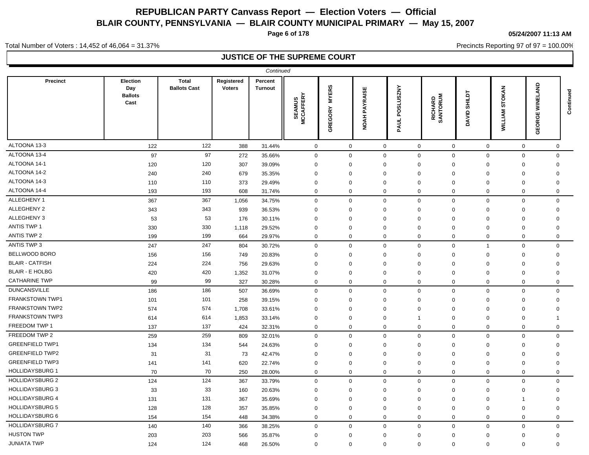**Page 6 of 178**

**05/24/2007 11:13 AM**

Precincts Reporting 97 of 97 = 100.00%

Total Number of Voters : 14,452 of 46,064 = 31.37%

|                        |                                           |                                     |                             | Continued                 |                             |                         |                         |                               |                     |                         |                          |                                               |             |
|------------------------|-------------------------------------------|-------------------------------------|-----------------------------|---------------------------|-----------------------------|-------------------------|-------------------------|-------------------------------|---------------------|-------------------------|--------------------------|-----------------------------------------------|-------------|
| <b>Precinct</b>        | Election<br>Day<br><b>Ballots</b><br>Cast | <b>Total</b><br><b>Ballots Cast</b> | Registered<br><b>Voters</b> | Percent<br><b>Turnout</b> | <b>SEAMUS<br/>MCCAFFERY</b> | <b>MYERS</b><br>GREGORY | PAYRAISE<br><b>NOAH</b> | <b>ANZSU 1SC</b><br>ğ<br>PAUL | RICHARD<br>SANTORUM | <b>SHILDT</b><br>DAVID. | STOKAN<br><b>WILLIAM</b> | <b>SKA</b><br>필<br>Ī<br>ш<br>ပ<br>≃<br>β<br>ט | Continued   |
| ALTOONA 13-3           | 122                                       | 122                                 | 388                         | 31.44%                    | $\mathbf 0$                 | $\mathbf 0$             | $\mathsf{O}\xspace$     | $\mathsf 0$                   | 0                   | $\mathbf 0$             | $\mathsf 0$              |                                               | 0           |
| ALTOONA 13-4           | 97                                        | 97                                  | 272                         | 35.66%                    | $\mathbf 0$                 | $\mathbf 0$             | $\mathbf 0$             | $\mathbf 0$                   | $\mathbf 0$         | $\mathsf 0$             | $\mathbf 0$              |                                               | $\Omega$    |
| ALTOONA 14-1           | 120                                       | 120                                 | 307                         | 39.09%                    | $\mathbf 0$                 | $\Omega$                | $\Omega$                | $\mathbf 0$                   | 0                   | 0                       | $\mathbf 0$              |                                               | $\Omega$    |
| ALTOONA 14-2           | 240                                       | 240                                 | 679                         | 35.35%                    | 0                           | $\Omega$                | $\Omega$                | $\mathbf 0$                   | $\Omega$            | $\mathbf 0$             | $\mathbf 0$              |                                               | $\Omega$    |
| ALTOONA 14-3           | 110                                       | 110                                 | 373                         | 29.49%                    | $\mathbf 0$                 | $\Omega$                | $\Omega$                | $\Omega$                      | $\mathbf 0$         | $\mathbf 0$             | $\mathbf 0$              |                                               | $\Omega$    |
| ALTOONA 14-4           | 193                                       | 193                                 | 608                         | 31.74%                    | $\mathbf 0$                 | $\mathbf 0$             | $\mathbf 0$             | $\mathbf 0$                   | $\mathbf 0$         | $\mathbf 0$             | $\mathbf 0$              |                                               | $\mathbf 0$ |
| ALLEGHENY 1            | 367                                       | 367                                 | 1,056                       | 34.75%                    | $\mathsf 0$                 | $\mathbf 0$             | $\mathbf 0$             | $\mathbf 0$                   | $\mathbf 0$         | $\mathsf 0$             | $\mathsf 0$              |                                               | $\mathbf 0$ |
| ALLEGHENY 2            | 343                                       | 343                                 | 939                         | 36.53%                    | $\mathbf 0$                 | $\mathbf 0$             | $\Omega$                | $\mathbf 0$                   | $\mathbf 0$         | $\mathbf 0$             | $\mathbf 0$              |                                               | $\mathbf 0$ |
| ALLEGHENY 3            | 53                                        | 53                                  | 176                         | 30.11%                    | $\mathbf 0$                 | $\mathbf 0$             | $\Omega$                | $\mathbf 0$                   | $\mathbf 0$         | $\mathbf 0$             | $\mathbf 0$              |                                               | $\Omega$    |
| ANTIS TWP 1            | 330                                       | 330                                 | 1,118                       | 29.52%                    | $\mathbf 0$                 | $\mathbf 0$             | $\Omega$                | $\mathbf 0$                   | $\mathbf 0$         | $\mathbf 0$             | $\mathbf 0$              |                                               | $\mathbf 0$ |
| ANTIS TWP 2            | 199                                       | 199                                 | 664                         | 29.97%                    | $\mathbf 0$                 | $\mathbf 0$             | $\mathbf 0$             | $\mathbf 0$                   | 0                   | $\mathbf 0$             | $\mathbf 0$              |                                               | $\mathbf 0$ |
| ANTIS TWP 3            | 247                                       | 247                                 | 804                         | 30.72%                    | $\mathbf 0$                 | $\mathbf 0$             | $\mathbf 0$             | $\mathbf 0$                   | $\mathbf 0$         | $\overline{1}$          | $\mathbf 0$              |                                               | $\mathbf 0$ |
| <b>BELLWOOD BORO</b>   | 156                                       | 156                                 | 749                         | 20.83%                    | $\mathbf 0$                 | $\mathbf 0$             | $\Omega$                | $\mathbf 0$                   | $\mathbf 0$         | $\mathbf 0$             | $\mathbf 0$              |                                               | $\mathbf 0$ |
| <b>BLAIR - CATFISH</b> | 224                                       | 224                                 | 756                         | 29.63%                    | $\mathbf 0$                 | $\Omega$                | $\Omega$                | $\mathbf 0$                   | $\mathbf 0$         | $\mathbf 0$             | $\mathbf 0$              |                                               | $\mathbf 0$ |
| <b>BLAIR - E HOLBG</b> | 420                                       | 420                                 | 1,352                       | 31.07%                    | 0                           | 0                       | $\mathbf 0$             | $\mathbf 0$                   | 0                   | 0                       | $\mathbf 0$              |                                               | 0           |
| <b>CATHARINE TWP</b>   | 99                                        | 99                                  | 327                         | 30.28%                    | $\mathbf 0$                 | $\mathbf 0$             | 0                       | $\mathbf 0$                   | 0                   | $\mathbf 0$             | $\mathbf 0$              |                                               | 0           |
| <b>DUNCANSVILLE</b>    | 186                                       | 186                                 | 507                         | 36.69%                    | $\mathbf 0$                 | $\mathbf 0$             | $\mathbf 0$             | $\mathbf 0$                   | $\mathbf 0$         | $\mathbf 0$             | $\mathbf 0$              |                                               | $\Omega$    |
| <b>FRANKSTOWN TWP1</b> | 101                                       | 101                                 | 258                         | 39.15%                    | $\mathbf 0$                 | $\mathbf 0$             | $\Omega$                | $\Omega$                      | 0                   | $\mathbf 0$             | $\mathbf 0$              |                                               | $\Omega$    |
| <b>FRANKSTOWN TWP2</b> | 574                                       | 574                                 | 1,708                       | 33.61%                    | $\Omega$                    | $\Omega$                | $\Omega$                | $\Omega$                      | $\Omega$            | $\Omega$                | $\mathbf 0$              |                                               | $\Omega$    |
| <b>FRANKSTOWN TWP3</b> | 614                                       | 614                                 | 1,853                       | 33.14%                    | $\mathbf{0}$                | $\mathbf{0}$            | $\Omega$                | -1                            | $\Omega$            | 0                       | $\mathbf 0$              |                                               | 1           |
| FREEDOM TWP 1          | 137                                       | 137                                 | 424                         | 32.31%                    | $\mathbf 0$                 | $\mathbf 0$             | $\Omega$                | $\mathbf 0$                   | $\mathbf 0$         | $\mathbf 0$             | $\mathbf 0$              |                                               | $\Omega$    |
| FREEDOM TWP 2          | 259                                       | 259                                 | 809                         | 32.01%                    | $\mathbf 0$                 | $\mathbf 0$             | $\mathbf 0$             | $\mathbf 0$                   | $\mathbf 0$         | $\mathbf 0$             | $\mathbf 0$              |                                               | $\Omega$    |
| <b>GREENFIELD TWP1</b> | 134                                       | 134                                 | 544                         | 24.63%                    | $\mathbf 0$                 | $\mathbf 0$             | $\Omega$                | $\Omega$                      | $\mathbf 0$         | $\mathbf 0$             | $\mathbf 0$              |                                               | $\Omega$    |
| <b>GREENFIELD TWP2</b> | 31                                        | 31                                  | 73                          | 42.47%                    | $\mathbf 0$                 | $\mathbf 0$             | $\Omega$                | $\mathbf 0$                   | $\mathbf 0$         | $\mathbf 0$             | $\mathbf 0$              |                                               | $\mathbf 0$ |
| <b>GREENFIELD TWP3</b> | 141                                       | 141                                 | 620                         | 22.74%                    | $\mathbf 0$                 | $\mathbf 0$             | $\Omega$                | $\mathbf 0$                   | $\mathbf 0$         | $\mathbf 0$             | $\mathbf 0$              |                                               | $\mathbf 0$ |
| <b>HOLLIDAYSBURG 1</b> | 70                                        | 70                                  | 250                         | 28.00%                    | $\mathbf 0$                 | $\mathbf 0$             | $\mathbf 0$             | $\mathbf 0$                   | $\mathbf 0$         | $\mathbf 0$             | $\mathbf 0$              |                                               | $\mathbf 0$ |
| <b>HOLLIDAYSBURG 2</b> | 124                                       | 124                                 | 367                         | 33.79%                    | $\mathbf 0$                 | $\mathbf 0$             | $\mathbf 0$             | $\mathbf 0$                   | $\mathbf 0$         | $\mathbf 0$             | $\mathbf 0$              |                                               | $\mathbf 0$ |
| <b>HOLLIDAYSBURG 3</b> | 33                                        | 33                                  | 160                         | 20.63%                    | $\mathbf 0$                 | $\Omega$                | $\Omega$                | $\mathbf 0$                   | $\mathbf 0$         | $\mathbf 0$             | $\mathbf 0$              |                                               | $\Omega$    |
| <b>HOLLIDAYSBURG 4</b> | 131                                       | 131                                 | 367                         | 35.69%                    | $\mathbf 0$                 | $\mathbf 0$             | $\Omega$                | $\mathbf 0$                   | $\Omega$            | 0                       | $\overline{1}$           |                                               | $\Omega$    |
| <b>HOLLIDAYSBURG 5</b> | 128                                       | 128                                 | 357                         | 35.85%                    | $\mathbf 0$                 | $\mathbf 0$             | $\Omega$                | $\mathbf 0$                   | $\mathbf 0$         | $\mathbf 0$             | $\mathbf 0$              |                                               | 0           |
| <b>HOLLIDAYSBURG 6</b> | 154                                       | 154                                 | 448                         | 34.38%                    | $\mathbf 0$                 | 0                       | $\mathbf 0$             | $\mathbf 0$                   | 0                   | 0                       | $\mathbf 0$              |                                               | $\Omega$    |
| <b>HOLLIDAYSBURG 7</b> | 140                                       | 140                                 | 366                         | 38.25%                    | $\mathbf 0$                 | $\mathbf 0$             | $\mathbf 0$             | $\mathbf 0$                   | $\mathbf 0$         | $\mathbf 0$             | $\mathbf 0$              |                                               | $\mathbf 0$ |
| <b>HUSTON TWP</b>      | 203                                       | 203                                 | 566                         | 35.87%                    | $\mathbf 0$                 | 0                       | $\mathbf 0$             | $\mathbf 0$                   | 0                   | 0                       | $\mathbf 0$              |                                               | 0           |
| <b>JUNIATA TWP</b>     | 124                                       | 124                                 | 468                         | 26.50%                    | $\mathbf 0$                 | $\mathbf 0$             | $\mathbf 0$             | $\mathbf 0$                   | $\mathbf 0$         | $\mathbf 0$             | $\mathbf 0$              |                                               | $\Omega$    |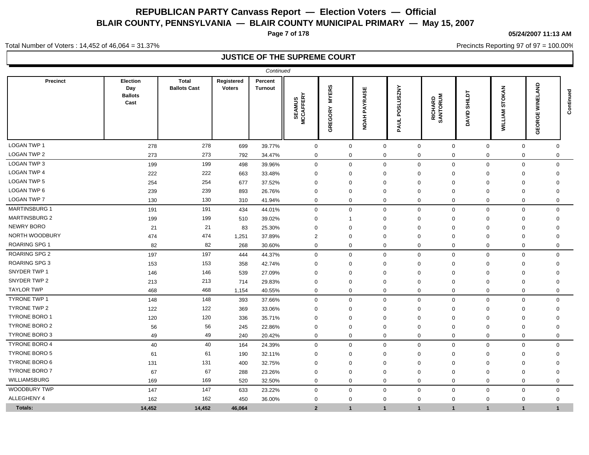**Page 7 of 178**

**05/24/2007 11:13 AM**

Precincts Reporting 97 of 97 = 100.00%

Total Number of Voters : 14,452 of 46,064 = 31.37%

|                      |                                                  |                                     |                      | Continued                 |                                  |                         |                         |                             |                              |                               |                                    |                                            |               |
|----------------------|--------------------------------------------------|-------------------------------------|----------------------|---------------------------|----------------------------------|-------------------------|-------------------------|-----------------------------|------------------------------|-------------------------------|------------------------------------|--------------------------------------------|---------------|
| <b>Precinct</b>      | <b>Election</b><br>Day<br><b>Ballots</b><br>Cast | <b>Total</b><br><b>Ballots Cast</b> | Registered<br>Voters | Percent<br><b>Turnout</b> | <b>SEAMUS<br/>ICCAFFERY</b><br>Σ | <b>MYERS</b><br>GREGORY | PAYRAISE<br><b>NOAH</b> | <b>SLUSZNY</b><br>5<br>PAUL | <b>RICHARD<br/>SANTORUM</b>  | <b>SHILDT</b><br><b>DAVID</b> | <b>OKAN</b><br>৯<br><b>WILLIAM</b> | <b>AND</b><br>ū<br>Ξ<br>ш<br>ত<br>∝<br>GEO | ᅙ<br>Continue |
| <b>LOGAN TWP 1</b>   | 278                                              | 278                                 | 699                  | 39.77%                    | $\mathbf 0$                      | 0                       |                         | $\mathbf 0$                 | $\mathbf 0$                  | $\mathbf 0$<br>$\mathbf 0$    | $\mathbf 0$                        | $\mathbf 0$                                |               |
| <b>LOGAN TWP 2</b>   | 273                                              | 273                                 | 792                  | 34.47%                    | $\mathbf 0$                      | 0                       |                         | $\mathbf 0$                 | $\mathbf 0$                  | $\mathbf 0$<br>0              | $\mathbf 0$                        | $\mathbf 0$                                |               |
| LOGAN TWP 3          | 199                                              | 199                                 | 498                  | 39.96%                    | $\mathbf 0$                      | 0                       |                         | $\mathbf 0$                 | $\mathbf 0$                  | $\mathbf 0$<br>$\mathbf 0$    | $\mathbf 0$                        | $\mathbf 0$                                |               |
| <b>LOGAN TWP 4</b>   | 222                                              | 222                                 | 663                  | 33.48%                    | $\mathbf 0$                      | $\mathbf 0$             |                         | $\mathbf 0$                 | $\mathbf 0$<br>$\mathbf 0$   | 0                             | $\mathbf 0$                        | 0                                          |               |
| LOGAN TWP 5          | 254                                              | 254                                 | 677                  | 37.52%                    | $\Omega$                         | $\Omega$                |                         | $\mathbf 0$                 | $\Omega$<br>$\Omega$         | $\Omega$                      | $\Omega$                           | $\mathbf 0$                                |               |
| LOGAN TWP 6          | 239                                              | 239                                 | 893                  | 26.76%                    | $\Omega$                         | $\Omega$                |                         | $\mathbf 0$                 | $\mathbf 0$<br>$\mathbf 0$   | $\Omega$                      | $\Omega$                           | $\mathbf 0$                                |               |
| <b>LOGAN TWP 7</b>   | 130                                              | 130                                 | 310                  | 41.94%                    | $\mathbf 0$                      | $\Omega$                |                         | $\mathbf 0$                 | $\mathbf 0$                  | $\mathbf{0}$<br>$\mathbf 0$   | $\mathbf 0$                        | $\mathbf 0$                                |               |
| MARTINSBURG 1        | 191                                              | 191                                 | 434                  | 44.01%                    | $\mathbf 0$                      | $\mathbf{0}$            |                         | $\mathbf{0}$                | $\mathbf 0$                  | $\mathbf{0}$<br>$\mathbf 0$   | $\mathbf 0$                        | $\mathbf 0$                                |               |
| <b>MARTINSBURG 2</b> | 199                                              | 199                                 | 510                  | 39.02%                    | $\mathbf 0$                      |                         |                         | $\mathbf 0$                 | $\mathbf 0$<br>$\mathbf 0$   | $\mathbf 0$                   | $\mathbf 0$                        | $\overline{0}$                             |               |
| NEWRY BORO           | 21                                               | 21                                  | 83                   | 25.30%                    | $\mathbf 0$                      | $\Omega$                |                         | $\mathbf 0$                 | $\mathbf 0$<br>$\mathbf 0$   | $\Omega$                      | $\Omega$                           | $\mathbf 0$                                |               |
| NORTH WOODBURY       | 474                                              | 474                                 | 1,251                | 37.89%                    | 2                                | $\Omega$                |                         | $\mathbf 0$                 | $\Omega$<br>$\Omega$         | $\mathbf 0$                   | $\Omega$                           | 0                                          |               |
| <b>ROARING SPG 1</b> | 82                                               | 82                                  | 268                  | 30.60%                    | $\mathbf 0$                      | $\mathbf 0$             |                         | $\mathbf 0$                 | $\mathbf 0$                  | 0<br>0                        | $\mathbf 0$                        | $\mathbf 0$                                |               |
| <b>ROARING SPG 2</b> | 197                                              | 197                                 | 444                  | 44.37%                    | $\mathbf 0$                      | $\Omega$                |                         | $\mathbf 0$                 | $\mathbf 0$                  | $\mathbf{0}$<br>$\mathbf 0$   | $\mathbf 0$                        | $\mathbf 0$                                |               |
| <b>ROARING SPG 3</b> | 153                                              | 153                                 | 358                  | 42.74%                    | $\Omega$                         | 0                       |                         | 0                           | $\Omega$<br>0                | $\mathbf 0$                   | $\mathbf 0$                        | $\mathbf 0$                                |               |
| SNYDER TWP 1         | 146                                              | 146                                 | 539                  | 27.09%                    | $\Omega$                         | $\mathbf 0$             |                         | $\mathbf 0$                 | $\Omega$<br>$\Omega$         | $\mathbf 0$                   | $\Omega$                           | $\mathbf 0$                                |               |
| SNYDER TWP 2         | 213                                              | 213                                 | 714                  | 29.83%                    | $\mathbf 0$                      | $\mathbf 0$             |                         | $\mathbf 0$                 | $\mathbf 0$                  | $\mathbf 0$<br>$\mathbf 0$    | $\mathbf 0$                        | 0                                          |               |
| <b>TAYLOR TWP</b>    | 468                                              | 468                                 | 1,154                | 40.55%                    | $\Omega$                         | $\mathbf 0$             |                         | $\mathbf 0$                 | $\mathbf 0$                  | $\mathbf{0}$<br>$\mathbf 0$   | $\mathbf 0$                        | $\mathbf 0$                                |               |
| <b>TYRONE TWP 1</b>  | 148                                              | 148                                 | 393                  | 37.66%                    | $\mathbf 0$                      | $\mathbf 0$             |                         | $\mathbf 0$                 | $\mathbf 0$                  | $\mathbf 0$<br>$\mathbf 0$    | $\mathbf 0$                        | $\mathbf 0$                                |               |
| TYRONE TWP 2         | 122                                              | 122                                 | 369                  | 33.06%                    | $\Omega$                         | $\Omega$                |                         | $\mathbf 0$                 | $\Omega$<br>$\Omega$         | $\mathbf 0$                   | $\mathbf 0$                        | $\mathbf 0$                                |               |
| <b>TYRONE BORO 1</b> | 120                                              | 120                                 | 336                  | 35.71%                    | $\Omega$                         | $\Omega$                |                         | 0                           | $\Omega$<br>$\Omega$         | $\Omega$                      | $\mathbf 0$                        | 0                                          |               |
| <b>TYRONE BORO 2</b> | 56                                               | 56                                  | 245                  | 22.86%                    | $\mathbf 0$                      | $\mathbf 0$             |                         | $\mathbf 0$                 | $\mathbf 0$<br>$\mathbf 0$   | $\mathbf 0$                   | $\mathbf 0$                        | 0                                          |               |
| <b>TYRONE BORO 3</b> | 49                                               | 49                                  | 240                  | 20.42%                    | $\mathbf 0$                      | $\mathbf 0$             |                         | $\mathbf 0$                 | $\mathbf 0$                  | $\mathbf 0$<br>$\mathbf 0$    | $\mathbf 0$                        | 0                                          |               |
| <b>TYRONE BORO 4</b> | 40                                               | 40                                  | 164                  | 24.39%                    | $\mathbf 0$                      | $\mathbf 0$             |                         | $\mathbf 0$                 | $\mathbf 0$                  | $\mathbf 0$<br>$\mathbf 0$    | $\mathbf 0$                        | $\mathbf 0$                                |               |
| <b>TYRONE BORO 5</b> | 61                                               | 61                                  | 190                  | 32.11%                    | $\Omega$                         | $\Omega$                |                         | $\mathbf 0$                 | $\Omega$<br>$\Omega$         | $\mathbf 0$                   | $\mathbf 0$                        | $\mathbf 0$                                |               |
| <b>TYRONE BORO 6</b> | 131                                              | 131                                 | 400                  | 32.75%                    | $\mathbf 0$                      | $\Omega$                |                         | $\mathbf 0$                 | $\Omega$<br>$\Omega$         | $\Omega$                      | $\Omega$                           | 0                                          |               |
| <b>TYRONE BORO 7</b> | 67                                               | 67                                  | 288                  | 23.26%                    | $\mathbf 0$                      | $\Omega$                |                         | $\mathbf 0$                 | $\mathbf 0$<br>$\Omega$      | $\Omega$                      | $\Omega$                           | 0                                          |               |
| WILLIAMSBURG         | 169                                              | 169                                 | 520                  | 32.50%                    | $\mathbf 0$                      | $\mathbf 0$             |                         | $\mathbf 0$                 | $\mathbf 0$                  | $\mathbf 0$<br>$\mathbf 0$    | $\mathbf 0$                        | $\mathbf 0$                                |               |
| <b>WOODBURY TWP</b>  | 147                                              | 147                                 | 633                  | 23.22%                    | $\mathbf 0$                      | $\mathbf 0$             |                         | $\mathbf 0$                 | $\mathbf 0$                  | $\mathbf 0$<br>$\mathbf 0$    | $\mathbf 0$                        | $\mathbf 0$                                |               |
| ALLEGHENY 4          | 162                                              | 162                                 | 450                  | 36.00%                    | $\mathbf 0$                      | $\mathbf 0$             |                         | $\mathbf 0$                 | $\mathbf 0$<br>$\mathbf 0$   | $\mathbf 0$                   | $\mathbf 0$                        | $\mathbf 0$                                |               |
| Totals:              | 14,452                                           | 14,452                              | 46,064               |                           | $\overline{2}$                   | 1                       |                         | $\mathbf{1}$                | $\mathbf{1}$<br>$\mathbf{1}$ | $\overline{1}$                | $\mathbf{1}$                       | 1                                          |               |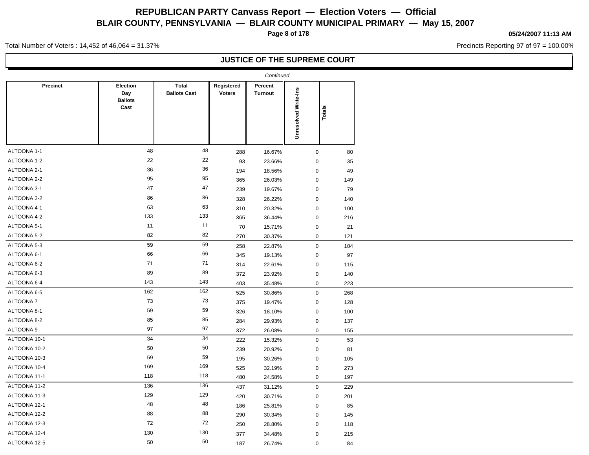**Page 8 of 178**

#### **05/24/2007 11:13 AM**

Precincts Reporting 97 of 97 = 100.00%

Total Number of Voters : 14,452 of 46,064 = 31.37%

|                 |                                           |                                     |                             | Continued                 |                      |        |
|-----------------|-------------------------------------------|-------------------------------------|-----------------------------|---------------------------|----------------------|--------|
| <b>Precinct</b> | Election<br>Day<br><b>Ballots</b><br>Cast | <b>Total</b><br><b>Ballots Cast</b> | Registered<br><b>Voters</b> | Percent<br><b>Turnout</b> | Unresolved Write-Ins | Totals |
|                 |                                           |                                     |                             |                           |                      |        |
| ALTOONA 1-1     | 48                                        | 48                                  | 288                         | 16.67%                    | $\mathbf 0$          | 80     |
| ALTOONA 1-2     | 22                                        | 22                                  | 93                          | 23.66%                    | $\mathbf 0$          | 35     |
| ALTOONA 2-1     | 36                                        | 36                                  | 194                         | 18.56%                    | $\mathbf 0$          | 49     |
| ALTOONA 2-2     | 95                                        | 95                                  | 365                         | 26.03%                    | $\boldsymbol{0}$     | 149    |
| ALTOONA 3-1     | 47                                        | 47                                  | 239                         | 19.67%                    | $\mathbf 0$          | 79     |
| ALTOONA 3-2     | 86                                        | 86                                  | 328                         | 26.22%                    | $\boldsymbol{0}$     | 140    |
| ALTOONA 4-1     | 63                                        | 63                                  | 310                         | 20.32%                    | $\boldsymbol{0}$     | 100    |
| ALTOONA 4-2     | 133                                       | 133                                 | 365                         | 36.44%                    | $\mathbf 0$          | 216    |
| ALTOONA 5-1     | 11                                        | 11                                  | 70                          | 15.71%                    | $\mathbf 0$          | 21     |
| ALTOONA 5-2     | 82                                        | 82                                  | 270                         | 30.37%                    | $\mathbf 0$          | 121    |
| ALTOONA 5-3     | 59                                        | 59                                  | 258                         | 22.87%                    | $\mathbf 0$          | 104    |
| ALTOONA 6-1     | 66                                        | 66                                  | 345                         | 19.13%                    | $\mathbf 0$          | 97     |
| ALTOONA 6-2     | 71                                        | $71$                                | 314                         | 22.61%                    | $\mathbf 0$          | 115    |
| ALTOONA 6-3     | 89                                        | 89                                  | 372                         | 23.92%                    | $\mathbf 0$          | 140    |
| ALTOONA 6-4     | 143                                       | 143                                 | 403                         | 35.48%                    | $\mathbf 0$          | 223    |
| ALTOONA 6-5     | 162                                       | 162                                 | 525                         | 30.86%                    | $\mathbf 0$          | 268    |
| ALTOONA 7       | 73                                        | 73                                  | 375                         | 19.47%                    | $\mathbf 0$          | 128    |
| ALTOONA 8-1     | 59                                        | 59                                  | 326                         | 18.10%                    | $\mathbf 0$          | 100    |
| ALTOONA 8-2     | 85                                        | 85                                  | 284                         | 29.93%                    | $\mathbf 0$          | 137    |
| ALTOONA 9       | 97                                        | 97                                  | 372                         | 26.08%                    | $\mathbf 0$          | 155    |
| ALTOONA 10-1    | 34                                        | 34                                  | 222                         | 15.32%                    | $\mathbf 0$          | 53     |
| ALTOONA 10-2    | 50                                        | $50\,$                              | 239                         | 20.92%                    | $\mathbf 0$          | 81     |
| ALTOONA 10-3    | 59                                        | 59                                  | 195                         | 30.26%                    | $\mathbf 0$          | 105    |
| ALTOONA 10-4    | 169                                       | 169                                 | 525                         | 32.19%                    | $\mathbf 0$          | 273    |
| ALTOONA 11-1    | 118                                       | 118                                 | 480                         | 24.58%                    | $\mathbf 0$          | 197    |
| ALTOONA 11-2    | 136                                       | 136                                 | 437                         | 31.12%                    | $\boldsymbol{0}$     | 229    |
| ALTOONA 11-3    | 129                                       | 129                                 | 420                         | 30.71%                    | $\mathbf 0$          | 201    |
| ALTOONA 12-1    | 48                                        | 48                                  | 186                         | 25.81%                    | $\boldsymbol{0}$     | 85     |
| ALTOONA 12-2    | 88                                        | 88                                  | 290                         | 30.34%                    | $\mathbf 0$          | 145    |
| ALTOONA 12-3    | 72                                        | 72                                  | 250                         | 28.80%                    | $\mathbf 0$          | 118    |
| ALTOONA 12-4    | 130                                       | 130                                 | 377                         | 34.48%                    | $\mathbf 0$          | 215    |
| ALTOONA 12-5    | 50                                        | 50                                  | 187                         | 26.74%                    | $\mathbf 0$          | 84     |
|                 |                                           |                                     |                             |                           |                      |        |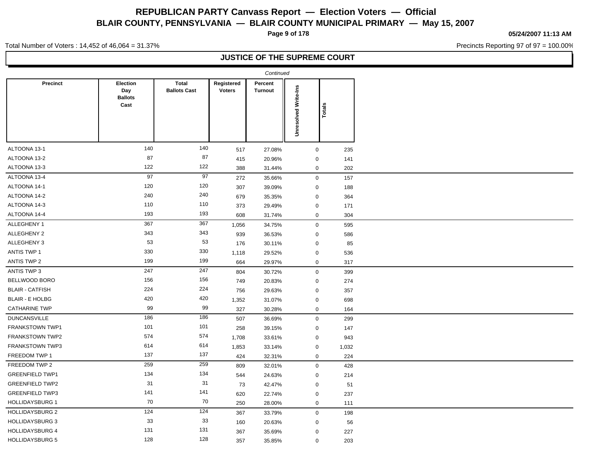**Page 9 of 178**

**05/24/2007 11:13 AM**

Precincts Reporting 97 of 97 = 100.00%

Total Number of Voters : 14,452 of 46,064 = 31.37%

|                        |                                                  |                                     |                             | Continued                 |                             |        |
|------------------------|--------------------------------------------------|-------------------------------------|-----------------------------|---------------------------|-----------------------------|--------|
| <b>Precinct</b>        | <b>Election</b><br>Day<br><b>Ballots</b><br>Cast | <b>Total</b><br><b>Ballots Cast</b> | Registered<br><b>Voters</b> | Percent<br><b>Turnout</b> | <b>Unresolved Write-Ins</b> | Totals |
| ALTOONA 13-1           | 140                                              | 140                                 | 517                         | 27.08%                    | $\mathbf 0$                 | 235    |
| ALTOONA 13-2           | 87                                               | 87                                  | 415                         | 20.96%                    | $\pmb{0}$                   | 141    |
| ALTOONA 13-3           | 122                                              | 122                                 | 388                         | 31.44%                    | $\mathbf 0$                 | 202    |
| ALTOONA 13-4           | 97                                               | 97                                  | 272                         | 35.66%                    | $\mathbf 0$                 | 157    |
| ALTOONA 14-1           | 120                                              | 120                                 | 307                         | 39.09%                    | $\mathbf 0$                 | 188    |
| ALTOONA 14-2           | 240                                              | 240                                 | 679                         | 35.35%                    | $\mathbf 0$                 | 364    |
| ALTOONA 14-3           | 110                                              | 110                                 | 373                         | 29.49%                    | $\mathbf 0$                 | 171    |
| ALTOONA 14-4           | 193                                              | 193                                 | 608                         | 31.74%                    | $\pmb{0}$                   | 304    |
| ALLEGHENY 1            | 367                                              | 367                                 | 1,056                       | 34.75%                    | $\mathbf 0$                 | 595    |
| ALLEGHENY 2            | 343                                              | 343                                 | 939                         | 36.53%                    | $\mathbf 0$                 | 586    |
| ALLEGHENY 3            | 53                                               | 53                                  | 176                         | 30.11%                    | $\mathbf 0$                 | 85     |
| <b>ANTIS TWP 1</b>     | 330                                              | 330                                 | 1,118                       | 29.52%                    | $\mathbf 0$                 | 536    |
| ANTIS TWP 2            | 199                                              | 199                                 | 664                         | 29.97%                    | $\mathbf 0$                 | 317    |
| ANTIS TWP 3            | 247                                              | $\overline{247}$                    | 804                         | 30.72%                    | $\pmb{0}$                   | 399    |
| BELLWOOD BORO          | 156                                              | 156                                 | 749                         | 20.83%                    | $\mathbf 0$                 | 274    |
| <b>BLAIR - CATFISH</b> | 224                                              | 224                                 | 756                         | 29.63%                    | $\mathbf 0$                 | 357    |
| <b>BLAIR - E HOLBG</b> | 420                                              | 420                                 | 1,352                       | 31.07%                    | $\mathbf 0$                 | 698    |
| <b>CATHARINE TWP</b>   | 99                                               | 99                                  | 327                         | 30.28%                    | $\mathbf 0$                 | 164    |
| <b>DUNCANSVILLE</b>    | 186                                              | 186                                 | 507                         | 36.69%                    | $\mathbf 0$                 | 299    |
| FRANKSTOWN TWP1        | 101                                              | 101                                 | 258                         | 39.15%                    | $\mathbf 0$                 | 147    |
| <b>FRANKSTOWN TWP2</b> | 574                                              | 574                                 | 1,708                       | 33.61%                    | $\mathbf 0$                 | 943    |
| FRANKSTOWN TWP3        | 614                                              | 614                                 | 1,853                       | 33.14%                    | $\mathbf 0$                 | 1,032  |
| FREEDOM TWP 1          | 137                                              | 137                                 | 424                         | 32.31%                    | $\pmb{0}$                   | 224    |
| FREEDOM TWP 2          | 259                                              | 259                                 | 809                         | 32.01%                    | $\mathbf 0$                 | 428    |
| <b>GREENFIELD TWP1</b> | 134                                              | 134                                 | 544                         | 24.63%                    | $\mathbf 0$                 | 214    |
| <b>GREENFIELD TWP2</b> | 31                                               | 31                                  | 73                          | 42.47%                    | $\mathbf 0$                 | 51     |
| <b>GREENFIELD TWP3</b> | 141                                              | 141                                 | 620                         | 22.74%                    | $\mathbf 0$                 | 237    |
| <b>HOLLIDAYSBURG 1</b> | 70                                               | 70                                  | 250                         | 28.00%                    | $\mathbf 0$                 | 111    |
| <b>HOLLIDAYSBURG 2</b> | 124                                              | 124                                 | 367                         | 33.79%                    | $\mathsf 0$                 | 198    |
| <b>HOLLIDAYSBURG 3</b> | 33                                               | 33                                  | 160                         | 20.63%                    | $\mathbf 0$                 | 56     |
| <b>HOLLIDAYSBURG 4</b> | 131                                              | 131                                 | 367                         | 35.69%                    | $\mathbf 0$                 | 227    |
| <b>HOLLIDAYSBURG 5</b> | 128                                              | 128                                 | 357                         | 35.85%                    | $\mathbf 0$                 | 203    |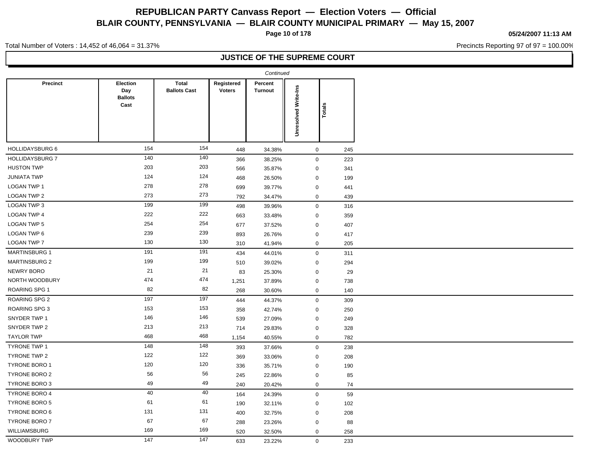**Page 10 of 178**

**05/24/2007 11:13 AM**

Precincts Reporting 97 of 97 = 100.00%

Total Number of Voters : 14,452 of 46,064 = 31.37%

|                        |                                                  |                                     |                             | Continued                 |                             |        |
|------------------------|--------------------------------------------------|-------------------------------------|-----------------------------|---------------------------|-----------------------------|--------|
| Precinct               | <b>Election</b><br>Day<br><b>Ballots</b><br>Cast | <b>Total</b><br><b>Ballots Cast</b> | Registered<br><b>Voters</b> | Percent<br><b>Turnout</b> | <b>Unresolved Write-Ins</b> | Totals |
| HOLLIDAYSBURG 6        | 154                                              | 154                                 | 448                         | 34.38%                    | $\mathbf 0$                 | 245    |
| <b>HOLLIDAYSBURG 7</b> | 140                                              | 140                                 | 366                         | 38.25%                    | $\mathsf 0$                 | 223    |
| <b>HUSTON TWP</b>      | 203                                              | 203                                 | 566                         | 35.87%                    | $\mathbf 0$                 | 341    |
| <b>JUNIATA TWP</b>     | 124                                              | 124                                 | 468                         | 26.50%                    | $\mathbf 0$                 | 199    |
| <b>LOGAN TWP 1</b>     | 278                                              | 278                                 | 699                         | 39.77%                    | $\mathbf 0$                 | 441    |
| LOGAN TWP 2            | 273                                              | 273                                 | 792                         | 34.47%                    | $\mathbf 0$                 | 439    |
| LOGAN TWP 3            | 199                                              | 199                                 | 498                         | 39.96%                    | $\pmb{0}$                   | 316    |
| <b>LOGAN TWP 4</b>     | 222                                              | 222                                 | 663                         | 33.48%                    | $\mathbf 0$                 | 359    |
| <b>LOGAN TWP 5</b>     | 254                                              | 254                                 | 677                         | 37.52%                    | $\mathbf 0$                 | 407    |
| LOGAN TWP 6            | 239                                              | 239                                 | 893                         | 26.76%                    | $\mathbf 0$                 | 417    |
| <b>LOGAN TWP 7</b>     | 130                                              | 130                                 | 310                         | 41.94%                    | $\pmb{0}$                   | 205    |
| <b>MARTINSBURG 1</b>   | 191                                              | 191                                 | 434                         | 44.01%                    | $\pmb{0}$                   | 311    |
| <b>MARTINSBURG 2</b>   | 199                                              | 199                                 | 510                         | 39.02%                    | $\mathbf 0$                 | 294    |
| NEWRY BORO             | 21                                               | 21                                  | 83                          | 25.30%                    | $\mathbf 0$                 | 29     |
| NORTH WOODBURY         | 474                                              | 474                                 | 1,251                       | 37.89%                    | $\mathbf 0$                 | 738    |
| <b>ROARING SPG 1</b>   | 82                                               | 82                                  | 268                         | 30.60%                    | $\mathbf 0$                 | 140    |
| ROARING SPG 2          | 197                                              | 197                                 | 444                         | 44.37%                    | $\pmb{0}$                   | 309    |
| ROARING SPG 3          | 153                                              | 153                                 | 358                         | 42.74%                    | $\mathbf 0$                 | 250    |
| SNYDER TWP 1           | 146                                              | 146                                 | 539                         | 27.09%                    | $\mathbf 0$                 | 249    |
| SNYDER TWP 2           | 213                                              | 213                                 | 714                         | 29.83%                    | $\mathbf 0$                 | 328    |
| <b>TAYLOR TWP</b>      | 468                                              | 468                                 | 1,154                       | 40.55%                    | $\mathbf 0$                 | 782    |
| TYRONE TWP 1           | 148                                              | 148                                 | 393                         | 37.66%                    | $\mathbf 0$                 | 238    |
| TYRONE TWP 2           | 122                                              | 122                                 | 369                         | 33.06%                    | $\mathbf 0$                 | 208    |
| <b>TYRONE BORO 1</b>   | 120                                              | 120                                 | 336                         | 35.71%                    | $\mathbf 0$                 | 190    |
| <b>TYRONE BORO 2</b>   | 56                                               | 56                                  | 245                         | 22.86%                    | $\mathbf 0$                 | 85     |
| <b>TYRONE BORO 3</b>   | 49                                               | 49                                  | 240                         | 20.42%                    | $\mathbf 0$                 | 74     |
| <b>TYRONE BORO 4</b>   | 40                                               | 40                                  | 164                         | 24.39%                    | $\mathbf 0$                 | 59     |
| <b>TYRONE BORO 5</b>   | 61                                               | 61                                  | 190                         | 32.11%                    | $\mathbf 0$                 | 102    |
| TYRONE BORO 6          | 131                                              | 131                                 | 400                         | 32.75%                    | $\mathbf 0$                 | 208    |
| TYRONE BORO 7          | 67                                               | 67                                  | 288                         | 23.26%                    | $\mathbf 0$                 | 88     |
| <b>WILLIAMSBURG</b>    | 169                                              | 169                                 | 520                         | 32.50%                    | $\mathbf 0$                 | 258    |
| WOODBURY TWP           | 147                                              | 147                                 | 633                         | 23.22%                    | $\mathbf 0$                 | 233    |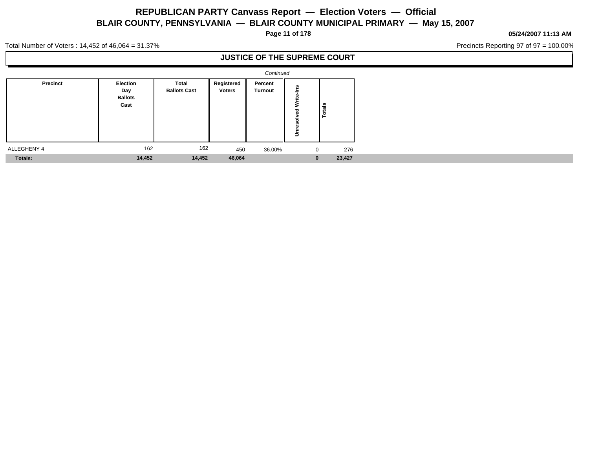**Page 11 of 178**

#### **05/24/2007 11:13 AM**

Precincts Reporting 97 of 97 = 100.00%

Total Number of Voters : 14,452 of 46,064 = 31.37%

|             |                                                  |                                     |                             | Continued                 |                                    |              |        |  |  |  |  |  |  |  |  |  |  |  |  |
|-------------|--------------------------------------------------|-------------------------------------|-----------------------------|---------------------------|------------------------------------|--------------|--------|--|--|--|--|--|--|--|--|--|--|--|--|
| Precinct    | <b>Election</b><br>Day<br><b>Ballots</b><br>Cast | <b>Total</b><br><b>Ballots Cast</b> | Registered<br><b>Voters</b> | Percent<br><b>Turnout</b> | 3<br>$\overline{\phantom{a}}$<br>÷ | ≝            |        |  |  |  |  |  |  |  |  |  |  |  |  |
| ALLEGHENY 4 | 162                                              | 162                                 | 450                         | 36.00%                    |                                    | $\mathbf 0$  | 276    |  |  |  |  |  |  |  |  |  |  |  |  |
| Totals:     | 14,452                                           | 14,452                              | 46,064                      |                           |                                    | $\mathbf{0}$ | 23,427 |  |  |  |  |  |  |  |  |  |  |  |  |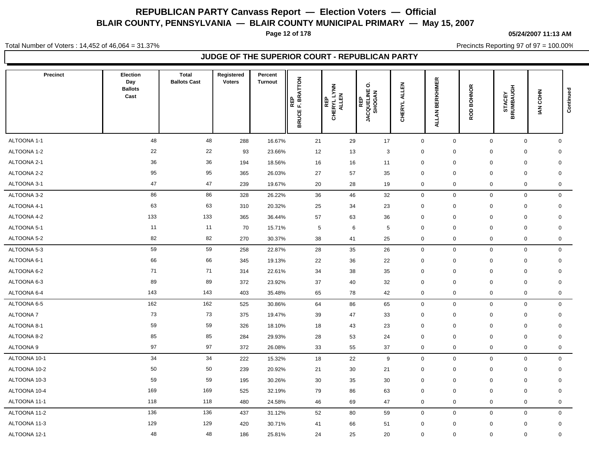**Page 12 of 178**

#### **05/24/2007 11:13 AM**

Total Number of Voters : 14,452 of 46,064 = 31.37%

Precincts Reporting 97 of 97 = 100.00%

| <b>Precinct</b> | Election<br>Day<br><b>Ballots</b><br>Cast | <b>Total</b><br><b>Ballots Cast</b> | Registered<br><b>Voters</b> | Percent<br><b>Turnout</b> | REP<br>F. BRATTON<br><b>BRUCE</b> | CHERYL LYNN<br>CHERYL LYNN<br><b>REP</b> | ö<br><b>REP<br/>JACQUELINE (</b><br>SHOGAN | ٢F<br>₹<br><b>HERYL</b><br>ပ | ERKHIMER<br>m<br>ALLAN | <b>BOHNOR</b><br>ROD | <b>STACEY<br/>BRUMBAUGH</b> | IAN COHN | Continued   |
|-----------------|-------------------------------------------|-------------------------------------|-----------------------------|---------------------------|-----------------------------------|------------------------------------------|--------------------------------------------|------------------------------|------------------------|----------------------|-----------------------------|----------|-------------|
| ALTOONA 1-1     | 48                                        | 48                                  | 288                         | 16.67%                    | 21                                | 29                                       | 17                                         | $\mathsf 0$                  | 0                      | $\mathbf 0$          | $\mathbf 0$                 |          | $\mathbf 0$ |
| ALTOONA 1-2     | 22                                        | 22                                  | 93                          | 23.66%                    | 12                                | 13                                       | $\mathbf{3}$                               | $\mathbf 0$                  | 0                      | $\mathbf 0$          | 0                           |          | $\mathbf 0$ |
| ALTOONA 2-1     | 36                                        | 36                                  | 194                         | 18.56%                    | 16                                | 16                                       | 11                                         | $\mathbf 0$                  | $\mathbf 0$            | $\mathbf 0$          | $\mathbf 0$                 |          | $\mathbf 0$ |
| ALTOONA 2-2     | 95                                        | 95                                  | 365                         | 26.03%                    | 27                                | 57                                       | 35                                         | $\mathbf 0$                  | 0                      | $\mathbf 0$          | $\mathbf 0$                 |          | $\mathsf 0$ |
| ALTOONA 3-1     | 47                                        | 47                                  | 239                         | 19.67%                    | 20                                | 28                                       | 19                                         | $\mathbf 0$                  | 0                      | $\mathbf 0$          | $\mathbf 0$                 |          | $\mathbf 0$ |
| ALTOONA 3-2     | 86                                        | 86                                  | 328                         | 26.22%                    | 36                                | 46                                       | 32                                         | $\mathbf 0$                  | $\mathbf 0$            |                      | $\mathbf 0$<br>$\mathbf 0$  |          | $\mathbf 0$ |
| ALTOONA 4-1     | 63                                        | 63                                  | 310                         | 20.32%                    | 25                                | 34                                       | 23                                         | $\mathbf 0$                  | 0                      | 0                    | $\mathbf 0$                 |          | $\mathbf 0$ |
| ALTOONA 4-2     | 133                                       | 133                                 | 365                         | 36.44%                    | 57                                | 63                                       | 36                                         | $\mathbf 0$                  | $\mathbf 0$            | $\mathbf 0$          | $\mathbf 0$                 |          | $\mathbf 0$ |
| ALTOONA 5-1     | 11                                        | 11                                  | 70                          | 15.71%                    | 5                                 | 6                                        | 5                                          | $\mathbf 0$                  | 0                      | $\mathbf 0$          | $\mathbf 0$                 |          | $\mathbf 0$ |
| ALTOONA 5-2     | 82                                        | 82                                  | 270                         | 30.37%                    | 38                                | 41                                       | 25                                         | $\mathbf 0$                  | 0                      | $\mathbf 0$          | $\mathbf 0$                 |          | $\mathbf 0$ |
| ALTOONA 5-3     | 59                                        | 59                                  | 258                         | 22.87%                    | 28                                | 35                                       | 26                                         | $\mathbf 0$                  | $\mathbf 0$            | $\mathbf 0$          | $\mathbf 0$                 |          | $\mathbf 0$ |
| ALTOONA 6-1     | 66                                        | 66                                  | 345                         | 19.13%                    | 22                                | 36                                       | 22                                         | $\mathbf 0$                  | 0                      | 0                    | 0                           |          | 0           |
| ALTOONA 6-2     | 71                                        | 71                                  | 314                         | 22.61%                    | 34                                | 38                                       | 35                                         | $\overline{0}$               | $\mathbf 0$            | $\mathbf 0$          | $\mathbf 0$                 |          | $\mathbf 0$ |
| ALTOONA 6-3     | 89                                        | 89                                  | 372                         | 23.92%                    | 37                                | 40                                       | 32                                         | $\overline{0}$               | 0                      | $\mathbf 0$          | $\mathbf 0$                 |          | $\mathbf 0$ |
| ALTOONA 6-4     | 143                                       | 143                                 | 403                         | 35.48%                    | 65                                | 78                                       | 42                                         | $\mathbf 0$                  | 0                      | $\mathbf 0$          | 0                           |          | $\mathbf 0$ |
| ALTOONA 6-5     | 162                                       | 162                                 | 525                         | 30.86%                    | 64                                | 86                                       | 65                                         | $\mathbf 0$                  | $\mathbf 0$            | $\mathbf 0$          | $\mathbf 0$                 |          | $\mathbf 0$ |
| ALTOONA 7       | 73                                        | 73                                  | 375                         | 19.47%                    | 39                                | 47                                       | 33                                         | $\mathbf 0$                  | 0                      | $\mathbf 0$          | 0                           |          | $\mathbf 0$ |
| ALTOONA 8-1     | 59                                        | 59                                  | 326                         | 18.10%                    | 18                                | 43                                       | 23                                         | $\mathbf 0$                  | 0                      | $\mathbf 0$          | $\mathbf 0$                 |          | $\mathbf 0$ |
| ALTOONA 8-2     | 85                                        | 85                                  | 284                         | 29.93%                    | 28                                | 53                                       | 24                                         | $\mathbf 0$                  | 0                      | $\mathbf 0$          | 0                           |          | $\mathbf 0$ |
| ALTOONA 9       | 97                                        | 97                                  | 372                         | 26.08%                    | 33                                | 55                                       | 37                                         | $\mathbf 0$                  | 0                      | $\mathbf 0$          | 0                           |          | $\mathbf 0$ |
| ALTOONA 10-1    | 34                                        | 34                                  | 222                         | 15.32%                    | 18                                | 22                                       | 9                                          | $\mathbf 0$                  | 0                      | $\mathbf 0$          | $\mathbf 0$                 |          | $\mathbf 0$ |
| ALTOONA 10-2    | 50                                        | 50                                  | 239                         | 20.92%                    | 21                                | 30                                       | 21                                         | $\mathbf 0$                  | 0                      | $\mathbf 0$          | 0                           |          | $\mathbf 0$ |
| ALTOONA 10-3    | 59                                        | 59                                  | 195                         | 30.26%                    | 30                                | 35                                       | 30                                         | $\mathbf 0$                  | 0                      | $\mathbf 0$          | $\mathbf 0$                 |          | $\mathbf 0$ |
| ALTOONA 10-4    | 169                                       | 169                                 | 525                         | 32.19%                    | 79                                | 86                                       | 63                                         | $\mathbf 0$                  | 0                      | $\mathbf 0$          | 0                           |          | $\mathbf 0$ |
| ALTOONA 11-1    | 118                                       | 118                                 | 480                         | 24.58%                    | 46                                | 69                                       | 47                                         | $\mathbf 0$                  | 0                      | $\mathbf 0$          | 0                           |          | 0           |
| ALTOONA 11-2    | 136                                       | 136                                 | 437                         | 31.12%                    | 52                                | 80                                       | 59                                         | $\mathbf 0$                  | 0                      | $\mathbf 0$          | $\mathbf 0$                 |          | $\mathbf 0$ |
| ALTOONA 11-3    | 129                                       | 129                                 | 420                         | 30.71%                    | 41                                | 66                                       | 51                                         | $\mathbf 0$                  | 0                      | $\mathbf 0$          | 0                           |          | $\mathbf 0$ |
| ALTOONA 12-1    | 48                                        | 48                                  | 186                         | 25.81%                    | 24                                | 25                                       | 20                                         | $\mathbf 0$                  | 0                      | $\mathbf 0$          | $\mathbf 0$                 |          | $\mathbf 0$ |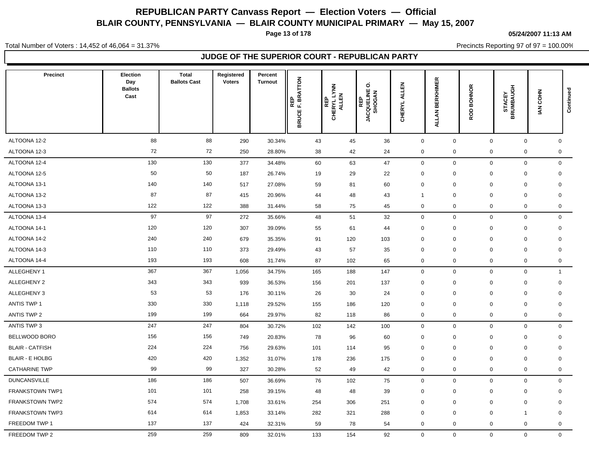**Page 13 of 178**

#### **05/24/2007 11:13 AM**

Precincts Reporting 97 of 97 = 100.00%

Total Number of Voters : 14,452 of 46,064 = 31.37%

| Precinct               | Election<br>Day<br><b>Ballots</b><br>Cast | <b>Total</b><br><b>Ballots Cast</b> | Registered<br><b>Voters</b> | Percent<br><b>Turnout</b> | REP<br>EF. BRATTON<br><b>BRUCE</b> | <b>REP<br/>CHERYL LYNN<br/>CHERYL LYNN</b> | o<br><b>REP<br/>JACQUELINE (</b><br>SHOGAN | EN<br>LEN<br>₹<br>CHERYL | <b>BERKHIMER</b><br>ALLAN | <b>BOHNOR</b><br>ROD | <b>STACEY<br/>BRUMBAUGH</b> | IAN COHN                    | Continued    |
|------------------------|-------------------------------------------|-------------------------------------|-----------------------------|---------------------------|------------------------------------|--------------------------------------------|--------------------------------------------|--------------------------|---------------------------|----------------------|-----------------------------|-----------------------------|--------------|
| ALTOONA 12-2           | 88                                        | 88                                  | 290                         | 30.34%                    | 43                                 | 45                                         | 36                                         | $\overline{0}$           | 0                         | $\mathbf 0$          |                             | $\mathbf 0$<br>$\mathbf 0$  |              |
| ALTOONA 12-3           | 72                                        | 72                                  | 250                         | 28.80%                    | 38                                 | 42                                         | 24                                         | $\mathbf 0$              | $\mathbf 0$               | $\mathbf 0$          |                             | 0<br>$\mathbf 0$            |              |
| ALTOONA 12-4           | 130                                       | 130                                 | 377                         | 34.48%                    | 60                                 | 63                                         | 47                                         | $\mathbf 0$              | 0                         | $\mathbf 0$          |                             | $\mathbf{0}$<br>$\mathbf 0$ |              |
| ALTOONA 12-5           | 50                                        | 50                                  | 187                         | 26.74%                    | 19                                 | 29                                         | 22                                         | $\mathbf 0$              | 0                         | $\mathbf 0$          |                             | $\mathbf 0$<br>$\mathbf 0$  |              |
| ALTOONA 13-1           | 140                                       | 140                                 | 517                         | 27.08%                    | 59                                 | 81                                         | 60                                         | $\mathbf 0$              | $\mathbf 0$               | $\mathbf 0$          |                             | $\mathbf 0$<br>$\mathbf 0$  |              |
| ALTOONA 13-2           | 87                                        | 87                                  | 415                         | 20.96%                    | 44                                 | 48                                         | 43                                         | $\overline{1}$           | $\mathbf 0$               | $\mathbf 0$          | $\mathbf 0$                 | $\mathbf 0$                 |              |
| ALTOONA 13-3           | 122                                       | 122                                 | 388                         | 31.44%                    | 58                                 | 75                                         | 45                                         | $\mathbf 0$              | 0                         | $\mathbf 0$          |                             | $\mathbf 0$<br>$\mathbf 0$  |              |
| ALTOONA 13-4           | 97                                        | 97                                  | 272                         | 35.66%                    | 48                                 | 51                                         | 32                                         | $\mathsf 0$              | 0                         | $\mathbf 0$          |                             | $\mathbf{0}$<br>$\mathbf 0$ |              |
| ALTOONA 14-1           | 120                                       | 120                                 | 307                         | 39.09%                    | 55                                 | 61                                         | 44                                         | $\mathbf 0$              | 0                         | $\mathbf 0$          | $\mathbf 0$                 | $\mathbf 0$                 |              |
| ALTOONA 14-2           | 240                                       | 240                                 | 679                         | 35.35%                    | 91                                 | 120                                        | 103                                        | $\mathbf 0$              | 0                         | $\mathbf 0$          |                             | 0<br>$\mathbf 0$            |              |
| ALTOONA 14-3           | 110                                       | 110                                 | 373                         | 29.49%                    | 43                                 | 57                                         | 35                                         | $\mathbf 0$              | 0                         | $\mathbf 0$          |                             | $\mathbf 0$<br>$\mathbf 0$  |              |
| ALTOONA 14-4           | 193                                       | 193                                 | 608                         | 31.74%                    | 87                                 | 102                                        | 65                                         | $\mathbf 0$              | 0                         | $\mathbf 0$          |                             | $\mathbf 0$<br>$\mathbf 0$  |              |
| ALLEGHENY 1            | 367                                       | 367                                 | 1,056                       | 34.75%                    | 165                                | 188                                        | 147                                        | $\mathbf 0$              | $\mathbf 0$               | $\mathbf 0$          |                             | $\mathbf 0$                 | $\mathbf{1}$ |
| ALLEGHENY 2            | 343                                       | 343                                 | 939                         | 36.53%                    | 156                                | 201                                        | 137                                        | $\mathbf 0$              | 0                         | $\mathbf 0$          |                             | $\mathbf 0$<br>$\mathbf 0$  |              |
| ALLEGHENY 3            | 53                                        | 53                                  | 176                         | 30.11%                    | 26                                 | 30                                         | 24                                         | $\mathbf 0$              | $\Omega$                  | $\mathbf 0$          | $\pmb{0}$                   | $\mathbf 0$                 |              |
| <b>ANTIS TWP 1</b>     | 330                                       | 330                                 | 1,118                       | 29.52%                    | 155                                | 186                                        | 120                                        | $\mathbf 0$              | $\mathbf 0$               | $\mathbf 0$          |                             | 0<br>$\mathbf 0$            |              |
| ANTIS TWP 2            | 199                                       | 199                                 | 664                         | 29.97%                    | 82                                 | 118                                        | 86                                         | $\mathbf 0$              | 0                         | $\mathbf 0$          |                             | $\mathbf 0$<br>0            |              |
| ANTIS TWP 3            | 247                                       | 247                                 | 804                         | 30.72%                    | 102                                | 142                                        | 100                                        | $\mathsf 0$              | 0                         | $\mathbf 0$          |                             | $\mathbf 0$<br>$\mathbf 0$  |              |
| BELLWOOD BORO          | 156                                       | 156                                 | 749                         | 20.83%                    | 78                                 | 96                                         | 60                                         | $\mathbf 0$              | 0                         | 0                    | 0                           | $\mathbf 0$                 |              |
| <b>BLAIR - CATFISH</b> | 224                                       | 224                                 | 756                         | 29.63%                    | 101                                | 114                                        | 95                                         | $\mathbf 0$              | $\mathbf 0$               | $\mathbf 0$          |                             | 0<br>$\mathbf 0$            |              |
| <b>BLAIR - E HOLBG</b> | 420                                       | 420                                 | 1,352                       | 31.07%                    | 178                                | 236                                        | 175                                        | $\mathbf 0$              | 0                         | $\mathbf 0$          |                             | 0<br>$\mathbf 0$            |              |
| <b>CATHARINE TWP</b>   | 99                                        | 99                                  | 327                         | 30.28%                    | 52                                 | 49                                         | 42                                         | $\mathbf 0$              | 0                         | $\mathbf 0$          |                             | $\mathbf 0$<br>$\mathbf 0$  |              |
| <b>DUNCANSVILLE</b>    | 186                                       | 186                                 | 507                         | 36.69%                    | 76                                 | 102                                        | 75                                         | $\mathsf 0$              | 0                         | $\mathbf 0$          |                             | $\mathbf 0$<br>$\mathbf{0}$ |              |
| <b>FRANKSTOWN TWP1</b> | 101                                       | 101                                 | 258                         | 39.15%                    | 48                                 | 48                                         | 39                                         | $\mathbf 0$              | 0                         | 0                    | 0                           | $\mathbf 0$                 |              |
| <b>FRANKSTOWN TWP2</b> | 574                                       | 574                                 | 1,708                       | 33.61%                    | 254                                | 306                                        | 251                                        | $\overline{0}$           | $\mathbf 0$               | $\mathbf 0$          |                             | 0<br>$\mathbf 0$            |              |
| <b>FRANKSTOWN TWP3</b> | 614                                       | 614                                 | 1,853                       | 33.14%                    | 282                                | 321                                        | 288                                        | $\mathbf 0$              | $\mathbf 0$               | $\mathbf 0$          | 1                           | $\mathbf 0$                 |              |
| FREEDOM TWP 1          | 137                                       | 137                                 | 424                         | 32.31%                    | 59                                 | 78                                         | 54                                         | $\mathbf 0$              | 0                         | $\mathbf 0$          |                             | 0<br>0                      |              |
| FREEDOM TWP 2          | 259                                       | 259                                 | 809                         | 32.01%                    | 133                                | 154                                        | 92                                         | $\mathbf 0$              | $\mathbf 0$               |                      | $\mathbf{0}$                | $\mathbf 0$<br>$\mathbf 0$  |              |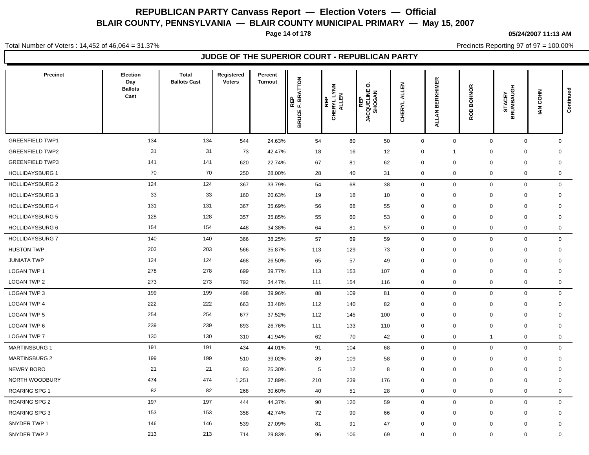**Page 14 of 178**

#### **05/24/2007 11:13 AM**

Precincts Reporting 97 of 97 = 100.00%

Total Number of Voters : 14,452 of 46,064 = 31.37%

| <b>Precinct</b>        | Election<br>Day<br><b>Ballots</b><br>Cast | <b>Total</b><br><b>Ballots Cast</b> | Registered<br><b>Voters</b> | Percent<br><b>Turnout</b> | REP<br>F. BRATTON<br><b>BRUCE</b> | CHERYL LYNN<br>CHERYL LYNN<br><b>REP</b> | o<br><b>REP<br/>JACQUELINE (</b><br>SHOGAN | 릸<br>द<br>CHERYL | <b>BERKHIMER</b><br><b>ALLAN</b> | <b>BOHNOR</b><br>ROD | <b>STACEY<br/>BRUMBAUGH</b> | IAN COHN     | Continued    |
|------------------------|-------------------------------------------|-------------------------------------|-----------------------------|---------------------------|-----------------------------------|------------------------------------------|--------------------------------------------|------------------|----------------------------------|----------------------|-----------------------------|--------------|--------------|
| <b>GREENFIELD TWP1</b> | 134                                       | 134                                 | 544                         | 24.63%                    | 54                                | 80                                       | 50                                         | $\pmb{0}$        | $\mathbf 0$                      | $\mathbf 0$          |                             | $\mathbf 0$  | $\mathbf 0$  |
| <b>GREENFIELD TWP2</b> | 31                                        | 31                                  | 73                          | 42.47%                    | 18                                | 16                                       | 12                                         | $\mathbf 0$      | $\overline{1}$                   | $\mathbf 0$          | $\mathbf 0$                 |              | $\mathbf 0$  |
| <b>GREENFIELD TWP3</b> | 141                                       | 141                                 | 620                         | 22.74%                    | 67                                | 81                                       | 62                                         | $\Omega$         | $\mathbf 0$                      | $\mathbf 0$          | $\Omega$                    |              | $\mathbf 0$  |
| <b>HOLLIDAYSBURG 1</b> | 70                                        | 70                                  | 250                         | 28.00%                    | 28                                | 40                                       | 31                                         | $\mathbf 0$      | 0                                | $\mathbf 0$          |                             | 0            | $\mathbf 0$  |
| <b>HOLLIDAYSBURG 2</b> | 124                                       | 124                                 | 367                         | 33.79%                    | 54                                | 68                                       | 38                                         | $\mathbf 0$      | $\mathbf 0$                      | $\mathbf 0$          |                             | $\mathsf{O}$ | $\mathbf{0}$ |
| <b>HOLLIDAYSBURG 3</b> | 33                                        | 33                                  | 160                         | 20.63%                    | 19                                | 18                                       | 10                                         | $\mathbf 0$      | 0                                | $\mathbf 0$          | $\mathbf 0$                 |              | $\mathbf 0$  |
| <b>HOLLIDAYSBURG 4</b> | 131                                       | 131                                 | 367                         | 35.69%                    | 56                                | 68                                       | 55                                         | $\mathbf 0$      | $\mathbf 0$                      | $\mathbf 0$          | $\mathbf 0$                 |              | $\mathbf 0$  |
| <b>HOLLIDAYSBURG 5</b> | 128                                       | 128                                 | 357                         | 35.85%                    | 55                                | 60                                       | 53                                         | $\mathbf 0$      | $\mathbf 0$                      | $\mathbf 0$          | $\mathbf 0$                 |              | $\mathbf 0$  |
| HOLLIDAYSBURG 6        | 154                                       | 154                                 | 448                         | 34.38%                    | 64                                | 81                                       | 57                                         | $\mathbf 0$      | $\mathbf 0$                      | $\mathbf 0$          |                             | 0            | $\mathbf 0$  |
| <b>HOLLIDAYSBURG 7</b> | 140                                       | 140                                 | 366                         | 38.25%                    | 57                                | 69                                       | 59                                         | $\mathbf 0$      | $\mathbf 0$                      | $\mathbf 0$          |                             | $\mathbf 0$  | $\mathbf 0$  |
| <b>HUSTON TWP</b>      | 203                                       | 203                                 | 566                         | 35.87%                    | 113                               | 129                                      | 73                                         | $\mathbf 0$      | $\mathbf 0$                      | $\mathbf 0$          | 0                           |              | $\mathbf 0$  |
| <b>JUNIATA TWP</b>     | 124                                       | 124                                 | 468                         | 26.50%                    | 65                                | 57                                       | 49                                         | $\mathbf 0$      | $\mathbf 0$                      | $\mathbf 0$          | 0                           |              | $\mathbf 0$  |
| LOGAN TWP 1            | 278                                       | 278                                 | 699                         | 39.77%                    | 113                               | 153                                      | 107                                        | $\mathbf 0$      | $\mathbf 0$                      | $\mathbf 0$          | 0                           |              | $\mathbf 0$  |
| <b>LOGAN TWP 2</b>     | 273                                       | 273                                 | 792                         | 34.47%                    | 111                               | 154                                      | 116                                        | $\mathbf 0$      | $\mathbf 0$                      | $\mathbf 0$          |                             | 0            | $\mathbf 0$  |
| LOGAN TWP 3            | 199                                       | 199                                 | 498                         | 39.96%                    | 88                                | 109                                      | 81                                         | $\mathbf 0$      | $\mathbf 0$                      | $\mathbf 0$          |                             | $\mathbf 0$  | $\mathbf 0$  |
| <b>LOGAN TWP 4</b>     | 222                                       | 222                                 | 663                         | 33.48%                    | 112                               | 140                                      | 82                                         | $\mathbf 0$      | 0                                | $\mathbf 0$          | 0                           |              | $\mathbf 0$  |
| <b>LOGAN TWP 5</b>     | 254                                       | 254                                 | 677                         | 37.52%                    | 112                               | 145                                      | 100                                        | $\mathbf 0$      | $\mathbf 0$                      | $\mathbf 0$          | 0                           |              | $\mathbf 0$  |
| LOGAN TWP 6            | 239                                       | 239                                 | 893                         | 26.76%                    | 111                               | 133                                      | 110                                        | $\mathbf 0$      | 0                                | $\mathbf 0$          | $\mathbf 0$                 |              | $\mathbf 0$  |
| <b>LOGAN TWP 7</b>     | 130                                       | 130                                 | 310                         | 41.94%                    | 62                                | 70                                       | 42                                         | $\mathbf 0$      | $\mathbf 0$                      | $\mathbf{1}$         | $\mathbf 0$                 |              | $\mathbf 0$  |
| <b>MARTINSBURG 1</b>   | 191                                       | 191                                 | 434                         | 44.01%                    | 91                                | 104                                      | 68                                         | $\mathbf 0$      | $\mathbf 0$                      | $\mathbf 0$          |                             | 0            | $\mathbf 0$  |
| <b>MARTINSBURG 2</b>   | 199                                       | 199                                 | 510                         | 39.02%                    | 89                                | 109                                      | 58                                         | $\mathbf 0$      | 0                                | 0                    | 0                           |              | $\mathbf 0$  |
| <b>NEWRY BORO</b>      | 21                                        | 21                                  | 83                          | 25.30%                    | $5\phantom{.0}$                   | 12                                       | 8                                          | $\mathbf 0$      | $\mathbf 0$                      | $\mathbf 0$          | $\mathbf 0$                 |              | $\mathbf 0$  |
| NORTH WOODBURY         | 474                                       | 474                                 | 1,251                       | 37.89%                    | 210                               | 239                                      | 176                                        | $\mathbf 0$      | $\mathbf 0$                      | $\mathbf 0$          | $\mathbf 0$                 |              | $\mathbf 0$  |
| <b>ROARING SPG 1</b>   | 82                                        | 82                                  | 268                         | 30.60%                    | 40                                | 51                                       | 28                                         | $\mathbf 0$      | $\mathbf 0$                      | $\mathbf 0$          |                             | 0            | $\mathbf 0$  |
| ROARING SPG 2          | 197                                       | 197                                 | 444                         | 44.37%                    | 90                                | 120                                      | 59                                         | $\mathbf 0$      | $\mathbf 0$                      | $\mathbf 0$          |                             | $\mathbf 0$  | $\mathbf 0$  |
| <b>ROARING SPG 3</b>   | 153                                       | 153                                 | 358                         | 42.74%                    | 72                                | 90                                       | 66                                         | $\mathbf 0$      | $\mathbf 0$                      | $\mathbf 0$          | 0                           |              | $\mathbf 0$  |
| SNYDER TWP 1           | 146                                       | 146                                 | 539                         | 27.09%                    | 81                                | 91                                       | 47                                         | $\mathbf 0$      | $\mathbf 0$                      | $\mathbf 0$          | $\mathbf 0$                 |              | $\mathbf 0$  |
| SNYDER TWP 2           | 213                                       | 213                                 | 714                         | 29.83%                    | 96                                | 106                                      | 69                                         | $\mathbf 0$      | $\mathbf 0$                      | $\mathbf 0$          |                             | 0            | $\mathbf 0$  |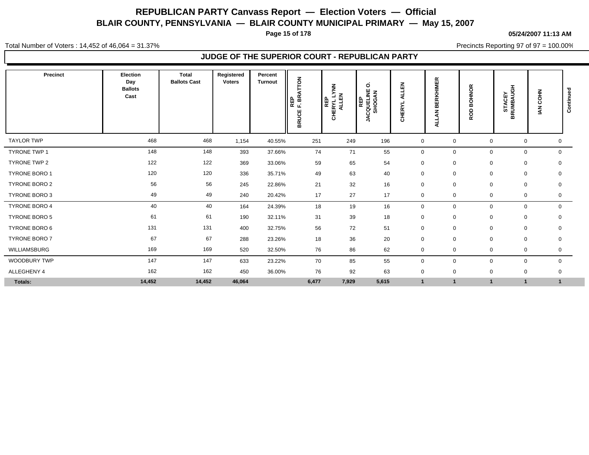**Page 15 of 178**

#### **05/24/2007 11:13 AM**

Total Number of Voters : 14,452 of 46,064 = 31.37%

Precincts Reporting 97 of 97 = 100.00%

| Precinct             | Election<br>Day<br><b>Ballots</b><br>Cast | <b>Total</b><br><b>Ballots Cast</b> | Registered<br><b>Voters</b> | Percent<br><b>Turnout</b> | REP<br>F. BRATTON<br><b>BRUCE</b> | <b>LYNN</b><br><b>ALLEN</b><br>REP<br>CHERYL | $\circ$<br><b>REP<br/>CQUELINE</b><br><b>SHOGAN</b><br>₹ | 몺<br>⋖<br><b>HERYL</b><br>$\circ$ | 띥<br><b>RKHIMI</b><br>面<br>m<br>z<br>⋖ | <b>BOHNOR</b><br><b>ROD</b> | <b>STACEY<br/>BRUMBAUGH</b> | <b>COHN</b><br>$\tilde{\mathbb{E}}$ | Continued    |
|----------------------|-------------------------------------------|-------------------------------------|-----------------------------|---------------------------|-----------------------------------|----------------------------------------------|----------------------------------------------------------|-----------------------------------|----------------------------------------|-----------------------------|-----------------------------|-------------------------------------|--------------|
| <b>TAYLOR TWP</b>    | 468                                       | 468                                 | 1,154                       | 40.55%                    | 251                               | 249                                          | 196                                                      | $\mathbf 0$                       | $\mathbf 0$                            | $\Omega$                    | $\mathbf 0$                 |                                     | 0            |
| <b>TYRONE TWP 1</b>  | 148                                       | 148                                 | 393                         | 37.66%                    | 74                                | 71                                           | 55                                                       | $\mathbf 0$                       | 0                                      | $\Omega$                    | $\mathbf 0$                 |                                     | $\mathbf 0$  |
| TYRONE TWP 2         | 122                                       | 122                                 | 369                         | 33.06%                    | 59                                | 65                                           | 54                                                       | $\mathbf 0$                       | $\mathbf 0$                            | 0                           | 0                           |                                     | $\mathbf 0$  |
| <b>TYRONE BORO 1</b> | 120                                       | 120                                 | 336                         | 35.71%                    | 49                                | 63                                           | 40                                                       | $\mathbf 0$                       | $\mathbf 0$                            | $\mathbf 0$                 | 0                           |                                     | 0            |
| <b>TYRONE BORO 2</b> | 56                                        | 56                                  | 245                         | 22.86%                    | 21                                | 32                                           | 16                                                       | $\mathbf 0$                       | $\mathbf 0$                            | $\mathbf 0$                 | $\mathbf 0$                 |                                     | $\mathbf 0$  |
| <b>TYRONE BORO 3</b> | 49                                        | 49                                  | 240                         | 20.42%                    | 17                                | 27                                           | 17                                                       | $\mathbf 0$                       | $\mathbf 0$                            | $\mathbf 0$                 | 0                           |                                     | 0            |
| <b>TYRONE BORO 4</b> | 40                                        | 40                                  | 164                         | 24.39%                    | 18                                | 19                                           | 16                                                       | $\mathbf 0$                       | 0                                      | $\Omega$                    | $\mathbf 0$                 |                                     | $\mathbf 0$  |
| <b>TYRONE BORO 5</b> | 61                                        | 61                                  | 190                         | 32.11%                    | 31                                | 39                                           | 18                                                       | $\mathbf 0$                       | $\mathbf 0$                            | $\mathbf 0$                 | 0                           |                                     | 0            |
| TYRONE BORO 6        | 131                                       | 131                                 | 400                         | 32.75%                    | 56                                | 72                                           | 51                                                       | $\mathbf 0$                       | $\mathbf 0$                            | $\mathbf 0$                 | $\mathbf 0$                 |                                     | $\mathbf 0$  |
| <b>TYRONE BORO 7</b> | 67                                        | 67                                  | 288                         | 23.26%                    | 18                                | 36                                           | 20                                                       | $\mathbf 0$                       | $\mathbf 0$                            | $\mathbf 0$                 | 0                           |                                     | $\mathbf 0$  |
| WILLIAMSBURG         | 169                                       | 169                                 | 520                         | 32.50%                    | 76                                | 86                                           | 62                                                       | $\mathbf 0$                       | $\mathbf 0$                            | $\mathbf 0$                 |                             | 0                                   | 0            |
| <b>WOODBURY TWP</b>  | 147                                       | 147                                 | 633                         | 23.22%                    | 70                                | 85                                           | 55                                                       | $\mathbf 0$                       | $\mathbf 0$                            | $\mathbf 0$                 | $\mathbf 0$                 |                                     | $\mathbf 0$  |
| ALLEGHENY 4          | 162                                       | 162                                 | 450                         | 36.00%                    | 76                                | 92                                           | 63                                                       | $\mathbf 0$                       | $\mathbf 0$                            | $\mathbf 0$                 | $\mathbf 0$                 |                                     | 0            |
| Totals:              | 14,452                                    | 14,452                              | 46,064                      |                           | 6,477                             | 7,929                                        | 5,615                                                    | $\overline{\mathbf{1}}$           | $\mathbf{1}$                           | -1                          |                             |                                     | $\mathbf{1}$ |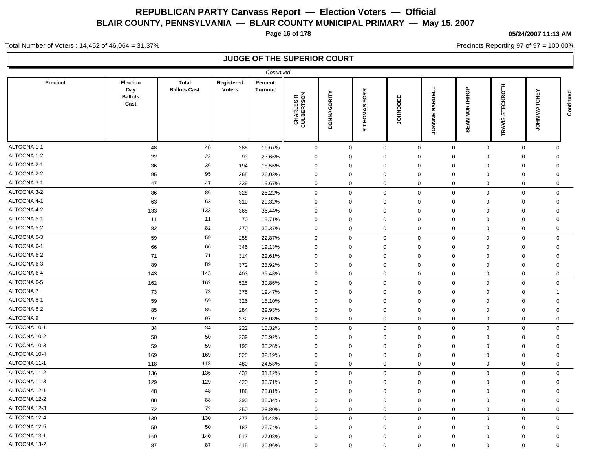**Page 16 of 178**

#### **05/24/2007 11:13 AM**

Precincts Reporting 97 of 97 = 100.00%

Total Number of Voters : 14,452 of 46,064 = 31.37%

|                 |                                                  |                                     |                             | Continued                 |                                                  |                    |                                    |              |                                                |                      |                            |                                                       |  |
|-----------------|--------------------------------------------------|-------------------------------------|-----------------------------|---------------------------|--------------------------------------------------|--------------------|------------------------------------|--------------|------------------------------------------------|----------------------|----------------------------|-------------------------------------------------------|--|
| <b>Precinct</b> | <b>Election</b><br>Day<br><b>Ballots</b><br>Cast | <b>Total</b><br><b>Ballots Cast</b> | Registered<br><b>Voters</b> | Percent<br><b>Turnout</b> | $\approx$ $\overline{6}$<br>CHARLES<br>CULBERTSC | <b>DONNAGORITY</b> | FORR<br><b>THOMAS</b><br>$\propto$ | 出<br>OCINHOL | $\overline{d}$<br>ē<br>℥<br>ш<br><b>JOANNE</b> | <b>SEAN NORTHROP</b> | <b>STECKROTH</b><br>TRAVIS | <b>CHEY</b><br>Continued<br><b>TAW</b><br><b>MHOL</b> |  |
| ALTOONA 1-1     | 48                                               | 48                                  | 288                         | 16.67%                    | $\mathbf 0$                                      | $\mathbf 0$        | $\mathbf 0$                        | $\mathbf 0$  | $\mathbf 0$                                    | $\mathbf 0$          | $\mathbf 0$                | $\Omega$                                              |  |
| ALTOONA 1-2     | 22                                               | 22                                  | 93                          | 23.66%                    | $\mathbf 0$                                      | $\mathbf 0$        | $\Omega$                           | $\mathbf 0$  | $\mathbf 0$                                    | 0                    | $\mathbf 0$                | 0                                                     |  |
| ALTOONA 2-1     | 36                                               | 36                                  | 194                         | 18.56%                    | $\Omega$                                         | $\Omega$           | $\Omega$                           | $\mathbf 0$  | $\Omega$                                       | $\Omega$             | $\mathbf 0$                | $\mathbf 0$                                           |  |
| ALTOONA 2-2     | 95                                               | 95                                  | 365                         | 26.03%                    | 0                                                | 0                  | $\Omega$                           | $\mathbf 0$  | $\Omega$                                       | $\Omega$             | $\mathbf 0$                | $\Omega$                                              |  |
| ALTOONA 3-1     | 47                                               | 47                                  | 239                         | 19.67%                    | $\mathbf 0$                                      | $\mathbf 0$        | $\mathbf 0$                        | $\mathbf 0$  | $\mathbf 0$                                    | $\mathbf 0$          | $\mathbf 0$                | 0                                                     |  |
| ALTOONA 3-2     | 86                                               | 86                                  | 328                         | 26.22%                    | $\pmb{0}$                                        | $\mathbf 0$        | $\mathbf 0$                        | $\mathbf 0$  | $\mathbf 0$                                    | $\mathbf 0$          | $\mathbf 0$                | $\mathbf 0$                                           |  |
| ALTOONA 4-1     | 63                                               | 63                                  | 310                         | 20.32%                    | $\mathbf 0$                                      | $\mathbf 0$        | $\mathbf 0$                        | $\mathbf 0$  | $\mathbf 0$                                    | $\mathbf 0$          | $\mathbf 0$                | $\mathbf 0$                                           |  |
| ALTOONA 4-2     | 133                                              | 133                                 | 365                         | 36.44%                    | $\mathbf 0$                                      | $\mathbf 0$        | $\mathbf 0$                        | $\mathbf 0$  | $\Omega$                                       | $\mathbf 0$          | $\mathbf 0$                | $\mathbf 0$                                           |  |
| ALTOONA 5-1     | 11                                               | 11                                  | 70                          | 15.71%                    | $\mathbf 0$                                      | $\mathbf 0$        | $\mathbf 0$                        | $\Omega$     | $\mathbf 0$                                    | $\mathbf 0$          | $\mathbf 0$                | $\mathbf 0$                                           |  |
| ALTOONA 5-2     | 82                                               | 82                                  | 270                         | 30.37%                    | $\mathbf 0$                                      | $\mathbf 0$        | $\mathbf 0$                        | $\mathbf 0$  | $\mathbf 0$                                    | $\mathbf 0$          | $\mathbf 0$                | 0                                                     |  |
| ALTOONA 5-3     | 59                                               | 59                                  | 258                         | 22.87%                    | $\mathbf 0$                                      | $\mathbf 0$        | $\mathbf 0$                        | $\mathbf 0$  | $\mathbf 0$                                    | $\mathbf 0$          | $\mathbf 0$                | $\mathbf 0$                                           |  |
| ALTOONA 6-1     | 66                                               | 66                                  | 345                         | 19.13%                    | $\mathbf 0$                                      | $\mathbf 0$        | $\Omega$                           | $\mathbf 0$  | $\mathbf 0$                                    | $\mathbf 0$          | $\mathbf 0$                | $\mathbf 0$                                           |  |
| ALTOONA 6-2     | 71                                               | 71                                  | 314                         | 22.61%                    | $\mathbf 0$                                      | $\mathbf 0$        | $\mathbf 0$                        | $\mathbf 0$  | $\mathbf 0$                                    | $\mathbf 0$          | $\mathbf 0$                | $\mathbf 0$                                           |  |
| ALTOONA 6-3     | 89                                               | 89                                  | 372                         | 23.92%                    | $\mathbf 0$                                      | $\mathbf 0$        | $\Omega$                           | $\mathbf 0$  | $\mathbf 0$                                    | $\mathbf 0$          | $\mathbf 0$                | $\mathbf 0$                                           |  |
| ALTOONA 6-4     | 143                                              | 143                                 | 403                         | 35.48%                    | $\mathbf 0$                                      | $\mathbf 0$        | $\mathbf 0$                        | $\mathbf 0$  | $\mathbf 0$                                    | $\mathbf 0$          | $\mathbf 0$                | $\Omega$                                              |  |
| ALTOONA 6-5     | 162                                              | 162                                 | 525                         | 30.86%                    | $\mathsf 0$                                      | $\mathbf 0$        | $\mathbf 0$                        | $\mathbf 0$  | $\mathbf 0$                                    | $\mathbf 0$          | $\mathsf 0$                | $\mathbf 0$                                           |  |
| ALTOONA 7       | 73                                               | 73                                  | 375                         | 19.47%                    | $\mathbf 0$                                      | $\mathbf 0$        | $\mathbf 0$                        | $\mathbf 0$  | $\Omega$                                       | 0                    | $\mathbf 0$                | -1                                                    |  |
| ALTOONA 8-1     | 59                                               | 59                                  | 326                         | 18.10%                    | $\mathbf 0$                                      | $\mathbf 0$        | $\Omega$                           | $\mathbf 0$  | $\Omega$                                       | 0                    | $\mathbf 0$                | 0                                                     |  |
| ALTOONA 8-2     | 85                                               | 85                                  | 284                         | 29.93%                    | $\mathbf 0$                                      | $\mathbf 0$        | $\mathbf 0$                        | $\mathbf 0$  | $\mathbf 0$                                    | 0                    | $\mathbf 0$                | 0                                                     |  |
| ALTOONA 9       | 97                                               | 97                                  | 372                         | 26.08%                    | $\mathbf 0$                                      | $\Omega$           | $\mathbf 0$                        | $\mathbf 0$  | $\mathbf 0$                                    | $\mathbf 0$          | $\mathbf 0$                | $\mathbf 0$                                           |  |
| ALTOONA 10-1    | 34                                               | 34                                  | 222                         | 15.32%                    | $\mathsf 0$                                      | $\mathbf 0$        | $\mathbf 0$                        | $\mathbf 0$  | $\mathbf 0$                                    | $\mathbf 0$          | $\mathbf 0$                | $\mathbf 0$                                           |  |
| ALTOONA 10-2    | 50                                               | 50                                  | 239                         | 20.92%                    | $\mathbf 0$                                      | $\mathbf 0$        | $\Omega$                           | $\Omega$     | 0                                              | $\mathbf 0$          | $\mathbf 0$                | 0                                                     |  |
| ALTOONA 10-3    | 59                                               | 59                                  | 195                         | 30.26%                    | $\mathbf 0$                                      | 0                  | $\mathbf 0$                        | $\mathbf 0$  | 0                                              | $\mathbf 0$          | $\mathbf 0$                | 0                                                     |  |
| ALTOONA 10-4    | 169                                              | 169                                 | 525                         | 32.19%                    | $\mathbf 0$                                      | $\mathbf 0$        | $\Omega$                           | $\mathbf 0$  | $\mathbf 0$                                    | $\mathbf 0$          | $\mathbf 0$                | 0                                                     |  |
| ALTOONA 11-1    | 118                                              | 118                                 | 480                         | 24.58%                    | $\mathbf 0$                                      | $\mathbf 0$        | $\mathbf 0$                        | $\mathbf 0$  | $\mathbf 0$                                    | $\mathbf 0$          | $\mathbf 0$                | $\mathbf 0$                                           |  |
| ALTOONA 11-2    | 136                                              | 136                                 | 437                         | 31.12%                    | $\mathsf 0$                                      | $\mathbf 0$        | $\mathbf 0$                        | $\mathbf 0$  | $\mathbf 0$                                    | $\mathbf 0$          | $\mathsf 0$                | $\mathbf 0$                                           |  |
| ALTOONA 11-3    | 129                                              | 129                                 | 420                         | 30.71%                    | $\mathbf 0$                                      | $\mathbf 0$        | $\mathbf 0$                        | $\mathbf 0$  | $\mathbf 0$                                    | $\mathbf 0$          | $\mathbf 0$                | $\mathbf 0$                                           |  |
| ALTOONA 12-1    | 48                                               | 48                                  | 186                         | 25.81%                    | $\Omega$                                         | $\Omega$           | $\Omega$                           | $\Omega$     | $\Omega$                                       | $\Omega$             | $\mathbf 0$                | $\Omega$                                              |  |
| ALTOONA 12-2    | 88                                               | 88                                  | 290                         | 30.34%                    | $\mathbf 0$                                      | $\mathbf 0$        | $\mathbf 0$                        | $\mathbf 0$  | $\mathbf 0$                                    | $\Omega$             | $\mathsf 0$                | $\Omega$                                              |  |
| ALTOONA 12-3    | 72                                               | 72                                  | 250                         | 28.80%                    | $\mathbf 0$                                      | $\mathbf 0$        | $\mathbf 0$                        | $\mathbf 0$  | $\mathbf 0$                                    | $\mathbf 0$          | $\mathbf 0$                | 0                                                     |  |
| ALTOONA 12-4    | 130                                              | 130                                 | 377                         | 34.48%                    | $\mathbf 0$                                      | $\mathbf 0$        | $\mathbf 0$                        | $\mathbf 0$  | $\mathbf 0$                                    | $\mathbf 0$          | $\mathbf 0$                | $\Omega$                                              |  |
| ALTOONA 12-5    | 50                                               | 50                                  | 187                         | 26.74%                    | $\Omega$                                         | $\Omega$           | $\Omega$                           | $\mathbf 0$  | $\Omega$                                       | $\mathbf 0$          | $\mathbf 0$                | $\mathbf 0$                                           |  |
| ALTOONA 13-1    | 140                                              | 140                                 | 517                         | 27.08%                    | $\Omega$                                         | $\Omega$           | $\Omega$                           | $\Omega$     | $\Omega$                                       | $\Omega$             | $\mathbf 0$                | $\Omega$                                              |  |
| ALTOONA 13-2    | 87                                               | 87                                  | 415                         | 20.96%                    | $\Omega$                                         | $\mathbf 0$        | $\mathbf 0$                        | $\Omega$     | $\mathbf 0$                                    | $\mathbf 0$          | $\mathbf 0$                | $\Omega$                                              |  |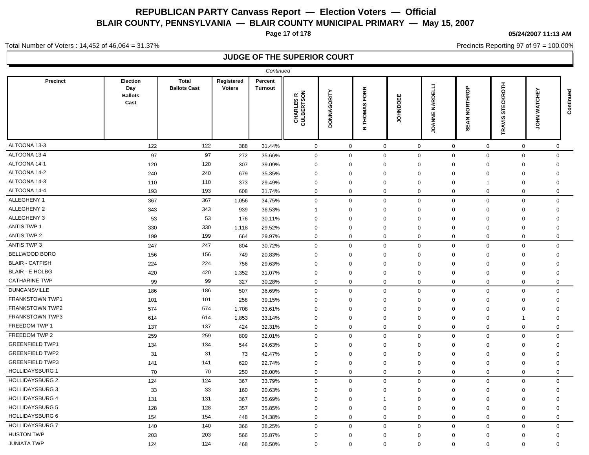**Page 17 of 178**

#### **05/24/2007 11:13 AM**

Precincts Reporting 97 of 97 = 100.00%

Total Number of Voters : 14,452 of 46,064 = 31.37%

|                        |                                           |                                     |                             | Continued                 |                                                    |                    |                                           |                 |                                      |                  |                            |                         |             |
|------------------------|-------------------------------------------|-------------------------------------|-----------------------------|---------------------------|----------------------------------------------------|--------------------|-------------------------------------------|-----------------|--------------------------------------|------------------|----------------------------|-------------------------|-------------|
| <b>Precinct</b>        | Election<br>Day<br><b>Ballots</b><br>Cast | <b>Total</b><br><b>Ballots Cast</b> | Registered<br><b>Voters</b> | Percent<br><b>Turnout</b> | $\approx$ $\overline{6}$<br>CHARLES I<br>CULBERTSC | <b>DONNAGORITY</b> | <b>FORR</b><br><b>THOMAS</b><br>$\propto$ | <b>JOHNDOEE</b> | ET I<br><b>NARD</b><br><b>JOANNE</b> | NORTHROP<br>SEAN | <b>STECKROTH</b><br>TRAVIS | 모<br>풍<br>TAW<br>줖<br>ğ | Continued   |
| ALTOONA 13-3           | 122                                       | 122                                 | 388                         | 31.44%                    | $\mathsf 0$                                        | $\mathbf 0$        | $\mathbf 0$                               |                 | $\mathsf 0$                          | $\mathbf 0$      | $\mathbf 0$                | $\mathbf 0$             | $\mathbf 0$ |
| ALTOONA 13-4           | 97                                        | 97                                  | 272                         | 35.66%                    | $\mathsf 0$                                        | $\mathbf 0$        | $\mathbf 0$                               | $\mathbf 0$     |                                      | $\mathbf 0$      | $\mathsf 0$                | $\mathbf 0$             | $\Omega$    |
| ALTOONA 14-1           | 120                                       | 120                                 | 307                         | 39.09%                    | $\mathbf 0$                                        | $\mathbf 0$        | $\mathbf 0$                               | $\mathbf 0$     |                                      | 0                | $\mathbf 0$                | $\mathbf 0$             | $\mathbf 0$ |
| ALTOONA 14-2           | 240                                       | 240                                 | 679                         | 35.35%                    | $\mathbf 0$                                        | $\mathbf 0$        | $\mathbf 0$                               | $\mathbf 0$     |                                      | $\mathbf 0$      | $\mathbf 0$                | $\mathbf 0$             | $\mathbf 0$ |
| ALTOONA 14-3           | 110                                       | 110                                 | 373                         | 29.49%                    | $\mathbf 0$                                        | $\mathbf 0$        | $\mathbf 0$                               | $\mathbf 0$     |                                      | 0<br>$\mathbf 1$ |                            | $\mathbf 0$             | 0           |
| ALTOONA 14-4           | 193                                       | 193                                 | 608                         | 31.74%                    | $\mathbf 0$                                        | $\mathbf 0$        | $\mathbf 0$                               | $\mathbf 0$     |                                      | 0                | $\mathbf 0$                | $\mathbf 0$             | $\mathbf 0$ |
| ALLEGHENY 1            | 367                                       | 367                                 | 1,056                       | 34.75%                    | $\mathbf 0$                                        | $\mathbf 0$        | $\mathbf 0$                               | $\mathbf 0$     |                                      | $\mathbf 0$      | $\mathbf 0$                | $\mathbf 0$             | $\mathbf 0$ |
| ALLEGHENY 2            | 343                                       | 343                                 | 939                         | 36.53%                    | $\overline{1}$                                     | 0                  | $\Omega$                                  | $\mathbf 0$     |                                      | $\mathbf 0$      | $\mathbf 0$                | $\mathbf 0$             | 0           |
| ALLEGHENY 3            | 53                                        | 53                                  | 176                         | 30.11%                    | $\mathbf 0$                                        | $\mathbf 0$        | $\Omega$                                  | $\mathbf 0$     |                                      | $\mathbf 0$      | $\mathbf 0$                | $\mathbf 0$             | 0           |
| ANTIS TWP 1            | 330                                       | 330                                 | 1,118                       | 29.52%                    | 0                                                  | 0                  | $\mathbf 0$                               | $\mathbf 0$     |                                      | 0                | 0                          | $\mathbf 0$             | 0           |
| <b>ANTIS TWP 2</b>     | 199                                       | 199                                 | 664                         | 29.97%                    | $\mathbf 0$                                        | $\mathbf 0$        | $\mathbf 0$                               | $\mathbf 0$     |                                      | $\mathbf 0$      | $\mathbf 0$                | $\mathbf 0$             | 0           |
| ANTIS TWP 3            | 247                                       | 247                                 | 804                         | 30.72%                    | $\mathbf 0$                                        | $\mathbf 0$        | $\mathbf 0$                               | $\mathbf 0$     |                                      | $\mathbf 0$      | $\mathbf 0$                | $\mathbf 0$             | $\mathbf 0$ |
| <b>BELLWOOD BORO</b>   | 156                                       | 156                                 | 749                         | 20.83%                    | $\mathbf 0$                                        | $\mathbf 0$        | $\Omega$                                  | $\mathbf 0$     |                                      | $\mathbf 0$      | $\mathbf 0$                | $\mathbf 0$             | $\mathbf 0$ |
| <b>BLAIR - CATFISH</b> | 224                                       | 224                                 | 756                         | 29.63%                    | $\mathbf 0$                                        | $\mathbf 0$        | $\Omega$                                  | $\mathbf 0$     |                                      | $\mathbf 0$      | $\mathbf 0$                | $\mathbf 0$             | $\mathbf 0$ |
| <b>BLAIR - E HOLBG</b> | 420                                       | 420                                 | 1,352                       | 31.07%                    | $\mathbf 0$                                        | $\mathbf 0$        | $\Omega$                                  | $\mathbf 0$     |                                      | $\mathbf 0$      | $\mathbf 0$                | $\mathbf 0$             | $\Omega$    |
| <b>CATHARINE TWP</b>   | 99                                        | 99                                  | 327                         | 30.28%                    | $\mathbf 0$                                        | $\mathbf 0$        | $\mathbf 0$                               | $\mathbf 0$     |                                      | $\mathbf 0$      | $\mathbf 0$                | $\mathbf 0$             | $\mathbf 0$ |
| <b>DUNCANSVILLE</b>    | 186                                       | 186                                 | 507                         | 36.69%                    | $\mathbf 0$                                        | $\mathbf 0$        | $\mathbf 0$                               | $\mathbf 0$     |                                      | $\mathbf 0$      | $\mathbf 0$                | $\mathbf 0$             | $\Omega$    |
| FRANKSTOWN TWP1        | 101                                       | 101                                 | 258                         | 39.15%                    | $\mathbf 0$                                        | $\Omega$           | $\Omega$                                  | $\mathbf 0$     |                                      | $\mathbf 0$      | $\mathbf 0$                | $\mathbf 0$             | $\mathbf 0$ |
| <b>FRANKSTOWN TWP2</b> | 574                                       | 574                                 | 1,708                       | 33.61%                    | $\mathbf 0$                                        | $\mathbf 0$        | $\Omega$                                  | $\mathbf 0$     |                                      | $\Omega$         | $\mathbf 0$                | $\mathbf 0$             | $\Omega$    |
| <b>FRANKSTOWN TWP3</b> | 614                                       | 614                                 | 1,853                       | 33.14%                    | $\mathbf 0$                                        | $\Omega$           | $\Omega$                                  | $\mathbf 0$     |                                      | $\mathbf 0$      | $\mathbf 0$                | -1                      | $\Omega$    |
| FREEDOM TWP 1          | 137                                       | 137                                 | 424                         | 32.31%                    | $\mathbf 0$                                        | $\mathbf 0$        | $\mathbf 0$                               | $\mathbf 0$     |                                      | $\mathbf 0$      | $\mathbf 0$                | $\mathbf 0$             | $\mathbf 0$ |
| FREEDOM TWP 2          | 259                                       | 259                                 | 809                         | 32.01%                    | $\mathbf 0$                                        | $\mathbf 0$        | $\mathbf 0$                               | $\mathbf 0$     |                                      | $\mathbf 0$      | $\mathbf 0$                | $\mathsf 0$             | $\Omega$    |
| <b>GREENFIELD TWP1</b> | 134                                       | 134                                 | 544                         | 24.63%                    | $\mathbf 0$                                        | 0                  | $\mathbf 0$                               | $\mathbf 0$     |                                      | $\mathbf 0$      | $\mathbf 0$                | $\mathbf 0$             | 0           |
| <b>GREENFIELD TWP2</b> | 31                                        | 31                                  | 73                          | 42.47%                    | $\Omega$                                           | $\mathbf 0$        | $\Omega$                                  | $\mathbf 0$     |                                      | $\mathbf 0$      | $\mathbf 0$                | $\mathbf 0$             | $\Omega$    |
| <b>GREENFIELD TWP3</b> | 141                                       | 141                                 | 620                         | 22.74%                    | $\mathbf 0$                                        | $\mathbf 0$        | $\mathbf 0$                               | $\mathbf 0$     |                                      | $\mathbf 0$      | $\mathbf 0$                | $\mathbf 0$             | $\Omega$    |
| <b>HOLLIDAYSBURG 1</b> | 70                                        | 70                                  | 250                         | 28.00%                    | $\mathbf 0$                                        | $\mathbf 0$        | $\mathbf 0$                               | $\mathbf 0$     |                                      | $\mathbf 0$      | $\mathbf 0$                | $\mathbf 0$             | 0           |
| <b>HOLLIDAYSBURG 2</b> | 124                                       | 124                                 | 367                         | 33.79%                    | $\mathsf 0$                                        | $\mathbf 0$        | $\mathbf 0$                               | $\mathbf 0$     |                                      | $\mathbf 0$      | $\mathsf 0$                | $\mathsf 0$             | $\Omega$    |
| <b>HOLLIDAYSBURG 3</b> | 33                                        | 33                                  | 160                         | 20.63%                    | $\mathbf 0$                                        | $\mathbf 0$        | $\mathbf 0$                               | $\mathbf 0$     |                                      | 0                | 0                          | 0                       | 0           |
| <b>HOLLIDAYSBURG 4</b> | 131                                       | 131                                 | 367                         | 35.69%                    | $\mathbf 0$                                        | $\mathbf 0$        | -1                                        | $\mathbf 0$     |                                      | $\Omega$         | $\Omega$                   | $\mathbf 0$             | 0           |
| <b>HOLLIDAYSBURG 5</b> | 128                                       | 128                                 | 357                         | 35.85%                    | 0                                                  | $\mathbf 0$        | $\mathbf 0$                               | $\mathbf 0$     |                                      | $\Omega$         | 0                          | $\mathbf 0$             | 0           |
| <b>HOLLIDAYSBURG 6</b> | 154                                       | 154                                 | 448                         | 34.38%                    | $\mathbf 0$                                        | $\mathbf{0}$       | $\mathbf 0$                               |                 | $\mathbf 0$                          | $\mathbf 0$      | $\mathbf 0$                | $\mathbf 0$             | $\mathbf 0$ |
| <b>HOLLIDAYSBURG 7</b> | 140                                       | 140                                 | 366                         | 38.25%                    | $\mathbf 0$                                        | $\mathbf 0$        | $\mathbf 0$                               | $\mathbf 0$     |                                      | $\mathbf 0$      | $\mathbf 0$                | $\mathbf 0$             | $\mathbf 0$ |
| <b>HUSTON TWP</b>      | 203                                       | 203                                 | 566                         | 35.87%                    | $\mathbf 0$                                        | $\mathbf 0$        | $\mathbf 0$                               | $\mathbf 0$     |                                      | $\mathbf 0$      | $\mathbf 0$                | $\mathbf 0$             | $\mathbf 0$ |
| <b>JUNIATA TWP</b>     | 124                                       | 124                                 | 468                         | 26.50%                    | $\mathbf 0$                                        | $\mathbf 0$        | $\mathbf 0$                               | $\mathbf 0$     |                                      | $\mathbf 0$      | $\mathbf 0$                | $\mathbf 0$             | $\mathbf 0$ |
|                        |                                           |                                     |                             |                           |                                                    |                    |                                           |                 |                                      |                  |                            |                         |             |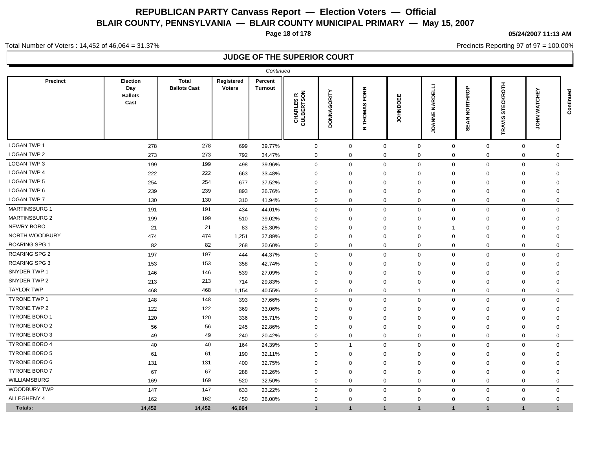**Page 18 of 178**

#### **05/24/2007 11:13 AM**

Precincts Reporting 97 of 97 = 100.00%

Total Number of Voters : 14,452 of 46,064 = 31.37%

|                      |                                           |                                     |                             | Continued                 |                                                       |                    |                                    |                               |                                                |                                    |                                   |                      |           |
|----------------------|-------------------------------------------|-------------------------------------|-----------------------------|---------------------------|-------------------------------------------------------|--------------------|------------------------------------|-------------------------------|------------------------------------------------|------------------------------------|-----------------------------------|----------------------|-----------|
| <b>Precinct</b>      | Election<br>Day<br><b>Ballots</b><br>Cast | <b>Total</b><br><b>Ballots Cast</b> | Registered<br><b>Voters</b> | Percent<br><b>Turnout</b> | $\approx \frac{2}{5}$<br>ဖ ဖွဲ<br>CHARLES<br>CULBERTS | <b>DONNAGORITY</b> | FORR<br><b>THOMAS</b><br>$\propto$ | <b>JOHNDOEE</b>               | $\overline{d}$<br>R<br>≨<br>ш<br><b>JOANNE</b> | <b>NORTHROP</b><br><b>SEAN</b>     | <b>CKROTH</b><br>ш<br>5<br>TRAVIS | 모<br>공<br>TAW<br>HOL | Continued |
| <b>LOGAN TWP 1</b>   | 278                                       | 278                                 | 699                         | 39.77%                    | $\mathbf 0$                                           | $\mathbf 0$        |                                    | $\mathbf 0$<br>$\mathbf 0$    |                                                | $\mathsf{O}\xspace$<br>$\mathbf 0$ | $\mathbf 0$                       | $\mathbf 0$          |           |
| <b>LOGAN TWP 2</b>   | 273                                       | 273                                 | 792                         | 34.47%                    | $\mathbf 0$                                           | $\mathbf 0$        |                                    | $\mathbf 0$<br>$\mathbf 0$    |                                                | $\mathbf 0$<br>$\mathbf 0$         | $\mathbf 0$                       | $\mathbf 0$          |           |
| LOGAN TWP 3          | 199                                       | 199                                 | 498                         | 39.96%                    | $\mathbf 0$                                           | $\mathbf 0$        |                                    | $\mathbf 0$<br>$\mathbf 0$    |                                                | $\mathsf 0$<br>$\mathbf 0$         | $\mathbf 0$                       | $\mathbf 0$          |           |
| <b>LOGAN TWP 4</b>   | 222                                       | 222                                 | 663                         | 33.48%                    | $\mathbf 0$                                           | $\Omega$           |                                    | $\mathbf 0$<br>$\Omega$       | $\Omega$                                       | $\Omega$                           | $\Omega$                          | $\mathbf 0$          |           |
| LOGAN TWP 5          | 254                                       | 254                                 | 677                         | 37.52%                    | $\mathbf 0$                                           | $\Omega$           |                                    | $\mathbf 0$<br>$\Omega$       | $\Omega$                                       | $\Omega$                           | $\Omega$                          | $\mathbf 0$          |           |
| LOGAN TWP 6          | 239                                       | 239                                 | 893                         | 26.76%                    | $\mathbf 0$                                           | $\mathbf 0$        |                                    | $\mathbf 0$<br>$\mathbf 0$    | $\mathbf 0$                                    | $\Omega$                           | $\Omega$                          | $\mathbf 0$          |           |
| <b>LOGAN TWP 7</b>   | 130                                       | 130                                 | 310                         | 41.94%                    | $\mathbf 0$                                           | $\mathbf 0$        |                                    | $\mathbf 0$<br>$\mathbf 0$    |                                                | $\mathbf 0$<br>$\mathbf 0$         | $\mathbf 0$                       | 0                    |           |
| <b>MARTINSBURG 1</b> | 191                                       | 191                                 | 434                         | 44.01%                    | $\mathbf 0$                                           | $\Omega$           |                                    | $\mathbf 0$<br>$\mathbf 0$    |                                                | $\mathbf 0$<br>$\mathbf{0}$        | $\mathbf 0$                       | $\Omega$             |           |
| <b>MARTINSBURG 2</b> | 199                                       | 199                                 | 510                         | 39.02%                    | $\Omega$                                              | $\Omega$           |                                    | $\mathbf 0$<br>$\Omega$       | $\Omega$                                       | $\mathbf 0$                        | $\Omega$                          | $\mathbf 0$          |           |
| <b>NEWRY BORO</b>    | 21                                        | 21                                  | 83                          | 25.30%                    | $\Omega$                                              | $\Omega$           |                                    | 0<br>$\Omega$                 | -1                                             | $\mathbf 0$                        | $\mathbf 0$                       | $\mathbf 0$          |           |
| NORTH WOODBURY       | 474                                       | 474                                 | 1,251                       | 37.89%                    | 0                                                     | 0                  |                                    | 0<br>$\Omega$                 | 0                                              | $\mathbf 0$                        | $\Omega$                          | 0                    |           |
| <b>ROARING SPG 1</b> | 82                                        | 82                                  | 268                         | 30.60%                    | $\mathbf 0$                                           | 0                  |                                    | $\mathbf 0$<br>$\mathbf 0$    |                                                | $\mathbf 0$<br>$\mathbf 0$         | $\mathbf 0$                       | 0                    |           |
| <b>ROARING SPG 2</b> | 197                                       | 197                                 | 444                         | 44.37%                    | $\mathbf 0$                                           | 0                  |                                    | $\mathbf 0$<br>$\mathbf 0$    |                                                | $\mathbf 0$<br>$\mathbf 0$         | $\mathbf 0$                       | $\mathbf 0$          |           |
| <b>ROARING SPG 3</b> | 153                                       | 153                                 | 358                         | 42.74%                    | $\Omega$                                              | $\Omega$           |                                    | $\Omega$<br>$\mathbf 0$       | $\Omega$                                       | $\mathbf 0$                        | $\Omega$                          | $\mathbf 0$          |           |
| SNYDER TWP 1         | 146                                       | 146                                 | 539                         | 27.09%                    | $\Omega$                                              | $\Omega$           |                                    | $\mathbf 0$<br>$\mathbf 0$    | $\Omega$                                       | $\mathbf 0$                        | $\mathbf 0$                       | $\mathbf 0$          |           |
| SNYDER TWP 2         | 213                                       | 213                                 | 714                         | 29.83%                    | 0                                                     | $\Omega$           |                                    | $\mathbf 0$<br>0              | $\mathbf 0$                                    | $\Omega$                           | $\Omega$                          | 0                    |           |
| <b>TAYLOR TWP</b>    | 468                                       | 468                                 | 1,154                       | 40.55%                    | $\mathbf 0$                                           | $\mathbf 0$        |                                    | $\mathbf 0$<br>$\overline{1}$ |                                                | $\mathbf 0$<br>$\mathbf 0$         | $\mathbf 0$                       | 0                    |           |
| <b>TYRONE TWP 1</b>  | 148                                       | 148                                 | 393                         | 37.66%                    | $\mathbf 0$                                           | 0                  |                                    | $\mathbf 0$<br>$\mathbf 0$    |                                                | $\mathbf 0$<br>$\mathbf 0$         | $\mathbf 0$                       | $\mathbf 0$          |           |
| TYRONE TWP 2         | 122                                       | 122                                 | 369                         | 33.06%                    | $\Omega$                                              | $\Omega$           |                                    | $\mathbf 0$<br>$\Omega$       | $\Omega$                                       | $\mathbf 0$                        | $\mathbf 0$                       | 0                    |           |
| <b>TYRONE BORO 1</b> | 120                                       | 120                                 | 336                         | 35.71%                    | $\Omega$                                              | $\Omega$           |                                    | $\mathbf 0$<br>$\Omega$       | $\Omega$                                       | $\mathbf 0$                        | $\mathbf 0$                       | 0                    |           |
| <b>TYRONE BORO 2</b> | 56                                        | 56                                  | 245                         | 22.86%                    | 0                                                     | $\Omega$           |                                    | 0<br>$\Omega$                 | $\Omega$                                       | $\Omega$                           | $\Omega$                          | 0                    |           |
| <b>TYRONE BORO 3</b> | 49                                        | 49                                  | 240                         | 20.42%                    | $\mathbf 0$                                           | $\Omega$           |                                    | $\mathbf 0$<br>$\mathbf 0$    |                                                | $\mathbf 0$<br>$\mathbf 0$         | $\mathbf 0$                       | $\mathbf 0$          |           |
| <b>TYRONE BORO 4</b> | 40                                        | 40                                  | 164                         | 24.39%                    | $\mathbf 0$                                           | 1                  |                                    | $\mathbf 0$<br>$\mathbf 0$    |                                                | $\mathbf 0$<br>$\mathbf 0$         | $\mathbf 0$                       | $\mathbf 0$          |           |
| <b>TYRONE BORO 5</b> | 61                                        | 61                                  | 190                         | 32.11%                    | $\Omega$                                              | $\Omega$           |                                    | $\mathbf 0$<br>$\Omega$       | $\Omega$                                       | 0                                  | $\Omega$                          | 0                    |           |
| <b>TYRONE BORO 6</b> | 131                                       | 131                                 | 400                         | 32.75%                    | $\mathbf 0$                                           | $\Omega$           |                                    | $\mathbf 0$<br>$\Omega$       | $\Omega$                                       | $\Omega$                           | $\Omega$                          | $\Omega$             |           |
| <b>TYRONE BORO 7</b> | 67                                        | 67                                  | 288                         | 23.26%                    | 0                                                     | $\Omega$           |                                    | $\mathbf 0$<br>$\mathbf 0$    | $\Omega$                                       | $\mathbf 0$                        | $\Omega$                          | 0                    |           |
| <b>WILLIAMSBURG</b>  | 169                                       | 169                                 | 520                         | 32.50%                    | 0                                                     | 0                  |                                    | 0<br>0                        |                                                | 0<br>0                             | $\mathbf 0$                       | $\mathbf 0$          |           |
| <b>WOODBURY TWP</b>  | 147                                       | 147                                 | 633                         | 23.22%                    | $\mathbf 0$                                           | $\mathbf 0$        |                                    | $\mathbf 0$<br>$\mathbf 0$    |                                                | $\mathbf 0$<br>$\mathbf 0$         | $\mathbf 0$                       | $\mathbf 0$          |           |
| ALLEGHENY 4          | 162                                       | 162                                 | 450                         | 36.00%                    | 0                                                     | $\mathbf 0$        |                                    | $\mathbf 0$<br>$\mathbf 0$    |                                                | 0<br>0                             | 0                                 | 0                    |           |
| <b>Totals:</b>       | 14,452                                    | 14,452                              | 46,064                      |                           | $\mathbf{1}$                                          | $\mathbf 1$        | $\mathbf{1}$                       | $\mathbf{1}$                  | $\mathbf{1}$                                   | $\overline{1}$                     | $\mathbf{1}$                      | 1                    |           |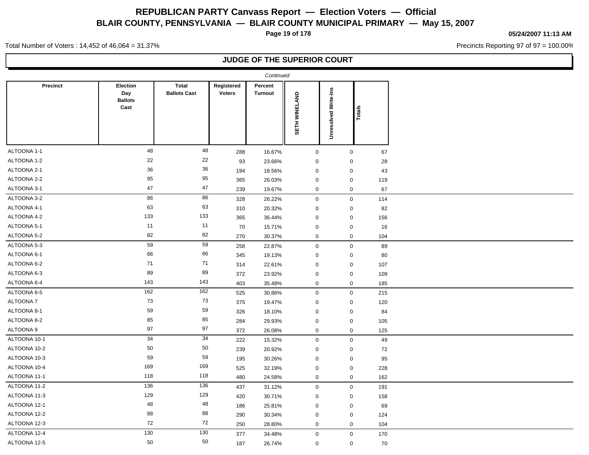**Page 19 of 178**

#### **05/24/2007 11:13 AM**

Precincts Reporting 97 of 97 = 100.00%

Total Number of Voters : 14,452 of 46,064 = 31.37%

|                 |                                           |                                     |                             | Continued                 |                      |                      |              |     |
|-----------------|-------------------------------------------|-------------------------------------|-----------------------------|---------------------------|----------------------|----------------------|--------------|-----|
| <b>Precinct</b> | Election<br>Day<br><b>Ballots</b><br>Cast | <b>Total</b><br><b>Ballots Cast</b> | Registered<br><b>Voters</b> | Percent<br><b>Turnout</b> | <b>SETH WINELAND</b> | Unresolved Write-Ins | Totals       |     |
| ALTOONA 1-1     | 48                                        | 48                                  | 288                         | 16.67%                    | $\mathbf 0$          |                      | $\mathbf 0$  | 67  |
| ALTOONA 1-2     | 22                                        | 22                                  | 93                          | 23.66%                    | $\mathbf 0$          |                      | $\mathbf 0$  | 28  |
| ALTOONA 2-1     | 36                                        | 36                                  | 194                         | 18.56%                    | $\mathbf 0$          |                      | $\mathbf 0$  | 43  |
| ALTOONA 2-2     | 95                                        | 95                                  | 365                         | 26.03%                    | $\mathbf 0$          |                      | $\mathbf 0$  | 119 |
| ALTOONA 3-1     | 47                                        | 47                                  | 239                         | 19.67%                    | $\mathbf 0$          |                      | $\mathbf 0$  | 67  |
| ALTOONA 3-2     | 86                                        | 86                                  | 328                         | 26.22%                    | $\mathsf 0$          |                      | $\mathbf 0$  | 114 |
| ALTOONA 4-1     | 63                                        | 63                                  | 310                         | 20.32%                    | $\mathbf 0$          |                      | $\mathbf 0$  | 82  |
| ALTOONA 4-2     | 133                                       | 133                                 | 365                         | 36.44%                    | $\mathbf 0$          |                      | $\mathbf 0$  | 156 |
| ALTOONA 5-1     | 11                                        | 11                                  | 70                          | 15.71%                    | $\mathbf 0$          |                      | $\mathbf 0$  | 16  |
| ALTOONA 5-2     | 82                                        | 82                                  | 270                         | 30.37%                    | $\mathbf 0$          |                      | $\mathbf 0$  | 104 |
| ALTOONA 5-3     | 59                                        | 59                                  | 258                         | 22.87%                    | $\mathsf 0$          |                      | $\mathbf 0$  | 89  |
| ALTOONA 6-1     | 66                                        | 66                                  | 345                         | 19.13%                    | $\mathbf 0$          |                      | $\mathbf 0$  | 80  |
| ALTOONA 6-2     | 71                                        | $71$                                | 314                         | 22.61%                    | $\mathbf 0$          |                      | $\mathbf 0$  | 107 |
| ALTOONA 6-3     | 89                                        | 89                                  | 372                         | 23.92%                    | $\mathbf 0$          |                      | $\mathbf 0$  | 109 |
| ALTOONA 6-4     | 143                                       | 143                                 | 403                         | 35.48%                    | $\mathbf 0$          |                      | $\mathbf{0}$ | 185 |
| ALTOONA 6-5     | 162                                       | 162                                 | 525                         | 30.86%                    | $\mathbf 0$          |                      | $\mathbf 0$  | 215 |
| ALTOONA 7       | 73                                        | 73                                  | 375                         | 19.47%                    | $\mathbf 0$          |                      | $\mathbf 0$  | 120 |
| ALTOONA 8-1     | 59                                        | 59                                  | 326                         | 18.10%                    | $\mathbf 0$          |                      | $\mathbf 0$  | 84  |
| ALTOONA 8-2     | 85                                        | 85                                  | 284                         | 29.93%                    | $\mathbf 0$          |                      | $\mathbf 0$  | 105 |
| ALTOONA 9       | 97                                        | 97                                  | 372                         | 26.08%                    | $\mathbf 0$          |                      | $\mathbf{0}$ | 125 |
| ALTOONA 10-1    | 34                                        | 34                                  | 222                         | 15.32%                    | $\mathbf 0$          |                      | $\mathbf 0$  | 49  |
| ALTOONA 10-2    | 50                                        | $50\,$                              | 239                         | 20.92%                    | $\mathbf 0$          |                      | $\mathbf 0$  | 72  |
| ALTOONA 10-3    | 59                                        | 59                                  | 195                         | 30.26%                    | $\mathbf 0$          |                      | $\mathbf 0$  | 95  |
| ALTOONA 10-4    | 169                                       | 169                                 | 525                         | 32.19%                    | $\mathbf 0$          |                      | $\mathbf 0$  | 228 |
| ALTOONA 11-1    | 118                                       | 118                                 | 480                         | 24.58%                    | $\pmb{0}$            |                      | $\mathbf 0$  | 162 |
| ALTOONA 11-2    | 136                                       | 136                                 | 437                         | 31.12%                    | $\mathbf 0$          |                      | $\mathbf 0$  | 191 |
| ALTOONA 11-3    | 129                                       | 129                                 | 420                         | 30.71%                    | $\mathbf 0$          |                      | $\mathbf 0$  | 158 |
| ALTOONA 12-1    | 48                                        | 48                                  | 186                         | 25.81%                    | $\mathbf 0$          |                      | $\mathbf 0$  | 69  |
| ALTOONA 12-2    | 88                                        | 88                                  | 290                         | 30.34%                    | $\mathbf 0$          |                      | $\mathbf 0$  | 124 |
| ALTOONA 12-3    | 72                                        | 72                                  | 250                         | 28.80%                    | $\mathbf 0$          |                      | $\mathbf 0$  | 104 |
| ALTOONA 12-4    | 130                                       | 130                                 | 377                         | 34.48%                    | $\mathbf 0$          |                      | $\mathbf 0$  | 170 |
| ALTOONA 12-5    | 50                                        | 50                                  | 187                         | 26.74%                    | $\mathbf 0$          |                      | $\mathbf 0$  | 70  |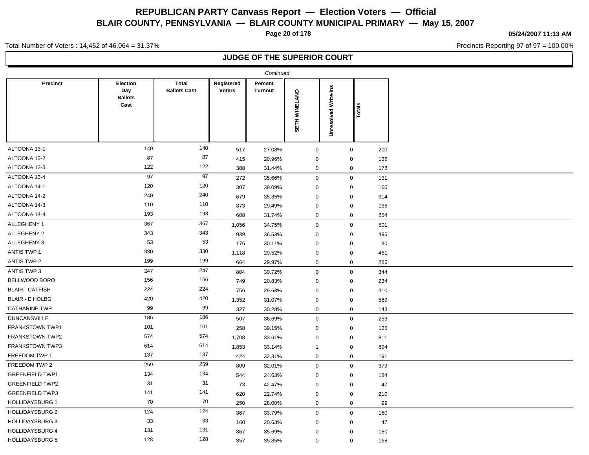**Page 20 of 178**

**05/24/2007 11:13 AM**

Precincts Reporting 97 of 97 = 100.00%

Total Number of Voters : 14,452 of 46,064 = 31.37%

|                        |                                                  |                                     |                             | Continued                 |               |                             |             |     |
|------------------------|--------------------------------------------------|-------------------------------------|-----------------------------|---------------------------|---------------|-----------------------------|-------------|-----|
| <b>Precinct</b>        | <b>Election</b><br>Day<br><b>Ballots</b><br>Cast | <b>Total</b><br><b>Ballots Cast</b> | Registered<br><b>Voters</b> | Percent<br><b>Turnout</b> | SETH WINELAND | <b>Unresolved Write-Ins</b> | Totals      |     |
| ALTOONA 13-1           | 140                                              | 140                                 | 517                         | 27.08%                    | $\mathbf 0$   |                             | $\mathbf 0$ | 200 |
| ALTOONA 13-2           | 87                                               | 87                                  | 415                         | 20.96%                    | $\mathbf 0$   |                             | $\mathbf 0$ | 136 |
| ALTOONA 13-3           | 122                                              | 122                                 | 388                         | 31.44%                    | $\mathbf 0$   |                             | $\mathbf 0$ | 178 |
| ALTOONA 13-4           | 97                                               | 97                                  | 272                         | 35.66%                    | $\mathbf 0$   |                             | $\mathbf 0$ | 131 |
| ALTOONA 14-1           | 120                                              | 120                                 | 307                         | 39.09%                    | $\mathbf 0$   |                             | $\mathbf 0$ | 160 |
| ALTOONA 14-2           | 240                                              | 240                                 | 679                         | 35.35%                    | $\mathbf 0$   |                             | $\mathbf 0$ | 314 |
| ALTOONA 14-3           | 110                                              | 110                                 | 373                         | 29.49%                    | $\mathbf 0$   |                             | $\mathbf 0$ | 136 |
| ALTOONA 14-4           | 193                                              | 193                                 | 608                         | 31.74%                    | $\mathbf 0$   |                             | $\mathbf 0$ | 254 |
| ALLEGHENY 1            | 367                                              | 367                                 | 1,056                       | 34.75%                    | $\mathbf 0$   |                             | $\mathsf 0$ | 501 |
| ALLEGHENY 2            | 343                                              | 343                                 | 939                         | 36.53%                    | $\mathbf 0$   |                             | $\mathbf 0$ | 495 |
| ALLEGHENY 3            | 53                                               | 53                                  | 176                         | 30.11%                    | $\mathbf 0$   |                             | $\mathbf 0$ | 80  |
| ANTIS TWP 1            | 330                                              | 330                                 | 1,118                       | 29.52%                    | $\mathbf 0$   |                             | $\mathbf 0$ | 461 |
| <b>ANTIS TWP 2</b>     | 199                                              | 199                                 | 664                         | 29.97%                    | $\mathbf 0$   |                             | $\mathbf 0$ | 286 |
| ANTIS TWP 3            | 247                                              | 247                                 | 804                         | 30.72%                    | $\mathbf 0$   |                             | $\mathbf 0$ | 344 |
| BELLWOOD BORO          | 156                                              | 156                                 | 749                         | 20.83%                    | $\mathbf 0$   |                             | $\mathbf 0$ | 234 |
| <b>BLAIR - CATFISH</b> | 224                                              | 224                                 | 756                         | 29.63%                    | $\mathbf 0$   |                             | 0           | 310 |
| <b>BLAIR - E HOLBG</b> | 420                                              | 420                                 | 1,352                       | 31.07%                    | $\mathbf 0$   |                             | $\mathbf 0$ | 589 |
| <b>CATHARINE TWP</b>   | 99                                               | 99                                  | 327                         | 30.28%                    | $\mathbf 0$   |                             | $\mathbf 0$ | 143 |
| <b>DUNCANSVILLE</b>    | 186                                              | 186                                 | 507                         | 36.69%                    | $\mathbf 0$   |                             | $\mathsf 0$ | 253 |
| FRANKSTOWN TWP1        | 101                                              | 101                                 | 258                         | 39.15%                    | $\mathbf 0$   |                             | $\mathbf 0$ | 135 |
| FRANKSTOWN TWP2        | 574                                              | 574                                 | 1,708                       | 33.61%                    | $\mathbf 0$   |                             | $\mathbf 0$ | 811 |
| <b>FRANKSTOWN TWP3</b> | 614                                              | 614                                 | 1,853                       | 33.14%                    | $\mathbf{1}$  |                             | $\mathbf 0$ | 894 |
| FREEDOM TWP 1          | 137                                              | 137                                 | 424                         | 32.31%                    | $\mathbf 0$   |                             | $\mathbf 0$ | 191 |
| FREEDOM TWP 2          | 259                                              | 259                                 | 809                         | 32.01%                    | $\mathbf 0$   |                             | $\mathbf 0$ | 379 |
| <b>GREENFIELD TWP1</b> | 134                                              | 134                                 | 544                         | 24.63%                    | $\mathbf 0$   |                             | $\mathbf 0$ | 184 |
| <b>GREENFIELD TWP2</b> | 31                                               | 31                                  | 73                          | 42.47%                    | $\mathbf 0$   |                             | $\mathbf 0$ | 47  |
| <b>GREENFIELD TWP3</b> | 141                                              | 141                                 | 620                         | 22.74%                    | $\mathbf 0$   |                             | $\mathbf 0$ | 210 |
| <b>HOLLIDAYSBURG 1</b> | 70                                               | 70                                  | 250                         | 28.00%                    | $\mathbf 0$   |                             | $\mathbf 0$ | 99  |
| <b>HOLLIDAYSBURG 2</b> | 124                                              | 124                                 | 367                         | 33.79%                    | $\mathbf 0$   |                             | $\mathbf 0$ | 160 |
| <b>HOLLIDAYSBURG 3</b> | 33                                               | 33                                  | 160                         | 20.63%                    | $\mathbf 0$   |                             | $\mathbf 0$ | 47  |
| <b>HOLLIDAYSBURG 4</b> | 131                                              | 131                                 | 367                         | 35.69%                    | $\mathbf 0$   |                             | $\Omega$    | 180 |
| <b>HOLLIDAYSBURG 5</b> | 128                                              | 128                                 | 357                         | 35.85%                    | $\mathbf 0$   |                             | $\mathbf 0$ | 168 |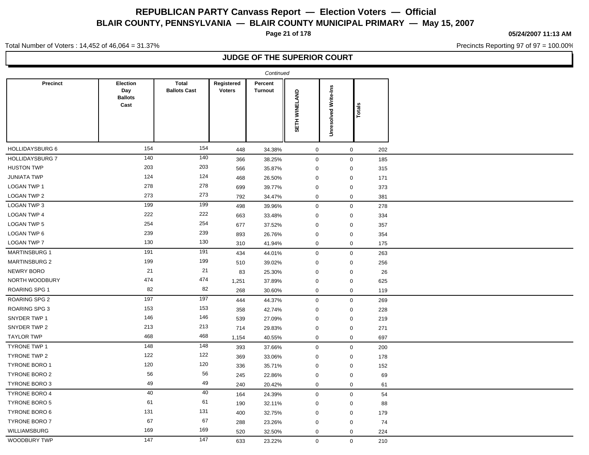**Page 21 of 178**

**05/24/2007 11:13 AM**

Precincts Reporting 97 of 97 = 100.00%

Total Number of Voters : 14,452 of 46,064 = 31.37%

|                        |                                           |                                     |                             | Continued                 |               |                      |                  |     |  |
|------------------------|-------------------------------------------|-------------------------------------|-----------------------------|---------------------------|---------------|----------------------|------------------|-----|--|
| <b>Precinct</b>        | Election<br>Day<br><b>Ballots</b><br>Cast | <b>Total</b><br><b>Ballots Cast</b> | Registered<br><b>Voters</b> | Percent<br><b>Turnout</b> | SETH WINELAND | Unresolved Write-Ins | Totals           |     |  |
| HOLLIDAYSBURG 6        | 154                                       | 154                                 | 448                         | 34.38%                    | $\mathbf 0$   |                      | $\mathbf 0$      | 202 |  |
| <b>HOLLIDAYSBURG 7</b> | 140                                       | 140                                 | 366                         | 38.25%                    | $\mathbf 0$   |                      | $\mathbf 0$      | 185 |  |
| <b>HUSTON TWP</b>      | 203                                       | 203                                 | 566                         | 35.87%                    | $\mathbf 0$   |                      | $\mathbf 0$      | 315 |  |
| <b>JUNIATA TWP</b>     | 124                                       | 124                                 | 468                         | 26.50%                    | $\mathbf 0$   |                      | $\mathbf 0$      | 171 |  |
| <b>LOGAN TWP 1</b>     | 278                                       | 278                                 | 699                         | 39.77%                    | $\mathbf 0$   |                      | $\mathbf 0$      | 373 |  |
| LOGAN TWP 2            | 273                                       | 273                                 | 792                         | 34.47%                    | $\mathbf 0$   |                      | $\mathbf 0$      | 381 |  |
| <b>LOGAN TWP 3</b>     | 199                                       | 199                                 | 498                         | 39.96%                    | $\mathbf 0$   |                      | $\boldsymbol{0}$ | 278 |  |
| <b>LOGAN TWP 4</b>     | 222                                       | 222                                 | 663                         | 33.48%                    | $\mathbf 0$   |                      | $\mathbf 0$      | 334 |  |
| <b>LOGAN TWP 5</b>     | 254                                       | 254                                 | 677                         | 37.52%                    | $\mathbf 0$   |                      | $\mathbf 0$      | 357 |  |
| LOGAN TWP 6            | 239                                       | 239                                 | 893                         | 26.76%                    | $\mathbf 0$   |                      | $\mathbf 0$      | 354 |  |
| <b>LOGAN TWP 7</b>     | 130                                       | 130                                 | 310                         | 41.94%                    | $\mathbf 0$   |                      | $\mathbf 0$      | 175 |  |
| <b>MARTINSBURG 1</b>   | 191                                       | 191                                 | 434                         | 44.01%                    | $\mathbf 0$   |                      | $\mathbf 0$      | 263 |  |
| <b>MARTINSBURG 2</b>   | 199                                       | 199                                 | 510                         | 39.02%                    | $\mathbf 0$   |                      | $\mathbf 0$      | 256 |  |
| NEWRY BORO             | 21                                        | 21                                  | 83                          | 25.30%                    | $\mathbf 0$   |                      | $\mathbf 0$      | 26  |  |
| NORTH WOODBURY         | 474                                       | 474                                 | 1,251                       | 37.89%                    | $\mathbf 0$   |                      | $\mathbf 0$      | 625 |  |
| <b>ROARING SPG 1</b>   | 82                                        | 82                                  | 268                         | 30.60%                    | 0             |                      | $\mathbf 0$      | 119 |  |
| <b>ROARING SPG 2</b>   | 197                                       | 197                                 | 444                         | 44.37%                    | $\mathbf 0$   |                      | $\boldsymbol{0}$ | 269 |  |
| <b>ROARING SPG 3</b>   | 153                                       | 153                                 | 358                         | 42.74%                    | $\mathbf 0$   |                      | $\mathbf 0$      | 228 |  |
| SNYDER TWP 1           | 146                                       | 146                                 | 539                         | 27.09%                    | $\mathbf 0$   |                      | $\mathbf 0$      | 219 |  |
| SNYDER TWP 2           | 213                                       | 213                                 | 714                         | 29.83%                    | $\mathbf 0$   |                      | $\mathbf 0$      | 271 |  |
| <b>TAYLOR TWP</b>      | 468                                       | 468                                 | 1,154                       | 40.55%                    | $\mathbf 0$   |                      | $\mathbf 0$      | 697 |  |
| <b>TYRONE TWP 1</b>    | 148                                       | 148                                 | 393                         | 37.66%                    | $\mathbf 0$   |                      | $\mathbf 0$      | 200 |  |
| <b>TYRONE TWP 2</b>    | 122                                       | 122                                 | 369                         | 33.06%                    | $\mathbf 0$   |                      | $\mathbf 0$      | 178 |  |
| <b>TYRONE BORO 1</b>   | 120                                       | 120                                 | 336                         | 35.71%                    | $\mathbf 0$   |                      | 0                | 152 |  |
| TYRONE BORO 2          | 56                                        | 56                                  | 245                         | 22.86%                    | $\mathbf 0$   |                      | $\mathbf 0$      | 69  |  |
| <b>TYRONE BORO 3</b>   | 49                                        | 49                                  | 240                         | 20.42%                    | $\mathbf 0$   |                      | $\mathbf 0$      | 61  |  |
| <b>TYRONE BORO 4</b>   | 40                                        | 40                                  | 164                         | 24.39%                    | $\mathbf 0$   |                      | $\mathbf 0$      | 54  |  |
| <b>TYRONE BORO 5</b>   | 61                                        | 61                                  | 190                         | 32.11%                    | $\mathbf 0$   |                      | $\mathbf 0$      | 88  |  |
| <b>TYRONE BORO 6</b>   | 131                                       | 131                                 | 400                         | 32.75%                    | $\mathbf 0$   |                      | $\mathbf 0$      | 179 |  |
| <b>TYRONE BORO 7</b>   | 67                                        | 67                                  | 288                         | 23.26%                    | $\mathbf 0$   |                      | $\mathbf 0$      | 74  |  |
| WILLIAMSBURG           | 169                                       | 169                                 | 520                         | 32.50%                    | $\mathbf 0$   |                      | $\mathbf 0$      | 224 |  |
| WOODBURY TWP           | 147                                       | 147                                 | 633                         | 23.22%                    | $\mathbf 0$   |                      | $\mathbf 0$      | 210 |  |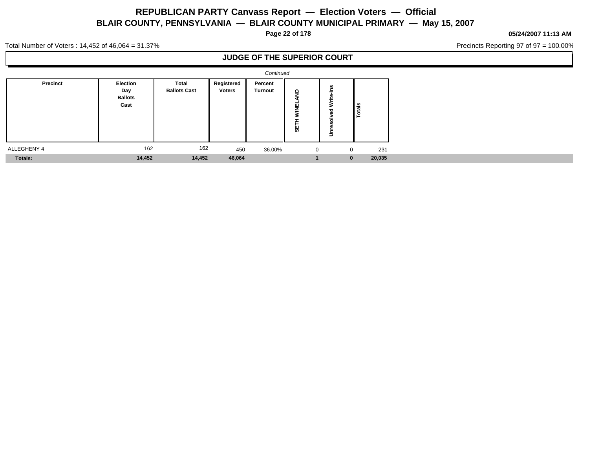**Page 22 of 178**

**05/24/2007 11:13 AM**

Precincts Reporting 97 of 97 = 100.00%

Total Number of Voters : 14,452 of 46,064 = 31.37%

|             |                                           |                              |                      | Continued                 |                             |                  |          |        |  |
|-------------|-------------------------------------------|------------------------------|----------------------|---------------------------|-----------------------------|------------------|----------|--------|--|
| Precinct    | Election<br>Day<br><b>Ballots</b><br>Cast | Total<br><b>Ballots Cast</b> | Registered<br>Voters | Percent<br><b>Turnout</b> | -9<br>삨<br>▵<br>-<br>-<br>₩ | =<br>∸<br>-<br>- | ី<br>--  |        |  |
| ALLEGHENY 4 | 162                                       | 162                          | 450                  | 36.00%                    |                             | $\mathbf{0}$     |          | 231    |  |
| Totals:     | 14,452                                    | 14,452                       | 46,064               |                           |                             |                  | $\bf{0}$ | 20,035 |  |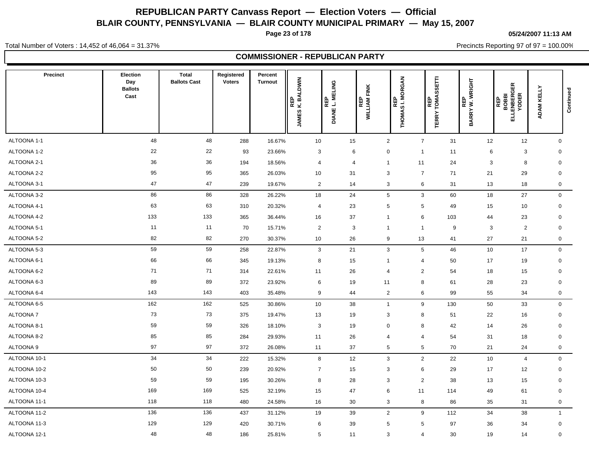**Page 23 of 178**

**05/24/2007 11:13 AM**

Precincts Reporting 97 of 97 = 100.00%

Total Number of Voters : 14,452 of 46,064 = 31.37%

### **COMMISSIONER - REPUBLICAN PARTY**

| <b>Precinct</b> | Election<br>Day<br><b>Ballots</b><br>Cast | Total<br><b>Ballots Cast</b> | Registered<br><b>Voters</b> | Percent<br><b>Turnout</b> | REP<br>K.BALDWIN<br><b>JAMES</b> | DIANE L. MELING | <b>WILLIAM FINK</b> | THOMAS I. MORGAN<br>THOMAS I. MORGAN | <b>SETTI</b><br>REP<br>TOMAS:<br><b>TERRY</b> | REP<br>'W.WRIGHT<br><b>BARRY</b> |    | 띥<br>ပ<br>BOBBI<br>LENBERG<br>YODER<br>REP<br>긊 | ADAM KELLY   | Continued |
|-----------------|-------------------------------------------|------------------------------|-----------------------------|---------------------------|----------------------------------|-----------------|---------------------|--------------------------------------|-----------------------------------------------|----------------------------------|----|-------------------------------------------------|--------------|-----------|
| ALTOONA 1-1     | 48                                        | 48                           | 288                         | 16.67%                    | 10                               | 15              |                     | $\overline{2}$                       | $\overline{7}$                                | 31                               | 12 | 12                                              | $\mathbf 0$  |           |
| ALTOONA 1-2     | 22                                        | 22                           | 93                          | 23.66%                    | 3                                |                 | 6                   | 0                                    | $\overline{1}$                                | 11                               | 6  | 3                                               | 0            |           |
| ALTOONA 2-1     | 36                                        | 36                           | 194                         | 18.56%                    | $\overline{4}$                   |                 | $\overline{4}$      | $\overline{1}$                       | 11                                            | 24                               | 3  | 8                                               | $\mathbf 0$  |           |
| ALTOONA 2-2     | 95                                        | 95                           | 365                         | 26.03%                    | 10                               | 31              |                     | 3                                    | $\overline{7}$                                | 71                               | 21 | 29                                              | $\mathbf 0$  |           |
| ALTOONA 3-1     | 47                                        | 47                           | 239                         | 19.67%                    | $\overline{2}$                   | 14              |                     | 3                                    | $6\phantom{1}6$                               | 31                               | 13 | 18                                              | 0            |           |
| ALTOONA 3-2     | 86                                        | 86                           | 328                         | 26.22%                    | 18                               | 24              |                     | $\sqrt{5}$                           | $\mathbf{3}$                                  | 60                               | 18 | 27                                              | $\mathbf 0$  |           |
| ALTOONA 4-1     | 63                                        | 63                           | 310                         | 20.32%                    | $\overline{4}$                   | 23              |                     | 5                                    | 5                                             | 49                               | 15 | 10                                              | 0            |           |
| ALTOONA 4-2     | 133                                       | 133                          | 365                         | 36.44%                    | 16                               | 37              |                     | $\mathbf{1}$                         | 6                                             | 103                              | 44 | 23                                              | $\mathbf 0$  |           |
| ALTOONA 5-1     | 11                                        | 11                           | 70                          | 15.71%                    | $\overline{2}$                   |                 | 3                   | $\overline{1}$                       | $\overline{1}$                                | 9                                | 3  | $\overline{2}$                                  | $\mathbf 0$  |           |
| ALTOONA 5-2     | 82                                        | 82                           | 270                         | 30.37%                    | 10                               | 26              |                     | 9                                    | 13                                            | 41                               | 27 | 21                                              | 0            |           |
| ALTOONA 5-3     | 59                                        | 59                           | 258                         | 22.87%                    | 3                                | 21              |                     | 3                                    | 5                                             | 46                               | 10 | 17                                              | $\mathbf 0$  |           |
| ALTOONA 6-1     | 66                                        | 66                           | 345                         | 19.13%                    | 8                                | 15              |                     | $\overline{1}$                       | $\overline{4}$                                | 50                               | 17 | 19                                              | $\mathbf 0$  |           |
| ALTOONA 6-2     | 71                                        | 71                           | 314                         | 22.61%                    | 11                               | 26              |                     | $\overline{4}$                       | $\overline{2}$                                | 54                               | 18 | 15                                              | $\mathbf 0$  |           |
| ALTOONA 6-3     | 89                                        | 89                           | 372                         | 23.92%                    | 6                                | 19              |                     | 11                                   | 8                                             | 61                               | 28 | 23                                              | $\mathbf 0$  |           |
| ALTOONA 6-4     | 143                                       | 143                          | 403                         | 35.48%                    | 9                                | 44              |                     | $\overline{2}$                       | $6\phantom{1}6$                               | 99                               | 55 | 34                                              | $\mathsf{O}$ |           |
| ALTOONA 6-5     | 162                                       | 162                          | 525                         | 30.86%                    | 10                               | 38              |                     | $\overline{1}$                       | 9                                             | 130                              | 50 | 33                                              | $\mathsf{O}$ |           |
| <b>ALTOONA7</b> | 73                                        | 73                           | 375                         | 19.47%                    | 13                               | 19              |                     | 3                                    | 8                                             | 51                               | 22 | 16                                              | $\mathbf 0$  |           |
| ALTOONA 8-1     | 59                                        | 59                           | 326                         | 18.10%                    | 3                                | 19              |                     | $\mathbf 0$                          | 8                                             | 42                               | 14 | 26                                              | 0            |           |
| ALTOONA 8-2     | 85                                        | 85                           | 284                         | 29.93%                    | 11                               | 26              |                     | $\overline{4}$                       | $\overline{4}$                                | 54                               | 31 | 18                                              | $\mathbf 0$  |           |
| ALTOONA 9       | 97                                        | 97                           | 372                         | 26.08%                    | 11                               | 37              |                     | $5\phantom{.0}$                      | 5                                             | 70                               | 21 | 24                                              | 0            |           |
| ALTOONA 10-1    | 34                                        | 34                           | 222                         | 15.32%                    | 8                                | 12              |                     | $\mathbf{3}$                         | $\overline{2}$                                | 22                               | 10 | $\overline{4}$                                  | $\mathbf 0$  |           |
| ALTOONA 10-2    | 50                                        | 50                           | 239                         | 20.92%                    | $\overline{7}$                   | 15              |                     | 3                                    | $6\phantom{1}6$                               | 29                               | 17 | 12                                              | $\mathbf 0$  |           |
| ALTOONA 10-3    | 59                                        | 59                           | 195                         | 30.26%                    | 8                                | 28              |                     | 3                                    | $\overline{2}$                                | 38                               | 13 | 15                                              | $\mathbf 0$  |           |
| ALTOONA 10-4    | 169                                       | 169                          | 525                         | 32.19%                    | 15                               | 47              |                     | 6                                    | 11                                            | 114                              | 49 | 61                                              | $\mathbf 0$  |           |
| ALTOONA 11-1    | 118                                       | 118                          | 480                         | 24.58%                    | 16                               | 30              |                     | 3                                    | 8                                             | 86                               | 35 | 31                                              | 0            |           |
| ALTOONA 11-2    | 136                                       | 136                          | 437                         | 31.12%                    | 19                               | 39              |                     | $\overline{2}$                       | 9                                             | 112                              | 34 | 38                                              | $\mathbf{1}$ |           |
| ALTOONA 11-3    | 129                                       | 129                          | 420                         | 30.71%                    | 6                                | 39              |                     | $5\phantom{.0}$                      | 5                                             | 97                               | 36 | 34                                              | $\mathbf 0$  |           |
| ALTOONA 12-1    | 48                                        | 48                           | 186                         | 25.81%                    | 5                                | 11              |                     | 3                                    | $\overline{4}$                                | 30                               | 19 | 14                                              | $\mathbf 0$  |           |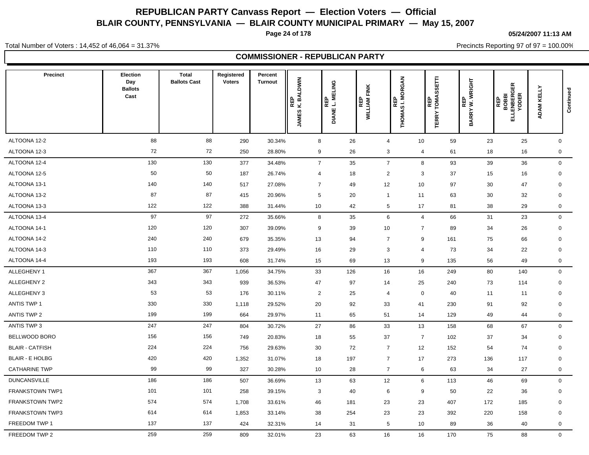**Page 24 of 178**

**05/24/2007 11:13 AM**

Total Number of Voters : 14,452 of 46,064 = 31.37%

Precincts Reporting 97 of 97 = 100.00%

|                        |                                                  |                                     |                             |                           |                                     | <b>COMMISSIONER - REPUBLICAN PARTY</b> |                                   |                  |                                           |                        |                                                      |                         |  |
|------------------------|--------------------------------------------------|-------------------------------------|-----------------------------|---------------------------|-------------------------------------|----------------------------------------|-----------------------------------|------------------|-------------------------------------------|------------------------|------------------------------------------------------|-------------------------|--|
| Precinct               | <b>Election</b><br>Day<br><b>Ballots</b><br>Cast | <b>Total</b><br><b>Ballots Cast</b> | Registered<br><b>Voters</b> | Percent<br><b>Turnout</b> | EP<br>BALDWIN<br>ᄙᆇ<br><b>JAMES</b> | ELING<br>Σ<br>DIANE L. MI              | FINK<br>REP<br>WILLIAM<br>WILLIAM | THOMAS I. MORGAN | <b>REP<br/>TOMASSETTI</b><br><b>TERRY</b> | REP<br>BARRY W. WRIGHT | <b>REP<br/>BOBBI<br/>ELLENBERGER<br/>ELLENBERGER</b> | ADAM KELLY<br>Continued |  |
| ALTOONA 12-2           | 88                                               | 88                                  | 290                         | 30.34%                    | 8                                   | 26                                     | $\overline{4}$                    | 10               | 59                                        | 23                     | 25                                                   | $\mathbf 0$             |  |
| ALTOONA 12-3           | 72                                               | 72                                  | 250                         | 28.80%                    | 9                                   | 26                                     | $\mathbf{3}$                      | 4                | 61                                        | 18                     | 16                                                   | $\mathbf 0$             |  |
| ALTOONA 12-4           | 130                                              | 130                                 | 377                         | 34.48%                    | $\overline{7}$                      | 35                                     | $\overline{7}$                    | 8                | 93                                        | 39                     | 36                                                   | $\mathbf 0$             |  |
| ALTOONA 12-5           | 50                                               | 50                                  | 187                         | 26.74%                    | $\overline{4}$                      | 18                                     | $\overline{2}$                    | 3                | 37                                        | 15                     | 16                                                   | $\mathbf 0$             |  |
| ALTOONA 13-1           | 140                                              | 140                                 | 517                         | 27.08%                    | $\overline{7}$                      | 49                                     | 12                                | 10               | 97                                        | 30                     | 47                                                   | $\mathbf 0$             |  |
| ALTOONA 13-2           | 87                                               | 87                                  | 415                         | 20.96%                    | $5\phantom{.0}$                     | 20                                     | $\overline{1}$                    | 11               | 63                                        | 30                     | 32                                                   | $\mathbf 0$             |  |
| ALTOONA 13-3           | 122                                              | 122                                 | 388                         | 31.44%                    | 10                                  | 42                                     | 5                                 | 17               | 81                                        | 38                     | 29                                                   | $\mathbf 0$             |  |
| ALTOONA 13-4           | 97                                               | 97                                  | 272                         | 35.66%                    | 8                                   | 35                                     | 6                                 | $\overline{4}$   | 66                                        | 31                     | 23                                                   | $\mathbf 0$             |  |
| ALTOONA 14-1           | 120                                              | 120                                 | 307                         | 39.09%                    | 9                                   | 39                                     | 10                                | $\overline{7}$   | 89                                        | 34                     | 26                                                   | $\mathbf 0$             |  |
| ALTOONA 14-2           | 240                                              | 240                                 | 679                         | 35.35%                    | 13                                  | 94                                     | $\overline{7}$                    | 9                | 161                                       | 75                     | 66                                                   | $\mathbf 0$             |  |
| ALTOONA 14-3           | 110                                              | 110                                 | 373                         | 29.49%                    | 16                                  | 29                                     | 3                                 | $\overline{4}$   | 73                                        | 34                     | 22                                                   | $\mathbf 0$             |  |
| ALTOONA 14-4           | 193                                              | 193                                 | 608                         | 31.74%                    | 15                                  | 69                                     | 13                                | 9                | 135                                       | 56                     | 49                                                   | $\mathbf 0$             |  |
| ALLEGHENY 1            | 367                                              | 367                                 | 1,056                       | 34.75%                    | 33                                  | 126                                    | 16                                | 16               | 249                                       | 80                     | 140                                                  | $\mathbf{0}$            |  |
| ALLEGHENY 2            | 343                                              | 343                                 | 939                         | 36.53%                    | 47                                  | 97                                     | 14                                | 25               | 240                                       | 73                     | 114                                                  | $\mathbf 0$             |  |
| ALLEGHENY 3            | 53                                               | 53                                  | 176                         | 30.11%                    | $\overline{2}$                      | 25                                     | $\overline{4}$                    | $\mathbf 0$      | 40                                        | 11                     | 11                                                   | $\mathbf 0$             |  |
| ANTIS TWP 1            | 330                                              | 330                                 | 1,118                       | 29.52%                    | 20                                  | 92                                     | 33                                | 41               | 230                                       | 91                     | 92                                                   | $\mathbf 0$             |  |
| ANTIS TWP 2            | 199                                              | 199                                 | 664                         | 29.97%                    | 11                                  | 65                                     | 51                                | 14               | 129                                       | 49                     | 44                                                   | $\mathbf 0$             |  |
| ANTIS TWP 3            | 247                                              | 247                                 | 804                         | 30.72%                    | 27                                  | 86                                     | 33                                | 13               | 158                                       | 68                     | 67                                                   | $\mathsf{O}\xspace$     |  |
| BELLWOOD BORO          | 156                                              | 156                                 | 749                         | 20.83%                    | 18                                  | 55                                     | 37                                | $\overline{7}$   | 102                                       | 37                     | 34                                                   | $\mathbf 0$             |  |
| <b>BLAIR - CATFISH</b> | 224                                              | 224                                 | 756                         | 29.63%                    | 30                                  | 72                                     | $\overline{7}$                    | 12               | 152                                       | 54                     | 74                                                   | $\mathbf 0$             |  |
| <b>BLAIR - E HOLBG</b> | 420                                              | 420                                 | 1,352                       | 31.07%                    | 18                                  | 197                                    | $\overline{7}$                    | 17               | 273                                       | 136                    | 117                                                  | $\mathbf 0$             |  |
| <b>CATHARINE TWP</b>   | 99                                               | 99                                  | 327                         | 30.28%                    | 10                                  | 28                                     | $\overline{7}$                    | 6                | 63                                        | 34                     | 27                                                   | $\mathbf 0$             |  |
| <b>DUNCANSVILLE</b>    | 186                                              | 186                                 | 507                         | 36.69%                    | 13                                  | 63                                     | 12                                | 6                | 113                                       | 46                     | 69                                                   | $\mathbf 0$             |  |
| <b>FRANKSTOWN TWP1</b> | 101                                              | 101                                 | 258                         | 39.15%                    | 3                                   | 40                                     | 6                                 | 9                | 50                                        | 22                     | 36                                                   | $\mathbf 0$             |  |
| <b>FRANKSTOWN TWP2</b> | 574                                              | 574                                 | 1,708                       | 33.61%                    | 46                                  | 181                                    | 23                                | 23               | 407                                       | 172                    | 185                                                  | $\mathbf 0$             |  |
| <b>FRANKSTOWN TWP3</b> | 614                                              | 614                                 | 1,853                       | 33.14%                    | 38                                  | 254                                    | 23                                | 23               | 392                                       | 220                    | 158                                                  | $\mathbf 0$             |  |
| FREEDOM TWP 1          | 137                                              | 137                                 | 424                         | 32.31%                    | 14                                  | 31                                     | 5                                 | 10               | 89                                        | 36                     | 40                                                   | 0                       |  |
| FREEDOM TWP 2          | 259                                              | 259                                 | 809                         | 32.01%                    | 23                                  | 63                                     | 16                                | 16               | 170                                       | 75                     | 88                                                   | $\mathbf 0$             |  |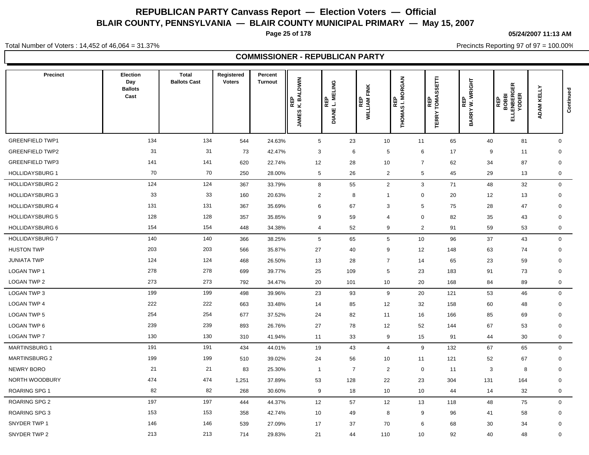**Page 25 of 178**

**05/24/2007 11:13 AM**

Precincts Reporting 97 of 97 = 100.00%

Total Number of Voters : 14,452 of 46,064 = 31.37%

### **COMMISSIONER - REPUBLICAN PARTY**

| Precinct               | Election<br>Day<br><b>Ballots</b><br>Cast | <b>Total</b><br><b>Ballots Cast</b> | Registered<br><b>Voters</b> | Percent<br>Turnout | REP<br>K. BALDWIN<br><b>JAMES</b> | ELING<br>DIANE L. M<br> 읎<br>lα | FINK<br>WILLIAM I | <b>MORGAN</b><br>$\Omega$<br>画<br>ឌី ឆ្ន<br>THOMA: | Ē<br>ັທ<br><b>SC</b><br><b>REP</b><br>TOMA:<br><b>TERRY</b> | REP<br>BARRY W. WRIGHT | 띥<br>ত<br><b>BOBBI<br/>ENBERC<br/>YODER</b><br>REP<br>급 | ADAM KELLY   | Continued |
|------------------------|-------------------------------------------|-------------------------------------|-----------------------------|--------------------|-----------------------------------|---------------------------------|-------------------|----------------------------------------------------|-------------------------------------------------------------|------------------------|---------------------------------------------------------|--------------|-----------|
| <b>GREENFIELD TWP1</b> | 134                                       | 134                                 | 544                         | 24.63%             | $5\phantom{.0}$                   | 23                              | 10                | 11                                                 | 65                                                          | 40                     | 81                                                      | $\mathbf{0}$ |           |
| <b>GREENFIELD TWP2</b> | 31                                        | 31                                  | 73                          | 42.47%             | 3                                 | 6                               | 5                 | 6                                                  | 17                                                          | 9                      | 11                                                      | $\mathbf 0$  |           |
| <b>GREENFIELD TWP3</b> | 141                                       | 141                                 | 620                         | 22.74%             | 12                                | 28                              | 10                | $\overline{7}$                                     | 62                                                          | 34                     | 87                                                      | $\mathbf 0$  |           |
| <b>HOLLIDAYSBURG 1</b> | 70                                        | 70                                  | 250                         | 28.00%             | $\sqrt{5}$                        | 26                              | $\overline{2}$    | 5                                                  | 45                                                          | 29                     | 13                                                      | $\mathbf 0$  |           |
| <b>HOLLIDAYSBURG 2</b> | 124                                       | 124                                 | 367                         | 33.79%             | 8                                 | 55                              | $\overline{2}$    | $\mathbf{3}$                                       | 71                                                          | 48                     | 32                                                      | $\mathbf 0$  |           |
| <b>HOLLIDAYSBURG 3</b> | 33                                        | 33                                  | 160                         | 20.63%             | $\overline{2}$                    | 8                               | $\overline{1}$    | $\mathbf 0$                                        | 20                                                          | 12                     | 13                                                      | $\mathbf 0$  |           |
| <b>HOLLIDAYSBURG 4</b> | 131                                       | 131                                 | 367                         | 35.69%             | $6\phantom{1}6$                   | 67                              | 3                 | $\sqrt{5}$                                         | 75                                                          | 28                     | 47                                                      | $\mathbf 0$  |           |
| <b>HOLLIDAYSBURG 5</b> | 128                                       | 128                                 | 357                         | 35.85%             | 9                                 | 59                              | 4                 | $\mathbf 0$                                        | 82                                                          | 35                     | 43                                                      | $\mathbf 0$  |           |
| <b>HOLLIDAYSBURG 6</b> | 154                                       | 154                                 | 448                         | 34.38%             | $\overline{4}$                    | 52                              | 9                 | $\overline{c}$                                     | 91                                                          | 59                     | 53                                                      | $\mathbf 0$  |           |
| <b>HOLLIDAYSBURG 7</b> | 140                                       | 140                                 | 366                         | 38.25%             | 5                                 | 65                              | $\overline{5}$    | 10                                                 | 96                                                          | 37                     | 43                                                      | $\mathbf{0}$ |           |
| <b>HUSTON TWP</b>      | 203                                       | 203                                 | 566                         | 35.87%             | 27                                | 40                              | 9                 | 12                                                 | 148                                                         | 63                     | 74                                                      | $\mathbf 0$  |           |
| <b>JUNIATA TWP</b>     | 124                                       | 124                                 | 468                         | 26.50%             | 13                                | 28                              | $\overline{7}$    | 14                                                 | 65                                                          | 23                     | 59                                                      | $\mathbf 0$  |           |
| <b>LOGAN TWP 1</b>     | 278                                       | 278                                 | 699                         | 39.77%             | 25                                | 109                             | $5\phantom{.0}$   | 23                                                 | 183                                                         | 91                     | 73                                                      | 0            |           |
| <b>LOGAN TWP 2</b>     | 273                                       | 273                                 | 792                         | 34.47%             | 20                                | 101                             | 10                | 20                                                 | 168                                                         | 84                     | 89                                                      | $\mathbf 0$  |           |
| LOGAN TWP 3            | 199                                       | 199                                 | 498                         | 39.96%             | 23                                | 93                              | 9                 | 20                                                 | 121                                                         | 53                     | 46                                                      | $\mathbf 0$  |           |
| <b>LOGAN TWP 4</b>     | 222                                       | 222                                 | 663                         | 33.48%             | 14                                | 85                              | 12                | 32                                                 | 158                                                         | 60                     | 48                                                      | $\mathbf 0$  |           |
| LOGAN TWP 5            | 254                                       | 254                                 | 677                         | 37.52%             | 24                                | 82                              | 11                | 16                                                 | 166                                                         | 85                     | 69                                                      | $\mathbf 0$  |           |
| LOGAN TWP 6            | 239                                       | 239                                 | 893                         | 26.76%             | 27                                | 78                              | 12                | 52                                                 | 144                                                         | 67                     | 53                                                      | $\mathbf 0$  |           |
| <b>LOGAN TWP 7</b>     | 130                                       | 130                                 | 310                         | 41.94%             | 11                                | 33                              | 9                 | 15                                                 | 91                                                          | 44                     | 30                                                      | $\mathbf 0$  |           |
| <b>MARTINSBURG 1</b>   | 191                                       | 191                                 | 434                         | 44.01%             | 19                                | 43                              | $\overline{4}$    | 9                                                  | 132                                                         | 67                     | 65                                                      | $\mathbf 0$  |           |
| <b>MARTINSBURG 2</b>   | 199                                       | 199                                 | 510                         | 39.02%             | 24                                | 56                              | 10                | 11                                                 | 121                                                         | 52                     | 67                                                      | $\mathbf 0$  |           |
| <b>NEWRY BORO</b>      | 21                                        | 21                                  | 83                          | 25.30%             | $\overline{1}$                    | $\overline{7}$                  | $\overline{2}$    | $\mathbf 0$                                        | 11                                                          | 3                      | 8                                                       | $\mathbf 0$  |           |
| NORTH WOODBURY         | 474                                       | 474                                 | 1,251                       | 37.89%             | 53                                | 128                             | 22                | 23                                                 | 304                                                         | 131                    | 164                                                     | 0            |           |
| <b>ROARING SPG 1</b>   | 82                                        | 82                                  | 268                         | 30.60%             | 9                                 | 18                              | 10                | 10                                                 | 44                                                          | 14                     | 32                                                      | $\mathbf 0$  |           |
| ROARING SPG 2          | 197                                       | 197                                 | 444                         | 44.37%             | 12                                | 57                              | 12                | 13                                                 | 118                                                         | 48                     | 75                                                      | $\mathbf{0}$ |           |
| ROARING SPG 3          | 153                                       | 153                                 | 358                         | 42.74%             | 10                                | 49                              | 8                 | 9                                                  | 96                                                          | 41                     | 58                                                      | $\mathbf 0$  |           |
| SNYDER TWP 1           | 146                                       | 146                                 | 539                         | 27.09%             | 17                                | 37                              | 70                | 6                                                  | 68                                                          | 30                     | 34                                                      | $\mathbf 0$  |           |
| SNYDER TWP 2           | 213                                       | 213                                 | 714                         | 29.83%             | 21                                | 44                              | 110               | 10                                                 | 92                                                          | 40                     | 48                                                      | $\mathbf 0$  |           |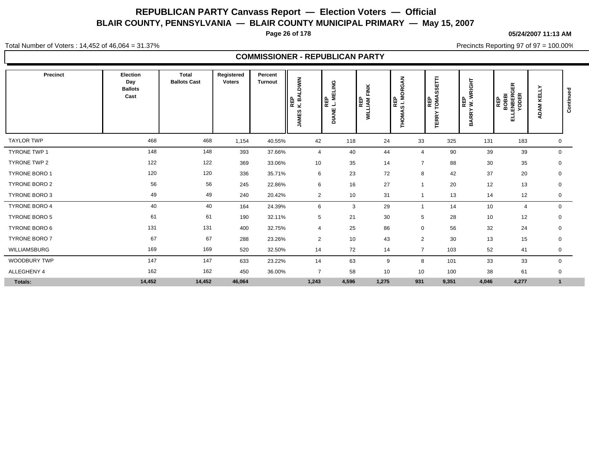**Page 26 of 178**

**05/24/2007 11:13 AM**

Total Number of Voters : 14,452 of 46,064 = 31.37%

Precincts Reporting 97 of 97 = 100.00%

### **COMMISSIONER - REPUBLICAN PARTY**

| Precinct             | Election<br>Day<br><b>Ballots</b><br>Cast | <b>Total</b><br><b>Ballots Cast</b> | Registered<br><b>Voters</b> | Percent<br><b>Turnout</b> | <b>BALDWIN</b><br>REP<br>K.BJ<br><b>JAMES</b> | <b>MELING</b><br><b>REP</b><br>ند.<br><b>DIANE</b> | FINK<br>WILLIAM<br>WILLIAM | ₹<br>O<br>Š<br>Ž<br>REP<br>SI. M<br>∢<br>ᅙ<br>Ě | Е<br>Б<br>m<br>U.<br><b>REP</b><br>COMA<br>≻<br><b>TERR</b> | WRIGHT<br>REP<br>W. V<br><b>BARRY</b> | 띥<br>ក<br>REP<br>BOBBI<br>ENBERC<br>YODER<br>긂 | ≻<br>KELL'<br><b>ADAM</b> | ಾ<br>Continue |
|----------------------|-------------------------------------------|-------------------------------------|-----------------------------|---------------------------|-----------------------------------------------|----------------------------------------------------|----------------------------|-------------------------------------------------|-------------------------------------------------------------|---------------------------------------|------------------------------------------------|---------------------------|---------------|
| <b>TAYLOR TWP</b>    | 468                                       | 468                                 | 1,154                       | 40.55%                    | 42                                            | 118                                                | 24                         | 33                                              | 325                                                         | 131                                   | 183                                            | 0                         |               |
| TYRONE TWP 1         | 148                                       | 148                                 | 393                         | 37.66%                    | $\overline{4}$                                | 40                                                 | 44                         | $\overline{4}$                                  | 90                                                          | 39                                    | 39                                             | $\mathbf 0$               |               |
| TYRONE TWP 2         | 122                                       | 122                                 | 369                         | 33.06%                    | 10                                            | 35                                                 | 14                         | $\overline{7}$                                  | 88                                                          | 30                                    | 35                                             | 0                         |               |
| <b>TYRONE BORO 1</b> | 120                                       | 120                                 | 336                         | 35.71%                    | 6                                             | 23                                                 | 72                         | 8                                               | 42                                                          | 37                                    | 20                                             | 0                         |               |
| <b>TYRONE BORO 2</b> | 56                                        | 56                                  | 245                         | 22.86%                    | 6                                             | 16                                                 | 27                         | $\overline{1}$                                  | 20                                                          | 12                                    | 13                                             | $\mathbf 0$               |               |
| <b>TYRONE BORO 3</b> | 49                                        | 49                                  | 240                         | 20.42%                    | $\overline{2}$                                | 10                                                 | 31                         | $\overline{1}$                                  | 13                                                          | 14                                    | 12                                             | 0                         |               |
| TYRONE BORO 4        | 40                                        | 40                                  | 164                         | 24.39%                    | 6                                             | 3                                                  | 29                         | $\overline{1}$                                  | 14                                                          | 10                                    | $\overline{4}$                                 | $\mathbf 0$               |               |
| <b>TYRONE BORO 5</b> | 61                                        | 61                                  | 190                         | 32.11%                    | $5\phantom{.0}$                               | 21                                                 | 30                         | 5                                               | 28                                                          | 10                                    | 12                                             | 0                         |               |
| TYRONE BORO 6        | 131                                       | 131                                 | 400                         | 32.75%                    | $\overline{4}$                                | 25                                                 | 86                         | $\mathbf 0$                                     | 56                                                          | 32                                    | 24                                             | $\mathbf 0$               |               |
| TYRONE BORO 7        | 67                                        | 67                                  | 288                         | 23.26%                    | $\overline{2}$                                | 10                                                 | 43                         | $\overline{2}$                                  | 30                                                          | 13                                    | 15                                             | 0                         |               |
| WILLIAMSBURG         | 169                                       | 169                                 | 520                         | 32.50%                    | 14                                            | 72                                                 | 14                         | $\overline{7}$                                  | 103                                                         | 52                                    | 41                                             | 0                         |               |
| <b>WOODBURY TWP</b>  | 147                                       | 147                                 | 633                         | 23.22%                    | 14                                            | 63                                                 | 9                          | 8                                               | 101                                                         | 33                                    | 33                                             | 0                         |               |
| ALLEGHENY 4          | 162                                       | 162                                 | 450                         | 36.00%                    | $\overline{7}$                                | 58                                                 | 10                         | 10                                              | 100                                                         | 38                                    | 61                                             | $\mathbf 0$               |               |
| Totals:              | 14,452                                    | 14,452                              | 46,064                      |                           | 1,243                                         | 4,596                                              | 1,275                      | 931                                             | 9,351                                                       | 4,046                                 | 4,277                                          | $\mathbf{1}$              |               |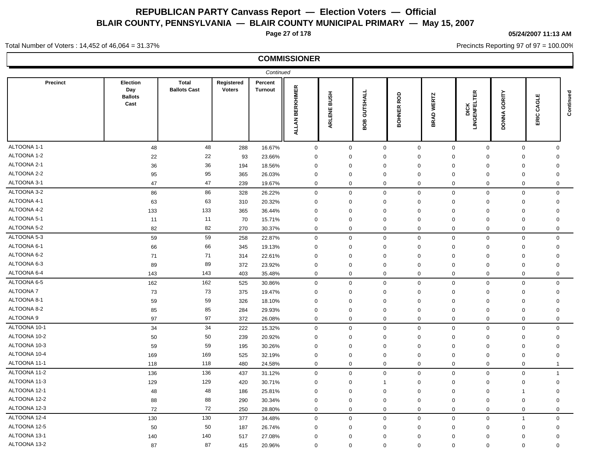**Page 27 of 178**

#### **05/24/2007 11:13 AM**

Precincts Reporting 97 of 97 = 100.00%

#### Total Number of Voters : 14,452 of 46,064 = 31.37%

|                 |                                           |                                     |                             | Continued                 |                 |             |                 |                      |                             |                              |                        |                      |           |
|-----------------|-------------------------------------------|-------------------------------------|-----------------------------|---------------------------|-----------------|-------------|-----------------|----------------------|-----------------------------|------------------------------|------------------------|----------------------|-----------|
| <b>Precinct</b> | Election<br>Day<br><b>Ballots</b><br>Cast | <b>Total</b><br><b>Ballots Cast</b> | Registered<br><b>Voters</b> | Percent<br><b>Turnout</b> | ALLAN BERKHIMER | ARLENE BUSH | GUTSHALL<br>BOB | ROD<br><b>BOHNER</b> | <b>WERTZ</b><br><b>BRAD</b> | <b>DICK<br/>LINGENFELTER</b> | GORITY<br><b>DONNA</b> | ш<br>ಠ<br>రే<br>ERIC | Continued |
| ALTOONA 1-1     | 48                                        | 48                                  | 288                         | 16.67%                    | $\mathbf 0$     | $\mathbf 0$ |                 | $\mathbf 0$          | $\mathbf 0$<br>$\mathbf 0$  | $\mathbf 0$                  | $\mathbf 0$            | $\mathbf 0$          |           |
| ALTOONA 1-2     | 22                                        | 22                                  | 93                          | 23.66%                    | $\mathbf 0$     | $\mathbf 0$ |                 | $\mathbf 0$          | $\mathbf 0$<br>0            | $\mathbf 0$                  | $\mathbf 0$            | $\mathbf 0$          |           |
| ALTOONA 2-1     | 36                                        | 36                                  | 194                         | 18.56%                    | $\mathbf 0$     | $\mathbf 0$ |                 | $\mathbf 0$          | $\mathbf 0$<br>$\mathbf 0$  | $\mathbf 0$                  | $\mathbf 0$            | $\mathbf 0$          |           |
| ALTOONA 2-2     | 95                                        | 95                                  | 365                         | 26.03%                    | $\mathbf 0$     | $\mathbf 0$ |                 | $\mathbf 0$          | $\mathbf 0$<br>$\mathbf 0$  | $\mathbf 0$                  | $\mathbf 0$            | $\mathbf 0$          |           |
| ALTOONA 3-1     | 47                                        | 47                                  | 239                         | 19.67%                    | $\mathbf 0$     | $\mathbf 0$ |                 | $\mathbf 0$          | $\mathbf 0$<br>$\mathbf 0$  | $\mathbf 0$                  | $\mathbf 0$            | $\mathbf 0$          |           |
| ALTOONA 3-2     | 86                                        | 86                                  | 328                         | 26.22%                    | $\mathbf 0$     | $\mathbf 0$ |                 | $\mathbf 0$          | $\mathbf 0$<br>$\mathbf 0$  | $\mathbf 0$                  | $\mathbf 0$            | $\Omega$             |           |
| ALTOONA 4-1     | 63                                        | 63                                  | 310                         | 20.32%                    | $\Omega$        | $\mathbf 0$ |                 | $\mathbf 0$          | $\Omega$<br>$\mathbf 0$     | $\mathbf 0$                  | $\mathbf 0$            | $\Omega$             |           |
| ALTOONA 4-2     | 133                                       | 133                                 | 365                         | 36.44%                    | $\Omega$        | $\mathbf 0$ |                 | $\mathbf 0$          | $\Omega$<br>$\mathbf 0$     | $\Omega$                     | $\mathbf 0$            | $\Omega$             |           |
| ALTOONA 5-1     | 11                                        | 11                                  | 70                          | 15.71%                    | $\mathbf 0$     | $\mathbf 0$ |                 | $\mathbf 0$          | $\Omega$<br>$\mathbf 0$     | $\mathbf 0$                  | $\mathbf 0$            | $\Omega$             |           |
| ALTOONA 5-2     | 82                                        | 82                                  | 270                         | 30.37%                    | 0               | $\Omega$    |                 | $\mathbf 0$          | $\mathbf 0$<br>$\Omega$     | $\Omega$                     | $\mathbf 0$            | $\Omega$             |           |
| ALTOONA 5-3     | 59                                        | 59                                  | 258                         | 22.87%                    | $\mathbf 0$     | $\mathbf 0$ |                 | $\mathbf 0$          | $\mathbf 0$<br>$\mathbf 0$  | $\mathbf 0$                  | $\mathbf 0$            | $\mathbf 0$          |           |
| ALTOONA 6-1     | 66                                        | 66                                  | 345                         | 19.13%                    | $\mathbf 0$     | $\mathbf 0$ |                 | $\mathbf 0$          | 0<br>0                      | $\mathbf 0$                  | $\mathbf 0$            | $\mathbf 0$          |           |
| ALTOONA 6-2     | 71                                        | 71                                  | 314                         | 22.61%                    | $\mathbf 0$     | $\mathbf 0$ |                 | $\mathbf 0$          | $\mathbf 0$<br>$\mathbf 0$  | $\mathbf 0$                  | $\mathbf 0$            | $\mathbf 0$          |           |
| ALTOONA 6-3     | 89                                        | 89                                  | 372                         | 23.92%                    | $\mathbf 0$     | $\mathbf 0$ |                 | $\mathbf 0$          | $\mathbf 0$<br>$\mathbf 0$  | $\mathbf 0$                  | $\mathbf 0$            | $\mathbf 0$          |           |
| ALTOONA 6-4     | 143                                       | 143                                 | 403                         | 35.48%                    | $\mathbf 0$     | $\mathbf 0$ |                 | $\mathbf 0$          | $\mathbf 0$<br>$\mathbf 0$  | $\mathbf 0$                  | $\mathbf 0$            | $\mathbf 0$          |           |
| ALTOONA 6-5     | 162                                       | 162                                 | 525                         | 30.86%                    | $\mathbf 0$     | $\mathbf 0$ |                 | $\mathbf 0$          | $\mathbf{0}$<br>$\mathbf 0$ | $\mathbf 0$                  | $\mathbf 0$            | $\mathbf 0$          |           |
| ALTOONA 7       | 73                                        | 73                                  | 375                         | 19.47%                    | $\mathbf 0$     | $\mathbf 0$ |                 | $\mathbf 0$          | $\Omega$<br>$\mathbf 0$     | $\mathbf 0$                  | $\mathbf 0$            | $\mathbf 0$          |           |
| ALTOONA 8-1     | 59                                        | 59                                  | 326                         | 18.10%                    | $\Omega$        | $\mathbf 0$ |                 | $\mathbf 0$          | $\Omega$<br>$\mathbf 0$     | $\mathbf 0$                  | $\mathbf 0$            | $\Omega$             |           |
| ALTOONA 8-2     | 85                                        | 85                                  | 284                         | 29.93%                    | $\mathbf 0$     | $\mathsf 0$ |                 | $\mathbf 0$          | $\mathbf 0$<br>$\mathbf 0$  | $\mathbf 0$                  | $\mathbf 0$            | $\mathbf 0$          |           |
| ALTOONA 9       | 97                                        | 97                                  | 372                         | 26.08%                    | $\mathbf 0$     | $\mathbf 0$ |                 | $\mathbf 0$          | $\Omega$<br>$\mathbf 0$     | $\Omega$                     | $\mathbf 0$            | $\Omega$             |           |
| ALTOONA 10-1    | 34                                        | 34                                  | 222                         | 15.32%                    | $\mathbf 0$     | $\mathbf 0$ |                 | $\mathbf 0$          | $\Omega$<br>$\mathbf 0$     | $\mathbf 0$                  | $\mathbf 0$            | $\mathbf 0$          |           |
| ALTOONA 10-2    | 50                                        | 50                                  | 239                         | 20.92%                    | $\mathbf 0$     | $\mathbf 0$ |                 | $\mathbf 0$          | $\mathbf 0$<br>$\Omega$     | $\mathbf 0$                  | $\mathbf 0$            | $\mathbf 0$          |           |
| ALTOONA 10-3    | 59                                        | 59                                  | 195                         | 30.26%                    | $\mathbf 0$     | $\mathbf 0$ |                 | $\mathbf 0$          | $\mathbf 0$<br>0            | $\mathbf 0$                  | $\mathbf 0$            | $\mathbf 0$          |           |
| ALTOONA 10-4    | 169                                       | 169                                 | 525                         | 32.19%                    | $\mathbf 0$     | $\mathbf 0$ |                 | $\mathbf 0$          | 0<br>0                      | $\mathbf 0$                  | $\mathbf 0$            | $\Omega$             |           |
| ALTOONA 11-1    | 118                                       | 118                                 | 480                         | 24.58%                    | $\mathbf 0$     | $\mathbf 0$ |                 | $\mathbf 0$          | $\mathbf 0$<br>$\mathbf 0$  | $\mathbf 0$                  | $\mathbf 0$            | -1                   |           |
| ALTOONA 11-2    | 136                                       | 136                                 | 437                         | 31.12%                    | $\mathbf 0$     | $\mathbf 0$ |                 | $\mathbf 0$          | $\Omega$<br>$\mathbf 0$     | $\mathbf 0$                  | $\mathbf 0$            | $\overline{1}$       |           |
| ALTOONA 11-3    | 129                                       | 129                                 | 420                         | 30.71%                    | $\mathbf 0$     | $\mathbf 0$ |                 | $\overline{1}$       | $\Omega$<br>$\mathbf 0$     | $\Omega$                     | $\mathbf 0$            | $\mathbf 0$          |           |
| ALTOONA 12-1    | 48                                        | 48                                  | 186                         | 25.81%                    | $\mathbf 0$     | $\mathsf 0$ |                 | $\mathbf 0$          | 0<br>$\mathbf 0$            | $\mathbf 0$                  | $\overline{1}$         | $\mathbf 0$          |           |
| ALTOONA 12-2    | 88                                        | 88                                  | 290                         | 30.34%                    | $\mathbf 0$     | $\mathbf 0$ |                 | $\mathbf 0$          | $\mathbf 0$<br>$\mathbf 0$  | $\Omega$                     | $\mathbf 0$            | $\Omega$             |           |
| ALTOONA 12-3    | 72                                        | 72                                  | 250                         | 28.80%                    | $\mathbf 0$     | $\mathbf 0$ |                 | $\mathbf 0$          | $\mathbf 0$<br>$\mathbf 0$  | $\mathbf 0$                  | $\mathbf 0$            | $\mathbf 0$          |           |
| ALTOONA 12-4    | 130                                       | 130                                 | 377                         | 34.48%                    | $\mathbf 0$     | $\mathbf 0$ |                 | $\mathbf 0$          | $\mathbf 0$<br>$\mathbf 0$  | $\mathbf 0$                  | $\overline{1}$         | $\mathbf 0$          |           |
| ALTOONA 12-5    | 50                                        | 50                                  | 187                         | 26.74%                    | $\mathbf 0$     | $\mathbf 0$ |                 | $\mathbf 0$          | $\mathbf 0$<br>0            | $\mathbf 0$                  | $\mathbf 0$            | $\mathbf 0$          |           |
| ALTOONA 13-1    | 140                                       | 140                                 | 517                         | 27.08%                    | $\mathbf 0$     | $\mathbf 0$ |                 | $\mathbf 0$          | 0<br>0                      | $\mathbf 0$                  | $\mathbf 0$            | $\mathbf 0$          |           |
| ALTOONA 13-2    | 87                                        | 87                                  | 415                         | 20.96%                    | $\mathbf 0$     | $\mathbf 0$ |                 | $\mathbf 0$          | $\mathbf 0$<br>$\mathbf 0$  | $\mathbf 0$                  | $\mathbf 0$            | $\mathbf 0$          |           |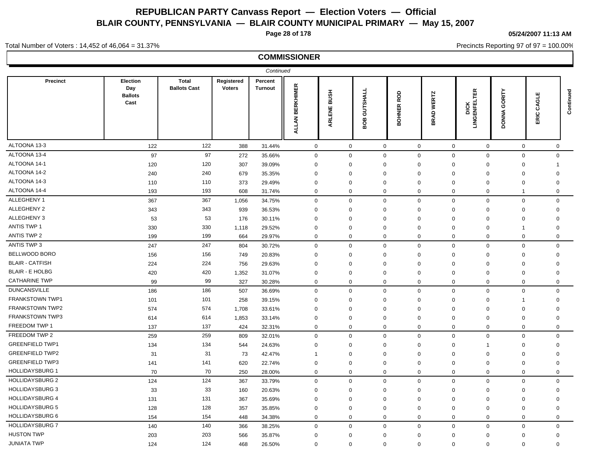**Page 28 of 178**

**05/24/2007 11:13 AM**

Precincts Reporting 97 of 97 = 100.00%

#### Total Number of Voters : 14,452 of 46,064 = 31.37%

|                        |                                           |                                     |                             | Continued          |                             |                       |                 |                      |                                 |                         |                        |                              |              |
|------------------------|-------------------------------------------|-------------------------------------|-----------------------------|--------------------|-----------------------------|-----------------------|-----------------|----------------------|---------------------------------|-------------------------|------------------------|------------------------------|--------------|
| Precinct               | Election<br>Day<br><b>Ballots</b><br>Cast | <b>Total</b><br><b>Ballots Cast</b> | Registered<br><b>Voters</b> | Percent<br>Turnout | <b>BERKHIMER</b><br>ALLAN I | <b>HSNB</b><br>ARLENE | GUTSHALL<br>BOB | ROD<br><b>BOHNER</b> | <b>WERTZ</b><br><b>GAR</b><br>≃ | 띥<br><b>LINGENFELTE</b> | GORITY<br><b>DONNA</b> | ш<br>ō<br>ే<br>$\Omega$<br>띥 | Continued    |
| ALTOONA 13-3           | 122                                       | 122                                 | 388                         | 31.44%             | $\mathbf 0$                 | $\mathbf 0$           |                 | $\mathsf{O}\xspace$  | $\mathbf 0$                     | $\mathsf 0$             | $\mathsf 0$            | $\mathbf 0$                  | $\mathbf{0}$ |
| ALTOONA 13-4           | 97                                        | 97                                  | 272                         | 35.66%             | $\mathbf 0$                 | $\mathbf 0$           |                 | $\mathbf 0$          | $\mathbf 0$                     | $\mathbf 0$             | $\mathbf 0$            | $\mathbf 0$                  | $\mathbf 0$  |
| ALTOONA 14-1           | 120                                       | 120                                 | 307                         | 39.09%             | 0                           | $\mathbf 0$           |                 | $\mathbf 0$          | $\mathbf 0$                     | 0                       | 0                      | $\mathbf 0$                  | -1           |
| ALTOONA 14-2           | 240                                       | 240                                 | 679                         | 35.35%             | $\mathbf 0$                 | $\mathbf 0$           |                 | $\mathbf 0$          | $\mathbf 0$                     | $\mathbf 0$             | $\mathbf 0$            | $\mathbf 0$                  | $\mathbf 0$  |
| ALTOONA 14-3           | 110                                       | 110                                 | 373                         | 29.49%             | 0                           | $\mathbf 0$           |                 | $\mathbf 0$          | $\mathbf 0$                     | 0                       | 0                      | $\mathbf 0$                  | $\mathbf 0$  |
| ALTOONA 14-4           | 193                                       | 193                                 | 608                         | 31.74%             | 0                           | $\mathbf 0$           |                 | $\mathbf 0$          | $\mathbf 0$                     | $\mathbf 0$             | $\mathbf 0$            | $\overline{1}$               | $\mathbf 0$  |
| ALLEGHENY 1            | 367                                       | 367                                 | 1,056                       | 34.75%             | 0                           | $\mathbf 0$           |                 | $\mathbf 0$          | $\mathbf 0$                     | $\mathbf 0$             | $\pmb{0}$              | $\mathbf 0$                  | $\mathbf 0$  |
| ALLEGHENY 2            | 343                                       | 343                                 | 939                         | 36.53%             | $\mathbf 0$                 | $\mathbf 0$           |                 | $\mathbf 0$          | $\mathbf 0$                     | 0                       | $\mathbf 0$            | $\mathbf 0$                  | $\mathbf 0$  |
| ALLEGHENY 3            | 53                                        | 53                                  | 176                         | 30.11%             | $\mathbf 0$                 | $\mathbf 0$           |                 | $\mathbf 0$          | $\mathbf 0$                     | 0                       | 0                      | $\mathbf 0$                  | $\mathbf 0$  |
| <b>ANTIS TWP 1</b>     | 330                                       | 330                                 | 1,118                       | 29.52%             | $\mathbf 0$                 | $\mathbf 0$           |                 | $\mathbf 0$          | $\Omega$                        | $\mathbf 0$             | $\mathbf 0$            | $\overline{1}$               | $\mathbf 0$  |
| <b>ANTIS TWP 2</b>     | 199                                       | 199                                 | 664                         | 29.97%             | 0                           | $\mathbf 0$           |                 | $\mathbf 0$          | 0                               | $\mathbf 0$             | $\mathbf 0$            | $\mathbf 0$                  | $\mathbf 0$  |
| ANTIS TWP 3            | 247                                       | 247                                 | 804                         | 30.72%             | $\mathbf 0$                 | $\mathbf 0$           |                 | $\mathbf 0$          | $\mathbf 0$                     | $\mathbf 0$             | $\mathsf 0$            | $\mathbf 0$                  | $\mathbf 0$  |
| BELLWOOD BORO          | 156                                       | 156                                 | 749                         | 20.83%             | $\mathbf 0$                 | $\mathbf 0$           |                 | $\mathbf 0$          | $\mathbf 0$                     | $\mathbf 0$             | $\mathbf 0$            | $\mathbf 0$                  | $\mathbf 0$  |
| <b>BLAIR - CATFISH</b> | 224                                       | 224                                 | 756                         | 29.63%             | $\mathbf 0$                 | $\mathbf 0$           |                 | $\mathbf 0$          | $\Omega$                        | $\Omega$                | $\mathbf 0$            | $\mathbf 0$                  | $\mathbf 0$  |
| <b>BLAIR - E HOLBG</b> | 420                                       | 420                                 | 1,352                       | 31.07%             | $\mathbf 0$                 | $\mathbf 0$           |                 | $\mathbf 0$          | $\mathbf 0$                     | $\mathbf 0$             | $\mathbf 0$            | $\mathbf 0$                  | $\mathbf 0$  |
| <b>CATHARINE TWP</b>   | 99                                        | 99                                  | 327                         | 30.28%             | 0                           | $\mathbf 0$           |                 | $\mathbf 0$          | $\mathbf 0$                     | $\mathbf 0$             | $\mathbf 0$            | $\mathbf 0$                  | $\mathbf 0$  |
| <b>DUNCANSVILLE</b>    | 186                                       | 186                                 | 507                         | 36.69%             | 0                           | $\mathbf 0$           |                 | $\mathbf 0$          | $\mathbf 0$                     | $\mathbf 0$             | $\mathbf 0$            | $\mathbf 0$                  | $\mathbf 0$  |
| <b>FRANKSTOWN TWP1</b> | 101                                       | 101                                 | 258                         | 39.15%             | $\Omega$                    | $\mathbf 0$           |                 | $\mathbf 0$          | $\Omega$                        | $\mathbf 0$             | $\Omega$               | $\overline{\mathbf{1}}$      | $\Omega$     |
| <b>FRANKSTOWN TWP2</b> | 574                                       | 574                                 | 1,708                       | 33.61%             | $\Omega$                    | $\mathbf 0$           |                 | $\mathbf 0$          | $\Omega$                        | $\mathbf 0$             | $\Omega$               | $\mathbf 0$                  | $\Omega$     |
| <b>FRANKSTOWN TWP3</b> | 614                                       | 614                                 | 1,853                       | 33.14%             | $\Omega$                    | $\mathbf 0$           |                 | $\mathbf 0$          | $\Omega$                        | $\mathbf 0$             | $\mathbf 0$            | $\mathbf 0$                  | $\Omega$     |
| FREEDOM TWP 1          | 137                                       | 137                                 | 424                         | 32.31%             | $\mathbf{0}$                | $\mathbf 0$           |                 | $\mathbf 0$          | $\Omega$                        | $\mathbf 0$             | $\Omega$               | $\mathbf 0$                  | $\Omega$     |
| FREEDOM TWP 2          | 259                                       | 259                                 | 809                         | 32.01%             | $\mathbf{0}$                | $\mathbf 0$           |                 | $\mathbf 0$          | $\mathbf 0$                     | $\mathbf 0$             | $\mathbf 0$            | $\mathbf 0$                  | $\mathbf 0$  |
| <b>GREENFIELD TWP1</b> | 134                                       | 134                                 | 544                         | 24.63%             | 0                           | $\mathbf 0$           |                 | $\mathbf 0$          | $\Omega$                        | $\mathbf 0$             | $\mathbf{1}$           | $\mathbf 0$                  | $\Omega$     |
| <b>GREENFIELD TWP2</b> | 31                                        | 31                                  | 73                          | 42.47%             | 1                           | $\mathbf 0$           |                 | $\mathbf 0$          | $\Omega$                        | $\mathbf 0$             | $\Omega$               | $\mathbf 0$                  | $\Omega$     |
| <b>GREENFIELD TWP3</b> | 141                                       | 141                                 | 620                         | 22.74%             | 0                           | $\mathbf 0$           |                 | $\mathbf 0$          | $\Omega$                        | $\mathbf 0$             | $\mathbf 0$            | $\mathbf 0$                  | $\Omega$     |
| <b>HOLLIDAYSBURG 1</b> | 70                                        | 70                                  | 250                         | 28.00%             | 0                           | $\mathbf 0$           |                 | $\mathbf 0$          | $\mathbf{0}$                    | $\mathbf 0$             | $\Omega$               | $\mathbf 0$                  | $\mathbf 0$  |
| <b>HOLLIDAYSBURG 2</b> | 124                                       | 124                                 | 367                         | 33.79%             | $\mathbf 0$                 | $\mathbf 0$           |                 | $\mathbf 0$          | $\Omega$                        | $\mathbf 0$             | $\mathbf 0$            | $\mathbf 0$                  | $\Omega$     |
| <b>HOLLIDAYSBURG 3</b> | 33                                        | 33                                  | 160                         | 20.63%             | $\mathbf 0$                 | $\mathbf 0$           |                 | $\mathbf 0$          | $\mathbf 0$                     | 0                       | $\mathbf 0$            | $\mathbf 0$                  | $\mathbf 0$  |
| <b>HOLLIDAYSBURG 4</b> | 131                                       | 131                                 | 367                         | 35.69%             | $\mathbf 0$                 | $\mathbf 0$           |                 | $\mathbf 0$          | $\mathbf 0$                     | 0                       | $\mathbf 0$            | $\mathbf 0$                  | $\mathbf 0$  |
| <b>HOLLIDAYSBURG 5</b> | 128                                       | 128                                 | 357                         | 35.85%             | $\mathbf 0$                 | $\mathbf 0$           |                 | $\mathbf 0$          | $\mathbf 0$                     | 0                       | $\mathbf 0$            | $\mathbf 0$                  | $\mathbf 0$  |
| <b>HOLLIDAYSBURG 6</b> | 154                                       | 154                                 | 448                         | 34.38%             | 0                           | $\mathbf 0$           |                 | $\mathbf 0$          | $\mathbf 0$                     | $\mathbf 0$             | $\mathbf 0$            | $\mathbf 0$                  | $\mathbf 0$  |
| <b>HOLLIDAYSBURG 7</b> | 140                                       | 140                                 | 366                         | 38.25%             | 0                           | $\mathbf 0$           |                 | $\mathbf 0$          | $\mathbf 0$                     | $\mathbf 0$             | $\mathbf 0$            | $\mathbf 0$                  | $\mathbf 0$  |
| <b>HUSTON TWP</b>      | 203                                       | 203                                 | 566                         | 35.87%             | $\mathbf 0$                 | $\mathbf 0$           |                 | $\mathbf 0$          | $\Omega$                        | $\mathbf 0$             | $\Omega$               | $\mathbf 0$                  | $\mathbf 0$  |
| <b>JUNIATA TWP</b>     | 124                                       | 124                                 | 468                         | 26.50%             | $\Omega$                    | $\mathbf 0$           |                 | $\mathbf 0$          | $\Omega$                        | $\mathbf 0$             | $\Omega$               | $\mathbf{0}$                 | $\Omega$     |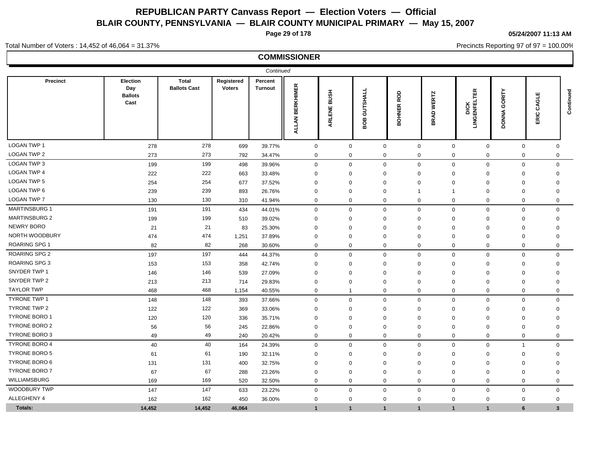**Page 29 of 178**

**05/24/2007 11:13 AM**

Precincts Reporting 97 of 97 = 100.00%

#### Total Number of Voters : 14,452 of 46,064 = 31.37%

|                      |                                           |                                     |                             | Continued                 |                                  |                       |                 |                              |                             |                             |                                   |                       |              |
|----------------------|-------------------------------------------|-------------------------------------|-----------------------------|---------------------------|----------------------------------|-----------------------|-----------------|------------------------------|-----------------------------|-----------------------------|-----------------------------------|-----------------------|--------------|
| Precinct             | Election<br>Day<br><b>Ballots</b><br>Cast | <b>Total</b><br><b>Ballots Cast</b> | Registered<br><b>Voters</b> | Percent<br><b>Turnout</b> | <b>BERKHIMER</b><br><b>ALLAN</b> | <b>BUSH</b><br>ARLENE | GUTSHALL<br>BOB | 8<br>œ.<br><b>OHNER</b><br>⋒ | <b>WERTZ</b><br><b>BRAD</b> | 띥<br>5<br>DICK<br>LINGENFEL | GORITY<br><b>ONNA</b><br>$\Omega$ | ш<br>ω<br>ت<br>ပ<br>띲 | Continued    |
| <b>LOGAN TWP 1</b>   | 278                                       | 278                                 | 699                         | 39.77%                    | $\mathbf 0$                      | $\mathbf 0$           |                 | $\mathbf 0$                  | $\mathbf 0$                 | $\mathbf 0$                 | $\mathbf 0$                       | $\mathbf 0$           | 0            |
| <b>LOGAN TWP 2</b>   | 273                                       | 273                                 | 792                         | 34.47%                    | 0                                | 0                     |                 | 0                            | 0                           | 0                           | 0                                 | 0                     | 0            |
| <b>LOGAN TWP 3</b>   | 199                                       | 199                                 | 498                         | 39.96%                    | $\mathbf 0$                      | $\mathbf 0$           |                 | $\mathbf 0$                  | $\mathbf 0$                 | $\mathbf 0$                 | $\mathbf 0$                       | $\mathbf 0$           | 0            |
| <b>LOGAN TWP 4</b>   | 222                                       | 222                                 | 663                         | 33.48%                    | $\mathbf 0$                      | $\Omega$              |                 | $\Omega$                     | $\mathbf 0$                 | $\Omega$                    | 0                                 | 0                     | 0            |
| <b>LOGAN TWP 5</b>   | 254                                       | 254                                 | 677                         | 37.52%                    | $\mathbf 0$                      | $\Omega$              |                 | $\Omega$                     | $\mathbf 0$                 | $\Omega$                    | $\mathbf 0$                       | $\mathbf 0$           | $\mathbf 0$  |
| LOGAN TWP 6          | 239                                       | 239                                 | 893                         | 26.76%                    | $\mathbf 0$                      | $\mathbf 0$           |                 | $\Omega$                     | -1                          | $\mathbf 1$                 | $\mathbf 0$                       | $\mathbf 0$           | $\mathbf 0$  |
| <b>LOGAN TWP 7</b>   | 130                                       | 130                                 | 310                         | 41.94%                    | $\mathbf 0$                      | $\mathbf 0$           |                 | $\mathbf 0$                  | $\mathbf 0$                 | $\mathbf 0$                 | $\mathbf 0$                       | $\mathbf 0$           | $\mathbf 0$  |
| <b>MARTINSBURG 1</b> | 191                                       | 191                                 | 434                         | 44.01%                    | $\mathbf 0$                      | $\mathbf 0$           |                 | $\mathbf 0$                  | $\mathbf 0$                 | $\mathsf{O}$                | $\mathbf 0$                       | $\mathbf 0$           | $\mathsf{O}$ |
| <b>MARTINSBURG 2</b> | 199                                       | 199                                 | 510                         | 39.02%                    | $\mathbf 0$                      | $\mathbf 0$           |                 | $\Omega$                     | $\mathbf 0$                 | $\mathbf 0$                 | $\mathbf 0$                       | $\mathbf 0$           | 0            |
| <b>NEWRY BORO</b>    | 21                                        | 21                                  | 83                          | 25.30%                    | $\Omega$                         | $\mathbf 0$           |                 | $\Omega$                     | $\mathbf 0$                 | $\mathbf 0$                 | $\mathbf 0$                       | $\mathbf 0$           | 0            |
| NORTH WOODBURY       | 474                                       | 474                                 | 1,251                       | 37.89%                    | $\Omega$                         | $\Omega$              |                 | $\Omega$                     | $\mathbf 0$                 | $\mathbf 0$                 | $\Omega$                          | $\mathbf 0$           | $\Omega$     |
| <b>ROARING SPG 1</b> | 82                                        | 82                                  | 268                         | 30.60%                    | $\mathbf 0$                      | $\mathbf 0$           |                 | $\Omega$                     | $\mathbf{0}$                | $\mathbf 0$                 | $\mathbf 0$                       | $\mathbf 0$           | $\Omega$     |
| <b>ROARING SPG 2</b> | 197                                       | 197                                 | 444                         | 44.37%                    | $\mathbf 0$                      | $\mathbf 0$           |                 | $\Omega$                     | $\mathbf 0$                 | $\Omega$                    | $\mathbf 0$                       | $\mathbf 0$           | $\mathbf 0$  |
| <b>ROARING SPG 3</b> | 153                                       | 153                                 | 358                         | 42.74%                    | $\Omega$                         | $\mathbf 0$           |                 | $\Omega$                     | $\Omega$                    | $\mathbf 0$                 | $\Omega$                          | $\mathbf 0$           | $\Omega$     |
| SNYDER TWP 1         | 146                                       | 146                                 | 539                         | 27.09%                    | $\Omega$                         | $\mathbf 0$           |                 | $\Omega$                     | $\Omega$                    | $\mathbf 0$                 | $\Omega$                          | $\mathbf 0$           | $\Omega$     |
| SNYDER TWP 2         | 213                                       | 213                                 | 714                         | 29.83%                    | $\mathbf 0$                      | 0                     |                 | $\Omega$                     | $\mathbf 0$                 | $\mathbf 0$                 | 0                                 | $\mathbf 0$           | 0            |
| <b>TAYLOR TWP</b>    | 468                                       | 468                                 | 1,154                       | 40.55%                    | $\mathbf 0$                      | -1                    |                 | $\mathbf 0$                  | $\mathbf 0$                 | $\mathbf 0$                 | $\mathbf 0$                       | $\mathbf 0$           | 0            |
| <b>TYRONE TWP 1</b>  | 148                                       | 148                                 | 393                         | 37.66%                    | $\mathbf 0$                      | $\mathbf 0$           |                 | $\Omega$                     | $\Omega$                    | $\mathbf 0$                 | $\mathbf 0$                       | $\mathbf 0$           | $\mathbf 0$  |
| <b>TYRONE TWP 2</b>  | 122                                       | 122                                 | 369                         | 33.06%                    | $\Omega$                         | $\mathbf 0$           |                 | $\Omega$                     | $\mathbf 0$                 | $\mathbf 0$                 | $\mathbf 0$                       | $\mathbf 0$           | $\Omega$     |
| <b>TYRONE BORO 1</b> | 120                                       | 120                                 | 336                         | 35.71%                    | $\Omega$                         | $\mathbf{0}$          |                 | $\Omega$                     | $\mathbf{0}$                | $\mathbf 0$                 | $\mathbf 0$                       | $\mathbf 0$           | $\Omega$     |
| TYRONE BORO 2        | 56                                        | 56                                  | 245                         | 22.86%                    | $\mathbf 0$                      | $\mathbf 0$           |                 | $\Omega$                     | $\mathbf 0$                 | $\mathbf 0$                 | $\mathbf 0$                       | $\mathbf 0$           | $\mathbf 0$  |
| TYRONE BORO 3        | 49                                        | 49                                  | 240                         | 20.42%                    | $\mathbf 0$                      | $\mathbf 0$           |                 | $\mathbf 0$                  | $\mathbf 0$                 | $\mathbf 0$                 | $\mathbf 0$                       | $\mathbf 0$           | $\mathbf 0$  |
| <b>TYRONE BORO 4</b> | 40                                        | 40                                  | 164                         | 24.39%                    | $\mathbf 0$                      | $\mathbf 0$           |                 | $\mathbf 0$                  | $\mathbf 0$                 | $\mathbf 0$                 | $\mathbf 0$                       | $\overline{1}$        | $\mathbf 0$  |
| <b>TYRONE BORO 5</b> | 61                                        | 61                                  | 190                         | 32.11%                    | $\Omega$                         | $\mathbf 0$           |                 | $\Omega$                     | $\mathbf 0$                 | $\mathbf 0$                 | $\mathbf 0$                       | $\mathbf 0$           | $\mathbf 0$  |
| TYRONE BORO 6        | 131                                       | 131                                 | 400                         | 32.75%                    | $\Omega$                         | $\Omega$              |                 | $\Omega$                     | $\mathbf 0$                 | $\mathbf 0$                 | $\mathbf 0$                       | $\mathbf 0$           | 0            |
| <b>TYRONE BORO 7</b> | 67                                        | 67                                  | 288                         | 23.26%                    | $\mathbf 0$                      | $\mathbf 0$           |                 | $\Omega$                     | $\mathbf 0$                 | $\mathbf 0$                 | $\mathbf 0$                       | $\mathbf 0$           | 0            |
| WILLIAMSBURG         | 169                                       | 169                                 | 520                         | 32.50%                    | $\mathbf 0$                      | $\mathbf 0$           |                 | $\mathbf 0$                  | $\mathbf 0$                 | $\mathbf 0$                 | $\mathbf 0$                       | $\mathbf 0$           | $\mathbf 0$  |
| <b>WOODBURY TWP</b>  | 147                                       | 147                                 | 633                         | 23.22%                    | $\mathbf 0$                      | $\mathbf 0$           |                 | $\mathbf 0$                  | $\mathbf 0$                 | $\mathbf 0$                 | $\boldsymbol{0}$                  | $\mathbf 0$           | $\mathbf 0$  |
| ALLEGHENY 4          | 162                                       | 162                                 | 450                         | 36.00%                    | $\Omega$                         | $\mathbf 0$           |                 | $\Omega$                     | $\mathbf{0}$                | $\mathbf 0$                 | $\mathbf 0$                       | $\mathbf 0$           | $\Omega$     |
| Totals:              | 14,452                                    | 14,452                              | 46,064                      |                           | 1                                | $\mathbf{1}$          |                 | $\mathbf{1}$                 | $\mathbf{1}$                | $\mathbf 1$                 | $\overline{1}$                    | 6                     | 3            |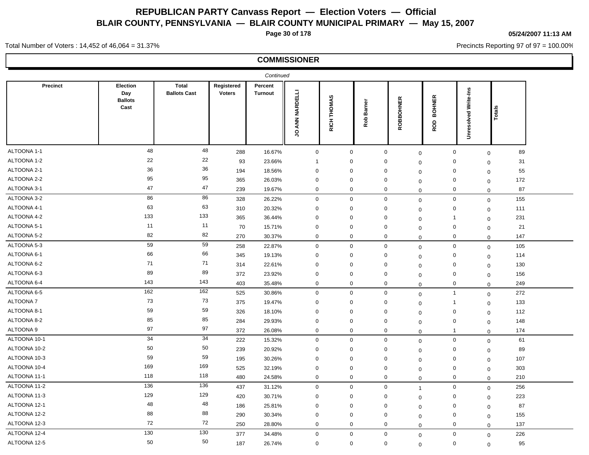**Page 30 of 178**

#### **05/24/2007 11:13 AM**

Precincts Reporting 97 of 97 = 100.00%

Total Number of Voters : 14,452 of 46,064 = 31.37%

|              |                                           |                              |                             | Continued                 |                             |                                    |                      |                             |                                    |                         |                    |  |
|--------------|-------------------------------------------|------------------------------|-----------------------------|---------------------------|-----------------------------|------------------------------------|----------------------|-----------------------------|------------------------------------|-------------------------|--------------------|--|
| Precinct     | Election<br>Day<br><b>Ballots</b><br>Cast | Total<br><b>Ballots Cast</b> | Registered<br><b>Voters</b> | Percent<br><b>Turnout</b> | ANN NARDELLI<br>$\mathsf S$ | <b>THOMAS</b><br>RICH <sup>-</sup> | <b>Barner</b><br>Rob | ROBBOHNER                   | <b>BOHNER</b><br>ROD               | Write-Ins<br>Unresolved | Totals             |  |
| ALTOONA 1-1  | 48                                        | 48                           | 288                         | 16.67%                    | $\mathbf 0$                 | 0                                  |                      | $\mathbf 0$                 | $\mathbf 0$<br>$\mathbf 0$         |                         | 89<br>$\mathbf 0$  |  |
| ALTOONA 1-2  | 22                                        | 22                           | 93                          | 23.66%                    | $\overline{1}$              | $\mathbf 0$                        |                      | 0<br>$\mathbf 0$            | $\mathbf 0$                        |                         | 31<br>$\mathbf 0$  |  |
| ALTOONA 2-1  | 36                                        | 36                           | 194                         | 18.56%                    | $\mathbf 0$                 | 0                                  |                      | $\mathbf 0$<br>$\mathbf 0$  | $\mathbf 0$                        |                         | 55<br>$\mathbf 0$  |  |
| ALTOONA 2-2  | 95                                        | 95                           | 365                         | 26.03%                    | $\mathbf 0$                 | 0                                  |                      | $\mathbf 0$                 | $\mathbf 0$<br>$\mathbf 0$         |                         | 172<br>$\mathbf 0$ |  |
| ALTOONA 3-1  | 47                                        | 47                           | 239                         | 19.67%                    | $\mathbf 0$                 | 0                                  |                      | 0                           | 0<br>0                             |                         | 87<br>$\mathbf 0$  |  |
| ALTOONA 3-2  | 86                                        | 86                           | 328                         | 26.22%                    | $\mathbf 0$                 | $\mathbf 0$                        |                      | $\mathbf 0$                 | $\mathsf{O}\xspace$<br>$\mathbf 0$ |                         | 155<br>$\mathbf 0$ |  |
| ALTOONA 4-1  | 63                                        | 63                           | 310                         | 20.32%                    | $\mathbf 0$                 | 0                                  |                      | $\mathbf 0$                 | $\mathbf 0$<br>$\mathbf 0$         |                         | 111<br>$\mathbf 0$ |  |
| ALTOONA 4-2  | 133                                       | 133                          | 365                         | 36.44%                    | $\mathbf 0$                 | 0                                  |                      | 0<br>$\mathbf 0$            | $\mathbf{1}$                       |                         | 231<br>$\mathbf 0$ |  |
| ALTOONA 5-1  | 11                                        | 11                           | $70\,$                      | 15.71%                    | $\mathbf 0$                 | 0                                  |                      | 0<br>$\mathbf 0$            | $\mathbf 0$                        |                         | 21<br>$\mathbf 0$  |  |
| ALTOONA 5-2  | 82                                        | 82                           | 270                         | 30.37%                    | $\mathbf 0$                 | 0                                  |                      | $\mathbf 0$<br>$\Omega$     | $\mathbf 0$                        |                         | 147<br>$\mathbf 0$ |  |
| ALTOONA 5-3  | 59                                        | 59                           | 258                         | 22.87%                    | $\mathbf 0$                 | $\mathbf 0$                        |                      | $\mathsf 0$                 | $\mathsf{O}\xspace$<br>$\mathbf 0$ |                         | 105<br>$\mathbf 0$ |  |
| ALTOONA 6-1  | 66                                        | 66                           | 345                         | 19.13%                    | $\mathbf 0$                 | 0                                  |                      | $\mathbf 0$<br>$\mathbf 0$  | $\mathbf 0$                        |                         | 114<br>$\mathbf 0$ |  |
| ALTOONA 6-2  | 71                                        | 71                           | 314                         | 22.61%                    | $\mathbf 0$                 | $\mathbf 0$                        |                      | $\mathbf 0$<br>$\mathbf 0$  | $\mathbf 0$                        |                         | 130<br>$\mathbf 0$ |  |
| ALTOONA 6-3  | 89                                        | 89                           | 372                         | 23.92%                    | $\mathbf 0$                 | 0                                  |                      | $\mathbf 0$<br>$\mathbf 0$  | $\mathbf 0$                        |                         | 156<br>$\mathbf 0$ |  |
| ALTOONA 6-4  | 143                                       | 143                          | 403                         | 35.48%                    | $\mathbf 0$                 | $\mathbf 0$                        |                      | $\mathbf 0$                 | $\mathbf 0$<br>$\mathbf 0$         |                         | 249<br>$\mathbf 0$ |  |
| ALTOONA 6-5  | 162                                       | $\overline{162}$             | 525                         | 30.86%                    | $\mathbf 0$                 | 0                                  |                      | $\mathbf 0$                 | $\mathbf{1}$<br>$\mathbf 0$        |                         | 272<br>$\mathbf 0$ |  |
| ALTOONA 7    | 73                                        | 73                           | 375                         | 19.47%                    | $\mathbf 0$                 | 0                                  |                      | 0                           | $\overline{1}$<br>$\mathbf 0$      |                         | 133<br>$\mathbf 0$ |  |
| ALTOONA 8-1  | 59                                        | 59                           | 326                         | 18.10%                    | $\mathbf 0$                 | $\mathbf 0$                        |                      | $\mathbf 0$<br>$\mathbf 0$  | $\mathbf 0$                        |                         | 112<br>$\mathbf 0$ |  |
| ALTOONA 8-2  | 85                                        | 85                           | 284                         | 29.93%                    | $\mathbf 0$                 | $\mathbf 0$                        |                      | $\mathbf 0$<br>$\mathbf 0$  | $\mathbf 0$                        |                         | 148<br>$\mathbf 0$ |  |
| ALTOONA 9    | 97                                        | 97                           | 372                         | 26.08%                    | $\mathbf 0$                 | $\mathbf 0$                        |                      | $\mathbf 0$                 | $\mathbf{1}$<br>$\mathbf 0$        |                         | 174<br>$\mathbf 0$ |  |
| ALTOONA 10-1 | 34                                        | 34                           | 222                         | 15.32%                    | $\mathbf 0$                 | $\mathbf 0$                        |                      | $\mathbf 0$                 | $\mathbf 0$<br>$\mathbf 0$         |                         | 61<br>$\mathbf 0$  |  |
| ALTOONA 10-2 | 50                                        | 50                           | 239                         | 20.92%                    | $\mathbf 0$                 | 0                                  |                      | $\mathbf 0$                 | $\mathbf 0$<br>0                   |                         | 89<br>$\mathbf 0$  |  |
| ALTOONA 10-3 | 59                                        | 59                           | 195                         | 30.26%                    | $\mathbf 0$                 | $\mathbf{0}$                       |                      | $\mathbf 0$<br>$\mathbf 0$  | $\mathbf 0$                        |                         | 107<br>$\mathbf 0$ |  |
| ALTOONA 10-4 | 169                                       | 169                          | 525                         | 32.19%                    | $\mathbf 0$                 | $\mathbf 0$                        |                      | $\mathbf 0$                 | $\mathbf 0$<br>0                   |                         | 303<br>$\mathbf 0$ |  |
| ALTOONA 11-1 | 118                                       | 118                          | 480                         | 24.58%                    | $\mathbf 0$                 | $\mathbf 0$                        |                      | $\mathbf 0$<br>$\mathbf 0$  | $\mathbf 0$                        |                         | 210<br>$\mathbf 0$ |  |
| ALTOONA 11-2 | 136                                       | $\overline{136}$             | 437                         | 31.12%                    | $\mathbf 0$                 | $\mathbf 0$                        |                      | $\mathbf 0$<br>$\mathbf{1}$ | $\mathbf 0$                        |                         | 256<br>$\mathbf 0$ |  |
| ALTOONA 11-3 | 129                                       | 129                          | 420                         | 30.71%                    | $\mathbf 0$                 | $\mathbf 0$                        |                      | $\mathbf 0$<br>$\mathbf 0$  | $\mathbf 0$                        |                         | 223<br>$\mathbf 0$ |  |
| ALTOONA 12-1 | 48                                        | 48                           | 186                         | 25.81%                    | $\mathbf 0$                 | $\mathbf 0$                        |                      | $\mathbf 0$<br>$\mathbf 0$  | $\mathbf 0$                        |                         | 87<br>$\mathbf 0$  |  |
| ALTOONA 12-2 | 88                                        | 88                           | 290                         | 30.34%                    | $\mathbf 0$                 | $\mathbf 0$                        |                      | $\mathbf 0$                 | $\mathbf 0$<br>$\mathbf 0$         |                         | 155<br>$\mathbf 0$ |  |
| ALTOONA 12-3 | 72                                        | 72                           | 250                         | 28.80%                    | $\mathbf 0$                 | $\mathbf 0$                        |                      | $\mathbf 0$<br>$\mathbf 0$  | $\mathbf 0$                        |                         | 137<br>$\mathbf 0$ |  |
| ALTOONA 12-4 | 130                                       | 130                          | 377                         | 34.48%                    | $\mathbf 0$                 | $\mathbf 0$                        |                      | $\mathbf 0$                 | $\mathbf 0$<br>$\mathbf 0$         |                         | 226<br>$\mathbf 0$ |  |
| ALTOONA 12-5 | 50                                        | 50                           | 187                         | 26.74%                    | $\mathbf 0$                 | $\mathbf 0$                        |                      | $\mathbf 0$                 | $\mathbf 0$<br>$\mathbf 0$         |                         | 95<br>$\mathbf 0$  |  |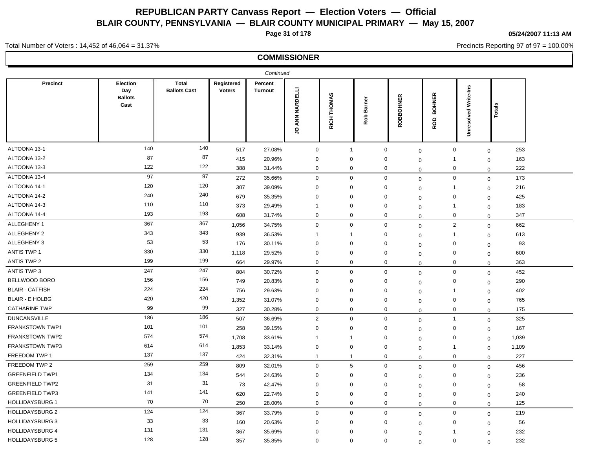**Page 31 of 178**

Total Number of Voters : 14,452 of 46,064 = 31.37%

**05/24/2007 11:13 AM**

Precincts Reporting 97 of 97 = 100.00%

|                        |                                           |                                     |                             | Continued                 |                   |                       |               |             |                      |                         |              |       |
|------------------------|-------------------------------------------|-------------------------------------|-----------------------------|---------------------------|-------------------|-----------------------|---------------|-------------|----------------------|-------------------------|--------------|-------|
| Precinct               | Election<br>Day<br><b>Ballots</b><br>Cast | <b>Total</b><br><b>Ballots Cast</b> | Registered<br><b>Voters</b> | Percent<br><b>Turnout</b> | ANN NARDELLI<br>S | THOMAS<br><b>RICH</b> | Barner<br>Rob | ROBBOHNER   | <b>BOHNER</b><br>ROD | Write-Ins<br>Unresolved | Total        |       |
| ALTOONA 13-1           | 140                                       | 140                                 | 517                         | 27.08%                    | $\mathbf 0$       | $\overline{1}$        |               | $\mathbf 0$ | $\mathbf 0$          | 0                       | $\mathbf{0}$ | 253   |
| ALTOONA 13-2           | 87                                        | 87                                  | 415                         | 20.96%                    | $\mathbf 0$       | 0                     |               | 0           | $\mathbf 0$          | $\mathbf{1}$            | $\mathbf 0$  | 163   |
| ALTOONA 13-3           | 122                                       | 122                                 | 388                         | 31.44%                    | $\mathbf 0$       | $\mathbf{0}$          |               | 0           | 0                    | $\mathbf 0$             | $\mathbf 0$  | 222   |
| ALTOONA 13-4           | 97                                        | 97                                  | 272                         | 35.66%                    | $\mathbf 0$       | $\mathbf{0}$          |               | $\mathbf 0$ | $\mathbf 0$          | $\mathbf 0$             | $\mathbf 0$  | 173   |
| ALTOONA 14-1           | 120                                       | 120                                 | 307                         | 39.09%                    | $\mathbf 0$       | $\Omega$              |               | $\mathbf 0$ | $\mathbf 0$          | $\mathbf{1}$            | $\mathbf 0$  | 216   |
| ALTOONA 14-2           | 240                                       | 240                                 | 679                         | 35.35%                    | $\mathbf 0$       | $\mathbf 0$           |               | $\mathbf 0$ | $\mathbf 0$          | $\mathbf 0$             | $\mathbf 0$  | 425   |
| ALTOONA 14-3           | 110                                       | 110                                 | 373                         | 29.49%                    | $\mathbf{1}$      | 0                     |               | $\mathbf 0$ | $\mathbf 0$          | $\mathbf{1}$            | $\mathbf 0$  | 183   |
| ALTOONA 14-4           | 193                                       | 193                                 | 608                         | 31.74%                    | $\mathbf 0$       | 0                     |               | $\mathbf 0$ | $\mathbf 0$          | $\mathbf 0$             | $\mathbf 0$  | 347   |
| ALLEGHENY 1            | 367                                       | 367                                 | 1,056                       | 34.75%                    | $\mathbf 0$       | $\mathbf 0$           |               | $\mathbf 0$ | $\mathbf 0$          | $\sqrt{2}$              | $\mathbf 0$  | 662   |
| ALLEGHENY 2            | 343                                       | 343                                 | 939                         | 36.53%                    | $\overline{1}$    | -1                    |               | 0           | $\mathbf 0$          | $\mathbf{1}$            | $\mathbf 0$  | 613   |
| ALLEGHENY 3            | 53                                        | 53                                  | 176                         | 30.11%                    | $\mathbf 0$       | $\mathbf 0$           |               | $\mathbf 0$ | $\mathbf 0$          | $\mathbf 0$             | $\mathbf 0$  | 93    |
| ANTIS TWP 1            | 330                                       | 330                                 | 1,118                       | 29.52%                    | $\mathbf 0$       | $\mathbf 0$           |               | $\mathbf 0$ | $\mathbf 0$          | $\mathbf 0$             | $\mathbf 0$  | 600   |
| ANTIS TWP 2            | 199                                       | 199                                 | 664                         | 29.97%                    | $\mathbf 0$       | $\mathbf 0$           |               | $\mathbf 0$ | $\mathbf 0$          | $\mathbf 0$             | $\mathbf 0$  | 363   |
| ANTIS TWP 3            | 247                                       | 247                                 | 804                         | 30.72%                    | $\mathbf 0$       | $\mathbf 0$           |               | $\mathbf 0$ | $\mathbf 0$          | $\mathbf 0$             | $\mathbf 0$  | 452   |
| BELLWOOD BORO          | 156                                       | 156                                 | 749                         | 20.83%                    | $\mathbf 0$       | 0                     |               | 0           | $\mathbf 0$          | $\mathbf 0$             | $\mathbf 0$  | 290   |
| <b>BLAIR - CATFISH</b> | 224                                       | 224                                 | 756                         | 29.63%                    | 0                 | $\mathbf 0$           |               | 0           | $\mathbf 0$          | 1                       | $\mathbf 0$  | 402   |
| <b>BLAIR - E HOLBG</b> | 420                                       | 420                                 | 1,352                       | 31.07%                    | $\mathbf 0$       | $\mathbf 0$           |               | $\mathbf 0$ | $\Omega$             | $\mathbf 0$             | $\mathbf 0$  | 765   |
| <b>CATHARINE TWP</b>   | 99                                        | 99                                  | 327                         | 30.28%                    | $\mathbf 0$       | 0                     |               | $\mathbf 0$ | $\mathbf 0$          | $\mathbf 0$             | $\mathbf{0}$ | 175   |
| <b>DUNCANSVILLE</b>    | 186                                       | 186                                 | 507                         | 36.69%                    | 2                 | $\mathbf 0$           |               | $\mathbf 0$ | $\mathbf 0$          | $\mathbf{1}$            | $\mathbf 0$  | 325   |
| FRANKSTOWN TWP1        | 101                                       | 101                                 | 258                         | 39.15%                    | $\mathbf 0$       | $\mathbf 0$           |               | 0           | $\mathbf 0$          | $\mathbf 0$             | $\mathbf 0$  | 167   |
| FRANKSTOWN TWP2        | 574                                       | 574                                 | 1,708                       | 33.61%                    | $\mathbf{1}$      | $\overline{1}$        |               | $\mathbf 0$ | $\mathbf 0$          | $\mathbf 0$             | $\mathbf 0$  | 1,039 |
| <b>FRANKSTOWN TWP3</b> | 614                                       | 614                                 | 1,853                       | 33.14%                    | $\mathbf 0$       | $\mathbf 0$           |               | 0           | $\mathbf 0$          | 1                       | $\mathbf 0$  | 1,109 |
| FREEDOM TWP 1          | 137                                       | 137                                 | 424                         | 32.31%                    | $\mathbf{1}$      | $\mathbf{1}$          |               | $\mathbf 0$ | $\mathbf 0$          | $\mathbf 0$             | $\mathbf 0$  | 227   |
| FREEDOM TWP 2          | 259                                       | 259                                 | 809                         | 32.01%                    | $\mathbf 0$       | $5\phantom{.0}$       |               | $\mathbf 0$ | $\mathbf 0$          | $\mathbf 0$             | $\mathbf 0$  | 456   |
| <b>GREENFIELD TWP1</b> | 134                                       | 134                                 | 544                         | 24.63%                    | $\mathbf 0$       | $\mathbf 0$           |               | $\mathbf 0$ | 0                    | $\mathbf 0$             | $\mathbf 0$  | 236   |
| <b>GREENFIELD TWP2</b> | 31                                        | 31                                  | 73                          | 42.47%                    | $\mathbf 0$       | $\mathbf 0$           |               | $\mathbf 0$ | $\mathbf 0$          | $\mathbf 0$             | $\mathbf 0$  | 58    |
| <b>GREENFIELD TWP3</b> | 141                                       | 141                                 | 620                         | 22.74%                    | $\mathbf 0$       | $\mathbf{0}$          |               | 0           | $\mathbf 0$          | $\mathbf 0$             | $\mathbf 0$  | 240   |
| <b>HOLLIDAYSBURG 1</b> | 70                                        | 70                                  | 250                         | 28.00%                    | $\mathbf 0$       | $\mathbf 0$           |               | $\mathbf 0$ | $\mathbf 0$          | $\mathbf 0$             | $\mathbf 0$  | 125   |
| <b>HOLLIDAYSBURG 2</b> | 124                                       | 124                                 | 367                         | 33.79%                    | $\mathbf 0$       | $\mathbf 0$           |               | $\mathbf 0$ | $\mathbf 0$          | $\mathbf 0$             | $\mathbf 0$  | 219   |
| <b>HOLLIDAYSBURG 3</b> | 33                                        | 33                                  | 160                         | 20.63%                    | $\mathbf 0$       | $\Omega$              |               | 0           | 0                    | $\mathbf 0$             | $\mathbf 0$  | 56    |
| <b>HOLLIDAYSBURG 4</b> | 131                                       | 131                                 | 367                         | 35.69%                    | $\mathbf 0$       | $\mathbf 0$           |               | 0           | $\Omega$             | -1                      | $\mathbf 0$  | 232   |
| <b>HOLLIDAYSBURG 5</b> | 128                                       | 128                                 | 357                         | 35.85%                    | $\mathbf 0$       | $\mathbf 0$           |               | $\mathbf 0$ | $\Omega$             | $\mathbf 0$             | $\mathbf 0$  | 232   |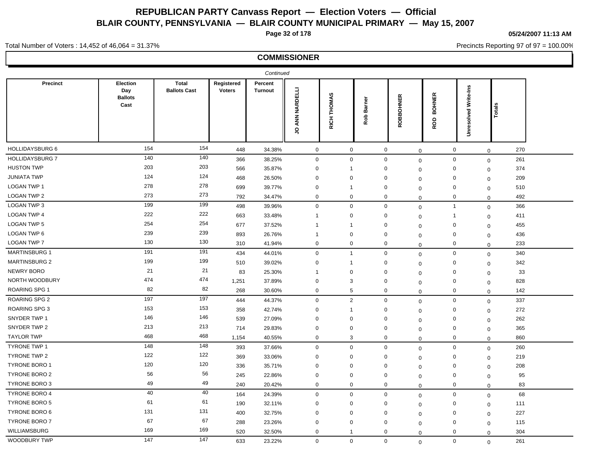**Page 32 of 178**

**05/24/2007 11:13 AM**

Precincts Reporting 97 of 97 = 100.00%

### **COMMISSIONER**

Total Number of Voters : 14,452 of 46,064 = 31.37%

|                        |                                           |                                     |                             | Continued          |                   |                       |                      |             |                      |                         |                |     |
|------------------------|-------------------------------------------|-------------------------------------|-----------------------------|--------------------|-------------------|-----------------------|----------------------|-------------|----------------------|-------------------------|----------------|-----|
| Precinct               | Election<br>Day<br><b>Ballots</b><br>Cast | <b>Total</b><br><b>Ballots Cast</b> | Registered<br><b>Voters</b> | Percent<br>Turnout | ANN NARDELLI<br>ς | THOMAS<br><b>RICH</b> | <b>Barner</b><br>Rob | ROBBOHNER   | <b>BOHNER</b><br>ROD | Write-Ins<br>Unresolved | Totals         |     |
| <b>HOLLIDAYSBURG 6</b> | 154                                       | 154                                 | 448                         | 34.38%             | $\mathbf 0$       | $\mathbf 0$           |                      | $\mathbf 0$ | $\mathbf 0$          | $\mathbf 0$             | $\overline{0}$ | 270 |
| HOLLIDAYSBURG 7        | 140                                       | 140                                 | 366                         | 38.25%             | $\mathbf 0$       | $\mathbf 0$           |                      | $\mathbf 0$ | $\mathsf 0$          | $\mathbf 0$             | $\mathbf 0$    | 261 |
| <b>HUSTON TWP</b>      | 203                                       | 203                                 | 566                         | 35.87%             | $\mathbf 0$       | $\mathbf{1}$          |                      | 0           | 0                    | $\mathbf 0$             | $\mathbf 0$    | 374 |
| <b>JUNIATA TWP</b>     | 124                                       | 124                                 | 468                         | 26.50%             | $\mathbf 0$       | $\Omega$              |                      | 0           | $\mathbf 0$          | $\mathbf 0$             | $\mathbf 0$    | 209 |
| LOGAN TWP 1            | 278                                       | 278                                 | 699                         | 39.77%             | $\mathbf 0$       | $\overline{1}$        |                      | $\Omega$    | $\mathbf 0$          | $\mathbf 0$             | $\mathbf 0$    | 510 |
| <b>LOGAN TWP 2</b>     | 273                                       | 273                                 | 792                         | 34.47%             | $\mathbf 0$       | 0                     |                      | 0           | $\mathbf 0$          | $\mathbf 0$             | $\mathbf 0$    | 492 |
| <b>LOGAN TWP 3</b>     | 199                                       | 199                                 | 498                         | 39.96%             | $\mathbf 0$       | $\mathbf 0$           |                      | $\mathbf 0$ | $\mathbf 0$          | $\mathbf{1}$            | $\mathbf 0$    | 366 |
| <b>LOGAN TWP 4</b>     | 222                                       | 222                                 | 663                         | 33.48%             | $\mathbf{1}$      | $\mathbf 0$           |                      | 0           | $\Omega$             | $\overline{1}$          | $\mathbf 0$    | 411 |
| LOGAN TWP 5            | 254                                       | 254                                 | 677                         | 37.52%             | $\mathbf{1}$      | $\mathbf{1}$          |                      | $\mathbf 0$ | $\Omega$             | $\mathsf 0$             | $\mathbf 0$    | 455 |
| <b>LOGAN TWP 6</b>     | 239                                       | 239                                 | 893                         | 26.76%             | $\mathbf{1}$      | $\mathbf 0$           |                      | 0           | $\mathbf 0$          | $\mathbf 0$             | $\mathbf 0$    | 436 |
| LOGAN TWP 7            | 130                                       | 130                                 | 310                         | 41.94%             | $\mathbf 0$       | 0                     |                      | $\mathbf 0$ | $\Omega$             | $\mathbf 0$             | $\mathbf 0$    | 233 |
| <b>MARTINSBURG 1</b>   | 191                                       | 191                                 | 434                         | 44.01%             | $\mathbf 0$       | $\mathbf{1}$          |                      | $\mathbf 0$ | $\Omega$             | $\mathbf 0$             | $\mathbf 0$    | 340 |
| <b>MARTINSBURG 2</b>   | 199                                       | 199                                 | 510                         | 39.02%             | $\mathbf 0$       | $\mathbf{1}$          |                      | $\Omega$    | $\mathbf 0$          | $\mathbf 0$             | $\mathbf 0$    | 342 |
| NEWRY BORO             | 21                                        | 21                                  | 83                          | 25.30%             | $\overline{1}$    | $\mathbf 0$           |                      | $\mathbf 0$ | $\Omega$             | $\mathbf 0$             | $\mathbf 0$    | 33  |
| NORTH WOODBURY         | 474                                       | 474                                 | 1,251                       | 37.89%             | $\mathbf 0$       | 3                     |                      | 0           | $\mathbf 0$          | $\mathbf 0$             | $\mathbf 0$    | 828 |
| <b>ROARING SPG1</b>    | 82                                        | 82                                  | 268                         | 30.60%             | $\mathbf 0$       | 5                     |                      | $\mathbf 0$ | $\mathbf 0$          | $\mathbf 0$             | $\mathbf 0$    | 142 |
| ROARING SPG 2          | 197                                       | 197                                 | 444                         | 44.37%             | $\mathbf 0$       | $\overline{2}$        |                      | $\mathbf 0$ | $\mathbf 0$          | $\mathsf 0$             | $\mathbf 0$    | 337 |
| ROARING SPG 3          | 153                                       | 153                                 | 358                         | 42.74%             | $\mathbf 0$       | $\mathbf{1}$          |                      | 0           | $\mathbf 0$          | $\mathbf 0$             | $\mathbf 0$    | 272 |
| SNYDER TWP 1           | 146                                       | 146                                 | 539                         | 27.09%             | $\mathbf 0$       | $\Omega$              |                      | 0           | $\mathbf 0$          | $\mathbf 0$             | $\mathbf 0$    | 262 |
| SNYDER TWP 2           | 213                                       | 213                                 | 714                         | 29.83%             | $\mathbf 0$       | $\Omega$              |                      | $\Omega$    | $\mathbf 0$          | $\mathbf 0$             | $\mathbf 0$    | 365 |
| <b>TAYLOR TWP</b>      | 468                                       | 468                                 | 1,154                       | 40.55%             | $\mathbf 0$       | 3                     |                      | $\mathbf 0$ | $\Omega$             | $\mathbf 0$             | $\mathbf 0$    | 860 |
| <b>TYRONE TWP 1</b>    | 148                                       | 148                                 | 393                         | 37.66%             | $\mathbf 0$       | $\mathbf 0$           |                      | $\mathbf 0$ | $\Omega$             | $\mathbf 0$             | $\mathbf 0$    | 260 |
| TYRONE TWP 2           | 122                                       | 122                                 | 369                         | 33.06%             | $\mathbf 0$       | $\mathbf 0$           |                      | 0           | $\Omega$             | $\mathbf 0$             | $\mathbf 0$    | 219 |
| <b>TYRONE BORO 1</b>   | 120                                       | 120                                 | 336                         | 35.71%             | $\mathbf 0$       | $\mathbf 0$           |                      | $\mathbf 0$ | $\Omega$             | $\mathbf 0$             | $\mathbf 0$    | 208 |
| <b>TYRONE BORO 2</b>   | 56                                        | 56                                  | 245                         | 22.86%             | $\mathbf 0$       | $\mathbf 0$           |                      | 0           | $\mathbf 0$          | $\mathbf 0$             | $\mathbf 0$    | 95  |
| <b>TYRONE BORO 3</b>   | 49                                        | 49                                  | 240                         | 20.42%             | $\mathbf 0$       | $\mathbf{0}$          |                      | $\mathbf 0$ | $\Omega$             | $\mathbf 0$             | $\mathbf 0$    | 83  |
| <b>TYRONE BORO 4</b>   | 40                                        | 40                                  | 164                         | 24.39%             | $\mathbf 0$       | $\mathbf{0}$          |                      | $\mathbf 0$ | $\mathbf 0$          | $\mathbf 0$             | $\mathbf 0$    | 68  |
| <b>TYRONE BORO 5</b>   | 61                                        | 61                                  | 190                         | 32.11%             | $\mathbf 0$       | $\Omega$              |                      | 0           | $\mathbf 0$          | $\mathbf 0$             | $\mathbf 0$    | 111 |
| <b>TYRONE BORO 6</b>   | 131                                       | 131                                 | 400                         | 32.75%             | $\mathbf 0$       | $\mathbf 0$           |                      | $\mathbf 0$ | $\Omega$             | $\mathbf 0$             | $\mathbf 0$    | 227 |
| <b>TYRONE BORO 7</b>   | 67                                        | 67                                  | 288                         | 23.26%             | $\mathbf 0$       | $\mathbf 0$           |                      | 0           | $\mathbf 0$          | $\mathbf 0$             | $\mathbf 0$    | 115 |
| <b>WILLIAMSBURG</b>    | 169                                       | 169                                 | 520                         | 32.50%             | $\mathbf 0$       | $\mathbf{1}$          |                      | 0           | $\mathbf 0$          | 0                       | $\mathbf 0$    | 304 |
| <b>WOODBURY TWP</b>    | 147                                       | 147                                 | 633                         | 23.22%             | $\mathbf 0$       | $\mathbf{0}$          |                      | $\mathbf 0$ | $\Omega$             | $\mathbf 0$             | $\mathbf 0$    | 261 |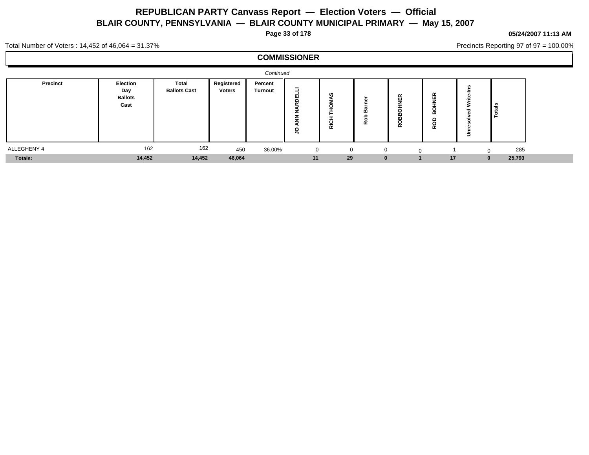**Page 33 of 178**

#### **05/24/2007 11:13 AM**

Precincts Reporting 97 of 97 = 100.00%

Total Number of Voters : 14,452 of 46,064 = 31.37%

|             |                                           |                                     |                             | Continued                 |                |          |                                  |                              |                      |  |
|-------------|-------------------------------------------|-------------------------------------|-----------------------------|---------------------------|----------------|----------|----------------------------------|------------------------------|----------------------|--|
| Precinct    | Election<br>Day<br><b>Ballots</b><br>Cast | <b>Total</b><br><b>Ballots Cast</b> | Registered<br><b>Voters</b> | Percent<br><b>Turnout</b> | $\sim$         | c<br>岸   | $\alpha$<br>$\cdots$<br>$\alpha$ | ш<br>⋒<br>c<br>о<br>$\alpha$ | $\frac{16}{3}$<br>۱ö |  |
| ALLEGHENY 4 | 162                                       | 162                                 | 450                         | 36.00%                    | $\overline{0}$ | $\Omega$ | C                                |                              | 285                  |  |
| Totals:     | 14,452                                    | 14,452                              | 46,064                      |                           | 11             | 29       |                                  | 17                           | 25,793               |  |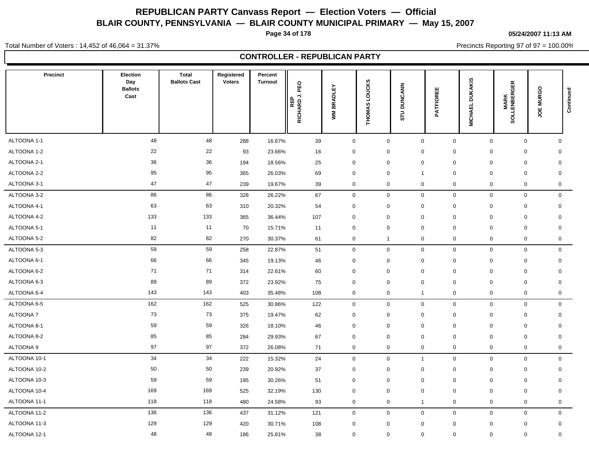**Page 34 of 178**

**05/24/2007 11:13 AM**

Precincts Reporting 97 of 97 = 100.00%

Total Number of Voters : 14,452 of 46,064 = 31.37%

**CONTROLLER - REPUBLICAN PARTY**

| <b>Precinct</b> | Election<br>Day<br><b>Ballots</b><br>Cast | <b>Total</b><br><b>Ballots Cast</b> | Registered<br><b>Voters</b> | Percent<br><b>Turnout</b> | PEO<br>⇒<br>RICHARDJ | <b>BRADLEY</b><br>ŠΜ | THOMAS LOUCKS | <b>DUNCANN</b><br>STU | 뿝<br><b>ATFIOR</b><br>௳ | <b>DUKAKIS</b><br><b>MICHAEL</b> | 띥<br><b>MARK</b><br>SOLLENBERGE | $\circ$<br><b>JOE MURG</b> | Continued |
|-----------------|-------------------------------------------|-------------------------------------|-----------------------------|---------------------------|----------------------|----------------------|---------------|-----------------------|-------------------------|----------------------------------|---------------------------------|----------------------------|-----------|
| ALTOONA 1-1     | 48                                        | 48                                  | 288                         | 16.67%                    | 39                   | $\mathbf 0$          | $\mathsf 0$   | $\boldsymbol{0}$      | $\mathbf 0$             | $\mathbf 0$                      | $\mathbf 0$                     | 0                          |           |
| ALTOONA 1-2     | 22                                        | 22                                  | 93                          | 23.66%                    | 16                   | $\mathbf 0$          | $\mathbf 0$   | $\mathbf 0$           | $\mathbf 0$             | 0                                | $\mathbf 0$                     | $\mathbf 0$                |           |
| ALTOONA 2-1     | 36                                        | 36                                  | 194                         | 18.56%                    | 25                   | 0                    | $\mathbf 0$   | $\boldsymbol{0}$      | $\pmb{0}$               | $\mathbf 0$                      | $\mathbf 0$                     | $\mathbf 0$                |           |
| ALTOONA 2-2     | 95                                        | 95                                  | 365                         | 26.03%                    | 69                   | $\mathbf 0$          | $\mathbf 0$   | $\overline{1}$        | $\mathbf 0$             | $\mathbf 0$                      | $\mathbf 0$                     | $\mathbf 0$                |           |
| ALTOONA 3-1     | 47                                        | 47                                  | 239                         | 19.67%                    | 39                   | $\mathbf 0$          | $\mathbf 0$   | $\boldsymbol{0}$      | $\mathbf 0$             | $\mathbf 0$                      | $\mathbf 0$                     | $\mathbf 0$                |           |
| ALTOONA 3-2     | 86                                        | 86                                  | 328                         | 26.22%                    | 67                   | $\mathbf 0$          | $\mathbf 0$   | $\pmb{0}$             | $\mathbf 0$             | $\mathbf 0$                      | $\mathbf 0$                     | $\mathbf 0$                |           |
| ALTOONA 4-1     | 63                                        | 63                                  | 310                         | 20.32%                    | 54                   | 0                    | $\mathbf 0$   | $\mathbf 0$           | $\mathbf 0$             | $\mathbf 0$                      | $\mathbf 0$                     | $\mathbf 0$                |           |
| ALTOONA 4-2     | 133                                       | 133                                 | 365                         | 36.44%                    | 107                  | $\mathbf 0$          | $\mathbf 0$   | $\mathbf 0$           | $\mathbf 0$             | $\mathbf 0$                      | $\mathbf 0$                     | $\mathbf 0$                |           |
| ALTOONA 5-1     | 11                                        | 11                                  | 70                          | 15.71%                    | 11                   | $\mathbf 0$          | $\mathbf 0$   | $\boldsymbol{0}$      | $\mathbf 0$             | 0                                | $\mathbf 0$                     | $\mathbf 0$                |           |
| ALTOONA 5-2     | 82                                        | 82                                  | 270                         | 30.37%                    | 61                   | 0                    | $\mathbf{1}$  | $\boldsymbol{0}$      | $\pmb{0}$               | $\mathbf 0$                      | $\mathbf 0$                     | 0                          |           |
| ALTOONA 5-3     | 59                                        | 59                                  | 258                         | 22.87%                    | 51                   | $\mathbf 0$          | $\mathbf 0$   | $\mathbf 0$           | $\mathbf 0$             | $\mathbf 0$                      | $\mathbf 0$                     | $\mathbf 0$                |           |
| ALTOONA 6-1     | 66                                        | 66                                  | 345                         | 19.13%                    | 46                   | 0                    | $\mathbf 0$   | $\mathbf 0$           | $\mathbf 0$             | 0                                | 0                               | 0                          |           |
| ALTOONA 6-2     | 71                                        | 71                                  | 314                         | 22.61%                    | 60                   | $\mathbf 0$          | $\mathbf 0$   | $\mathbf 0$           | $\mathbf 0$             | $\mathbf 0$                      | $\mathbf 0$                     | $\mathbf 0$                |           |
| ALTOONA 6-3     | 89                                        | 89                                  | 372                         | 23.92%                    | 75                   | 0                    | $\mathbf 0$   | $\boldsymbol{0}$      | $\mathbf 0$             | $\mathbf 0$                      | $\mathbf 0$                     | $\mathbf 0$                |           |
| ALTOONA 6-4     | 143                                       | 143                                 | 403                         | 35.48%                    | 108                  | 0                    | $\mathbf 0$   | $\mathbf{1}$          | $\mathbf 0$             | $\mathbf 0$                      | $\mathbf 0$                     | 0                          |           |
| ALTOONA 6-5     | 162                                       | 162                                 | 525                         | 30.86%                    | 122                  | 0                    | $\mathsf 0$   | $\boldsymbol{0}$      | $\mathbf 0$             | $\mathbf 0$                      | $\mathbf 0$                     | $\mathbf 0$                |           |
| <b>ALTOONA7</b> | 73                                        | 73                                  | 375                         | 19.47%                    | 62                   | $\pmb{0}$            | $\mathbf 0$   | $\boldsymbol{0}$      | $\mathbf 0$             | $\mathbf 0$                      | $\mathbf 0$                     | $\mathbf 0$                |           |
| ALTOONA 8-1     | 59                                        | 59                                  | 326                         | 18.10%                    | 46                   | 0                    | $\mathbf 0$   | $\mathbf 0$           | $\pmb{0}$               | 0                                | $\mathbf 0$                     | 0                          |           |
| ALTOONA 8-2     | 85                                        | 85                                  | 284                         | 29.93%                    | 67                   | $\mathbf 0$          | $\mathbf 0$   | $\mathbf 0$           | $\mathbf 0$             | 0                                | 0                               | 0                          |           |
| ALTOONA 9       | 97                                        | 97                                  | 372                         | 26.08%                    | 71                   | 0                    | $\mathbf 0$   | $\mathbf 0$           | 0                       | $\mathbf 0$                      | $\mathbf 0$                     | $\mathbf 0$                |           |
| ALTOONA 10-1    | 34                                        | 34                                  | 222                         | 15.32%                    | 24                   | $\mathbf 0$          | $\mathbf 0$   | $\mathbf{1}$          | $\mathbf 0$             | $\mathbf 0$                      | $\mathsf 0$                     | $\mathbf 0$                |           |
| ALTOONA 10-2    | 50                                        | 50                                  | 239                         | 20.92%                    | 37                   | 0                    | $\mathsf 0$   | $\boldsymbol{0}$      | $\pmb{0}$               | $\mathbf 0$                      | $\mathbf 0$                     | $\mathbf 0$                |           |
| ALTOONA 10-3    | 59                                        | 59                                  | 195                         | 30.26%                    | 51                   | $\mathbf 0$          | $\mathbf 0$   | $\mathbf 0$           | $\mathbf 0$             | $\mathbf 0$                      | $\mathbf 0$                     | $\mathbf 0$                |           |
| ALTOONA 10-4    | 169                                       | 169                                 | 525                         | 32.19%                    | 130                  | $\mathbf 0$          | $\mathbf 0$   | $\mathbf 0$           | $\mathbf 0$             | $\mathbf 0$                      | $\mathbf 0$                     | $\mathbf 0$                |           |
| ALTOONA 11-1    | 118                                       | 118                                 | 480                         | 24.58%                    | 93                   | 0                    | $\mathbf 0$   | $\overline{1}$        | 0                       | $\mathbf 0$                      | $\mathbf 0$                     | $\mathbf 0$                |           |
| ALTOONA 11-2    | 136                                       | 136                                 | 437                         | 31.12%                    | 121                  | 0                    | $\mathsf 0$   | $\boldsymbol{0}$      | $\mathbf 0$             | $\mathbf 0$                      | $\mathbf 0$                     | $\mathbf 0$                |           |
| ALTOONA 11-3    | 129                                       | 129                                 | 420                         | 30.71%                    | 108                  | $\mathbf 0$          | $\mathbf 0$   | $\mathbf 0$           | $\mathbf 0$             | 0                                | $\mathbf 0$                     | $\mathbf 0$                |           |
| ALTOONA 12-1    | 48                                        | 48                                  | 186                         | 25.81%                    | 38                   | 0                    | $\mathbf 0$   | $\mathbf 0$           | 0                       | $\mathbf 0$                      | $\mathbf 0$                     | $\mathbf 0$                |           |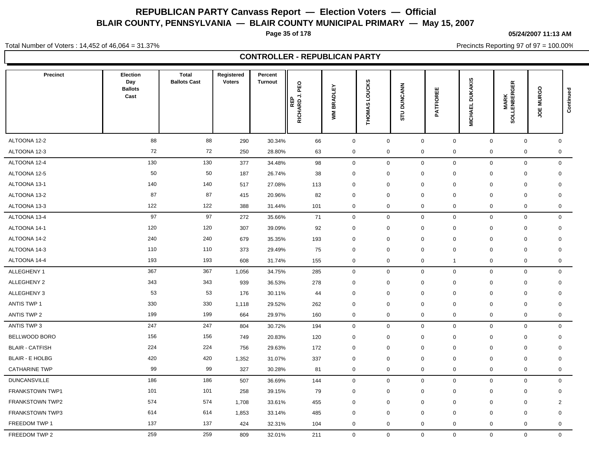**Page 35 of 178**

**05/24/2007 11:13 AM**

Precincts Reporting 97 of 97 = 100.00%

Total Number of Voters : 14,452 of 46,064 = 31.37%

**CONTROLLER - REPUBLICAN PARTY**

| <b>Precinct</b>        | Election<br>Day<br><b>Ballots</b><br>Cast | <b>Total</b><br><b>Ballots Cast</b> | Registered<br><b>Voters</b> | Percent<br><b>Turnout</b> | PEO<br>REP<br>RICHARD J. I | BRADLEY<br>ŠΜ | <b>LOUCKS</b><br><b>THOMAS</b> | <b>DUNCANN</b><br>∍<br>5 | 出<br><b>ATFIORI</b><br>n, | <b>DUKAKIS</b><br><b>MICHAEL</b> | <b>MARK<br/>SOLLENBERGER</b> | <b>JOE MURGO</b> | Continued |
|------------------------|-------------------------------------------|-------------------------------------|-----------------------------|---------------------------|----------------------------|---------------|--------------------------------|--------------------------|---------------------------|----------------------------------|------------------------------|------------------|-----------|
| ALTOONA 12-2           | 88                                        | 88                                  | 290                         | 30.34%                    | 66                         | $\mathsf 0$   | $\mathsf 0$                    | $\mathbf 0$              | $\mathbf 0$               | $\mathbf 0$                      | $\mathbf 0$                  | $\mathbf 0$      |           |
| ALTOONA 12-3           | 72                                        | 72                                  | 250                         | 28.80%                    | 63                         | $\mathbf 0$   | $\mathbf 0$                    | $\mathbf 0$              | 0                         | $\mathbf 0$                      | $\mathbf 0$                  | $\mathbf 0$      |           |
| ALTOONA 12-4           | 130                                       | 130                                 | 377                         | 34.48%                    | 98                         | $\mathbf 0$   | $\mathbf 0$                    | $\mathbf 0$              | $\mathbf 0$               | $\mathbf{0}$                     | $\mathbf 0$                  | $\mathbf 0$      |           |
| ALTOONA 12-5           | 50                                        | 50                                  | 187                         | 26.74%                    | 38                         | $\mathbf 0$   | $\mathbf 0$                    | $\mathbf 0$              | 0                         | $\mathbf 0$                      | $\mathbf 0$                  | $\mathbf 0$      |           |
| ALTOONA 13-1           | 140                                       | 140                                 | 517                         | 27.08%                    | 113                        | $\mathbf 0$   | $\mathbf{0}$                   | $\mathbf 0$              | $\Omega$                  | $\mathbf 0$                      | $\mathbf 0$                  | $\mathbf 0$      |           |
| ALTOONA 13-2           | 87                                        | 87                                  | 415                         | 20.96%                    | 82                         | 0             | $\mathbf 0$                    | $\mathbf 0$              | 0                         | $\mathbf 0$                      | $\mathbf 0$                  | $\mathbf 0$      |           |
| ALTOONA 13-3           | 122                                       | 122                                 | 388                         | 31.44%                    | 101                        | 0             | $\mathbf 0$                    | $\mathbf 0$              | 0                         | $\mathbf 0$                      | 0                            | 0                |           |
| ALTOONA 13-4           | 97                                        | 97                                  | 272                         | 35.66%                    | 71                         | $\mathbf 0$   | $\mathbf 0$                    | $\mathbf 0$              | 0                         | $\mathbf 0$                      | $\mathbf 0$                  | $\mathbf 0$      |           |
| ALTOONA 14-1           | 120                                       | 120                                 | 307                         | 39.09%                    | 92                         | $\mathbf 0$   | $\mathbf 0$                    | $\mathbf 0$              | $\mathbf 0$               | $\mathbf 0$                      | $\mathbf 0$                  | $\mathbf 0$      |           |
| ALTOONA 14-2           | 240                                       | 240                                 | 679                         | 35.35%                    | 193                        | $\mathbf 0$   | $\mathbf 0$                    | $\mathbf 0$              | 0                         | $\mathbf 0$                      | $\mathbf 0$                  | $\mathbf 0$      |           |
| ALTOONA 14-3           | 110                                       | 110                                 | 373                         | 29.49%                    | 75                         | 0             | $\mathbf 0$                    | $\mathbf 0$              | $\mathbf 0$               | $\mathbf 0$                      | $\mathbf 0$                  | $\mathbf 0$      |           |
| ALTOONA 14-4           | 193                                       | 193                                 | 608                         | 31.74%                    | 155                        | $\mathbf 0$   | $\mathbf 0$                    | $\mathbf 0$              | $\mathbf{1}$              | $\mathbf 0$                      | $\mathbf 0$                  | $\mathbf 0$      |           |
| ALLEGHENY 1            | 367                                       | 367                                 | 1,056                       | 34.75%                    | 285                        | $\mathbf 0$   | $\mathsf 0$                    | $\mathbf 0$              | $\mathbf 0$               | $\mathbf{0}$                     | $\mathbf 0$                  | $\mathbf 0$      |           |
| ALLEGHENY 2            | 343                                       | 343                                 | 939                         | 36.53%                    | 278                        | $\mathbf 0$   | $\mathbf 0$                    | $\mathbf 0$              | 0                         | $\mathbf 0$                      | $\mathbf 0$                  | $\mathbf 0$      |           |
| ALLEGHENY 3            | 53                                        | 53                                  | 176                         | 30.11%                    | 44                         | 0             | $\mathbf 0$                    | $\mathbf 0$              | $\mathbf 0$               | $\mathbf 0$                      | $\mathbf 0$                  | $\mathbf 0$      |           |
| <b>ANTIS TWP 1</b>     | 330                                       | 330                                 | 1,118                       | 29.52%                    | 262                        | 0             | $\Omega$                       | $\mathbf 0$              | $\Omega$                  | $\mathbf 0$                      | $\mathbf 0$                  | $\mathbf 0$      |           |
| ANTIS TWP 2            | 199                                       | 199                                 | 664                         | 29.97%                    | 160                        | $\mathbf 0$   | $\mathbf 0$                    | $\mathbf 0$              | 0                         | $\mathbf 0$                      | $\mathbf 0$                  | $\mathbf 0$      |           |
| ANTIS TWP 3            | 247                                       | 247                                 | 804                         | 30.72%                    | 194                        | $\mathbf 0$   | $\mathbf 0$                    | $\mathbf 0$              | 0                         | $\mathbf 0$                      | $\mathbf 0$                  | $\mathbf 0$      |           |
| BELLWOOD BORO          | 156                                       | 156                                 | 749                         | 20.83%                    | 120                        | $\mathbf 0$   | $\mathbf 0$                    | $\mathbf 0$              | 0                         | $\mathbf 0$                      | $\mathbf 0$                  | $\mathbf 0$      |           |
| <b>BLAIR - CATFISH</b> | 224                                       | 224                                 | 756                         | 29.63%                    | 172                        | $\mathbf 0$   | $\mathbf 0$                    | $\mathbf 0$              | 0                         | $\mathbf 0$                      | $\mathbf 0$                  | $\mathbf 0$      |           |
| <b>BLAIR - E HOLBG</b> | 420                                       | 420                                 | 1,352                       | 31.07%                    | 337                        | $\mathbf 0$   | $\mathbf 0$                    | $\mathbf 0$              | 0                         | $\mathbf 0$                      | $\mathbf 0$                  | $\mathbf 0$      |           |
| <b>CATHARINE TWP</b>   | 99                                        | 99                                  | 327                         | 30.28%                    | 81                         | $\mathbf 0$   | $\mathbf 0$                    | $\mathbf 0$              | 0                         | $\mathbf 0$                      | $\mathbf 0$                  | $\mathbf 0$      |           |
| <b>DUNCANSVILLE</b>    | 186                                       | 186                                 | 507                         | 36.69%                    | 144                        | $\mathbf 0$   | $\mathbf 0$                    | $\mathbf 0$              | $\mathbf 0$               | $\mathbf 0$                      | $\mathbf 0$                  | $\mathbf 0$      |           |
| FRANKSTOWN TWP1        | 101                                       | 101                                 | 258                         | 39.15%                    | 79                         | 0             | $\mathbf 0$                    | $\mathbf 0$              | $\Omega$                  | $\mathbf 0$                      | $\mathbf 0$                  | $\mathbf 0$      |           |
| <b>FRANKSTOWN TWP2</b> | 574                                       | 574                                 | 1,708                       | 33.61%                    | 455                        | $\mathbf 0$   | $\mathbf 0$                    | $\mathbf 0$              | 0                         | $\mathbf 0$                      | $\mathbf 0$                  | $\overline{2}$   |           |
| <b>FRANKSTOWN TWP3</b> | 614                                       | 614                                 | 1,853                       | 33.14%                    | 485                        | 0             | $\mathbf 0$                    | $\mathbf 0$              | $\mathbf 0$               | $\mathbf 0$                      | $\mathbf 0$                  | $\mathbf 0$      |           |
| FREEDOM TWP 1          | 137                                       | 137                                 | 424                         | 32.31%                    | 104                        | $\mathbf 0$   | $\mathbf 0$                    | $\mathbf 0$              | $\mathbf 0$               | $\mathbf 0$                      | 0                            | $\mathbf 0$      |           |
| FREEDOM TWP 2          | 259                                       | 259                                 | 809                         | 32.01%                    | 211                        | $\mathbf{0}$  | $\mathbf 0$                    | $\mathbf 0$              | $\mathbf{0}$              | $\mathbf{0}$                     | $\overline{0}$               | $\mathbf 0$      |           |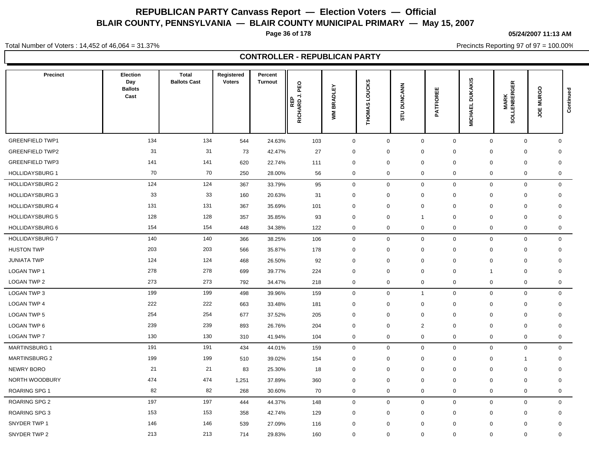**Page 36 of 178**

**05/24/2007 11:13 AM**

Precincts Reporting 97 of 97 = 100.00%

Total Number of Voters : 14,452 of 46,064 = 31.37%

**CONTROLLER - REPUBLICAN PARTY**

| <b>Precinct</b>        | Election<br>Day<br><b>Ballots</b><br>Cast | <b>Total</b><br><b>Ballots Cast</b> | Registered<br><b>Voters</b> | Percent<br><b>Turnout</b> | PEO<br>⇒<br>RICHARDJ | <b>BRADLEY</b><br>ŠΜ | <b>THOMAS LOUCKS</b> | <b>DUNCANN</b><br>STU | Ш<br><b>ATFIOR</b><br>௳ | <b>DUKAKIS</b><br><b>MICHAEL</b> | <b>MARK<br/>SOLLENBERGER</b> | <b>JOE MURGO</b> | Continued   |
|------------------------|-------------------------------------------|-------------------------------------|-----------------------------|---------------------------|----------------------|----------------------|----------------------|-----------------------|-------------------------|----------------------------------|------------------------------|------------------|-------------|
| <b>GREENFIELD TWP1</b> | 134                                       | 134                                 | 544                         | 24.63%                    | 103                  | $\mathbf 0$          | $\mathbf 0$          | $\mathbf 0$           | $\mathbf 0$             | $\mathbf 0$                      | $\mathbf 0$                  |                  | $\mathbf 0$ |
| <b>GREENFIELD TWP2</b> | 31                                        | 31                                  | 73                          | 42.47%                    | 27                   | 0                    | $\mathbf 0$          | $\mathbf 0$           | $\mathbf 0$             | $\mathbf 0$                      | $\mathbf 0$                  | 0                |             |
| <b>GREENFIELD TWP3</b> | 141                                       | 141                                 | 620                         | 22.74%                    | 111                  | $\mathbf 0$          | $\mathbf 0$          | $\mathbf 0$           | $\mathbf 0$             | $\mathbf 0$                      | $\mathbf 0$                  | $\mathbf 0$      |             |
| <b>HOLLIDAYSBURG 1</b> | 70                                        | 70                                  | 250                         | 28.00%                    | 56                   | 0                    | $\mathsf 0$          | $\boldsymbol{0}$      | 0                       | $\mathbf 0$                      | $\mathbf 0$                  |                  | $\mathbf 0$ |
| <b>HOLLIDAYSBURG 2</b> | 124                                       | 124                                 | 367                         | 33.79%                    | 95                   | $\mathbf 0$          | $\mathbf 0$          | $\mathbf 0$           | $\mathbf 0$             | $\mathbf 0$                      | $\mathbf 0$                  |                  | $\mathbf 0$ |
| <b>HOLLIDAYSBURG 3</b> | 33                                        | 33                                  | 160                         | 20.63%                    | 31                   | $\pmb{0}$            | $\mathbf 0$          | $\mathbf 0$           | $\pmb{0}$               | $\mathbf 0$                      | $\mathbf 0$                  | $\mathbf 0$      |             |
| <b>HOLLIDAYSBURG 4</b> | 131                                       | 131                                 | 367                         | 35.69%                    | 101                  | $\mathbf 0$          | $\mathbf 0$          | $\mathbf 0$           | $\mathbf 0$             | $\mathbf 0$                      | $\mathbf 0$                  | $\mathbf 0$      |             |
| <b>HOLLIDAYSBURG 5</b> | 128                                       | 128                                 | 357                         | 35.85%                    | 93                   | $\mathbf 0$          | $\mathbf 0$          | $\overline{1}$        | $\mathbf 0$             | 0                                | $\mathbf 0$                  | $\mathbf 0$      |             |
| <b>HOLLIDAYSBURG 6</b> | 154                                       | 154                                 | 448                         | 34.38%                    | 122                  | 0                    | $\mathsf 0$          | $\boldsymbol{0}$      | 0                       | $\mathbf 0$                      | $\mathbf 0$                  |                  | $\mathbf 0$ |
| <b>HOLLIDAYSBURG 7</b> | 140                                       | 140                                 | 366                         | 38.25%                    | 106                  | $\mathbf 0$          | $\mathbf 0$          | $\mathbf 0$           | $\mathbf 0$             | $\mathbf 0$                      | $\mathbf 0$                  |                  | $\mathbf 0$ |
| <b>HUSTON TWP</b>      | 203                                       | 203                                 | 566                         | 35.87%                    | 178                  | $\mathbf 0$          | $\mathbf 0$          | $\mathbf 0$           | $\mathbf 0$             | $\mathbf 0$                      | $\mathbf 0$                  | $\mathbf 0$      |             |
| <b>JUNIATA TWP</b>     | 124                                       | 124                                 | 468                         | 26.50%                    | 92                   | $\mathbf 0$          | $\mathbf 0$          | $\mathbf 0$           | $\mathbf 0$             | $\Omega$                         | $\mathbf 0$                  | $\mathbf 0$      |             |
| <b>LOGAN TWP 1</b>     | 278                                       | 278                                 | 699                         | 39.77%                    | 224                  | $\Omega$             | $\mathbf 0$          | $\mathbf 0$           | $\mathbf 0$             |                                  | $\mathbf 0$                  | $\mathbf 0$      |             |
| LOGAN TWP 2            | 273                                       | 273                                 | 792                         | 34.47%                    | 218                  | 0                    | $\mathbf 0$          | $\mathbf 0$           | $\mathbf 0$             | $\mathbf 0$                      | $\mathbf 0$                  |                  | $\mathbf 0$ |
| LOGAN TWP 3            | 199                                       | 199                                 | 498                         | 39.96%                    | 159                  | $\mathbf 0$          | $\mathbf 0$          | $\overline{1}$        | $\mathbf 0$             | $\mathbf 0$                      | $\mathbf 0$                  |                  | $\mathbf 0$ |
| <b>LOGAN TWP 4</b>     | 222                                       | 222                                 | 663                         | 33.48%                    | 181                  | $\mathbf 0$          | $\mathbf 0$          | $\mathbf 0$           | $\mathbf 0$             | $\mathbf 0$                      | $\mathbf 0$                  | $\mathbf 0$      |             |
| <b>LOGAN TWP 5</b>     | 254                                       | 254                                 | 677                         | 37.52%                    | 205                  | 0                    | $\mathbf 0$          | 0                     | 0                       | $\mathbf 0$                      | 0                            | 0                |             |
| LOGAN TWP 6            | 239                                       | 239                                 | 893                         | 26.76%                    | 204                  | $\mathbf 0$          | $\mathbf 0$          | $\overline{2}$        | $\mathbf 0$             | $\mathbf 0$                      | $\mathbf 0$                  | $\mathbf 0$      |             |
| <b>LOGAN TWP 7</b>     | 130                                       | 130                                 | 310                         | 41.94%                    | 104                  | 0                    | $\mathsf 0$          | $\mathbf 0$           | 0                       | $\mathbf 0$                      | $\mathbf 0$                  |                  | $\mathbf 0$ |
| <b>MARTINSBURG 1</b>   | 191                                       | 191                                 | 434                         | 44.01%                    | 159                  | $\mathbf 0$          | $\mathbf 0$          | $\mathbf 0$           | $\mathbf 0$             | $\mathbf 0$                      | $\mathbf 0$                  |                  | $\mathbf 0$ |
| <b>MARTINSBURG 2</b>   | 199                                       | 199                                 | 510                         | 39.02%                    | 154                  | $\pmb{0}$            | $\mathsf 0$          | $\mathbf 0$           | $\mathbf 0$             | $\mathbf 0$                      | $\mathbf{1}$                 | $\mathbf 0$      |             |
| NEWRY BORO             | 21                                        | 21                                  | 83                          | 25.30%                    | 18                   | $\mathbf 0$          | $\mathbf 0$          | $\mathbf 0$           | $\mathbf 0$             | $\Omega$                         | $\mathbf 0$                  | $\mathbf 0$      |             |
| NORTH WOODBURY         | 474                                       | 474                                 | 1,251                       | 37.89%                    | 360                  | $\mathbf 0$          | $\mathbf 0$          | $\mathbf 0$           | $\mathbf 0$             | $\mathbf 0$                      | $\mathbf 0$                  | $\mathbf 0$      |             |
| <b>ROARING SPG 1</b>   | 82                                        | 82                                  | 268                         | 30.60%                    | 70                   | 0                    | $\mathbf 0$          | $\mathbf 0$           | 0                       | $\mathbf 0$                      | $\mathbf 0$                  |                  | $\mathbf 0$ |
| <b>ROARING SPG 2</b>   | 197                                       | 197                                 | 444                         | 44.37%                    | 148                  | 0                    | $\mathbf 0$          | $\mathbf 0$           | $\mathbf 0$             | $\mathbf 0$                      | $\mathbf 0$                  |                  | $\mathbf 0$ |
| <b>ROARING SPG 3</b>   | 153                                       | 153                                 | 358                         | 42.74%                    | 129                  | $\mathbf 0$          | $\mathbf 0$          | $\mathbf 0$           | $\mathbf 0$             | $\mathbf 0$                      | $\mathbf 0$                  | $\mathbf 0$      |             |
| SNYDER TWP 1           | 146                                       | 146                                 | 539                         | 27.09%                    | 116                  | $\mathbf 0$          | $\mathbf 0$          | $\mathbf 0$           | $\mathbf 0$             | $\Omega$                         | $\mathbf 0$                  | $\mathbf 0$      |             |
| SNYDER TWP 2           | 213                                       | 213                                 | 714                         | 29.83%                    | 160                  | $\mathbf{0}$         | $\mathbf 0$          | $\mathbf 0$           | $\mathbf{0}$            | $\mathbf 0$                      | $\mathbf 0$                  | $\mathbf 0$      |             |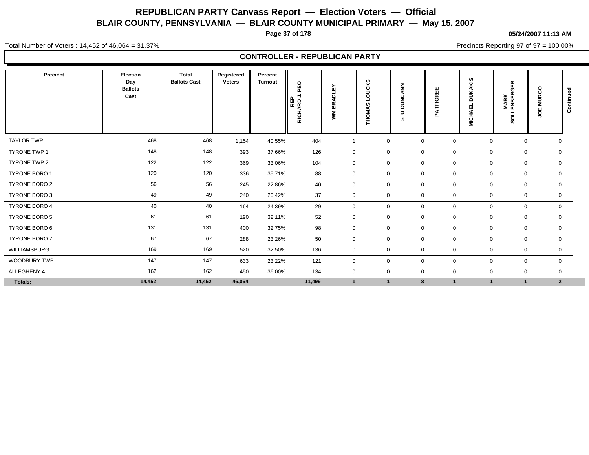**Page 37 of 178**

**05/24/2007 11:13 AM**

Precincts Reporting 97 of 97 = 100.00%

Total Number of Voters : 14,452 of 46,064 = 31.37%

**CONTROLLER - REPUBLICAN PARTY**

| Precinct             | Election<br>Day<br><b>Ballots</b><br>Cast | <b>Total</b><br><b>Ballots Cast</b> | Registered<br><b>Voters</b> | Percent<br><b>Turnout</b> | PEO<br>$\overline{ }$<br>REP<br>RICHARD | ш<br>ᅙ<br>∢<br>œ<br>$\bf{m}$<br>Š | OUCKS<br>S.<br><b>THOMA:</b> | $\frac{z}{z}$<br>₫<br>$\epsilon$<br>ž<br>∍<br>$\circ$<br>∍<br>5 | ш<br>ш<br>$\sim$<br><b>ATFIO</b><br><b>n</b> | <b>DUKAKIS</b><br>┙<br><b>MICHAEI</b> | <b>GER</b><br><b>MARK</b><br>Lenber<br>š | $\circ$<br><b>MURG</b><br>ğ | ರ<br>ontinue<br>ن |
|----------------------|-------------------------------------------|-------------------------------------|-----------------------------|---------------------------|-----------------------------------------|-----------------------------------|------------------------------|-----------------------------------------------------------------|----------------------------------------------|---------------------------------------|------------------------------------------|-----------------------------|-------------------|
| <b>TAYLOR TWP</b>    | 468                                       | 468                                 | 1,154                       | 40.55%                    | 404                                     |                                   | $\mathbf 0$                  | $\mathbf 0$                                                     | 0                                            | $\mathbf 0$                           | $\mathbf 0$                              | 0                           |                   |
| <b>TYRONE TWP 1</b>  | 148                                       | 148                                 | 393                         | 37.66%                    | 126                                     | $\mathbf 0$                       | $\mathbf 0$                  | $\mathbf 0$                                                     | 0                                            | $\mathbf 0$                           | 0                                        | $\mathbf 0$                 |                   |
| TYRONE TWP 2         | 122                                       | 122                                 | 369                         | 33.06%                    | 104                                     | $\mathbf 0$                       | $\mathbf 0$                  | $\mathbf 0$                                                     | 0                                            | 0                                     | 0                                        | 0                           |                   |
| TYRONE BORO 1        | 120                                       | 120                                 | 336                         | 35.71%                    | 88                                      | 0                                 | $\mathbf 0$                  | $\mathbf 0$                                                     | 0                                            | $\mathbf 0$                           | 0                                        | $\mathbf 0$                 |                   |
| <b>TYRONE BORO 2</b> | 56                                        | 56                                  | 245                         | 22.86%                    | 40                                      | 0                                 | $\mathbf 0$                  | $\mathbf 0$                                                     | 0                                            | $\mathbf 0$                           | 0                                        | 0                           |                   |
| TYRONE BORO 3        | 49                                        | 49                                  | 240                         | 20.42%                    | 37                                      | 0                                 | $\mathbf 0$                  | $\mathbf 0$                                                     | 0                                            | 0                                     | 0                                        | 0                           |                   |
| TYRONE BORO 4        | 40                                        | 40                                  | 164                         | 24.39%                    | 29                                      | 0                                 | $\mathbf 0$                  | $\mathbf 0$                                                     | 0                                            | $\mathbf 0$                           | 0                                        | $\mathbf 0$                 |                   |
| <b>TYRONE BORO 5</b> | 61                                        | 61                                  | 190                         | 32.11%                    | 52                                      | 0                                 | $\mathbf 0$                  | $\mathbf 0$                                                     | 0                                            | $\mathbf 0$                           | 0                                        | $\mathbf 0$                 |                   |
| TYRONE BORO 6        | 131                                       | 131                                 | 400                         | 32.75%                    | 98                                      | 0                                 | $\mathbf 0$                  | 0                                                               | 0                                            | $\mathbf 0$                           | 0                                        | 0                           |                   |
| TYRONE BORO 7        | 67                                        | 67                                  | 288                         | 23.26%                    | 50                                      | 0                                 | $\mathbf 0$                  | $\mathbf 0$                                                     | 0                                            | $\mathbf 0$                           | 0                                        | 0                           |                   |
| WILLIAMSBURG         | 169                                       | 169                                 | 520                         | 32.50%                    | 136                                     | $\mathbf 0$                       | $\mathbf 0$                  | $\mathbf 0$                                                     | 0                                            | 0                                     | 0                                        | $\mathbf 0$                 |                   |
| <b>WOODBURY TWP</b>  | 147                                       | 147                                 | 633                         | 23.22%                    | 121                                     | $\mathbf 0$                       | $\mathbf 0$                  | $\mathbf 0$                                                     | 0                                            | $\mathbf 0$                           | 0                                        | $\mathbf 0$                 |                   |
| ALLEGHENY 4          | 162                                       | 162                                 | 450                         | 36.00%                    | 134                                     | 0                                 | $\mathbf 0$                  | $\mathbf 0$                                                     | 0                                            | $\mathbf 0$                           | 0                                        | 0                           |                   |
| Totals:              | 14,452                                    | 14,452                              | 46,064                      |                           | 11,499                                  | $\mathbf{1}$                      | $\overline{\mathbf{1}}$      | 8                                                               | $\mathbf{1}$                                 | $\mathbf 1$                           |                                          | $\overline{2}$              |                   |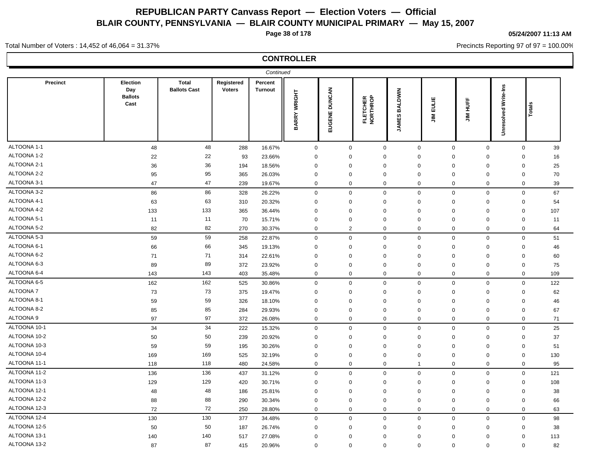**Page 38 of 178**

**05/24/2007 11:13 AM**

Precincts Reporting 97 of 97 = 100.00%

#### Total Number of Voters : 14,452 of 46,064 = 31.37%

## **CONTROLLER**

|              |                                           |                                     |                             | Continued                 |              |                |                      |                                |                           |                  |                             |       |  |
|--------------|-------------------------------------------|-------------------------------------|-----------------------------|---------------------------|--------------|----------------|----------------------|--------------------------------|---------------------------|------------------|-----------------------------|-------|--|
| Precinct     | Election<br>Day<br><b>Ballots</b><br>Cast | <b>Total</b><br><b>Ballots Cast</b> | Registered<br><b>Voters</b> | Percent<br><b>Turnout</b> | BARRY WRIGHT | EUGENE DUNCAN  | FLETCHER<br>NORTHROP | <b>BALDWIN</b><br><b>JAMES</b> | EULIE<br>$\sum_{i=1}^{n}$ | <b>JIM HUFF</b>  | <b>Unresolved Write-Ins</b> | Total |  |
| ALTOONA 1-1  | 48                                        | 48                                  | 288                         | 16.67%                    | $\mathbf 0$  | $\mathbf 0$    | $\mathbf 0$          | $\mathbf 0$                    | $\mathbf 0$               | $\mathbf 0$      | $\mathbf 0$                 | 39    |  |
| ALTOONA 1-2  | 22                                        | 22                                  | 93                          | 23.66%                    | $\mathbf 0$  | $\mathbf 0$    | 0                    | $\mathbf 0$                    | $\mathbf 0$               | $\mathbf 0$      | $\mathbf 0$                 | 16    |  |
| ALTOONA 2-1  | 36                                        | 36                                  | 194                         | 18.56%                    | $\mathbf 0$  | $\mathbf 0$    | 0                    | $\mathbf 0$                    | $\mathbf 0$               | $\mathbf 0$      | $\mathbf 0$                 | 25    |  |
| ALTOONA 2-2  | 95                                        | 95                                  | 365                         | 26.03%                    | $\mathbf 0$  | $\mathbf 0$    | 0                    | $\mathbf 0$                    | $\mathbf 0$               | $\mathbf 0$      | $\mathbf 0$                 | 70    |  |
| ALTOONA 3-1  | 47                                        | 47                                  | 239                         | 19.67%                    | $\mathbf 0$  | $\mathbf 0$    | $\mathbf{0}$         | $\mathbf 0$                    | $\mathbf 0$               | $\pmb{0}$        | $\mathbf 0$                 | 39    |  |
| ALTOONA 3-2  | 86                                        | 86                                  | 328                         | 26.22%                    | $\mathbf 0$  | $\mathbf 0$    | 0                    | $\mathbf 0$                    | $\mathbf 0$               | $\mathbf 0$      | $\mathbf 0$                 | 67    |  |
| ALTOONA 4-1  | 63                                        | 63                                  | 310                         | 20.32%                    | $\mathbf 0$  | 0              | 0                    | $\mathbf 0$                    | $\mathbf 0$               | $\mathbf 0$      | $\mathbf 0$                 | 54    |  |
| ALTOONA 4-2  | 133                                       | 133                                 | 365                         | 36.44%                    | $\mathbf 0$  | $\mathbf 0$    | $\mathbf 0$          | $\mathbf 0$                    | $\mathbf 0$               | $\mathbf 0$      | $\mathbf 0$                 | 107   |  |
| ALTOONA 5-1  | 11                                        | 11                                  | 70                          | 15.71%                    | $\mathbf 0$  | $\mathbf 0$    | 0                    | $\mathbf 0$                    | $\mathbf 0$               | $\mathbf 0$      | $\mathbf 0$                 | 11    |  |
| ALTOONA 5-2  | 82                                        | 82                                  | 270                         | 30.37%                    | $\mathbf 0$  | $\overline{2}$ | 0                    | $\mathbf 0$                    | $\mathbf 0$               | $\mathbf 0$      | $\mathbf 0$                 | 64    |  |
| ALTOONA 5-3  | 59                                        | 59                                  | 258                         | 22.87%                    | $\mathbf 0$  | $\mathbf 0$    | $\mathbf 0$          | $\mathbf 0$                    | $\mathsf 0$               | $\mathbf 0$      | $\mathbf 0$                 | 51    |  |
| ALTOONA 6-1  | 66                                        | 66                                  | 345                         | 19.13%                    | $\mathbf 0$  | $\mathbf 0$    | 0                    | $\mathbf 0$                    | $\Omega$                  | $\mathbf 0$      | $\mathbf 0$                 | 46    |  |
| ALTOONA 6-2  | 71                                        | 71                                  | 314                         | 22.61%                    | $\mathbf 0$  | $\mathbf 0$    | 0                    | $\mathbf 0$                    | $\mathbf 0$               | $\boldsymbol{0}$ | $\mathbf 0$                 | 60    |  |
| ALTOONA 6-3  | 89                                        | 89                                  | 372                         | 23.92%                    | $\mathbf 0$  | $\mathbf 0$    | 0                    | $\mathbf 0$                    | $\Omega$                  | $\mathbf 0$      | $\mathbf 0$                 | 75    |  |
| ALTOONA 6-4  | 143                                       | 143                                 | 403                         | 35.48%                    | $\mathbf 0$  | $\mathbf 0$    | 0                    | $\mathbf 0$                    | $\mathbf 0$               | $\mathbf 0$      | $\mathbf 0$                 | 109   |  |
| ALTOONA 6-5  | 162                                       | 162                                 | 525                         | 30.86%                    | $\mathbf 0$  | $\mathbf 0$    | $\mathbf 0$          | $\mathsf 0$                    | $\mathsf 0$               | $\mathbf 0$      | $\mathbf 0$                 | 122   |  |
| ALTOONA 7    | 73                                        | 73                                  | 375                         | 19.47%                    | $\mathbf 0$  | $\mathbf 0$    | 0                    | $\mathbf 0$                    | $\mathbf 0$               | $\mathbf 0$      | $\mathbf 0$                 | 62    |  |
| ALTOONA 8-1  | 59                                        | 59                                  | 326                         | 18.10%                    | $\mathbf 0$  | $\mathbf 0$    | 0                    | $\mathbf 0$                    | $\mathbf 0$               | $\mathbf 0$      | $\mathbf 0$                 | 46    |  |
| ALTOONA 8-2  | 85                                        | 85                                  | 284                         | 29.93%                    | $\mathbf 0$  | $\mathbf 0$    | 0                    | $\mathbf 0$                    | $\mathbf 0$               | $\mathbf 0$      | $\mathbf 0$                 | 67    |  |
| ALTOONA 9    | 97                                        | 97                                  | 372                         | 26.08%                    | $\mathbf 0$  | $\mathbf 0$    | $\mathbf 0$          | $\Omega$                       | $\mathbf 0$               | $\mathbf 0$      | $\mathbf 0$                 | 71    |  |
| ALTOONA 10-1 | 34                                        | 34                                  | 222                         | 15.32%                    | $\mathbf 0$  | $\mathbf 0$    | $\mathbf 0$          | $\mathbf 0$                    | $\mathbf 0$               | $\mathbf 0$      | $\mathsf{O}\xspace$         | 25    |  |
| ALTOONA 10-2 | 50                                        | 50                                  | 239                         | 20.92%                    | $\mathbf 0$  | 0              | 0                    | $\overline{0}$                 | $\Omega$                  | $\mathbf 0$      | $\mathbf 0$                 | 37    |  |
| ALTOONA 10-3 | 59                                        | 59                                  | 195                         | 30.26%                    | $\mathbf 0$  | 0              | 0                    | $\overline{0}$                 | $\mathbf 0$               | $\mathbf 0$      | $\mathbf 0$                 | 51    |  |
| ALTOONA 10-4 | 169                                       | 169                                 | 525                         | 32.19%                    | $\mathbf 0$  | 0              | 0                    | $\mathbf 0$                    | 0                         | $\mathbf 0$      | $\mathbf 0$                 | 130   |  |
| ALTOONA 11-1 | 118                                       | 118                                 | 480                         | 24.58%                    | $\mathbf 0$  | $\mathbf 0$    | 0                    | 1                              | $\mathbf 0$               | $\mathbf 0$      | $\mathbf 0$                 | 95    |  |
| ALTOONA 11-2 | 136                                       | 136                                 | 437                         | 31.12%                    | $\mathbf 0$  | $\mathbf 0$    | 0                    | $\mathbf 0$                    | $\mathbf 0$               | $\mathbf 0$      | $\mathbf 0$                 | 121   |  |
| ALTOONA 11-3 | 129                                       | 129                                 | 420                         | 30.71%                    | $\mathbf 0$  | $\mathbf 0$    | 0                    | $\mathbf 0$                    | $\Omega$                  | $\mathbf 0$      | $\mathbf 0$                 | 108   |  |
| ALTOONA 12-1 | 48                                        | 48                                  | 186                         | 25.81%                    | $\mathbf 0$  | $\mathbf 0$    | 0                    | $\overline{0}$                 | $\mathbf 0$               | $\mathbf 0$      | $\mathbf 0$                 | 38    |  |
| ALTOONA 12-2 | 88                                        | 88                                  | 290                         | 30.34%                    | $\mathbf 0$  | $\mathbf 0$    | 0                    | $\mathbf 0$                    | $\Omega$                  | $\mathbf 0$      | $\mathbf 0$                 | 66    |  |
| ALTOONA 12-3 | 72                                        | 72                                  | 250                         | 28.80%                    | $\mathbf 0$  | $\mathbf 0$    | 0                    | $\mathbf 0$                    | $\mathbf 0$               | $\mathbf 0$      | $\mathbf 0$                 | 63    |  |
| ALTOONA 12-4 | 130                                       | 130                                 | 377                         | 34.48%                    | $\mathbf 0$  | $\mathbf 0$    | 0                    | $\mathbf 0$                    | $\mathbf 0$               | $\mathbf 0$      | $\mathbf 0$                 | 98    |  |
| ALTOONA 12-5 | 50                                        | 50                                  | 187                         | 26.74%                    | $\mathbf 0$  | $\mathbf 0$    | 0                    | $\mathbf 0$                    | $\mathbf 0$               | $\mathbf 0$      | $\mathbf 0$                 | 38    |  |
| ALTOONA 13-1 | 140                                       | 140                                 | 517                         | 27.08%                    | $\mathbf 0$  | $\mathbf 0$    | 0                    | $\mathbf 0$                    | $\mathbf 0$               | $\mathbf 0$      | $\mathbf 0$                 | 113   |  |
| ALTOONA 13-2 | 87                                        | 87                                  | 415                         | 20.96%                    | $\mathbf 0$  | $\mathbf 0$    | 0                    | $\mathbf 0$                    | $\mathbf 0$               | $\mathbf 0$      | $\mathbf 0$                 | 82    |  |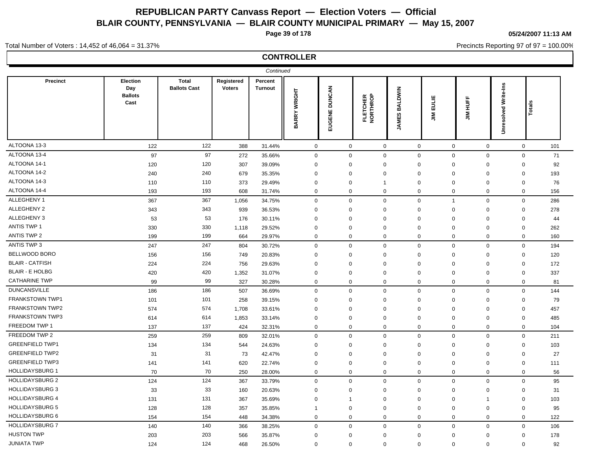**Page 39 of 178**

**05/24/2007 11:13 AM**

Precincts Reporting 97 of 97 = 100.00%

#### Total Number of Voters : 14,452 of 46,064 = 31.37%

## **CONTROLLER**

| Precinct<br>Election<br><b>Total</b><br>Registered<br>Percent<br><b>Unresolved Write-Ins</b><br><b>DUNCAN</b><br>Day<br><b>Ballots Cast</b><br><b>Voters</b><br><b>BALDWIN</b><br><b>Turnout</b><br><b>BARRY WRIGHT</b><br><b>Ballots</b><br>FLETCHER<br>NORTHROP<br><b>JIM EULIE</b><br><b>JIM HUFF</b><br>Cast<br>Total<br>EUGENE<br><b>JAMES</b><br>122<br>122<br>$\mathsf 0$<br>$\mathsf 0$<br>388<br>31.44%<br>$\mathbf 0$<br>$\mathbf 0$<br>$\mathbf 0$<br>$\mathbf 0$<br>$\mathbf 0$<br>101<br>97<br>97<br>$\mathbf 0$<br>$\mathbf 0$<br>$\mathbf 0$<br>$\boldsymbol{0}$<br>$\mathbf 0$<br>71<br>272<br>35.66%<br>$\mathbf 0$<br>$\mathbf 0$<br>120<br>120<br>307<br>39.09%<br>92<br>$\mathbf 0$<br>$\mathbf 0$<br>$\mathbf 0$<br>$\mathbf 0$<br>$\mathbf 0$<br>$\mathbf 0$<br>0<br>240<br>240<br>679<br>35.35%<br>$\mathbf 0$<br>$\mathbf 0$<br>$\mathbf 0$<br>193<br>$\mathbf 0$<br>$\mathbf 0$<br>$\mathbf 0$<br>$\mathbf 0$<br>110<br>$\mathbf 0$<br>$\mathbf 0$<br>76<br>110<br>373<br>29.49%<br>$\mathbf 0$<br>$\mathbf 0$<br>$\mathbf 0$<br>$\Omega$<br>$\overline{1}$<br>193<br>193<br>$\mathsf 0$<br>$\mathbf 0$<br>$\mathbf 0$<br>$\mathbf 0$<br>$\mathbf 0$<br>156<br>608<br>31.74%<br>$\mathbf 0$<br>0<br>367<br>$\mathbf 0$<br>367<br>$\mathbf 0$<br>$\mathbf 0$<br>$\mathbf 0$<br>$\mathbf 0$<br>$\mathbf 0$<br>286<br>1,056<br>34.75%<br>$\overline{1}$<br>343<br>343<br>939<br>36.53%<br>$\mathbf 0$<br>$\mathbf 0$<br>$\mathbf 0$<br>$\mathbf 0$<br>$\mathbf 0$<br>$\mathbf 0$<br>$\mathbf 0$<br>278<br>53<br>53<br>176<br>30.11%<br>$\mathbf 0$<br>$\mathbf 0$<br>$\mathbf 0$<br>$\mathbf 0$<br>$\mathbf 0$<br>$\mathbf 0$<br>$\mathbf 0$<br>44<br>330<br>330<br>29.52%<br>$\Omega$<br>$\mathbf 0$<br>$\mathbf 0$<br>$\mathbf 0$<br>$\Omega$<br>$\mathbf 0$<br>$\mathbf 0$<br>262<br>1,118<br>199<br>199<br>664<br>29.97%<br>0<br>$\mathbf 0$<br>$\mathbf 0$<br>$\Omega$<br>0<br>$\mathbf 0$<br>$\mathbf 0$<br>160<br>$\mathbf 0$<br>247<br>247<br>$\mathbf 0$<br>$\mathbf 0$<br>$\mathbf 0$<br>$\mathbf 0$<br>$\mathbf 0$<br>$\mathbf 0$<br>194<br>804<br>30.72%<br>156<br>156<br>20.83%<br>$\mathbf 0$<br>$\mathbf 0$<br>$\mathbf 0$<br>120<br>749<br>$\mathbf 0$<br>$\mathbf 0$<br>$\mathbf 0$<br>$\mathbf 0$<br>224<br>224<br>756<br>29.63%<br>$\mathbf 0$<br>$\mathbf 0$<br>$\mathbf 0$<br>172<br>$\mathbf 0$<br>$\mathbf 0$<br>$\mathbf 0$<br>0<br>420<br>420<br>$\mathbf 0$<br>$\mathbf 0$<br>337<br>1,352<br>31.07%<br>$\mathbf 0$<br>$\mathbf 0$<br>$\Omega$<br>$\mathbf 0$<br>0<br>99<br>99<br>327<br>$\mathbf 0$<br>$\mathbf 0$<br>$\mathbf 0$<br>$\mathbf 0$<br>81<br>30.28%<br>$\mathbf 0$<br>$\mathbf 0$<br>$\mathbf 0$<br>$\mathsf 0$<br>144<br>186<br>186<br>$\Omega$<br>$\mathbf 0$<br>$\mathbf 0$<br>$\mathbf 0$<br>$\mathbf 0$<br>$\mathbf 0$<br>507<br>36.69%<br>101<br>101<br>258<br>39.15%<br>$\mathbf 0$<br>$\mathbf 0$<br>$\mathbf 0$<br>$\mathbf 0$<br>$\mathbf 0$<br>$\mathbf 0$<br>$\mathbf 0$<br>79<br>574<br>574<br>1,708<br>33.61%<br>$\mathbf 0$<br>$\mathbf 0$<br>$\mathbf 0$<br>$\mathbf 0$<br>$\mathbf 0$<br>$\mathbf 0$<br>$\mathbf 0$<br>457<br>614<br>614<br>1,853<br>33.14%<br>$\mathbf 0$<br>$\mathbf 0$<br>$\mathbf 0$<br>$\mathbf 0$<br>$\mathbf 0$<br>$\mathbf 0$<br>$\mathbf 0$<br>485<br>137<br>137<br>424<br>32.31%<br>0<br>$\mathbf 0$<br>$\mathbf 0$<br>$\Omega$<br>0<br>$\mathbf 0$<br>$\mathbf 0$<br>104<br>259<br>259<br>$\mathbf 0$<br>$\mathbf 0$<br>$\mathbf 0$<br>$\mathbf 0$<br>$\mathbf 0$<br>$\mathbf 0$<br>$\mathbf 0$<br>211<br>809<br>32.01%<br>134<br>134<br>24.63%<br>$\mathbf 0$<br>$\mathbf 0$<br>$\mathbf 0$<br>$\mathbf 0$<br>103<br>544<br>$\mathbf 0$<br>$\mathbf 0$<br>0<br>31<br>31<br>73<br>$\mathbf 0$<br>$\mathbf 0$<br>$\mathbf 0$<br>27<br>42.47%<br>$\mathbf 0$<br>$\mathbf 0$<br>$\mathbf 0$<br>$\mathbf 0$<br>141<br>$\mathbf 0$<br>$\mathbf 0$<br>$\mathbf 0$<br>141<br>620<br>22.74%<br>$\mathbf 0$<br>$\mathbf 0$<br>$\Omega$<br>$\Omega$<br>111<br>70<br>70<br>$\mathbf 0$<br>$\mathbf 0$<br>$\mathbf 0$<br>56<br>250<br>28.00%<br>$\mathbf 0$<br>$\mathbf 0$<br>$\mathbf 0$<br>$\mathbf 0$<br>124<br>124<br>$\mathbf 0$<br>95<br>367<br>0<br>$\mathbf 0$<br>$\mathbf 0$<br>$\mathbf 0$<br>$\mathbf 0$<br>$\mathbf 0$<br>33.79%<br>33<br>33<br>160<br>20.63%<br>$\mathbf 0$<br>$\mathbf 0$<br>$\mathbf 0$<br>$\mathbf 0$<br>$\mathbf 0$<br>$\mathbf 0$<br>$\mathbf 0$<br>31<br>131<br>131<br>367<br>35.69%<br>$\mathbf 0$<br>$\mathbf 0$<br>$\mathbf 0$<br>$\mathbf 0$<br>$\mathbf 0$<br>103<br>$\mathbf{1}$<br>$\overline{1}$<br>128<br>128<br>357<br>35.85%<br>$\mathbf 0$<br>$\mathbf 0$<br>$\Omega$<br>$\Omega$<br>$\mathbf 0$<br>$\mathbf 0$<br>95<br>-1<br>154<br>$\mathbf 0$<br>154<br>448<br>34.38%<br>$\mathbf 0$<br>$\mathbf 0$<br>$\mathbf 0$<br>$\Omega$<br>0<br>$\mathbf 0$<br>122<br>140<br>140<br>$\mathbf 0$<br>$\mathbf 0$<br>$\mathbf 0$<br>$\mathbf 0$<br>$\mathbf 0$<br>$\mathbf 0$<br>106<br>366<br>38.25%<br>$\mathbf 0$<br>203<br>203<br>$\mathbf 0$<br>566<br>35.87%<br>$\mathbf 0$<br>$\mathbf 0$<br>$\mathbf 0$<br>$\mathbf 0$<br>$\mathbf 0$<br>178<br>$\mathbf 0$<br>124<br>124<br>468<br>26.50%<br>$\mathbf 0$<br>$\mathbf 0$<br>$\mathbf 0$<br>$\mathbf 0$<br>$\mathbf 0$<br>92<br>$\mathbf 0$<br>$\mathbf{0}$ |                        |  | Continued |  |  |  |  |
|---------------------------------------------------------------------------------------------------------------------------------------------------------------------------------------------------------------------------------------------------------------------------------------------------------------------------------------------------------------------------------------------------------------------------------------------------------------------------------------------------------------------------------------------------------------------------------------------------------------------------------------------------------------------------------------------------------------------------------------------------------------------------------------------------------------------------------------------------------------------------------------------------------------------------------------------------------------------------------------------------------------------------------------------------------------------------------------------------------------------------------------------------------------------------------------------------------------------------------------------------------------------------------------------------------------------------------------------------------------------------------------------------------------------------------------------------------------------------------------------------------------------------------------------------------------------------------------------------------------------------------------------------------------------------------------------------------------------------------------------------------------------------------------------------------------------------------------------------------------------------------------------------------------------------------------------------------------------------------------------------------------------------------------------------------------------------------------------------------------------------------------------------------------------------------------------------------------------------------------------------------------------------------------------------------------------------------------------------------------------------------------------------------------------------------------------------------------------------------------------------------------------------------------------------------------------------------------------------------------------------------------------------------------------------------------------------------------------------------------------------------------------------------------------------------------------------------------------------------------------------------------------------------------------------------------------------------------------------------------------------------------------------------------------------------------------------------------------------------------------------------------------------------------------------------------------------------------------------------------------------------------------------------------------------------------------------------------------------------------------------------------------------------------------------------------------------------------------------------------------------------------------------------------------------------------------------------------------------------------------------------------------------------------------------------------------------------------------------------------------------------------------------------------------------------------------------------------------------------------------------------------------------------------------------------------------------------------------------------------------------------------------------------------------------------------------------------------------------------------------------------------------------------------------------------------------------------------------------------------------------------------------------------------------------------------------------------------------------------------------------------------------------------------------------------------------------------------------------------------------------------------------------------------------------------------------------------------------------------------------------------------------------------------------------------------------------------------------------------------------------------------------------------------------------------------------------------------------------------------------------------------------------------------------------------------------------------------------------------------------------------------------------------------------------------------------------------------------------------------------------------------------------------------------------------------------------------------------------------------------------------|------------------------|--|-----------|--|--|--|--|
|                                                                                                                                                                                                                                                                                                                                                                                                                                                                                                                                                                                                                                                                                                                                                                                                                                                                                                                                                                                                                                                                                                                                                                                                                                                                                                                                                                                                                                                                                                                                                                                                                                                                                                                                                                                                                                                                                                                                                                                                                                                                                                                                                                                                                                                                                                                                                                                                                                                                                                                                                                                                                                                                                                                                                                                                                                                                                                                                                                                                                                                                                                                                                                                                                                                                                                                                                                                                                                                                                                                                                                                                                                                                                                                                                                                                                                                                                                                                                                                                                                                                                                                                                                                                                                                                                                                                                                                                                                                                                                                                                                                                                                                                                                                                                                                                                                                                                                                                                                                                                                                                                                                                                                                                                                                         |                        |  |           |  |  |  |  |
|                                                                                                                                                                                                                                                                                                                                                                                                                                                                                                                                                                                                                                                                                                                                                                                                                                                                                                                                                                                                                                                                                                                                                                                                                                                                                                                                                                                                                                                                                                                                                                                                                                                                                                                                                                                                                                                                                                                                                                                                                                                                                                                                                                                                                                                                                                                                                                                                                                                                                                                                                                                                                                                                                                                                                                                                                                                                                                                                                                                                                                                                                                                                                                                                                                                                                                                                                                                                                                                                                                                                                                                                                                                                                                                                                                                                                                                                                                                                                                                                                                                                                                                                                                                                                                                                                                                                                                                                                                                                                                                                                                                                                                                                                                                                                                                                                                                                                                                                                                                                                                                                                                                                                                                                                                                         | ALTOONA 13-3           |  |           |  |  |  |  |
|                                                                                                                                                                                                                                                                                                                                                                                                                                                                                                                                                                                                                                                                                                                                                                                                                                                                                                                                                                                                                                                                                                                                                                                                                                                                                                                                                                                                                                                                                                                                                                                                                                                                                                                                                                                                                                                                                                                                                                                                                                                                                                                                                                                                                                                                                                                                                                                                                                                                                                                                                                                                                                                                                                                                                                                                                                                                                                                                                                                                                                                                                                                                                                                                                                                                                                                                                                                                                                                                                                                                                                                                                                                                                                                                                                                                                                                                                                                                                                                                                                                                                                                                                                                                                                                                                                                                                                                                                                                                                                                                                                                                                                                                                                                                                                                                                                                                                                                                                                                                                                                                                                                                                                                                                                                         | ALTOONA 13-4           |  |           |  |  |  |  |
|                                                                                                                                                                                                                                                                                                                                                                                                                                                                                                                                                                                                                                                                                                                                                                                                                                                                                                                                                                                                                                                                                                                                                                                                                                                                                                                                                                                                                                                                                                                                                                                                                                                                                                                                                                                                                                                                                                                                                                                                                                                                                                                                                                                                                                                                                                                                                                                                                                                                                                                                                                                                                                                                                                                                                                                                                                                                                                                                                                                                                                                                                                                                                                                                                                                                                                                                                                                                                                                                                                                                                                                                                                                                                                                                                                                                                                                                                                                                                                                                                                                                                                                                                                                                                                                                                                                                                                                                                                                                                                                                                                                                                                                                                                                                                                                                                                                                                                                                                                                                                                                                                                                                                                                                                                                         | ALTOONA 14-1           |  |           |  |  |  |  |
|                                                                                                                                                                                                                                                                                                                                                                                                                                                                                                                                                                                                                                                                                                                                                                                                                                                                                                                                                                                                                                                                                                                                                                                                                                                                                                                                                                                                                                                                                                                                                                                                                                                                                                                                                                                                                                                                                                                                                                                                                                                                                                                                                                                                                                                                                                                                                                                                                                                                                                                                                                                                                                                                                                                                                                                                                                                                                                                                                                                                                                                                                                                                                                                                                                                                                                                                                                                                                                                                                                                                                                                                                                                                                                                                                                                                                                                                                                                                                                                                                                                                                                                                                                                                                                                                                                                                                                                                                                                                                                                                                                                                                                                                                                                                                                                                                                                                                                                                                                                                                                                                                                                                                                                                                                                         | ALTOONA 14-2           |  |           |  |  |  |  |
|                                                                                                                                                                                                                                                                                                                                                                                                                                                                                                                                                                                                                                                                                                                                                                                                                                                                                                                                                                                                                                                                                                                                                                                                                                                                                                                                                                                                                                                                                                                                                                                                                                                                                                                                                                                                                                                                                                                                                                                                                                                                                                                                                                                                                                                                                                                                                                                                                                                                                                                                                                                                                                                                                                                                                                                                                                                                                                                                                                                                                                                                                                                                                                                                                                                                                                                                                                                                                                                                                                                                                                                                                                                                                                                                                                                                                                                                                                                                                                                                                                                                                                                                                                                                                                                                                                                                                                                                                                                                                                                                                                                                                                                                                                                                                                                                                                                                                                                                                                                                                                                                                                                                                                                                                                                         | ALTOONA 14-3           |  |           |  |  |  |  |
|                                                                                                                                                                                                                                                                                                                                                                                                                                                                                                                                                                                                                                                                                                                                                                                                                                                                                                                                                                                                                                                                                                                                                                                                                                                                                                                                                                                                                                                                                                                                                                                                                                                                                                                                                                                                                                                                                                                                                                                                                                                                                                                                                                                                                                                                                                                                                                                                                                                                                                                                                                                                                                                                                                                                                                                                                                                                                                                                                                                                                                                                                                                                                                                                                                                                                                                                                                                                                                                                                                                                                                                                                                                                                                                                                                                                                                                                                                                                                                                                                                                                                                                                                                                                                                                                                                                                                                                                                                                                                                                                                                                                                                                                                                                                                                                                                                                                                                                                                                                                                                                                                                                                                                                                                                                         | ALTOONA 14-4           |  |           |  |  |  |  |
|                                                                                                                                                                                                                                                                                                                                                                                                                                                                                                                                                                                                                                                                                                                                                                                                                                                                                                                                                                                                                                                                                                                                                                                                                                                                                                                                                                                                                                                                                                                                                                                                                                                                                                                                                                                                                                                                                                                                                                                                                                                                                                                                                                                                                                                                                                                                                                                                                                                                                                                                                                                                                                                                                                                                                                                                                                                                                                                                                                                                                                                                                                                                                                                                                                                                                                                                                                                                                                                                                                                                                                                                                                                                                                                                                                                                                                                                                                                                                                                                                                                                                                                                                                                                                                                                                                                                                                                                                                                                                                                                                                                                                                                                                                                                                                                                                                                                                                                                                                                                                                                                                                                                                                                                                                                         | ALLEGHENY 1            |  |           |  |  |  |  |
|                                                                                                                                                                                                                                                                                                                                                                                                                                                                                                                                                                                                                                                                                                                                                                                                                                                                                                                                                                                                                                                                                                                                                                                                                                                                                                                                                                                                                                                                                                                                                                                                                                                                                                                                                                                                                                                                                                                                                                                                                                                                                                                                                                                                                                                                                                                                                                                                                                                                                                                                                                                                                                                                                                                                                                                                                                                                                                                                                                                                                                                                                                                                                                                                                                                                                                                                                                                                                                                                                                                                                                                                                                                                                                                                                                                                                                                                                                                                                                                                                                                                                                                                                                                                                                                                                                                                                                                                                                                                                                                                                                                                                                                                                                                                                                                                                                                                                                                                                                                                                                                                                                                                                                                                                                                         | ALLEGHENY 2            |  |           |  |  |  |  |
|                                                                                                                                                                                                                                                                                                                                                                                                                                                                                                                                                                                                                                                                                                                                                                                                                                                                                                                                                                                                                                                                                                                                                                                                                                                                                                                                                                                                                                                                                                                                                                                                                                                                                                                                                                                                                                                                                                                                                                                                                                                                                                                                                                                                                                                                                                                                                                                                                                                                                                                                                                                                                                                                                                                                                                                                                                                                                                                                                                                                                                                                                                                                                                                                                                                                                                                                                                                                                                                                                                                                                                                                                                                                                                                                                                                                                                                                                                                                                                                                                                                                                                                                                                                                                                                                                                                                                                                                                                                                                                                                                                                                                                                                                                                                                                                                                                                                                                                                                                                                                                                                                                                                                                                                                                                         | ALLEGHENY 3            |  |           |  |  |  |  |
|                                                                                                                                                                                                                                                                                                                                                                                                                                                                                                                                                                                                                                                                                                                                                                                                                                                                                                                                                                                                                                                                                                                                                                                                                                                                                                                                                                                                                                                                                                                                                                                                                                                                                                                                                                                                                                                                                                                                                                                                                                                                                                                                                                                                                                                                                                                                                                                                                                                                                                                                                                                                                                                                                                                                                                                                                                                                                                                                                                                                                                                                                                                                                                                                                                                                                                                                                                                                                                                                                                                                                                                                                                                                                                                                                                                                                                                                                                                                                                                                                                                                                                                                                                                                                                                                                                                                                                                                                                                                                                                                                                                                                                                                                                                                                                                                                                                                                                                                                                                                                                                                                                                                                                                                                                                         | <b>ANTIS TWP 1</b>     |  |           |  |  |  |  |
|                                                                                                                                                                                                                                                                                                                                                                                                                                                                                                                                                                                                                                                                                                                                                                                                                                                                                                                                                                                                                                                                                                                                                                                                                                                                                                                                                                                                                                                                                                                                                                                                                                                                                                                                                                                                                                                                                                                                                                                                                                                                                                                                                                                                                                                                                                                                                                                                                                                                                                                                                                                                                                                                                                                                                                                                                                                                                                                                                                                                                                                                                                                                                                                                                                                                                                                                                                                                                                                                                                                                                                                                                                                                                                                                                                                                                                                                                                                                                                                                                                                                                                                                                                                                                                                                                                                                                                                                                                                                                                                                                                                                                                                                                                                                                                                                                                                                                                                                                                                                                                                                                                                                                                                                                                                         | <b>ANTIS TWP 2</b>     |  |           |  |  |  |  |
|                                                                                                                                                                                                                                                                                                                                                                                                                                                                                                                                                                                                                                                                                                                                                                                                                                                                                                                                                                                                                                                                                                                                                                                                                                                                                                                                                                                                                                                                                                                                                                                                                                                                                                                                                                                                                                                                                                                                                                                                                                                                                                                                                                                                                                                                                                                                                                                                                                                                                                                                                                                                                                                                                                                                                                                                                                                                                                                                                                                                                                                                                                                                                                                                                                                                                                                                                                                                                                                                                                                                                                                                                                                                                                                                                                                                                                                                                                                                                                                                                                                                                                                                                                                                                                                                                                                                                                                                                                                                                                                                                                                                                                                                                                                                                                                                                                                                                                                                                                                                                                                                                                                                                                                                                                                         | <b>ANTIS TWP 3</b>     |  |           |  |  |  |  |
|                                                                                                                                                                                                                                                                                                                                                                                                                                                                                                                                                                                                                                                                                                                                                                                                                                                                                                                                                                                                                                                                                                                                                                                                                                                                                                                                                                                                                                                                                                                                                                                                                                                                                                                                                                                                                                                                                                                                                                                                                                                                                                                                                                                                                                                                                                                                                                                                                                                                                                                                                                                                                                                                                                                                                                                                                                                                                                                                                                                                                                                                                                                                                                                                                                                                                                                                                                                                                                                                                                                                                                                                                                                                                                                                                                                                                                                                                                                                                                                                                                                                                                                                                                                                                                                                                                                                                                                                                                                                                                                                                                                                                                                                                                                                                                                                                                                                                                                                                                                                                                                                                                                                                                                                                                                         | BELLWOOD BORO          |  |           |  |  |  |  |
|                                                                                                                                                                                                                                                                                                                                                                                                                                                                                                                                                                                                                                                                                                                                                                                                                                                                                                                                                                                                                                                                                                                                                                                                                                                                                                                                                                                                                                                                                                                                                                                                                                                                                                                                                                                                                                                                                                                                                                                                                                                                                                                                                                                                                                                                                                                                                                                                                                                                                                                                                                                                                                                                                                                                                                                                                                                                                                                                                                                                                                                                                                                                                                                                                                                                                                                                                                                                                                                                                                                                                                                                                                                                                                                                                                                                                                                                                                                                                                                                                                                                                                                                                                                                                                                                                                                                                                                                                                                                                                                                                                                                                                                                                                                                                                                                                                                                                                                                                                                                                                                                                                                                                                                                                                                         | <b>BLAIR - CATFISH</b> |  |           |  |  |  |  |
|                                                                                                                                                                                                                                                                                                                                                                                                                                                                                                                                                                                                                                                                                                                                                                                                                                                                                                                                                                                                                                                                                                                                                                                                                                                                                                                                                                                                                                                                                                                                                                                                                                                                                                                                                                                                                                                                                                                                                                                                                                                                                                                                                                                                                                                                                                                                                                                                                                                                                                                                                                                                                                                                                                                                                                                                                                                                                                                                                                                                                                                                                                                                                                                                                                                                                                                                                                                                                                                                                                                                                                                                                                                                                                                                                                                                                                                                                                                                                                                                                                                                                                                                                                                                                                                                                                                                                                                                                                                                                                                                                                                                                                                                                                                                                                                                                                                                                                                                                                                                                                                                                                                                                                                                                                                         | <b>BLAIR - E HOLBG</b> |  |           |  |  |  |  |
|                                                                                                                                                                                                                                                                                                                                                                                                                                                                                                                                                                                                                                                                                                                                                                                                                                                                                                                                                                                                                                                                                                                                                                                                                                                                                                                                                                                                                                                                                                                                                                                                                                                                                                                                                                                                                                                                                                                                                                                                                                                                                                                                                                                                                                                                                                                                                                                                                                                                                                                                                                                                                                                                                                                                                                                                                                                                                                                                                                                                                                                                                                                                                                                                                                                                                                                                                                                                                                                                                                                                                                                                                                                                                                                                                                                                                                                                                                                                                                                                                                                                                                                                                                                                                                                                                                                                                                                                                                                                                                                                                                                                                                                                                                                                                                                                                                                                                                                                                                                                                                                                                                                                                                                                                                                         | <b>CATHARINE TWP</b>   |  |           |  |  |  |  |
|                                                                                                                                                                                                                                                                                                                                                                                                                                                                                                                                                                                                                                                                                                                                                                                                                                                                                                                                                                                                                                                                                                                                                                                                                                                                                                                                                                                                                                                                                                                                                                                                                                                                                                                                                                                                                                                                                                                                                                                                                                                                                                                                                                                                                                                                                                                                                                                                                                                                                                                                                                                                                                                                                                                                                                                                                                                                                                                                                                                                                                                                                                                                                                                                                                                                                                                                                                                                                                                                                                                                                                                                                                                                                                                                                                                                                                                                                                                                                                                                                                                                                                                                                                                                                                                                                                                                                                                                                                                                                                                                                                                                                                                                                                                                                                                                                                                                                                                                                                                                                                                                                                                                                                                                                                                         | <b>DUNCANSVILLE</b>    |  |           |  |  |  |  |
|                                                                                                                                                                                                                                                                                                                                                                                                                                                                                                                                                                                                                                                                                                                                                                                                                                                                                                                                                                                                                                                                                                                                                                                                                                                                                                                                                                                                                                                                                                                                                                                                                                                                                                                                                                                                                                                                                                                                                                                                                                                                                                                                                                                                                                                                                                                                                                                                                                                                                                                                                                                                                                                                                                                                                                                                                                                                                                                                                                                                                                                                                                                                                                                                                                                                                                                                                                                                                                                                                                                                                                                                                                                                                                                                                                                                                                                                                                                                                                                                                                                                                                                                                                                                                                                                                                                                                                                                                                                                                                                                                                                                                                                                                                                                                                                                                                                                                                                                                                                                                                                                                                                                                                                                                                                         | <b>FRANKSTOWN TWP1</b> |  |           |  |  |  |  |
|                                                                                                                                                                                                                                                                                                                                                                                                                                                                                                                                                                                                                                                                                                                                                                                                                                                                                                                                                                                                                                                                                                                                                                                                                                                                                                                                                                                                                                                                                                                                                                                                                                                                                                                                                                                                                                                                                                                                                                                                                                                                                                                                                                                                                                                                                                                                                                                                                                                                                                                                                                                                                                                                                                                                                                                                                                                                                                                                                                                                                                                                                                                                                                                                                                                                                                                                                                                                                                                                                                                                                                                                                                                                                                                                                                                                                                                                                                                                                                                                                                                                                                                                                                                                                                                                                                                                                                                                                                                                                                                                                                                                                                                                                                                                                                                                                                                                                                                                                                                                                                                                                                                                                                                                                                                         | FRANKSTOWN TWP2        |  |           |  |  |  |  |
|                                                                                                                                                                                                                                                                                                                                                                                                                                                                                                                                                                                                                                                                                                                                                                                                                                                                                                                                                                                                                                                                                                                                                                                                                                                                                                                                                                                                                                                                                                                                                                                                                                                                                                                                                                                                                                                                                                                                                                                                                                                                                                                                                                                                                                                                                                                                                                                                                                                                                                                                                                                                                                                                                                                                                                                                                                                                                                                                                                                                                                                                                                                                                                                                                                                                                                                                                                                                                                                                                                                                                                                                                                                                                                                                                                                                                                                                                                                                                                                                                                                                                                                                                                                                                                                                                                                                                                                                                                                                                                                                                                                                                                                                                                                                                                                                                                                                                                                                                                                                                                                                                                                                                                                                                                                         | <b>FRANKSTOWN TWP3</b> |  |           |  |  |  |  |
|                                                                                                                                                                                                                                                                                                                                                                                                                                                                                                                                                                                                                                                                                                                                                                                                                                                                                                                                                                                                                                                                                                                                                                                                                                                                                                                                                                                                                                                                                                                                                                                                                                                                                                                                                                                                                                                                                                                                                                                                                                                                                                                                                                                                                                                                                                                                                                                                                                                                                                                                                                                                                                                                                                                                                                                                                                                                                                                                                                                                                                                                                                                                                                                                                                                                                                                                                                                                                                                                                                                                                                                                                                                                                                                                                                                                                                                                                                                                                                                                                                                                                                                                                                                                                                                                                                                                                                                                                                                                                                                                                                                                                                                                                                                                                                                                                                                                                                                                                                                                                                                                                                                                                                                                                                                         | FREEDOM TWP 1          |  |           |  |  |  |  |
|                                                                                                                                                                                                                                                                                                                                                                                                                                                                                                                                                                                                                                                                                                                                                                                                                                                                                                                                                                                                                                                                                                                                                                                                                                                                                                                                                                                                                                                                                                                                                                                                                                                                                                                                                                                                                                                                                                                                                                                                                                                                                                                                                                                                                                                                                                                                                                                                                                                                                                                                                                                                                                                                                                                                                                                                                                                                                                                                                                                                                                                                                                                                                                                                                                                                                                                                                                                                                                                                                                                                                                                                                                                                                                                                                                                                                                                                                                                                                                                                                                                                                                                                                                                                                                                                                                                                                                                                                                                                                                                                                                                                                                                                                                                                                                                                                                                                                                                                                                                                                                                                                                                                                                                                                                                         | FREEDOM TWP 2          |  |           |  |  |  |  |
|                                                                                                                                                                                                                                                                                                                                                                                                                                                                                                                                                                                                                                                                                                                                                                                                                                                                                                                                                                                                                                                                                                                                                                                                                                                                                                                                                                                                                                                                                                                                                                                                                                                                                                                                                                                                                                                                                                                                                                                                                                                                                                                                                                                                                                                                                                                                                                                                                                                                                                                                                                                                                                                                                                                                                                                                                                                                                                                                                                                                                                                                                                                                                                                                                                                                                                                                                                                                                                                                                                                                                                                                                                                                                                                                                                                                                                                                                                                                                                                                                                                                                                                                                                                                                                                                                                                                                                                                                                                                                                                                                                                                                                                                                                                                                                                                                                                                                                                                                                                                                                                                                                                                                                                                                                                         | <b>GREENFIELD TWP1</b> |  |           |  |  |  |  |
|                                                                                                                                                                                                                                                                                                                                                                                                                                                                                                                                                                                                                                                                                                                                                                                                                                                                                                                                                                                                                                                                                                                                                                                                                                                                                                                                                                                                                                                                                                                                                                                                                                                                                                                                                                                                                                                                                                                                                                                                                                                                                                                                                                                                                                                                                                                                                                                                                                                                                                                                                                                                                                                                                                                                                                                                                                                                                                                                                                                                                                                                                                                                                                                                                                                                                                                                                                                                                                                                                                                                                                                                                                                                                                                                                                                                                                                                                                                                                                                                                                                                                                                                                                                                                                                                                                                                                                                                                                                                                                                                                                                                                                                                                                                                                                                                                                                                                                                                                                                                                                                                                                                                                                                                                                                         | <b>GREENFIELD TWP2</b> |  |           |  |  |  |  |
|                                                                                                                                                                                                                                                                                                                                                                                                                                                                                                                                                                                                                                                                                                                                                                                                                                                                                                                                                                                                                                                                                                                                                                                                                                                                                                                                                                                                                                                                                                                                                                                                                                                                                                                                                                                                                                                                                                                                                                                                                                                                                                                                                                                                                                                                                                                                                                                                                                                                                                                                                                                                                                                                                                                                                                                                                                                                                                                                                                                                                                                                                                                                                                                                                                                                                                                                                                                                                                                                                                                                                                                                                                                                                                                                                                                                                                                                                                                                                                                                                                                                                                                                                                                                                                                                                                                                                                                                                                                                                                                                                                                                                                                                                                                                                                                                                                                                                                                                                                                                                                                                                                                                                                                                                                                         | <b>GREENFIELD TWP3</b> |  |           |  |  |  |  |
|                                                                                                                                                                                                                                                                                                                                                                                                                                                                                                                                                                                                                                                                                                                                                                                                                                                                                                                                                                                                                                                                                                                                                                                                                                                                                                                                                                                                                                                                                                                                                                                                                                                                                                                                                                                                                                                                                                                                                                                                                                                                                                                                                                                                                                                                                                                                                                                                                                                                                                                                                                                                                                                                                                                                                                                                                                                                                                                                                                                                                                                                                                                                                                                                                                                                                                                                                                                                                                                                                                                                                                                                                                                                                                                                                                                                                                                                                                                                                                                                                                                                                                                                                                                                                                                                                                                                                                                                                                                                                                                                                                                                                                                                                                                                                                                                                                                                                                                                                                                                                                                                                                                                                                                                                                                         | <b>HOLLIDAYSBURG 1</b> |  |           |  |  |  |  |
|                                                                                                                                                                                                                                                                                                                                                                                                                                                                                                                                                                                                                                                                                                                                                                                                                                                                                                                                                                                                                                                                                                                                                                                                                                                                                                                                                                                                                                                                                                                                                                                                                                                                                                                                                                                                                                                                                                                                                                                                                                                                                                                                                                                                                                                                                                                                                                                                                                                                                                                                                                                                                                                                                                                                                                                                                                                                                                                                                                                                                                                                                                                                                                                                                                                                                                                                                                                                                                                                                                                                                                                                                                                                                                                                                                                                                                                                                                                                                                                                                                                                                                                                                                                                                                                                                                                                                                                                                                                                                                                                                                                                                                                                                                                                                                                                                                                                                                                                                                                                                                                                                                                                                                                                                                                         | <b>HOLLIDAYSBURG 2</b> |  |           |  |  |  |  |
|                                                                                                                                                                                                                                                                                                                                                                                                                                                                                                                                                                                                                                                                                                                                                                                                                                                                                                                                                                                                                                                                                                                                                                                                                                                                                                                                                                                                                                                                                                                                                                                                                                                                                                                                                                                                                                                                                                                                                                                                                                                                                                                                                                                                                                                                                                                                                                                                                                                                                                                                                                                                                                                                                                                                                                                                                                                                                                                                                                                                                                                                                                                                                                                                                                                                                                                                                                                                                                                                                                                                                                                                                                                                                                                                                                                                                                                                                                                                                                                                                                                                                                                                                                                                                                                                                                                                                                                                                                                                                                                                                                                                                                                                                                                                                                                                                                                                                                                                                                                                                                                                                                                                                                                                                                                         | <b>HOLLIDAYSBURG 3</b> |  |           |  |  |  |  |
|                                                                                                                                                                                                                                                                                                                                                                                                                                                                                                                                                                                                                                                                                                                                                                                                                                                                                                                                                                                                                                                                                                                                                                                                                                                                                                                                                                                                                                                                                                                                                                                                                                                                                                                                                                                                                                                                                                                                                                                                                                                                                                                                                                                                                                                                                                                                                                                                                                                                                                                                                                                                                                                                                                                                                                                                                                                                                                                                                                                                                                                                                                                                                                                                                                                                                                                                                                                                                                                                                                                                                                                                                                                                                                                                                                                                                                                                                                                                                                                                                                                                                                                                                                                                                                                                                                                                                                                                                                                                                                                                                                                                                                                                                                                                                                                                                                                                                                                                                                                                                                                                                                                                                                                                                                                         | <b>HOLLIDAYSBURG 4</b> |  |           |  |  |  |  |
|                                                                                                                                                                                                                                                                                                                                                                                                                                                                                                                                                                                                                                                                                                                                                                                                                                                                                                                                                                                                                                                                                                                                                                                                                                                                                                                                                                                                                                                                                                                                                                                                                                                                                                                                                                                                                                                                                                                                                                                                                                                                                                                                                                                                                                                                                                                                                                                                                                                                                                                                                                                                                                                                                                                                                                                                                                                                                                                                                                                                                                                                                                                                                                                                                                                                                                                                                                                                                                                                                                                                                                                                                                                                                                                                                                                                                                                                                                                                                                                                                                                                                                                                                                                                                                                                                                                                                                                                                                                                                                                                                                                                                                                                                                                                                                                                                                                                                                                                                                                                                                                                                                                                                                                                                                                         | <b>HOLLIDAYSBURG 5</b> |  |           |  |  |  |  |
|                                                                                                                                                                                                                                                                                                                                                                                                                                                                                                                                                                                                                                                                                                                                                                                                                                                                                                                                                                                                                                                                                                                                                                                                                                                                                                                                                                                                                                                                                                                                                                                                                                                                                                                                                                                                                                                                                                                                                                                                                                                                                                                                                                                                                                                                                                                                                                                                                                                                                                                                                                                                                                                                                                                                                                                                                                                                                                                                                                                                                                                                                                                                                                                                                                                                                                                                                                                                                                                                                                                                                                                                                                                                                                                                                                                                                                                                                                                                                                                                                                                                                                                                                                                                                                                                                                                                                                                                                                                                                                                                                                                                                                                                                                                                                                                                                                                                                                                                                                                                                                                                                                                                                                                                                                                         | <b>HOLLIDAYSBURG 6</b> |  |           |  |  |  |  |
|                                                                                                                                                                                                                                                                                                                                                                                                                                                                                                                                                                                                                                                                                                                                                                                                                                                                                                                                                                                                                                                                                                                                                                                                                                                                                                                                                                                                                                                                                                                                                                                                                                                                                                                                                                                                                                                                                                                                                                                                                                                                                                                                                                                                                                                                                                                                                                                                                                                                                                                                                                                                                                                                                                                                                                                                                                                                                                                                                                                                                                                                                                                                                                                                                                                                                                                                                                                                                                                                                                                                                                                                                                                                                                                                                                                                                                                                                                                                                                                                                                                                                                                                                                                                                                                                                                                                                                                                                                                                                                                                                                                                                                                                                                                                                                                                                                                                                                                                                                                                                                                                                                                                                                                                                                                         | <b>HOLLIDAYSBURG 7</b> |  |           |  |  |  |  |
|                                                                                                                                                                                                                                                                                                                                                                                                                                                                                                                                                                                                                                                                                                                                                                                                                                                                                                                                                                                                                                                                                                                                                                                                                                                                                                                                                                                                                                                                                                                                                                                                                                                                                                                                                                                                                                                                                                                                                                                                                                                                                                                                                                                                                                                                                                                                                                                                                                                                                                                                                                                                                                                                                                                                                                                                                                                                                                                                                                                                                                                                                                                                                                                                                                                                                                                                                                                                                                                                                                                                                                                                                                                                                                                                                                                                                                                                                                                                                                                                                                                                                                                                                                                                                                                                                                                                                                                                                                                                                                                                                                                                                                                                                                                                                                                                                                                                                                                                                                                                                                                                                                                                                                                                                                                         | <b>HUSTON TWP</b>      |  |           |  |  |  |  |
|                                                                                                                                                                                                                                                                                                                                                                                                                                                                                                                                                                                                                                                                                                                                                                                                                                                                                                                                                                                                                                                                                                                                                                                                                                                                                                                                                                                                                                                                                                                                                                                                                                                                                                                                                                                                                                                                                                                                                                                                                                                                                                                                                                                                                                                                                                                                                                                                                                                                                                                                                                                                                                                                                                                                                                                                                                                                                                                                                                                                                                                                                                                                                                                                                                                                                                                                                                                                                                                                                                                                                                                                                                                                                                                                                                                                                                                                                                                                                                                                                                                                                                                                                                                                                                                                                                                                                                                                                                                                                                                                                                                                                                                                                                                                                                                                                                                                                                                                                                                                                                                                                                                                                                                                                                                         | <b>JUNIATA TWP</b>     |  |           |  |  |  |  |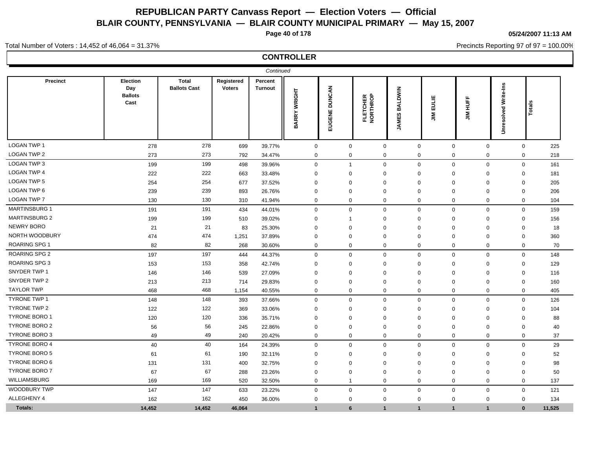**Page 40 of 178**

**05/24/2007 11:13 AM**

Precincts Reporting 97 of 97 = 100.00%

Total Number of Voters : 14,452 of 46,064 = 31.37%

## **CONTROLLER**

|                      |                                           |                                     |                             | Continued                 |                |                         |                      |                                |                                         |                              |                      |              |        |
|----------------------|-------------------------------------------|-------------------------------------|-----------------------------|---------------------------|----------------|-------------------------|----------------------|--------------------------------|-----------------------------------------|------------------------------|----------------------|--------------|--------|
| Precinct             | Election<br>Day<br><b>Ballots</b><br>Cast | <b>Total</b><br><b>Ballots Cast</b> | Registered<br><b>Voters</b> | Percent<br><b>Turnout</b> | BARRY WRIGHT   | <b>DUNCAN</b><br>EUGENE | FLETCHER<br>NORTHROP | <b>BALDWIN</b><br><b>JAMES</b> | EULIE<br>$\mathop{\mathsf{m}}\nolimits$ | JIM HUFF                     | Unresolved Write-Ins | 흅<br>흐       |        |
| <b>LOGAN TWP 1</b>   | 278                                       | 278                                 | 699                         | 39.77%                    | $\mathbf 0$    | $\mathbf 0$             | $\mathbf 0$          | $\mathbf 0$                    |                                         | $\mathbf 0$<br>$\mathbf 0$   |                      | $\mathbf 0$  | 225    |
| <b>LOGAN TWP 2</b>   | 273                                       | 273                                 | 792                         | 34.47%                    | $\mathbf 0$    | $\mathbf 0$             | $\mathbf 0$          | $\mathbf 0$                    |                                         | $\mathbf 0$<br>$\mathbf 0$   |                      | $\mathbf 0$  | 218    |
| LOGAN TWP 3          | 199                                       | 199                                 | 498                         | 39.96%                    | $\mathbf 0$    | $\overline{1}$          | $\mathbf 0$          | $\mathbf 0$                    |                                         | $\mathbf 0$<br>$\mathbf 0$   |                      | $\mathbf 0$  | 161    |
| <b>LOGAN TWP 4</b>   | 222                                       | 222                                 | 663                         | 33.48%                    | $\mathbf 0$    | $\mathbf 0$             | $\mathbf 0$          | $\mathbf 0$                    |                                         | $\Omega$<br>$\mathbf 0$      |                      | $\mathbf 0$  | 181    |
| LOGAN TWP 5          | 254                                       | 254                                 | 677                         | 37.52%                    | $\mathbf 0$    | $\mathbf 0$             | $\mathbf 0$          | $\overline{0}$                 |                                         | $\mathbf 0$<br>$\Omega$      |                      | $\mathbf 0$  | 205    |
| LOGAN TWP 6          | 239                                       | 239                                 | 893                         | 26.76%                    | 0              | 0                       | $\mathbf 0$          | $\mathbf 0$                    |                                         | $\Omega$<br>0                |                      | $\mathbf 0$  | 206    |
| <b>LOGAN TWP 7</b>   | 130                                       | 130                                 | 310                         | 41.94%                    | $\mathbf 0$    | $\mathbf 0$             | $\mathbf 0$          | $\mathbf 0$                    |                                         | $\Omega$<br>$\mathbf 0$      |                      | $\mathbf 0$  | 104    |
| <b>MARTINSBURG 1</b> | 191                                       | 191                                 | 434                         | 44.01%                    | $\mathbf 0$    | $\mathbf 0$             | $\mathbf 0$          | $\mathbf 0$                    |                                         | $\mathbf 0$<br>$\mathbf 0$   |                      | $\mathbf 0$  | 159    |
| <b>MARTINSBURG 2</b> | 199                                       | 199                                 | 510                         | 39.02%                    | $\mathbf 0$    | $\overline{1}$          | $\mathbf 0$          | $\overline{0}$                 |                                         | $\Omega$<br>$\mathbf 0$      |                      | $\mathbf 0$  | 156    |
| NEWRY BORO           | 21                                        | 21                                  | 83                          | 25.30%                    | $\mathbf 0$    | $\mathbf 0$             | $\mathbf 0$          | $\mathbf 0$                    |                                         | $\mathbf 0$<br>$\Omega$      |                      | $\mathbf 0$  | 18     |
| NORTH WOODBURY       | 474                                       | 474                                 | 1,251                       | 37.89%                    | $\mathbf 0$    | $\Omega$                | $\Omega$             | $\Omega$                       |                                         | $\Omega$<br>$\mathbf 0$      |                      | $\mathbf 0$  | 360    |
| <b>ROARING SPG 1</b> | 82                                        | 82                                  | 268                         | 30.60%                    | $\mathbf 0$    | $\mathbf 0$             | 0                    | $\mathbf 0$                    |                                         | $\mathbf 0$<br>$\mathbf 0$   |                      | $\mathbf 0$  | 70     |
| <b>ROARING SPG 2</b> | 197                                       | 197                                 | 444                         | 44.37%                    | $\mathbf 0$    | $\mathbf 0$             | $\mathbf 0$          | $\mathbf 0$                    |                                         | $\mathbf 0$<br>$\mathbf 0$   |                      | $\mathbf 0$  | 148    |
| <b>ROARING SPG 3</b> | 153                                       | 153                                 | 358                         | 42.74%                    | $\mathbf 0$    | 0                       | $\mathbf 0$          | $\mathbf 0$                    |                                         | $\mathbf 0$<br>0             |                      | $\mathbf 0$  | 129    |
| SNYDER TWP 1         | 146                                       | 146                                 | 539                         | 27.09%                    | 0              | 0                       | $\mathbf 0$          | $\mathbf 0$                    |                                         | $\Omega$<br>$\mathbf{0}$     |                      | $\mathbf 0$  | 116    |
| SNYDER TWP 2         | 213                                       | 213                                 | 714                         | 29.83%                    | $\mathbf 0$    | $\mathbf 0$             | $\mathbf 0$          | $\overline{0}$                 |                                         | $\mathbf 0$<br>$\mathbf 0$   |                      | $\mathbf 0$  | 160    |
| <b>TAYLOR TWP</b>    | 468                                       | 468                                 | 1,154                       | 40.55%                    | $\mathbf 0$    | $\mathbf 0$             | 0                    | $\mathbf 0$                    |                                         | $\mathbf 0$<br>$\mathbf 0$   |                      | $\mathbf 0$  | 405    |
| <b>TYRONE TWP 1</b>  | 148                                       | 148                                 | 393                         | 37.66%                    | $\mathbf 0$    | $\mathbf 0$             | 0                    | $\mathsf 0$                    |                                         | $\mathbf 0$<br>$\mathbf 0$   |                      | $\mathbf 0$  | 126    |
| TYRONE TWP 2         | 122                                       | 122                                 | 369                         | 33.06%                    | $\mathbf 0$    | $\mathbf 0$             | 0                    | $\mathbf 0$                    |                                         | $\mathbf 0$<br>$\mathbf 0$   |                      | $\mathbf 0$  | 104    |
| <b>TYRONE BORO 1</b> | 120                                       | 120                                 | 336                         | 35.71%                    | $\mathbf 0$    | $\mathbf 0$             | $\mathbf 0$          | $\mathbf 0$                    |                                         | $\Omega$<br>$\mathbf 0$      |                      | $\mathbf 0$  | 88     |
| <b>TYRONE BORO 2</b> | 56                                        | 56                                  | 245                         | 22.86%                    | $\mathbf 0$    | $\mathbf 0$             | $\Omega$             | $\mathbf 0$                    |                                         | $\Omega$<br>$\mathbf 0$      |                      | $\mathbf 0$  | 40     |
| <b>TYRONE BORO 3</b> | 49                                        | 49                                  | 240                         | 20.42%                    | $\mathbf 0$    | $\mathbf 0$             | 0                    | $\mathbf 0$                    |                                         | $\mathbf 0$<br>$\mathbf 0$   |                      | $\mathbf 0$  | 37     |
| <b>TYRONE BORO 4</b> | 40                                        | 40                                  | 164                         | 24.39%                    | $\mathbf 0$    | $\mathbf 0$             | $\mathbf 0$          | $\mathbf 0$                    |                                         | $\mathbf 0$<br>$\mathbf 0$   |                      | $\mathbf 0$  | 29     |
| <b>TYRONE BORO 5</b> | 61                                        | 61                                  | 190                         | 32.11%                    | 0              | 0                       | $\mathbf 0$          | $\mathbf 0$                    |                                         | $\Omega$<br>$\mathbf 0$      |                      | 0            | 52     |
| <b>TYRONE BORO 6</b> | 131                                       | 131                                 | 400                         | 32.75%                    | $\mathbf 0$    | $\mathbf 0$             | $\mathbf 0$          | $\overline{0}$                 |                                         | $\mathbf{0}$<br>$\Omega$     |                      | $\mathbf 0$  | 98     |
| <b>TYRONE BORO 7</b> | 67                                        | 67                                  | 288                         | 23.26%                    | $\mathbf 0$    | $\mathbf 0$             | $\mathbf 0$          | $\mathbf 0$                    |                                         | $\mathbf 0$<br>$\mathbf 0$   |                      | $\mathbf 0$  | 50     |
| WILLIAMSBURG         | 169                                       | 169                                 | 520                         | 32.50%                    | $\mathbf 0$    | $\overline{1}$          | 0                    | $\mathbf 0$                    |                                         | $\mathbf 0$<br>$\mathbf 0$   |                      | $\mathbf 0$  | 137    |
| WOODBURY TWP         | 147                                       | 147                                 | 633                         | 23.22%                    | $\mathbf 0$    | $\mathbf 0$             | $\mathbf 0$          | $\mathbf 0$                    |                                         | $\mathbf 0$<br>$\mathbf 0$   |                      | $\mathbf 0$  | 121    |
| ALLEGHENY 4          | 162                                       | 162                                 | 450                         | 36.00%                    | $\mathbf 0$    | $\mathbf 0$             | $\mathbf 0$          | $\mathbf 0$                    |                                         | $\mathbf 0$<br>$\mathbf 0$   |                      | $\mathbf 0$  | 134    |
| Totals:              | 14,452                                    | 14,452                              | 46,064                      |                           | $\overline{1}$ | 6                       | $\mathbf{1}$         | $\overline{1}$                 |                                         | $\mathbf{1}$<br>$\mathbf{1}$ |                      | $\mathbf{0}$ | 11,525 |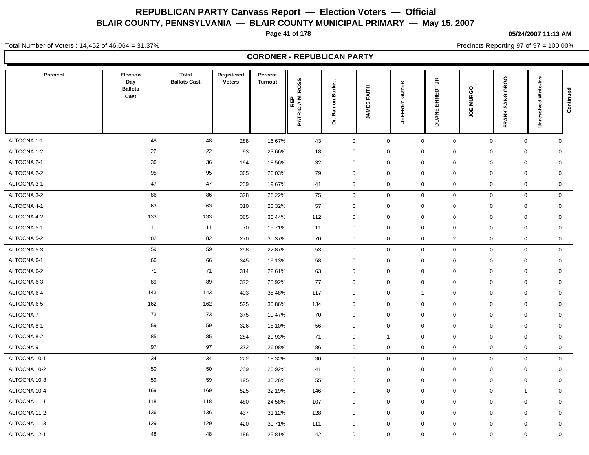**Page 41 of 178**

**05/24/2007 11:13 AM**

Total Number of Voters : 14,452 of 46,064 = 31.37%

Precincts Reporting 97 of 97 = 100.00%

#### **CORONER - REPUBLICAN PARTY**

| <b>Precinct</b> | <b>Election</b><br>Day<br><b>Ballots</b><br>Cast | <b>Total</b><br><b>Ballots Cast</b> | Registered<br><b>Voters</b> | Percent<br><b>Turnout</b> | <b>ROSS</b><br>PATRICIA M.<br><b>REP</b> | <b>Burkett</b><br>Ramon<br>έ | <b>FAITH</b><br>JAMES | <b>GUYER</b><br><b>JEFFREY</b> | $\tilde{\vec{r}}$<br>흡<br>EHR<br><b>DUANE</b> | <b>MURGO</b><br>ă | SANGIORGO<br><b>FRANK</b> | <b>Unresolved Write-Ins</b> | Continued   |
|-----------------|--------------------------------------------------|-------------------------------------|-----------------------------|---------------------------|------------------------------------------|------------------------------|-----------------------|--------------------------------|-----------------------------------------------|-------------------|---------------------------|-----------------------------|-------------|
| ALTOONA 1-1     | 48                                               | 48                                  | 288                         | 16.67%                    | 43                                       | $\mathbf 0$                  | $\mathbf 0$           | $\mathsf 0$                    | $\mathbf 0$                                   | $\mathbf 0$       | $\mathbf 0$               |                             | $\mathbf 0$ |
| ALTOONA 1-2     | 22                                               | 22                                  | 93                          | 23.66%                    | 18                                       | 0                            | $\mathbf 0$           | $\mathbf 0$                    | 0                                             | 0                 | $\mathbf 0$               | $\mathbf 0$                 |             |
| ALTOONA 2-1     | 36                                               | 36                                  | 194                         | 18.56%                    | 32                                       | $\mathbf 0$                  | $\mathbf 0$           | $\mathbf 0$                    | 0                                             | $\mathbf 0$       | $\mathbf 0$               | $\mathbf 0$                 |             |
| ALTOONA 2-2     | 95                                               | 95                                  | 365                         | 26.03%                    | 79                                       | $\mathbf 0$                  | $\mathbf 0$           | $\mathbf 0$                    | 0                                             | $\mathbf 0$       | $\mathbf 0$               | $\mathbf 0$                 |             |
| ALTOONA 3-1     | 47                                               | 47                                  | 239                         | 19.67%                    | 41                                       | 0                            | $\mathbf 0$           | $\mathbf 0$                    | 0                                             | $\mathbf 0$       | $\mathbf 0$               |                             | 0           |
| ALTOONA 3-2     | 86                                               | 86                                  | 328                         | 26.22%                    | 75                                       | $\mathbf 0$                  | $\mathsf 0$           | $\mathbf 0$                    | 0                                             | $\mathbf 0$       | $\mathbf 0$               |                             | $\mathbf 0$ |
| ALTOONA 4-1     | 63                                               | 63                                  | 310                         | 20.32%                    | 57                                       | $\mathbf 0$                  | $\mathbf 0$           | $\mathbf 0$                    | $\pmb{0}$                                     | $\mathbf 0$       | $\mathbf 0$               | $\mathbf 0$                 |             |
| ALTOONA 4-2     | 133                                              | 133                                 | 365                         | 36.44%                    | 112                                      | $\mathbf 0$                  | $\mathbf 0$           | $\mathbf 0$                    | 0                                             | $\mathbf 0$       | $\mathbf 0$               | $\mathbf 0$                 |             |
| ALTOONA 5-1     | 11                                               | 11                                  | 70                          | 15.71%                    | 11                                       | $\mathbf 0$                  | $\mathbf 0$           | $\mathbf 0$                    | 0                                             | $\mathbf 0$       | $\mathbf 0$               | $\mathbf 0$                 |             |
| ALTOONA 5-2     | 82                                               | 82                                  | 270                         | 30.37%                    | 70                                       | $\mathbf 0$                  | $\mathsf 0$           | $\mathbf 0$                    | $\overline{2}$                                | $\mathbf 0$       | $\mathsf{O}\xspace$       |                             | $\mathbf 0$ |
| ALTOONA 5-3     | 59                                               | 59                                  | 258                         | 22.87%                    | 53                                       | $\mathbf 0$                  | $\mathbf 0$           | $\mathbf 0$                    | 0                                             | $\mathbf 0$       | $\mathbf 0$               |                             | $\mathbf 0$ |
| ALTOONA 6-1     | 66                                               | 66                                  | 345                         | 19.13%                    | 58                                       | $\mathbf 0$                  | $\mathbf 0$           | $\mathbf 0$                    | 0                                             | $\mathbf 0$       | $\mathbf 0$               |                             | $\mathbf 0$ |
| ALTOONA 6-2     | 71                                               | 71                                  | 314                         | 22.61%                    | 63                                       | 0                            | $\mathbf 0$           | $\mathbf 0$                    | 0                                             | $\mathbf 0$       | $\mathbf 0$               | $\mathbf 0$                 |             |
| ALTOONA 6-3     | 89                                               | 89                                  | 372                         | 23.92%                    | 77                                       | 0                            | $\mathbf 0$           | $\mathbf 0$                    | $\Omega$                                      | 0                 | $\mathbf 0$               | $\mathbf 0$                 |             |
| ALTOONA 6-4     | 143                                              | 143                                 | 403                         | 35.48%                    | 117                                      | $\mathbf 0$                  | $\mathbf 0$           | $\overline{1}$                 | 0                                             | $\mathsf 0$       | $\mathbf 0$               |                             | $\mathbf 0$ |
| ALTOONA 6-5     | 162                                              | 162                                 | 525                         | 30.86%                    | 134                                      | $\mathbf 0$                  | $\mathsf 0$           | $\mathbf 0$                    | $\mathbf 0$                                   | $\mathbf 0$       | $\mathbf 0$               |                             | $\mathbf 0$ |
| ALTOONA 7       | 73                                               | 73                                  | 375                         | 19.47%                    | 70                                       | 0                            | $\mathbf 0$           | $\mathbf 0$                    | 0                                             | $\mathbf 0$       | $\mathbf 0$               | $\mathbf 0$                 |             |
| ALTOONA 8-1     | 59                                               | 59                                  | 326                         | 18.10%                    | 56                                       | 0                            | $\mathbf 0$           | $\mathbf 0$                    | $\mathbf 0$                                   | $\mathbf 0$       | $\mathbf 0$               | $\mathbf 0$                 |             |
| ALTOONA 8-2     | 85                                               | 85                                  | 284                         | 29.93%                    | 71                                       | $\mathbf 0$                  | $\mathbf{1}$          | $\mathbf 0$                    | 0                                             | $\mathbf 0$       | $\mathbf 0$               | $\mathbf 0$                 |             |
| ALTOONA 9       | 97                                               | 97                                  | 372                         | 26.08%                    | 86                                       | $\mathbf 0$                  | $\mathbf 0$           | $\mathbf 0$                    | 0                                             | $\mathbf 0$       | $\mathbf 0$               |                             | $\mathbf 0$ |
| ALTOONA 10-1    | 34                                               | 34                                  | 222                         | 15.32%                    | 30                                       | $\mathbf 0$                  | $\mathsf 0$           | $\mathbf 0$                    | 0                                             | $\mathbf 0$       | $\mathbf 0$               |                             | $\mathbf 0$ |
| ALTOONA 10-2    | 50                                               | 50                                  | 239                         | 20.92%                    | 41                                       | 0                            | $\mathbf 0$           | $\mathbf 0$                    | $\mathbf 0$                                   | $\mathbf 0$       | $\mathbf 0$               | $\mathbf 0$                 |             |
| ALTOONA 10-3    | 59                                               | 59                                  | 195                         | 30.26%                    | 55                                       | $\mathbf 0$                  | $\mathbf{0}$          | $\mathbf 0$                    | 0                                             | $\mathbf 0$       | $\mathbf 0$               | $\mathbf 0$                 |             |
| ALTOONA 10-4    | 169                                              | 169                                 | 525                         | 32.19%                    | 146                                      | $\mathbf 0$                  | $\mathbf 0$           | $\mathbf 0$                    | 0                                             | $\mathbf 0$       | 1                         | $\mathbf 0$                 |             |
| ALTOONA 11-1    | 118                                              | 118                                 | 480                         | 24.58%                    | 107                                      | $\mathbf 0$                  | $\mathbf 0$           | $\mathbf 0$                    | $\mathbf 0$                                   | $\mathbf 0$       | $\mathbf 0$               |                             | 0           |
| ALTOONA 11-2    | 136                                              | 136                                 | 437                         | 31.12%                    | 128                                      | $\mathbf 0$                  | $\mathbf 0$           | $\mathbf 0$                    | 0                                             | $\mathbf 0$       | $\mathbf 0$               |                             | $\mathbf 0$ |
| ALTOONA 11-3    | 129                                              | 129                                 | 420                         | 30.71%                    | 111                                      | $\mathbf 0$                  | $\mathbf 0$           | $\mathbf 0$                    | $\Omega$                                      | $\mathbf 0$       | $\mathbf 0$               | $\mathbf 0$                 |             |
| ALTOONA 12-1    | 48                                               | 48                                  | 186                         | 25.81%                    | 42                                       | $\mathbf 0$                  | $\mathbf 0$           | $\mathbf 0$                    | 0                                             | $\mathbf 0$       | $\mathbf 0$               |                             | $\mathbf 0$ |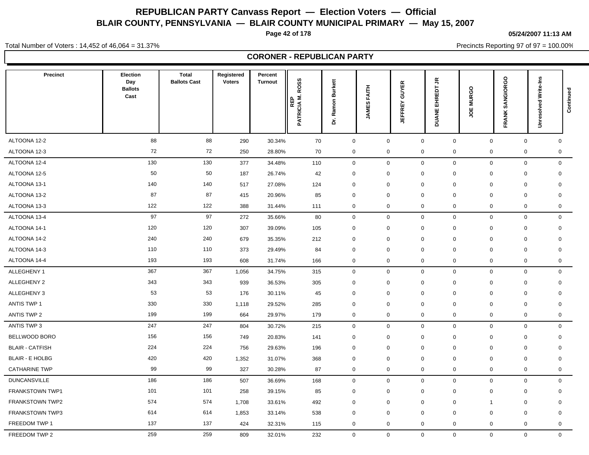**Page 42 of 178**

**05/24/2007 11:13 AM**

Precincts Reporting 97 of 97 = 100.00%

Total Number of Voters : 14,452 of 46,064 = 31.37%

**CORONER - REPUBLICAN PARTY**

| <b>Precinct</b>        | Election<br>Day<br><b>Ballots</b><br>Cast | <b>Total</b><br><b>Ballots Cast</b> | Registered<br><b>Voters</b> | Percent<br><b>Turnout</b> | <b>ROSS</b><br><b>REP<br/>PATRICIA M.</b> | <b>Burkett</b><br>Ramon<br>έ | <b>FAITH</b><br><b>JAMES</b> | <b>GUYER</b><br><b>JEFFREY</b> | ҕ<br>흡<br>뎦<br>또<br><b>DUANE</b> | <b>MURGO</b><br>ш<br>ş | SANGIORGO<br>FRANK         | <b>Unresolved Write-Ins</b> | Continued   |
|------------------------|-------------------------------------------|-------------------------------------|-----------------------------|---------------------------|-------------------------------------------|------------------------------|------------------------------|--------------------------------|----------------------------------|------------------------|----------------------------|-----------------------------|-------------|
| ALTOONA 12-2           | 88                                        | 88                                  | 290                         | 30.34%                    | 70                                        | $\mathbf 0$                  | $\mathbf 0$                  |                                | $\mathbf 0$<br>$\mathbf 0$       |                        | $\mathbf 0$                | $\mathbf 0$                 | $\mathbf 0$ |
| ALTOONA 12-3           | 72                                        | 72                                  | 250                         | 28.80%                    | 70                                        | 0                            | $\mathbf 0$                  | $\mathbf 0$                    | 0                                |                        | $\mathbf 0$                | $\mathbf 0$                 | 0           |
| ALTOONA 12-4           | 130                                       | 130                                 | 377                         | 34.48%                    | 110                                       | $\mathbf 0$                  | $\mathbf 0$                  | $\mathbf 0$                    | 0                                |                        | $\mathbf 0$                | $\mathbf 0$                 | $\mathbf 0$ |
| ALTOONA 12-5           | 50                                        | 50                                  | 187                         | 26.74%                    | 42                                        | 0                            | $\mathbf 0$                  | $\mathbf 0$                    | $\mathbf 0$                      |                        | $\mathbf 0$<br>$\mathbf 0$ | $\mathbf 0$                 |             |
| ALTOONA 13-1           | 140                                       | 140                                 | 517                         | 27.08%                    | 124                                       | $\mathbf 0$                  | $\mathbf 0$                  | $\mathbf 0$                    | 0                                |                        | $\mathbf 0$                | $\mathbf 0$<br>$\mathbf 0$  |             |
| ALTOONA 13-2           | 87                                        | 87                                  | 415                         | 20.96%                    | 85                                        | $\mathbf 0$                  | 0                            | $\mathbf 0$                    | 0                                |                        | $\mathbf 0$<br>$\mathbf 0$ | 0                           |             |
| ALTOONA 13-3           | 122                                       | 122                                 | 388                         | 31.44%                    | 111                                       | 0                            | $\mathbf 0$                  | $\mathbf 0$                    | $\mathbf 0$                      |                        | $\mathbf 0$                | $\mathbf 0$                 | 0           |
| ALTOONA 13-4           | 97                                        | 97                                  | 272                         | 35.66%                    | 80                                        | $\mathbf 0$                  | $\mathbf 0$                  | $\mathbf 0$                    | 0                                |                        | $\mathbf 0$                | $\mathbf 0$                 | $\mathbf 0$ |
| ALTOONA 14-1           | 120                                       | 120                                 | 307                         | 39.09%                    | 105                                       | $\mathbf 0$                  | $\mathbf 0$                  | $\mathbf 0$                    | $\mathbf 0$                      |                        | $\mathbf 0$<br>$\mathbf 0$ | $\mathbf 0$                 |             |
| ALTOONA 14-2           | 240                                       | 240                                 | 679                         | 35.35%                    | 212                                       | $\mathbf 0$                  | $\mathbf 0$                  | $\mathbf 0$                    | $\mathbf 0$                      |                        | $\mathbf 0$                | $\mathbf 0$<br>$\mathbf 0$  |             |
| ALTOONA 14-3           | 110                                       | 110                                 | 373                         | 29.49%                    | 84                                        | 0                            | $\mathbf 0$                  | $\mathbf 0$                    | $\mathbf 0$                      |                        | $\mathbf 0$<br>$\mathbf 0$ | $\mathbf 0$                 |             |
| ALTOONA 14-4           | 193                                       | 193                                 | 608                         | 31.74%                    | 166                                       | $\mathbf 0$                  | $\mathbf 0$                  | $\mathbf 0$                    | 0                                |                        | $\mathsf 0$                | $\mathbf 0$                 | $\mathbf 0$ |
| ALLEGHENY 1            | 367                                       | 367                                 | 1,056                       | 34.75%                    | 315                                       | $\mathbf 0$                  | $\mathsf 0$                  | $\mathbf 0$                    | $\mathbf 0$                      |                        | $\mathbf{0}$               | $\mathbf 0$                 | $\mathbf 0$ |
| ALLEGHENY 2            | 343                                       | 343                                 | 939                         | 36.53%                    | 305                                       | $\mathbf 0$                  | $\mathbf 0$                  | $\mathbf 0$                    | 0                                |                        | $\mathbf 0$                | $\mathbf 0$                 | $\mathbf 0$ |
| ALLEGHENY 3            | 53                                        | 53                                  | 176                         | 30.11%                    | 45                                        | 0                            | $\mathbf 0$                  | $\mathbf 0$                    | $\mathbf 0$                      |                        | $\mathbf 0$<br>$\mathbf 0$ | $\mathbf 0$                 |             |
| <b>ANTIS TWP 1</b>     | 330                                       | 330                                 | 1,118                       | 29.52%                    | 285                                       | 0                            | $\mathbf 0$                  | $\mathbf 0$                    | 0                                |                        | $\mathbf 0$                | $\mathbf 0$<br>$\mathbf 0$  |             |
| ANTIS TWP 2            | 199                                       | 199                                 | 664                         | 29.97%                    | 179                                       | $\mathbf 0$                  | $\mathbf 0$                  | $\mathbf 0$                    | 0                                |                        | $\mathbf 0$                | $\mathbf 0$                 | 0           |
| ANTIS TWP 3            | 247                                       | 247                                 | 804                         | 30.72%                    | 215                                       | $\mathsf{O}\xspace$          | $\mathbf 0$                  | $\mathbf 0$                    | 0                                |                        | $\mathbf 0$                | $\mathbf 0$                 | $\mathbf 0$ |
| BELLWOOD BORO          | 156                                       | 156                                 | 749                         | 20.83%                    | 141                                       | 0                            | $\mathbf 0$                  | $\mathbf 0$                    | $\mathbf 0$                      |                        | $\mathbf 0$<br>$\mathbf 0$ |                             | 0           |
| <b>BLAIR - CATFISH</b> | 224                                       | 224                                 | 756                         | 29.63%                    | 196                                       | $\mathbf 0$                  | $\mathbf 0$                  | $\mathbf 0$                    | 0                                |                        | $\mathbf 0$<br>$\mathbf 0$ | $\mathbf 0$                 |             |
| <b>BLAIR - E HOLBG</b> | 420                                       | 420                                 | 1,352                       | 31.07%                    | 368                                       | $\mathbf 0$                  | $\mathbf 0$                  | $\mathbf 0$                    | $\mathbf 0$                      |                        | $\mathbf 0$                | $\mathbf 0$<br>$\mathbf 0$  |             |
| <b>CATHARINE TWP</b>   | 99                                        | 99                                  | 327                         | 30.28%                    | 87                                        | 0                            | 0                            | $\mathbf 0$                    | 0                                |                        | 0                          | $\mathbf 0$                 | 0           |
| <b>DUNCANSVILLE</b>    | 186                                       | 186                                 | 507                         | 36.69%                    | 168                                       | $\mathbf 0$                  | $\mathbf 0$                  | $\mathbf 0$                    | 0                                |                        | $\mathbf 0$                | $\mathbf 0$                 | $\mathbf 0$ |
| FRANKSTOWN TWP1        | 101                                       | 101                                 | 258                         | 39.15%                    | 85                                        | $\mathbf 0$                  | $\mathbf 0$                  | $\mathbf 0$                    | 0                                |                        | $\mathbf 0$                | $\mathbf 0$                 | $\mathbf 0$ |
| <b>FRANKSTOWN TWP2</b> | 574                                       | 574                                 | 1,708                       | 33.61%                    | 492                                       | $\mathbf 0$                  | $\mathbf 0$                  | $\mathbf 0$                    | 0                                | $\mathbf{1}$           |                            | $\mathbf 0$<br>$\mathbf 0$  |             |
| <b>FRANKSTOWN TWP3</b> | 614                                       | 614                                 | 1,853                       | 33.14%                    | 538                                       | 0                            | $\mathbf 0$                  | $\mathbf 0$                    | $\mathbf 0$                      |                        | $\mathbf 0$<br>$\mathbf 0$ | $\mathbf 0$                 |             |
| FREEDOM TWP 1          | 137                                       | 137                                 | 424                         | 32.31%                    | 115                                       | $\mathbf 0$                  | $\mathbf 0$                  | $\mathbf 0$                    | 0                                |                        | $\mathbf 0$                | $\mathbf 0$                 | $\mathbf 0$ |
| FREEDOM TWP 2          | 259                                       | 259                                 | 809                         | 32.01%                    | 232                                       | $\mathbf{0}$                 | $\mathbf 0$                  |                                | $\mathbf 0$<br>$\mathbf 0$       |                        | $\mathbf{0}$               | $\overline{0}$              | $\mathbf 0$ |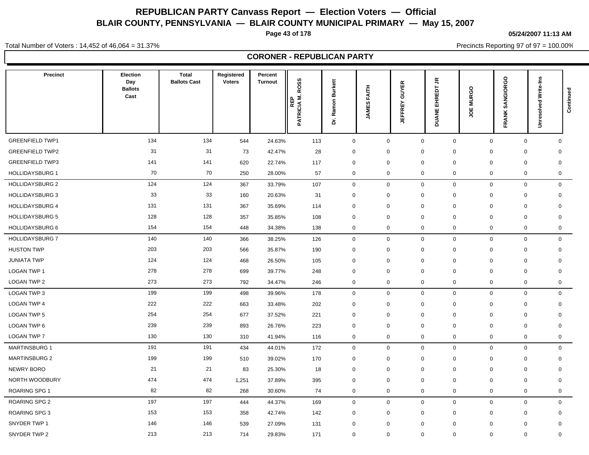**Page 43 of 178**

**05/24/2007 11:13 AM**

Precincts Reporting 97 of 97 = 100.00%

Total Number of Voters : 14,452 of 46,064 = 31.37%

**CORONER - REPUBLICAN PARTY**

| Precinct               | Election<br>Day<br><b>Ballots</b><br>Cast | <b>Total</b><br><b>Ballots Cast</b> | Registered<br><b>Voters</b> | Percent<br><b>Turnout</b> | <b>ROSS</b><br>PATRICIA M.<br>REP | <b>Burkett</b><br>Ramon<br>έ | <b>FAITH</b><br><b>JAMES</b> | <b>GUYER</b><br><b>JEFFREY</b> | $\tilde{\vec{r}}$<br>旨<br>뎦<br>또<br><b>DUANE</b> | <b>MURGO</b><br>ğ | SANGIORGO<br><b>FRANK</b> | Unresolved Write-Ins        | Continued |
|------------------------|-------------------------------------------|-------------------------------------|-----------------------------|---------------------------|-----------------------------------|------------------------------|------------------------------|--------------------------------|--------------------------------------------------|-------------------|---------------------------|-----------------------------|-----------|
| <b>GREENFIELD TWP1</b> | 134                                       | 134                                 | 544                         | 24.63%                    | 113                               | $\mathbf 0$                  | $\mathbf 0$                  | $\mathbf 0$                    | $\mathbf 0$                                      | $\mathbf 0$       |                           | $\mathbf 0$<br>$\mathbf 0$  |           |
| <b>GREENFIELD TWP2</b> | 31                                        | 31                                  | 73                          | 42.47%                    | 28                                | 0                            | $\mathbf 0$                  | $\mathbf 0$                    | $\Omega$                                         | $\mathbf 0$       | $\mathbf 0$               | $\mathbf 0$                 |           |
| <b>GREENFIELD TWP3</b> | 141                                       | 141                                 | 620                         | 22.74%                    | 117                               | 0                            | 0                            | $\mathbf 0$                    | $\mathbf 0$                                      | $\Omega$          | $\mathbf 0$               | $\mathbf 0$                 |           |
| <b>HOLLIDAYSBURG 1</b> | 70                                        | 70                                  | 250                         | 28.00%                    | 57                                | 0                            | 0                            | $\mathbf 0$                    | $\mathbf 0$                                      | 0                 | $\mathbf 0$               | $\mathbf 0$                 |           |
| <b>HOLLIDAYSBURG 2</b> | 124                                       | 124                                 | 367                         | 33.79%                    | 107                               | 0                            | $\mathbf 0$                  | $\mathbf 0$                    | 0                                                | $\mathbf 0$       |                           | $\mathbf 0$<br>$\mathbf 0$  |           |
| <b>HOLLIDAYSBURG 3</b> | 33                                        | 33                                  | 160                         | 20.63%                    | 31                                | 0                            | 0                            | $\mathbf 0$                    | $\mathbf 0$                                      | $\mathbf 0$       | $\mathbf 0$               | $\mathbf 0$                 |           |
| <b>HOLLIDAYSBURG 4</b> | 131                                       | 131                                 | 367                         | 35.69%                    | 114                               | 0                            | $\mathbf 0$                  | $\mathbf 0$                    | $\mathbf 0$                                      | $\mathbf 0$       | $\mathbf 0$               | $\mathbf 0$                 |           |
| <b>HOLLIDAYSBURG 5</b> | 128                                       | 128                                 | 357                         | 35.85%                    | 108                               | 0                            | 0                            | $\mathbf 0$                    | $\mathbf 0$                                      | $\mathbf 0$       | $\mathbf 0$               | 0                           |           |
| <b>HOLLIDAYSBURG 6</b> | 154                                       | 154                                 | 448                         | 34.38%                    | 138                               | 0                            | $\mathbf 0$                  | $\mathbf 0$                    | $\mathbf 0$                                      | $\mathbf 0$       | $\mathbf 0$               | 0                           |           |
| <b>HOLLIDAYSBURG 7</b> | 140                                       | 140                                 | 366                         | 38.25%                    | 126                               | 0                            | $\mathbf 0$                  | $\mathbf 0$                    | 0                                                | $\mathbf 0$       |                           | $\mathbf 0$<br>$\mathbf 0$  |           |
| <b>HUSTON TWP</b>      | 203                                       | 203                                 | 566                         | 35.87%                    | 190                               | 0                            | $\mathbf 0$                  | $\mathbf 0$                    | 0                                                | $\mathbf 0$       | $\mathbf 0$               | $\mathbf 0$                 |           |
| <b>JUNIATA TWP</b>     | 124                                       | 124                                 | 468                         | 26.50%                    | 105                               | 0                            | 0                            | $\mathbf 0$                    | $\mathbf 0$                                      | $\mathbf 0$       | 0                         | $\mathbf 0$                 |           |
| <b>LOGAN TWP 1</b>     | 278                                       | 278                                 | 699                         | 39.77%                    | 248                               | $\Omega$                     | $\mathbf 0$                  | $\mathbf 0$                    | $\Omega$                                         | $\mathbf 0$       | 0                         | $\mathbf 0$                 |           |
| LOGAN TWP 2            | 273                                       | 273                                 | 792                         | 34.47%                    | 246                               | 0                            | $\mathbf 0$                  | $\mathbf 0$                    | 0                                                | $\mathbf 0$       |                           | $\mathsf{O}\xspace$<br>0    |           |
| LOGAN TWP 3            | 199                                       | 199                                 | 498                         | 39.96%                    | 178                               | $\mathbf 0$                  | $\mathbf 0$                  | $\mathbf 0$                    | $\mathbf 0$                                      | $\mathbf 0$       |                           | $\mathbf 0$<br>$\mathbf 0$  |           |
| <b>LOGAN TWP 4</b>     | 222                                       | 222                                 | 663                         | 33.48%                    | 202                               | 0                            | $\mathbf 0$                  | $\mathbf 0$                    | $\mathbf 0$                                      | $\mathbf 0$       | $\mathbf 0$               | $\mathbf 0$                 |           |
| LOGAN TWP 5            | 254                                       | 254                                 | 677                         | 37.52%                    | 221                               | 0                            | 0                            | $\mathbf 0$                    | $\mathbf 0$                                      | $\mathbf 0$       | 0                         | 0                           |           |
| LOGAN TWP 6            | 239                                       | 239                                 | 893                         | 26.76%                    | 223                               | $\mathbf 0$                  | $\mathbf 0$                  | $\mathbf 0$                    | $\Omega$                                         | $\mathbf 0$       | 0                         | $\mathbf 0$                 |           |
| <b>LOGAN TWP 7</b>     | 130                                       | 130                                 | 310                         | 41.94%                    | 116                               | 0                            | $\mathbf 0$                  | $\mathbf 0$                    | 0                                                | $\mathbf 0$       |                           | $\mathbf 0$<br>$\mathbf 0$  |           |
| <b>MARTINSBURG 1</b>   | 191                                       | 191                                 | 434                         | 44.01%                    | 172                               | $\mathbf 0$                  | $\mathbf 0$                  | $\mathbf 0$                    | $\mathbf 0$                                      | $\mathbf 0$       |                           | $\mathbf 0$<br>$\mathbf 0$  |           |
| <b>MARTINSBURG 2</b>   | 199                                       | 199                                 | 510                         | 39.02%                    | 170                               | 0                            | $\mathbf 0$                  | $\mathbf 0$                    | $\mathbf 0$                                      | $\mathbf 0$       | $\mathbf 0$               | $\mathbf 0$                 |           |
| NEWRY BORO             | 21                                        | 21                                  | 83                          | 25.30%                    | 18                                | $\mathbf 0$                  | 0                            | $\mathbf 0$                    | $\mathbf 0$                                      | $\mathbf 0$       | 0                         | 0                           |           |
| NORTH WOODBURY         | 474                                       | 474                                 | 1,251                       | 37.89%                    | 395                               | $\mathbf 0$                  | $\mathbf{0}$                 | $\mathbf 0$                    | $\Omega$                                         | $\mathbf 0$       | $\mathbf 0$               | $\mathbf 0$                 |           |
| <b>ROARING SPG 1</b>   | 82                                        | 82                                  | 268                         | 30.60%                    | 74                                | 0                            | $\mathbf 0$                  | $\mathbf 0$                    | 0                                                | $\mathbf 0$       |                           | $\mathbf{0}$<br>$\mathbf 0$ |           |
| <b>ROARING SPG 2</b>   | 197                                       | 197                                 | 444                         | 44.37%                    | 169                               | 0                            | $\mathbf 0$                  | $\mathbf 0$                    | 0                                                | $\mathbf 0$       |                           | $\mathbf 0$<br>$\mathbf 0$  |           |
| <b>ROARING SPG 3</b>   | 153                                       | 153                                 | 358                         | 42.74%                    | 142                               | $\mathbf 0$                  | $\mathbf 0$                  | $\mathbf 0$                    | $\mathbf 0$                                      | $\mathbf 0$       | 0                         | $\mathbf 0$                 |           |
| SNYDER TWP 1           | 146                                       | 146                                 | 539                         | 27.09%                    | 131                               | 0                            | 0                            | $\mathbf 0$                    | $\mathbf 0$                                      | $\mathbf 0$       | $\mathbf 0$               | $\mathbf 0$                 |           |
| SNYDER TWP 2           | 213                                       | 213                                 | 714                         | 29.83%                    | 171                               | $\mathbf 0$                  | $\mathbf 0$                  | $\Omega$                       | $\mathbf 0$                                      | $\Omega$          | $\mathbf 0$               | $\mathbf 0$                 |           |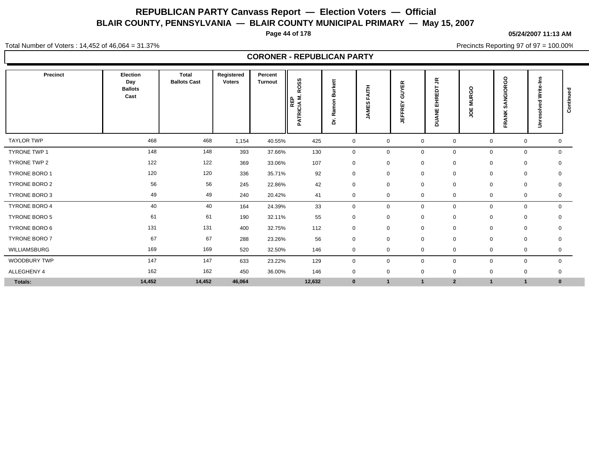**Page 44 of 178**

**05/24/2007 11:13 AM**

Total Number of Voters : 14,452 of 46,064 = 31.37%

Precincts Reporting 97 of 97 = 100.00%

|                      |                                           |                                     |                             |                           | <b>CORONER - REPUBLICAN PARTY</b>                                   |             |                                           |                                    |                                             |                   |                           |                                                      |                |
|----------------------|-------------------------------------------|-------------------------------------|-----------------------------|---------------------------|---------------------------------------------------------------------|-------------|-------------------------------------------|------------------------------------|---------------------------------------------|-------------------|---------------------------|------------------------------------------------------|----------------|
| Precinct             | Election<br>Day<br><b>Ballots</b><br>Cast | <b>Total</b><br><b>Ballots Cast</b> | Registered<br><b>Voters</b> | Percent<br><b>Turnout</b> | SS<br>$\circ$<br>œ<br>Σ<br>$\Omega$<br>핉<br>TRICIA<br>ব<br>$\Omega$ | œ<br>ă      | <b>AITH</b><br>п.<br>$\epsilon$<br>ш<br>∍ | 띥<br>⋝<br>∍<br>ō<br>FRE<br>⊞<br>5. | $\tilde{\vec{r}}$<br>EHREDT<br><b>DUANE</b> | <b>MURGO</b><br>ă | SANGIORGO<br><b>FRANK</b> | Write-Ins<br>$\overline{a}$<br>흥<br>نة<br>$\ddot{5}$ | Continued      |
| <b>TAYLOR TWP</b>    | 468                                       | 468                                 | 1,154                       | 40.55%                    | 425                                                                 | $\mathbf 0$ | 0                                         | $\mathbf 0$                        | $\mathbf 0$                                 |                   | 0                         | 0                                                    | 0              |
| <b>TYRONE TWP 1</b>  | 148                                       | 148                                 | 393                         | 37.66%                    | 130                                                                 | $\mathbf 0$ | 0                                         | $\mathbf 0$                        | $\mathbf 0$                                 |                   | 0                         | 0                                                    | $\overline{0}$ |
| TYRONE TWP 2         | 122                                       | 122                                 | 369                         | 33.06%                    | 107                                                                 | $\mathbf 0$ | 0                                         | 0                                  | $\mathbf 0$                                 |                   | 0                         | 0<br>$\mathbf 0$                                     |                |
| TYRONE BORO 1        | 120                                       | 120                                 | 336                         | 35.71%                    | 92                                                                  | $\mathbf 0$ | 0                                         | $\mathbf 0$                        | $\mathbf 0$                                 |                   | 0                         | 0                                                    | 0              |
| <b>TYRONE BORO 2</b> | 56                                        | 56                                  | 245                         | 22.86%                    | 42                                                                  | $\mathbf 0$ | 0                                         | $\mathbf 0$                        | $\mathbf 0$                                 |                   | 0                         | 0<br>$\mathbf 0$                                     |                |
| TYRONE BORO 3        | 49                                        | 49                                  | 240                         | 20.42%                    | 41                                                                  | $\mathbf 0$ | 0                                         | $\mathbf 0$                        | $\mathbf 0$                                 |                   | $\mathbf 0$               | $\mathbf 0$                                          | $\mathbf 0$    |
| TYRONE BORO 4        | 40                                        | 40                                  | 164                         | 24.39%                    | 33                                                                  | $\mathbf 0$ | 0                                         | $\mathbf 0$                        | $\mathbf 0$                                 |                   | $\mathbf 0$               | $\mathbf 0$                                          | $\mathbf{0}$   |
| <b>TYRONE BORO 5</b> | 61                                        | 61                                  | 190                         | 32.11%                    | 55                                                                  | $\mathbf 0$ | 0                                         | $\mathbf 0$                        | $\mathbf 0$                                 |                   | 0                         | $\mathbf 0$                                          | $\mathbf{0}$   |
| TYRONE BORO 6        | 131                                       | 131                                 | 400                         | 32.75%                    | 112                                                                 | $\mathbf 0$ | 0                                         | $\mathbf 0$                        | $\mathbf 0$                                 |                   | 0                         | 0                                                    | 0              |
| <b>TYRONE BORO 7</b> | 67                                        | 67                                  | 288                         | 23.26%                    | 56                                                                  | $\mathbf 0$ | 0                                         | $\mathbf{0}$                       | $\mathbf 0$                                 |                   | $\mathbf 0$               | $\mathbf 0$                                          | 0              |
| WILLIAMSBURG         | 169                                       | 169                                 | 520                         | 32.50%                    | 146                                                                 | $\mathbf 0$ | 0                                         | 0                                  | 0                                           |                   | 0                         | 0                                                    | 0              |
| WOODBURY TWP         | 147                                       | 147                                 | 633                         | 23.22%                    | 129                                                                 | $\mathbf 0$ | 0                                         | $\mathbf 0$                        | $\mathbf 0$                                 |                   | $\mathbf 0$               | $\mathbf 0$                                          | $\mathbf{0}$   |
| ALLEGHENY 4          | 162                                       | 162                                 | 450                         | 36.00%                    | 146                                                                 | $\mathbf 0$ | $\mathbf 0$                               | $\mathbf 0$                        | $\mathbf 0$                                 |                   | $\mathbf 0$               | $\mathbf 0$<br>$\mathbf 0$                           |                |
| Totals:              | 14,452                                    | 14,452                              | 46,064                      |                           | 12,632                                                              | $\mathbf 0$ | $\overline{1}$                            |                                    | $\overline{2}$                              |                   | 1                         | $\mathbf{1}$                                         | $\bf{0}$       |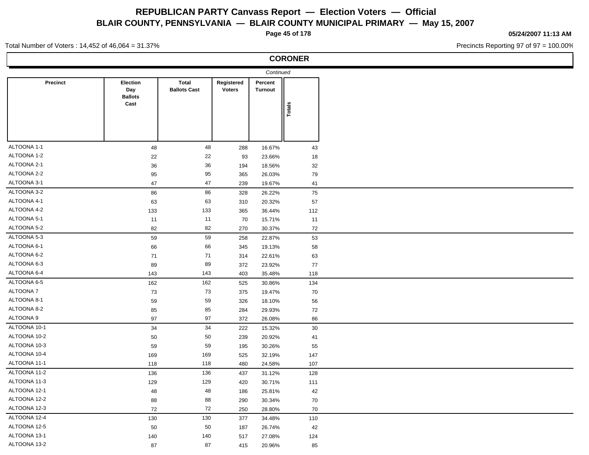**Page 45 of 178**

**CORONER**

#### **05/24/2007 11:13 AM**

Precincts Reporting 97 of 97 = 100.00%

Total Number of Voters : 14,452 of 46,064 = 31.37%

|                 |                                           |                                     |                      | Continued                 |        |
|-----------------|-------------------------------------------|-------------------------------------|----------------------|---------------------------|--------|
| <b>Precinct</b> | Election<br>Day<br><b>Ballots</b><br>Cast | <b>Total</b><br><b>Ballots Cast</b> | Registered<br>Voters | Percent<br><b>Turnout</b> |        |
|                 |                                           |                                     |                      |                           | Totals |
|                 |                                           |                                     |                      |                           |        |
| ALTOONA 1-1     | 48                                        | 48                                  | 288                  | 16.67%                    | 43     |
| ALTOONA 1-2     | 22                                        | 22                                  | 93                   | 23.66%                    | 18     |
| ALTOONA 2-1     | 36                                        | 36                                  | 194                  | 18.56%                    | 32     |
| ALTOONA 2-2     | 95                                        | 95                                  | 365                  | 26.03%                    | 79     |
| ALTOONA 3-1     | 47                                        | 47                                  | 239                  | 19.67%                    | 41     |
| ALTOONA 3-2     | 86                                        | 86                                  | 328                  | 26.22%                    | 75     |
| ALTOONA 4-1     | 63                                        | 63                                  | 310                  | 20.32%                    | 57     |
| ALTOONA 4-2     | 133                                       | 133                                 | 365                  | 36.44%                    | 112    |
| ALTOONA 5-1     | 11                                        | 11                                  | 70                   | 15.71%                    | 11     |
| ALTOONA 5-2     | 82                                        | 82                                  | 270                  | 30.37%                    | 72     |
| ALTOONA 5-3     | 59                                        | 59                                  | 258                  | 22.87%                    | 53     |
| ALTOONA 6-1     | 66                                        | 66                                  | 345                  | 19.13%                    | 58     |
| ALTOONA 6-2     | $71$                                      | 71                                  | 314                  | 22.61%                    | 63     |
| ALTOONA 6-3     | 89                                        | 89                                  | 372                  | 23.92%                    | 77     |
| ALTOONA 6-4     | 143                                       | 143                                 | 403                  | 35.48%                    | 118    |
| ALTOONA 6-5     | 162                                       | 162                                 | 525                  | 30.86%                    | 134    |
| <b>ALTOONA7</b> | 73                                        | 73                                  | 375                  | 19.47%                    | 70     |
| ALTOONA 8-1     | 59                                        | 59                                  | 326                  | 18.10%                    | 56     |
| ALTOONA 8-2     | 85                                        | 85                                  | 284                  | 29.93%                    | 72     |
| ALTOONA 9       | 97                                        | 97                                  | 372                  | 26.08%                    | 86     |
| ALTOONA 10-1    | 34                                        | 34                                  | 222                  | 15.32%                    | 30     |
| ALTOONA 10-2    | 50                                        | 50                                  | 239                  | 20.92%                    | 41     |
| ALTOONA 10-3    | 59                                        | 59                                  | 195                  | 30.26%                    | 55     |
| ALTOONA 10-4    | 169                                       | 169                                 | 525                  | 32.19%                    | 147    |
| ALTOONA 11-1    | 118                                       | 118                                 | 480                  | 24.58%                    | 107    |
| ALTOONA 11-2    | 136                                       | 136                                 | 437                  | 31.12%                    | 128    |
| ALTOONA 11-3    | 129                                       | 129                                 | 420                  | 30.71%                    | 111    |
| ALTOONA 12-1    | 48                                        | 48                                  | 186                  | 25.81%                    | 42     |
| ALTOONA 12-2    | 88                                        | 88                                  | 290                  | 30.34%                    | 70     |
| ALTOONA 12-3    | 72                                        | 72                                  | 250                  | 28.80%                    | 70     |
| ALTOONA 12-4    | 130                                       | 130                                 | 377                  | 34.48%                    | 110    |
| ALTOONA 12-5    | 50                                        | 50                                  | 187                  | 26.74%                    | 42     |
| ALTOONA 13-1    |                                           |                                     |                      |                           |        |
| ALTOONA 13-2    | 140                                       | 140                                 | 517                  | 27.08%                    | 124    |
|                 | 87                                        | 87                                  | 415                  | 20.96%                    | 85     |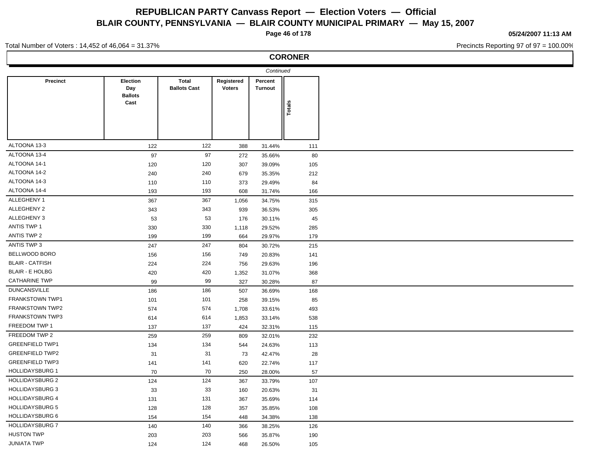**Page 46 of 178**

**05/24/2007 11:13 AM**

Precincts Reporting 97 of 97 = 100.00%

#### Total Number of Voters : 14,452 of 46,064 = 31.37%

|                        |                                                  |                                     |                             | Continued                 |        |  |
|------------------------|--------------------------------------------------|-------------------------------------|-----------------------------|---------------------------|--------|--|
| Precinct               | <b>Election</b><br>Day<br><b>Ballots</b><br>Cast | <b>Total</b><br><b>Ballots Cast</b> | Registered<br><b>Voters</b> | Percent<br><b>Turnout</b> |        |  |
|                        |                                                  |                                     |                             |                           | Totals |  |
|                        |                                                  |                                     |                             |                           |        |  |
| ALTOONA 13-3           | 122                                              | 122                                 | 388                         | 31.44%                    | 111    |  |
| ALTOONA 13-4           | 97                                               | 97                                  | 272                         | 35.66%                    | 80     |  |
| ALTOONA 14-1           | 120                                              | 120                                 | 307                         | 39.09%                    | 105    |  |
| ALTOONA 14-2           | 240                                              | 240                                 | 679                         | 35.35%                    | 212    |  |
| ALTOONA 14-3           | 110                                              | 110                                 | 373                         | 29.49%                    | 84     |  |
| ALTOONA 14-4           | 193                                              | 193                                 | 608                         | 31.74%                    | 166    |  |
| ALLEGHENY 1            | 367                                              | 367                                 | 1,056                       | 34.75%                    | 315    |  |
| ALLEGHENY 2            | 343                                              | 343                                 | 939                         | 36.53%                    | 305    |  |
| ALLEGHENY 3            | 53                                               | 53                                  | 176                         | 30.11%                    | 45     |  |
| <b>ANTIS TWP 1</b>     | 330                                              | 330                                 | 1,118                       | 29.52%                    | 285    |  |
| ANTIS TWP 2            | 199                                              | 199                                 | 664                         | 29.97%                    | 179    |  |
| ANTIS TWP 3            | 247                                              | 247                                 | 804                         | 30.72%                    | 215    |  |
| BELLWOOD BORO          | 156                                              | 156                                 | 749                         | 20.83%                    | 141    |  |
| <b>BLAIR - CATFISH</b> | 224                                              | 224                                 | 756                         | 29.63%                    | 196    |  |
| <b>BLAIR - E HOLBG</b> | 420                                              | 420                                 | 1,352                       | 31.07%                    | 368    |  |
| <b>CATHARINE TWP</b>   | 99                                               | 99                                  | 327                         | 30.28%                    | 87     |  |
| <b>DUNCANSVILLE</b>    | 186                                              | 186                                 | 507                         | 36.69%                    | 168    |  |
| FRANKSTOWN TWP1        | 101                                              | 101                                 | 258                         | 39.15%                    | 85     |  |
| <b>FRANKSTOWN TWP2</b> | 574                                              | 574                                 | 1,708                       | 33.61%                    | 493    |  |
| <b>FRANKSTOWN TWP3</b> | 614                                              | 614                                 | 1,853                       | 33.14%                    | 538    |  |
| FREEDOM TWP 1          | 137                                              | 137                                 | 424                         | 32.31%                    | 115    |  |
| FREEDOM TWP 2          | 259                                              | 259                                 | 809                         | 32.01%                    | 232    |  |
| <b>GREENFIELD TWP1</b> | 134                                              | 134                                 | 544                         | 24.63%                    | 113    |  |
| <b>GREENFIELD TWP2</b> | 31                                               | 31                                  | 73                          | 42.47%                    | 28     |  |
| <b>GREENFIELD TWP3</b> | 141                                              | 141                                 | 620                         | 22.74%                    | 117    |  |
| <b>HOLLIDAYSBURG 1</b> | 70                                               | 70                                  | 250                         | 28.00%                    | 57     |  |
| <b>HOLLIDAYSBURG 2</b> | 124                                              | 124                                 | 367                         | 33.79%                    | 107    |  |
| <b>HOLLIDAYSBURG 3</b> | 33                                               | 33                                  | 160                         | 20.63%                    | 31     |  |
| <b>HOLLIDAYSBURG 4</b> | 131                                              | 131                                 | 367                         | 35.69%                    | 114    |  |
| <b>HOLLIDAYSBURG 5</b> | 128                                              | 128                                 | 357                         | 35.85%                    | 108    |  |
| <b>HOLLIDAYSBURG 6</b> | 154                                              | 154                                 | 448                         | 34.38%                    | 138    |  |
| <b>HOLLIDAYSBURG 7</b> | 140                                              | 140                                 | 366                         | 38.25%                    | 126    |  |
| <b>HUSTON TWP</b>      | 203                                              | 203                                 | 566                         | 35.87%                    | 190    |  |
| <b>JUNIATA TWP</b>     | 124                                              | 124                                 | 468                         | 26.50%                    | 105    |  |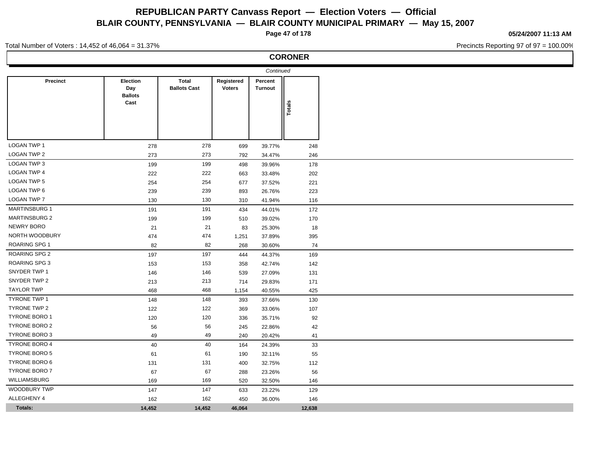**Page 47 of 178**

**CORONER**

**05/24/2007 11:13 AM**

Precincts Reporting 97 of 97 = 100.00%

#### Total Number of Voters : 14,452 of 46,064 = 31.37%

 $\overline{\phantom{a}}$ 

 $\sim$ 

 $\blacksquare$ 

 $\overline{\phantom{a}}$ 

|                      |                                          |                              |                             | Continued          |        |
|----------------------|------------------------------------------|------------------------------|-----------------------------|--------------------|--------|
| <b>Precinct</b>      | <b>Election</b><br>Day<br><b>Ballots</b> | Total<br><b>Ballots Cast</b> | Registered<br><b>Voters</b> | Percent<br>Turnout |        |
|                      | Cast                                     |                              |                             |                    | Totals |
|                      |                                          |                              |                             |                    |        |
| LOGAN TWP 1          | 278                                      | 278                          | 699                         | 39.77%             | 248    |
| LOGAN TWP 2          | 273                                      | 273                          | 792                         | 34.47%             | 246    |
| LOGAN TWP 3          | 199                                      | 199                          | 498                         | 39.96%             | 178    |
| LOGAN TWP 4          | 222                                      | 222                          | 663                         | 33.48%             | 202    |
| LOGAN TWP 5          | 254                                      | 254                          | 677                         | 37.52%             | 221    |
| LOGAN TWP 6          | 239                                      | 239                          | 893                         | 26.76%             | 223    |
| LOGAN TWP 7          | 130                                      | 130                          | 310                         | 41.94%             | 116    |
| MARTINSBURG 1        | 191                                      | 191                          | 434                         | 44.01%             | 172    |
| <b>MARTINSBURG 2</b> | 199                                      | 199                          | 510                         | 39.02%             | 170    |
| NEWRY BORO           | 21                                       | 21                           | 83                          | 25.30%             | 18     |
| NORTH WOODBURY       | 474                                      | 474                          | 1,251                       | 37.89%             | 395    |
| ROARING SPG 1        | 82                                       | 82                           | 268                         | 30.60%             | 74     |
| ROARING SPG 2        | 197                                      | 197                          | 444                         | 44.37%             | 169    |
| ROARING SPG 3        | 153                                      | 153                          | 358                         | 42.74%             | 142    |
| SNYDER TWP 1         | 146                                      | 146                          | 539                         | 27.09%             | 131    |
| SNYDER TWP 2         | 213                                      | 213                          | 714                         | 29.83%             | 171    |
| <b>TAYLOR TWP</b>    | 468                                      | 468                          | 1,154                       | 40.55%             | 425    |
| TYRONE TWP 1         | 148                                      | 148                          | 393                         | 37.66%             | 130    |
| TYRONE TWP 2         | 122                                      | 122                          | 369                         | 33.06%             | 107    |
| TYRONE BORO 1        | 120                                      | 120                          | 336                         | 35.71%             | 92     |
| <b>TYRONE BORO 2</b> | 56                                       | 56                           | 245                         | 22.86%             | 42     |
| TYRONE BORO 3        | 49                                       | 49                           | 240                         | 20.42%             | 41     |
| TYRONE BORO 4        | 40                                       | 40                           | 164                         | 24.39%             | 33     |
| TYRONE BORO 5        | 61                                       | 61                           | 190                         | 32.11%             | 55     |
| <b>TYRONE BORO 6</b> | 131                                      | 131                          | 400                         | 32.75%             | 112    |
| TYRONE BORO 7        | 67                                       | 67                           | 288                         | 23.26%             | 56     |
| WILLIAMSBURG         | 169                                      | 169                          | 520                         | 32.50%             | 146    |
| WOODBURY TWP         | 147                                      | 147                          | 633                         | 23.22%             | 129    |
| ALLEGHENY 4          | 162                                      | 162                          | 450                         | 36.00%             | 146    |
| Totals:              | 14,452                                   | 14,452                       | 46,064                      |                    | 12,638 |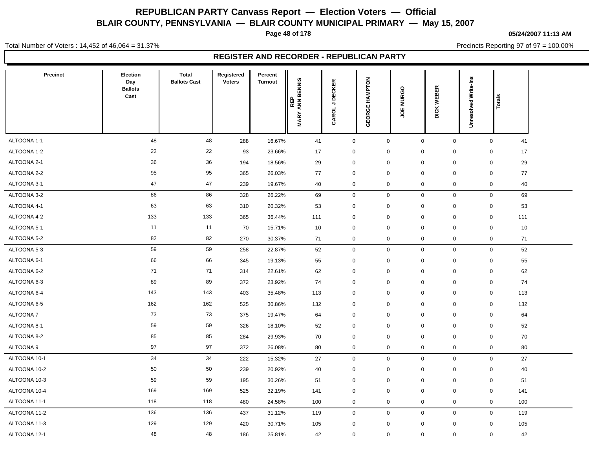**Page 48 of 178**

#### **05/24/2007 11:13 AM**

Precincts Reporting 97 of 97 = 100.00%

Total Number of Voters : 14,452 of 46,064 = 31.37%

| Precinct     | Election<br>Day<br><b>Ballots</b><br>Cast | <b>Total</b><br><b>Ballots Cast</b> | Registered<br><b>Voters</b> | Percent<br><b>Turnout</b> | REP<br>' ANN BENNIS<br><b>MARY</b> | CAROL J DECKER | <b>GEORGE HAMPTON</b> | <b>MURGO</b><br>ğ | WEBER<br><b>DICK</b> | <b>Unresolved Write-Ins</b> | Totals             |  |
|--------------|-------------------------------------------|-------------------------------------|-----------------------------|---------------------------|------------------------------------|----------------|-----------------------|-------------------|----------------------|-----------------------------|--------------------|--|
| ALTOONA 1-1  | 48                                        | 48                                  | 288                         | 16.67%                    | 41                                 | $\mathbf 0$    | $\mathbf 0$           | $\overline{0}$    | $\mathbf 0$          |                             | $\mathbf 0$<br>41  |  |
| ALTOONA 1-2  | 22                                        | 22                                  | 93                          | 23.66%                    | 17                                 | 0              | 0                     | $\mathbf 0$       | 0                    |                             | 17<br>0            |  |
| ALTOONA 2-1  | 36                                        | 36                                  | 194                         | 18.56%                    | 29                                 | 0              | $\mathbf 0$           | $\mathbf 0$       | $\mathbf 0$          |                             | 29<br>$\mathbf 0$  |  |
| ALTOONA 2-2  | 95                                        | 95                                  | 365                         | 26.03%                    | 77                                 | 0              | $\mathbf 0$           | $\mathbf 0$       | 0                    |                             | $\mathbf 0$<br>77  |  |
| ALTOONA 3-1  | 47                                        | 47                                  | 239                         | 19.67%                    | 40                                 | 0              | $\mathbf 0$           | $\mathbf 0$       | 0                    |                             | $\mathbf 0$<br>40  |  |
| ALTOONA 3-2  | 86                                        | 86                                  | 328                         | 26.22%                    | 69                                 | 0              | $\mathsf 0$           | $\mathbf 0$       | $\mathbf 0$          |                             | 69<br>$\mathbf 0$  |  |
| ALTOONA 4-1  | 63                                        | 63                                  | 310                         | 20.32%                    | 53                                 | 0              | $\mathbf 0$           | $\mathbf 0$       | $\mathbf 0$          |                             | 53<br>$\mathbf 0$  |  |
| ALTOONA 4-2  | 133                                       | 133                                 | 365                         | 36.44%                    | 111                                | 0              | $\mathbf 0$           | $\mathbf 0$       | 0                    |                             | $\mathbf 0$<br>111 |  |
| ALTOONA 5-1  | 11                                        | 11                                  | 70                          | 15.71%                    | 10                                 | 0              | $\mathbf 0$           | $\mathbf 0$       | 0                    |                             | $\mathbf 0$<br>10  |  |
| ALTOONA 5-2  | 82                                        | 82                                  | 270                         | 30.37%                    | 71                                 | 0              | $\mathbf 0$           | $\pmb{0}$         | 0                    |                             | $\mathsf 0$<br>71  |  |
| ALTOONA 5-3  | 59                                        | 59                                  | 258                         | 22.87%                    | 52                                 | $\mathbf 0$    | $\mathbf 0$           | $\mathbf 0$       | $\mathbf 0$          |                             | $\mathbf 0$<br>52  |  |
| ALTOONA 6-1  | 66                                        | 66                                  | 345                         | 19.13%                    | 55                                 | 0              | $\mathbf 0$           | $\mathbf 0$       | 0                    |                             | 55<br>$\mathbf 0$  |  |
| ALTOONA 6-2  | 71                                        | 71                                  | 314                         | 22.61%                    | 62                                 | 0              | $\mathbf 0$           | $\mathbf 0$       | $\mathbf 0$          |                             | $\mathbf 0$<br>62  |  |
| ALTOONA 6-3  | 89                                        | 89                                  | 372                         | 23.92%                    | 74                                 | $\mathbf 0$    | $\mathbf 0$           | $\mathbf 0$       | $\mathbf 0$          |                             | $\mathbf 0$<br>74  |  |
| ALTOONA 6-4  | 143                                       | 143                                 | 403                         | 35.48%                    | 113                                | 0              | $\mathbf 0$           | $\mathbf 0$       | 0                    |                             | $\mathbf 0$<br>113 |  |
| ALTOONA 6-5  | 162                                       | 162                                 | 525                         | 30.86%                    | 132                                | $\mathbf 0$    | $\mathbf 0$           | $\mathbf 0$       | $\mathbf 0$          |                             | $\mathbf 0$<br>132 |  |
| ALTOONA 7    | 73                                        | 73                                  | 375                         | 19.47%                    | 64                                 | 0              | $\mathbf 0$           | $\mathbf 0$       | 0                    |                             | $\mathbf 0$<br>64  |  |
| ALTOONA 8-1  | 59                                        | 59                                  | 326                         | 18.10%                    | 52                                 | 0              | $\mathbf 0$           | $\mathbf 0$       | 0                    |                             | $\mathbf 0$<br>52  |  |
| ALTOONA 8-2  | 85                                        | 85                                  | 284                         | 29.93%                    | 70                                 | 0              | $\mathbf 0$           | $\mathbf 0$       | 0                    |                             | $\mathbf 0$<br>70  |  |
| ALTOONA 9    | 97                                        | 97                                  | 372                         | 26.08%                    | 80                                 | 0              | $\mathbf 0$           | $\mathbf 0$       | 0                    |                             | $\mathbf 0$<br>80  |  |
| ALTOONA 10-1 | 34                                        | 34                                  | 222                         | 15.32%                    | 27                                 | 0              | $\mathbf 0$           | $\pmb{0}$         | 0                    |                             | $\mathbf 0$<br>27  |  |
| ALTOONA 10-2 | 50                                        | 50                                  | 239                         | 20.92%                    | 40                                 | 0              | $\mathbf 0$           | $\mathbf 0$       | $\pmb{0}$            |                             | 40<br>$\mathbf 0$  |  |
| ALTOONA 10-3 | 59                                        | 59                                  | 195                         | 30.26%                    | 51                                 | 0              | $\mathbf 0$           | $\mathbf 0$       | 0                    |                             | $\mathbf 0$<br>51  |  |
| ALTOONA 10-4 | 169                                       | 169                                 | 525                         | 32.19%                    | 141                                | 0              | $\mathbf 0$           | $\mathbf 0$       | 0                    |                             | $\mathbf 0$<br>141 |  |
| ALTOONA 11-1 | 118                                       | 118                                 | 480                         | 24.58%                    | 100                                | 0              | $\mathbf 0$           | $\mathbf 0$       | 0                    |                             | $\mathbf 0$<br>100 |  |
| ALTOONA 11-2 | 136                                       | 136                                 | 437                         | 31.12%                    | 119                                | $\mathbf 0$    | $\mathbf 0$           | $\mathbf 0$       | $\mathbf 0$          |                             | $\mathbf 0$<br>119 |  |
| ALTOONA 11-3 | 129                                       | 129                                 | 420                         | 30.71%                    | 105                                | 0              | $\mathbf 0$           | $\mathbf 0$       | 0                    |                             | $\mathbf 0$<br>105 |  |
| ALTOONA 12-1 | 48                                        | 48                                  | 186                         | 25.81%                    | 42                                 | 0              | $\mathbf 0$           | $\Omega$          | $\Omega$             |                             | $\mathbf 0$<br>42  |  |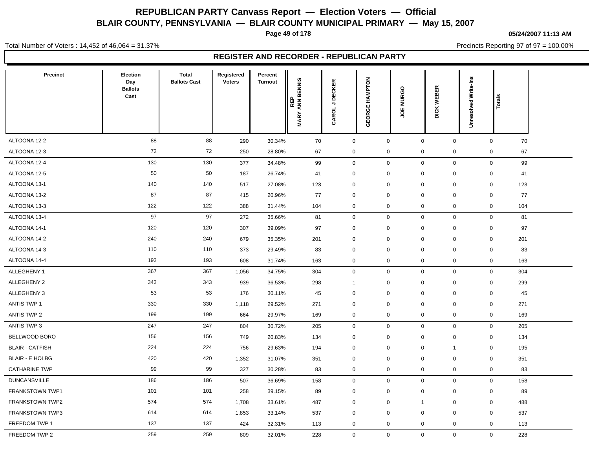**Page 49 of 178**

#### **05/24/2007 11:13 AM**

Precincts Reporting 97 of 97 = 100.00%

Total Number of Voters : 14,452 of 46,064 = 31.37%

| <b>Precinct</b>        | Election<br>Day<br><b>Ballots</b> | <b>Total</b><br><b>Ballots Cast</b> | Registered<br><b>Voters</b> | Percent<br><b>Turnout</b> |                                  |                          |                   |                         | ≃                 |                      |                    |  |
|------------------------|-----------------------------------|-------------------------------------|-----------------------------|---------------------------|----------------------------------|--------------------------|-------------------|-------------------------|-------------------|----------------------|--------------------|--|
|                        | Cast                              |                                     |                             |                           | ANN BENNIS<br>REP<br><b>MARY</b> | <b>DECKER</b><br>CAROL J | HAMPTON<br>GEORGE | <b>MURGO</b><br>٣       | ш<br>WEBI<br>DICK | Unresolved Write-Ins | Totals             |  |
|                        |                                   |                                     |                             |                           |                                  |                          |                   |                         |                   |                      |                    |  |
| ALTOONA 12-2           | 88                                | 88                                  | 290                         | 30.34%                    | 70                               | $\mathsf{O}\xspace$      | $\mathsf 0$       | $\mathsf 0$             | $\mathbf 0$       |                      | $\mathbf 0$<br>70  |  |
| ALTOONA 12-3           | 72                                | 72                                  | 250                         | 28.80%                    | 67                               | 0                        | $\mathbf 0$       | $\mathbf 0$             | 0                 |                      | 67<br>$\mathbf 0$  |  |
| ALTOONA 12-4           | 130                               | 130                                 | 377                         | 34.48%                    | 99                               | $\mathsf{O}\xspace$      | $\mathsf 0$       | $\mathbf 0$             | $\mathbf 0$       |                      | $\mathbf 0$<br>99  |  |
| ALTOONA 12-5           | 50                                | 50                                  | 187                         | 26.74%                    | 41                               | $\mathbf 0$              | $\mathbf 0$       | $\mathbf 0$             | 0                 |                      | $\mathbf 0$<br>41  |  |
| ALTOONA 13-1           | 140                               | 140                                 | 517                         | 27.08%                    | 123                              | 0                        | $\mathbf 0$       | $\mathbf 0$             | $\mathbf 0$       |                      | 123<br>$\mathbf 0$ |  |
| ALTOONA 13-2           | 87                                | 87                                  | 415                         | 20.96%                    | 77                               | $\mathbf 0$              | $\mathbf 0$       | $\mathbf 0$             | $\mathbf 0$       |                      | $\mathbf 0$<br>77  |  |
| ALTOONA 13-3           | 122                               | 122                                 | 388                         | 31.44%                    | 104                              | $\mathbf 0$              | $\mathbf 0$       | $\mathbf 0$             | 0                 |                      | $\mathbf 0$<br>104 |  |
| ALTOONA 13-4           | 97                                | 97                                  | 272                         | 35.66%                    | 81                               | $\mathbf 0$              | $\boldsymbol{0}$  | $\mathbf 0$             | $\mathbf 0$       |                      | $\mathbf 0$<br>81  |  |
| ALTOONA 14-1           | 120                               | 120                                 | 307                         | 39.09%                    | 97                               | 0                        | $\mathbf 0$       | $\mathbf 0$             | 0                 |                      | 97<br>$\mathbf 0$  |  |
| ALTOONA 14-2           | 240                               | 240                                 | 679                         | 35.35%                    | 201                              | 0                        | $\mathbf 0$       | $\mathbf 0$             | 0                 |                      | $\mathbf 0$<br>201 |  |
| ALTOONA 14-3           | 110                               | 110                                 | 373                         | 29.49%                    | 83                               | $\mathbf 0$              | $\mathbf 0$       | $\mathbf 0$             | 0                 |                      | 83<br>$\mathbf 0$  |  |
| ALTOONA 14-4           | 193                               | 193                                 | 608                         | 31.74%                    | 163                              | 0                        | $\mathbf 0$       | $\mathbf 0$             | 0                 |                      | $\mathbf 0$<br>163 |  |
| ALLEGHENY 1            | 367                               | 367                                 | 1,056                       | 34.75%                    | 304                              | $\mathsf{O}\xspace$      | $\mathbf 0$       | $\mathbf 0$             | $\mathbf 0$       |                      | $\mathbf 0$<br>304 |  |
| ALLEGHENY 2            | 343                               | 343                                 | 939                         | 36.53%                    | 298                              | $\overline{1}$           | $\mathbf 0$       | $\mathbf 0$             | 0                 |                      | 299<br>$\mathbf 0$ |  |
| ALLEGHENY 3            | 53                                | 53                                  | 176                         | 30.11%                    | 45                               | $\mathbf 0$              | $\mathbf 0$       | $\mathbf 0$             | 0                 |                      | $\mathbf 0$<br>45  |  |
| <b>ANTIS TWP 1</b>     | 330                               | 330                                 | 1,118                       | 29.52%                    | 271                              | $\mathbf 0$              | $\mathbf 0$       | $\mathbf 0$             | 0                 |                      | $\mathbf 0$<br>271 |  |
| <b>ANTIS TWP 2</b>     | 199                               | 199                                 | 664                         | 29.97%                    | 169                              | $\mathbf 0$              | $\mathbf 0$       | $\mathbf 0$             | $\mathbf 0$       |                      | $\mathbf 0$<br>169 |  |
| ANTIS TWP 3            | 247                               | 247                                 | 804                         | 30.72%                    | 205                              | $\mathbf 0$              | $\mathbf 0$       | $\mathbf 0$             | $\mathbf 0$       |                      | 205<br>$\mathbf 0$ |  |
| BELLWOOD BORO          | 156                               | 156                                 | 749                         | 20.83%                    | 134                              | 0                        | $\mathbf 0$       | $\mathbf 0$             | 0                 |                      | 134<br>$\mathbf 0$ |  |
| <b>BLAIR - CATFISH</b> | 224                               | 224                                 | 756                         | 29.63%                    | 194                              | 0                        | $\mathbf 0$       | $\mathbf 0$             | $\mathbf{1}$      |                      | $\mathbf 0$<br>195 |  |
| <b>BLAIR - E HOLBG</b> | 420                               | 420                                 | 1,352                       | 31.07%                    | 351                              | 0                        | $\mathbf 0$       | $\mathbf 0$             | 0                 |                      | $\mathbf 0$<br>351 |  |
| <b>CATHARINE TWP</b>   | 99                                | 99                                  | 327                         | 30.28%                    | 83                               | $\mathbf 0$              | $\mathbf 0$       | $\mathbf 0$             | 0                 |                      | $\mathbf 0$<br>83  |  |
| <b>DUNCANSVILLE</b>    | 186                               | 186                                 | 507                         | 36.69%                    | 158                              | $\mathbf 0$              | $\mathsf 0$       | $\mathsf 0$             | $\mathbf 0$       |                      | $\mathbf 0$<br>158 |  |
| FRANKSTOWN TWP1        | 101                               | 101                                 | 258                         | 39.15%                    | 89                               | $\mathbf 0$              | 0                 | $\mathbf 0$             | 0                 |                      | 0<br>89            |  |
| FRANKSTOWN TWP2        | 574                               | 574                                 | 1,708                       | 33.61%                    | 487                              | $\mathbf 0$              | $\mathbf 0$       | $\overline{\mathbf{1}}$ | $\Omega$          |                      | $\mathbf 0$<br>488 |  |
| <b>FRANKSTOWN TWP3</b> | 614                               | 614                                 | 1,853                       | 33.14%                    | 537                              | $\mathbf 0$              | $\mathbf 0$       | $\mathbf 0$             | 0                 |                      | $\mathbf 0$<br>537 |  |
| FREEDOM TWP 1          | 137                               | 137                                 | 424                         | 32.31%                    | 113                              | $\mathbf 0$              | $\mathbf 0$       | $\mathbf 0$             | 0                 |                      | $\mathbf 0$<br>113 |  |
| FREEDOM TWP 2          | 259                               | 259                                 | 809                         | 32.01%                    | 228                              | $\mathbf 0$              | $\mathsf 0$       | $\mathbf 0$             | $\mathbf 0$       |                      | $\mathbf 0$<br>228 |  |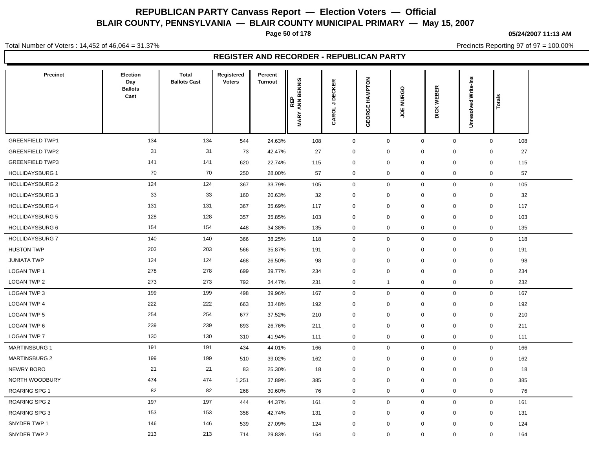**Page 50 of 178**

#### **05/24/2007 11:13 AM**

Precincts Reporting 97 of 97 = 100.00%

Total Number of Voters : 14,452 of 46,064 = 31.37%

| <b>Precinct</b>        | Election<br>Day        | <b>Total</b><br><b>Ballots Cast</b> | Registered<br><b>Voters</b> | Percent<br><b>Turnout</b> |                                         |                         |                   |                             |                                       |             |                      |                     |
|------------------------|------------------------|-------------------------------------|-----------------------------|---------------------------|-----------------------------------------|-------------------------|-------------------|-----------------------------|---------------------------------------|-------------|----------------------|---------------------|
|                        | <b>Ballots</b><br>Cast |                                     |                             |                           | <b>ANN BENNIS</b><br>REP<br><b>MARY</b> | <b>DECKER</b><br>CAROLJ | HAMPTON<br>GEORGE | $\circ$<br><b>MURG</b><br>෪ | $\propto$<br>画<br>WEBI<br><b>DICK</b> |             | Unresolved Write-Ins | Totals              |
| <b>GREENFIELD TWP1</b> | 134                    | 134                                 | 544                         | 24.63%                    | 108                                     | $\mathsf{O}\xspace$     | $\mathsf 0$       |                             | $\mathbf 0$                           | $\mathbf 0$ |                      | $\mathbf{0}$<br>108 |
| <b>GREENFIELD TWP2</b> | 31                     | 31                                  | 73                          | 42.47%                    | 27                                      | 0                       | 0                 |                             | $\mathbf 0$                           | 0           |                      | 27<br>0             |
| <b>GREENFIELD TWP3</b> | 141                    | 141                                 | 620                         | 22.74%                    | 115                                     | $\mathbf 0$             | $\mathbf 0$       |                             | $\mathbf 0$                           | 0           |                      | $\mathbf 0$<br>115  |
| <b>HOLLIDAYSBURG 1</b> | 70                     | 70                                  | 250                         | 28.00%                    | 57                                      | $\mathbf 0$             | $\mathbf 0$       |                             | $\mathbf 0$                           | 0           |                      | $\mathbf 0$<br>57   |
| <b>HOLLIDAYSBURG 2</b> | 124                    | 124                                 | 367                         | 33.79%                    | 105                                     | $\mathbf 0$             | $\mathsf 0$       |                             | $\mathbf 0$                           | 0           |                      | $\mathbf 0$<br>105  |
| <b>HOLLIDAYSBURG 3</b> | 33                     | 33                                  | 160                         | 20.63%                    | 32                                      | 0                       | $\mathbf 0$       |                             | $\mathbf 0$                           | $\mathbf 0$ |                      | $\mathbf 0$<br>32   |
| <b>HOLLIDAYSBURG 4</b> | 131                    | 131                                 | 367                         | 35.69%                    | 117                                     | $\mathbf 0$             | $\mathbf 0$       |                             | $\mathbf 0$                           | 0           |                      | $\mathbf 0$<br>117  |
| <b>HOLLIDAYSBURG 5</b> | 128                    | 128                                 | 357                         | 35.85%                    | 103                                     | $\mathbf 0$             | $\mathbf 0$       |                             | $\mathbf 0$                           | 0           |                      | $\mathbf 0$<br>103  |
| HOLLIDAYSBURG 6        | 154                    | 154                                 | 448                         | 34.38%                    | 135                                     | $\mathbf 0$             | $\mathbf 0$       |                             | $\mathbf 0$                           | 0           |                      | $\mathbf 0$<br>135  |
| <b>HOLLIDAYSBURG 7</b> | 140                    | 140                                 | 366                         | 38.25%                    | 118                                     | $\mathbf 0$             | $\mathbf 0$       |                             | $\mathbf 0$                           | 0           |                      | $\mathbf 0$<br>118  |
| <b>HUSTON TWP</b>      | 203                    | 203                                 | 566                         | 35.87%                    | 191                                     | $\mathbf 0$             | $\Omega$          |                             | $\mathbf 0$                           | $\mathbf 0$ |                      | $\mathbf 0$<br>191  |
| <b>JUNIATA TWP</b>     | 124                    | 124                                 | 468                         | 26.50%                    | 98                                      | $\mathbf 0$             | $\mathbf 0$       |                             | $\mathbf 0$                           | 0           |                      | $\mathbf 0$<br>98   |
| LOGAN TWP 1            | 278                    | 278                                 | 699                         | 39.77%                    | 234                                     | $\mathbf 0$             | $\mathbf 0$       |                             | $\mathbf 0$                           | 0           |                      | $\mathbf 0$<br>234  |
| LOGAN TWP 2            | 273                    | 273                                 | 792                         | 34.47%                    | 231                                     | $\mathbf 0$             | $\overline{1}$    |                             | $\mathbf 0$                           | $\mathbf 0$ |                      | $\mathbf 0$<br>232  |
| LOGAN TWP 3            | 199                    | 199                                 | 498                         | 39.96%                    | 167                                     | $\mathbf 0$             | $\mathbf 0$       |                             | $\mathbf 0$                           | $\mathbf 0$ |                      | $\mathbf 0$<br>167  |
| LOGAN TWP 4            | 222                    | 222                                 | 663                         | 33.48%                    | 192                                     | $\mathbf 0$             | $\mathbf 0$       |                             | $\mathbf 0$                           | 0           |                      | $\mathbf 0$<br>192  |
| LOGAN TWP 5            | 254                    | 254                                 | 677                         | 37.52%                    | 210                                     | 0                       | $\mathbf 0$       |                             | $\mathbf 0$                           | 0           |                      | $\mathbf 0$<br>210  |
| LOGAN TWP 6            | 239                    | 239                                 | 893                         | 26.76%                    | 211                                     | 0                       | $\mathbf 0$       |                             | $\mathbf 0$                           | $\mathbf 0$ |                      | 211<br>0            |
| LOGAN TWP 7            | 130                    | 130                                 | 310                         | 41.94%                    | 111                                     | $\mathbf 0$             | $\mathbf 0$       |                             | $\mathbf 0$                           | 0           |                      | $\mathbf 0$<br>111  |
| <b>MARTINSBURG 1</b>   | 191                    | 191                                 | 434                         | 44.01%                    | 166                                     | $\mathbf 0$             | $\mathbf 0$       |                             | $\mathbf 0$                           | 0           |                      | $\mathbf 0$<br>166  |
| <b>MARTINSBURG 2</b>   | 199                    | 199                                 | 510                         | 39.02%                    | 162                                     | $\mathbf 0$             | $\mathbf 0$       |                             | $\mathbf 0$                           | 0           |                      | $\mathbf 0$<br>162  |
| NEWRY BORO             | 21                     | 21                                  | 83                          | 25.30%                    | 18                                      | 0                       | $\mathbf 0$       |                             | $\mathbf 0$                           | $\mathbf 0$ |                      | $\mathbf 0$<br>18   |
| NORTH WOODBURY         | 474                    | 474                                 | 1,251                       | 37.89%                    | 385                                     | 0                       | $\mathbf 0$       |                             | $\mathbf 0$                           | $\mathbf 0$ |                      | 385<br>$\mathbf 0$  |
| <b>ROARING SPG 1</b>   | 82                     | 82                                  | 268                         | 30.60%                    | 76                                      | $\mathbf 0$             | $\mathbf 0$       |                             | $\mathbf 0$                           | 0           |                      | $\mathbf 0$<br>76   |
| ROARING SPG 2          | 197                    | 197                                 | 444                         | 44.37%                    | 161                                     | $\mathbf 0$             | $\mathbf 0$       |                             | $\mathbf 0$                           | 0           |                      | $\mathbf 0$<br>161  |
| <b>ROARING SPG 3</b>   | 153                    | 153                                 | 358                         | 42.74%                    | 131                                     | 0                       | $\mathbf 0$       |                             | $\mathbf 0$                           | 0           |                      | $\mathbf 0$<br>131  |
| SNYDER TWP 1           | 146                    | 146                                 | 539                         | 27.09%                    | 124                                     | $\mathbf 0$             | $\Omega$          |                             | $\mathbf 0$                           | $\mathbf 0$ |                      | $\mathbf 0$<br>124  |
| SNYDER TWP 2           | 213                    | 213                                 | 714                         | 29.83%                    | 164                                     | $\mathbf 0$             | $\mathbf 0$       |                             | $\mathbf 0$                           | $\mathbf 0$ |                      | $\mathbf 0$<br>164  |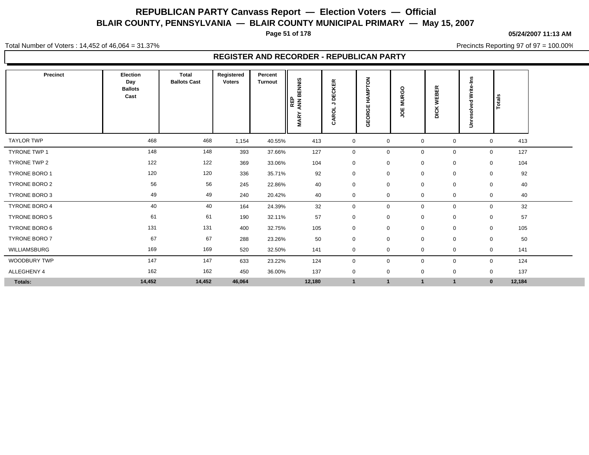**Page 51 of 178**

**05/24/2007 11:13 AM**

Precincts Reporting 97 of 97 = 100.00%

Total Number of Voters : 14,452 of 46,064 = 31.37%

| Precinct             | <b>Election</b><br>Day<br><b>Ballots</b><br>Cast | <b>Total</b><br><b>Ballots Cast</b> | Registered<br><b>Voters</b> | Percent<br><b>Turnout</b> | BENNIS<br>REP<br>ANN E<br>ARY<br>Σ | <b>CKER</b><br>ш<br>ō<br>,<br>ō<br>ě<br>σ | <b>MPTON</b><br>$\overline{\mathbf{z}}$<br>GEORGE | $\circ$<br>Ō<br>œ<br>∍<br>≅<br>ш<br>ō | BER<br>而<br>3<br><b>DICK</b> | ے<br>=<br>Write-<br>Unresolved | Totals             |  |
|----------------------|--------------------------------------------------|-------------------------------------|-----------------------------|---------------------------|------------------------------------|-------------------------------------------|---------------------------------------------------|---------------------------------------|------------------------------|--------------------------------|--------------------|--|
| <b>TAYLOR TWP</b>    | 468                                              | 468                                 | 1,154                       | 40.55%                    | 413                                | $\mathbf 0$                               | $\mathbf 0$                                       | $\mathbf 0$                           | $\mathbf 0$                  |                                | 413<br>$\mathbf 0$ |  |
| <b>TYRONE TWP 1</b>  | 148                                              | 148                                 | 393                         | 37.66%                    | 127                                | $\mathbf 0$                               | $\mathbf 0$                                       | $\mathbf 0$                           | $\mathbf 0$                  |                                | 127<br>$\mathbf 0$ |  |
| TYRONE TWP 2         | 122                                              | 122                                 | 369                         | 33.06%                    | 104                                | $\mathbf 0$                               | $\mathbf 0$                                       | $\mathbf 0$                           | $\mathbf 0$                  |                                | 104<br>$\mathbf 0$ |  |
| <b>TYRONE BORO 1</b> | 120                                              | 120                                 | 336                         | 35.71%                    | 92                                 | $\mathbf 0$                               | $\mathbf 0$                                       | $\mathbf 0$                           | 0                            | $\mathbf 0$                    | 92                 |  |
| TYRONE BORO 2        | 56                                               | 56                                  | 245                         | 22.86%                    | 40                                 | $\mathbf 0$                               | $\mathbf 0$                                       | $\mathbf 0$                           | 0                            | $\mathbf 0$                    | 40                 |  |
| TYRONE BORO 3        | 49                                               | 49                                  | 240                         | 20.42%                    | 40                                 | $\mathbf 0$                               | $\mathbf 0$                                       | $\mathbf 0$                           | 0                            |                                | $\mathbf 0$<br>40  |  |
| <b>TYRONE BORO 4</b> | 40                                               | 40                                  | 164                         | 24.39%                    | 32                                 | $\mathbf 0$                               | $\mathbf 0$                                       | $\mathbf 0$                           | 0                            |                                | 32<br>$\mathbf 0$  |  |
| TYRONE BORO 5        | 61                                               | 61                                  | 190                         | 32.11%                    | 57                                 | $\mathbf 0$                               | $\mathbf 0$                                       | $\mathbf 0$                           | $\mathbf 0$                  | $\mathbf 0$                    | 57                 |  |
| TYRONE BORO 6        | 131                                              | 131                                 | 400                         | 32.75%                    | 105                                | $\mathbf 0$                               | $\mathbf 0$                                       | $\mathbf 0$                           | 0                            |                                | 105<br>$\mathbf 0$ |  |
| <b>TYRONE BORO 7</b> | 67                                               | 67                                  | 288                         | 23.26%                    | 50                                 | $\mathbf 0$                               | $\mathbf 0$                                       | $\mathbf 0$                           | 0                            | $\mathbf 0$                    | 50                 |  |
| WILLIAMSBURG         | 169                                              | 169                                 | 520                         | 32.50%                    | 141                                | $\mathbf 0$                               | $\mathbf 0$                                       | 0                                     | 0                            |                                | 141<br>0           |  |
| <b>WOODBURY TWP</b>  | 147                                              | 147                                 | 633                         | 23.22%                    | 124                                | $\mathbf 0$                               | $\mathbf 0$                                       | $\mathbf 0$                           | 0                            |                                | 124<br>$\mathbf 0$ |  |
| ALLEGHENY 4          | 162                                              | 162                                 | 450                         | 36.00%                    | 137                                | $\mathbf 0$                               | $\mathbf 0$                                       | $\mathbf 0$                           | 0                            |                                | 137<br>$\mathbf 0$ |  |
| Totals:              | 14,452                                           | 14,452                              | 46,064                      |                           | 12,180                             | $\mathbf{1}$                              | $\mathbf{1}$                                      | $\overline{\mathbf{1}}$               | $\overline{1}$               |                                | 12,184<br>$\bf{0}$ |  |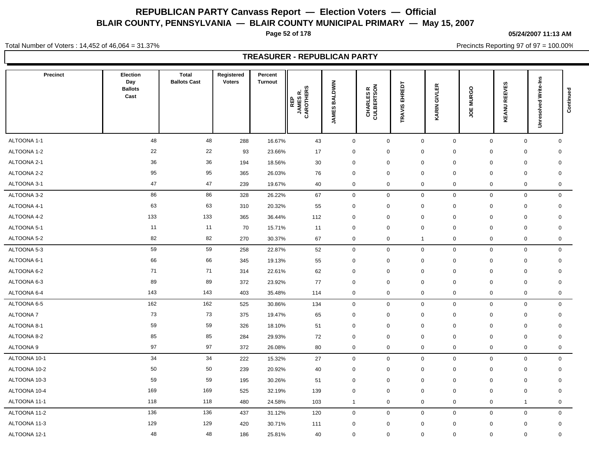**Page 52 of 178**

**05/24/2007 11:13 AM**

Total Number of Voters : 14,452 of 46,064 = 31.37%

Precincts Reporting 97 of 97 = 100.00%

| Precinct        | Election<br>Day<br><b>Ballots</b><br>Cast | <b>Total</b><br><b>Ballots Cast</b> | Registered<br><b>Voters</b> | Percent<br><b>Turnout</b> | ဖာ<br><b>CAROTHERS</b><br>JAMES R.<br>CAROTHERS | <b>BALDWIN</b><br><b>JAMES</b> | CHARLES R<br>CULBERTSON | EHREDT<br>TRAVIS | GIVLER<br>KARIN | <b>MURGO</b><br>ğ | <b>KEANU REEVES</b> | <b>Unresolved Write-Ins</b> | Continued   |
|-----------------|-------------------------------------------|-------------------------------------|-----------------------------|---------------------------|-------------------------------------------------|--------------------------------|-------------------------|------------------|-----------------|-------------------|---------------------|-----------------------------|-------------|
| ALTOONA 1-1     | 48                                        | 48                                  | 288                         | 16.67%                    | 43                                              | $\mathbf 0$                    | $\mathbf 0$             | $\mathbf 0$      | $\mathbf 0$     | $\mathbf 0$       | $\mathbf 0$         | $\mathbf 0$                 |             |
| ALTOONA 1-2     | 22                                        | 22                                  | 93                          | 23.66%                    | 17                                              | 0                              | 0                       | $\mathbf 0$      | 0               | 0                 | 0                   | 0                           |             |
| ALTOONA 2-1     | 36                                        | 36                                  | 194                         | 18.56%                    | 30                                              | 0                              | $\mathbf 0$             | $\mathbf 0$      | $\mathbf 0$     | $\mathbf 0$       | $\mathbf 0$         | $\mathbf 0$                 |             |
| ALTOONA 2-2     | 95                                        | 95                                  | 365                         | 26.03%                    | 76                                              | 0                              | $\mathbf 0$             | $\mathbf 0$      | $\mathbf 0$     | $\mathbf 0$       | $\mathbf 0$         | $\mathbf 0$                 |             |
| ALTOONA 3-1     | 47                                        | 47                                  | 239                         | 19.67%                    | 40                                              | 0                              | 0                       | $\mathbf 0$      | 0               | 0                 | $\mathbf 0$         |                             | $\mathbf 0$ |
| ALTOONA 3-2     | 86                                        | 86                                  | 328                         | 26.22%                    | 67                                              | $\mathsf{O}\xspace$            | $\mathbf 0$             | $\pmb{0}$        | $\mathsf{O}$    | $\mathbf 0$       | $\mathsf 0$         |                             | $\mathbf 0$ |
| ALTOONA 4-1     | 63                                        | 63                                  | 310                         | 20.32%                    | 55                                              | 0                              | 0                       | $\mathbf 0$      | $\mathbf 0$     | $\mathbf 0$       | $\mathbf 0$         | $\mathbf 0$                 |             |
| ALTOONA 4-2     | 133                                       | 133                                 | 365                         | 36.44%                    | 112                                             | 0                              | $\mathbf 0$             | $\mathbf 0$      | 0               | $\mathbf 0$       | $\mathbf 0$         | $\mathbf 0$                 |             |
| ALTOONA 5-1     | 11                                        | 11                                  | 70                          | 15.71%                    | 11                                              | 0                              | $\mathbf 0$             | $\mathbf 0$      | $\mathbf 0$     | $\mathbf 0$       | $\mathbf 0$         | $\mathbf 0$                 |             |
| ALTOONA 5-2     | 82                                        | 82                                  | 270                         | 30.37%                    | 67                                              | $\mathbf 0$                    | $\mathbf 0$             | $\overline{1}$   | $\mathbf 0$     | $\mathbf 0$       | $\mathsf{O}\xspace$ |                             | 0           |
| ALTOONA 5-3     | 59                                        | 59                                  | 258                         | 22.87%                    | 52                                              | 0                              | $\mathbf 0$             | $\mathbf 0$      | 0               | $\mathbf 0$       | $\mathbf 0$         |                             | $\mathbf 0$ |
| ALTOONA 6-1     | 66                                        | 66                                  | 345                         | 19.13%                    | 55                                              | 0                              | $\mathbf 0$             | $\mathbf 0$      | $\mathbf 0$     | $\mathbf 0$       | $\mathbf 0$         |                             | $\mathbf 0$ |
| ALTOONA 6-2     | 71                                        | 71                                  | 314                         | 22.61%                    | 62                                              | 0                              | $\mathbf 0$             | $\mathbf 0$      | $\mathbf 0$     | $\mathbf 0$       | $\mathbf 0$         | $\mathbf 0$                 |             |
| ALTOONA 6-3     | 89                                        | 89                                  | 372                         | 23.92%                    | 77                                              | $\Omega$                       | $\mathbf 0$             | $\mathbf 0$      | $\Omega$        | $\mathbf 0$       | $\mathbf 0$         | $\mathbf 0$                 |             |
| ALTOONA 6-4     | 143                                       | 143                                 | 403                         | 35.48%                    | 114                                             | 0                              | $\mathbf 0$             | $\pmb{0}$        | 0               | $\mathbf 0$       | $\mathbf 0$         |                             | $\mathbf 0$ |
| ALTOONA 6-5     | 162                                       | 162                                 | 525                         | 30.86%                    | 134                                             | 0                              | $\mathbf 0$             | $\mathbf 0$      | 0               | $\mathbf 0$       | $\mathbf 0$         |                             | $\mathbf 0$ |
| <b>ALTOONA7</b> | 73                                        | 73                                  | 375                         | 19.47%                    | 65                                              | 0                              | $\mathbf 0$             | $\mathbf 0$      | $\mathbf 0$     | $\Omega$          | $\mathbf 0$         | $\mathbf 0$                 |             |
| ALTOONA 8-1     | 59                                        | 59                                  | 326                         | 18.10%                    | 51                                              | $\mathbf 0$                    | $\mathbf 0$             | $\mathbf 0$      | $\mathbf 0$     | $\mathbf 0$       | $\mathbf 0$         | 0                           |             |
| ALTOONA 8-2     | 85                                        | 85                                  | 284                         | 29.93%                    | 72                                              | $\mathbf 0$                    | $\mathbf 0$             | $\mathbf 0$      | $\Omega$        | $\mathbf 0$       | $\mathbf 0$         | $\mathbf 0$                 |             |
| ALTOONA 9       | 97                                        | 97                                  | 372                         | 26.08%                    | 80                                              | 0                              | $\mathbf 0$             | $\mathbf 0$      | 0               | $\mathbf 0$       | $\mathbf 0$         |                             | 0           |
| ALTOONA 10-1    | 34                                        | 34                                  | 222                         | 15.32%                    | 27                                              | 0                              | $\mathbf 0$             | $\mathbf 0$      | 0               | $\mathbf 0$       | $\mathbf 0$         |                             | $\mathbf 0$ |
| ALTOONA 10-2    | 50                                        | 50                                  | 239                         | 20.92%                    | 40                                              | 0                              | $\mathbf 0$             | $\mathbf 0$      | $\pmb{0}$       | $\mathbf 0$       | $\mathbf 0$         | $\mathbf 0$                 |             |
| ALTOONA 10-3    | 59                                        | 59                                  | 195                         | 30.26%                    | 51                                              | $\mathbf 0$                    | $\mathbf 0$             | $\mathbf 0$      | $\mathbf 0$     | 0                 | $\mathbf 0$         | $\mathbf 0$                 |             |
| ALTOONA 10-4    | 169                                       | 169                                 | 525                         | 32.19%                    | 139                                             | 0                              | $\mathbf 0$             | $\mathbf 0$      | $\mathbf 0$     | $\mathbf 0$       | $\mathbf 0$         | $\mathbf 0$                 |             |
| ALTOONA 11-1    | 118                                       | 118                                 | 480                         | 24.58%                    | 103                                             | $\mathbf{1}$                   | $\mathbf 0$             | $\mathbf 0$      | 0               | $\mathbf 0$       | $\overline{1}$      |                             | 0           |
| ALTOONA 11-2    | 136                                       | 136                                 | 437                         | 31.12%                    | 120                                             | 0                              | $\mathbf 0$             | $\pmb{0}$        | 0               | $\mathbf 0$       | $\mathsf 0$         |                             | $\mathbf 0$ |
| ALTOONA 11-3    | 129                                       | 129                                 | 420                         | 30.71%                    | 111                                             | $\mathbf 0$                    | $\mathbf 0$             | $\mathbf 0$      | $\mathbf 0$     | $\mathbf 0$       | $\mathbf 0$         | $\mathbf 0$                 |             |
| ALTOONA 12-1    | 48                                        | 48                                  | 186                         | 25.81%                    | 40                                              | 0                              | $\mathbf 0$             | $\mathbf 0$      | 0               | $\mathbf 0$       | $\mathbf 0$         | $\mathbf 0$                 |             |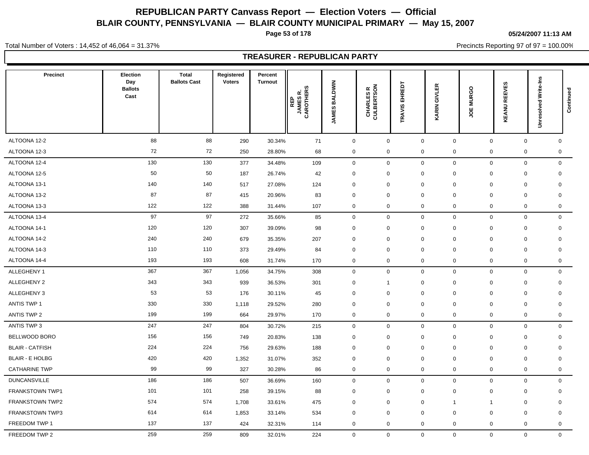**Page 53 of 178**

**05/24/2007 11:13 AM**

Total Number of Voters : 14,452 of 46,064 = 31.37%

Precincts Reporting 97 of 97 = 100.00%

| <b>Precinct</b>        | Election<br>Day<br><b>Ballots</b><br>Cast | <b>Total</b><br><b>Ballots Cast</b> | Registered<br><b>Voters</b> | Percent<br><b>Turnout</b> | ဖာ<br><b>CAROTHERS</b><br>JAMES R.<br>CAROTHERS | <b>BALDWIN</b><br><b>JAMES</b> | CHARLES R<br>CULBERTSON | EHREDT<br><b>RAVIS</b> | 띥<br><b>TIMB</b><br><b>KARIN</b> | <b>MURGO</b><br>ă | <b>KEANU REEVES</b>         | <b>Unresolved Write-Ins</b> | Continued |
|------------------------|-------------------------------------------|-------------------------------------|-----------------------------|---------------------------|-------------------------------------------------|--------------------------------|-------------------------|------------------------|----------------------------------|-------------------|-----------------------------|-----------------------------|-----------|
| ALTOONA 12-2           | 88                                        | 88                                  | 290                         | 30.34%                    | 71                                              | $\mathsf{O}\xspace$            | $\mathsf 0$             | $\mathbf 0$            | $\mathsf{O}$                     | $\mathbf 0$       | $\mathbf 0$                 | $\mathbf 0$                 |           |
| ALTOONA 12-3           | 72                                        | 72                                  | 250                         | 28.80%                    | 68                                              | $\mathbf 0$                    | $\mathbf 0$             | $\mathbf 0$            | 0                                | $\mathsf 0$       |                             | $\mathbf 0$<br>0            |           |
| ALTOONA 12-4           | 130                                       | 130                                 | 377                         | 34.48%                    | 109                                             | $\mathbf 0$                    | $\mathsf 0$             | $\mathbf 0$            | $\mathbf 0$                      | $\mathbf 0$       | $\mathbf 0$                 | $\mathbf 0$                 |           |
| ALTOONA 12-5           | 50                                        | 50                                  | 187                         | 26.74%                    | 42                                              | $\mathbf 0$                    | $\mathbf 0$             | $\mathbf 0$            | 0                                | $\mathbf 0$       | $\mathbf 0$                 | $\mathbf 0$                 |           |
| ALTOONA 13-1           | 140                                       | 140                                 | 517                         | 27.08%                    | 124                                             | 0                              | $\mathbf 0$             | $\mathbf 0$            | $\mathbf 0$                      | 0                 | 0                           | 0                           |           |
| ALTOONA 13-2           | 87                                        | 87                                  | 415                         | 20.96%                    | 83                                              | $\mathbf 0$                    | $\mathbf 0$             | $\mathbf 0$            | $\mathbf 0$                      | $\mathbf 0$       | $\mathbf 0$                 | $\mathbf 0$                 |           |
| ALTOONA 13-3           | 122                                       | 122                                 | 388                         | 31.44%                    | 107                                             | $\mathbf 0$                    | $\mathbf 0$             | $\mathbf 0$            | 0                                | $\mathbf 0$       |                             | $\mathbf 0$<br>$\mathbf 0$  |           |
| ALTOONA 13-4           | 97                                        | 97                                  | 272                         | 35.66%                    | 85                                              | $\mathbf 0$                    | $\mathbf 0$             | $\mathbf 0$            | $\mathbf 0$                      | $\mathbf 0$       | $\mathbf 0$                 | $\mathbf 0$                 |           |
| ALTOONA 14-1           | 120                                       | 120                                 | 307                         | 39.09%                    | 98                                              | $\mathbf 0$                    | $\mathbf 0$             | $\mathbf 0$            | 0                                | $\mathbf 0$       |                             | $\mathbf 0$<br>$\mathbf 0$  |           |
| ALTOONA 14-2           | 240                                       | 240                                 | 679                         | 35.35%                    | 207                                             | 0                              | $\mathbf 0$             | $\mathbf 0$            | $\mathbf 0$                      | 0                 | $\mathbf 0$                 | 0                           |           |
| ALTOONA 14-3           | 110                                       | 110                                 | 373                         | 29.49%                    | 84                                              | $\mathbf 0$                    | $\mathbf 0$             | $\mathbf 0$            | 0                                | $\mathbf 0$       | $\mathbf 0$                 | $\mathbf 0$                 |           |
| ALTOONA 14-4           | 193                                       | 193                                 | 608                         | 31.74%                    | 170                                             | $\mathbf 0$                    | $\mathbf 0$             | $\mathbf 0$            | 0                                | $\mathbf 0$       |                             | $\mathbf 0$<br>$\mathbf 0$  |           |
| ALLEGHENY 1            | 367                                       | 367                                 | 1,056                       | 34.75%                    | 308                                             | $\mathbf 0$                    | $\mathbf 0$             | $\mathbf 0$            | $\mathbf 0$                      | $\mathbf 0$       | $\mathbf 0$                 | $\mathbf 0$                 |           |
| <b>ALLEGHENY 2</b>     | 343                                       | 343                                 | 939                         | 36.53%                    | 301                                             | $\mathbf 0$                    | -1                      | $\mathbf 0$            | $\mathbf 0$                      | $\mathbf 0$       | $\mathbf 0$                 | $\mathbf 0$                 |           |
| ALLEGHENY 3            | 53                                        | 53                                  | 176                         | 30.11%                    | 45                                              | $\mathbf 0$                    | $\mathbf 0$             | $\mathbf 0$            | 0                                | $\mathbf 0$       | $\mathbf 0$                 | $\mathbf 0$                 |           |
| <b>ANTIS TWP 1</b>     | 330                                       | 330                                 | 1,118                       | 29.52%                    | 280                                             | 0                              | $\mathbf 0$             | $\mathbf 0$            | 0                                | $\mathbf 0$       | $\mathbf 0$                 | $\mathbf 0$                 |           |
| <b>ANTIS TWP 2</b>     | 199                                       | 199                                 | 664                         | 29.97%                    | 170                                             | 0                              | $\mathbf 0$             | $\mathbf 0$            | $\mathbf 0$                      | $\mathbf 0$       |                             | 0<br>0                      |           |
| ANTIS TWP 3            | 247                                       | 247                                 | 804                         | 30.72%                    | 215                                             | $\mathbf 0$                    | $\mathbf 0$             | $\mathbf 0$            | 0                                | $\mathbf 0$       | $\mathbf 0$                 | $\mathbf 0$                 |           |
| BELLWOOD BORO          | 156                                       | 156                                 | 749                         | 20.83%                    | 138                                             | 0                              | $\mathbf 0$             | $\mathbf 0$            | $\Omega$                         | 0                 | $\mathbf 0$                 | $\mathbf 0$                 |           |
| <b>BLAIR - CATFISH</b> | 224                                       | 224                                 | 756                         | 29.63%                    | 188                                             | $\mathbf 0$                    | $\mathbf 0$             | $\mathbf 0$            | $\mathbf 0$                      | $\mathbf 0$       | $\mathbf 0$                 | $\mathbf 0$                 |           |
| <b>BLAIR - E HOLBG</b> | 420                                       | 420                                 | 1,352                       | 31.07%                    | 352                                             | 0                              | $\mathbf 0$             | $\mathbf 0$            | $\mathbf 0$                      | $\mathbf 0$       | $\mathbf 0$                 | $\mathbf 0$                 |           |
| <b>CATHARINE TWP</b>   | 99                                        | 99                                  | 327                         | 30.28%                    | 86                                              | 0                              | $\mathbf 0$             | $\mathbf 0$            | $\Omega$                         | $\mathbf 0$       | $\mathbf 0$                 | 0                           |           |
| <b>DUNCANSVILLE</b>    | 186                                       | 186                                 | 507                         | 36.69%                    | 160                                             | $\mathbf 0$                    | $\mathbf 0$             | $\mathbf 0$            | $\mathbf 0$                      | $\mathbf 0$       | $\mathbf 0$                 | $\mathbf 0$                 |           |
| FRANKSTOWN TWP1        | 101                                       | 101                                 | 258                         | 39.15%                    | 88                                              | $\mathbf 0$                    | $\mathbf 0$             | $\mathbf 0$            | 0                                | $\mathbf 0$       | $\mathbf 0$                 | $\mathbf 0$                 |           |
| <b>FRANKSTOWN TWP2</b> | 574                                       | 574                                 | 1,708                       | 33.61%                    | 475                                             | $\mathbf 0$                    | $\mathbf 0$             | $\mathbf 0$            | $\mathbf{1}$                     | $\mathbf{1}$      | $\mathbf 0$                 | $\mathbf 0$                 |           |
| <b>FRANKSTOWN TWP3</b> | 614                                       | 614                                 | 1,853                       | 33.14%                    | 534                                             | 0                              | $\mathbf 0$             | $\mathbf 0$            | $\mathbf 0$                      | 0                 | $\mathbf 0$                 | $\mathbf 0$                 |           |
| FREEDOM TWP 1          | 137                                       | 137                                 | 424                         | 32.31%                    | 114                                             | $\mathbf 0$                    | $\mathbf 0$             | $\mathbf 0$            | 0                                | $\mathbf 0$       |                             | $\mathbf 0$<br>$\mathbf 0$  |           |
| FREEDOM TWP 2          | 259                                       | 259                                 | 809                         | 32.01%                    | 224                                             | $\mathbf 0$                    | $\mathbf 0$             | $\mathbf 0$            | $\mathbf{0}$                     |                   | $\mathbf 0$<br>$\mathbf{0}$ | $\mathbf 0$                 |           |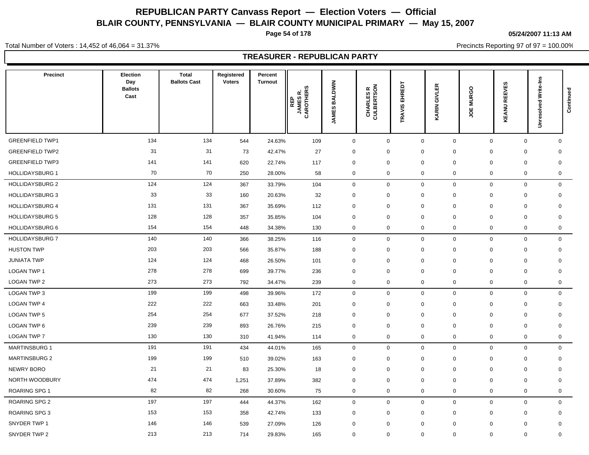**Page 54 of 178**

**05/24/2007 11:13 AM**

Precincts Reporting 97 of 97 = 100.00%

Total Number of Voters : 14,452 of 46,064 = 31.37%

| Precinct               | <b>Election</b><br>Day<br><b>Ballots</b><br>Cast | <b>Total</b><br><b>Ballots Cast</b> | Registered<br><b>Voters</b> | Percent<br><b>Turnout</b> | ဖာ<br>REP<br>JAMES R.<br>CAROTHERS | <b>BALDWIN</b><br>JAMES | CHARLES R<br>CULBERTSON | EHREDT<br>RAVIS  | GIVLER<br>KARIN | <b>MURGO</b><br>ă | <b>REEVES</b><br>KEANU     | Unresolved Write-Ins | Continued   |
|------------------------|--------------------------------------------------|-------------------------------------|-----------------------------|---------------------------|------------------------------------|-------------------------|-------------------------|------------------|-----------------|-------------------|----------------------------|----------------------|-------------|
| <b>GREENFIELD TWP1</b> | 134                                              | 134                                 | 544                         | 24.63%                    | 109                                | $\mathbf 0$             | $\mathbf 0$             | $\mathbf 0$      | 0               | $\mathbf 0$       | $\mathbf 0$                |                      | $\mathbf 0$ |
| <b>GREENFIELD TWP2</b> | 31                                               | 31                                  | 73                          | 42.47%                    | 27                                 | $\mathbf 0$             | $\mathbf 0$             | $\mathbf 0$      | 0               | $\mathbf 0$       | $\mathbf 0$                |                      | 0           |
| <b>GREENFIELD TWP3</b> | 141                                              | 141                                 | 620                         | 22.74%                    | 117                                | $\mathbf 0$             | $\mathbf 0$             | $\overline{0}$   | 0               | $\mathbf 0$       | $\mathbf 0$                |                      | $\mathbf 0$ |
| <b>HOLLIDAYSBURG 1</b> | 70                                               | 70                                  | 250                         | 28.00%                    | 58                                 | $\mathbf 0$             | $\mathbf 0$             | $\mathbf 0$      | 0               | $\mathbf 0$       |                            | $\mathbf 0$          | $\mathbf 0$ |
| <b>HOLLIDAYSBURG 2</b> | 124                                              | 124                                 | 367                         | 33.79%                    | 104                                | $\mathbf 0$             | $\mathbf 0$             | $\overline{0}$   | $\mathbf 0$     | $\mathbf 0$       | $\mathbf 0$                |                      | $\mathbf 0$ |
| <b>HOLLIDAYSBURG 3</b> | 33                                               | 33                                  | 160                         | 20.63%                    | 32                                 | $\mathbf 0$             | $\mathbf 0$             | $\overline{0}$   | 0               | $\mathbf 0$       | $\mathbf 0$                |                      | $\mathbf 0$ |
| <b>HOLLIDAYSBURG 4</b> | 131                                              | 131                                 | 367                         | 35.69%                    | 112                                | 0                       | $\mathbf 0$             | $\mathbf 0$      | 0               | $\mathbf 0$       | 0                          |                      | $\mathbf 0$ |
| <b>HOLLIDAYSBURG 5</b> | 128                                              | 128                                 | 357                         | 35.85%                    | 104                                | $\mathbf 0$             | $\mathbf 0$             | $\mathbf 0$      | $\mathbf 0$     | $\mathbf 0$       | 0                          |                      | $\mathbf 0$ |
| <b>HOLLIDAYSBURG 6</b> | 154                                              | 154                                 | 448                         | 34.38%                    | 130                                | $\mathbf 0$             | $\boldsymbol{0}$        | $\mathbf 0$      | 0               | $\mathbf 0$       |                            | $\mathbf 0$          | $\mathbf 0$ |
| <b>HOLLIDAYSBURG 7</b> | 140                                              | 140                                 | 366                         | 38.25%                    | 116                                | $\mathbf 0$             | $\mathbf 0$             | $\overline{0}$   | 0               |                   | $\mathbf 0$<br>$\mathbf 0$ |                      | $\mathbf 0$ |
| <b>HUSTON TWP</b>      | 203                                              | 203                                 | 566                         | 35.87%                    | 188                                | 0                       | $\mathbf 0$             | $\mathbf 0$      | 0               | $\mathbf 0$       | 0                          |                      | $\mathbf 0$ |
| <b>JUNIATA TWP</b>     | 124                                              | 124                                 | 468                         | 26.50%                    | 101                                | 0                       | $\Omega$                | $\mathbf 0$      | $\mathbf 0$     | $\mathbf 0$       | $\mathbf 0$                |                      | $\mathbf 0$ |
| LOGAN TWP 1            | 278                                              | 278                                 | 699                         | 39.77%                    | 236                                | $\mathbf 0$             | $\mathbf 0$             | $\Omega$         | $\mathbf 0$     | $\mathbf 0$       | $\Omega$                   |                      | $\mathbf 0$ |
| LOGAN TWP 2            | 273                                              | 273                                 | 792                         | 34.47%                    | 239                                | $\mathbf 0$             | $\mathbf 0$             | $\mathbf 0$      | 0               | $\mathbf 0$       |                            | $\mathbf 0$          | $\mathbf 0$ |
| LOGAN TWP 3            | 199                                              | 199                                 | 498                         | 39.96%                    | 172                                | $\mathbf 0$             | $\mathbf 0$             | $\overline{0}$   | 0               | $\mathbf 0$       | $\mathbf 0$                |                      | $\mathbf 0$ |
| <b>LOGAN TWP 4</b>     | 222                                              | 222                                 | 663                         | 33.48%                    | 201                                | $\mathbf 0$             | $\mathbf 0$             | $\mathbf 0$      | 0               | $\mathbf 0$       | $\mathbf 0$                |                      | $\mathbf 0$ |
| <b>LOGAN TWP 5</b>     | 254                                              | 254                                 | 677                         | 37.52%                    | 218                                | 0                       | 0                       | $\mathbf 0$      | 0               | 0                 | 0                          |                      | 0           |
| LOGAN TWP 6            | 239                                              | 239                                 | 893                         | 26.76%                    | 215                                | $\mathbf 0$             | $\mathbf 0$             | $\overline{0}$   | 0               | $\mathbf 0$       | $\mathbf 0$                |                      | $\mathbf 0$ |
| <b>LOGAN TWP 7</b>     | 130                                              | 130                                 | 310                         | 41.94%                    | 114                                | $\mathbf 0$             | $\mathbf 0$             | $\boldsymbol{0}$ | 0               | $\mathbf 0$       |                            | $\mathbf 0$          | $\mathbf 0$ |
| <b>MARTINSBURG 1</b>   | 191                                              | 191                                 | 434                         | 44.01%                    | 165                                | $\mathbf 0$             | $\mathbf 0$             | $\overline{0}$   | 0               |                   | $\mathbf 0$<br>$\mathbf 0$ |                      | $\mathbf 0$ |
| <b>MARTINSBURG 2</b>   | 199                                              | 199                                 | 510                         | 39.02%                    | 163                                | $\mathbf 0$             | $\mathbf 0$             | $\mathbf 0$      | 0               | $\mathbf 0$       | 0                          |                      | $\mathbf 0$ |
| <b>NEWRY BORO</b>      | 21                                               | 21                                  | 83                          | 25.30%                    | 18                                 | 0                       | $\mathbf 0$             | $\mathbf 0$      | $\mathbf 0$     | 0                 | 0                          |                      | $\mathbf 0$ |
| NORTH WOODBURY         | 474                                              | 474                                 | 1,251                       | 37.89%                    | 382                                | $\mathbf 0$             | $\mathbf 0$             | $\overline{0}$   | 0               | $\mathbf 0$       | $\mathbf 0$                |                      | $\mathbf 0$ |
| <b>ROARING SPG1</b>    | 82                                               | 82                                  | 268                         | 30.60%                    | 75                                 | 0                       | $\mathbf 0$             | $\mathbf 0$      | 0               | $\mathbf 0$       | $\mathbf 0$                |                      | $\mathbf 0$ |
| ROARING SPG 2          | 197                                              | 197                                 | 444                         | 44.37%                    | 162                                | $\mathbf 0$             | $\mathbf 0$             | $\mathbf 0$      | 0               | $\mathbf 0$       | $\mathbf 0$                |                      | $\mathbf 0$ |
| ROARING SPG 3          | 153                                              | 153                                 | 358                         | 42.74%                    | 133                                | $\mathbf 0$             | $\mathbf 0$             | $\mathbf 0$      | $\mathbf 0$     | $\mathbf 0$       | $\mathbf 0$                |                      | $\mathbf 0$ |
| SNYDER TWP 1           | 146                                              | 146                                 | 539                         | 27.09%                    | 126                                | $\mathbf 0$             | $\mathbf 0$             | $\mathbf 0$      | 0               | $\mathbf 0$       | $\mathbf 0$                |                      | $\mathbf 0$ |
| SNYDER TWP 2           | 213                                              | 213                                 | 714                         | 29.83%                    | 165                                | $\mathbf 0$             | $\Omega$                | $\mathbf 0$      | $\mathbf 0$     | $\mathbf 0$       |                            | $\mathbf{0}$         | $\mathbf 0$ |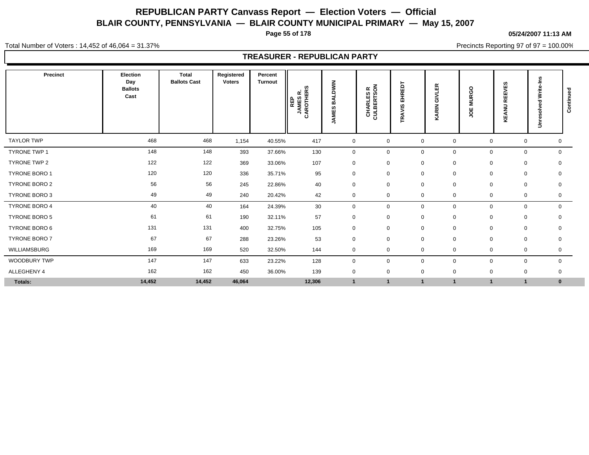**Page 55 of 178**

**05/24/2007 11:13 AM**

Total Number of Voters : 14,452 of 46,064 = 31.37%

Precincts Reporting 97 of 97 = 100.00%

| Precinct            | Election<br>Day<br><b>Ballots</b><br>Cast | <b>Total</b><br><b>Ballots Cast</b> | Registered<br><b>Voters</b> | Percent<br>Turnout | ഗ<br>띥<br>œ<br>REP<br>JAMES<br>AROTHE<br>75 | NIMUT<br>◀<br>m<br>ဖ<br>Ŵ<br><b>INAL</b> | CHARLES R<br>CULBERTSON | 'n<br>靣<br>$\propto$<br>ᆂ<br>面<br>AVIS<br>œ | $\alpha$<br>ய<br>∍<br>ā<br><b>ARIN</b> | <b>MURGO</b><br>ğ | ဖာ<br>REEVE<br>WA<br>Æ | Write-Ins<br>Unresolved | ᇃ<br>Continue |
|---------------------|-------------------------------------------|-------------------------------------|-----------------------------|--------------------|---------------------------------------------|------------------------------------------|-------------------------|---------------------------------------------|----------------------------------------|-------------------|------------------------|-------------------------|---------------|
| <b>TAYLOR TWP</b>   | 468                                       | 468                                 | 1,154                       | 40.55%             | 417                                         | 0                                        | $\mathbf 0$             | $\mathbf 0$                                 | 0                                      | $\mathbf 0$       | 0                      | 0                       |               |
| <b>TYRONE TWP 1</b> | 148                                       | 148                                 | 393                         | 37.66%             | 130                                         | $\mathbf 0$                              | $\mathbf 0$             | $\mathbf 0$                                 | 0                                      | $\mathbf 0$       | $\mathbf 0$            | $\mathbf 0$             |               |
| TYRONE TWP 2        | 122                                       | 122                                 | 369                         | 33.06%             | 107                                         | $\mathbf 0$                              | $\mathbf 0$             | $\mathbf 0$                                 | $\mathbf 0$                            | 0                 | 0                      | $\mathbf 0$             |               |
| TYRONE BORO 1       | 120                                       | 120                                 | 336                         | 35.71%             | 95                                          | $\mathbf 0$                              | $\mathbf 0$             | $\mathbf 0$                                 | 0                                      | $\mathbf 0$       |                        | 0<br>0                  |               |
| TYRONE BORO 2       | 56                                        | 56                                  | 245                         | 22.86%             | 40                                          | $\mathbf 0$                              | $\mathbf 0$             | $\mathbf 0$                                 | 0                                      | $\mathbf 0$       | 0                      | 0                       |               |
| TYRONE BORO 3       | 49                                        | 49                                  | 240                         | 20.42%             | 42                                          | $\mathbf 0$                              | 0                       | $\mathbf 0$                                 | 0                                      | 0                 |                        | 0<br>$\mathbf 0$        |               |
| TYRONE BORO 4       | 40                                        | 40                                  | 164                         | 24.39%             | 30                                          | 0                                        | $\mathbf 0$             | $\mathbf 0$                                 | 0                                      | $\mathbf 0$       |                        | 0<br>$\mathbf 0$        |               |
| TYRONE BORO 5       | 61                                        | 61                                  | 190                         | 32.11%             | 57                                          | 0                                        | $\mathbf 0$             | $\mathbf 0$                                 | $\mathbf 0$                            | 0                 | 0                      | 0                       |               |
| TYRONE BORO 6       | 131                                       | 131                                 | 400                         | 32.75%             | 105                                         | 0                                        | $\mathbf 0$             | 0                                           | 0                                      | $\mathbf 0$       |                        | 0<br>$\mathbf 0$        |               |
| TYRONE BORO 7       | 67                                        | 67                                  | 288                         | 23.26%             | 53                                          | $\mathbf 0$                              | $\mathbf 0$             | $\mathbf 0$                                 | $\mathbf 0$                            | $\mathbf 0$       | 0                      | $\mathbf 0$             |               |
| WILLIAMSBURG        | 169                                       | 169                                 | 520                         | 32.50%             | 144                                         | 0                                        | 0                       | $\mathbf 0$                                 | 0                                      | $\mathbf 0$       |                        | 0<br>0                  |               |
| <b>WOODBURY TWP</b> | 147                                       | 147                                 | 633                         | 23.22%             | 128                                         | $\mathbf 0$                              | $\mathbf 0$             | $\mathbf 0$                                 | 0                                      | $\mathbf 0$       |                        | 0<br>$\mathbf 0$        |               |
| ALLEGHENY 4         | 162                                       | 162                                 | 450                         | 36.00%             | 139                                         | $\mathbf 0$                              | 0                       | $\mathbf 0$                                 | 0                                      | 0                 |                        | 0<br>0                  |               |
| Totals:             | 14,452                                    | 14,452                              | 46,064                      |                    | 12,306                                      | $\mathbf{1}$                             | $\mathbf 1$             | $\mathbf 1$                                 | $\overline{1}$                         |                   |                        | $\bf{0}$                |               |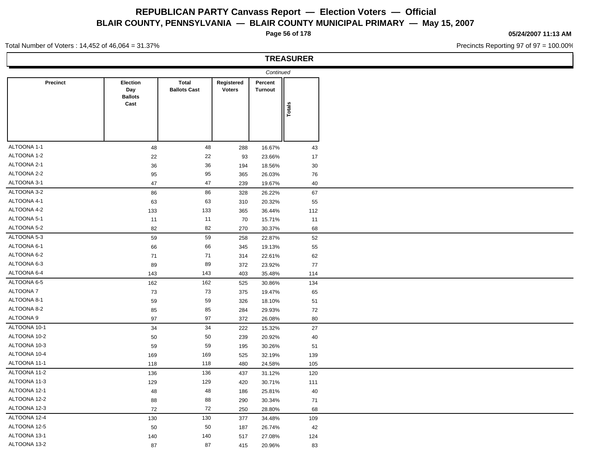**Page 56 of 178**

#### **05/24/2007 11:13 AM**

Precincts Reporting 97 of 97 = 100.00%

Total Number of Voters : 14,452 of 46,064 = 31.37%

|              |                                           |                                     |                             |                           | <b>TREASURER</b> |
|--------------|-------------------------------------------|-------------------------------------|-----------------------------|---------------------------|------------------|
|              |                                           |                                     |                             | Continued                 |                  |
| Precinct     | Election<br>Day<br><b>Ballots</b><br>Cast | <b>Total</b><br><b>Ballots Cast</b> | Registered<br><b>Voters</b> | Percent<br><b>Turnout</b> | Totals           |
|              |                                           |                                     |                             |                           |                  |
| ALTOONA 1-1  | 48                                        | 48                                  | 288                         | 16.67%                    | 43               |
| ALTOONA 1-2  | 22                                        | 22                                  | 93                          | 23.66%                    | 17               |
| ALTOONA 2-1  | 36                                        | 36                                  | 194                         | 18.56%                    | 30               |
| ALTOONA 2-2  | 95                                        | 95                                  | 365                         | 26.03%                    | 76               |
| ALTOONA 3-1  | 47                                        | 47                                  | 239                         | 19.67%                    | 40               |
| ALTOONA 3-2  | 86                                        | 86                                  | 328                         | 26.22%                    | 67               |
| ALTOONA 4-1  | 63                                        | 63                                  | 310                         | 20.32%                    | 55               |
| ALTOONA 4-2  | 133                                       | 133                                 | 365                         | 36.44%                    | 112              |
| ALTOONA 5-1  | 11                                        | 11                                  | 70                          | 15.71%                    | 11               |
| ALTOONA 5-2  | 82                                        | 82                                  | 270                         | 30.37%                    | 68               |
| ALTOONA 5-3  | 59                                        | 59                                  | 258                         | 22.87%                    | $52\,$           |
| ALTOONA 6-1  | 66                                        | 66                                  | 345                         | 19.13%                    | 55               |
| ALTOONA 6-2  | 71                                        | 71                                  | 314                         | 22.61%                    | 62               |
| ALTOONA 6-3  | 89                                        | 89                                  | 372                         | 23.92%                    | 77               |
| ALTOONA 6-4  | 143                                       | 143                                 | 403                         | 35.48%                    | 114              |
| ALTOONA 6-5  | 162                                       | 162                                 | 525                         | 30.86%                    | 134              |
| ALTOONA 7    | 73                                        | 73                                  | 375                         | 19.47%                    | 65               |
| ALTOONA 8-1  | 59                                        | 59                                  | 326                         | 18.10%                    | 51               |
| ALTOONA 8-2  | 85                                        | 85                                  | 284                         | 29.93%                    | 72               |
| ALTOONA 9    | 97                                        | 97                                  | 372                         | 26.08%                    | 80               |
| ALTOONA 10-1 | 34                                        | 34                                  | 222                         | 15.32%                    | 27               |
| ALTOONA 10-2 | 50                                        | 50                                  | 239                         | 20.92%                    | 40               |
| ALTOONA 10-3 | 59                                        | 59                                  | 195                         | 30.26%                    | 51               |
| ALTOONA 10-4 | 169                                       | 169                                 | 525                         | 32.19%                    | 139              |
| ALTOONA 11-1 | 118                                       | 118                                 | 480                         | 24.58%                    | 105              |
| ALTOONA 11-2 | 136                                       | 136                                 | 437                         | 31.12%                    | 120              |
| ALTOONA 11-3 | 129                                       | 129                                 | 420                         | 30.71%                    | 111              |
| ALTOONA 12-1 | 48                                        | 48                                  | 186                         | 25.81%                    | 40               |
| ALTOONA 12-2 | 88                                        | 88                                  | 290                         | 30.34%                    | 71               |
| ALTOONA 12-3 | 72                                        | 72                                  | 250                         | 28.80%                    | 68               |
| ALTOONA 12-4 | 130                                       | 130                                 | 377                         | 34.48%                    | 109              |
| ALTOONA 12-5 | 50                                        | 50                                  | 187                         | 26.74%                    | 42               |
| ALTOONA 13-1 | 140                                       | 140                                 | 517                         | 27.08%                    | 124              |
| ALTOONA 13-2 | 87                                        | 87                                  | 415                         | 20.96%                    | 83               |
|              |                                           |                                     |                             |                           |                  |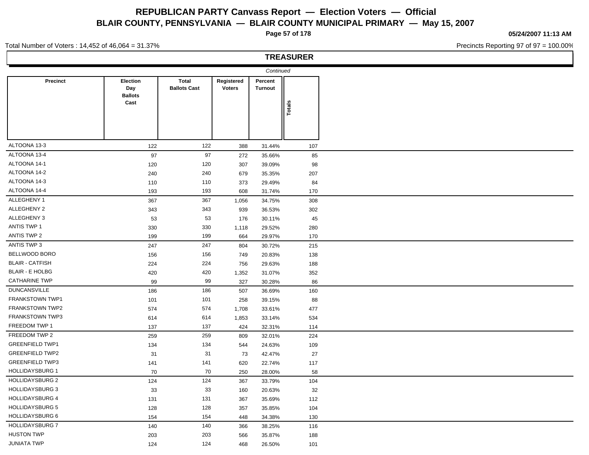**Page 57 of 178**

#### **05/24/2007 11:13 AM**

Precincts Reporting 97 of 97 = 100.00%

#### Total Number of Voters : 14,452 of 46,064 = 31.37%

## **TREASURER**

|                        |                                           |                                     |                             | Continued          |        |  |
|------------------------|-------------------------------------------|-------------------------------------|-----------------------------|--------------------|--------|--|
| <b>Precinct</b>        | Election<br>Day<br><b>Ballots</b><br>Cast | <b>Total</b><br><b>Ballots Cast</b> | Registered<br><b>Voters</b> | Percent<br>Turnout | Totals |  |
|                        |                                           |                                     |                             |                    |        |  |
| ALTOONA 13-3           | 122                                       | 122                                 | 388                         | 31.44%             | 107    |  |
| ALTOONA 13-4           | 97                                        | 97                                  | 272                         | 35.66%             | 85     |  |
| ALTOONA 14-1           | 120                                       | 120                                 | 307                         | 39.09%             | 98     |  |
| ALTOONA 14-2           | 240                                       | 240                                 | 679                         | 35.35%             | 207    |  |
| ALTOONA 14-3           | 110                                       | 110                                 | 373                         | 29.49%             | 84     |  |
| ALTOONA 14-4           | 193                                       | 193                                 | 608                         | 31.74%             | 170    |  |
| ALLEGHENY 1            | 367                                       | 367                                 | 1,056                       | 34.75%             | 308    |  |
| ALLEGHENY 2            | 343                                       | 343                                 | 939                         | 36.53%             | 302    |  |
| ALLEGHENY 3            | 53                                        | 53                                  | 176                         | 30.11%             | 45     |  |
| <b>ANTIS TWP 1</b>     | 330                                       | 330                                 | 1,118                       | 29.52%             | 280    |  |
| ANTIS TWP 2            | 199                                       | 199                                 | 664                         | 29.97%             | 170    |  |
| ANTIS TWP 3            | 247                                       | 247                                 | 804                         | 30.72%             | 215    |  |
| BELLWOOD BORO          | 156                                       | 156                                 | 749                         | 20.83%             | 138    |  |
| <b>BLAIR - CATFISH</b> | 224                                       | 224                                 | 756                         | 29.63%             | 188    |  |
| <b>BLAIR - E HOLBG</b> | 420                                       | 420                                 | 1,352                       | 31.07%             | 352    |  |
| <b>CATHARINE TWP</b>   | 99                                        | 99                                  | 327                         | 30.28%             | 86     |  |
| <b>DUNCANSVILLE</b>    | 186                                       | 186                                 | 507                         | 36.69%             | 160    |  |
| FRANKSTOWN TWP1        | 101                                       | 101                                 | 258                         | 39.15%             | 88     |  |
| <b>FRANKSTOWN TWP2</b> | 574                                       | 574                                 | 1,708                       | 33.61%             | 477    |  |
| FRANKSTOWN TWP3        | 614                                       | 614                                 | 1,853                       | 33.14%             | 534    |  |
| FREEDOM TWP 1          | 137                                       | 137                                 | 424                         | 32.31%             | 114    |  |
| FREEDOM TWP 2          | 259                                       | 259                                 | 809                         | 32.01%             | 224    |  |
| <b>GREENFIELD TWP1</b> | 134                                       | 134                                 | 544                         | 24.63%             | 109    |  |
| <b>GREENFIELD TWP2</b> | 31                                        | 31                                  | 73                          | 42.47%             | 27     |  |
| <b>GREENFIELD TWP3</b> | 141                                       | 141                                 | 620                         | 22.74%             | 117    |  |
| <b>HOLLIDAYSBURG 1</b> | 70                                        | 70                                  | 250                         | 28.00%             | 58     |  |
| <b>HOLLIDAYSBURG 2</b> | 124                                       | 124                                 | 367                         | 33.79%             | 104    |  |
| <b>HOLLIDAYSBURG 3</b> | 33                                        | 33                                  | 160                         | 20.63%             | 32     |  |
| <b>HOLLIDAYSBURG 4</b> | 131                                       | 131                                 | 367                         | 35.69%             | 112    |  |
| <b>HOLLIDAYSBURG 5</b> | 128                                       | 128                                 | 357                         | 35.85%             | 104    |  |
| <b>HOLLIDAYSBURG 6</b> | 154                                       | 154                                 | 448                         | 34.38%             | 130    |  |
| <b>HOLLIDAYSBURG 7</b> | 140                                       | 140                                 | 366                         | 38.25%             | 116    |  |
| <b>HUSTON TWP</b>      | 203                                       | 203                                 | 566                         | 35.87%             | 188    |  |
| <b>JUNIATA TWP</b>     | 124                                       | 124                                 | 468                         | 26.50%             | 101    |  |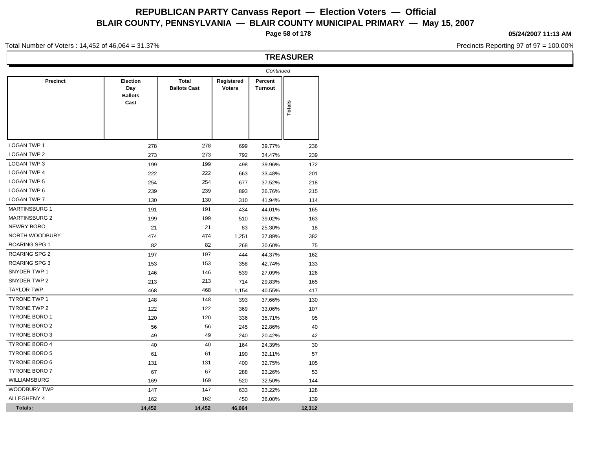**Page 58 of 178**

**05/24/2007 11:13 AM**

Precincts Reporting 97 of 97 = 100.00%

#### Total Number of Voters : 14,452 of 46,064 = 31.37%

## **TREASURER**

|                      |                                   |                                     |                             | Continued                 |        |
|----------------------|-----------------------------------|-------------------------------------|-----------------------------|---------------------------|--------|
| <b>Precinct</b>      | Election<br>Day<br><b>Ballots</b> | <b>Total</b><br><b>Ballots Cast</b> | Registered<br><b>Voters</b> | Percent<br><b>Turnout</b> |        |
|                      | Cast                              |                                     |                             |                           | Totals |
|                      |                                   |                                     |                             |                           |        |
| <b>LOGAN TWP 1</b>   | 278                               | 278                                 | 699                         | 39.77%                    | 236    |
| LOGAN TWP 2          | 273                               | 273                                 | 792                         | 34.47%                    | 239    |
| LOGAN TWP 3          | 199                               | 199                                 | 498                         | 39.96%                    | 172    |
| <b>LOGAN TWP 4</b>   | 222                               | 222                                 | 663                         | 33.48%                    | 201    |
| <b>LOGAN TWP 5</b>   | 254                               | 254                                 | 677                         | 37.52%                    | 218    |
| LOGAN TWP 6          | 239                               | 239                                 | 893                         | 26.76%                    | 215    |
| LOGAN TWP 7          | 130                               | 130                                 | 310                         | 41.94%                    | 114    |
| <b>MARTINSBURG 1</b> | 191                               | 191                                 | 434                         | 44.01%                    | 165    |
| <b>MARTINSBURG 2</b> | 199                               | 199                                 | 510                         | 39.02%                    | 163    |
| <b>NEWRY BORO</b>    | 21                                | 21                                  | 83                          | 25.30%                    | 18     |
| NORTH WOODBURY       | 474                               | 474                                 | 1,251                       | 37.89%                    | 382    |
| <b>ROARING SPG 1</b> | 82                                | 82                                  | 268                         | 30.60%                    | 75     |
| <b>ROARING SPG 2</b> | 197                               | 197                                 | 444                         | 44.37%                    | 162    |
| <b>ROARING SPG 3</b> | 153                               | 153                                 | 358                         | 42.74%                    | 133    |
| SNYDER TWP 1         | 146                               | 146                                 | 539                         | 27.09%                    | 126    |
| SNYDER TWP 2         | 213                               | 213                                 | 714                         | 29.83%                    | 165    |
| <b>TAYLOR TWP</b>    | 468                               | 468                                 | 1,154                       | 40.55%                    | 417    |
| <b>TYRONE TWP 1</b>  | 148                               | 148                                 | 393                         | 37.66%                    | 130    |
| TYRONE TWP 2         | 122                               | 122                                 | 369                         | 33.06%                    | 107    |
| <b>TYRONE BORO 1</b> | 120                               | 120                                 | 336                         | 35.71%                    | 95     |
| TYRONE BORO 2        | 56                                | 56                                  | 245                         | 22.86%                    | 40     |
| TYRONE BORO 3        | 49                                | 49                                  | 240                         | 20.42%                    | 42     |
| <b>TYRONE BORO 4</b> | 40                                | 40                                  | 164                         | 24.39%                    | 30     |
| <b>TYRONE BORO 5</b> | 61                                | 61                                  | 190                         | 32.11%                    | 57     |
| TYRONE BORO 6        | 131                               | 131                                 | 400                         | 32.75%                    | 105    |
| TYRONE BORO 7        | 67                                | 67                                  | 288                         | 23.26%                    | 53     |
| <b>WILLIAMSBURG</b>  | 169                               | 169                                 | 520                         | 32.50%                    | 144    |
| WOODBURY TWP         | 147                               | 147                                 | 633                         | 23.22%                    | 128    |
| ALLEGHENY 4          | 162                               | 162                                 | 450                         | 36.00%                    | 139    |
| <b>Totals:</b>       | 14,452                            | 14,452                              | 46,064                      |                           | 12,312 |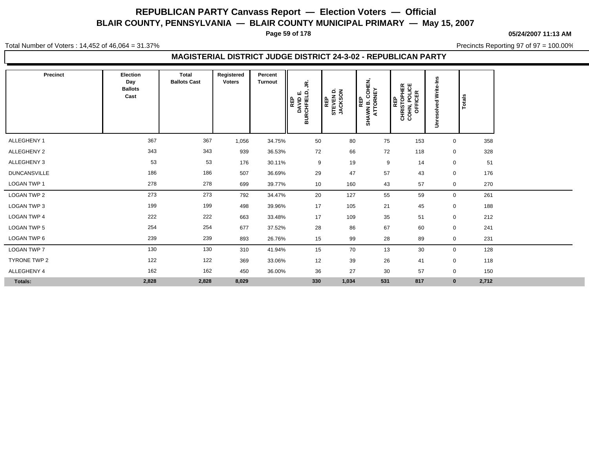**Page 59 of 178**

**05/24/2007 11:13 AM**

Total Number of Voters : 14,452 of 46,064 = 31.37%

Precincts Reporting 97 of 97 = 100.00%

#### **MAGISTERIAL DISTRICT JUDGE DISTRICT 24-3-02 - REPUBLICAN PARTY**

| Precinct            | Election<br>Day<br><b>Ballots</b><br>Cast | <b>Total</b><br><b>Ballots Cast</b> | Registered<br><b>Voters</b> | Percent<br><b>Turnout</b> | £,<br>ய் நி<br>REP<br>DAVID<br>RCHFIEL<br>ᆱ | STEVEN D.<br>JACKSON<br>REP | AWN B. COHEN,<br>ATTORNEY<br>REP<br>SHAWN B. | REP<br>CHRISTOPHER<br>COHN, POLICE<br>OFFICER | ဥ<br><u>ë</u><br>≳<br>ಾ<br>Φ<br>흥<br>nres<br>$\Rightarrow$ | Totals       |       |
|---------------------|-------------------------------------------|-------------------------------------|-----------------------------|---------------------------|---------------------------------------------|-----------------------------|----------------------------------------------|-----------------------------------------------|------------------------------------------------------------|--------------|-------|
| ALLEGHENY 1         | 367                                       | 367                                 | 1,056                       | 34.75%                    | 50                                          | 80                          | 75                                           | 153                                           |                                                            | $\mathbf 0$  | 358   |
| ALLEGHENY 2         | 343                                       | 343                                 | 939                         | 36.53%                    | 72                                          | 66                          | 72                                           | 118                                           |                                                            | 0            | 328   |
| ALLEGHENY 3         | 53                                        | 53                                  | 176                         | 30.11%                    | 9                                           | 19                          | 9                                            | 14                                            |                                                            | 0            | 51    |
| <b>DUNCANSVILLE</b> | 186                                       | 186                                 | 507                         | 36.69%                    | 29                                          | 47                          | 57                                           | 43                                            |                                                            | 0            | 176   |
| LOGAN TWP 1         | 278                                       | 278                                 | 699                         | 39.77%                    | 10                                          | 160                         | 43                                           | 57                                            |                                                            | 0            | 270   |
| LOGAN TWP 2         | 273                                       | 273                                 | 792                         | 34.47%                    | 20                                          | 127                         | 55                                           | 59                                            |                                                            | 0            | 261   |
| LOGAN TWP 3         | 199                                       | 199                                 | 498                         | 39.96%                    | 17                                          | 105                         | 21                                           | 45                                            |                                                            | $\mathbf 0$  | 188   |
| <b>LOGAN TWP 4</b>  | 222                                       | 222                                 | 663                         | 33.48%                    | 17                                          | 109                         | 35                                           | 51                                            |                                                            | $\mathbf 0$  | 212   |
| <b>LOGAN TWP 5</b>  | 254                                       | 254                                 | 677                         | 37.52%                    | 28                                          | 86                          | 67                                           | 60                                            |                                                            | 0            | 241   |
| LOGAN TWP 6         | 239                                       | 239                                 | 893                         | 26.76%                    | 15                                          | 99                          | 28                                           | 89                                            |                                                            | 0            | 231   |
| LOGAN TWP 7         | 130                                       | 130                                 | 310                         | 41.94%                    | 15                                          | 70                          | 13                                           | 30                                            |                                                            | 0            | 128   |
| TYRONE TWP 2        | 122                                       | 122                                 | 369                         | 33.06%                    | 12                                          | 39                          | 26                                           | 41                                            |                                                            | 0            | 118   |
| ALLEGHENY 4         | 162                                       | 162                                 | 450                         | 36.00%                    | 36                                          | 27                          | 30                                           | 57                                            |                                                            | 0            | 150   |
| Totals:             | 2,828                                     | 2,828                               | 8,029                       |                           | 330                                         | 1,034                       | 531                                          | 817                                           |                                                            | $\mathbf{0}$ | 2,712 |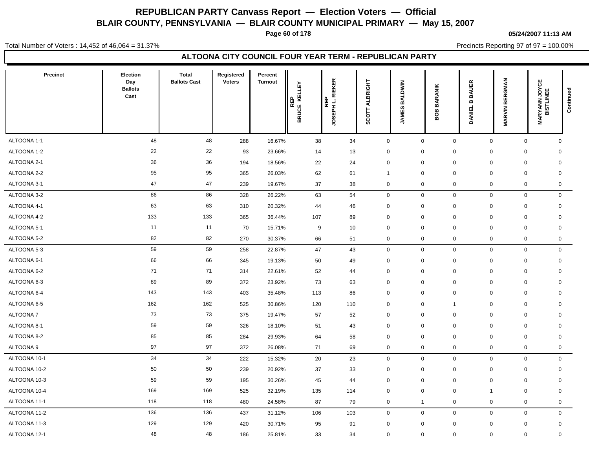**Page 60 of 178**

#### **05/24/2007 11:13 AM**

Total Number of Voters : 14,452 of 46,064 = 31.37%

Precincts Reporting 97 of 97 = 100.00%

#### **ALTOONA CITY COUNCIL FOUR YEAR TERM - REPUBLICAN PARTY**

| <b>Precinct</b> | Election<br>Day<br><b>Ballots</b><br>Cast | <b>Total</b><br><b>Ballots Cast</b> | Registered<br><b>Voters</b> | Percent<br><b>Turnout</b> | KELLEY<br>REP<br>BRUCE KE | <b>RIEKER</b><br>REP<br>JOSEPH L. | <b>ALBRIGHT</b><br><b>SCOTT</b> | <b>BALDWIN</b><br><b>JAMES</b> | <b>BARANIK</b><br>පී<br>≃ | <b>BAUER</b><br>$\bf{m}$<br><b>DANIEL</b> | <b>MARVIN BERGMAN</b> | <b>MARYANN JOYCE</b><br>BISTLINEE | Continued |
|-----------------|-------------------------------------------|-------------------------------------|-----------------------------|---------------------------|---------------------------|-----------------------------------|---------------------------------|--------------------------------|---------------------------|-------------------------------------------|-----------------------|-----------------------------------|-----------|
| ALTOONA 1-1     | 48                                        | 48                                  | 288                         | 16.67%                    | 38                        | 34                                | $\mathbf 0$                     | $\mathbf 0$                    | $\mathbf 0$               | $\mathbf 0$                               | $\mathbf 0$           | $\mathsf{O}$                      |           |
| ALTOONA 1-2     | 22                                        | 22                                  | 93                          | 23.66%                    | 14                        | 13                                | $\mathbf 0$                     | $\boldsymbol{0}$               | $\mathbf 0$               | $\mathbf 0$                               | $\mathbf 0$           | $\mathbf 0$                       |           |
| ALTOONA 2-1     | 36                                        | 36                                  | 194                         | 18.56%                    | 22                        | 24                                | $\mathsf 0$                     | $\boldsymbol{0}$               | $\pmb{0}$                 | $\mathbf 0$                               | $\mathbf 0$           | $\mathbf 0$                       |           |
| ALTOONA 2-2     | 95                                        | 95                                  | 365                         | 26.03%                    | 62                        | 61                                | $\overline{1}$                  | $\mathbf 0$                    | $\mathbf 0$               | $\mathbf 0$                               | $\mathbf 0$           | $\mathbf 0$                       |           |
| ALTOONA 3-1     | 47                                        | 47                                  | 239                         | 19.67%                    | 37                        | 38                                | $\mathbf 0$                     | $\mathbf 0$                    | $\mathbf 0$               | $\mathbf 0$                               | $\mathbf 0$           | $\mathbf 0$                       |           |
| ALTOONA 3-2     | 86                                        | 86                                  | 328                         | 26.22%                    | 63                        | 54                                | $\mathbf 0$                     | $\mathbf 0$                    | $\mathbf 0$               | $\mathbf 0$                               | $\mathbf 0$           | $\mathsf{O}$                      |           |
| ALTOONA 4-1     | 63                                        | 63                                  | 310                         | 20.32%                    | 44                        | 46                                | $\mathbf 0$                     | $\mathbf 0$                    | $\mathbf 0$               | 0                                         | $\mathbf 0$           | 0                                 |           |
| ALTOONA 4-2     | 133                                       | 133                                 | 365                         | 36.44%                    | 107                       | 89                                | $\mathbf 0$                     | $\mathbf 0$                    | $\mathbf 0$               | 0                                         | $\mathbf 0$           | $\mathbf 0$                       |           |
| ALTOONA 5-1     | 11                                        | 11                                  | 70                          | 15.71%                    | 9                         | 10                                | $\mathsf 0$                     | $\boldsymbol{0}$               | $\pmb{0}$                 | $\mathbf 0$                               | $\mathbf 0$           | $\mathbf 0$                       |           |
| ALTOONA 5-2     | 82                                        | 82                                  | 270                         | 30.37%                    | 66                        | 51                                | $\mathbf 0$                     | $\mathbf 0$                    | $\mathbf 0$               | $\mathbf 0$                               | $\mathbf 0$           | 0                                 |           |
| ALTOONA 5-3     | 59                                        | 59                                  | 258                         | 22.87%                    | 47                        | 43                                | $\mathsf 0$                     | $\boldsymbol{0}$               | $\mathbf 0$               | $\mathbf 0$                               | $\mathbf 0$           | $\mathsf{O}$                      |           |
| ALTOONA 6-1     | 66                                        | 66                                  | 345                         | 19.13%                    | 50                        | 49                                | 0                               | $\boldsymbol{0}$               | 0                         | $\mathbf 0$                               | $\pmb{0}$             | 0                                 |           |
| ALTOONA 6-2     | 71                                        | 71                                  | 314                         | 22.61%                    | 52                        | 44                                | $\mathbf 0$                     | $\mathbf 0$                    | $\mathbf 0$               | $\mathbf 0$                               | $\mathbf 0$           | $\mathbf 0$                       |           |
| ALTOONA 6-3     | 89                                        | 89                                  | 372                         | 23.92%                    | 73                        | 63                                | $\mathbf 0$                     | $\mathbf 0$                    | $\mathbf 0$               | $\mathbf 0$                               | $\mathbf 0$           | $\mathbf 0$                       |           |
| ALTOONA 6-4     | 143                                       | 143                                 | 403                         | 35.48%                    | 113                       | 86                                | $\mathbf 0$                     | $\boldsymbol{0}$               | $\pmb{0}$                 | $\mathbf 0$                               | $\mathbf 0$           | $\mathbf 0$                       |           |
| ALTOONA 6-5     | 162                                       | 162                                 | 525                         | 30.86%                    | 120                       | 110                               | $\mathbf 0$                     | $\mathbf 0$                    | $\mathbf{1}$              | $\mathbf 0$                               | $\mathbf 0$           | $\mathbf 0$                       |           |
| ALTOONA 7       | 73                                        | 73                                  | 375                         | 19.47%                    | 57                        | 52                                | $\mathsf 0$                     | $\boldsymbol{0}$               | $\mathbf 0$               | $\mathbf 0$                               | $\mathbf 0$           | 0                                 |           |
| ALTOONA 8-1     | 59                                        | 59                                  | 326                         | 18.10%                    | 51                        | 43                                | $\mathsf 0$                     | $\boldsymbol{0}$               | $\mathbf 0$               | $\mathbf 0$                               | $\mathbf 0$           | $\mathbf 0$                       |           |
| ALTOONA 8-2     | 85                                        | 85                                  | 284                         | 29.93%                    | 64                        | 58                                | $\mathbf 0$                     | $\boldsymbol{0}$               | $\mathbf 0$               | $\mathbf 0$                               | $\mathbf 0$           | $\mathbf 0$                       |           |
| ALTOONA 9       | 97                                        | 97                                  | 372                         | 26.08%                    | 71                        | 69                                | $\mathbf 0$                     | $\mathbf 0$                    | 0                         | $\mathbf 0$                               | $\mathbf 0$           | $\mathbf 0$                       |           |
| ALTOONA 10-1    | 34                                        | 34                                  | 222                         | 15.32%                    | 20                        | 23                                | $\mathbf 0$                     | $\mathbf 0$                    | $\mathbf 0$               | $\mathbf 0$                               | $\mathbf 0$           | $\mathbf 0$                       |           |
| ALTOONA 10-2    | 50                                        | 50                                  | 239                         | 20.92%                    | 37                        | 33                                | $\mathbf 0$                     | $\mathbf 0$                    | $\mathbf 0$               | 0                                         | $\mathbf 0$           | 0                                 |           |
| ALTOONA 10-3    | 59                                        | 59                                  | 195                         | 30.26%                    | 45                        | 44                                | $\mathbf 0$                     | $\mathbf 0$                    | $\mathbf 0$               | $\mathbf 0$                               | $\mathbf 0$           | $\mathbf 0$                       |           |
| ALTOONA 10-4    | 169                                       | 169                                 | 525                         | 32.19%                    | 135                       | 114                               | $\mathbf 0$                     | $\boldsymbol{0}$               | $\mathbf 0$               | -1                                        | $\mathbf 0$           | $\mathbf 0$                       |           |
| ALTOONA 11-1    | 118                                       | 118                                 | 480                         | 24.58%                    | 87                        | 79                                | $\mathbf 0$                     | $\overline{1}$                 | $\mathbf 0$               | $\mathbf 0$                               | $\mathbf 0$           | 0                                 |           |
| ALTOONA 11-2    | 136                                       | 136                                 | 437                         | 31.12%                    | 106                       | 103                               | $\mathsf 0$                     | $\mathbf 0$                    | $\mathbf 0$               | $\mathbf 0$                               | $\mathbf 0$           | $\mathbf 0$                       |           |
| ALTOONA 11-3    | 129                                       | 129                                 | 420                         | 30.71%                    | 95                        | 91                                | $\mathbf 0$                     | $\mathbf 0$                    | $\mathbf 0$               | 0                                         | $\mathbf 0$           | 0                                 |           |
| ALTOONA 12-1    | 48                                        | 48                                  | 186                         | 25.81%                    | 33                        | 34                                | $\mathsf 0$                     | $\mathbf 0$                    | $\Omega$                  | $\mathbf 0$                               | $\mathbf 0$           | $\mathbf 0$                       |           |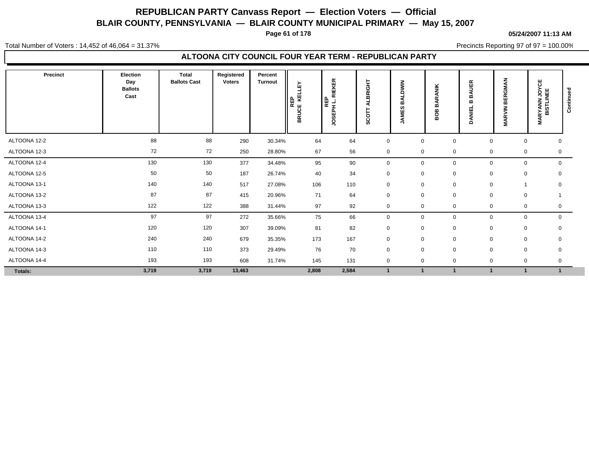**Page 61 of 178**

#### **05/24/2007 11:13 AM**

Total Number of Voters : 14,452 of 46,064 = 31.37%

Precincts Reporting 97 of 97 = 100.00%

#### **ALTOONA CITY COUNCIL FOUR YEAR TERM - REPUBLICAN PARTY**

| Precinct     | Election<br>Day<br><b>Ballots</b><br>Cast | Total<br><b>Ballots Cast</b> | Registered<br><b>Voters</b> | Percent<br><b>Turnout</b> | KELLEY<br>REP<br><b>BRUCE</b> | <b>RIEKER</b><br><b>REP</b><br><b>Hd3SDr</b> | ALBRIGHT<br>ㅎ<br>ပ္တိ | $\frac{z}{\overline{z}}$<br>ō<br>m<br>ES<br>Ξ<br>- | <b>ANIK</b><br>œ<br>⋖<br>m<br>පී<br>m | <b>AUER</b><br>≃<br>m<br>DANIEL | <b>BERGMAN</b><br><b>MARVIN</b> | <b>IARYANN JOYCE</b><br>BISTLINEE<br>Σ | Continued |
|--------------|-------------------------------------------|------------------------------|-----------------------------|---------------------------|-------------------------------|----------------------------------------------|-----------------------|----------------------------------------------------|---------------------------------------|---------------------------------|---------------------------------|----------------------------------------|-----------|
| ALTOONA 12-2 | 88                                        | 88                           | 290                         | 30.34%                    | 64                            | 64                                           | $\mathbf 0$           | $\mathbf 0$                                        | $\pmb{0}$                             | $\Omega$                        | $\mathbf 0$                     | 0                                      |           |
| ALTOONA 12-3 | 72                                        | 72                           | 250                         | 28.80%                    | 67                            | 56                                           | $\mathbf 0$           | $\mathbf 0$                                        | 0                                     | 0                               | 0                               | 0                                      |           |
| ALTOONA 12-4 | 130                                       | 130                          | 377                         | 34.48%                    | 95                            | 90                                           | $\mathbf 0$           | $\mathbf 0$                                        | 0                                     | $\mathbf 0$                     | $\mathbf 0$                     | $\mathsf{O}$                           |           |
| ALTOONA 12-5 | 50                                        | 50                           | 187                         | 26.74%                    | 40                            | 34                                           | $\mathbf 0$           | $\mathbf 0$                                        | 0                                     | 0                               | $\mathbf 0$                     | 0                                      |           |
| ALTOONA 13-1 | 140                                       | 140                          | 517                         | 27.08%                    | 106                           | 110                                          | $\mathbf 0$           | $\mathbf 0$                                        | $\pmb{0}$                             | $\mathbf 0$                     |                                 | 0                                      |           |
| ALTOONA 13-2 | 87                                        | 87                           | 415                         | 20.96%                    | 71                            | 64                                           | $\mathsf 0$           | $\mathbf 0$                                        | 0                                     | 0                               | $\mathbf 0$                     |                                        |           |
| ALTOONA 13-3 | 122                                       | 122                          | 388                         | 31.44%                    | 97                            | 92                                           | $\mathbf 0$           | $\mathbf 0$                                        | $\mathbf 0$                           | $\mathbf 0$                     | 0                               | 0                                      |           |
| ALTOONA 13-4 | 97                                        | 97                           | 272                         | 35.66%                    | 75                            | 66                                           | $\mathbf 0$           | $\mathbf 0$                                        | 0                                     | 0                               | 0                               | $\mathbf 0$                            |           |
| ALTOONA 14-1 | 120                                       | 120                          | 307                         | 39.09%                    | 81                            | 82                                           | $\mathbf 0$           | $\mathbf 0$                                        | $\mathbf 0$                           | 0                               | $\mathbf 0$                     | 0                                      |           |
| ALTOONA 14-2 | 240                                       | 240                          | 679                         | 35.35%                    | 173                           | 167                                          | $\mathbf 0$           | $\mathbf 0$                                        | $\mathbf 0$                           | $\mathbf 0$                     | 0                               | 0                                      |           |
| ALTOONA 14-3 | 110                                       | 110                          | 373                         | 29.49%                    | 76                            | 70                                           | $\mathbf 0$           | $\mathbf 0$                                        | $\mathbf 0$                           | $\mathbf 0$                     | $\mathbf 0$                     | $\mathbf 0$                            |           |
| ALTOONA 14-4 | 193                                       | 193                          | 608                         | 31.74%                    | 145                           | 131                                          | $\mathbf 0$           | $\mathbf{0}$                                       | $\mathbf 0$                           | $\mathbf 0$                     | $\mathbf 0$                     | 0                                      |           |
| Totals:      | 3,719                                     | 3,719                        | 13,463                      |                           | 2,808                         | 2,584                                        | $\mathbf 1$           |                                                    |                                       |                                 |                                 | $\blacktriangleleft$                   |           |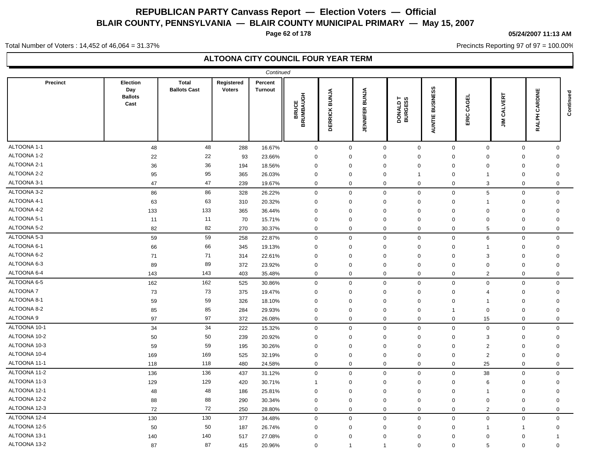**Page 62 of 178**

#### **05/24/2007 11:13 AM**

Precincts Reporting 97 of 97 = 100.00%

Total Number of Voters : 14,452 of 46,064 = 31.37%

| <b>Total</b><br>Percent<br><b>Precinct</b><br>Election<br>Registered<br><b>BUSINESS</b><br>Day<br><b>Ballots Cast</b><br><b>Voters</b><br><b>Turnout</b><br><b>BUNJA</b><br>CARDINE<br><b>BUNJA</b><br><b>BRUCE</b><br>NUMBAUGH<br><b>CALVERT</b><br><b>Ballots</b><br>CAGEL<br>DONALD T<br>BURGESS<br>Cast<br><b>JENNIFER</b><br><b>DERRICK</b><br>ERIC<br>ALPH<br>AUNTIE<br>$\tilde{\mathbf{z}}$<br>BŔ<br>œ<br>48<br>48<br>$\mathbf 0$<br>288<br>16.67%<br>$\mathbf 0$<br>$\mathbf 0$<br>$\mathbf 0$<br>$\mathbf 0$<br>$\mathbf 0$<br>$\mathbf 0$<br>$\mathbf 0$<br>22<br>22<br>93<br>23.66%<br>$\mathbf 0$<br>$\Omega$<br>$\mathbf 0$<br>$\mathbf 0$<br>$\mathbf{0}$<br>$\mathbf 0$<br>$\mathbf 0$<br>$\mathbf 0$<br>36<br>36<br>194<br>18.56%<br>$\mathbf 0$<br>$\Omega$<br>$\mathbf 0$<br>$\Omega$<br>$\mathbf 0$<br>$\Omega$<br>0<br>0<br>95<br>95<br>365<br>26.03%<br>$\mathbf 0$<br>$\mathbf 0$<br>0<br>$\mathbf 0$<br>$\overline{1}$<br>0<br>0<br>$\mathbf{1}$<br>47<br>47<br>$\mathbf 0$<br>239<br>19.67%<br>$\mathbf 0$<br>0<br>$\mathbf 0$<br>$\mathbf 0$<br>3<br>$\mathbf 0$<br>$\mathbf 0$<br>86<br>86<br>328<br>26.22%<br>$\mathbf 0$<br>0<br>$\mathbf 0$<br>$\mathbf 0$<br>$\mathbf 0$<br>5<br>$\mathbf 0$<br>$\mathbf 0$<br>63<br>63<br>310<br>20.32%<br>$\mathbf 0$<br>$\mathbf 0$<br>$\mathbf 0$<br>$\Omega$<br>$\mathbf 0$<br>$\mathbf 0$<br>$\mathbf 0$<br>-1<br>133<br>133<br>365<br>36.44%<br>$\mathbf 0$<br>$\Omega$<br>$\mathbf 0$<br>$\mathbf 0$<br>$\Omega$<br>$\mathbf 0$<br>$\overline{0}$<br>$\Omega$<br>11<br>11<br>70<br>15.71%<br>$\mathbf 0$<br>$\Omega$<br>$\mathbf 0$<br>$\mathbf 0$<br>$\mathbf 0$<br>$\mathbf 0$<br>$\mathbf 0$<br>$\overline{0}$<br>82<br>82<br>$\mathbf 0$<br>270<br>30.37%<br>$\mathbf 0$<br>0<br>$\mathbf 0$<br>$\mathbf 0$<br>5<br>$\mathbf 0$<br>$\mathbf 0$<br>59<br>59<br>258<br>$\mathbf 0$<br>$\mathbf 0$<br>6<br>$\mathbf 0$<br>22.87%<br>$\mathbf 0$<br>$\mathbf 0$<br>$\mathbf 0$<br>$\mathbf 0$<br>66<br>66<br>345<br>19.13%<br>$\mathbf 0$<br>$\mathbf 0$<br>$\Omega$<br>$\mathbf 0$<br>$\mathbf 0$<br>$\mathbf 0$<br>$\Omega$<br>$\mathbf 1$<br>71<br>71<br>$\mathbf 0$<br>3<br>$\mathbf 0$<br>314<br>22.61%<br>$\mathbf 0$<br>$\Omega$<br>$\mathbf 0$<br>$\Omega$<br>$\mathbf 0$<br>89<br>89<br>372<br>23.92%<br>$\Omega$<br>$\mathbf 0$<br>$\mathbf 0$<br>$\Omega$<br>$\mathbf{0}$<br>$\Omega$<br>$\Omega$<br>$\Omega$<br>143<br>143<br>403<br>35.48%<br>$\mathbf 0$<br>$\overline{2}$<br>0<br>0<br>0<br>0<br>0<br>0<br>162<br>162<br>$\mathbf 0$<br>$\mathsf 0$<br>525<br>30.86%<br>$\mathbf 0$<br>$\Omega$<br>$\mathbf 0$<br>$\mathbf 0$<br>$\mathbf 0$<br>$\mathbf 0$<br>73<br>73<br>375<br>19.47%<br>$\mathbf 0$<br>$\mathbf 0$<br>$\mathbf 0$<br>$\mathbf 0$<br>$\mathbf 0$<br>$\mathbf 0$<br>$\mathbf 0$<br>$\overline{4}$<br>59<br>59<br>326<br>18.10%<br>$\mathbf 0$<br>$\Omega$<br>$\mathbf 0$<br>$\Omega$<br>$\mathbf 0$<br>$\mathbf 0$<br>$\mathbf 0$<br>-1<br>85<br>85<br>284<br>29.93%<br>$\mathbf 0$<br>$\mathbf 0$<br>$\mathbf 0$<br>$\mathbf 0$<br>$\mathbf 0$<br>$\mathbf 0$<br>0<br>$\mathbf{1}$<br>97<br>97<br>372<br>26.08%<br>$\mathbf 0$<br>$\Omega$<br>$\mathbf 0$<br>$\mathbf 0$<br>$\mathbf 0$<br>15<br>$\mathbf 0$<br>$\mathbf 0$<br>34<br>34<br>222<br>15.32%<br>$\mathbf 0$<br>$\Omega$<br>$\mathbf 0$<br>$\mathsf 0$<br>0<br>$\mathbf 0$<br>$\mathbf 0$<br>$\mathbf 0$<br>50<br>50<br>20.92%<br>239<br>$\mathbf 0$<br>$\mathbf 0$<br>$\mathbf 0$<br>$\mathbf 0$<br>3<br>$\mathbf 0$<br>$\mathbf 0$<br>0<br>59<br>59<br>195<br>30.26%<br>$\mathbf 0$<br>$\mathbf 0$<br>$\mathbf 0$<br>$\mathbf 0$<br>2<br>$\mathbf 0$<br>$\mathbf 0$<br>$\mathbf 0$<br>169<br>169<br>$\overline{2}$<br>525<br>32.19%<br>$\mathbf 0$<br>$\mathbf 0$<br>$\mathbf 0$<br>$\mathbf 0$<br>$\mathbf 0$<br>$\mathbf 0$<br>$\mathbf 0$<br>118<br>118<br>480<br>24.58%<br>$\mathbf 0$<br>0<br>$\mathbf 0$<br>$\mathbf 0$<br>25<br>$\mathbf 0$<br>$\mathbf 0$<br>$\mathbf 0$<br>136<br>136<br>$\mathbf 0$<br>38<br>437<br>31.12%<br>$\mathbf 0$<br>$\mathbf 0$<br>$\mathbf 0$<br>$\mathbf 0$<br>$\mathbf 0$<br>$\Omega$<br>129<br>129<br>420<br>30.71%<br>$\Omega$<br>$\mathbf 0$<br>$\Omega$<br>0<br>0<br>6<br>0<br>-1<br>48<br>48<br>186<br>25.81%<br>$\mathbf 0$<br>$\mathbf 0$<br>$\mathbf 0$<br>0<br>$\mathbf 0$<br>$\mathbf 0$<br>0<br>-1<br>88<br>88<br>290<br>$\mathbf 0$<br>$\mathbf 0$<br>30.34%<br>$\mathbf 0$<br>$\mathbf 0$<br>$\mathbf 0$<br>$\mathbf 0$<br>$\mathbf 0$<br>$\mathbf 0$<br>72<br>72<br>$\mathbf 0$<br>2<br>250<br>28.80%<br>$\mathbf 0$<br>$\mathbf{0}$<br>$\mathbf 0$<br>$\mathbf{0}$<br>$\mathbf 0$<br>$\mathbf 0$ |              |  | Continued |  |  |  |  |           |
|----------------------------------------------------------------------------------------------------------------------------------------------------------------------------------------------------------------------------------------------------------------------------------------------------------------------------------------------------------------------------------------------------------------------------------------------------------------------------------------------------------------------------------------------------------------------------------------------------------------------------------------------------------------------------------------------------------------------------------------------------------------------------------------------------------------------------------------------------------------------------------------------------------------------------------------------------------------------------------------------------------------------------------------------------------------------------------------------------------------------------------------------------------------------------------------------------------------------------------------------------------------------------------------------------------------------------------------------------------------------------------------------------------------------------------------------------------------------------------------------------------------------------------------------------------------------------------------------------------------------------------------------------------------------------------------------------------------------------------------------------------------------------------------------------------------------------------------------------------------------------------------------------------------------------------------------------------------------------------------------------------------------------------------------------------------------------------------------------------------------------------------------------------------------------------------------------------------------------------------------------------------------------------------------------------------------------------------------------------------------------------------------------------------------------------------------------------------------------------------------------------------------------------------------------------------------------------------------------------------------------------------------------------------------------------------------------------------------------------------------------------------------------------------------------------------------------------------------------------------------------------------------------------------------------------------------------------------------------------------------------------------------------------------------------------------------------------------------------------------------------------------------------------------------------------------------------------------------------------------------------------------------------------------------------------------------------------------------------------------------------------------------------------------------------------------------------------------------------------------------------------------------------------------------------------------------------------------------------------------------------------------------------------------------------------------------------------------------------------------------------------------------------------------------------------------------------------------------------------------------------------------------------------------------------------------------------------------------------------------------------------------------------------------------------------------------------------------------------------------------------------------------------------------------------------------------------------------------------------------------------------------------------------------------------------------------------------------------------------------------------------------------------------------------------------------------------------------------------------------------------------------------------------------------------------------------------------------------------------------------------|--------------|--|-----------|--|--|--|--|-----------|
|                                                                                                                                                                                                                                                                                                                                                                                                                                                                                                                                                                                                                                                                                                                                                                                                                                                                                                                                                                                                                                                                                                                                                                                                                                                                                                                                                                                                                                                                                                                                                                                                                                                                                                                                                                                                                                                                                                                                                                                                                                                                                                                                                                                                                                                                                                                                                                                                                                                                                                                                                                                                                                                                                                                                                                                                                                                                                                                                                                                                                                                                                                                                                                                                                                                                                                                                                                                                                                                                                                                                                                                                                                                                                                                                                                                                                                                                                                                                                                                                                                                                                                                                                                                                                                                                                                                                                                                                                                                                                                                                                                                                                            |              |  |           |  |  |  |  | Continued |
|                                                                                                                                                                                                                                                                                                                                                                                                                                                                                                                                                                                                                                                                                                                                                                                                                                                                                                                                                                                                                                                                                                                                                                                                                                                                                                                                                                                                                                                                                                                                                                                                                                                                                                                                                                                                                                                                                                                                                                                                                                                                                                                                                                                                                                                                                                                                                                                                                                                                                                                                                                                                                                                                                                                                                                                                                                                                                                                                                                                                                                                                                                                                                                                                                                                                                                                                                                                                                                                                                                                                                                                                                                                                                                                                                                                                                                                                                                                                                                                                                                                                                                                                                                                                                                                                                                                                                                                                                                                                                                                                                                                                                            | ALTOONA 1-1  |  |           |  |  |  |  |           |
|                                                                                                                                                                                                                                                                                                                                                                                                                                                                                                                                                                                                                                                                                                                                                                                                                                                                                                                                                                                                                                                                                                                                                                                                                                                                                                                                                                                                                                                                                                                                                                                                                                                                                                                                                                                                                                                                                                                                                                                                                                                                                                                                                                                                                                                                                                                                                                                                                                                                                                                                                                                                                                                                                                                                                                                                                                                                                                                                                                                                                                                                                                                                                                                                                                                                                                                                                                                                                                                                                                                                                                                                                                                                                                                                                                                                                                                                                                                                                                                                                                                                                                                                                                                                                                                                                                                                                                                                                                                                                                                                                                                                                            | ALTOONA 1-2  |  |           |  |  |  |  |           |
|                                                                                                                                                                                                                                                                                                                                                                                                                                                                                                                                                                                                                                                                                                                                                                                                                                                                                                                                                                                                                                                                                                                                                                                                                                                                                                                                                                                                                                                                                                                                                                                                                                                                                                                                                                                                                                                                                                                                                                                                                                                                                                                                                                                                                                                                                                                                                                                                                                                                                                                                                                                                                                                                                                                                                                                                                                                                                                                                                                                                                                                                                                                                                                                                                                                                                                                                                                                                                                                                                                                                                                                                                                                                                                                                                                                                                                                                                                                                                                                                                                                                                                                                                                                                                                                                                                                                                                                                                                                                                                                                                                                                                            | ALTOONA 2-1  |  |           |  |  |  |  |           |
|                                                                                                                                                                                                                                                                                                                                                                                                                                                                                                                                                                                                                                                                                                                                                                                                                                                                                                                                                                                                                                                                                                                                                                                                                                                                                                                                                                                                                                                                                                                                                                                                                                                                                                                                                                                                                                                                                                                                                                                                                                                                                                                                                                                                                                                                                                                                                                                                                                                                                                                                                                                                                                                                                                                                                                                                                                                                                                                                                                                                                                                                                                                                                                                                                                                                                                                                                                                                                                                                                                                                                                                                                                                                                                                                                                                                                                                                                                                                                                                                                                                                                                                                                                                                                                                                                                                                                                                                                                                                                                                                                                                                                            | ALTOONA 2-2  |  |           |  |  |  |  |           |
|                                                                                                                                                                                                                                                                                                                                                                                                                                                                                                                                                                                                                                                                                                                                                                                                                                                                                                                                                                                                                                                                                                                                                                                                                                                                                                                                                                                                                                                                                                                                                                                                                                                                                                                                                                                                                                                                                                                                                                                                                                                                                                                                                                                                                                                                                                                                                                                                                                                                                                                                                                                                                                                                                                                                                                                                                                                                                                                                                                                                                                                                                                                                                                                                                                                                                                                                                                                                                                                                                                                                                                                                                                                                                                                                                                                                                                                                                                                                                                                                                                                                                                                                                                                                                                                                                                                                                                                                                                                                                                                                                                                                                            | ALTOONA 3-1  |  |           |  |  |  |  |           |
|                                                                                                                                                                                                                                                                                                                                                                                                                                                                                                                                                                                                                                                                                                                                                                                                                                                                                                                                                                                                                                                                                                                                                                                                                                                                                                                                                                                                                                                                                                                                                                                                                                                                                                                                                                                                                                                                                                                                                                                                                                                                                                                                                                                                                                                                                                                                                                                                                                                                                                                                                                                                                                                                                                                                                                                                                                                                                                                                                                                                                                                                                                                                                                                                                                                                                                                                                                                                                                                                                                                                                                                                                                                                                                                                                                                                                                                                                                                                                                                                                                                                                                                                                                                                                                                                                                                                                                                                                                                                                                                                                                                                                            | ALTOONA 3-2  |  |           |  |  |  |  |           |
|                                                                                                                                                                                                                                                                                                                                                                                                                                                                                                                                                                                                                                                                                                                                                                                                                                                                                                                                                                                                                                                                                                                                                                                                                                                                                                                                                                                                                                                                                                                                                                                                                                                                                                                                                                                                                                                                                                                                                                                                                                                                                                                                                                                                                                                                                                                                                                                                                                                                                                                                                                                                                                                                                                                                                                                                                                                                                                                                                                                                                                                                                                                                                                                                                                                                                                                                                                                                                                                                                                                                                                                                                                                                                                                                                                                                                                                                                                                                                                                                                                                                                                                                                                                                                                                                                                                                                                                                                                                                                                                                                                                                                            | ALTOONA 4-1  |  |           |  |  |  |  |           |
|                                                                                                                                                                                                                                                                                                                                                                                                                                                                                                                                                                                                                                                                                                                                                                                                                                                                                                                                                                                                                                                                                                                                                                                                                                                                                                                                                                                                                                                                                                                                                                                                                                                                                                                                                                                                                                                                                                                                                                                                                                                                                                                                                                                                                                                                                                                                                                                                                                                                                                                                                                                                                                                                                                                                                                                                                                                                                                                                                                                                                                                                                                                                                                                                                                                                                                                                                                                                                                                                                                                                                                                                                                                                                                                                                                                                                                                                                                                                                                                                                                                                                                                                                                                                                                                                                                                                                                                                                                                                                                                                                                                                                            | ALTOONA 4-2  |  |           |  |  |  |  |           |
|                                                                                                                                                                                                                                                                                                                                                                                                                                                                                                                                                                                                                                                                                                                                                                                                                                                                                                                                                                                                                                                                                                                                                                                                                                                                                                                                                                                                                                                                                                                                                                                                                                                                                                                                                                                                                                                                                                                                                                                                                                                                                                                                                                                                                                                                                                                                                                                                                                                                                                                                                                                                                                                                                                                                                                                                                                                                                                                                                                                                                                                                                                                                                                                                                                                                                                                                                                                                                                                                                                                                                                                                                                                                                                                                                                                                                                                                                                                                                                                                                                                                                                                                                                                                                                                                                                                                                                                                                                                                                                                                                                                                                            | ALTOONA 5-1  |  |           |  |  |  |  |           |
|                                                                                                                                                                                                                                                                                                                                                                                                                                                                                                                                                                                                                                                                                                                                                                                                                                                                                                                                                                                                                                                                                                                                                                                                                                                                                                                                                                                                                                                                                                                                                                                                                                                                                                                                                                                                                                                                                                                                                                                                                                                                                                                                                                                                                                                                                                                                                                                                                                                                                                                                                                                                                                                                                                                                                                                                                                                                                                                                                                                                                                                                                                                                                                                                                                                                                                                                                                                                                                                                                                                                                                                                                                                                                                                                                                                                                                                                                                                                                                                                                                                                                                                                                                                                                                                                                                                                                                                                                                                                                                                                                                                                                            | ALTOONA 5-2  |  |           |  |  |  |  |           |
|                                                                                                                                                                                                                                                                                                                                                                                                                                                                                                                                                                                                                                                                                                                                                                                                                                                                                                                                                                                                                                                                                                                                                                                                                                                                                                                                                                                                                                                                                                                                                                                                                                                                                                                                                                                                                                                                                                                                                                                                                                                                                                                                                                                                                                                                                                                                                                                                                                                                                                                                                                                                                                                                                                                                                                                                                                                                                                                                                                                                                                                                                                                                                                                                                                                                                                                                                                                                                                                                                                                                                                                                                                                                                                                                                                                                                                                                                                                                                                                                                                                                                                                                                                                                                                                                                                                                                                                                                                                                                                                                                                                                                            | ALTOONA 5-3  |  |           |  |  |  |  |           |
|                                                                                                                                                                                                                                                                                                                                                                                                                                                                                                                                                                                                                                                                                                                                                                                                                                                                                                                                                                                                                                                                                                                                                                                                                                                                                                                                                                                                                                                                                                                                                                                                                                                                                                                                                                                                                                                                                                                                                                                                                                                                                                                                                                                                                                                                                                                                                                                                                                                                                                                                                                                                                                                                                                                                                                                                                                                                                                                                                                                                                                                                                                                                                                                                                                                                                                                                                                                                                                                                                                                                                                                                                                                                                                                                                                                                                                                                                                                                                                                                                                                                                                                                                                                                                                                                                                                                                                                                                                                                                                                                                                                                                            | ALTOONA 6-1  |  |           |  |  |  |  |           |
|                                                                                                                                                                                                                                                                                                                                                                                                                                                                                                                                                                                                                                                                                                                                                                                                                                                                                                                                                                                                                                                                                                                                                                                                                                                                                                                                                                                                                                                                                                                                                                                                                                                                                                                                                                                                                                                                                                                                                                                                                                                                                                                                                                                                                                                                                                                                                                                                                                                                                                                                                                                                                                                                                                                                                                                                                                                                                                                                                                                                                                                                                                                                                                                                                                                                                                                                                                                                                                                                                                                                                                                                                                                                                                                                                                                                                                                                                                                                                                                                                                                                                                                                                                                                                                                                                                                                                                                                                                                                                                                                                                                                                            | ALTOONA 6-2  |  |           |  |  |  |  |           |
|                                                                                                                                                                                                                                                                                                                                                                                                                                                                                                                                                                                                                                                                                                                                                                                                                                                                                                                                                                                                                                                                                                                                                                                                                                                                                                                                                                                                                                                                                                                                                                                                                                                                                                                                                                                                                                                                                                                                                                                                                                                                                                                                                                                                                                                                                                                                                                                                                                                                                                                                                                                                                                                                                                                                                                                                                                                                                                                                                                                                                                                                                                                                                                                                                                                                                                                                                                                                                                                                                                                                                                                                                                                                                                                                                                                                                                                                                                                                                                                                                                                                                                                                                                                                                                                                                                                                                                                                                                                                                                                                                                                                                            | ALTOONA 6-3  |  |           |  |  |  |  |           |
|                                                                                                                                                                                                                                                                                                                                                                                                                                                                                                                                                                                                                                                                                                                                                                                                                                                                                                                                                                                                                                                                                                                                                                                                                                                                                                                                                                                                                                                                                                                                                                                                                                                                                                                                                                                                                                                                                                                                                                                                                                                                                                                                                                                                                                                                                                                                                                                                                                                                                                                                                                                                                                                                                                                                                                                                                                                                                                                                                                                                                                                                                                                                                                                                                                                                                                                                                                                                                                                                                                                                                                                                                                                                                                                                                                                                                                                                                                                                                                                                                                                                                                                                                                                                                                                                                                                                                                                                                                                                                                                                                                                                                            | ALTOONA 6-4  |  |           |  |  |  |  |           |
|                                                                                                                                                                                                                                                                                                                                                                                                                                                                                                                                                                                                                                                                                                                                                                                                                                                                                                                                                                                                                                                                                                                                                                                                                                                                                                                                                                                                                                                                                                                                                                                                                                                                                                                                                                                                                                                                                                                                                                                                                                                                                                                                                                                                                                                                                                                                                                                                                                                                                                                                                                                                                                                                                                                                                                                                                                                                                                                                                                                                                                                                                                                                                                                                                                                                                                                                                                                                                                                                                                                                                                                                                                                                                                                                                                                                                                                                                                                                                                                                                                                                                                                                                                                                                                                                                                                                                                                                                                                                                                                                                                                                                            | ALTOONA 6-5  |  |           |  |  |  |  |           |
|                                                                                                                                                                                                                                                                                                                                                                                                                                                                                                                                                                                                                                                                                                                                                                                                                                                                                                                                                                                                                                                                                                                                                                                                                                                                                                                                                                                                                                                                                                                                                                                                                                                                                                                                                                                                                                                                                                                                                                                                                                                                                                                                                                                                                                                                                                                                                                                                                                                                                                                                                                                                                                                                                                                                                                                                                                                                                                                                                                                                                                                                                                                                                                                                                                                                                                                                                                                                                                                                                                                                                                                                                                                                                                                                                                                                                                                                                                                                                                                                                                                                                                                                                                                                                                                                                                                                                                                                                                                                                                                                                                                                                            | ALTOONA 7    |  |           |  |  |  |  |           |
|                                                                                                                                                                                                                                                                                                                                                                                                                                                                                                                                                                                                                                                                                                                                                                                                                                                                                                                                                                                                                                                                                                                                                                                                                                                                                                                                                                                                                                                                                                                                                                                                                                                                                                                                                                                                                                                                                                                                                                                                                                                                                                                                                                                                                                                                                                                                                                                                                                                                                                                                                                                                                                                                                                                                                                                                                                                                                                                                                                                                                                                                                                                                                                                                                                                                                                                                                                                                                                                                                                                                                                                                                                                                                                                                                                                                                                                                                                                                                                                                                                                                                                                                                                                                                                                                                                                                                                                                                                                                                                                                                                                                                            | ALTOONA 8-1  |  |           |  |  |  |  |           |
|                                                                                                                                                                                                                                                                                                                                                                                                                                                                                                                                                                                                                                                                                                                                                                                                                                                                                                                                                                                                                                                                                                                                                                                                                                                                                                                                                                                                                                                                                                                                                                                                                                                                                                                                                                                                                                                                                                                                                                                                                                                                                                                                                                                                                                                                                                                                                                                                                                                                                                                                                                                                                                                                                                                                                                                                                                                                                                                                                                                                                                                                                                                                                                                                                                                                                                                                                                                                                                                                                                                                                                                                                                                                                                                                                                                                                                                                                                                                                                                                                                                                                                                                                                                                                                                                                                                                                                                                                                                                                                                                                                                                                            | ALTOONA 8-2  |  |           |  |  |  |  |           |
|                                                                                                                                                                                                                                                                                                                                                                                                                                                                                                                                                                                                                                                                                                                                                                                                                                                                                                                                                                                                                                                                                                                                                                                                                                                                                                                                                                                                                                                                                                                                                                                                                                                                                                                                                                                                                                                                                                                                                                                                                                                                                                                                                                                                                                                                                                                                                                                                                                                                                                                                                                                                                                                                                                                                                                                                                                                                                                                                                                                                                                                                                                                                                                                                                                                                                                                                                                                                                                                                                                                                                                                                                                                                                                                                                                                                                                                                                                                                                                                                                                                                                                                                                                                                                                                                                                                                                                                                                                                                                                                                                                                                                            | ALTOONA 9    |  |           |  |  |  |  |           |
|                                                                                                                                                                                                                                                                                                                                                                                                                                                                                                                                                                                                                                                                                                                                                                                                                                                                                                                                                                                                                                                                                                                                                                                                                                                                                                                                                                                                                                                                                                                                                                                                                                                                                                                                                                                                                                                                                                                                                                                                                                                                                                                                                                                                                                                                                                                                                                                                                                                                                                                                                                                                                                                                                                                                                                                                                                                                                                                                                                                                                                                                                                                                                                                                                                                                                                                                                                                                                                                                                                                                                                                                                                                                                                                                                                                                                                                                                                                                                                                                                                                                                                                                                                                                                                                                                                                                                                                                                                                                                                                                                                                                                            | ALTOONA 10-1 |  |           |  |  |  |  |           |
|                                                                                                                                                                                                                                                                                                                                                                                                                                                                                                                                                                                                                                                                                                                                                                                                                                                                                                                                                                                                                                                                                                                                                                                                                                                                                                                                                                                                                                                                                                                                                                                                                                                                                                                                                                                                                                                                                                                                                                                                                                                                                                                                                                                                                                                                                                                                                                                                                                                                                                                                                                                                                                                                                                                                                                                                                                                                                                                                                                                                                                                                                                                                                                                                                                                                                                                                                                                                                                                                                                                                                                                                                                                                                                                                                                                                                                                                                                                                                                                                                                                                                                                                                                                                                                                                                                                                                                                                                                                                                                                                                                                                                            | ALTOONA 10-2 |  |           |  |  |  |  |           |
|                                                                                                                                                                                                                                                                                                                                                                                                                                                                                                                                                                                                                                                                                                                                                                                                                                                                                                                                                                                                                                                                                                                                                                                                                                                                                                                                                                                                                                                                                                                                                                                                                                                                                                                                                                                                                                                                                                                                                                                                                                                                                                                                                                                                                                                                                                                                                                                                                                                                                                                                                                                                                                                                                                                                                                                                                                                                                                                                                                                                                                                                                                                                                                                                                                                                                                                                                                                                                                                                                                                                                                                                                                                                                                                                                                                                                                                                                                                                                                                                                                                                                                                                                                                                                                                                                                                                                                                                                                                                                                                                                                                                                            | ALTOONA 10-3 |  |           |  |  |  |  |           |
|                                                                                                                                                                                                                                                                                                                                                                                                                                                                                                                                                                                                                                                                                                                                                                                                                                                                                                                                                                                                                                                                                                                                                                                                                                                                                                                                                                                                                                                                                                                                                                                                                                                                                                                                                                                                                                                                                                                                                                                                                                                                                                                                                                                                                                                                                                                                                                                                                                                                                                                                                                                                                                                                                                                                                                                                                                                                                                                                                                                                                                                                                                                                                                                                                                                                                                                                                                                                                                                                                                                                                                                                                                                                                                                                                                                                                                                                                                                                                                                                                                                                                                                                                                                                                                                                                                                                                                                                                                                                                                                                                                                                                            | ALTOONA 10-4 |  |           |  |  |  |  |           |
|                                                                                                                                                                                                                                                                                                                                                                                                                                                                                                                                                                                                                                                                                                                                                                                                                                                                                                                                                                                                                                                                                                                                                                                                                                                                                                                                                                                                                                                                                                                                                                                                                                                                                                                                                                                                                                                                                                                                                                                                                                                                                                                                                                                                                                                                                                                                                                                                                                                                                                                                                                                                                                                                                                                                                                                                                                                                                                                                                                                                                                                                                                                                                                                                                                                                                                                                                                                                                                                                                                                                                                                                                                                                                                                                                                                                                                                                                                                                                                                                                                                                                                                                                                                                                                                                                                                                                                                                                                                                                                                                                                                                                            | ALTOONA 11-1 |  |           |  |  |  |  |           |
|                                                                                                                                                                                                                                                                                                                                                                                                                                                                                                                                                                                                                                                                                                                                                                                                                                                                                                                                                                                                                                                                                                                                                                                                                                                                                                                                                                                                                                                                                                                                                                                                                                                                                                                                                                                                                                                                                                                                                                                                                                                                                                                                                                                                                                                                                                                                                                                                                                                                                                                                                                                                                                                                                                                                                                                                                                                                                                                                                                                                                                                                                                                                                                                                                                                                                                                                                                                                                                                                                                                                                                                                                                                                                                                                                                                                                                                                                                                                                                                                                                                                                                                                                                                                                                                                                                                                                                                                                                                                                                                                                                                                                            | ALTOONA 11-2 |  |           |  |  |  |  |           |
|                                                                                                                                                                                                                                                                                                                                                                                                                                                                                                                                                                                                                                                                                                                                                                                                                                                                                                                                                                                                                                                                                                                                                                                                                                                                                                                                                                                                                                                                                                                                                                                                                                                                                                                                                                                                                                                                                                                                                                                                                                                                                                                                                                                                                                                                                                                                                                                                                                                                                                                                                                                                                                                                                                                                                                                                                                                                                                                                                                                                                                                                                                                                                                                                                                                                                                                                                                                                                                                                                                                                                                                                                                                                                                                                                                                                                                                                                                                                                                                                                                                                                                                                                                                                                                                                                                                                                                                                                                                                                                                                                                                                                            | ALTOONA 11-3 |  |           |  |  |  |  |           |
|                                                                                                                                                                                                                                                                                                                                                                                                                                                                                                                                                                                                                                                                                                                                                                                                                                                                                                                                                                                                                                                                                                                                                                                                                                                                                                                                                                                                                                                                                                                                                                                                                                                                                                                                                                                                                                                                                                                                                                                                                                                                                                                                                                                                                                                                                                                                                                                                                                                                                                                                                                                                                                                                                                                                                                                                                                                                                                                                                                                                                                                                                                                                                                                                                                                                                                                                                                                                                                                                                                                                                                                                                                                                                                                                                                                                                                                                                                                                                                                                                                                                                                                                                                                                                                                                                                                                                                                                                                                                                                                                                                                                                            | ALTOONA 12-1 |  |           |  |  |  |  |           |
|                                                                                                                                                                                                                                                                                                                                                                                                                                                                                                                                                                                                                                                                                                                                                                                                                                                                                                                                                                                                                                                                                                                                                                                                                                                                                                                                                                                                                                                                                                                                                                                                                                                                                                                                                                                                                                                                                                                                                                                                                                                                                                                                                                                                                                                                                                                                                                                                                                                                                                                                                                                                                                                                                                                                                                                                                                                                                                                                                                                                                                                                                                                                                                                                                                                                                                                                                                                                                                                                                                                                                                                                                                                                                                                                                                                                                                                                                                                                                                                                                                                                                                                                                                                                                                                                                                                                                                                                                                                                                                                                                                                                                            | ALTOONA 12-2 |  |           |  |  |  |  |           |
|                                                                                                                                                                                                                                                                                                                                                                                                                                                                                                                                                                                                                                                                                                                                                                                                                                                                                                                                                                                                                                                                                                                                                                                                                                                                                                                                                                                                                                                                                                                                                                                                                                                                                                                                                                                                                                                                                                                                                                                                                                                                                                                                                                                                                                                                                                                                                                                                                                                                                                                                                                                                                                                                                                                                                                                                                                                                                                                                                                                                                                                                                                                                                                                                                                                                                                                                                                                                                                                                                                                                                                                                                                                                                                                                                                                                                                                                                                                                                                                                                                                                                                                                                                                                                                                                                                                                                                                                                                                                                                                                                                                                                            | ALTOONA 12-3 |  |           |  |  |  |  |           |
| 130<br>130<br>377<br>34.48%<br>$\mathbf 0$<br>$\mathbf 0$<br>$\mathbf 0$<br>$\mathbf 0$<br>$\mathbf 0$<br>$\Omega$<br>$\mathbf{0}$<br>$\mathbf 0$                                                                                                                                                                                                                                                                                                                                                                                                                                                                                                                                                                                                                                                                                                                                                                                                                                                                                                                                                                                                                                                                                                                                                                                                                                                                                                                                                                                                                                                                                                                                                                                                                                                                                                                                                                                                                                                                                                                                                                                                                                                                                                                                                                                                                                                                                                                                                                                                                                                                                                                                                                                                                                                                                                                                                                                                                                                                                                                                                                                                                                                                                                                                                                                                                                                                                                                                                                                                                                                                                                                                                                                                                                                                                                                                                                                                                                                                                                                                                                                                                                                                                                                                                                                                                                                                                                                                                                                                                                                                          | ALTOONA 12-4 |  |           |  |  |  |  |           |
| 50<br>50<br>187<br>26.74%<br>$\Omega$<br>$\mathbf 0$<br>$\mathbf 0$<br>$\mathbf 0$<br>$\mathbf 0$<br>$\Omega$<br>-1<br>-1                                                                                                                                                                                                                                                                                                                                                                                                                                                                                                                                                                                                                                                                                                                                                                                                                                                                                                                                                                                                                                                                                                                                                                                                                                                                                                                                                                                                                                                                                                                                                                                                                                                                                                                                                                                                                                                                                                                                                                                                                                                                                                                                                                                                                                                                                                                                                                                                                                                                                                                                                                                                                                                                                                                                                                                                                                                                                                                                                                                                                                                                                                                                                                                                                                                                                                                                                                                                                                                                                                                                                                                                                                                                                                                                                                                                                                                                                                                                                                                                                                                                                                                                                                                                                                                                                                                                                                                                                                                                                                  | ALTOONA 12-5 |  |           |  |  |  |  |           |
| 140<br>140<br>517<br>27.08%<br>$\mathbf 0$<br>$\Omega$<br>$\mathbf 0$<br>$\Omega$<br>$\Omega$<br>$\Omega$<br>$\mathbf 0$<br>1                                                                                                                                                                                                                                                                                                                                                                                                                                                                                                                                                                                                                                                                                                                                                                                                                                                                                                                                                                                                                                                                                                                                                                                                                                                                                                                                                                                                                                                                                                                                                                                                                                                                                                                                                                                                                                                                                                                                                                                                                                                                                                                                                                                                                                                                                                                                                                                                                                                                                                                                                                                                                                                                                                                                                                                                                                                                                                                                                                                                                                                                                                                                                                                                                                                                                                                                                                                                                                                                                                                                                                                                                                                                                                                                                                                                                                                                                                                                                                                                                                                                                                                                                                                                                                                                                                                                                                                                                                                                                              | ALTOONA 13-1 |  |           |  |  |  |  |           |
| 87<br>87<br>415<br>20.96%<br>$\Omega$<br>5<br>$\mathbf 0$<br>0<br>0<br>$\overline{1}$<br>$\Omega$<br>1                                                                                                                                                                                                                                                                                                                                                                                                                                                                                                                                                                                                                                                                                                                                                                                                                                                                                                                                                                                                                                                                                                                                                                                                                                                                                                                                                                                                                                                                                                                                                                                                                                                                                                                                                                                                                                                                                                                                                                                                                                                                                                                                                                                                                                                                                                                                                                                                                                                                                                                                                                                                                                                                                                                                                                                                                                                                                                                                                                                                                                                                                                                                                                                                                                                                                                                                                                                                                                                                                                                                                                                                                                                                                                                                                                                                                                                                                                                                                                                                                                                                                                                                                                                                                                                                                                                                                                                                                                                                                                                     | ALTOONA 13-2 |  |           |  |  |  |  |           |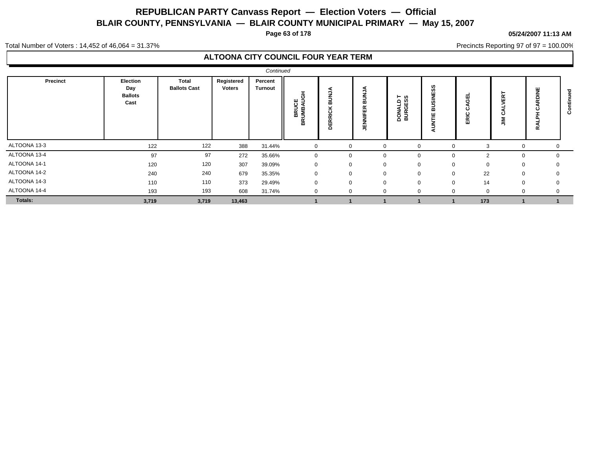**Page 63 of 178**

#### **05/24/2007 11:13 AM**

Precincts Reporting 97 of 97 = 100.00%

Total Number of Voters : 14,452 of 46,064 = 31.37%

|                |                                           |                                     |                      | Continued                 |                                      |                                |                                     |                                       |                             |                    |               |               |   |
|----------------|-------------------------------------------|-------------------------------------|----------------------|---------------------------|--------------------------------------|--------------------------------|-------------------------------------|---------------------------------------|-----------------------------|--------------------|---------------|---------------|---|
| Precinct       | Election<br>Day<br><b>Ballots</b><br>Cast | <b>Total</b><br><b>Ballots Cast</b> | Registered<br>Voters | Percent<br><b>Turnout</b> | I<br>O<br><b>BRUCE</b><br>UMBAU<br>0 | <b>BUNJA</b><br><b>DERRICK</b> | ∍<br>ВÚ,<br>띥<br>₩<br>$\frac{2}{3}$ | ⊢ ഗ<br>ھ ∟<br><b>DONALI</b><br>BURGES | SS<br>ш<br>Ξ<br>S<br>m<br>- | 핑<br>ပ<br>RIC<br>ш | $\alpha$<br>ш | щ<br>$\alpha$ | ပ |
| ALTOONA 13-3   | 122                                       | 122                                 | 388                  | 31.44%                    |                                      | $\Omega$                       |                                     |                                       | $\Omega$                    |                    |               |               |   |
| ALTOONA 13-4   | 97                                        | 97                                  | 272                  | 35.66%                    |                                      | $\Omega$                       |                                     | $\Omega$                              | $\mathbf{0}$                | C                  | -0            | $\Omega$      |   |
| ALTOONA 14-1   | 120                                       | 120                                 | 307                  | 39.09%                    |                                      | $\Omega$                       |                                     |                                       | $\Omega$                    | $\Omega$           | $\Omega$      | 0             |   |
| ALTOONA 14-2   | 240                                       | 240                                 | 679                  | 35.35%                    |                                      | $\Omega$                       | $\Omega$                            | $\Omega$                              | $\mathbf 0$                 | 22                 | $\mathbf{0}$  | $\Omega$      |   |
| ALTOONA 14-3   | 110                                       | 110                                 | 373                  | 29.49%                    |                                      | $\Omega$                       | $\Omega$                            | $\Omega$                              | $\Omega$                    | 14                 | $\Omega$      | $\Omega$      |   |
| ALTOONA 14-4   | 193                                       | 193                                 | 608                  | 31.74%                    |                                      | $\Omega$                       |                                     | $\Omega$                              | $\Omega$                    | -0                 |               |               |   |
| <b>Totals:</b> | 3,719                                     | 3,719                               | 13,463               |                           |                                      |                                |                                     |                                       |                             | 173                |               |               |   |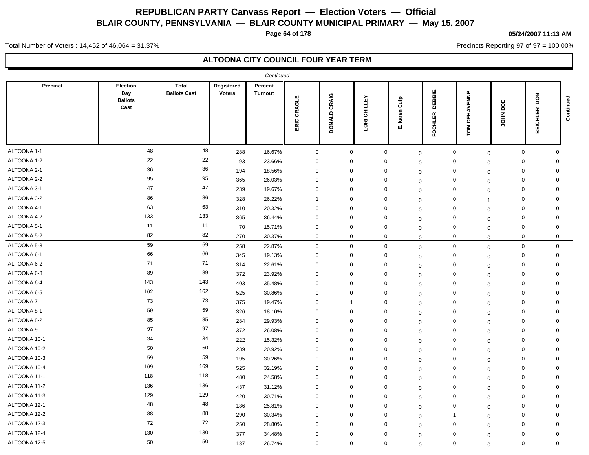**Page 64 of 178**

#### **05/24/2007 11:13 AM**

Precincts Reporting 97 of 97 = 100.00%

Total Number of Voters : 14,452 of 46,064 = 31.37%

|                 |                                           |                                     |                             | Continued                 |                |                        |                                |                     |                          |                            |                |                           |           |
|-----------------|-------------------------------------------|-------------------------------------|-----------------------------|---------------------------|----------------|------------------------|--------------------------------|---------------------|--------------------------|----------------------------|----------------|---------------------------|-----------|
| Precinct        | Election<br>Day<br><b>Ballots</b><br>Cast | <b>Total</b><br><b>Ballots Cast</b> | Registered<br><b>Voters</b> | Percent<br><b>Turnout</b> | CRAGLE<br>ERIC | CRAIG<br><b>DONALD</b> | CRILLEY<br>ē<br>$\overline{S}$ | Culp<br>karen<br>ய் | DEBBIE<br><b>FOCHLER</b> | <b>DEHAVENNB</b><br>TOM    | ш<br>g<br>MHOL | z<br>ā<br><b>BEICHLER</b> | Continued |
| ALTOONA 1-1     | 48                                        | 48                                  | 288                         | 16.67%                    | $\mathbf 0$    | $\boldsymbol{0}$       |                                | $\mathbf 0$         | $\mathbf 0$              | $\mathbf 0$<br>$\mathbf 0$ | $\mathbf 0$    | $\Omega$                  |           |
| ALTOONA 1-2     | 22                                        | 22                                  | 93                          | 23.66%                    | $\mathbf 0$    | $\mathbf 0$            |                                | 0                   | $\Omega$                 | $\mathbf 0$<br>$\Omega$    | $\mathbf 0$    | $\mathbf 0$               |           |
| ALTOONA 2-1     | 36                                        | 36                                  | 194                         | 18.56%                    | $\mathbf 0$    | $\mathbf 0$            |                                | 0                   | $\Omega$                 | 0<br>$\Omega$              | $\mathbf 0$    | $\mathbf 0$               |           |
| ALTOONA 2-2     | 95                                        | 95                                  | 365                         | 26.03%                    | $\mathbf 0$    | $\mathbf 0$            |                                | 0                   | $\mathbf 0$              | 0<br>$\Omega$              | $\Omega$       | $\Omega$                  |           |
| ALTOONA 3-1     | 47                                        | 47                                  | 239                         | 19.67%                    | $\mathbf 0$    | $\mathbf 0$            |                                | 0                   | $\mathbf 0$              | 0<br>$\mathbf 0$           | 0              | 0                         |           |
| ALTOONA 3-2     | 86                                        | 86                                  | 328                         | 26.22%                    | $\mathbf{1}$   | $\boldsymbol{0}$       |                                | 0                   | $\mathbf 0$              | 0<br>$\overline{1}$        | $\mathbf 0$    | $\mathbf 0$               |           |
| ALTOONA 4-1     | 63                                        | 63                                  | 310                         | 20.32%                    | 0              | $\mathbf 0$            |                                | 0                   | $\mathbf 0$              | 0<br>$\Omega$              | 0              | $\Omega$                  |           |
| ALTOONA 4-2     | 133                                       | 133                                 | 365                         | 36.44%                    | $\mathbf 0$    | $\mathbf 0$            |                                | $\mathbf 0$         | $\mathbf 0$              | 0<br>$\mathbf 0$           | $\mathbf 0$    | $\mathbf 0$               |           |
| ALTOONA 5-1     | 11                                        | 11                                  | 70                          | 15.71%                    | $\mathbf 0$    | $\mathbf 0$            |                                | $\mathbf 0$         | $\mathbf 0$              | 0<br>$\mathbf 0$           | $\mathbf 0$    | $\Omega$                  |           |
| ALTOONA 5-2     | 82                                        | 82                                  | 270                         | 30.37%                    | $\mathbf 0$    | $\mathbf 0$            |                                | 0                   | $\mathbf 0$              | 0<br>$\mathbf 0$           | $\mathbf 0$    | 0                         |           |
| ALTOONA 5-3     | 59                                        | 59                                  | 258                         | 22.87%                    | $\mathbf 0$    | $\mathbf{0}$           |                                | $\mathbf 0$         | $\mathbf 0$              | 0<br>$\mathbf 0$           | $\Omega$       | $\Omega$                  |           |
| ALTOONA 6-1     | 66                                        | 66                                  | 345                         | 19.13%                    | $\mathbf 0$    | $\mathbf 0$            |                                | $\mathbf 0$         | $\mathbf 0$              | 0<br>$\mathbf 0$           | $\mathbf 0$    | $\Omega$                  |           |
| ALTOONA 6-2     | 71                                        | 71                                  | 314                         | 22.61%                    | $\mathbf 0$    | $\mathbf 0$            |                                | $\mathbf 0$         | $\mathbf 0$              | $\mathbf 0$<br>$\mathbf 0$ | $\mathbf 0$    | 0                         |           |
| ALTOONA 6-3     | 89                                        | 89                                  | 372                         | 23.92%                    | $\mathbf 0$    | $\mathbf 0$            |                                | 0                   | $\mathbf 0$              | 0<br>$\Omega$              | $\mathbf 0$    | $\Omega$                  |           |
| ALTOONA 6-4     | 143                                       | 143                                 | 403                         | 35.48%                    | $\mathbf 0$    | $\mathbf 0$            |                                | $\mathbf 0$         | $\mathbf 0$              | $\mathbf 0$<br>$\mathbf 0$ | $\mathbf 0$    | $\mathbf 0$               |           |
| ALTOONA 6-5     | 162                                       | 162                                 | 525                         | 30.86%                    | $\mathbf 0$    | $\mathbf 0$            |                                | $\mathbf 0$         | $\mathbf 0$              | $\mathbf 0$<br>$\mathbf 0$ | $\mathbf 0$    | $\mathbf 0$               |           |
| <b>ALTOONA7</b> | 73                                        | 73                                  | 375                         | 19.47%                    | $\mathbf 0$    | -1                     |                                | $\mathbf 0$         | $\mathbf 0$              | 0<br>$\mathbf 0$           | $\mathbf 0$    | $\mathbf 0$               |           |
| ALTOONA 8-1     | 59                                        | 59                                  | 326                         | 18.10%                    | $\mathbf 0$    | $\mathbf 0$            |                                | $\mathbf 0$         | $\mathbf 0$              | $\mathbf 0$<br>$\Omega$    | $\mathbf 0$    | $\Omega$                  |           |
| ALTOONA 8-2     | 85                                        | 85                                  | 284                         | 29.93%                    | $\mathbf 0$    | $\mathbf 0$            |                                | $\mathbf 0$         | $\mathbf 0$              | $\mathbf 0$<br>$\mathbf 0$ | $\mathbf 0$    | $\Omega$                  |           |
| ALTOONA 9       | 97                                        | 97                                  | 372                         | 26.08%                    | $\mathbf 0$    | $\mathbf 0$            |                                | $\mathbf 0$         | $\mathbf 0$              | $\mathbf 0$<br>$\mathbf 0$ | $\mathbf 0$    | $\mathbf 0$               |           |
| ALTOONA 10-1    | 34                                        | $\overline{34}$                     | 222                         | 15.32%                    | $\mathbf 0$    | $\boldsymbol{0}$       |                                | $\mathbf 0$         | $\mathbf 0$              | $\mathbf 0$<br>$\mathbf 0$ | $\mathbf 0$    | $\mathbf 0$               |           |
| ALTOONA 10-2    | 50                                        | 50                                  | 239                         | 20.92%                    | $\mathbf 0$    | $\mathbf 0$            |                                | 0                   | $\mathbf 0$              | $\mathbf 0$<br>$\mathbf 0$ | $\mathbf 0$    | $\Omega$                  |           |
| ALTOONA 10-3    | 59                                        | 59                                  | 195                         | 30.26%                    | $\mathbf 0$    | $\mathbf 0$            |                                | $\Omega$            | $\Omega$                 | $\mathbf 0$<br>$\Omega$    | $\mathbf 0$    | $\Omega$                  |           |
| ALTOONA 10-4    | 169                                       | 169                                 | 525                         | 32.19%                    | $\mathbf 0$    | $\mathbf 0$            |                                | $\mathbf 0$         | $\mathbf 0$              | 0<br>$\Omega$              | $\mathbf 0$    | $\mathbf 0$               |           |
| ALTOONA 11-1    | 118                                       | 118                                 | 480                         | 24.58%                    | $\mathbf 0$    | $\mathbf 0$            |                                | $\mathbf 0$         | $\mathbf 0$              | $\mathbf 0$<br>$\mathbf 0$ | $\mathbf 0$    | $\mathbf 0$               |           |
| ALTOONA 11-2    | 136                                       | 136                                 | 437                         | 31.12%                    | $\mathbf 0$    | $\mathbf 0$            |                                | $\mathbf 0$         | $\mathbf 0$              | $\mathbf 0$<br>$\Omega$    | $\mathbf 0$    | $\mathbf 0$               |           |
| ALTOONA 11-3    | 129                                       | 129                                 | 420                         | 30.71%                    | $\mathbf 0$    | $\mathbf 0$            |                                | 0                   | $\mathbf 0$              | $\mathbf 0$<br>$\mathbf 0$ | $\mathbf 0$    | 0                         |           |
| ALTOONA 12-1    | 48                                        | 48                                  | 186                         | 25.81%                    | $\mathbf 0$    | $\mathbf 0$            |                                | 0                   | $\Omega$                 | 0<br>$\mathbf 0$           | $\mathbf 0$    | 0                         |           |
| ALTOONA 12-2    | 88                                        | 88                                  | 290                         | 30.34%                    | $\mathbf 0$    | $\mathbf 0$            |                                | 0                   | -1<br>$\mathbf 0$        | $\mathbf 0$                | $\mathbf 0$    | $\Omega$                  |           |
| ALTOONA 12-3    | 72                                        | 72                                  | 250                         | 28.80%                    | $\mathbf 0$    | $\mathbf 0$            |                                | $\mathbf 0$         | $\mathbf 0$              | $\mathbf 0$<br>$\mathbf 0$ | $\mathbf 0$    | $\mathbf 0$               |           |
| ALTOONA 12-4    | 130                                       | 130                                 | 377                         | 34.48%                    | $\mathbf 0$    | $\mathbf 0$            |                                | $\mathbf 0$         | $\mathbf 0$              | $\mathbf 0$<br>$\mathbf 0$ | $\mathbf 0$    | $\mathbf 0$               |           |
| ALTOONA 12-5    | 50                                        | 50                                  | 187                         | 26.74%                    | $\mathbf 0$    | $\mathbf 0$            |                                | $\mathbf 0$         | $\Omega$                 | 0<br>$\mathbf 0$           | $\mathbf 0$    | $\mathbf 0$               |           |
|                 |                                           |                                     |                             |                           |                |                        |                                |                     |                          |                            |                |                           |           |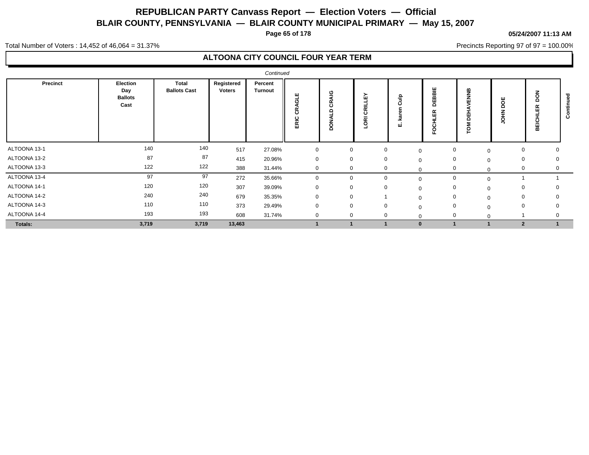**Page 65 of 178**

#### **05/24/2007 11:13 AM**

Precincts Reporting 97 of 97 = 100.00%

Total Number of Voters : 14,452 of 46,064 = 31.37%

|              |                                           |                              |                      | Continued                 |                          |              |                                     |                   |                                   |             |                         |             |   |
|--------------|-------------------------------------------|------------------------------|----------------------|---------------------------|--------------------------|--------------|-------------------------------------|-------------------|-----------------------------------|-------------|-------------------------|-------------|---|
| Precinct     | Election<br>Day<br><b>Ballots</b><br>Cast | Total<br><b>Ballots Cast</b> | Registered<br>Voters | Percent<br><b>Turnout</b> | ш<br>ಸ<br>≃<br>ပ<br>ERIC | ୍ର<br>◠      | ᇟ<br>晨<br>$\circ$<br>-<br><b>BO</b> | 을<br>$\circ$<br>ш | 빌<br>B.<br>ш<br>C<br>ш<br>$\cdot$ | 띞<br>r<br>ջ | ц                       | 8<br>ш<br>ᇜ | ပ |
| ALTOONA 13-1 | 140                                       | 140                          | 517                  | 27.08%                    | $\mathbf 0$              | $\mathbf{0}$ | $\mathbf 0$                         | 0                 | 0                                 | $\mathbf 0$ | 0                       | 0           |   |
| ALTOONA 13-2 | 87                                        | 87                           | 415                  | 20.96%                    | $\mathbf 0$              | 0            | $\mathbf 0$                         | $\Omega$          | 0                                 | $\Omega$    | 0                       | 0           |   |
| ALTOONA 13-3 | 122                                       | 122                          | 388                  | 31.44%                    | $\mathbf{0}$             | 0            | $\mathbf 0$                         |                   | $\mathbf 0$                       | $\Omega$    | 0                       | 0           |   |
| ALTOONA 13-4 | 97                                        | 97                           | 272                  | 35.66%                    | $\Omega$                 | $\Omega$     | $\Omega$                            |                   | $\mathbf 0$                       | $\mathbf 0$ |                         |             |   |
| ALTOONA 14-1 | 120                                       | 120                          | 307                  | 39.09%                    | $\mathbf 0$              | $\mathbf 0$  | 0                                   |                   | 0                                 | $\mathbf 0$ | 0                       |             |   |
| ALTOONA 14-2 | 240                                       | 240                          | 679                  | 35.35%                    | $\mathbf 0$              | 0            |                                     | $\Omega$          | 0                                 | $\Omega$    | $\mathbf 0$             | 0           |   |
| ALTOONA 14-3 | 110                                       | 110                          | 373                  | 29.49%                    | $\mathbf 0$              | $\mathbf 0$  | $\Omega$                            | $\sim$            | $\mathbf{0}$                      | $\Omega$    | $\mathbf 0$             | $\Omega$    |   |
| ALTOONA 14-4 | 193                                       | 193                          | 608                  | 31.74%                    | $\mathbf 0$              | $\mathbf 0$  | $\mathbf 0$                         |                   | $\mathbf 0$                       | $\Omega$    |                         |             |   |
| Totals:      | 3,719                                     | 3,719                        | 13,463               |                           |                          |              |                                     |                   |                                   |             | $\overline{\mathbf{2}}$ |             |   |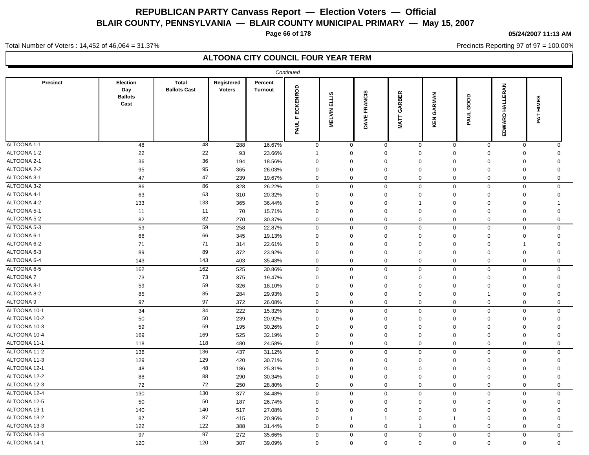**Page 66 of 178**

#### **05/24/2007 11:13 AM**

Precincts Reporting 97 of 97 = 100.00%

Total Number of Voters : 14,452 of 46,064 = 31.37%

|              |                                           |                              |                             |                           | Continued                |                        |                               |                            |               |                |                    |              |  |
|--------------|-------------------------------------------|------------------------------|-----------------------------|---------------------------|--------------------------|------------------------|-------------------------------|----------------------------|---------------|----------------|--------------------|--------------|--|
| Precinct     | Election<br>Day<br><b>Ballots</b><br>Cast | Total<br><b>Ballots Cast</b> | Registered<br><b>Voters</b> | Percent<br><b>Turnout</b> | <b>FECKENROD</b><br>PAUL | ELLIS<br><b>MELVIN</b> | <b>FRANCIS</b><br><b>DAVE</b> | GARBER<br>MATT <sup></sup> | GARMAN<br>KEN | GOOD<br>PAUL   | HALLERAN<br>EDWARD | HIMES<br>PAT |  |
| ALTOONA 1-1  | 48                                        | 48                           | 288                         | 16.67%                    | $\mathbf 0$              | $\mathbf 0$            | $\mathbf 0$                   | $\mathbf 0$                | $\mathbf 0$   | $\mathbf 0$    | $\mathbf 0$        | $\mathbf 0$  |  |
| ALTOONA 1-2  | 22                                        | 22                           | 93                          | 23.66%                    | $\overline{1}$           | $\Omega$               | $\mathbf 0$                   | $\Omega$                   | $\Omega$      | $\Omega$       | $\mathbf 0$        | $\Omega$     |  |
| ALTOONA 2-1  | 36                                        | 36                           | 194                         | 18.56%                    | $\mathbf 0$              | $\mathbf 0$            | $\mathbf 0$                   | $\mathbf 0$                | $\Omega$      | $\Omega$       | $\mathbf 0$        | 0            |  |
| ALTOONA 2-2  | 95                                        | 95                           | 365                         | 26.03%                    | $\Omega$                 | $\Omega$               | $\mathbf 0$                   | $\Omega$                   | $\Omega$      | $\Omega$       | $\mathbf 0$        | $\Omega$     |  |
| ALTOONA 3-1  | 47                                        | 47                           | 239                         | 19.67%                    | $\mathbf 0$              | $\mathbf 0$            | $\mathbf 0$                   | 0                          | 0             | $\mathbf 0$    | $\mathbf 0$        | 0            |  |
| ALTOONA 3-2  | 86                                        | 86                           | 328                         | 26.22%                    | $\mathbf 0$              | $\mathbf 0$            | $\pmb{0}$                     | $\mathbf 0$                | 0             | $\Omega$       | $\mathbf 0$        | 0            |  |
| ALTOONA 4-1  | 63                                        | 63                           | 310                         | 20.32%                    | $\mathbf 0$              | $\mathbf 0$            | $\mathbf 0$                   | 0                          | 0             | $\mathbf 0$    | $\mathbf 0$        | 0            |  |
| ALTOONA 4-2  | 133                                       | 133                          | 365                         | 36.44%                    | $\mathbf 0$              | $\mathbf 0$            | $\mathbf 0$                   | $\overline{1}$             | $\Omega$      | $\Omega$       | $\mathbf 0$        | 1            |  |
| ALTOONA 5-1  | 11                                        | 11                           | 70                          | 15.71%                    | $\mathbf 0$              | $\mathbf 0$            | $\mathbf 0$                   | $\mathbf 0$                | $\mathbf 0$   | $\mathbf 0$    | $\mathbf 0$        | $\mathbf 0$  |  |
| ALTOONA 5-2  | 82                                        | 82                           | 270                         | 30.37%                    | $\mathsf 0$              | $\mathbf 0$            | $\mathsf 0$                   | 0                          | $\mathbf{0}$  | $\mathbf 0$    | $\mathbf 0$        | 0            |  |
| ALTOONA 5-3  | 59                                        | 59                           | 258                         | 22.87%                    | $\mathbf 0$              | $\mathbf 0$            | $\mathbf 0$                   | $\mathbf 0$                | 0             | $\mathbf 0$    | $\mathbf 0$        | 0            |  |
| ALTOONA 6-1  | 66                                        | 66                           | 345                         | 19.13%                    | $\mathbf 0$              | $\mathbf 0$            | 0                             | 0                          | 0             | $\Omega$       | $\mathbf 0$        | 0            |  |
| ALTOONA 6-2  | 71                                        | 71                           | 314                         | 22.61%                    | $\Omega$                 | $\Omega$               | $\mathbf 0$                   | $\mathbf 0$                | $\Omega$      | $\mathbf 0$    | $\mathbf 1$        | $\mathbf 0$  |  |
| ALTOONA 6-3  | 89                                        | 89                           | 372                         | 23.92%                    | $\mathbf 0$              | $\mathbf 0$            | $\mathbf 0$                   | 0                          | $\Omega$      | $\Omega$       | $\mathbf 0$        | 0            |  |
| ALTOONA 6-4  | 143                                       | 143                          | 403                         | 35.48%                    | $\mathbf 0$              | $\mathbf 0$            | $\mathbf 0$                   | 0                          | $\Omega$      | $\mathbf 0$    | $\mathbf 0$        | 0            |  |
| ALTOONA 6-5  | 162                                       | 162                          | 525                         | 30.86%                    | $\mathbf 0$              | $\mathbf 0$            | $\mathbf 0$                   | $\mathbf 0$                | $\mathbf 0$   | $\mathbf 0$    | $\mathbf 0$        | 0            |  |
| ALTOONA 7    | 73                                        | 73                           | 375                         | 19.47%                    | $\mathbf 0$              | $\mathbf 0$            | $\mathbf 0$                   | 0                          | $\mathbf 0$   | $\mathbf 0$    | $\mathbf 0$        | 0            |  |
| ALTOONA 8-1  | 59                                        | 59                           | 326                         | 18.10%                    | $\Omega$                 | $\Omega$               | $\mathbf 0$                   | $\Omega$                   | $\Omega$      | $\Omega$       | $\mathbf 0$        | $\Omega$     |  |
| ALTOONA 8-2  | 85                                        | 85                           | 284                         | 29.93%                    | $\mathbf 0$              | $\Omega$               | $\mathbf 0$                   | $\mathbf 0$                | $\mathbf 0$   | $\overline{1}$ | $\mathbf 0$        | $\mathbf 0$  |  |
| ALTOONA 9    | 97                                        | 97                           | 372                         | 26.08%                    | $\mathsf 0$              | $\mathbf 0$            | $\mathsf 0$                   | 0                          | 0             | $\mathbf 0$    | $\mathsf 0$        | 0            |  |
| ALTOONA 10-1 | 34                                        | $\overline{34}$              | 222                         | 15.32%                    | $\mathbf 0$              | $\mathsf 0$            | $\mathbf 0$                   | $\mathbf 0$                | 0             | $\mathbf 0$    | $\mathbf 0$        | 0            |  |
| ALTOONA 10-2 | 50                                        | 50                           | 239                         | 20.92%                    | $\mathbf 0$              | 0                      | $\mathbf 0$                   | $\Omega$                   | $\Omega$      | $\Omega$       | $\mathbf 0$        | 0            |  |
| ALTOONA 10-3 | 59                                        | 59                           | 195                         | 30.26%                    | $\mathbf 0$              | $\mathbf 0$            | $\mathbf 0$                   | $\mathbf 0$                | $\mathbf 0$   | $\mathbf 0$    | $\mathbf 0$        | $\mathbf 0$  |  |
| ALTOONA 10-4 | 169                                       | 169                          | 525                         | 32.19%                    | $\Omega$                 | $\Omega$               | $\mathbf 0$                   | $\Omega$                   | $\Omega$      | $\Omega$       | $\mathbf 0$        | $\Omega$     |  |
| ALTOONA 11-1 | 118                                       | 118                          | 480                         | 24.58%                    | $\mathbf 0$              | $\mathbf 0$            | $\mathbf 0$                   | 0                          | 0             | $\mathbf 0$    | $\mathbf 0$        | 0            |  |
| ALTOONA 11-2 | 136                                       | $\overline{136}$             | 437                         | 31.12%                    | $\mathbf 0$              | $\mathbf 0$            | 0                             | 0                          | 0             | $\mathbf 0$    | $\mathbf 0$        | 0            |  |
| ALTOONA 11-3 | 129                                       | 129                          | 420                         | 30.71%                    | $\mathbf 0$              | $\mathbf 0$            | $\mathbf 0$                   | $\mathbf 0$                | 0             | $\mathbf 0$    | $\mathbf 0$        | 0            |  |
| ALTOONA 12-1 | 48                                        | 48                           | 186                         | 25.81%                    | $\mathbf 0$              | 0                      | $\mathbf 0$                   | 0                          | $\Omega$      | $\Omega$       | $\mathbf 0$        | 0            |  |
| ALTOONA 12-2 | 88                                        | 88                           | 290                         | 30.34%                    | $\mathbf 0$              | $\mathbf 0$            | $\mathbf 0$                   | 0                          | 0             | $\mathbf 0$    | $\mathbf 0$        | $\mathbf 0$  |  |
| ALTOONA 12-3 | 72                                        | 72                           | 250                         | 28.80%                    | $\mathsf{O}\xspace$      | $\mathbf 0$            | $\mathsf 0$                   | 0                          | 0             | $\mathbf 0$    | $\mathsf 0$        | 0            |  |
| ALTOONA 12-4 | $\overline{130}$                          | 130                          | 377                         | 34.48%                    | $\mathbf 0$              | $\mathsf 0$            | $\mathbf 0$                   | $\mathbf 0$                | $\mathbf{0}$  | $\mathbf 0$    | $\mathbf 0$        | $\mathbf 0$  |  |
| ALTOONA 12-5 | 50                                        | 50                           | 187                         | 26.74%                    | $\mathbf 0$              | $\mathbf 0$            | $\mathbf 0$                   | 0                          | $\Omega$      | $\mathbf 0$    | $\mathbf 0$        | 0            |  |
| ALTOONA 13-1 | 140                                       | 140                          | 517                         | 27.08%                    | $\mathbf 0$              | $\mathbf 0$            | $\mathbf 0$                   | $\mathbf 0$                | $\mathbf 0$   | $\mathbf 0$    | $\mathbf 0$        | $\mathbf 0$  |  |
| ALTOONA 13-2 | 87                                        | 87                           | 415                         | 20.96%                    | $\mathbf 0$              | -1                     | $\overline{1}$                | $\mathbf 0$                | 1             | $\mathbf 0$    | $\mathbf 0$        | 0            |  |
| ALTOONA 13-3 | 122                                       | 122                          | 388                         | 31.44%                    | $\mathbf 0$              | $\mathbf 0$            | $\mathbf 0$                   | $\mathbf 1$                | $\Omega$      | $\mathbf 0$    | $\mathbf 0$        | 0            |  |
| ALTOONA 13-4 | 97                                        | 97                           | 272                         | 35.66%                    | $\mathbf 0$              | $\mathbf 0$            | $\mathbf 0$                   | $\mathbf 0$                | 0             | $\mathbf 0$    | $\mathbf 0$        | 0            |  |
| ALTOONA 14-1 | 120                                       | 120                          | 307                         | 39.09%                    | $\mathbf 0$              | $\mathbf 0$            | $\mathbf 0$                   | $\mathbf 0$                | 0             | $\mathbf 0$    | $\mathbf 0$        | $\mathbf 0$  |  |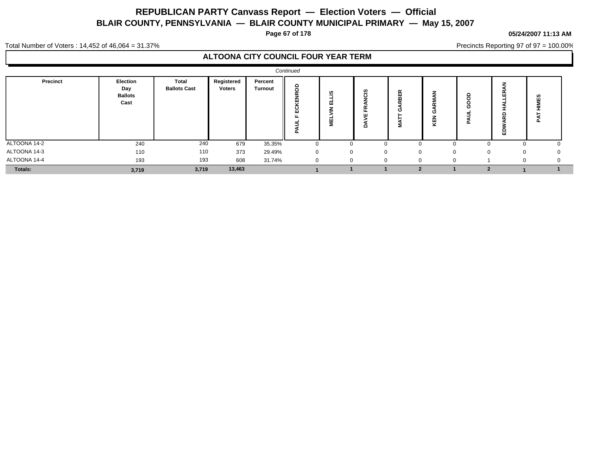**Page 67 of 178**

**05/24/2007 11:13 AM**

Total Number of Voters : 14,452 of 46,064 = 31.37%

## **ALTOONA CITY COUNCIL FOUR YEAR TERM**

|              |                                           |                                     |                             |                           | Continued                            |              |                             |                    |                    |                                               |          |              |  |
|--------------|-------------------------------------------|-------------------------------------|-----------------------------|---------------------------|--------------------------------------|--------------|-----------------------------|--------------------|--------------------|-----------------------------------------------|----------|--------------|--|
| Precinct     | Election<br>Day<br><b>Ballots</b><br>Cast | <b>Total</b><br><b>Ballots Cast</b> | Registered<br><b>Voters</b> | Percent<br><b>Turnout</b> | 8<br>$\tilde{\phantom{a}}$<br>ш<br>ш | ഇ<br>≐<br>Σ  | ഇ<br>$\epsilon$<br>$\Omega$ | $\simeq$<br>핆<br>2 | ◢<br>œ<br>O<br>КĘИ | $\circ$<br>$\Omega$<br>C<br>O<br>$\mathbf{a}$ | ய        | ဖာ           |  |
| ALTOONA 14-2 | 240                                       | 240                                 | 679                         | 35.35%                    |                                      |              |                             | - 0                |                    |                                               | $\Omega$ | v            |  |
| ALTOONA 14-3 | 110                                       | 110                                 | 373                         | 29.49%                    | $\Omega$                             | $\mathbf{0}$ | $\Omega$                    | $\Omega$           |                    | $\mathbf{0}$                                  | 0        | $\mathbf{0}$ |  |
| ALTOONA 14-4 | 193                                       | 193                                 | 608                         | 31.74%                    |                                      |              |                             | - 0                |                    |                                               | $\Omega$ |              |  |
| Totals:      | 3,719                                     | 3,719                               | 13,463                      |                           |                                      |              |                             |                    |                    |                                               |          |              |  |

Precincts Reporting 97 of 97 = 100.00%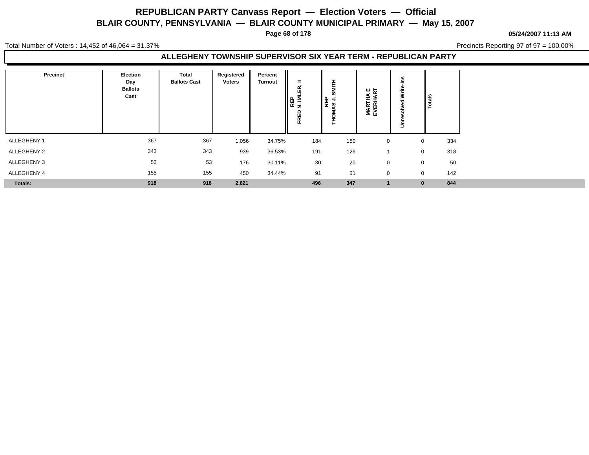**Page 68 of 178**

**05/24/2007 11:13 AM**

Total Number of Voters : 14,452 of 46,064 = 31.37%

Precincts Reporting 97 of 97 = 100.00%

#### **ALLEGHENY TOWNSHIP SUPERVISOR SIX YEAR TERM - REPUBLICAN PARTY**

| Precinct       | <b>Election</b><br>Day<br><b>Ballots</b><br>Cast | Total<br><b>Ballots Cast</b> | Registered<br><b>Voters</b> | Percent<br><b>Turnout</b> | $=$<br>≃<br>ш<br>REP<br>N. ML<br>RED<br>正 | u<br>ြို့ မြို့ | 교 ۳<br>∢<br><b>MARTHA</b><br>EVERHAI | Totals       |     |
|----------------|--------------------------------------------------|------------------------------|-----------------------------|---------------------------|-------------------------------------------|-----------------|--------------------------------------|--------------|-----|
| ALLEGHENY 1    | 367                                              | 367                          | 1,056                       | 34.75%                    | 184                                       | 150             | $\mathbf 0$                          | $\mathbf{0}$ | 334 |
| ALLEGHENY 2    | 343                                              | 343                          | 939                         | 36.53%                    | 191                                       | 126             |                                      | $\mathbf 0$  | 318 |
| ALLEGHENY 3    | 53                                               | 53                           | 176                         | 30.11%                    | 30                                        | 20              | $\Omega$                             | $\mathbf 0$  | 50  |
| ALLEGHENY 4    | 155                                              | 155                          | 450                         | 34.44%                    | 91                                        | 51              | $\Omega$                             | $\mathbf{0}$ | 142 |
| <b>Totals:</b> | 918                                              | 918                          | 2,621                       |                           | 496                                       | 347             |                                      | $\mathbf{0}$ | 844 |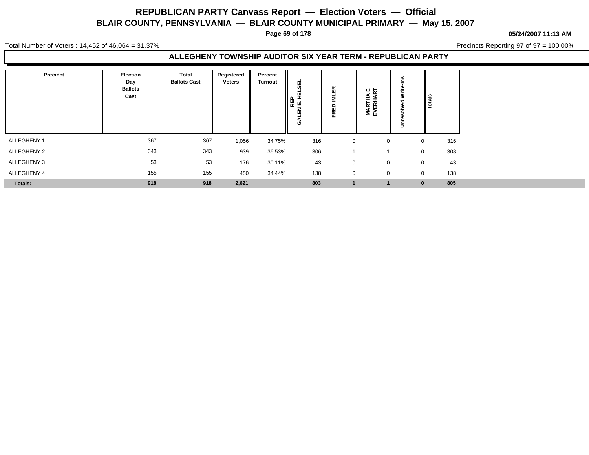**Page 69 of 178**

**05/24/2007 11:13 AM**

Total Number of Voters : 14,452 of 46,064 = 31.37%

Precincts Reporting 97 of 97 = 100.00%

#### **ALLEGHENY TOWNSHIP AUDITOR SIX YEAR TERM - REPUBLICAN PARTY**

| <b>Precinct</b> | Election<br>Day<br><b>Ballots</b><br>Cast | <b>Total</b><br><b>Ballots Cast</b> | Registered<br><b>Voters</b> | Percent<br><b>Turnout</b> | 핆<br>펖<br>운 도<br>도<br>즚<br>O | $\propto$<br>ш<br>-<br>$\Omega$<br>ш<br>$\alpha$<br>п | <b>MARTHA E</b><br>EVERHART | Totals       |     |
|-----------------|-------------------------------------------|-------------------------------------|-----------------------------|---------------------------|------------------------------|-------------------------------------------------------|-----------------------------|--------------|-----|
| ALLEGHENY 1     | 367                                       | 367                                 | 1,056                       | 34.75%                    | 316                          | $\mathbf 0$                                           | $\mathbf 0$                 | $\mathbf{0}$ | 316 |
| ALLEGHENY 2     | 343                                       | 343                                 | 939                         | 36.53%                    | 306                          |                                                       |                             | $\mathbf 0$  | 308 |
| ALLEGHENY 3     | 53                                        | 53                                  | 176                         | 30.11%                    | 43                           | $\mathbf 0$                                           | $\Omega$                    | $\mathbf 0$  | 43  |
| ALLEGHENY 4     | 155                                       | 155                                 | 450                         | 34.44%                    | 138                          | $\mathbf 0$                                           | $\Omega$                    | $\mathbf 0$  | 138 |
| <b>Totals:</b>  | 918                                       | 918                                 | 2,621                       |                           | 803                          |                                                       |                             | $\mathbf{0}$ | 805 |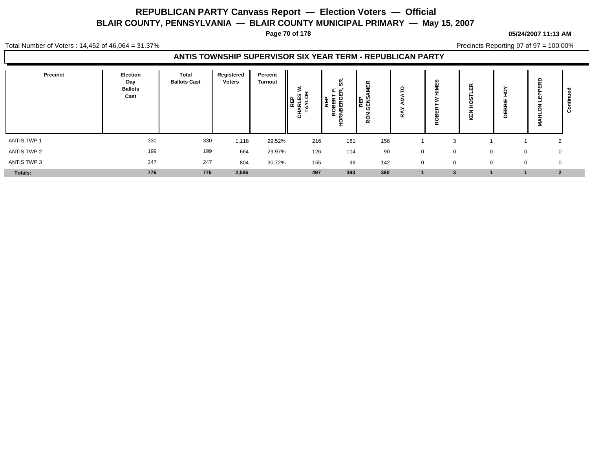**Page 70 of 178**

#### **05/24/2007 11:13 AM**

Total Number of Voters : 14,452 of 46,064 = 31.37%

Precincts Reporting 97 of 97 = 100.00%

#### **ANTIS TOWNSHIP SUPERVISOR SIX YEAR TERM - REPUBLICAN PARTY**

| Precinct       | Election<br>Day<br><b>Ballots</b><br>Cast | <b>Total</b><br><b>Ballots Cast</b> | Registered<br><b>Voters</b> | Percent<br><b>Turnout</b> | ><br>모르<br>지도<br>지도 | န္တ<br>௳<br>  또 운전<br>  모든 모든<br>  모든 모든<br>$rac{6}{5}$ | п<br><b>PENS</b><br>$\alpha$ | $\circ$<br>≃ | w<br>ш<br>-<br>$\alpha$ | œ<br>≂       | <u>୦</u><br>쁘<br>≃<br>ш<br>۵ | 윤<br>$\cdots$  |  |
|----------------|-------------------------------------------|-------------------------------------|-----------------------------|---------------------------|---------------------|---------------------------------------------------------|------------------------------|--------------|-------------------------|--------------|------------------------------|----------------|--|
| ANTIS TWP 1    | 330                                       | 330                                 | 1,118                       | 29.52%                    | 216                 | 181                                                     | 158                          |              | $\sqrt{2}$              |              |                              | ົ<br>∼         |  |
| ANTIS TWP 2    | 199                                       | 199                                 | 664                         | 29.97%                    | 126                 | 114                                                     | 90                           | $\Omega$     | $\Omega$                | $\Omega$     | $\mathbf 0$                  | 0              |  |
| ANTIS TWP 3    | 247                                       | 247                                 | 804                         | 30.72%                    | 155                 | 98                                                      | 142                          | $\mathbf 0$  | $\mathbf 0$             | $\mathbf{0}$ | 0                            | 0              |  |
| <b>Totals:</b> | 776                                       | 776                                 | 2,586                       |                           | 497                 | 393                                                     | 390                          |              |                         |              |                              | $\overline{2}$ |  |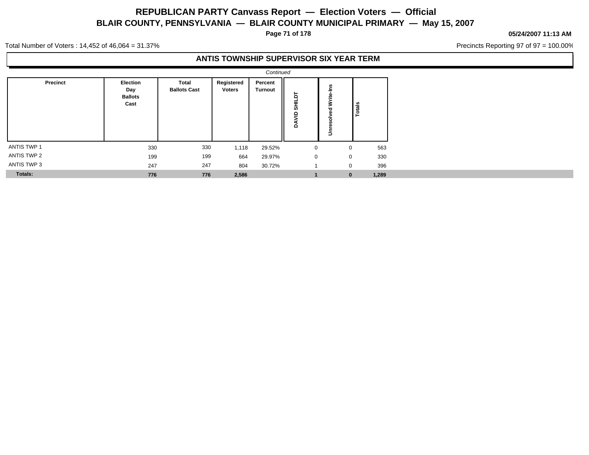**Page 71 of 178**

#### **05/24/2007 11:13 AM**

Precincts Reporting 97 of 97 = 100.00%

Total Number of Voters : 14,452 of 46,064 = 31.37%

#### **ANTIS TOWNSHIP SUPERVISOR SIX YEAR TERM**

|             |                                                  |                              |                             | Continued                 |                                   |                                |                    |  |
|-------------|--------------------------------------------------|------------------------------|-----------------------------|---------------------------|-----------------------------------|--------------------------------|--------------------|--|
| Precinct    | <b>Election</b><br>Day<br><b>Ballots</b><br>Cast | Total<br><b>Ballots Cast</b> | Registered<br><b>Voters</b> | Percent<br><b>Turnout</b> | Б<br>로<br>동<br>$\frac{1}{2}$<br>Ś | ے<br>=<br>Nrite<br>><br>ħ<br>š | Totals             |  |
| ANTIS TWP 1 | 330                                              | 330                          | 1,118                       | 29.52%                    | $\mathbf 0$                       |                                | 563<br>$\mathbf 0$ |  |
| ANTIS TWP 2 | 199                                              | 199                          | 664                         | 29.97%                    | $\mathbf 0$                       |                                | 330<br>0           |  |
| ANTIS TWP 3 | 247                                              | 247                          | 804                         | 30.72%                    |                                   |                                | 396<br>0           |  |
| Totals:     | 776                                              | 776                          | 2,586                       |                           |                                   |                                | 1,289<br>$\bf{0}$  |  |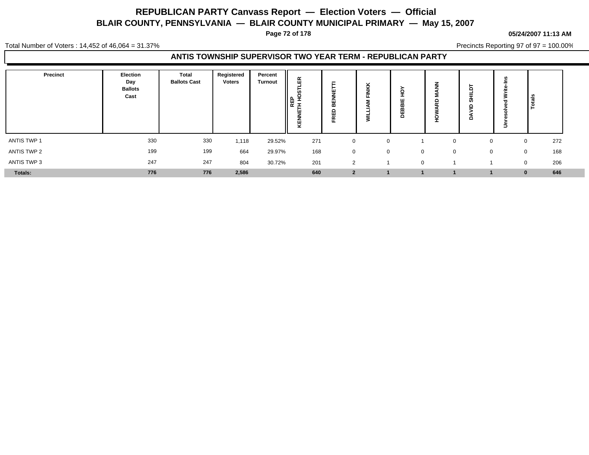**Page 72 of 178**

#### **05/24/2007 11:13 AM**

Total Number of Voters : 14,452 of 46,064 = 31.37%

Precincts Reporting 97 of 97 = 100.00%

#### **ANTIS TOWNSHIP SUPERVISOR TWO YEAR TERM - REPUBLICAN PARTY**

| Precinct    | Election<br>Day<br><b>Ballots</b><br>Cast | Total<br><b>Ballots Cast</b> | Registered<br><b>Voters</b> | Percent<br>Turnout | 띥<br><b>REP</b><br>폰<br>ш<br>Æ | m<br><br>$\overline{\phantom{a}}$ | ¥<br>∸<br>z<br>=<br>ш | ш<br>-<br>m<br>⊞<br>≏ | S<br>=<br>$\Omega$ | ∍        | $\frac{2}{3}$   |
|-------------|-------------------------------------------|------------------------------|-----------------------------|--------------------|--------------------------------|-----------------------------------|-----------------------|-----------------------|--------------------|----------|-----------------|
| ANTIS TWP 1 | 330                                       | 330                          | 1,118                       | 29.52%             | 271                            |                                   | $\Omega$              |                       |                    | $\Omega$ | 272             |
| ANTIS TWP 2 | 199                                       | 199                          | 664                         | 29.97%             | 168                            | $\Omega$                          | $\Omega$              | $\Omega$              | $\Omega$           |          | 168<br>0        |
| ANTIS TWP 3 | 247                                       | 247                          | 804                         | 30.72%             | 201                            | $\overline{2}$                    |                       | $\Omega$              |                    | $\Omega$ | 206             |
| Totals:     | 776                                       | 776                          | 2,586                       |                    | 640                            | $\overline{2}$                    |                       |                       |                    |          | 646<br>$\bf{0}$ |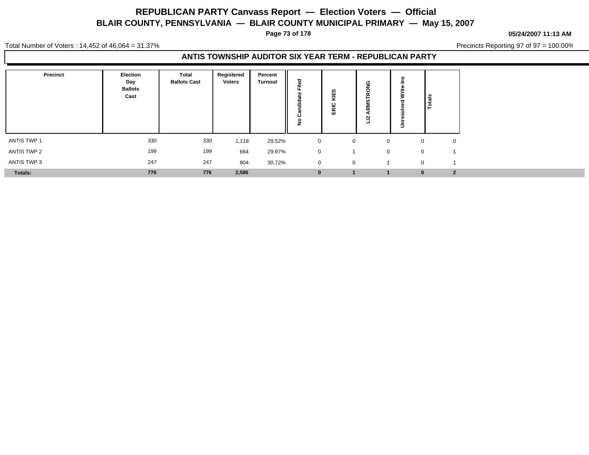**Page 73 of 178**

#### **05/24/2007 11:13 AM**

Total Number of Voters : 14,452 of 46,064 = 31.37%

Precincts Reporting 97 of 97 = 100.00%

### **ANTIS TOWNSHIP AUDITOR SIX YEAR TERM - REPUBLICAN PARTY**

| <b>Precinct</b> | Election<br>Day<br><b>Ballots</b><br>Cast | <b>Total</b><br><b>Ballots Cast</b> | Registered<br>Voters | Percent<br><b>Turnout</b> | ਠ<br>$\Phi$<br>=<br>ட<br>ಕ<br>--<br>ပ<br>£ | U.<br>₩<br>ပ<br>-<br>$\propto$<br>ш | ပ<br><b>in</b><br>⊵<br>$\overline{\phantom{0}}$ |             | Totals       |                |
|-----------------|-------------------------------------------|-------------------------------------|----------------------|---------------------------|--------------------------------------------|-------------------------------------|-------------------------------------------------|-------------|--------------|----------------|
| ANTIS TWP 1     | 330                                       | 330                                 | 1,118                | 29.52%                    | $\mathbf 0$                                | 0                                   |                                                 | $\Omega$    | $\mathbf 0$  | $\mathbf 0$    |
| ANTIS TWP 2     | 199                                       | 199                                 | 664                  | 29.97%                    | $\mathbf 0$                                |                                     |                                                 | $\mathbf 0$ | $\mathbf{0}$ |                |
| ANTIS TWP 3     | 247                                       | 247                                 | 804                  | 30.72%                    | $\mathbf 0$                                | $\mathbf 0$                         |                                                 |             | $\mathbf{0}$ |                |
| Totals:         | 776                                       | 776                                 | 2,586                |                           | $\mathbf{0}$                               |                                     |                                                 |             | $\bf{0}$     | $\overline{2}$ |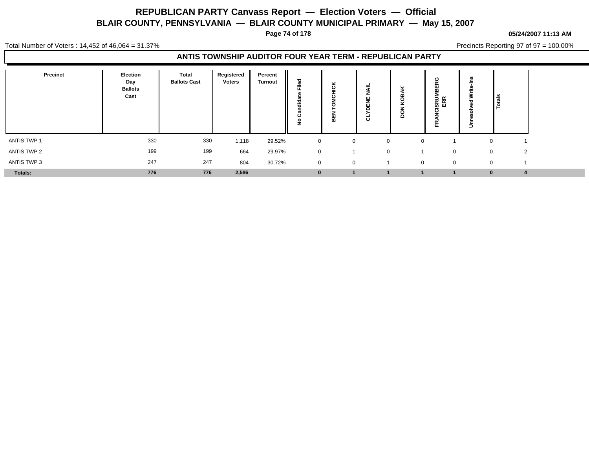**Page 74 of 178**

#### **05/24/2007 11:13 AM**

Total Number of Voters : 14,452 of 46,064 = 31.37%

Precincts Reporting 97 of 97 = 100.00%

### **ANTIS TOWNSHIP AUDITOR FOUR YEAR TERM - REPUBLICAN PARTY**

| Precinct    | Election<br>Day<br><b>Ballots</b><br>Cast | Total<br><b>Ballots Cast</b> | Registered<br><b>Voters</b> | Percent<br><b>Turnout</b> | ᅙ<br>Φ<br>≂<br>∽<br>₫<br>–<br>c<br>o | ×<br>ပ<br>-<br>$\cdot$<br>-<br>띪 | ۰<br>-<br>-<br>∠<br>ш<br>-<br>ರ | 8<br>⊻<br>$\Omega$ | <b>ISRU</b><br>п. | 3<br>≛ |               |  |
|-------------|-------------------------------------------|------------------------------|-----------------------------|---------------------------|--------------------------------------|----------------------------------|---------------------------------|--------------------|-------------------|--------|---------------|--|
| ANTIS TWP 1 | 330                                       | 330                          | 1,118                       | 29.52%                    | $\mathbf 0$                          | 0                                | $\mathbf 0$                     | $\Omega$           |                   |        |               |  |
| ANTIS TWP 2 | 199                                       | 199                          | 664                         | 29.97%                    | $\mathbf 0$                          |                                  | $\Omega$                        |                    |                   |        | 2<br>$\Omega$ |  |
| ANTIS TWP 3 | 247                                       | 247                          | 804                         | 30.72%                    | $\mathbf 0$                          | $\mathbf{0}$                     |                                 | $\mathbf 0$        | $\mathbf 0$       |        | $\Omega$      |  |
| Totals:     | 776                                       | 776                          | 2,586                       |                           | $\bf{0}$                             |                                  |                                 |                    |                   |        | $\mathbf{0}$  |  |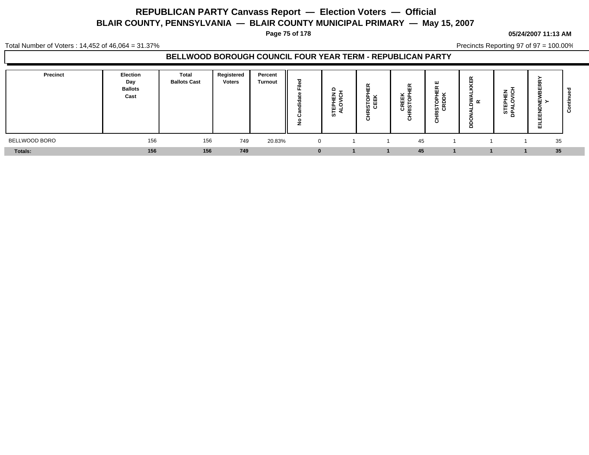**Page 75 of 178**

#### **05/24/2007 11:13 AM**

Total Number of Voters : 14,452 of 46,064 = 31.37%

Precincts Reporting 97 of 97 = 100.00%

### **BELLWOOD BOROUGH COUNCIL FOUR YEAR TERM - REPUBLICAN PARTY**

| Precinct      | Election<br>Day<br><b>Ballots</b><br>Cast | <b>Total</b><br><b>Ballots Cast</b> | Registered<br><b>Voters</b> | Percent<br><b>Turnout</b> | ъ<br>C.<br>=<br>ட<br>о.<br>-<br>ಕ<br>÷<br>ပ<br>$\circ$<br>-<br>- | 은 한<br><b>111</b> | $\alpha$<br>ш<br>ISTOP<br>CEEK<br>$\sim$<br>-<br>ō | $\alpha$<br>ັ<br><b>CREEK</b><br>RISTOPI | п<br>-54<br>효 ㅁ<br>호 회<br><u>່ຜ</u> ບ | ш<br>≂<br>$\propto$<br>▭<br>o<br>ᄒ | 로 호<br>ш<br>–<br>c<br>₩.<br>-<br>ဖိ ဦ | œ<br>$\sim$<br>œ<br>쁰<br>画 | $\sim$<br>. .<br>ບ |
|---------------|-------------------------------------------|-------------------------------------|-----------------------------|---------------------------|------------------------------------------------------------------|-------------------|----------------------------------------------------|------------------------------------------|---------------------------------------|------------------------------------|---------------------------------------|----------------------------|--------------------|
| BELLWOOD BORO | 156                                       | 156                                 | 749                         | 20.83%                    | $\cap$                                                           |                   |                                                    | 45                                       |                                       |                                    |                                       | 35                         |                    |
| Totals:       | 156                                       | 156                                 | 749                         |                           | $\Omega$                                                         |                   |                                                    | 45                                       |                                       |                                    |                                       | 35                         |                    |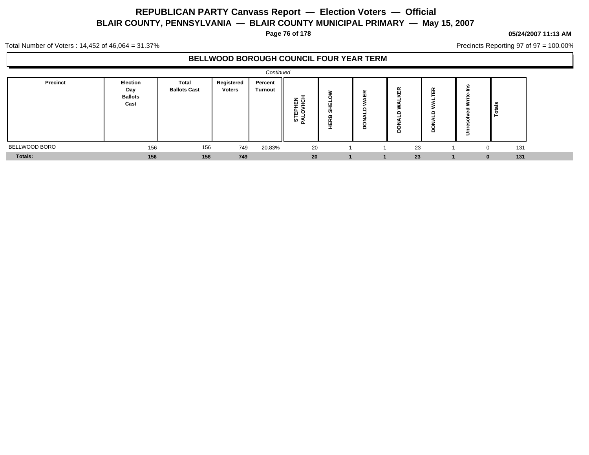**Page 76 of 178**

#### **05/24/2007 11:13 AM**

Precincts Reporting 97 of 97 = 100.00%

Total Number of Voters : 14,452 of 46,064 = 31.37%

### **BELLWOOD BOROUGH COUNCIL FOUR YEAR TERM**

|                |                                                  |                              |                      | Continued                 |                   |                       |                  |                         |                     |   |     |  |
|----------------|--------------------------------------------------|------------------------------|----------------------|---------------------------|-------------------|-----------------------|------------------|-------------------------|---------------------|---|-----|--|
| Precinct       | <b>Election</b><br>Day<br><b>Ballots</b><br>Cast | Total<br><b>Ballots Cast</b> | Registered<br>Voters | Percent<br><b>Turnout</b> | 로 호<br>빠의<br>စ် ≨ | 팔<br>ഗ<br>m<br>王<br>天 | 띥<br>≏<br>c<br>≏ | $\alpha$<br>画<br>$\sim$ | $\propto$<br>ū<br>e | Ξ | -   |  |
| BELLWOOD BORO  | 156                                              | 156                          | 749                  | 20.83%                    | 20                |                       |                  | 23                      |                     |   | 131 |  |
| <b>Totals:</b> | 156                                              | 156                          | 749                  |                           | 20                |                       |                  | 23                      |                     | 0 | 131 |  |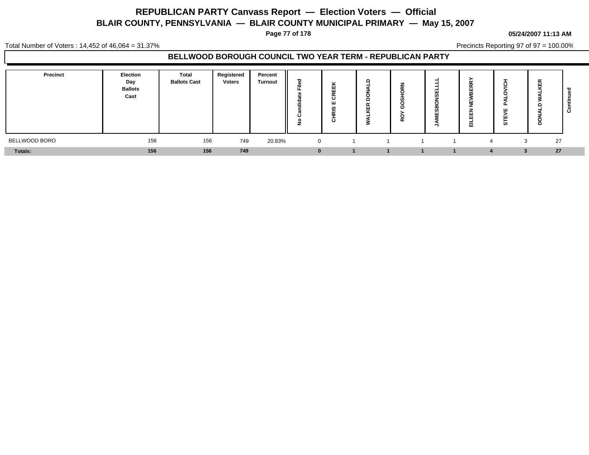**Page 77 of 178**

#### **05/24/2007 11:13 AM**

Total Number of Voters : 14,452 of 46,064 = 31.37%

Precincts Reporting 97 of 97 = 100.00%

### **BELLWOOD BOROUGH COUNCIL TWO YEAR TERM - REPUBLICAN PARTY**

| Precinct      | Election<br>Day<br><b>Ballots</b><br>Cast | Total<br><b>Ballots Cast</b> | Registered<br><b>Voters</b> | Percent<br><b>Turnout</b> | ਠ<br>C.<br>=<br>щ.<br>-<br>ಕ<br><br>ပ<br>$\circ$<br>-<br>- | $\overline{\phantom{a}}$<br>ш<br><br>- -<br><br>O<br>ш<br>$\overline{\phantom{a}}$<br>$\mathbf c$ | L<br>$\tilde{\phantom{a}}$<br>ш<br>$\overline{ }$<br>- | $\tilde{\phantom{a}}$ | $\alpha$<br>ш<br>m<br>ш<br>ш<br>ш<br>司 | $\epsilon$<br>ш.<br><br>ഗ | 岊<br>$\sim$<br>≏ | --<br>ບ |
|---------------|-------------------------------------------|------------------------------|-----------------------------|---------------------------|------------------------------------------------------------|---------------------------------------------------------------------------------------------------|--------------------------------------------------------|-----------------------|----------------------------------------|---------------------------|------------------|---------|
| BELLWOOD BORO | 156                                       | 156                          | 749                         | 20.83%                    | $\Omega$                                                   |                                                                                                   |                                                        |                       | $\mathbf{A}$                           | 3                         | 27               |         |
| Totals:       | 156                                       | 156                          | 749                         |                           | $\bf{0}$                                                   |                                                                                                   |                                                        |                       |                                        |                           | 27<br>э.         |         |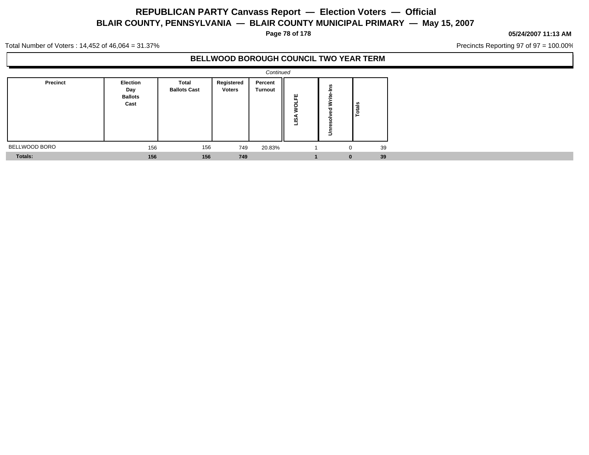**Page 78 of 178**

#### **05/24/2007 11:13 AM**

Precincts Reporting 97 of 97 = 100.00%

Total Number of Voters : 14,452 of 46,064 = 31.37%

### **BELLWOOD BOROUGH COUNCIL TWO YEAR TERM**

|                |                                           |                              |                             | Continued          |                         |                                          |        |  |
|----------------|-------------------------------------------|------------------------------|-----------------------------|--------------------|-------------------------|------------------------------------------|--------|--|
| Precinct       | Election<br>Day<br><b>Ballots</b><br>Cast | Total<br><b>Ballots Cast</b> | Registered<br><b>Voters</b> | Percent<br>Turnout | 뿐<br>$\circ$<br>⋖<br>قا | ٠i<br>Write <sub>:</sub><br>ъ<br>Unresol | Totals |  |
| BELLWOOD BORO  | 156                                       | 156                          | 749                         | 20.83%             |                         | 0                                        | 39     |  |
| <b>Totals:</b> | 156                                       | 156                          | 749                         |                    |                         | $\bf{0}$                                 | 39     |  |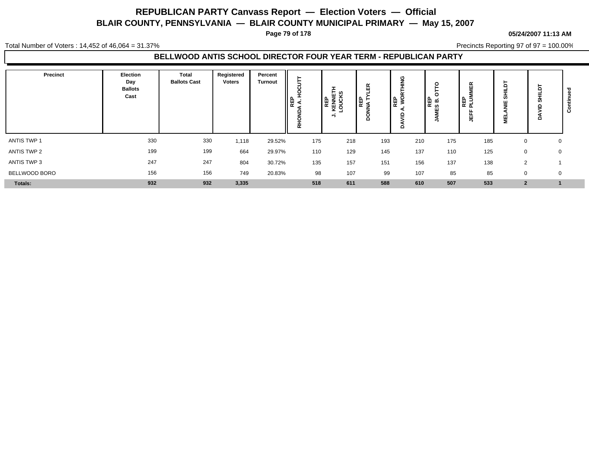**Page 79 of 178**

#### **05/24/2007 11:13 AM**

Total Number of Voters : 14,452 of 46,064 = 31.37%

Precincts Reporting 97 of 97 = 100.00%

### **BELLWOOD ANTIS SCHOOL DIRECTOR FOUR YEAR TERM - REPUBLICAN PARTY**

| Precinct           | Election<br>Day<br><b>Ballots</b><br>Cast | <b>Total</b><br><b>Ballots Cast</b> | Registered<br><b>Voters</b> | Percent<br><b>Turnout</b> | ∥฿ูรู้<br>٩<br>۰<br>–<br>ᄒ | : ທ<br>이 도시<br>서울<br>이 도시<br>이 도시<br>시간 이 | ।<br>ਵਿਸ਼ਾਸ<br>ਪ੍ਰਬੰਧ<br>◠ | O<br> ⊞ ≥୍<br>≏ | c<br>ֱ אֱ ∰ | ≃<br>ш<br>립<br>ᇍ<br>щ | Б<br>=<br>ഗ<br>ш<br>=<br>ш<br>Ξ | 둠<br><b>SC</b><br>$\circ$ |  |
|--------------------|-------------------------------------------|-------------------------------------|-----------------------------|---------------------------|----------------------------|-------------------------------------------|----------------------------|-----------------|-------------|-----------------------|---------------------------------|---------------------------|--|
| <b>ANTIS TWP 1</b> | 330                                       | 330                                 | 1,118                       | 29.52%                    | 175                        | 218                                       | 193                        | 210             | 175         | 185                   | $\mathbf 0$                     | 0                         |  |
| ANTIS TWP 2        | 199                                       | 199                                 | 664                         | 29.97%                    | 110                        | 129                                       | 145                        | 137             | 110         | 125                   | 0                               | 0                         |  |
| ANTIS TWP 3        | 247                                       | 247                                 | 804                         | 30.72%                    | 135                        | 157                                       | 151                        | 156             | 137         | 138                   | 2                               |                           |  |
| BELLWOOD BORO      | 156                                       | 156                                 | 749                         | 20.83%                    | 98                         | 107                                       | 99                         | 107             | 85          | 85                    | 0                               | $\mathbf 0$               |  |
| <b>Totals:</b>     | 932                                       | 932                                 | 3,335                       |                           | 518                        | 611                                       | 588                        | 610             | 507         | 533                   | $\overline{2}$                  |                           |  |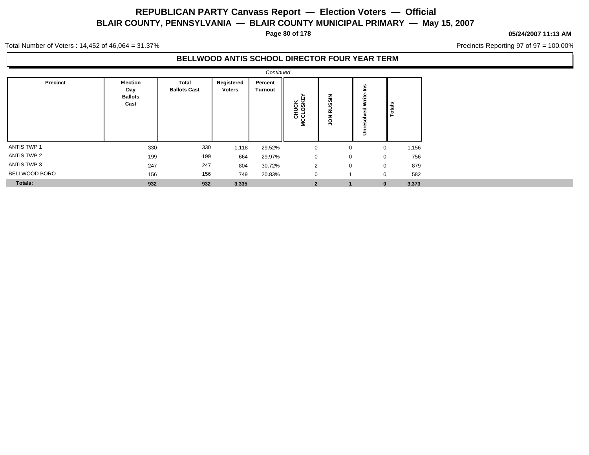**Page 80 of 178**

#### **05/24/2007 11:13 AM**

Precincts Reporting 97 of 97 = 100.00%

Total Number of Voters : 14,452 of 46,064 = 31.37%

### **BELLWOOD ANTIS SCHOOL DIRECTOR FOUR YEAR TERM**

|                |                                                  |                              |                      | Continued                 |                         |                         |                                     |               |
|----------------|--------------------------------------------------|------------------------------|----------------------|---------------------------|-------------------------|-------------------------|-------------------------------------|---------------|
| Precinct       | <b>Election</b><br>Day<br><b>Ballots</b><br>Cast | Total<br><b>Ballots Cast</b> | Registered<br>Voters | Percent<br><b>Turnout</b> | CHUCK<br>ICCLOSKEY<br>Ξ | <b>RUSSIN</b><br>š      | n<br>흑<br>Write<br>ত<br>۰<br>u<br>š | <b>Totals</b> |
| ANTIS TWP 1    | 330                                              | 330                          | 1,118                | 29.52%                    | 0                       | 0                       | 0                                   | 1,156         |
| ANTIS TWP 2    | 199                                              | 199                          | 664                  | 29.97%                    | $\mathbf 0$             | 0                       | $\mathbf 0$                         | 756           |
| ANTIS TWP 3    | 247                                              | 247                          | 804                  | 30.72%                    | $\overline{2}$          | 0                       | 0                                   | 879           |
| BELLWOOD BORO  | 156                                              | 156                          | 749                  | 20.83%                    | $\mathbf 0$             | $\overline{\mathbf{A}}$ | $\mathbf 0$                         | 582           |
| <b>Totals:</b> | 932                                              | 932                          | 3,335                |                           | $\overline{2}$          |                         | $\bf{0}$                            | 3,373         |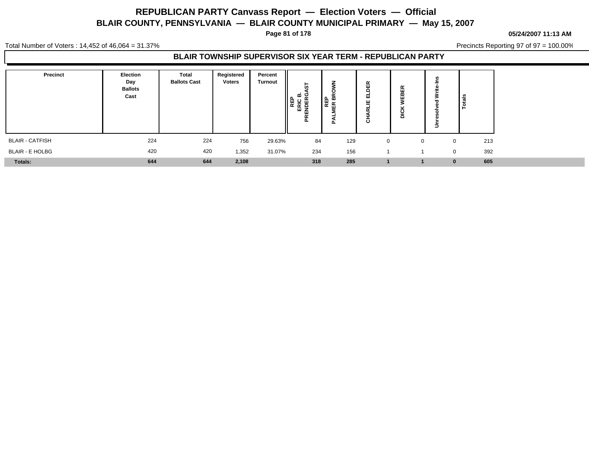**Page 81 of 178**

#### **05/24/2007 11:13 AM**

Total Number of Voters : 14,452 of 46,064 = 31.37%

Precincts Reporting 97 of 97 = 100.00%

### **BLAIR TOWNSHIP SUPERVISOR SIX YEAR TERM - REPUBLICAN PARTY**

| <b>Precinct</b>        | Election<br>Day<br><b>Ballots</b><br>Cast | Total<br><b>Ballots Cast</b> | Registered<br><b>Voters</b> | Percent<br>Turnout | Î0<br>≃<br>ωz<br>- | n<br>또 없<br><b>n</b> | $\alpha$<br>ш<br>≏<br>ш<br>쁘<br>$\tilde{\phantom{a}}$<br>ပ | œ<br>щ<br>ш<br>≏ | u.           | $\frac{1}{2}$      |
|------------------------|-------------------------------------------|------------------------------|-----------------------------|--------------------|--------------------|----------------------|------------------------------------------------------------|------------------|--------------|--------------------|
| <b>BLAIR - CATFISH</b> | 224                                       | 224                          | 756                         | 29.63%             | 84                 | 129                  | $\Omega$                                                   |                  | $\mathbf{0}$ | 213<br>$\mathbf 0$ |
| <b>BLAIR - E HOLBG</b> | 420                                       | 420                          | 1,352                       | 31.07%             | 234                | 156                  |                                                            |                  |              | 392<br>$\mathbf 0$ |
| <b>Totals:</b>         | 644                                       | 644                          | 2,108                       |                    | 318                | 285                  |                                                            |                  |              | 605<br>$\bf{0}$    |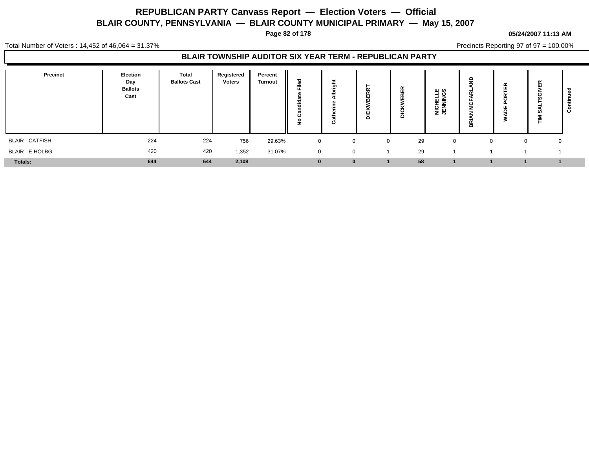**Page 82 of 178**

#### **05/24/2007 11:13 AM**

Total Number of Voters : 14,452 of 46,064 = 31.37%

Precincts Reporting 97 of 97 = 100.00%

### **BLAIR TOWNSHIP AUDITOR SIX YEAR TERM - REPUBLICAN PARTY**

| Precinct               | Election<br>Day<br><b>Ballots</b><br>Cast | <b>Total</b><br><b>Ballots Cast</b> | Registered<br><b>Voters</b> | Percent<br><b>Turnout</b> | ਠ<br>ω<br>÷<br>щ.<br>ಕ<br>÷<br>ပ<br>o | ىپ<br>ō<br>ن | <u>iv</u><br>$\tilde{\phantom{a}}$<br>ō | 띥<br>需<br>Δ | யம<br>O<br><b>MICHEL</b><br>JENNING | ≘<br>$\overline{\phantom{a}}$<br>ပ<br>≃<br>≃ | 啙<br>∍ | 岛<br>m<br>흕       | ల |
|------------------------|-------------------------------------------|-------------------------------------|-----------------------------|---------------------------|---------------------------------------|--------------|-----------------------------------------|-------------|-------------------------------------|----------------------------------------------|--------|-------------------|---|
| <b>BLAIR - CATFISH</b> | 224                                       | 224                                 | 756                         | 29.63%                    | $\overline{0}$                        | $\mathbf{0}$ | $\Omega$                                | 29          | U                                   |                                              |        | $\mathbf{0}$<br>0 |   |
| <b>BLAIR - E HOLBG</b> | 420                                       | 420                                 | 1,352                       | 31.07%                    | $\mathbf 0$                           | 0            |                                         | 29          |                                     |                                              |        |                   |   |
| Totals:                | 644                                       | 644                                 | 2,108                       |                           | $\mathbf{0}$                          | $\bf{0}$     |                                         | 58          |                                     |                                              |        |                   |   |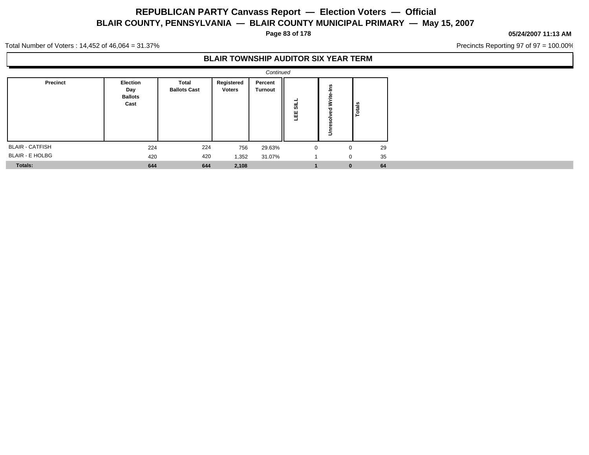**Page 83 of 178**

#### **05/24/2007 11:13 AM**

Precincts Reporting 97 of 97 = 100.00%

Total Number of Voters : 14,452 of 46,064 = 31.37%

### **BLAIR TOWNSHIP AUDITOR SIX YEAR TERM**

|                        |                                                  |                              |                             | Continued                 |             |                        |        |  |
|------------------------|--------------------------------------------------|------------------------------|-----------------------------|---------------------------|-------------|------------------------|--------|--|
| Precinct               | <b>Election</b><br>Day<br><b>Ballots</b><br>Cast | Total<br><b>Ballots Cast</b> | Registered<br><b>Voters</b> | Percent<br><b>Turnout</b> | 딞<br>삠      | ۴Ë<br>Ĕ<br>S<br>ā<br>š | Totals |  |
| <b>BLAIR - CATFISH</b> | 224                                              | 224                          | 756                         | 29.63%                    | $\mathbf 0$ | 0                      | 29     |  |
| <b>BLAIR - E HOLBG</b> | 420                                              | 420                          | 1,352                       | 31.07%                    |             | 0                      | 35     |  |
| Totals:                | 644                                              | 644                          | 2,108                       |                           |             | $\bf{0}$               | 64     |  |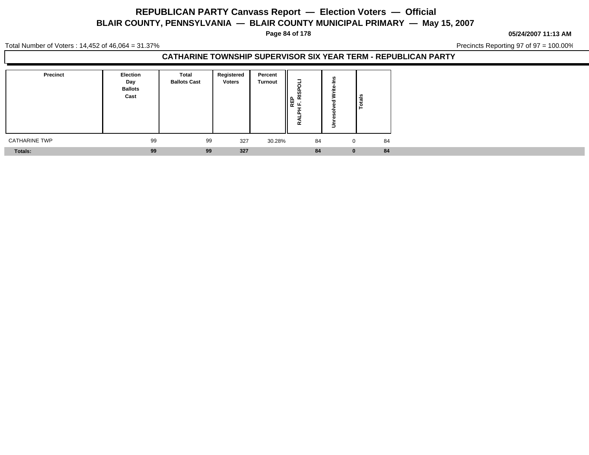**Page 84 of 178**

**05/24/2007 11:13 AM**

Total Number of Voters : 14,452 of 46,064 = 31.37%

Precincts Reporting 97 of 97 = 100.00%

### **CATHARINE TOWNSHIP SUPERVISOR SIX YEAR TERM - REPUBLICAN PARTY**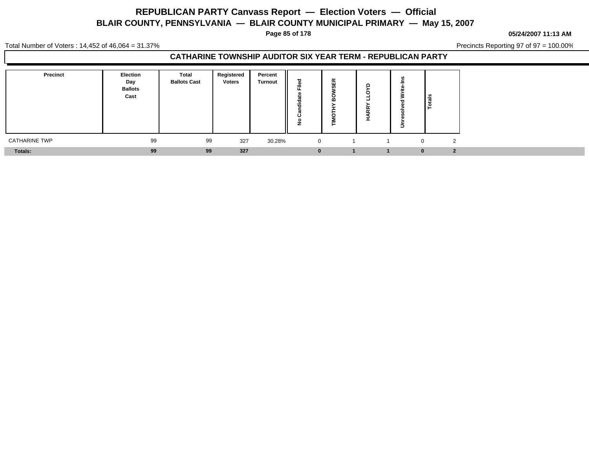**Page 85 of 178**

#### **05/24/2007 11:13 AM**

Total Number of Voters : 14,452 of 46,064 = 31.37%

Precincts Reporting 97 of 97 = 100.00%

### **CATHARINE TOWNSHIP AUDITOR SIX YEAR TERM - REPUBLICAN PARTY**

| Precinct             | Election<br>Day<br><b>Ballots</b><br>Cast | <b>Total</b><br><b>Ballots Cast</b> | Registered<br><b>Voters</b> | Percent<br><b>Turnout</b> | 73<br>÷<br>- 1 | $\alpha$<br>ш<br>ഗ<br>c<br>m<br>= | ٠<br>- | ြိန်<br>- 13   |                         |
|----------------------|-------------------------------------------|-------------------------------------|-----------------------------|---------------------------|----------------|-----------------------------------|--------|----------------|-------------------------|
| <b>CATHARINE TWP</b> | 99                                        | 99                                  | 327                         | 30.28%                    | 0              |                                   |        | $\overline{0}$ | ຳ                       |
| Totals:              | 99                                        | 99                                  | 327                         |                           | $\bf{0}$       |                                   |        | 0              | $\overline{\mathbf{2}}$ |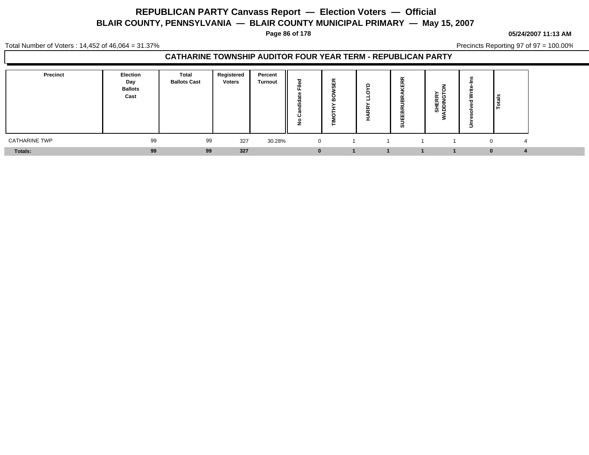**Page 86 of 178**

#### **05/24/2007 11:13 AM**

Total Number of Voters : 14,452 of 46,064 = 31.37%

Precincts Reporting 97 of 97 = 100.00%

### **CATHARINE TOWNSHIP AUDITOR FOUR YEAR TERM - REPUBLICAN PARTY**

| Precinct             | Election<br>Day<br><b>Ballots</b><br>Cast | <b>Total</b><br><b>Ballots Cast</b> | Registered<br><b>Voters</b> | Percent<br><b>Turnout</b> | ᇰ<br>≂<br>T<br><br>г | $\sim$<br><br> | . | œ<br>띥<br>$\alpha$<br>≃<br>≃<br>⊞<br>-<br>ິທ | -<br>ட்∞<br>-<br>ш<br>▝<br>__ ი | –<br>-       | <u> ខ្ព</u> ំ |  |
|----------------------|-------------------------------------------|-------------------------------------|-----------------------------|---------------------------|----------------------|----------------|---|----------------------------------------------|---------------------------------|--------------|---------------|--|
| <b>CATHARINE TWP</b> | 99                                        | 99                                  | 327                         | 30.28%                    | $\overline{0}$       |                |   |                                              |                                 |              | $\Delta$      |  |
| Totals:              | 99                                        | 99                                  | 327                         |                           | $\Omega$             |                |   |                                              |                                 | <sup>0</sup> |               |  |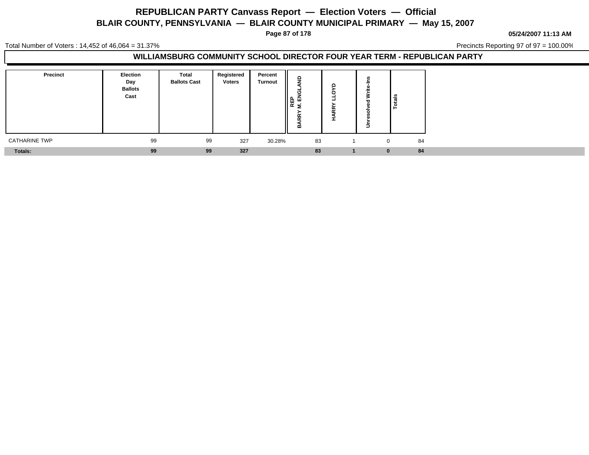**Page 87 of 178**

**05/24/2007 11:13 AM**

Total Number of Voters : 14,452 of 46,064 = 31.37%

Precincts Reporting 97 of 97 = 100.00%

### **WILLIAMSBURG COMMUNITY SCHOOL DIRECTOR FOUR YEAR TERM - REPUBLICAN PARTY**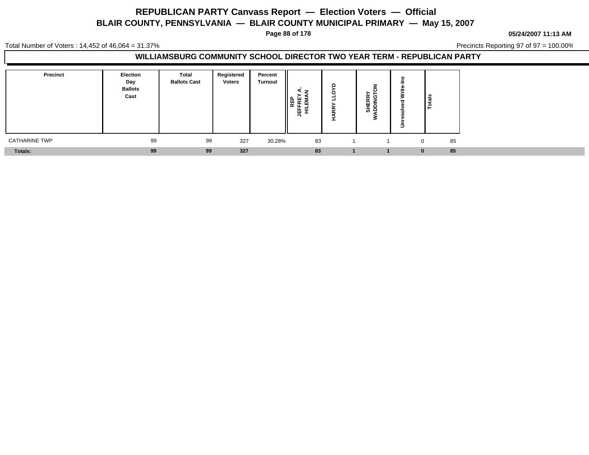**Page 88 of 178**

**05/24/2007 11:13 AM**

Total Number of Voters : 14,452 of 46,064 = 31.37%

Precincts Reporting 97 of 97 = 100.00%

### **WILLIAMSBURG COMMUNITY SCHOOL DIRECTOR TWO YEAR TERM - REPUBLICAN PARTY**

| <b>Precinct</b>      | <b>Election</b><br>Day<br><b>Ballots</b><br>Cast | <b>Total</b><br><b>Ballots Cast</b> | Registered<br><b>Voters</b> | Percent<br>Turnout | ᄰ<br>=<br>음도 | ۴Ř | ້ ແ<br>f£ ≩<br>画<br>_თ ი | lais<br>۱è     |
|----------------------|--------------------------------------------------|-------------------------------------|-----------------------------|--------------------|--------------|----|--------------------------|----------------|
| <b>CATHARINE TWP</b> | 99                                               | 99                                  | 327                         | 30.28%             | 83           |    |                          | 85<br>$\Omega$ |
| Totals:              | 99                                               | 99                                  | 327                         |                    | 83           |    |                          | 85             |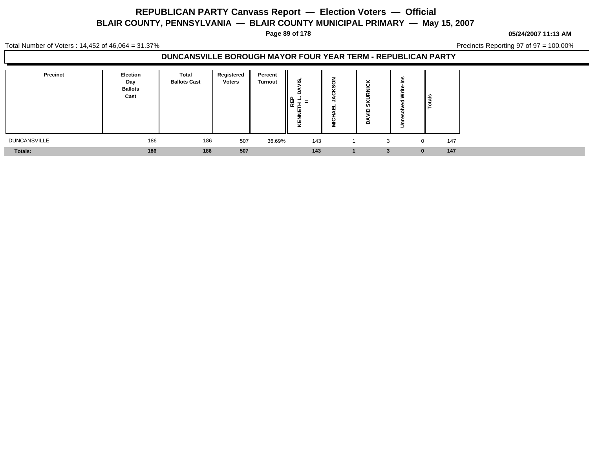**Page 89 of 178**

**05/24/2007 11:13 AM**

Total Number of Voters : 14,452 of 46,064 = 31.37%

Precincts Reporting 97 of 97 = 100.00%

### **DUNCANSVILLE BOROUGH MAYOR FOUR YEAR TERM - REPUBLICAN PARTY**

| Precinct            | <b>Election</b><br>Day<br><b>Ballots</b><br>Cast | Total<br><b>Ballots Cast</b> | Registered<br><b>Voters</b> | Percent<br><b>Turnout</b> | <u>ማ</u><br>c<br>$\parallel$ æ<br>=<br>-<br>≂ | c<br>æ<br>ш<br>. .<br>c<br>Σ | л.<br>w<br>ഗ<br>o<br>o | l se         |     |
|---------------------|--------------------------------------------------|------------------------------|-----------------------------|---------------------------|-----------------------------------------------|------------------------------|------------------------|--------------|-----|
| <b>DUNCANSVILLE</b> | 186                                              | 186                          | 507                         | 36.69%                    | 143                                           |                              | 3                      | $\mathbf{0}$ | 147 |
| Totals:             | 186                                              | 186                          | 507                         |                           | 143                                           |                              |                        |              | 147 |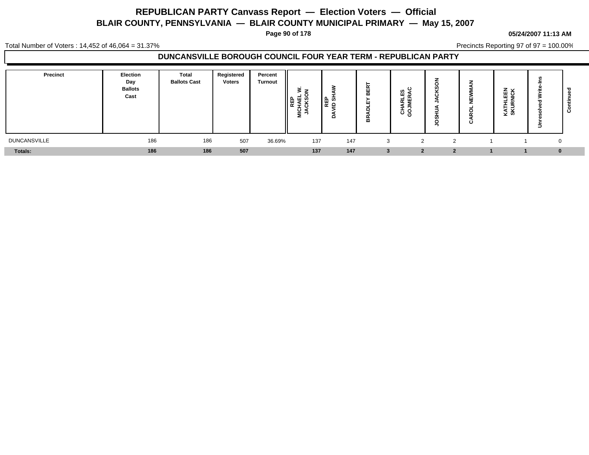**Page 90 of 178**

#### **05/24/2007 11:13 AM**

Total Number of Voters : 14,452 of 46,064 = 31.37%

Precincts Reporting 97 of 97 = 100.00%

### **DUNCANSVILLE BOROUGH COUNCIL FOUR YEAR TERM - REPUBLICAN PARTY**

| <b>Precinct</b>     | Election<br>Day<br><b>Ballots</b><br>Cast | Total<br><b>Ballots Cast</b> | Registered<br><b>Voters</b> | Percent<br><b>Turnout</b> | s <del>-</del><br>ᅂᇚᅉ<br>ш<br>$\propto$<br>-<br>. C<br>ੂ ⊴ | 를 이<br>≘ | <b>N</b><br>ш<br>$\mathbf{m}$<br>ш<br>ட<br>≃ | ິ ຂ<br>ш. S<br>-<br>$\overline{ }$<br>ਨ ਦ |   | ш<br>∸<br>ن | $z \times$<br>画石<br>ž<br>$\sim$<br>$\overline{\phantom{0}}$<br>Ξ<br>-3<br>⊻ ຫ | ∍        | ບ |
|---------------------|-------------------------------------------|------------------------------|-----------------------------|---------------------------|------------------------------------------------------------|----------|----------------------------------------------|-------------------------------------------|---|-------------|-------------------------------------------------------------------------------|----------|---|
| <b>DUNCANSVILLE</b> | 186                                       | 186                          | 507                         | 36.69%                    | 137                                                        | 147      |                                              | $\sim$                                    | ົ |             |                                                                               | $\Omega$ |   |
| <b>Totals:</b>      | 186                                       | 186                          | 507                         |                           | 137                                                        | 147      |                                              |                                           |   |             |                                                                               | $\bf{0}$ |   |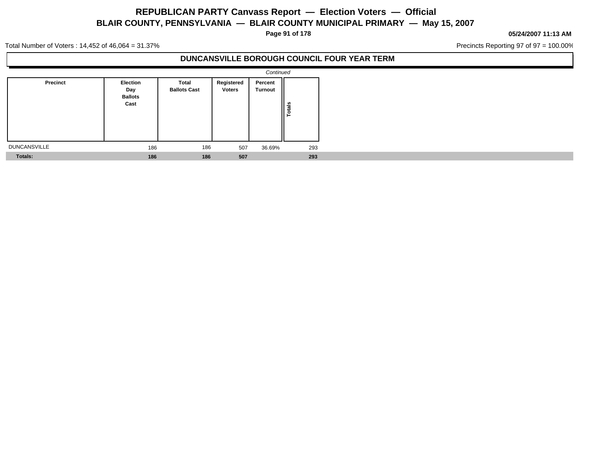**Page 91 of 178**

#### **05/24/2007 11:13 AM**

Precincts Reporting 97 of 97 = 100.00%

Total Number of Voters : 14,452 of 46,064 = 31.37%

### **DUNCANSVILLE BOROUGH COUNCIL FOUR YEAR TERM**

|                     |                                           |                              |                             | Continued          |               |
|---------------------|-------------------------------------------|------------------------------|-----------------------------|--------------------|---------------|
| Precinct            | Election<br>Day<br><b>Ballots</b><br>Cast | Total<br><b>Ballots Cast</b> | Registered<br><b>Voters</b> | Percent<br>Turnout | <b>Totals</b> |
| <b>DUNCANSVILLE</b> | 186                                       | 186                          | 507                         | 36.69%             | 293           |
| <b>Totals:</b>      | 186                                       | 186                          | 507                         |                    | 293           |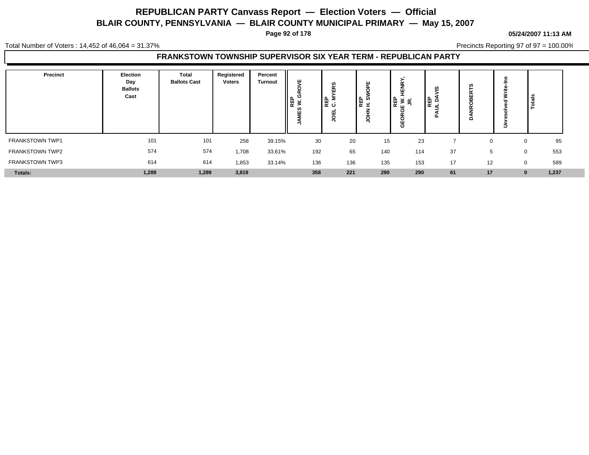**Page 92 of 178**

Total Number of Voters : 14,452 of 46,064 = 31.37%

Precincts Reporting 97 of 97 = 100.00%

### **FRANKSTOWN TOWNSHIP SUPERVISOR SIX YEAR TERM - REPUBLICAN PARTY**

| Precinct               | Election<br>Day<br><b>Ballots</b><br>Cast | Total<br><b>Ballots Cast</b> | Registered<br><b>Voters</b> | Percent<br><b>Turnout</b> | ш<br>ပ<br>ne<br>W. G<br>c.<br>ш | n<br>-<br>∥⊞ ≥<br>∣ਛ ੦ | ᆙᇙ  | ⊞ ≳ ਫ<br>C<br>с<br>ш<br>O | ທ<br> ਛੂ ਤੇ | r  | ∍        | ≅ا                |  |
|------------------------|-------------------------------------------|------------------------------|-----------------------------|---------------------------|---------------------------------|------------------------|-----|---------------------------|-------------|----|----------|-------------------|--|
| FRANKSTOWN TWP1        | 101                                       | 101                          | 258                         | 39.15%                    | 30                              | 20                     | 15  | 23                        |             |    | ∩        | 95                |  |
| <b>FRANKSTOWN TWP2</b> | 574                                       | 574                          | 1,708                       | 33.61%                    | 192                             | 65                     | 140 | 114                       | 37          | 5  | 0        | 553               |  |
| <b>FRANKSTOWN TWP3</b> | 614                                       | 614                          | 1,853                       | 33.14%                    | 136                             | 136                    | 135 | 153                       | 17          | 12 | $\Omega$ | 589               |  |
| Totals:                | 1,289                                     | 1,289                        | 3,819                       |                           | 358                             | 221                    | 290 | 290                       | 61          | 17 |          | 1,237<br>$\bf{0}$ |  |

#### **05/24/2007 11:13 AM**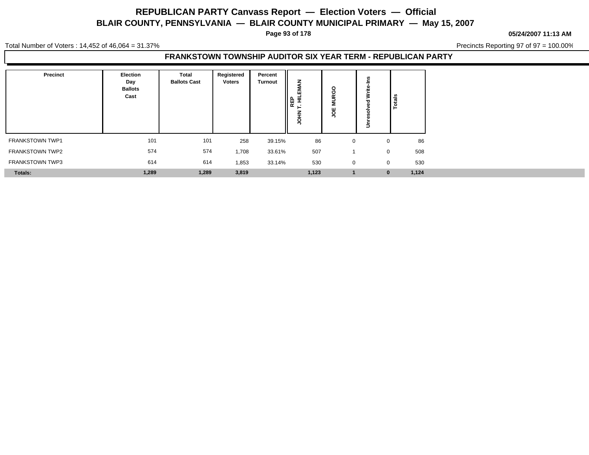**Page 93 of 178**

**05/24/2007 11:13 AM**

Total Number of Voters : 14,452 of 46,064 = 31.37%

Precincts Reporting 97 of 97 = 100.00%

### **FRANKSTOWN TOWNSHIP AUDITOR SIX YEAR TERM - REPUBLICAN PARTY**

| Precinct               | Election<br>Day<br><b>Ballots</b><br>Cast | Total<br><b>Ballots Cast</b> | Registered<br><b>Voters</b> | Percent<br><b>Turnout</b> | 을 보내<br>기준 전<br>o<br>∽ | $\circ$<br>ပ<br>o |              | Totals |
|------------------------|-------------------------------------------|------------------------------|-----------------------------|---------------------------|------------------------|-------------------|--------------|--------|
| <b>FRANKSTOWN TWP1</b> | 101                                       | 101                          | 258                         | 39.15%                    | 86                     | U                 | $\mathbf{0}$ | 86     |
| <b>FRANKSTOWN TWP2</b> | 574                                       | 574                          | 1,708                       | 33.61%                    | 507                    |                   | $\mathbf{0}$ | 508    |
| <b>FRANKSTOWN TWP3</b> | 614                                       | 614                          | 1,853                       | 33.14%                    | 530                    | $\mathbf{0}$      | $\mathbf{0}$ | 530    |
| Totals:                | 1,289                                     | 1,289                        | 3,819                       |                           | 1,123                  |                   | $\bf{0}$     | 1,124  |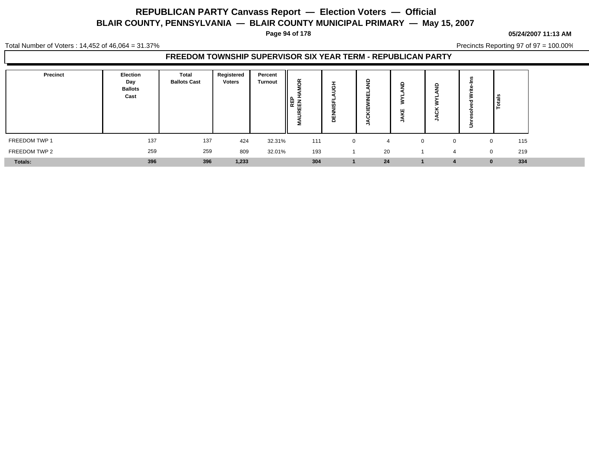**Page 94 of 178**

#### **05/24/2007 11:13 AM**

Total Number of Voters : 14,452 of 46,064 = 31.37%

Precincts Reporting 97 of 97 = 100.00%

### **FREEDOM TOWNSHIP SUPERVISOR SIX YEAR TERM - REPUBLICAN PARTY**

| Precinct       | Election<br>Day<br><b>Ballots</b><br>Cast | <b>Total</b><br><b>Ballots Cast</b> | Registered<br><b>Voters</b> | Percent<br><b>Turnout</b> | ã<br>EEN <sub>T</sub><br>$\propto$<br>- | 65<br>"<br>-<br> | c<br>ш<br>щ<br>-<br>≂<br>. . | o<br>ш   |          | ∍ | ڇّ ا                |
|----------------|-------------------------------------------|-------------------------------------|-----------------------------|---------------------------|-----------------------------------------|------------------|------------------------------|----------|----------|---|---------------------|
| FREEDOM TWP 1  | 137                                       | 137                                 | 424                         | 32.31%                    | 111                                     | $\mathbf{0}$     |                              | $\Omega$ | $\Omega$ |   | 115<br>0            |
| FREEDOM TWP 2  | 259                                       | 259                                 | 809                         | 32.01%                    | 193                                     |                  | 20                           |          | $\Delta$ |   | 219<br>$\mathbf{0}$ |
| <b>Totals:</b> | 396                                       | 396                                 | 1,233                       |                           | 304                                     |                  | 24                           |          |          |   | 334<br>$\mathbf{0}$ |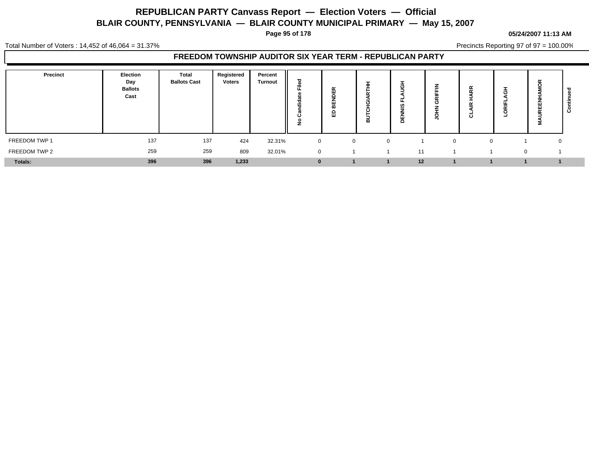**Page 95 of 178**

#### **05/24/2007 11:13 AM**

Total Number of Voters : 14,452 of 46,064 = 31.37%

Precincts Reporting 97 of 97 = 100.00%

### **FREEDOM TOWNSHIP AUDITOR SIX YEAR TERM - REPUBLICAN PARTY**

| <b>Precinct</b> | <b>Election</b><br>Day<br><b>Ballots</b><br>Cast | <b>Total</b><br><b>Ballots Cast</b> | Registered<br><b>Voters</b> | Percent<br><b>Turnout</b> | ठ<br>-<br>$=$<br>ᠽ<br>--<br>◡<br>c | $\sim$<br>ட<br>$\mathbf{H}$<br>œ<br>o<br>ш | $\sim$<br>≃ | ဖာ<br>$\circ$ | - | $\propto$<br>. .<br>-<br>ت | -<br>- | $\alpha$<br>2 |  |
|-----------------|--------------------------------------------------|-------------------------------------|-----------------------------|---------------------------|------------------------------------|--------------------------------------------|-------------|---------------|---|----------------------------|--------|---------------|--|
| FREEDOM TWP 1   | 137                                              | 137                                 | 424                         | 32.31%                    | $\mathbf 0$                        | $\mathbf{0}$                               | $\Omega$    |               |   |                            |        | 0             |  |
| FREEDOM TWP 2   | 259                                              | 259                                 | 809                         | 32.01%                    | $\overline{0}$                     |                                            |             | 11            |   |                            |        | $\Omega$      |  |
| Totals:         | 396                                              | 396                                 | 1,233                       |                           | $\bf{0}$                           |                                            |             | 12            |   |                            |        |               |  |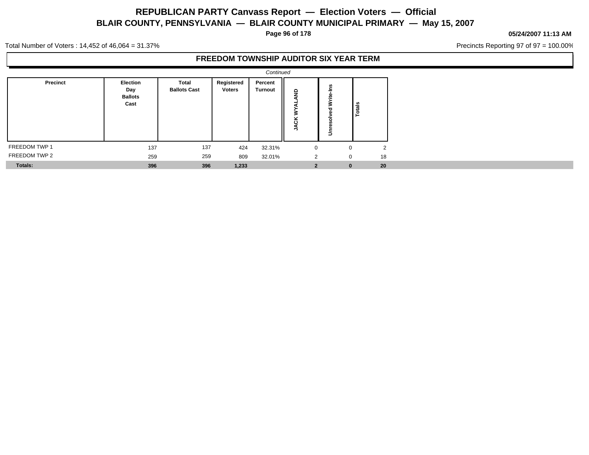**Page 96 of 178**

#### **05/24/2007 11:13 AM**

Precincts Reporting 97 of 97 = 100.00%

Total Number of Voters : 14,452 of 46,064 = 31.37%

### **FREEDOM TOWNSHIP AUDITOR SIX YEAR TERM**

|               |                                                  |                              |                             | Continued                 |                        |                 |        |  |
|---------------|--------------------------------------------------|------------------------------|-----------------------------|---------------------------|------------------------|-----------------|--------|--|
| Precinct      | <b>Election</b><br>Day<br><b>Ballots</b><br>Cast | Total<br><b>Ballots Cast</b> | Registered<br><b>Voters</b> | Percent<br><b>Turnout</b> | $\mathsf{P}$<br>ᡖ<br>₹ | š<br>Write<br>≛ | Totals |  |
| FREEDOM TWP 1 | 137                                              | 137                          | 424                         | 32.31%                    | $\mathbf 0$            | 0               | 2      |  |
| FREEDOM TWP 2 | 259                                              | 259                          | 809                         | 32.01%                    | 2                      | 0               | 18     |  |
| Totals:       | 396                                              | 396                          | 1,233                       |                           | $\overline{2}$         | $\bf{0}$        | 20     |  |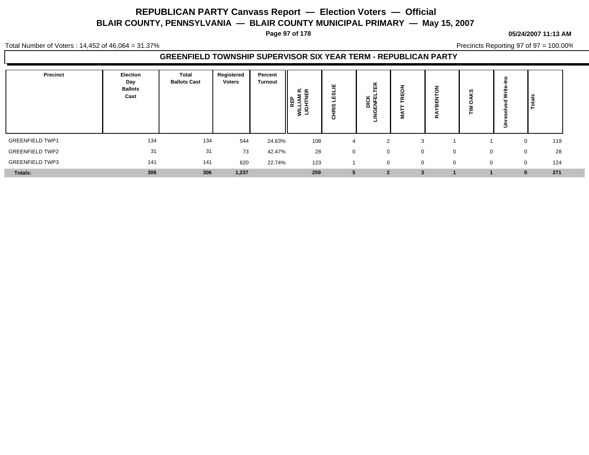**Page 97 of 178**

#### **05/24/2007 11:13 AM**

Total Number of Voters : 14,452 of 46,064 = 31.37%

Precincts Reporting 97 of 97 = 100.00%

### **GREENFIELD TOWNSHIP SUPERVISOR SIX YEAR TERM - REPUBLICAN PARTY**

| Precinct               | Election<br>Day<br><b>Ballots</b><br>Cast | Total<br><b>Ballots Cast</b> | Registered<br><b>Voters</b> | Percent<br>Turnout | ≃≃<br>≂<br>$\overline{\phantom{0}}$<br>≳ ⊐ | ш<br>-<br>--<br>=<br>ပ | 핁<br>┕<br>DICK<br>ENFEI<br>ෆ<br>-<br>⋸<br>ᅴ | ▵<br>с<br>ш<br>$\sim$ | -<br>≃ | ഗ<br>o<br>= | ∍ | ١≝                 |  |
|------------------------|-------------------------------------------|------------------------------|-----------------------------|--------------------|--------------------------------------------|------------------------|---------------------------------------------|-----------------------|--------|-------------|---|--------------------|--|
| <b>GREENFIELD TWP1</b> | 134                                       | 134                          | 544                         | 24.63%             | 108                                        |                        | ົ                                           | $\mathcal{B}$         |        |             |   | 119                |  |
| <b>GREENFIELD TWP2</b> | 31                                        | 31                           | 73                          | 42.47%             | 28                                         |                        | $\mathbf{0}$                                | $\Omega$              |        | $\Omega$    |   | 28<br>$\mathbf{0}$ |  |
| <b>GREENFIELD TWP3</b> | 141                                       | 141                          | 620                         | 22.74%             | 123                                        |                        | $\mathbf{0}$                                | $\mathbf 0$           | 0      | 0           |   | 124<br>$\mathbf 0$ |  |
| <b>Totals:</b>         | 306                                       | 306                          | 1,237                       |                    | 259                                        |                        | $\overline{2}$                              |                       |        |             |   | 271                |  |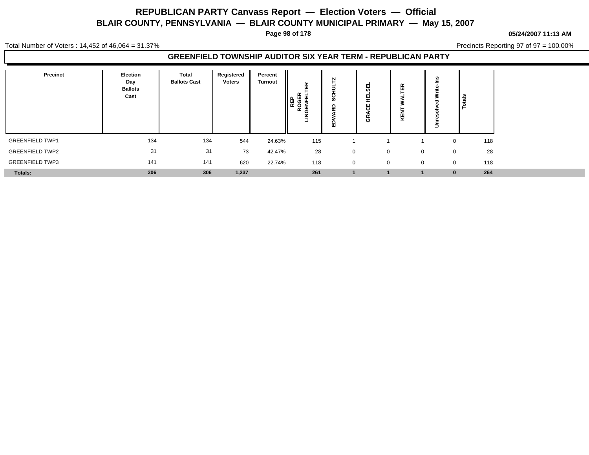**Page 98 of 178**

#### **05/24/2007 11:13 AM**

Total Number of Voters : 14,452 of 46,064 = 31.37%

Precincts Reporting 97 of 97 = 100.00%

### **GREENFIELD TOWNSHIP AUDITOR SIX YEAR TERM - REPUBLICAN PARTY**

| Precinct               | <b>Election</b><br>Day<br><b>Ballots</b><br>Cast | Total<br><b>Ballots Cast</b> | Registered<br><b>Voters</b> | Percent<br><b>Turnout</b> | $\alpha$<br>$\mathbf{u}$<br>i @<br>EE<br><b>REP</b><br>ទី ក្ | m<br>≏<br>$\tilde{\phantom{a}}$<br>o<br>ш | ш<br>$\overline{a}$<br>ш<br>÷<br>-<br>ш<br>ত | ш<br>щ       |              | ೆ<br>÷ |
|------------------------|--------------------------------------------------|------------------------------|-----------------------------|---------------------------|--------------------------------------------------------------|-------------------------------------------|----------------------------------------------|--------------|--------------|--------|
| <b>GREENFIELD TWP1</b> | 134                                              | 134                          | 544                         | 24.63%                    | 115                                                          |                                           |                                              |              | $\mathbf 0$  | 118    |
| <b>GREENFIELD TWP2</b> | 31                                               | 31                           | 73                          | 42.47%                    | 28                                                           | $\mathbf{0}$                              | $\Omega$                                     | $\mathbf{0}$ | $\mathbf 0$  | 28     |
| <b>GREENFIELD TWP3</b> | 141                                              | 141                          | 620                         | 22.74%                    | 118                                                          | $\mathbf 0$                               | $\mathbf 0$                                  | $\mathbf{0}$ | $\mathbf{0}$ | 118    |
| Totals:                | 306                                              | 306                          | 1,237                       |                           | 261                                                          |                                           |                                              |              | $\bf{0}$     | 264    |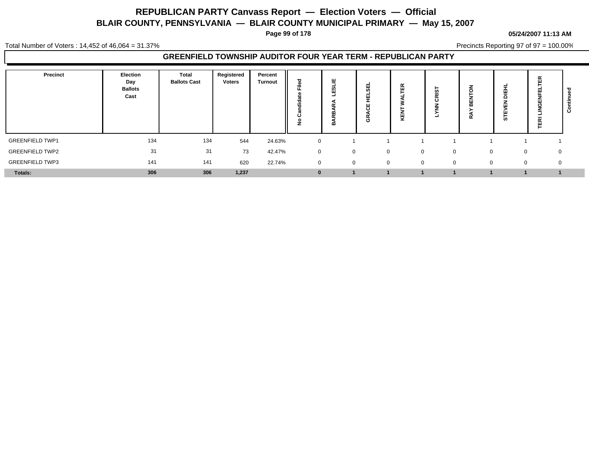**Page 99 of 178**

#### **05/24/2007 11:13 AM**

Total Number of Voters : 14,452 of 46,064 = 31.37%

Precincts Reporting 97 of 97 = 100.00%

### **GREENFIELD TOWNSHIP AUDITOR FOUR YEAR TERM - REPUBLICAN PARTY**

| Precinct               | Election<br>Day<br><b>Ballots</b><br>Cast | Total<br><b>Ballots Cast</b> | Registered<br><b>Voters</b> | Percent<br><b>Turnout</b> | ≂<br>--<br>ت | 쁘<br>$\overline{\phantom{a}}$ | ш<br>$\cdot$<br>Φ | 岛<br>뀢      | <b>່ທ</b><br>$\epsilon$ | $\mathbf{a}$<br>≃ | 面<br>-<br>o<br>ш<br>ш<br>່ທ | $\propto$<br>ш<br>$\alpha$<br>ū |  |
|------------------------|-------------------------------------------|------------------------------|-----------------------------|---------------------------|--------------|-------------------------------|-------------------|-------------|-------------------------|-------------------|-----------------------------|---------------------------------|--|
| <b>GREENFIELD TWP1</b> | 134                                       | 134                          | 544                         | 24.63%                    | $\Omega$     |                               |                   |             |                         |                   |                             |                                 |  |
| <b>GREENFIELD TWP2</b> | 31                                        | 31                           | 73                          | 42.47%                    | $\mathbf{0}$ | $\Omega$                      | $\mathbf{0}$      | $\Omega$    | $\Omega$                | $\Omega$          | $\Omega$                    | 0                               |  |
| <b>GREENFIELD TWP3</b> | 141                                       | 141                          | 620                         | 22.74%                    | $\mathbf{0}$ | $\mathbf{0}$                  | 0                 | $\mathbf 0$ | $\mathbf{0}$            | $\Omega$          | 0                           | $\mathbf 0$                     |  |
| Totals:                | 306                                       | 306                          | 1,237                       |                           | $\bf{0}$     |                               |                   |             |                         |                   |                             |                                 |  |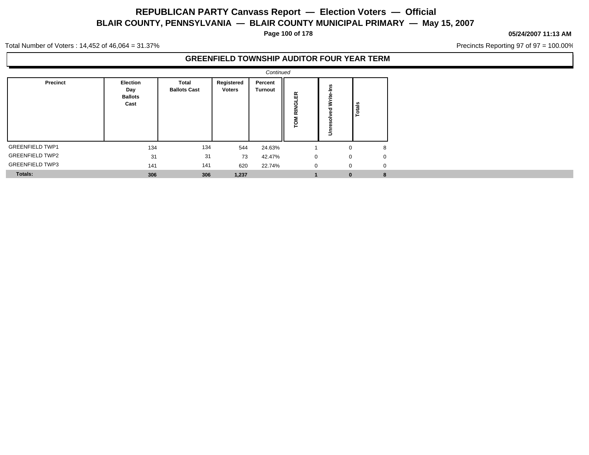**Page 100 of 178**

#### **05/24/2007 11:13 AM**

Precincts Reporting 97 of 97 = 100.00%

Total Number of Voters : 14,452 of 46,064 = 31.37%

### **GREENFIELD TOWNSHIP AUDITOR FOUR YEAR TERM**

|                        |                                                  |                              |                             | Continued                 |                         |                                  |          |  |
|------------------------|--------------------------------------------------|------------------------------|-----------------------------|---------------------------|-------------------------|----------------------------------|----------|--|
| Precinct               | <b>Election</b><br>Day<br><b>Ballots</b><br>Cast | Total<br><b>Ballots Cast</b> | Registered<br><b>Voters</b> | Percent<br><b>Turnout</b> | 枳<br><b>RINGL</b><br>ΣΡ | ÷<br>Write <sub></sub><br>ក<br>5 | Totals   |  |
| <b>GREENFIELD TWP1</b> | 134                                              | 134                          | 544                         | 24.63%                    |                         | $\Omega$                         | 8        |  |
| <b>GREENFIELD TWP2</b> | 31                                               | 31                           | 73                          | 42.47%                    | 0                       | $\Omega$                         | $\Omega$ |  |
| <b>GREENFIELD TWP3</b> | 141                                              | 141                          | 620                         | 22.74%                    | $\mathbf 0$             | $\mathbf 0$                      | $\Omega$ |  |
| <b>Totals:</b>         | 306                                              | 306                          | 1,237                       |                           |                         | $\bf{0}$                         | 8        |  |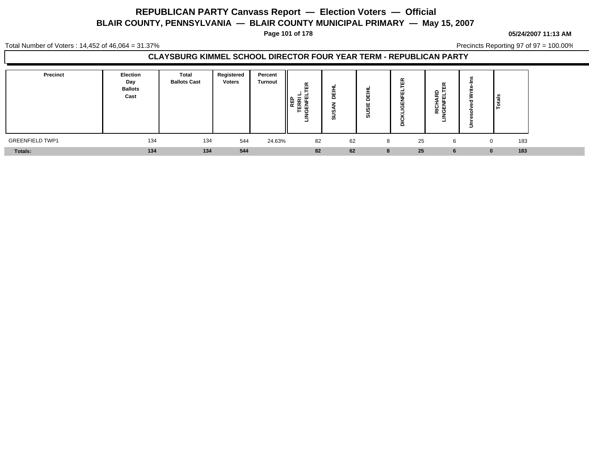**Page 101 of 178**

#### **05/24/2007 11:13 AM**

Total Number of Voters : 14,452 of 46,064 = 31.37%

Precincts Reporting 97 of 97 = 100.00%

### **CLAYSBURG KIMMEL SCHOOL DIRECTOR FOUR YEAR TERM - REPUBLICAN PARTY**

| Precinct               | Election<br>Day<br><b>Ballots</b><br>Cast | Total<br><b>Ballots Cast</b> | Registered<br><b>Voters</b> | Percent<br><b>Turnout</b> | $\alpha$<br>ш<br>---<br>준 분<br>터<br>∥≌<br>ہ ⊣ | -<br>$\cdots$ | =<br>≐<br>ш<br>ш<br>-<br>ທ | 띥<br>-<br>ш<br>ш.<br>ပ<br>$\Omega$ | œ<br>ш<br>+ △<br>ш<br>-<br>윤 핑 | - | ے<br>al         |  |
|------------------------|-------------------------------------------|------------------------------|-----------------------------|---------------------------|-----------------------------------------------|---------------|----------------------------|------------------------------------|--------------------------------|---|-----------------|--|
| <b>GREENFIELD TWP1</b> | 134                                       | 134                          | 544                         | 24.63%                    | 82                                            | 62            | 8                          | 25                                 | 6                              |   | 183             |  |
| <b>Totals:</b>         | 134                                       | 134                          | 544                         |                           | 82                                            | 62            | 8                          | 25                                 |                                |   | 183<br>$\Omega$ |  |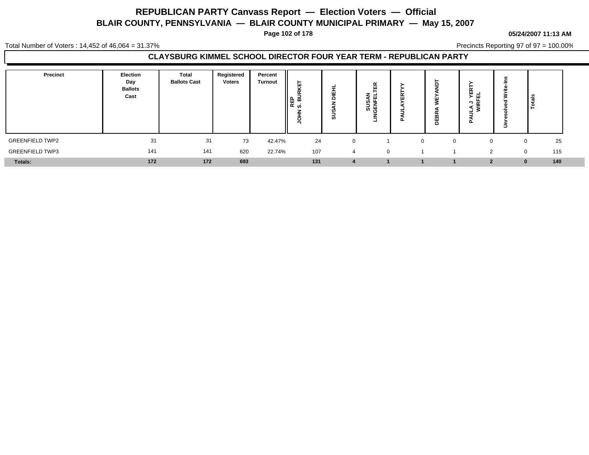**Page 102 of 178**

#### **05/24/2007 11:13 AM**

Total Number of Voters : 14,452 of 46,064 = 31.37%

Precincts Reporting 97 of 97 = 100.00%

### **CLAYSBURG KIMMEL SCHOOL DIRECTOR FOUR YEAR TERM - REPUBLICAN PARTY**

| Precinct               | Election<br>Day<br><b>Ballots</b><br>Cast | <b>Total</b><br><b>Ballots Cast</b> | Registered<br><b>Voters</b> | Percent<br><b>Turnout</b> | ш<br>≂<br>REP<br>S. Bl<br>∽ | -<br>⋍<br>ဖာ | 띥<br>-<br>ш<br>ທ≒<br>∍<br>∸<br>ದ ⊭<br>c<br>≐<br>ᅴ | œ<br>$\mathbf{H}$ | ш<br>щ<br>$\Omega$ | ۰.<br>군 픽<br>┑<br>$\overline{\alpha}$<br>਼≳<br>┙<br>ட | ∍        | ا∎็ |  |
|------------------------|-------------------------------------------|-------------------------------------|-----------------------------|---------------------------|-----------------------------|--------------|---------------------------------------------------|-------------------|--------------------|-------------------------------------------------------|----------|-----|--|
| <b>GREENFIELD TWP2</b> | 31                                        | 31                                  | 73                          | 42.47%                    | 24                          |              |                                                   | $\Omega$          |                    |                                                       |          | 25  |  |
| <b>GREENFIELD TWP3</b> | 141                                       | 141                                 | 620                         | 22.74%                    | 107                         | $\Delta$     | $\mathbf{0}$                                      |                   |                    | C                                                     | $\Omega$ | 115 |  |
| Totals:                | 172                                       | 172                                 | 693                         |                           | 131                         |              |                                                   |                   |                    |                                                       |          | 140 |  |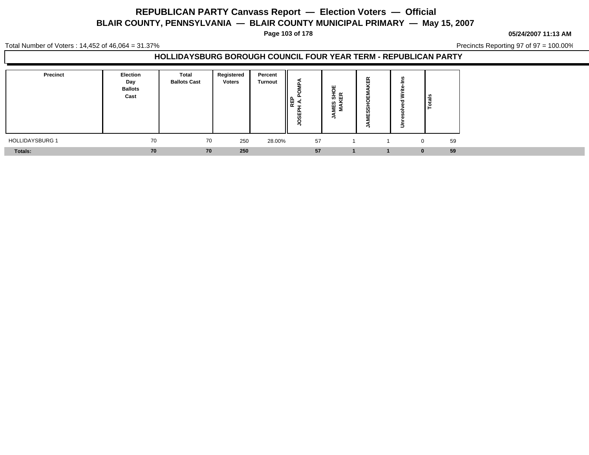**Page 103 of 178**

#### **05/24/2007 11:13 AM**

Total Number of Voters : 14,452 of 46,064 = 31.37%

Precincts Reporting 97 of 97 = 100.00%

| Precinct               | <b>Election</b><br>Day<br><b>Ballots</b><br>Cast | Total<br><b>Ballots Cast</b> | Registered<br><b>Voters</b> | Percent<br><b>Turnout</b> | ∥≌ ≤<br>∥<br><b>SC</b> | ш<br>ទី ម្លី<br>"≦<br>ລັ<br>Σ | ш<br>ш<br><b>S</b><br>$\cdots$ | l se<br>⊢ |
|------------------------|--------------------------------------------------|------------------------------|-----------------------------|---------------------------|------------------------|-------------------------------|--------------------------------|-----------|
| <b>HOLLIDAYSBURG 1</b> | 70                                               | 70                           | 250                         | 28.00%                    | 57                     |                               |                                | 59<br>0   |
| Totals:                | 70                                               | 70                           | 250                         |                           | 57                     |                               |                                | 59        |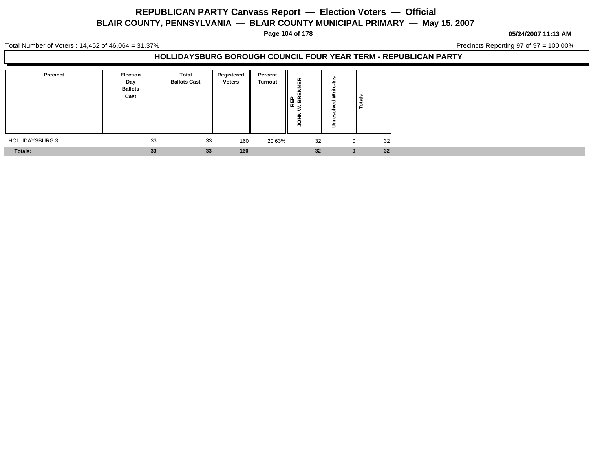**Page 104 of 178**

**05/24/2007 11:13 AM**

Total Number of Voters : 14,452 of 46,064 = 31.37%

Precincts Reporting 97 of 97 = 100.00%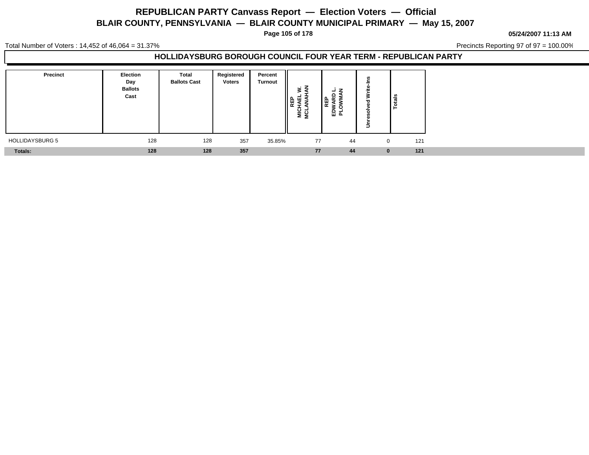**Page 105 of 178**

**05/24/2007 11:13 AM**

Total Number of Voters : 14,452 of 46,064 = 31.37%

Precincts Reporting 97 of 97 = 100.00%

| Precinct               | <b>Election</b><br>Day<br><b>Ballots</b><br>Cast | Total<br><b>Ballots Cast</b> | Registered<br><b>Voters</b> | Percent<br><b>Turnout</b> | $\sim$ Z<br>'핉<br><b>NICI</b> | z<br>œ<br>品 ಠ | - | Totals          |
|------------------------|--------------------------------------------------|------------------------------|-----------------------------|---------------------------|-------------------------------|---------------|---|-----------------|
| <b>HOLLIDAYSBURG 5</b> | 128                                              | 128                          | 357                         | 35.85%                    | 77                            | 44            |   | 121<br>$\Omega$ |
| <b>Totals:</b>         | 128                                              | 128                          | 357                         |                           | 77                            | 44            |   | 121<br>$\bf{0}$ |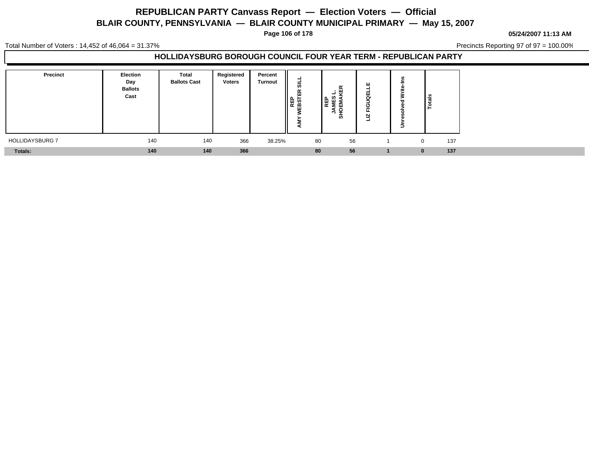**Page 106 of 178**

**05/24/2007 11:13 AM**

Total Number of Voters : 14,452 of 46,064 = 31.37%

Precincts Reporting 97 of 97 = 100.00%

| <b>Precinct</b> | <b>Election</b><br>Day<br><b>Ballots</b><br>Cast | <b>Total</b><br><b>Ballots Cast</b> | Registered<br><b>Voters</b> | Percent<br><b>Turnout</b> | =<br>$\frac{1}{2}$ | œ<br>ш<br>$\overline{a}$<br>ים ∟ם<br>▌ᡦᢛ<br>Æ<br>-<br>ັທ | ш<br>-<br>ш<br>е<br>N<br>$\overline{\phantom{0}}$ | $\frac{1}{2}$ |     |
|-----------------|--------------------------------------------------|-------------------------------------|-----------------------------|---------------------------|--------------------|----------------------------------------------------------|---------------------------------------------------|---------------|-----|
| HOLLIDAYSBURG 7 | 140                                              | 140                                 | 366                         | 38.25%                    | 80                 | 56                                                       |                                                   | $\mathbf{0}$  | 137 |
| <b>Totals:</b>  | 140                                              | 140                                 | 366                         |                           | 80                 | 56                                                       |                                                   |               | 137 |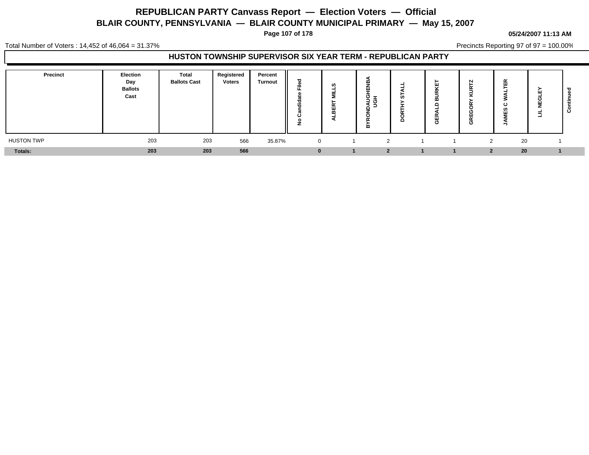**Page 107 of 178**

#### **05/24/2007 11:13 AM**

Total Number of Voters : 14,452 of 46,064 = 31.37%

Precincts Reporting 97 of 97 = 100.00%

### **HUSTON TOWNSHIP SUPERVISOR SIX YEAR TERM - REPUBLICAN PARTY**

| Precinct          | Election<br>Day<br><b>Ballots</b><br>Cast | Total<br><b>Ballots Cast</b> | Registered<br><b>Voters</b> | Percent<br><b>Turnout</b> | $=$<br>ີ | u | œ<br>ш<br>$\overline{\sigma}$ –<br>うあ<br>m | Ċ۵ | $\overline{\phantom{a}}$<br>O | N<br>∼<br>O | $\tilde{\phantom{a}}$<br>ட<br>$\sim$ $\sim$ $\sim$<br>ີ<br>- | ш<br>щ<br>⋍<br>┙ | ం |
|-------------------|-------------------------------------------|------------------------------|-----------------------------|---------------------------|----------|---|--------------------------------------------|----|-------------------------------|-------------|--------------------------------------------------------------|------------------|---|
| <b>HUSTON TWP</b> | 203                                       | 203                          | 566                         | 35.87%                    | $\Omega$ |   |                                            |    |                               | 2           | 20                                                           |                  |   |
| Totals:           | 203                                       | 203                          | 566                         |                           |          |   |                                            |    |                               | ◠.          | 20                                                           |                  |   |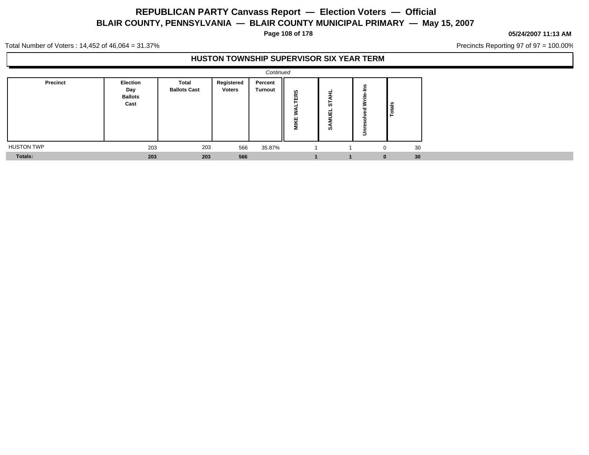**Page 108 of 178**

#### **05/24/2007 11:13 AM**

Precincts Reporting 97 of 97 = 100.00%

Total Number of Voters : 14,452 of 46,064 = 31.37%

### **HUSTON TOWNSHIP SUPERVISOR SIX YEAR TERM**

|                   |                                           |                              |                      | Continued                 |             |                  |              |    |  |
|-------------------|-------------------------------------------|------------------------------|----------------------|---------------------------|-------------|------------------|--------------|----|--|
| Precinct          | Election<br>Day<br><b>Ballots</b><br>Cast | Total<br><b>Ballots Cast</b> | Registered<br>Voters | Percent<br><b>Turnout</b> | ERS<br>MIKE | ≓<br>5<br>픽<br>ທ | ≂<br>77<br>∍ | ౨  |  |
| <b>HUSTON TWP</b> | 203                                       | 203                          | 566                  | 35.87%                    |             |                  | $\mathbf 0$  | 30 |  |
| Totals:           | 203                                       | 203                          | 566                  |                           |             |                  | $\mathbf{0}$ | 30 |  |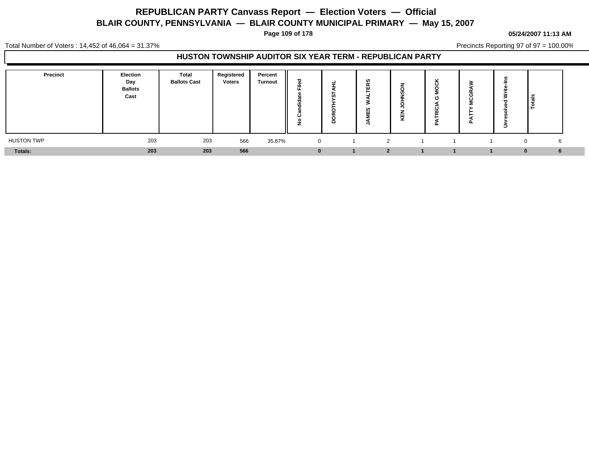**Page 109 of 178**

#### **05/24/2007 11:13 AM**

Total Number of Voters : 14,452 of 46,064 = 31.37%

Precincts Reporting 97 of 97 = 100.00%

### **HUSTON TOWNSHIP AUDITOR SIX YEAR TERM - REPUBLICAN PARTY**

| <b>Precinct</b>   | Election<br>Day<br><b>Ballots</b><br>Cast | <b>Total</b><br><b>Ballots Cast</b> | Registered<br><b>Voters</b> | Percent<br><b>Turnout</b> | ъ<br>щ.<br>$\overline{\phantom{a}}$<br><br>$\circ$<br>c | ဖာ<br>$\tilde{\phantom{a}}$<br>ш<br>ဖာ<br>ш<br>- | $\cdots$ | $\overline{a}$<br>മ | ௨ | Ξ | . .           |  |
|-------------------|-------------------------------------------|-------------------------------------|-----------------------------|---------------------------|---------------------------------------------------------|--------------------------------------------------|----------|---------------------|---|---|---------------|--|
| <b>HUSTON TWP</b> | 203                                       | 203                                 | 566                         | 35.87%                    | $\overline{0}$                                          | າ                                                |          |                     |   |   | 6<br>$\Omega$ |  |
| Totals:           | 203                                       | 203                                 | 566                         |                           | $\Omega$                                                | $\mathbf{r}$                                     |          |                     |   |   | 6             |  |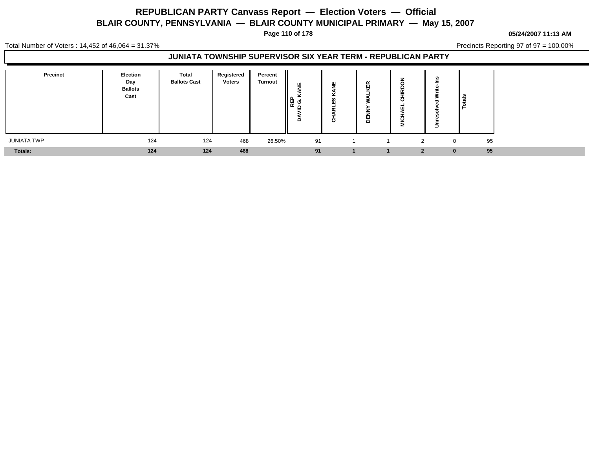**Page 110 of 178**

#### **05/24/2007 11:13 AM**

Total Number of Voters : 14,452 of 46,064 = 31.37%

Precincts Reporting 97 of 97 = 100.00%

### **JUNIATA TOWNSHIP SUPERVISOR SIX YEAR TERM - REPUBLICAN PARTY**

| Precinct    | <b>Election</b><br>Day<br><b>Ballots</b><br>Cast | Total<br><b>Ballots Cast</b> | Registered<br><b>Voters</b> | Percent<br><b>Turnout</b> | ш<br>-<br>∥ᇣᇰ<br>$\mathbf{r}$<br>≏ | ш<br>-<br>-<br>ທ<br>ш<br>.<br>ပ | --<br>ш<br>Δ |               | -        | ≝ا<br>ء ا |  |
|-------------|--------------------------------------------------|------------------------------|-----------------------------|---------------------------|------------------------------------|---------------------------------|--------------|---------------|----------|-----------|--|
| JUNIATA TWP | 124                                              | 124                          | 468                         | 26.50%                    | 91                                 |                                 |              | $\mathcal{D}$ | $\Omega$ | 95        |  |
| Totals:     | 124                                              | 124                          | 468                         |                           | 91                                 |                                 |              | ຳ             | $\bf{0}$ | 95        |  |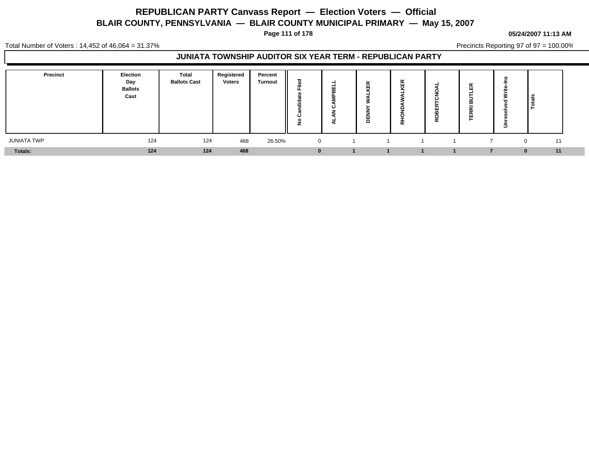**Page 111 of 178**

### **05/24/2007 11:13 AM**

Precincts Reporting 97 of 97 = 100.00%

Total Number of Voters : 14,452 of 46,064 = 31.37%

### **JUNIATA TOWNSHIP AUDITOR SIX YEAR TERM - REPUBLICAN PARTY**

| <b>Precinct</b> | Election<br>Day<br><b>Ballots</b><br>Cast | Total<br><b>Ballots Cast</b> | Registered<br><b>Voters</b> | Percent<br><b>Turnout</b> | $=$      | $\tilde{\phantom{a}}$<br>ப<br>面<br>-<br>ш<br>$\Omega$ | $\tilde{\phantom{a}}$<br>≖<br>$\cdots$<br>œ | ≃ | $\propto$<br>ш<br>≃<br>- -<br>ш<br>- | $\sim$ |                  |  |
|-----------------|-------------------------------------------|------------------------------|-----------------------------|---------------------------|----------|-------------------------------------------------------|---------------------------------------------|---|--------------------------------------|--------|------------------|--|
| JUNIATA TWP     | 124                                       | 124                          | 468                         | 26.50%                    | $\Omega$ |                                                       |                                             |   |                                      |        | 11<br>$^{\circ}$ |  |
| Totals:         | 124                                       | 124                          | 468                         |                           |          |                                                       |                                             |   |                                      |        | 11               |  |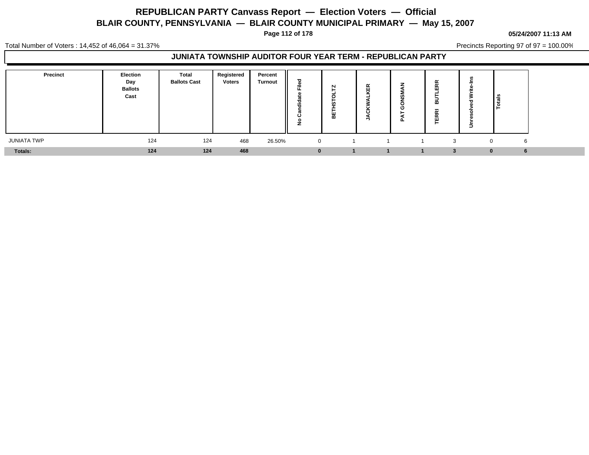**Page 112 of 178**

#### **05/24/2007 11:13 AM**

Precincts Reporting 97 of 97 = 100.00%

Total Number of Voters : 14,452 of 46,064 = 31.37%

### **JUNIATA TOWNSHIP AUDITOR FOUR YEAR TERM - REPUBLICAN PARTY**

| Precinct    | Election<br>Day<br><b>Ballots</b><br>Cast | Total<br><b>Ballots Cast</b> | Registered<br><b>Voters</b> | Percent<br><b>Turnout</b> | ਠ<br>Φ<br>÷<br>щ.<br>- -<br>ಕ<br>--<br>₹<br>ပ<br>$\circ$<br>∼ | o | $\propto$<br>ш<br>$\overline{ }$ | $\overline{\phantom{a}}$<br>œ<br>- - | -<br>-   | ڇّ ا   |  |
|-------------|-------------------------------------------|------------------------------|-----------------------------|---------------------------|---------------------------------------------------------------|---|----------------------------------|--------------------------------------|----------|--------|--|
| JUNIATA TWP | 124                                       | 124                          | 468                         | 26.50%                    | $\overline{0}$                                                |   |                                  | 3                                    |          | 6<br>0 |  |
| Totals:     | 124                                       | 124                          | 468                         |                           | $\bf{0}$                                                      |   |                                  |                                      | $\Omega$ |        |  |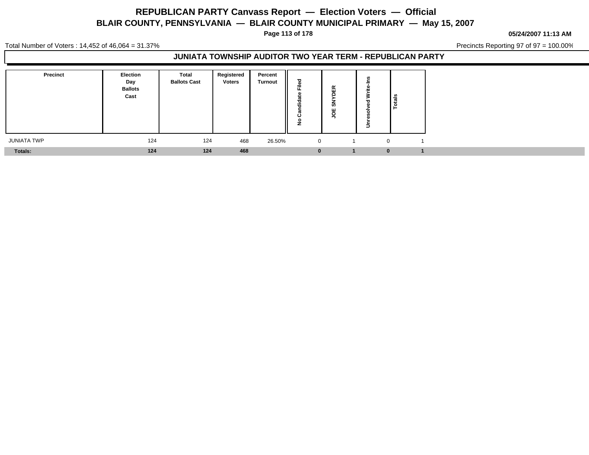**Page 113 of 178**

#### **05/24/2007 11:13 AM**

Precincts Reporting 97 of 97 = 100.00%

Total Number of Voters : 14,452 of 46,064 = 31.37%

### **JUNIATA TOWNSHIP AUDITOR TWO YEAR TERM - REPUBLICAN PARTY**

| Precinct           | <b>Election</b><br>Day<br><b>Ballots</b><br>Cast | <b>Total</b><br><b>Ballots Cast</b> | Registered<br><b>Voters</b> | Percent<br><b>Turnout</b> | ಕ<br>ø<br>÷<br>m<br>w<br>Ð<br>÷<br>0<br>ž | $\propto$<br>ш<br>ທັ<br>ш | Totals   |
|--------------------|--------------------------------------------------|-------------------------------------|-----------------------------|---------------------------|-------------------------------------------|---------------------------|----------|
| <b>JUNIATA TWP</b> | 124                                              | 124                                 | 468                         | 26.50%                    | 0                                         |                           | $\Omega$ |
| Totals:            | 124                                              | 124                                 | 468                         |                           | $\bf{0}$                                  |                           |          |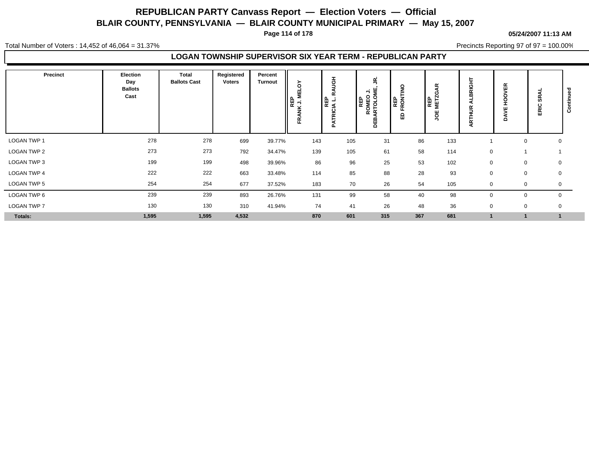**Page 114 of 178**

#### **05/24/2007 11:13 AM**

Total Number of Voters : 14,452 of 46,064 = 31.37%

Precincts Reporting 97 of 97 = 100.00%

### **LOGAN TOWNSHIP SUPERVISOR SIX YEAR TERM - REPUBLICAN PARTY**

| Precinct    | Election<br>Day<br><b>Ballots</b><br>Cast | Total<br><b>Ballots Cast</b> | Registered<br>Voters | Percent<br><b>Turnout</b> | ò<br>빌<br><b>MARY</b><br>MED<br>MED<br>Æ | 공<br>$\alpha$<br>TRICIA L.<br>n | ξ<br>買<br>っ<br>REP<br>ROMEO<br>ARTOLOI<br>DEB | o<br>즡<br><b>RONT</b><br>ட<br>۵<br>ш | $\alpha$<br><b>RENZ</b><br>ш<br>$\circ$ | 玉<br>œ<br>m<br>œ<br>∍<br>ARTH | 띥<br>↘<br>O<br>o<br>ᆂ<br>ш<br>><br>ó | ⋖<br>န္တ<br>ERIC | o<br>$\circ$ |
|-------------|-------------------------------------------|------------------------------|----------------------|---------------------------|------------------------------------------|---------------------------------|-----------------------------------------------|--------------------------------------|-----------------------------------------|-------------------------------|--------------------------------------|------------------|--------------|
| LOGAN TWP 1 | 278                                       | 278                          | 699                  | 39.77%                    | 143                                      | 105                             | 31                                            | 86                                   | 133                                     |                               |                                      | $\mathbf 0$<br>0 |              |
| LOGAN TWP 2 | 273                                       | 273                          | 792                  | 34.47%                    | 139                                      | 105                             | 61                                            | 58                                   | 114                                     | $\mathbf 0$                   |                                      |                  |              |
| LOGAN TWP 3 | 199                                       | 199                          | 498                  | 39.96%                    | 86                                       | 96                              | 25                                            | 53                                   | 102                                     | $\mathbf 0$                   |                                      | $\mathbf 0$<br>0 |              |
| LOGAN TWP 4 | 222                                       | 222                          | 663                  | 33.48%                    | 114                                      | 85                              | 88                                            | 28                                   | 93                                      | 0                             | 0                                    | 0                |              |
| LOGAN TWP 5 | 254                                       | 254                          | 677                  | 37.52%                    | 183                                      | 70                              | 26                                            | 54                                   | 105                                     | $\Omega$                      | 0                                    | 0                |              |
| LOGAN TWP 6 | 239                                       | 239                          | 893                  | 26.76%                    | 131                                      | 99                              | 58                                            | 40                                   | 98                                      |                               | $\mathbf 0$                          | $\mathbf 0$      |              |
| LOGAN TWP 7 | 130                                       | 130                          | 310                  | 41.94%                    | 74                                       | 41                              | 26                                            | 48                                   | 36                                      | $\mathbf 0$                   | 0                                    | 0                |              |
| Totals:     | 1,595                                     | 1,595                        | 4,532                |                           | 870                                      | 601                             | 315                                           | 367                                  | 681                                     |                               |                                      |                  |              |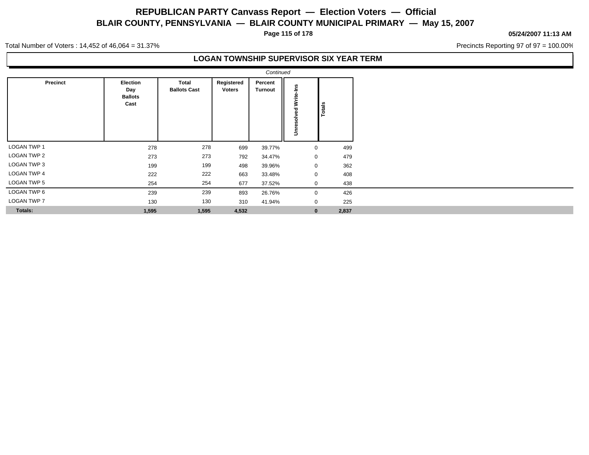**Page 115 of 178**

#### **05/24/2007 11:13 AM**

Precincts Reporting 97 of 97 = 100.00%

Total Number of Voters : 14,452 of 46,064 = 31.37%

### **LOGAN TOWNSHIP SUPERVISOR SIX YEAR TERM**

|                    |                                                  |                              |                             | Continued          |                             |               |
|--------------------|--------------------------------------------------|------------------------------|-----------------------------|--------------------|-----------------------------|---------------|
| Precinct           | <b>Election</b><br>Day<br><b>Ballots</b><br>Cast | Total<br><b>Ballots Cast</b> | Registered<br><b>Voters</b> | Percent<br>Turnout | <b>Unresolved Write-Ins</b> | <b>Totals</b> |
| <b>LOGAN TWP 1</b> | 278                                              | 278                          | 699                         | 39.77%             | 0                           | 499           |
| <b>LOGAN TWP 2</b> | 273                                              | 273                          | 792                         | 34.47%             | 0                           | 479           |
| <b>LOGAN TWP 3</b> | 199                                              | 199                          | 498                         | 39.96%             | 0                           | 362           |
| <b>LOGAN TWP 4</b> | 222                                              | 222                          | 663                         | 33.48%             | 0                           | 408           |
| <b>LOGAN TWP 5</b> | 254                                              | 254                          | 677                         | 37.52%             | 0                           | 438           |
| LOGAN TWP 6        | 239                                              | 239                          | 893                         | 26.76%             | 0                           | 426           |
| <b>LOGAN TWP 7</b> | 130                                              | 130                          | 310                         | 41.94%             | 0                           | 225           |
| <b>Totals:</b>     | 1,595                                            | 1,595                        | 4,532                       |                    | $\bf{0}$                    | 2,837         |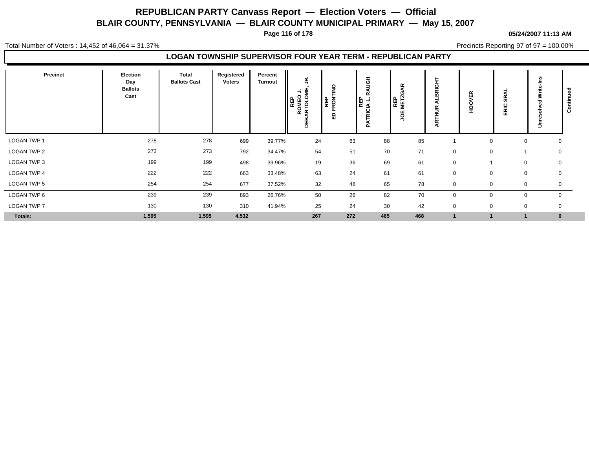**Page 116 of 178**

#### **05/24/2007 11:13 AM**

Total Number of Voters : 14,452 of 46,064 = 31.37%

Precincts Reporting 97 of 97 = 100.00%

### **LOGAN TOWNSHIP SUPERVISOR FOUR YEAR TERM - REPUBLICAN PARTY**

| Precinct           | Election<br>Day<br><b>Ballots</b><br>Cast | <b>Total</b><br><b>Ballots Cast</b> | Registered<br>Voters | Percent<br><b>Turnout</b> | S<br>⇒ \≝<br>ROMEO<br>ARTOLOI<br>   ع<br>   ع<br>DEB | REP<br>RONTINO<br>ш<br>$\Omega$<br>ш | $\overline{5}$<br>$\alpha$<br><b>RICIA</b><br>RICIA L | $\propto$<br>O<br><b>REP</b><br>METZ<br>쁑 | ā<br>Ř      | VER<br>o<br>혼 | ਬ<br>န္တ<br>ERIC | ∍           | ᇃ<br>ن |
|--------------------|-------------------------------------------|-------------------------------------|----------------------|---------------------------|------------------------------------------------------|--------------------------------------|-------------------------------------------------------|-------------------------------------------|-------------|---------------|------------------|-------------|--------|
| <b>LOGAN TWP 1</b> | 278                                       | 278                                 | 699                  | 39.77%                    | 24                                                   | 63                                   | 88                                                    | 85                                        |             | 0             | $\mathbf 0$      | 0           |        |
| LOGAN TWP 2        | 273                                       | 273                                 | 792                  | 34.47%                    | 54                                                   | 51                                   | 70                                                    | 71                                        | $\mathbf 0$ | $\Omega$      |                  | $\mathbf 0$ |        |
| LOGAN TWP 3        | 199                                       | 199                                 | 498                  | 39.96%                    | 19                                                   | 36                                   | 69                                                    | 61                                        | $\mathbf 0$ |               | $\mathbf 0$      | $\mathbf 0$ |        |
| LOGAN TWP 4        | 222                                       | 222                                 | 663                  | 33.48%                    | 63                                                   | 24                                   | 61                                                    | 61                                        | $\mathbf 0$ | $\mathbf 0$   | $\mathbf 0$      | 0           |        |
| LOGAN TWP 5        | 254                                       | 254                                 | 677                  | 37.52%                    | 32                                                   | 48                                   | 65                                                    | 78                                        | $\mathbf 0$ | $\Omega$      | 0                | 0           |        |
| LOGAN TWP 6        | 239                                       | 239                                 | 893                  | 26.76%                    | 50                                                   | 26                                   | 82                                                    | 70                                        |             |               | $\mathbf 0$      | $\mathbf 0$ |        |
| LOGAN TWP 7        | 130                                       | 130                                 | 310                  | 41.94%                    | 25                                                   | 24                                   | 30                                                    | 42                                        | $\mathbf 0$ |               | $\mathbf 0$      | 0           |        |
| Totals:            | 1,595                                     | 1,595                               | 4,532                |                           | 267                                                  | 272                                  | 465                                                   | 468                                       |             |               |                  | $\bf{0}$    |        |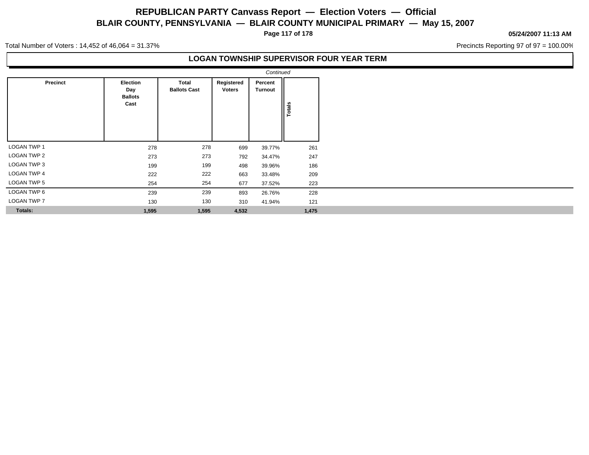**Page 117 of 178**

#### **05/24/2007 11:13 AM**

Precincts Reporting 97 of 97 = 100.00%

Total Number of Voters : 14,452 of 46,064 = 31.37%

### **LOGAN TOWNSHIP SUPERVISOR FOUR YEAR TERM**

|                    |                                           |                              |                             | Continued                 |            |
|--------------------|-------------------------------------------|------------------------------|-----------------------------|---------------------------|------------|
| Precinct           | Election<br>Day<br><b>Ballots</b><br>Cast | Total<br><b>Ballots Cast</b> | Registered<br><b>Voters</b> | Percent<br><b>Turnout</b> | Totals     |
| LOGAN TWP 1        |                                           | 278                          |                             |                           |            |
| LOGAN TWP 2        | 278<br>273                                | 273                          | 699<br>792                  | 39.77%<br>34.47%          | 261<br>247 |
| LOGAN TWP 3        |                                           |                              |                             |                           |            |
|                    | 199                                       | 199                          | 498                         | 39.96%                    | 186        |
| <b>LOGAN TWP 4</b> | 222                                       | 222                          | 663                         | 33.48%                    | 209        |
| LOGAN TWP 5        | 254                                       | 254                          | 677                         | 37.52%                    | 223        |
| LOGAN TWP 6        | 239                                       | 239                          | 893                         | 26.76%                    | 228        |
| <b>LOGAN TWP 7</b> | 130                                       | 130                          | 310                         | 41.94%                    | 121        |
| <b>Totals:</b>     | 1,595                                     | 1,595                        | 4,532                       |                           | 1,475      |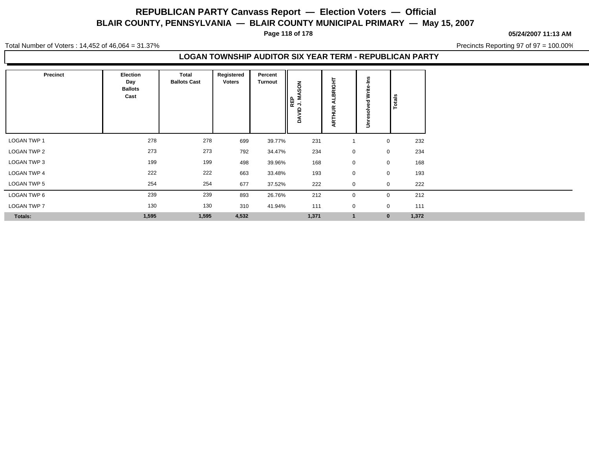**Page 118 of 178**

#### **05/24/2007 11:13 AM**

Total Number of Voters : 14,452 of 46,064 = 31.37%

Precincts Reporting 97 of 97 = 100.00%

### **LOGAN TOWNSHIP AUDITOR SIX YEAR TERM - REPUBLICAN PARTY**

| <b>Precinct</b>    | Election<br>Day<br><b>Ballots</b><br>Cast | Total<br><b>Ballots Cast</b> | Registered<br><b>Voters</b> | Percent<br><b>Turnout</b> | NOS<br>z<br>REP<br>$\rightarrow$<br>ξ<br>ã | BRIGHT<br>۰<br>∢<br>ARTHUR | ≝<br>Write<br>∍ | Totals      |       |
|--------------------|-------------------------------------------|------------------------------|-----------------------------|---------------------------|--------------------------------------------|----------------------------|-----------------|-------------|-------|
| LOGAN TWP 1        | 278                                       | 278                          | 699                         | 39.77%                    | 231                                        |                            |                 | $\mathbf 0$ | 232   |
| <b>LOGAN TWP 2</b> | 273                                       | 273                          | 792                         | 34.47%                    | 234                                        | $\mathbf 0$                |                 | $\mathbf 0$ | 234   |
| LOGAN TWP 3        | 199                                       | 199                          | 498                         | 39.96%                    | 168                                        | 0                          |                 | $\mathbf 0$ | 168   |
| LOGAN TWP 4        | 222                                       | 222                          | 663                         | 33.48%                    | 193                                        | 0                          |                 | 0           | 193   |
| <b>LOGAN TWP 5</b> | 254                                       | 254                          | 677                         | 37.52%                    | 222                                        | $\mathbf 0$                |                 | $\mathbf 0$ | 222   |
| LOGAN TWP 6        | 239                                       | 239                          | 893                         | 26.76%                    | 212                                        | $\mathbf 0$                |                 | $\mathbf 0$ | 212   |
| LOGAN TWP 7        | 130                                       | 130                          | 310                         | 41.94%                    | 111                                        | 0                          |                 | 0           | 111   |
| Totals:            | 1,595                                     | 1,595                        | 4,532                       |                           | 1,371                                      | $\mathbf{1}$               |                 | $\bf{0}$    | 1,372 |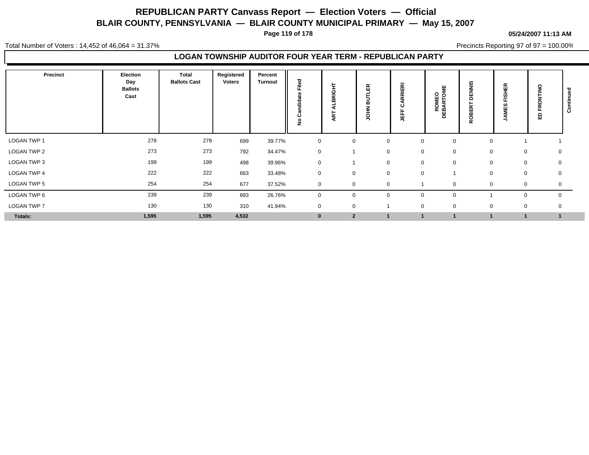**Page 119 of 178**

#### **05/24/2007 11:13 AM**

Total Number of Voters : 14,452 of 46,064 = 31.37%

Precincts Reporting 97 of 97 = 100.00%

### **LOGAN TOWNSHIP AUDITOR FOUR YEAR TERM - REPUBLICAN PARTY**

| <b>Precinct</b>    | Election<br>Day<br><b>Ballots</b><br>Cast | <b>Total</b><br><b>Ballots Cast</b> | Registered<br>Voters | Percent<br><b>Turnout</b> | Filed<br>흥<br>ပ<br>$\circ$<br>ž | 보<br>BRIGI<br>5 | 띥<br>Ξ<br>m<br>7<br>o | RRIERI<br>ن<br>щ<br>뜤 | <b>ROMEO<br/>DEBARTOME</b> | SINN<br>팜<br>ē<br>띪<br>ō<br>œ | <b>FISHER</b><br>59<br>Ş | $rac{8}{100}$<br>$\alpha$<br>읎 | 0<br>ပ |
|--------------------|-------------------------------------------|-------------------------------------|----------------------|---------------------------|---------------------------------|-----------------|-----------------------|-----------------------|----------------------------|-------------------------------|--------------------------|--------------------------------|--------|
| <b>LOGAN TWP 1</b> | 278                                       | 278                                 | 699                  | 39.77%                    | $\mathbf 0$                     | 0               | $\mathbf 0$           | $\mathbf 0$           | 0                          | $\Omega$                      |                          |                                |        |
| LOGAN TWP 2        | 273                                       | 273                                 | 792                  | 34.47%                    | $\pmb{0}$                       |                 | 0                     | $\mathbf 0$           | $\mathbf 0$                | 0                             | 0                        | 0                              |        |
| LOGAN TWP 3        | 199                                       | 199                                 | 498                  | 39.96%                    | $\mathbf 0$                     |                 | $\mathbf 0$           | $\mathbf 0$           | $\mathbf 0$                | $\mathbf 0$                   | $\mathbf 0$              | 0                              |        |
| LOGAN TWP 4        | 222                                       | 222                                 | 663                  | 33.48%                    | $\mathbf 0$                     | 0               | $\mathbf 0$           | $\mathbf 0$           |                            | $\mathbf 0$                   | $\mathbf 0$              | 0                              |        |
| <b>LOGAN TWP 5</b> | 254                                       | 254                                 | 677                  | 37.52%                    | $\mathbf 0$                     | $\Omega$        | $\Omega$              |                       |                            | $\Omega$                      | 0                        | $\mathbf 0$                    |        |
| LOGAN TWP 6        | 239                                       | 239                                 | 893                  | 26.76%                    | $\mathbf 0$                     | 0               | $\mathbf 0$           | $\mathbf 0$           | $\mathbf 0$                |                               | $\mathbf 0$              | $\mathbf 0$                    |        |
| LOGAN TWP 7        | 130                                       | 130                                 | 310                  | 41.94%                    | $\mathbf 0$                     | 0               |                       | $\mathbf 0$           | $\mathbf 0$                | $\mathbf 0$                   | 0                        | 0                              |        |
| Totals:            | 1,595                                     | 1,595                               | 4,532                |                           | $\mathbf{0}$                    | $\mathbf{2}$    |                       |                       |                            |                               |                          |                                |        |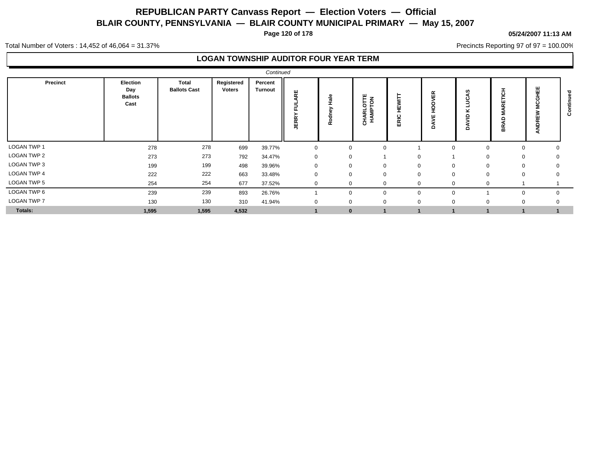**Page 120 of 178**

#### **05/24/2007 11:13 AM**

Precincts Reporting 97 of 97 = 100.00%

Total Number of Voters : 14,452 of 46,064 = 31.37%

## **LOGAN TOWNSHIP AUDITOR FOUR YEAR TERM**

| Continued          |                                           |                              |                      |                           |                                |                       |                             |             |              |                       |                             |             |   |  |
|--------------------|-------------------------------------------|------------------------------|----------------------|---------------------------|--------------------------------|-----------------------|-----------------------------|-------------|--------------|-----------------------|-----------------------------|-------------|---|--|
| Precinct           | Election<br>Day<br><b>Ballots</b><br>Cast | Total<br><b>Ballots Cast</b> | Registered<br>Voters | Percent<br><b>Turnout</b> | ARE<br>5<br>ш.<br><b>JERRY</b> | 을<br>모<br>ξ<br>ᅙ<br>ě | <b>CHARLOTTE</b><br>HAMPTON | RIC<br>ш    | 띥<br>≏       | ທ<br>⋍<br>⊻<br>≘<br>o | л.<br>ပ<br>ш<br>$\sim$<br>웂 |             | ت |  |
| LOGAN TWP 1        | 278                                       | 278                          | 699                  | 39.77%                    | $\Omega$                       | 0                     |                             |             | $\Omega$     | $\Omega$              | 0                           |             |   |  |
| <b>LOGAN TWP 2</b> | 273                                       | 273                          | 792                  | 34.47%                    | 0                              | 0                     |                             |             |              | $\mathbf 0$           | $\mathbf 0$                 | 0           |   |  |
| LOGAN TWP 3        | 199                                       | 199                          | 498                  | 39.96%                    | $\Omega$                       | 0                     |                             | $\mathbf 0$ | $\mathbf{0}$ | $\mathbf 0$           | $\mathbf 0$                 | $\Omega$    |   |  |
| <b>LOGAN TWP 4</b> | 222                                       | 222                          | 663                  | 33.48%                    | $\Omega$                       | $\Omega$              |                             | $\Omega$    | $\mathbf 0$  | $\mathbf 0$           | $\mathbf{0}$                | $\mathbf 0$ |   |  |
| <b>LOGAN TWP 5</b> | 254                                       | 254                          | 677                  | 37.52%                    |                                |                       |                             |             | $\Omega$     | $\Omega$              |                             |             |   |  |
| LOGAN TWP 6        | 239                                       | 239                          | 893                  | 26.76%                    |                                | $\Omega$              |                             | $\Omega$    | $\Omega$     |                       | $\Omega$                    | $\Omega$    |   |  |
| <b>LOGAN TWP 7</b> | 130                                       | 130                          | 310                  | 41.94%                    |                                | $\Omega$              |                             | $\Omega$    | $\mathbf 0$  | $\mathbf 0$           | $\Omega$                    |             |   |  |
| <b>Totals:</b>     | 1,595                                     | 1,595                        | 4,532                |                           |                                | $\bf{0}$              |                             |             |              |                       |                             |             |   |  |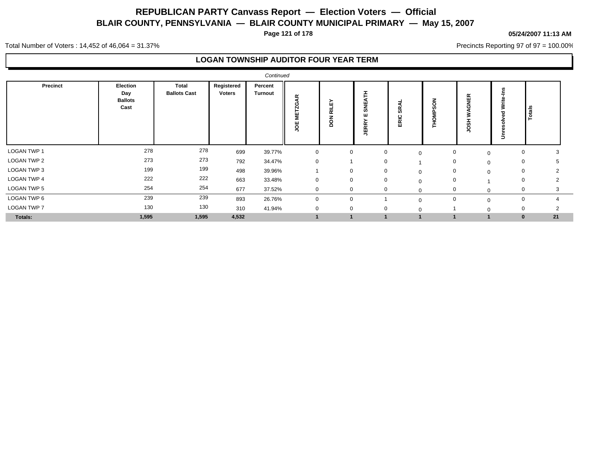**Page 121 of 178**

#### **05/24/2007 11:13 AM**

Precincts Reporting 97 of 97 = 100.00%

Total Number of Voters : 14,452 of 46,064 = 31.37%

### **LOGAN TOWNSHIP AUDITOR FOUR YEAR TERM**

|                    |                                           |                              |                             | Continued                 |                                           |                                               |                              |                  |          |                  |          |                |  |
|--------------------|-------------------------------------------|------------------------------|-----------------------------|---------------------------|-------------------------------------------|-----------------------------------------------|------------------------------|------------------|----------|------------------|----------|----------------|--|
| Precinct           | Election<br>Day<br><b>Ballots</b><br>Cast | Total<br><b>Ballots Cast</b> | Registered<br><b>Voters</b> | Percent<br><b>Turnout</b> | $\propto$<br>◀<br>O<br>Ñ<br>ш<br>Ξ<br>υoε | ≻<br>ய<br>ᆗ<br>$\propto$<br>z<br>$\circ$<br>≏ | 퐅<br>쁮<br>ิต<br>ш<br>≃<br>πď | ø<br>န္တ<br>ERIC | C<br>o   | ≃<br>픻<br>ທ<br>O | ∍        | Totals         |  |
| LOGAN TWP 1        | 278                                       | 278                          | 699                         | 39.77%                    | $\mathbf 0$                               | $\mathbf 0$                                   | 0                            | $\Omega$         | 0        | $\Omega$         | 0        | 3              |  |
| <b>LOGAN TWP 2</b> | 273                                       | 273                          | 792                         | 34.47%                    | $\mathbf 0$                               |                                               | $\Omega$                     |                  | 0        | $\mathbf 0$      | 0        |                |  |
| LOGAN TWP 3        | 199                                       | 199                          | 498                         | 39.96%                    |                                           | $\mathbf 0$                                   | 0                            | $\mathbf 0$      | 0        | $\mathbf 0$      | 0        | 2              |  |
| LOGAN TWP 4        | 222                                       | 222                          | 663                         | 33.48%                    | $\mathbf 0$                               | $\mathbf{0}$                                  | $\mathbf 0$                  | $\Omega$         | 0        |                  | 0        | $\overline{2}$ |  |
| LOGAN TWP 5        | 254                                       | 254                          | 677                         | 37.52%                    | $\mathbf{0}$                              | $\mathbf{0}$                                  |                              |                  | $\Omega$ | $\Omega$         | 0        | $\sim$         |  |
| LOGAN TWP 6        | 239                                       | 239                          | 893                         | 26.76%                    | $\mathbf 0$                               | $\mathbf 0$                                   |                              | $\Omega$         | 0        | $\Omega$         | 0        | 4              |  |
| <b>LOGAN TWP 7</b> | 130                                       | 130                          | 310                         | 41.94%                    | $\mathbf 0$                               | $\mathbf 0$                                   | $\mathbf 0$                  |                  |          | $\Omega$         | 0        | $\overline{2}$ |  |
| Totals:            | 1,595                                     | 1,595                        | 4,532                       |                           |                                           |                                               |                              |                  |          |                  | $\bf{0}$ | 21             |  |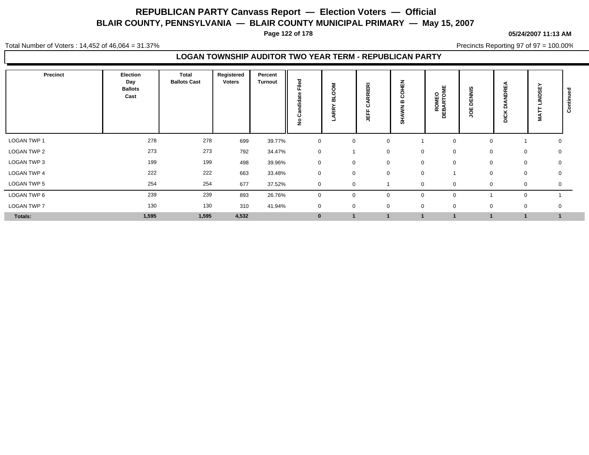**Page 122 of 178**

#### **05/24/2007 11:13 AM**

Total Number of Voters : 14,452 of 46,064 = 31.37%

Precincts Reporting 97 of 97 = 100.00%

### **LOGAN TOWNSHIP AUDITOR TWO YEAR TERM - REPUBLICAN PARTY**

| <b>Precinct</b>    | Election<br>Day<br><b>Ballots</b><br>Cast | Total<br><b>Ballots Cast</b> | Registered<br><b>Voters</b> | Percent<br><b>Turnout</b> | Filed<br>didate<br>ပ<br>٤ | 훙<br>◠<br>ᆱ<br>Æ | <b>RIERI</b><br>ن<br>щ<br>粤 | $\tilde{\mathbb{F}}$<br>۰<br>Ō<br>m<br>4 | <b>ROMEO<br/>DEBARTOME</b> | <b>DENNIS</b><br>ğ | <b>DRE</b><br>z<br>-<br>۵<br>×<br>ns<br>B | <b>INDSEY</b><br><b>TAN</b> | 73<br>$\circ$<br>ပ |
|--------------------|-------------------------------------------|------------------------------|-----------------------------|---------------------------|---------------------------|------------------|-----------------------------|------------------------------------------|----------------------------|--------------------|-------------------------------------------|-----------------------------|--------------------|
| LOGAN TWP 1        | 278                                       | 278                          | 699                         | 39.77%                    | $\mathbf 0$               | 0                | $\Omega$                    |                                          | $\mathbf 0$                | $\Omega$           |                                           |                             | 0                  |
| <b>LOGAN TWP 2</b> | 273                                       | 273                          | 792                         | 34.47%                    | $\mathbf 0$               |                  | $\mathbf 0$                 | $\mathbf 0$                              | 0                          | 0                  |                                           | 0                           | 0                  |
| LOGAN TWP 3        | 199                                       | 199                          | 498                         | 39.96%                    | $\mathbf 0$               | $\mathbf 0$      | $\mathbf 0$                 | $\mathbf 0$                              | 0                          | $\mathbf 0$        |                                           | $\mathbf 0$                 | $\mathbf 0$        |
| LOGAN TWP 4        | 222                                       | 222                          | 663                         | 33.48%                    | $\mathbf 0$               | $\mathbf 0$      | $\mathbf 0$                 | $\mathbf 0$                              |                            | $\mathbf 0$        | $\mathbf 0$                               |                             | 0                  |
| <b>LOGAN TWP 5</b> | 254                                       | 254                          | 677                         | 37.52%                    | $\mathbf 0$               | $\mathbf{0}$     |                             | $\Omega$                                 | 0                          | $\Omega$           | $\mathbf 0$                               |                             | 0                  |
| LOGAN TWP 6        | 239                                       | 239                          | 893                         | 26.76%                    | $\mathbf 0$               | $\mathbf{0}$     | $\Omega$                    | $\overline{0}$                           | $\mathbf 0$                |                    | $\mathbf 0$                               |                             |                    |
| LOGAN TWP 7        | 130                                       | 130                          | 310                         | 41.94%                    | $\mathbf 0$               | $\mathbf 0$      | 0                           | $\mathbf 0$                              | $\mathbf 0$                | $\mathbf 0$        |                                           | $\mathbf 0$                 | 0                  |
| Totals:            | 1,595                                     | 1,595                        | 4,532                       |                           | $\bf{0}$                  | $\overline{1}$   |                             |                                          |                            |                    |                                           | $\overline{1}$              |                    |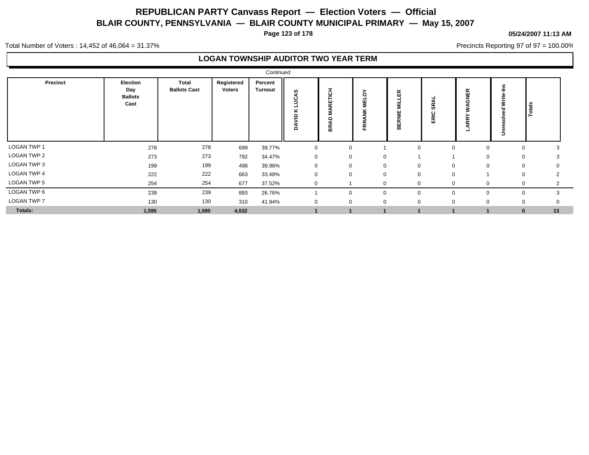**Page 123 of 178**

#### **05/24/2007 11:13 AM**

Precincts Reporting 97 of 97 = 100.00%

Total Number of Voters : 14,452 of 46,064 = 31.37%

### **LOGAN TOWNSHIP AUDITOR TWO YEAR TERM**

|                    |                                           |                              |                      | Continued                 |             |                            |                           |                                |                 |                                         |             |                |
|--------------------|-------------------------------------------|------------------------------|----------------------|---------------------------|-------------|----------------------------|---------------------------|--------------------------------|-----------------|-----------------------------------------|-------------|----------------|
| Precinct           | Election<br>Day<br><b>Ballots</b><br>Cast | Total<br><b>Ballots Cast</b> | Registered<br>Voters | Percent<br><b>Turnout</b> | ဖာ<br>≏     | 풍<br>ш<br>$\sim$<br>۵<br>웂 | δ<br>틸<br>ž<br><b>FRR</b> | <b>MILLER</b><br><b>BERNIE</b> | ਬ<br>နိ<br>ERIC | GNER<br>◀<br>₹<br>≻<br>ARR <sup>'</sup> | 2<br>∍      | $\frac{1}{6}$  |
| LOGAN TWP 1        | 278                                       | 278                          | 699                  | 39.77%                    | 0           |                            | 0                         |                                |                 | $\Omega$<br>$\Omega$                    | $\Omega$    | 3              |
| <b>LOGAN TWP 2</b> | 273                                       | 273                          | 792                  | 34.47%                    | 0           |                            | 0                         | 0                              |                 | $\Omega$                                | 0           | 3              |
| LOGAN TWP 3        | 199                                       | 199                          | 498                  | 39.96%                    | $\mathbf 0$ |                            | $\mathbf 0$               | $\mathbf 0$                    | $\Omega$        | $\Omega$<br>$\mathbf 0$                 | $\mathbf 0$ | 0              |
| <b>LOGAN TWP 4</b> | 222                                       | 222                          | 663                  | 33.48%                    | $\mathbf 0$ |                            | $\mathbf 0$               | 0                              | $\Omega$        | $\mathbf 0$                             | 0           | $\overline{2}$ |
| LOGAN TWP 5        | 254                                       | 254                          | 677                  | 37.52%                    | $\mathbf 0$ |                            |                           | 0                              | $\Omega$        | $\Omega$<br>$\mathbf{0}$                | 0           | $\overline{2}$ |
| LOGAN TWP 6        | 239                                       | 239                          | 893                  | 26.76%                    |             |                            | $\mathbf{0}$              | 0                              | $\Omega$        | $\mathbf 0$<br>$\mathbf 0$              | 0           | 3              |
| LOGAN TWP 7        | 130                                       | 130                          | 310                  | 41.94%                    | $\mathbf 0$ |                            | 0                         | 0                              | $\Omega$        | $\Omega$<br>$\Omega$                    | $\mathbf 0$ | $\mathbf 0$    |
| Totals:            | 1,595                                     | 1,595                        | 4,532                |                           |             |                            |                           |                                |                 |                                         | $\bf{0}$    | 13             |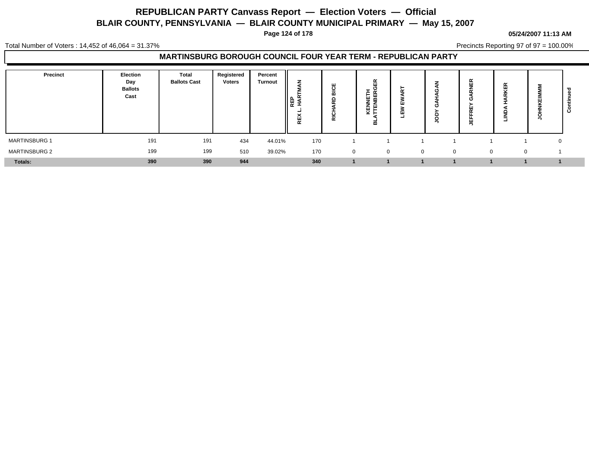**Page 124 of 178**

#### **05/24/2007 11:13 AM**

Total Number of Voters : 14,452 of 46,064 = 31.37%

Precincts Reporting 97 of 97 = 100.00%

### **MARTINSBURG BOROUGH COUNCIL FOUR YEAR TERM - REPUBLICAN PARTY**

| Precinct             | Election<br>Day<br><b>Ballots</b><br>Cast | <b>Total</b><br><b>Ballots Cast</b> | Registered<br><b>Voters</b> | Percent<br><b>Turnout</b> | ▴<br>  F 중<br>ш<br>œ | <u>ರ</u><br>$\sim$<br>- -<br>$\overline{\phantom{a}}$<br>ັ<br>≂ | 띥<br>"<br>띥<br>罢<br>삍<br>∸<br>₩<br>┕<br>ᆱ | w<br>ш<br>ш |              | œ<br>ш<br>ш<br>- | 띥<br>$\sim$<br>$\overline{\phantom{a}}$<br>- | ∍ | ပ |
|----------------------|-------------------------------------------|-------------------------------------|-----------------------------|---------------------------|----------------------|-----------------------------------------------------------------|-------------------------------------------|-------------|--------------|------------------|----------------------------------------------|---|---|
| <b>MARTINSBURG 1</b> | 191                                       | 191                                 | 434                         | 44.01%                    | 170                  |                                                                 |                                           |             |              |                  |                                              | 0 |   |
| <b>MARTINSBURG 2</b> | 199                                       | 199                                 | 510                         | 39.02%                    | 170                  | $\mathbf{0}$                                                    | $\mathbf{0}$                              | $\Omega$    | $\mathbf{0}$ | $\Omega$         | $\Omega$                                     |   |   |
| Totals:              | 390                                       | 390                                 | 944                         |                           | 340                  |                                                                 |                                           |             |              |                  |                                              |   |   |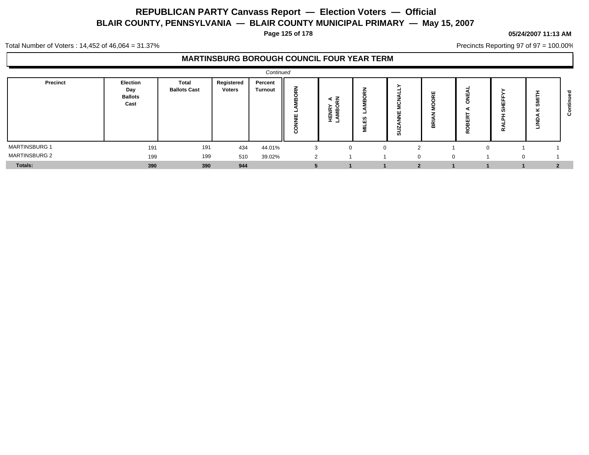**Page 125 of 178**

#### **05/24/2007 11:13 AM**

Precincts Reporting 97 of 97 = 100.00%

Total Number of Voters : 14,452 of 46,064 = 31.37%

### **MARTINSBURG BOROUGH COUNCIL FOUR YEAR TERM**

|                      |                                           |                                     |                             | Continued                 |                               |                               |                                                           |                |                                           |                              |                               |              |   |
|----------------------|-------------------------------------------|-------------------------------------|-----------------------------|---------------------------|-------------------------------|-------------------------------|-----------------------------------------------------------|----------------|-------------------------------------------|------------------------------|-------------------------------|--------------|---|
| <b>Precinct</b>      | Election<br>Day<br><b>Ballots</b><br>Cast | <b>Total</b><br><b>Ballots Cast</b> | Registered<br><b>Voters</b> | Percent<br><b>Turnout</b> | 옾<br>-<br>쁳<br>$\overline{8}$ | ≺ m<br><b>HENRY</b><br>LAMBOI | $\sim$<br>c<br>m<br>ΞS<br>$-$<br>$\overline{\phantom{a}}$ | ш<br>-<br>ಠ    | $\sim$<br>-<br>œ<br>$\boldsymbol{\omega}$ | _<br>r<br>m<br>O<br>$\alpha$ | $\mathbf{H}$<br>ഗ<br>$\alpha$ | ഗ<br>┙       | ပ |
| <b>MARTINSBURG 1</b> | 191                                       | 191                                 | 434                         | 44.01%                    |                               | $\Omega$                      | U                                                         | $\overline{2}$ |                                           | $\Omega$                     |                               |              |   |
| <b>MARTINSBURG 2</b> | 199                                       | 199                                 | 510                         | 39.02%                    | $\sim$                        |                               |                                                           | $\Omega$       | $\Omega$                                  |                              | $\sim$                        |              |   |
| Totals:              | 390                                       | 390                                 | 944                         |                           |                               |                               |                                                           | 2              |                                           |                              |                               | $\mathbf{2}$ |   |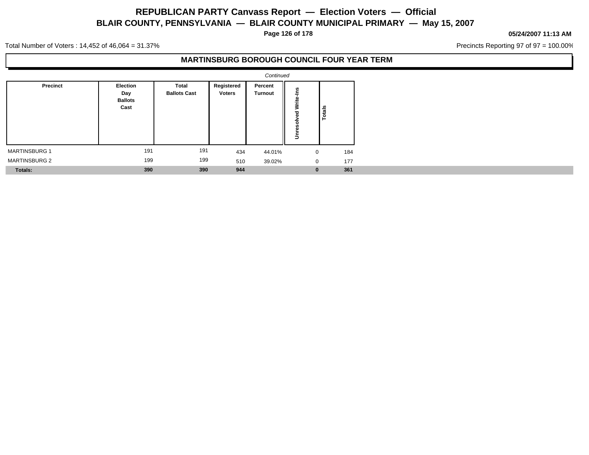**Page 126 of 178**

#### **05/24/2007 11:13 AM**

Precincts Reporting 97 of 97 = 100.00%

Total Number of Voters : 14,452 of 46,064 = 31.37%

### **MARTINSBURG BOROUGH COUNCIL FOUR YEAR TERM**

|                      |                                           |                                     |                      | Continued                 |                  |                 |
|----------------------|-------------------------------------------|-------------------------------------|----------------------|---------------------------|------------------|-----------------|
| <b>Precinct</b>      | Election<br>Day<br><b>Ballots</b><br>Cast | <b>Total</b><br><b>Ballots Cast</b> | Registered<br>Voters | Percent<br><b>Turnout</b> | -<br>3<br>$\Box$ | Totals          |
| <b>MARTINSBURG 1</b> | 191                                       | 191                                 | 434                  | 44.01%                    | $\mathbf 0$      | 184             |
| <b>MARTINSBURG 2</b> | 199                                       | 199                                 | 510                  | 39.02%                    |                  | 177<br>$\Omega$ |
| Totals:              | 390                                       | 390                                 | 944                  |                           |                  | 361<br>$\bf{0}$ |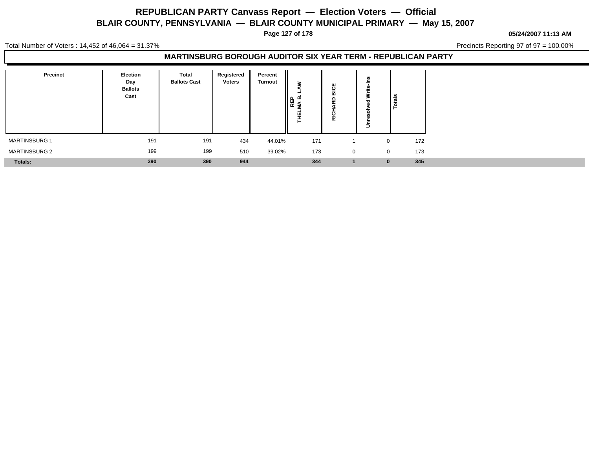**Page 127 of 178**

**05/24/2007 11:13 AM**

Total Number of Voters : 14,452 of 46,064 = 31.37%

Precincts Reporting 97 of 97 = 100.00%

### **MARTINSBURG BOROUGH AUDITOR SIX YEAR TERM - REPUBLICAN PARTY**

| <b>Precinct</b>      | Election<br>Day<br><b>Ballots</b><br>Cast | Total<br><b>Ballots Cast</b> | Registered<br><b>Voters</b> | Percent<br><b>Turnout</b> | ≳<br>REP<br>4A B.<br>ᇳ<br>- | ö<br>œ<br>c<br>$\sim$<br><br>$\bar{\alpha}$ | Ξ        | <b>Potes</b> |
|----------------------|-------------------------------------------|------------------------------|-----------------------------|---------------------------|-----------------------------|---------------------------------------------|----------|--------------|
| MARTINSBURG 1        | 191                                       | 191                          | 434                         | 44.01%                    | 171                         |                                             | $\Omega$ | 172          |
| <b>MARTINSBURG 2</b> | 199                                       | 199                          | 510                         | 39.02%                    | 173                         | 0                                           | $\Omega$ | 173          |
| <b>Totals:</b>       | 390                                       | 390                          | 944                         |                           | 344                         |                                             | $\bf{0}$ | 345          |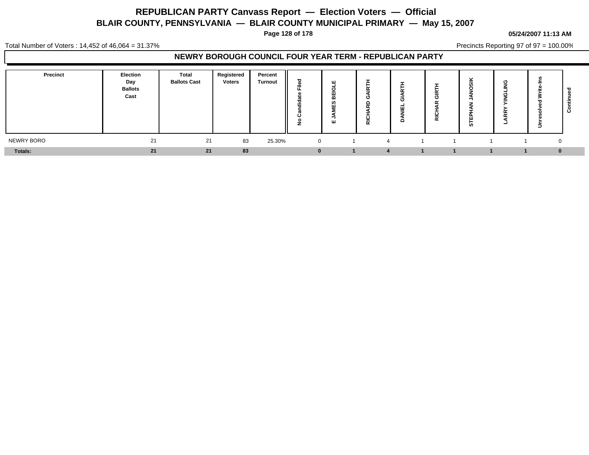**Page 128 of 178**

#### **05/24/2007 11:13 AM**

Total Number of Voters : 14,452 of 46,064 = 31.37%

Precincts Reporting 97 of 97 = 100.00%

### **NEWRY BOROUGH COUNCIL FOUR YEAR TERM - REPUBLICAN PARTY**

| <b>Precinct</b> | Election<br>Day<br><b>Ballots</b><br>Cast | <b>Total</b><br><b>Ballots Cast</b> | Registered<br><b>Voters</b> | Percent<br><b>Turnout</b> | ≈            | ш<br>ш                   | o<br>C<br>ᄒ | ┙ | $\alpha$ | ີ<br><b>in</b> | ு<br>- | ∍        | ల |
|-----------------|-------------------------------------------|-------------------------------------|-----------------------------|---------------------------|--------------|--------------------------|-------------|---|----------|----------------|--------|----------|---|
| NEWRY BORO      | 21                                        | 21                                  | 83                          | 25.30%                    | $\mathbf{0}$ | $\overline{\phantom{a}}$ | 4           |   |          |                |        | $\Omega$ |   |
| Totals:         | 21                                        | 21                                  | 83                          |                           |              |                          |             |   |          |                |        | $\bf{0}$ |   |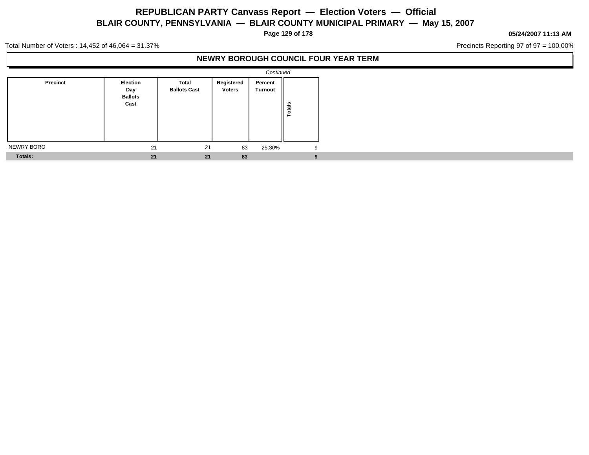**Page 129 of 178**

#### **05/24/2007 11:13 AM**

Precincts Reporting 97 of 97 = 100.00%

Total Number of Voters : 14,452 of 46,064 = 31.37%

### **NEWRY BOROUGH COUNCIL FOUR YEAR TERM**

|                |                                                  |                              |                             | Continued          |               |
|----------------|--------------------------------------------------|------------------------------|-----------------------------|--------------------|---------------|
| Precinct       | <b>Election</b><br>Day<br><b>Ballots</b><br>Cast | Total<br><b>Ballots Cast</b> | Registered<br><b>Voters</b> | Percent<br>Turnout | <b>Totals</b> |
| NEWRY BORO     | 21                                               | 21                           | 83                          | 25.30%             | 9             |
| <b>Totals:</b> | 21                                               | 21                           | 83                          |                    | 9             |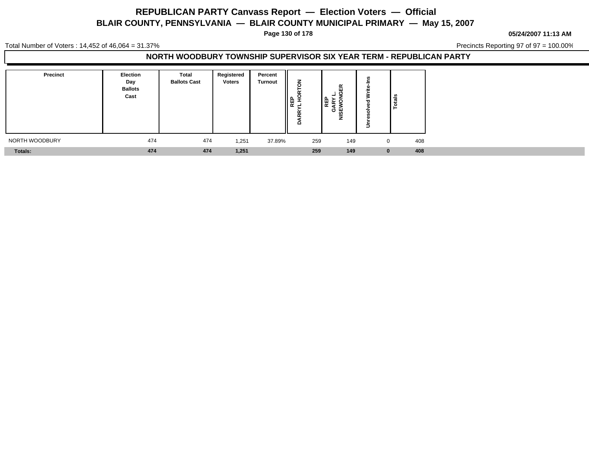**Page 130 of 178**

**05/24/2007 11:13 AM**

Total Number of Voters : 14,452 of 46,064 = 31.37%

Precincts Reporting 97 of 97 = 100.00%

### **NORTH WOODBURY TOWNSHIP SUPERVISOR SIX YEAR TERM - REPUBLICAN PARTY**

| Precinct       | Election<br>Day<br><b>Ballots</b><br>Cast | Total<br><b>Ballots Cast</b> | Registered<br><b>Voters</b> | Percent<br><b>Turnout</b> | 贾 동<br>- -<br>- -<br>≏ | 띥<br>0<br>이 없<br>ᇥ<br>Ο |   | <b>Total</b> |
|----------------|-------------------------------------------|------------------------------|-----------------------------|---------------------------|------------------------|-------------------------|---|--------------|
| NORTH WOODBURY | 474                                       | 474                          | 1,251                       | 37.89%                    | 259                    | 149                     |   | 408          |
| Totals:        | 474                                       | 474                          | 1,251                       |                           | 259                    | 149                     | U | 408          |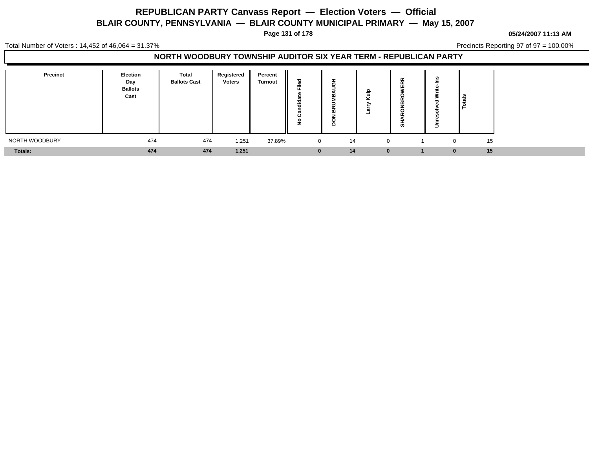**Page 131 of 178**

**05/24/2007 11:13 AM**

Total Number of Voters : 14,452 of 46,064 = 31.37%

Precincts Reporting 97 of 97 = 100.00%

### **NORTH WOODBURY TOWNSHIP AUDITOR SIX YEAR TERM - REPUBLICAN PARTY**

| Precinct       | <b>Election</b><br>Day<br><b>Ballots</b><br>Cast | Total<br><b>Ballots Cast</b> | Registered<br><b>Voters</b> | Percent<br><b>Turnout</b> | ≂<br><br>ن | O<br>$\alpha$<br>m<br>o | - | $\tilde{\phantom{a}}$<br>$\sim$<br>ш<br>w |          | Totals |
|----------------|--------------------------------------------------|------------------------------|-----------------------------|---------------------------|------------|-------------------------|---|-------------------------------------------|----------|--------|
| NORTH WOODBURY | 474                                              | 474                          | 1,251                       | 37.89%                    | 0          | 14                      |   |                                           | 0        | 15     |
| Totals:        | 474                                              | 474                          | 1,251                       |                           |            | 14                      |   | $\bf{0}$                                  | $\bf{0}$ | 15     |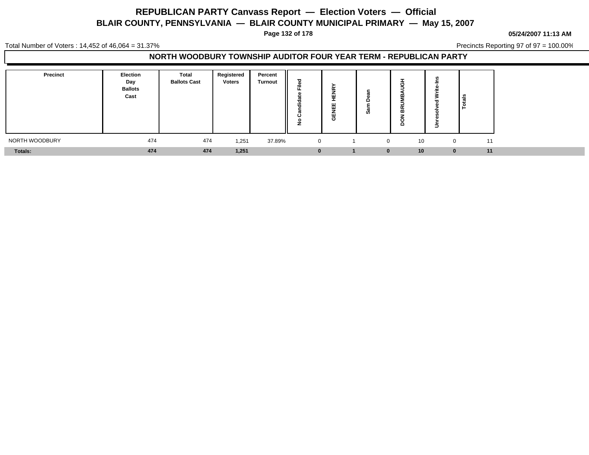**Page 132 of 178**

#### **05/24/2007 11:13 AM**

Total Number of Voters : 14,452 of 46,064 = 31.37%

Precincts Reporting 97 of 97 = 100.00%

### **NORTH WOODBURY TOWNSHIP AUDITOR FOUR YEAR TERM - REPUBLICAN PARTY**

| <b>Precinct</b> | <b>Election</b><br>Day<br><b>Ballots</b><br>Cast | Total<br><b>Ballots Cast</b> | Registered<br><b>Voters</b> | Percent<br><b>Turnout</b> | ÷<br><br>ບ<br>∸ | ш<br>.<br>-<br><br>Ο | c<br><b>SO</b> | O<br>⋒         | ဦ<br>≗ا      |    |
|-----------------|--------------------------------------------------|------------------------------|-----------------------------|---------------------------|-----------------|----------------------|----------------|----------------|--------------|----|
| NORTH WOODBURY  | 474                                              | 474                          | 1,251                       | 37.89%                    |                 |                      |                | 10<br>$\Omega$ | $\mathbf{0}$ | 11 |
| <b>Totals:</b>  | 474                                              | 474                          | 1,251                       |                           |                 |                      | $\bf{0}$       | 10             | $\bf{0}$     | 11 |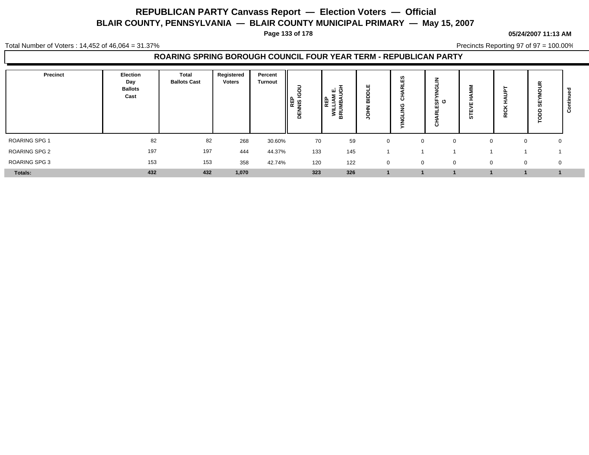**Page 133 of 178**

#### **05/24/2007 11:13 AM**

Total Number of Voters : 14,452 of 46,064 = 31.37%

Precincts Reporting 97 of 97 = 100.00%

### **ROARING SPRING BOROUGH COUNCIL FOUR YEAR TERM - REPUBLICAN PARTY**

| Precinct      | Election<br>Day<br><b>Ballots</b><br>Cast | Total<br><b>Ballots Cast</b> | Registered<br><b>Voters</b> | Percent<br><b>Turnout</b> | o<br>୰<br><b>REP</b><br>NIS IO<br>품 | ய் கு<br>REI<br>≊<br>-<br>-<br>로<br>이 | ш<br>$\overline{\phantom{a}}$<br>$\overline{a}$<br>о | ທ<br>Ш<br>$\tilde{\phantom{a}}$<br>с<br>с | Ξ<br>ზ ს<br>ш<br>ō | Ò٥       | $\overline{a}$<br>≅<br>œ | g<br>$\overline{u}$<br>∩ | $\mathbf c$ |
|---------------|-------------------------------------------|------------------------------|-----------------------------|---------------------------|-------------------------------------|---------------------------------------|------------------------------------------------------|-------------------------------------------|--------------------|----------|--------------------------|--------------------------|-------------|
| ROARING SPG 1 | 82                                        | 82                           | 268                         | 30.60%                    | 70                                  | 59                                    | $\mathbf 0$                                          | $\Omega$                                  | $\Omega$           |          | 0                        | 0                        |             |
| ROARING SPG 2 | 197                                       | 197                          | 444                         | 44.37%                    | 133                                 | 145                                   |                                                      |                                           |                    |          |                          |                          |             |
| ROARING SPG 3 | 153                                       | 153                          | 358                         | 42.74%                    | 120                                 | 122                                   | 0                                                    | $\mathbf 0$                               | $\mathbf{0}$       | $\Omega$ | 0                        | 0                        |             |
| Totals:       | 432                                       | 432                          | 1,070                       |                           | 323                                 | 326                                   |                                                      |                                           |                    |          |                          |                          |             |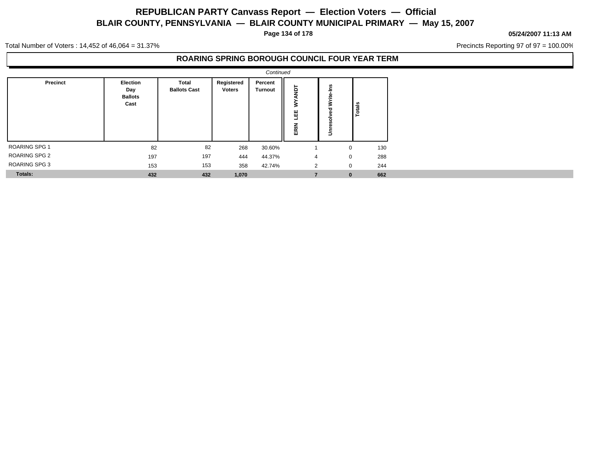**Page 134 of 178**

#### **05/24/2007 11:13 AM**

Precincts Reporting 97 of 97 = 100.00%

Total Number of Voters : 14,452 of 46,064 = 31.37%

### **ROARING SPRING BOROUGH COUNCIL FOUR YEAR TERM**

|                      |                                           |                              |                             | Continued                 |                     |                            |        |  |
|----------------------|-------------------------------------------|------------------------------|-----------------------------|---------------------------|---------------------|----------------------------|--------|--|
| Precinct             | Election<br>Day<br><b>Ballots</b><br>Cast | Total<br><b>Ballots Cast</b> | Registered<br><b>Voters</b> | Percent<br><b>Turnout</b> | ē<br>℥<br>삠<br>ERIN | ے<br>=<br>Write-<br>ā<br>š | Totals |  |
| <b>ROARING SPG 1</b> | 82                                        | 82                           | 268                         | 30.60%                    |                     | 0                          | 130    |  |
| <b>ROARING SPG 2</b> | 197                                       | 197                          | 444                         | 44.37%                    | 4                   | $\mathbf 0$                | 288    |  |
| <b>ROARING SPG 3</b> | 153                                       | 153                          | 358                         | 42.74%                    | 2                   | $\mathbf 0$                | 244    |  |
| Totals:              | 432                                       | 432                          | 1,070                       |                           |                     | $\bf{0}$                   | 662    |  |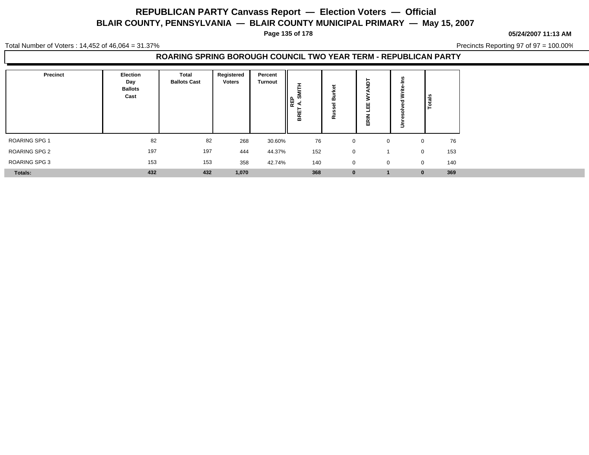**Page 135 of 178**

**05/24/2007 11:13 AM**

Total Number of Voters : 14,452 of 46,064 = 31.37%

Precincts Reporting 97 of 97 = 100.00%

### **ROARING SPRING BOROUGH COUNCIL TWO YEAR TERM - REPUBLICAN PARTY**

| Precinct      | Election<br>Day<br><b>Ballots</b><br>Cast | Total<br><b>Ballots Cast</b> | Registered<br><b>Voters</b> | Percent<br><b>Turnout</b> | ►<br>ဖာ<br>   දි<br>BRE | m<br>-<br>œ | ш<br>ш<br>-<br>흢 | ∍ | Total <sub>s</sub> |
|---------------|-------------------------------------------|------------------------------|-----------------------------|---------------------------|-------------------------|-------------|------------------|---|--------------------|
| ROARING SPG 1 | 82                                        | 82                           | 268                         | 30.60%                    | 76                      | $\mathbf 0$ | $\mathbf 0$      |   | 76<br>$\Omega$     |
| ROARING SPG 2 | 197                                       | 197                          | 444                         | 44.37%                    | 152                     | 0           |                  |   | 153<br>$\mathbf 0$ |
| ROARING SPG 3 | 153                                       | 153                          | 358                         | 42.74%                    | 140                     | 0           | $\mathbf 0$      |   | 140<br>$\mathbf 0$ |
| Totals:       | 432                                       | 432                          | 1,070                       |                           | 368                     | 0           |                  |   | 369<br>$\bf{0}$    |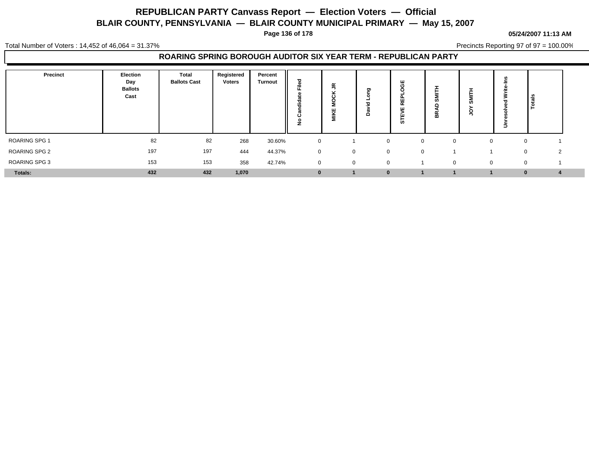**Page 136 of 178**

#### **05/24/2007 11:13 AM**

Total Number of Voters : 14,452 of 46,064 = 31.37%

Precincts Reporting 97 of 97 = 100.00%

### **ROARING SPRING BOROUGH AUDITOR SIX YEAR TERM - REPUBLICAN PARTY**

| Precinct      | Election<br>Day<br><b>Ballots</b><br>Cast | Total<br><b>Ballots Cast</b> | Registered<br><b>Voters</b> | Percent<br><b>Turnout</b> | ਹ<br>m<br>=<br>ಕ<br><br>◡<br>с | ≃<br>=<br>$\mathbf{r}$<br>$\cdot$<br>Щ<br>$\overline{a}$<br>$\equiv$ | ਠ<br>≏      | ш<br>画<br>$\alpha$<br>່ທ | $\mathbf{m}$ | <b>.</b><br>ш<br>-<br>ഗ<br>⊆ | ∍      | ≅ا<br>ٷا                |  |
|---------------|-------------------------------------------|------------------------------|-----------------------------|---------------------------|--------------------------------|----------------------------------------------------------------------|-------------|--------------------------|--------------|------------------------------|--------|-------------------------|--|
| ROARING SPG 1 | 82                                        | 82                           | 268                         | 30.60%                    | $\mathbf 0$                    |                                                                      | $\Omega$    | $\Omega$                 |              |                              | $\sim$ | 0                       |  |
| ROARING SPG 2 | 197                                       | 197                          | 444                         | 44.37%                    | $\mathbf 0$                    | 0                                                                    | $\mathbf 0$ | $\mathbf 0$              |              |                              |        | $\mathbf 0$<br>$\Omega$ |  |
| ROARING SPG 3 | 153                                       | 153                          | 358                         | 42.74%                    | $\mathbf 0$                    | 0                                                                    | $\mathbf 0$ |                          | $\mathbf 0$  |                              | 0      | $\mathbf 0$             |  |
| Totals:       | 432                                       | 432                          | 1,070                       |                           | $\mathbf{0}$                   |                                                                      | $\bf{0}$    |                          |              |                              |        |                         |  |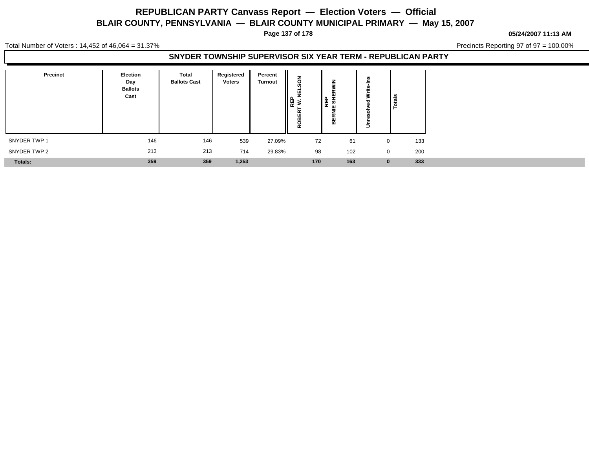**Page 137 of 178**

**05/24/2007 11:13 AM**

Total Number of Voters : 14,452 of 46,064 = 31.37%

Precincts Reporting 97 of 97 = 100.00%

### **SNYDER TOWNSHIP SUPERVISOR SIX YEAR TERM - REPUBLICAN PARTY**

| Precinct       | Election<br>Day<br><b>Ballots</b><br>Cast | Total<br><b>Ballots Cast</b> | Registered<br><b>Voters</b> | Percent<br><b>Turnout</b> | 팣<br>∼<br>│Ë ≥<br>넚<br>ш<br>≃<br>o<br>α | Ζ<br>œ<br><br>PE SH<br>$\sim$<br>ш<br>m | $\Rightarrow$ | Totals |
|----------------|-------------------------------------------|------------------------------|-----------------------------|---------------------------|-----------------------------------------|-----------------------------------------|---------------|--------|
| SNYDER TWP 1   | 146                                       | 146                          | 539                         | 27.09%                    | 72                                      | 61                                      | $\mathbf 0$   | 133    |
| SNYDER TWP 2   | 213                                       | 213                          | 714                         | 29.83%                    | 98                                      | 102                                     | $\mathbf 0$   | 200    |
| <b>Totals:</b> | 359                                       | 359                          | 1,253                       |                           | 170                                     | 163                                     | $\bf{0}$      | 333    |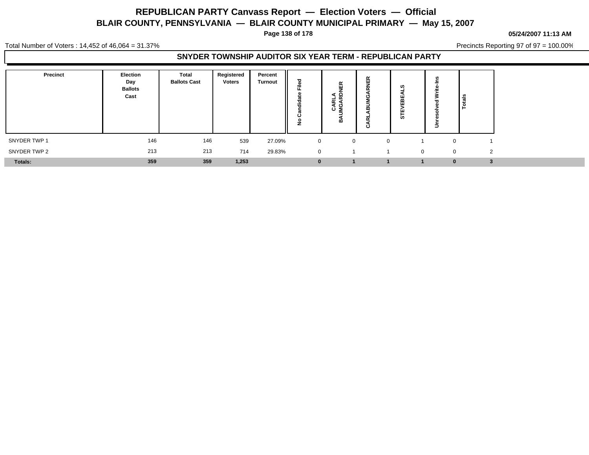**Page 138 of 178**

#### **05/24/2007 11:13 AM**

Total Number of Voters : 14,452 of 46,064 = 31.37%

Precincts Reporting 97 of 97 = 100.00%

### **SNYDER TOWNSHIP AUDITOR SIX YEAR TERM - REPUBLICAN PARTY**

| Precinct       | <b>Election</b><br>Day<br><b>Ballots</b><br>Cast | <b>Total</b><br><b>Ballots Cast</b> | Registered<br><b>Voters</b> | Percent<br><b>Turnout</b> | --           | 띥<br>-<br>윤<br>$\alpha$<br>╺<br>⋖ છ<br>خن<br>⋒ | œ<br>ш<br>-<br>m<br>ن | Ø<br>ш<br><br><b>in</b> |              | Total <sub>s</sub> |
|----------------|--------------------------------------------------|-------------------------------------|-----------------------------|---------------------------|--------------|------------------------------------------------|-----------------------|-------------------------|--------------|--------------------|
| SNYDER TWP 1   | 146                                              | 146                                 | 539                         | 27.09%                    | $\mathbf 0$  | $\Omega$                                       | $\Omega$              |                         | 0            |                    |
| SNYDER TWP 2   | 213                                              | 213                                 | 714                         | 29.83%                    | $\mathbf{0}$ |                                                |                       | $\mathbf{0}$            | $\mathbf{0}$ | $\Omega$           |
| <b>Totals:</b> | 359                                              | 359                                 | 1,253                       |                           |              |                                                |                       |                         | $\bf{0}$     |                    |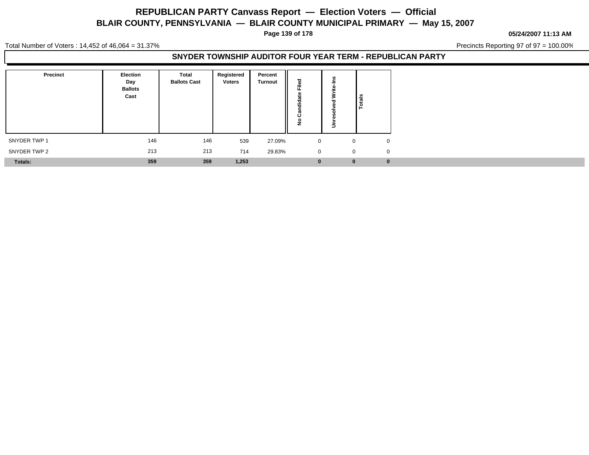**Page 139 of 178**

#### **05/24/2007 11:13 AM**

Precincts Reporting 97 of 97 = 100.00%

Total Number of Voters : 14,452 of 46,064 = 31.37%

### **SNYDER TOWNSHIP AUDITOR FOUR YEAR TERM - REPUBLICAN PARTY**

| <b>Precinct</b> | Election<br>Day<br><b>Ballots</b><br>Cast | <b>Total</b><br><b>Ballots Cast</b> | Registered<br><b>Voters</b> | Percent<br><b>Turnout</b> | ъ<br>Ē<br>- 1<br>õ<br>垢<br>$\mathbf{r}$<br>ن<br>$\circ$ |             | ឹ        |          |
|-----------------|-------------------------------------------|-------------------------------------|-----------------------------|---------------------------|---------------------------------------------------------|-------------|----------|----------|
| SNYDER TWP 1    | 146                                       | 146                                 | 539                         | 27.09%                    |                                                         | $\mathbf 0$ | 0        | $\Omega$ |
| SNYDER TWP 2    | 213                                       | 213                                 | 714                         | 29.83%                    |                                                         | $\mathbf 0$ | 0        | $\Omega$ |
| <b>Totals:</b>  | 359                                       | 359                                 | 1,253                       |                           |                                                         | $\bf{0}$    | $\bf{0}$ | $\bf{0}$ |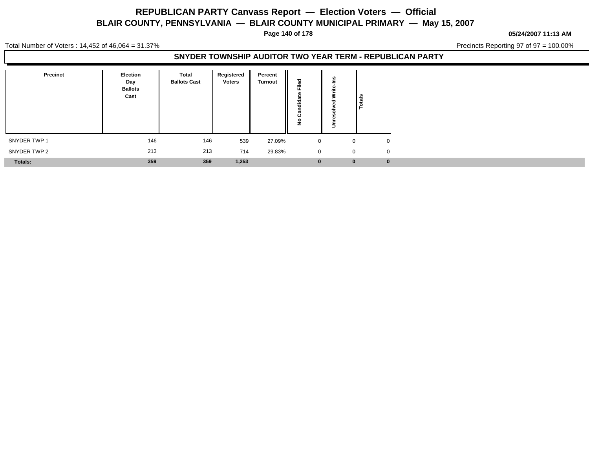**Page 140 of 178**

#### **05/24/2007 11:13 AM**

Precincts Reporting 97 of 97 = 100.00%

Total Number of Voters : 14,452 of 46,064 = 31.37%

### **SNYDER TOWNSHIP AUDITOR TWO YEAR TERM - REPUBLICAN PARTY**

| <b>Precinct</b> | Election<br>Day<br><b>Ballots</b><br>Cast | <b>Total</b><br><b>Ballots Cast</b> | Registered<br><b>Voters</b> | Percent<br><b>Turnout</b> | ъ<br>≗<br>щ.<br>a<br>-<br>흫<br>σ<br>ပ<br>۽ |             |
|-----------------|-------------------------------------------|-------------------------------------|-----------------------------|---------------------------|--------------------------------------------|-------------|
| SNYDER TWP 1    | 146                                       | 146                                 | 539                         | 27.09%                    |                                            | $\mathbf 0$ |
| SNYDER TWP 2    | 213                                       | 213                                 | 714                         | 29.83%                    |                                            | $\mathbf 0$ |
| Totals:         | 359                                       | 359                                 | 1,253                       |                           |                                            | $\bf{0}$    |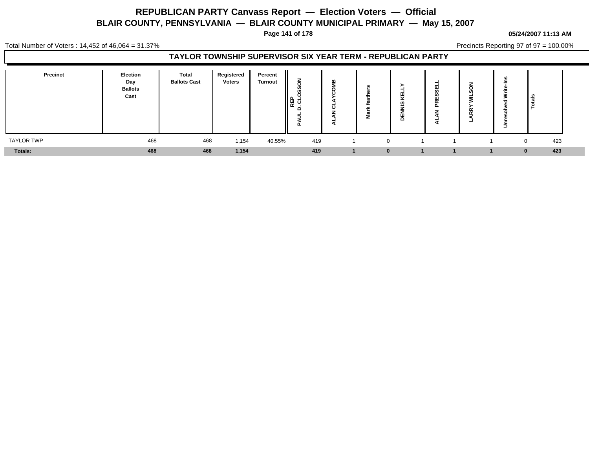**Page 141 of 178**

### **05/24/2007 11:13 AM**

Total Number of Voters : 14,452 of 46,064 = 31.37%

Precincts Reporting 97 of 97 = 100.00%

### **TAYLOR TOWNSHIP SUPERVISOR SIX YEAR TERM - REPUBLICAN PARTY**

| <b>Precinct</b>   | Election<br>Day<br><b>Ballots</b><br>Cast | <b>Total</b><br><b>Ballots Cast</b> | Registered<br><b>Voters</b> | Percent<br><b>Turnout</b> | ∼<br><b>RED</b><br>CL<br>൧<br>-<br>-<br>ու | α<br>ం | ⋍ | o | m<br>- | Ξ | . <u>. .</u>    |  |
|-------------------|-------------------------------------------|-------------------------------------|-----------------------------|---------------------------|--------------------------------------------|--------|---|---|--------|---|-----------------|--|
| <b>TAYLOR TWP</b> | 468                                       | 468                                 | 1,154                       | 40.55%                    | 419                                        |        |   |   |        |   | 423<br>$\Omega$ |  |
| Totals:           | 468                                       | 468                                 | 1,154                       |                           | 419                                        |        |   |   |        |   | 423<br>n.       |  |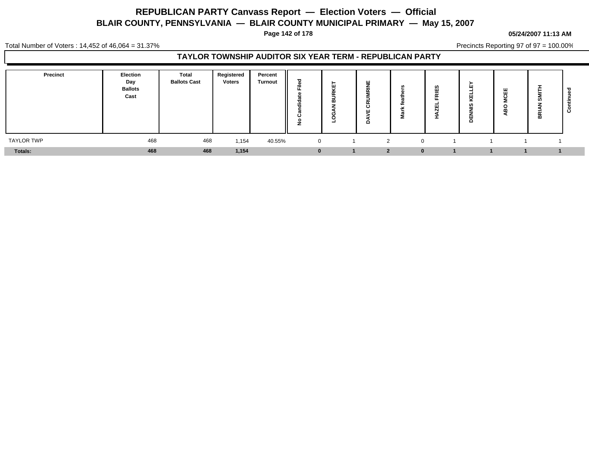**Page 142 of 178**

#### **05/24/2007 11:13 AM**

Total Number of Voters : 14,452 of 46,064 = 31.37%

Precincts Reporting 97 of 97 = 100.00%

### **TAYLOR TOWNSHIP AUDITOR SIX YEAR TERM - REPUBLICAN PARTY**

| <b>Precinct</b>   | Election<br>Day<br><b>Ballots</b><br>Cast | <b>Total</b><br><b>Ballots Cast</b> | Registered<br><b>Voters</b> | Percent<br><b>Turnout</b> | Ѣ<br>≈       | ш<br>$\overline{a}$ | ш<br>_<br>. .<br>$\overline{\phantom{a}}$<br>ပ<br>ш<br>o |              | <b>SC</b><br>- - | ш<br>ш<br>≂<br>cn,<br>품 | $\ddot{\phantom{1}}$ | ÷<br>ဖ<br>홂 | ల |
|-------------------|-------------------------------------------|-------------------------------------|-----------------------------|---------------------------|--------------|---------------------|----------------------------------------------------------|--------------|------------------|-------------------------|----------------------|-------------|---|
| <b>TAYLOR TWP</b> | 468                                       | 468                                 | 1,154                       | 40.55%                    | $\mathbf{0}$ |                     |                                                          |              |                  |                         |                      |             |   |
| Totals:           | 468                                       | 468                                 | 1,154                       |                           |              |                     | $\bullet$                                                | $\mathbf{0}$ |                  |                         |                      |             |   |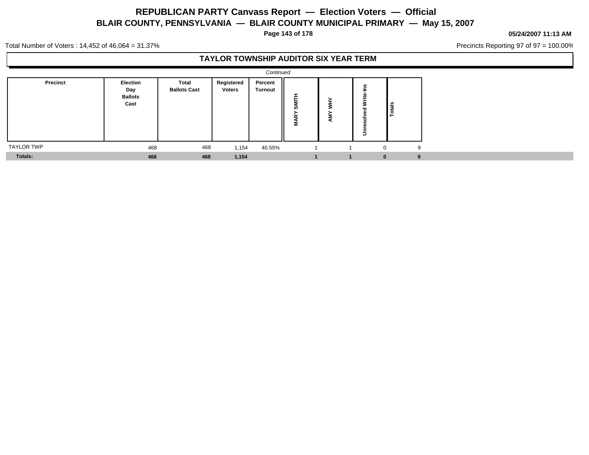**Page 143 of 178**

#### **05/24/2007 11:13 AM**

Precincts Reporting 97 of 97 = 100.00%

Total Number of Voters : 14,452 of 46,064 = 31.37%

### **TAYLOR TOWNSHIP AUDITOR SIX YEAR TERM**

|                   |                                           |                              |                             | Continued                 |                       |        |                          |     |  |
|-------------------|-------------------------------------------|------------------------------|-----------------------------|---------------------------|-----------------------|--------|--------------------------|-----|--|
| Precinct          | Election<br>Day<br><b>Ballots</b><br>Cast | Total<br><b>Ballots Cast</b> | Registered<br><b>Voters</b> | Percent<br><b>Turnout</b> | SMIT<br>$\alpha$<br>Σ | Σ<br>ਕ | $\overline{\phantom{a}}$ | ais |  |
| <b>TAYLOR TWP</b> | 468                                       | 468                          | 1,154                       | 40.55%                    |                       |        | $\Omega$                 | 9   |  |
| <b>Totals:</b>    | 468                                       | 468                          | 1,154                       |                           |                       |        | $\mathbf{0}$             | 9   |  |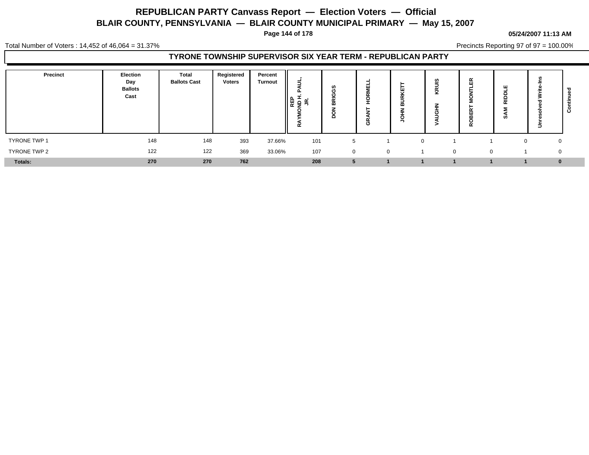**Page 144 of 178**

#### **05/24/2007 11:13 AM**

Total Number of Voters : 14,452 of 46,064 = 31.37%

Precincts Reporting 97 of 97 = 100.00%

### **TYRONE TOWNSHIP SUPERVISOR SIX YEAR TERM - REPUBLICAN PARTY**

| <b>Precinct</b> | Election<br>Day<br><b>Ballots</b><br>Cast | <b>Total</b><br><b>Ballots Cast</b> | Registered<br><b>Voters</b> | Percent<br><b>Turnout</b> | 5<br>Œ,<br>많을 보<br>α | n<br>$ -$<br>m | ш<br>$\sim$<br>O | ш<br><br>$\sim$<br>≃ | ທ<br>⊻   | 띥<br>ᆇ   | ш<br>읉<br>ທ | ∍           | $\mathbf c$ |
|-----------------|-------------------------------------------|-------------------------------------|-----------------------------|---------------------------|----------------------|----------------|------------------|----------------------|----------|----------|-------------|-------------|-------------|
| TYRONE TWP 1    | 148                                       | 148                                 | 393                         | 37.66%                    | 101                  |                |                  | $\Omega$             |          |          |             | 0           |             |
| TYRONE TWP 2    | 122                                       | 122                                 | 369                         | 33.06%                    | 107                  | $\mathbf{0}$   | $\mathbf 0$      |                      | $\Omega$ | $\Omega$ |             | $\mathbf 0$ |             |
| <b>Totals:</b>  | 270                                       | 270                                 | 762                         |                           | 208                  |                |                  |                      |          |          |             | $\bf{0}$    |             |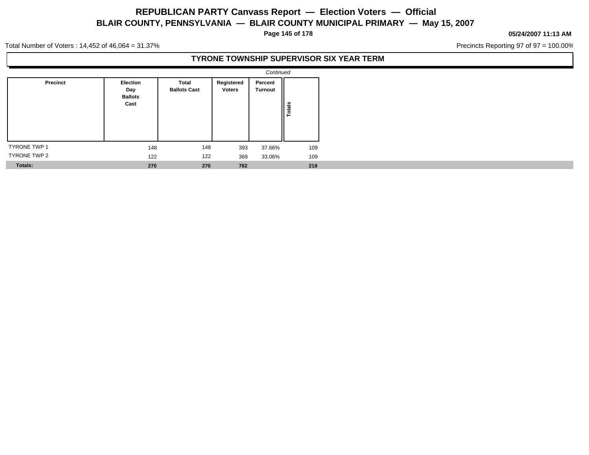**Page 145 of 178**

#### **05/24/2007 11:13 AM**

Precincts Reporting 97 of 97 = 100.00%

Total Number of Voters : 14,452 of 46,064 = 31.37%

### **TYRONE TOWNSHIP SUPERVISOR SIX YEAR TERM**

|                     |                                                  |                              |                             | Continued                 |        |
|---------------------|--------------------------------------------------|------------------------------|-----------------------------|---------------------------|--------|
| Precinct            | <b>Election</b><br>Day<br><b>Ballots</b><br>Cast | Total<br><b>Ballots Cast</b> | Registered<br><b>Voters</b> | Percent<br><b>Turnout</b> | Totals |
| <b>TYRONE TWP 1</b> | 148                                              | 148                          | 393                         | 37.66%                    | 109    |
| <b>TYRONE TWP 2</b> | 122                                              | 122                          | 369                         | 33.06%                    | 109    |
| <b>Totals:</b>      | 270                                              | 270                          | 762                         |                           | 218    |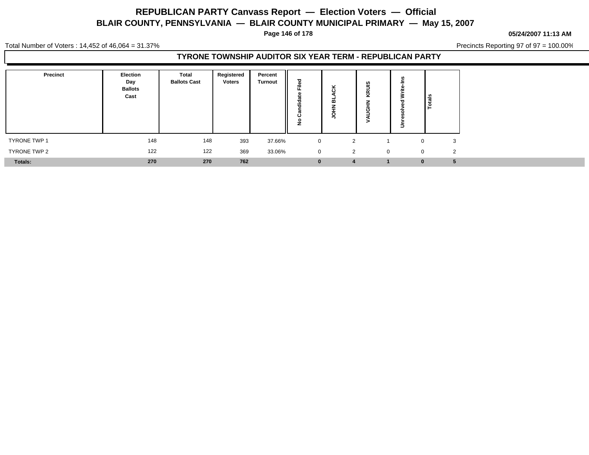**Page 146 of 178**

#### **05/24/2007 11:13 AM**

Total Number of Voters : 14,452 of 46,064 = 31.37%

Precincts Reporting 97 of 97 = 100.00%

### **TYRONE TOWNSHIP AUDITOR SIX YEAR TERM - REPUBLICAN PARTY**

| Precinct     | Election<br>Day<br><b>Ballots</b><br>Cast | Total<br><b>Ballots Cast</b> | Registered<br><b>Voters</b> | Percent<br><b>Turnout</b> | ≈<br><br>ပ<br>z | ×<br>$\cdot$<br>œ | ഇ<br>Ξ<br>ΚÑ. | Totals                     |
|--------------|-------------------------------------------|------------------------------|-----------------------------|---------------------------|-----------------|-------------------|---------------|----------------------------|
| TYRONE TWP 1 | 148                                       | 148                          | 393                         | 37.66%                    | $\mathbf 0$     | 2                 |               | 3                          |
| TYRONE TWP 2 | 122                                       | 122                          | 369                         | 33.06%                    | $\mathbf 0$     | 2                 | $\Omega$      | $\overline{2}$<br>$\Omega$ |
| Totals:      | 270                                       | 270                          | 762                         |                           | $\bf{0}$        |                   |               | 5<br>$\Omega$              |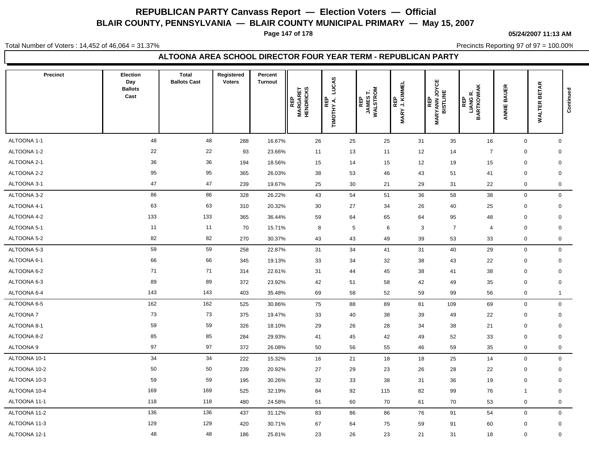**Page 147 of 178**

**05/24/2007 11:13 AM**

Total Number of Voters : 14,452 of 46,064 = 31.37%

Precincts Reporting 97 of 97 = 100.00%

### **ALTOONA AREA SCHOOL DIRECTOR FOUR YEAR TERM - REPUBLICAN PARTY**

| Precinct        | <b>Election</b><br>Day<br><b>Ballots</b><br>Cast | <b>Total</b><br><b>Ballots Cast</b> | Registered<br><b>Voters</b> | Percent<br><b>Turnout</b> | <b>MARGARET<br/>HENDRICKS</b><br>REP | LUCAS<br>TIMOTHY A. | REP<br>JAMEST.<br>WALSTROM | REP<br>'J.KIMMEL<br><b>MARY</b> | <b>MARYANN JOYCE<br/>BISTLINE</b><br>REP | <b>LIANG R.<br/>BARTKOWIAK</b><br><b>REP</b> | <b>BAUER</b><br>ANNIE | <b>WALTER BETAR</b> | Continued |
|-----------------|--------------------------------------------------|-------------------------------------|-----------------------------|---------------------------|--------------------------------------|---------------------|----------------------------|---------------------------------|------------------------------------------|----------------------------------------------|-----------------------|---------------------|-----------|
| ALTOONA 1-1     | 48                                               | 48                                  | 288                         | 16.67%                    | 26                                   | 25                  | 25                         | 31                              | 35                                       | 16                                           | $\mathbf 0$           | $\mathbf 0$         |           |
| ALTOONA 1-2     | 22                                               | 22                                  | 93                          | 23.66%                    | 11                                   | 13                  | 11                         | 12                              | 14                                       | $\overline{7}$                               | $\mathbf 0$           | $\mathbf 0$         |           |
| ALTOONA 2-1     | 36                                               | 36                                  | 194                         | 18.56%                    | 15                                   | 14                  | 15                         | 12                              | 19                                       | 15                                           | $\mathbf 0$           | $\mathbf 0$         |           |
| ALTOONA 2-2     | 95                                               | 95                                  | 365                         | 26.03%                    | 38                                   | 53                  | 46                         | 43                              | 51                                       | 41                                           | $\mathbf 0$           | $\mathbf 0$         |           |
| ALTOONA 3-1     | 47                                               | 47                                  | 239                         | 19.67%                    | 25                                   | 30                  | 21                         | 29                              | 31                                       | 22                                           | $\mathbf 0$           | $\mathbf 0$         |           |
| ALTOONA 3-2     | 86                                               | 86                                  | 328                         | 26.22%                    | 43                                   | 54                  | 51                         | 36                              | 58                                       | 38                                           | $\mathsf 0$           | $\mathbf 0$         |           |
| ALTOONA 4-1     | 63                                               | 63                                  | 310                         | 20.32%                    | 30                                   | 27                  | 34                         | 26                              | 40                                       | 25                                           | $\mathbf 0$           | $\mathbf 0$         |           |
| ALTOONA 4-2     | 133                                              | 133                                 | 365                         | 36.44%                    | 59                                   | 64                  | 65                         | 64                              | 95                                       | 48                                           | $\mathbf 0$           | $\mathbf 0$         |           |
| ALTOONA 5-1     | 11                                               | 11                                  | 70                          | 15.71%                    | 8                                    |                     | 5<br>6                     | 3                               | $\overline{7}$                           | $\overline{4}$                               | $\mathbf 0$           | $\mathbf 0$         |           |
| ALTOONA 5-2     | 82                                               | 82                                  | 270                         | 30.37%                    | 43                                   | 43                  | 49                         | 39                              | 53                                       | 33                                           | $\mathsf{O}\xspace$   | $\mathbf 0$         |           |
| ALTOONA 5-3     | 59                                               | 59                                  | 258                         | 22.87%                    | 31                                   | 34                  | 41                         | 31                              | 40                                       | 29                                           | $\mathsf 0$           | $\mathbf 0$         |           |
| ALTOONA 6-1     | 66                                               | 66                                  | 345                         | 19.13%                    | 33                                   | 34                  | 32                         | 38                              | 43                                       | 22                                           | $\mathbf 0$           | $\mathbf 0$         |           |
| ALTOONA 6-2     | 71                                               | 71                                  | 314                         | 22.61%                    | 31                                   | 44                  | 45                         | 38                              | 41                                       | 38                                           | $\mathbf 0$           | $\mathbf 0$         |           |
| ALTOONA 6-3     | 89                                               | 89                                  | 372                         | 23.92%                    | 42                                   | 51                  | 58                         | 42                              | 49                                       | 35                                           | $\mathbf 0$           | $\mathbf 0$         |           |
| ALTOONA 6-4     | 143                                              | 143                                 | 403                         | 35.48%                    | 69                                   | 58                  | 52                         | 59                              | 99                                       | 56                                           | 0                     | $\mathbf 1$         |           |
| ALTOONA 6-5     | 162                                              | 162                                 | 525                         | 30.86%                    | 75                                   | 88                  | 89                         | 81                              | 109                                      | 69                                           | $\mathbf 0$           | $\mathbf 0$         |           |
| <b>ALTOONA7</b> | 73                                               | 73                                  | 375                         | 19.47%                    | 33                                   | 40                  | 38                         | 39                              | 49                                       | 22                                           | $\mathbf 0$           | $\mathbf 0$         |           |
| ALTOONA 8-1     | 59                                               | 59                                  | 326                         | 18.10%                    | 29                                   | 26                  | 28                         | 34                              | 38                                       | 21                                           | $\mathbf 0$           | $\mathbf 0$         |           |
| ALTOONA 8-2     | 85                                               | 85                                  | 284                         | 29.93%                    | 41                                   | 45                  | 42                         | 49                              | 52                                       | 33                                           | $\mathbf 0$           | $\mathbf 0$         |           |
| ALTOONA 9       | 97                                               | 97                                  | 372                         | 26.08%                    | 50                                   | 56                  | 55                         | 46                              | 59                                       | 35                                           | $\boldsymbol{0}$      | 0                   |           |
| ALTOONA 10-1    | 34                                               | 34                                  | 222                         | 15.32%                    | 16                                   | 21                  | 18                         | 18                              | 25                                       | 14                                           | $\mathbf 0$           | 0                   |           |
| ALTOONA 10-2    | 50                                               | 50                                  | 239                         | 20.92%                    | 27                                   | 29                  | 23                         | 26                              | 28                                       | 22                                           | $\mathbf 0$           | $\mathbf 0$         |           |
| ALTOONA 10-3    | 59                                               | 59                                  | 195                         | 30.26%                    | 32                                   | 33                  | 38                         | 31                              | 36                                       | 19                                           | $\mathbf 0$           | $\mathbf 0$         |           |
| ALTOONA 10-4    | 169                                              | 169                                 | 525                         | 32.19%                    | 84                                   | 92                  | 115                        | 82                              | 99                                       | 76                                           | $\mathbf 1$           | $\mathbf 0$         |           |
| ALTOONA 11-1    | 118                                              | 118                                 | 480                         | 24.58%                    | 51                                   | 60                  | 70                         | 61                              | 70                                       | 53                                           | $\boldsymbol{0}$      | $\mathbf 0$         |           |
| ALTOONA 11-2    | 136                                              | 136                                 | 437                         | 31.12%                    | 83                                   | 86                  | 86                         | 76                              | 91                                       | 54                                           | $\mathbf 0$           | $\mathbf 0$         |           |
| ALTOONA 11-3    | 129                                              | 129                                 | 420                         | 30.71%                    | 67                                   | 64                  | 75                         | 59                              | 91                                       | 60                                           | $\mathbf 0$           | $\mathbf 0$         |           |
| ALTOONA 12-1    | 48                                               | 48                                  | 186                         | 25.81%                    | 23                                   | 26                  | 23                         | 21                              | 31                                       | 18                                           | $\mathbf 0$           | $\mathbf 0$         |           |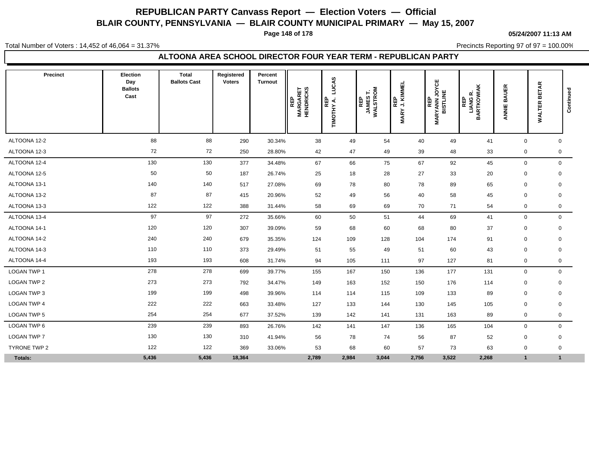**Page 148 of 178**

**05/24/2007 11:13 AM**

Total Number of Voters : 14,452 of 46,064 = 31.37%

Precincts Reporting 97 of 97 = 100.00%

### **ALTOONA AREA SCHOOL DIRECTOR FOUR YEAR TERM - REPUBLICAN PARTY**

| Precinct           | Election<br>Day<br><b>Ballots</b><br>Cast | <b>Total</b><br><b>Ballots Cast</b> | Registered<br><b>Voters</b> | Percent<br><b>Turnout</b> | <b>MARGARET<br/>HENDRICKS</b><br><b>REP</b> | LUCAS<br>REP<br>TIMOTHY A. | WALSTROM<br>F<br><b>REP</b><br>JAMES | REP<br>J. KIMMEL<br><b>MARY</b> | ٣<br><b>MARYANN JOY<br/>BISTLINE</b><br>REP | <b>LIANG R.<br/>BARTKOWIAK</b><br>定 | <b>BAUER</b><br>ANNIE | <b>BETAR</b><br><b>WALTER</b> | Continued |
|--------------------|-------------------------------------------|-------------------------------------|-----------------------------|---------------------------|---------------------------------------------|----------------------------|--------------------------------------|---------------------------------|---------------------------------------------|-------------------------------------|-----------------------|-------------------------------|-----------|
| ALTOONA 12-2       | 88                                        | 88                                  | 290                         | 30.34%                    | 38                                          | 49                         | 54                                   | 40                              | 49                                          | 41                                  | $\mathbf 0$           | $\mathbf 0$                   |           |
| ALTOONA 12-3       | 72                                        | 72                                  | 250                         | 28.80%                    | 42                                          | 47                         | 49                                   | 39                              | 48                                          | 33                                  | $\mathbf 0$           | 0                             |           |
| ALTOONA 12-4       | 130                                       | 130                                 | 377                         | 34.48%                    | 67                                          | 66                         | 75                                   | 67                              | 92                                          | 45                                  | $\mathbf 0$           | $\mathbf 0$                   |           |
| ALTOONA 12-5       | 50                                        | 50                                  | 187                         | 26.74%                    | 25                                          | 18                         | 28                                   | 27                              | 33                                          | 20                                  | $\pmb{0}$             | $\mathbf 0$                   |           |
| ALTOONA 13-1       | 140                                       | 140                                 | 517                         | 27.08%                    | 69                                          | 78                         | 80                                   | 78                              | 89                                          | 65                                  | $\mathbf 0$           | $\mathbf 0$                   |           |
| ALTOONA 13-2       | 87                                        | 87                                  | 415                         | 20.96%                    | 52                                          | 49                         | 56                                   | 40                              | 58                                          | 45                                  | $\mathbf 0$           | $\mathbf 0$                   |           |
| ALTOONA 13-3       | 122                                       | 122                                 | 388                         | 31.44%                    | 58                                          | 69                         | 69                                   | 70                              | 71                                          | 54                                  | $\mathbf 0$           | 0                             |           |
| ALTOONA 13-4       | 97                                        | 97                                  | 272                         | 35.66%                    | 60                                          | 50                         | 51                                   | 44                              | 69                                          | 41                                  | $\mathbf 0$           | $\mathbf 0$                   |           |
| ALTOONA 14-1       | 120                                       | 120                                 | 307                         | 39.09%                    | 59                                          | 68                         | 60                                   | 68                              | 80                                          | 37                                  | $\mathbf 0$           | $\mathbf 0$                   |           |
| ALTOONA 14-2       | 240                                       | 240                                 | 679                         | 35.35%                    | 124                                         | 109                        | 128                                  | 104                             | 174                                         | 91                                  | $\mathbf 0$           | $\mathbf 0$                   |           |
| ALTOONA 14-3       | 110                                       | 110                                 | 373                         | 29.49%                    | 51                                          | 55                         | 49                                   | 51                              | 60                                          | 43                                  | $\mathbf 0$           | $\mathbf 0$                   |           |
| ALTOONA 14-4       | 193                                       | 193                                 | 608                         | 31.74%                    | 94                                          | 105                        | 111                                  | 97                              | 127                                         | 81                                  | 0                     | $\mathbf 0$                   |           |
| <b>LOGAN TWP 1</b> | 278                                       | 278                                 | 699                         | 39.77%                    | 155                                         | 167                        | 150                                  | 136                             | 177                                         | 131                                 | $\mathbf 0$           | $\mathbf 0$                   |           |
| LOGAN TWP 2        | 273                                       | 273                                 | 792                         | 34.47%                    | 149                                         | 163                        | 152                                  | 150                             | 176                                         | 114                                 | $\mathbf 0$           | $\mathbf 0$                   |           |
| LOGAN TWP 3        | 199                                       | 199                                 | 498                         | 39.96%                    | 114                                         | 114                        | 115                                  | 109                             | 133                                         | 89                                  | 0                     | $\mathbf 0$                   |           |
| <b>LOGAN TWP 4</b> | 222                                       | 222                                 | 663                         | 33.48%                    | 127                                         | 133                        | 144                                  | 130                             | 145                                         | 105                                 | $\mathbf 0$           | $\mathbf 0$                   |           |
| LOGAN TWP 5        | 254                                       | 254                                 | 677                         | 37.52%                    | 139                                         | 142                        | 141                                  | 131                             | 163                                         | 89                                  | 0                     | 0                             |           |
| LOGAN TWP 6        | 239                                       | 239                                 | 893                         | 26.76%                    | 142                                         | 141                        | 147                                  | 136                             | 165                                         | 104                                 | $\mathbf 0$           | $\mathbf 0$                   |           |
| LOGAN TWP 7        | 130                                       | 130                                 | 310                         | 41.94%                    | 56                                          | 78                         | 74                                   | 56                              | 87                                          | 52                                  | $\mathbf 0$           | $\mathbf 0$                   |           |
| TYRONE TWP 2       | 122                                       | 122                                 | 369                         | 33.06%                    | 53                                          | 68                         | 60                                   | 57                              | 73                                          | 63                                  | 0                     | $\mathbf 0$                   |           |
| Totals:            | 5,436                                     | 5,436                               | 18,364                      |                           | 2,789                                       | 2,984                      | 3,044                                | 2,756                           | 3,522                                       | 2,268                               | $\mathbf{1}$          | $\mathbf{1}$                  |           |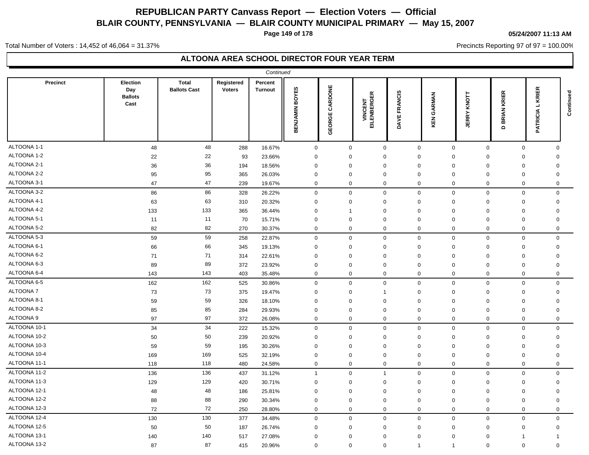**Page 149 of 178**

#### **05/24/2007 11:13 AM**

Precincts Reporting 97 of 97 = 100.00%

Total Number of Voters : 14,452 of 46,064 = 31.37%

|                 |                                           |                                     |                             | Continued                 |                          |                   |                                |                        |                     |                            |                                           |                                  |           |
|-----------------|-------------------------------------------|-------------------------------------|-----------------------------|---------------------------|--------------------------|-------------------|--------------------------------|------------------------|---------------------|----------------------------|-------------------------------------------|----------------------------------|-----------|
| <b>Precinct</b> | Election<br>Day<br><b>Ballots</b><br>Cast | <b>Total</b><br><b>Ballots Cast</b> | Registered<br><b>Voters</b> | Percent<br><b>Turnout</b> | <b>BOYES</b><br>BENJAMIN | CARDONE<br>GEORGE | <b>VINCENT<br/>EILENBERGER</b> | <b>FRANCIS</b><br>DAVE | RMAN<br>శ<br>즶<br>⊻ | KNOTT<br><b>JERRY</b>      | KRIER<br><b>BRIAN</b><br>$\mathbf \Omega$ | 띥<br>KRI<br>┙<br><b>PATRICIA</b> | Continued |
| ALTOONA 1-1     | 48                                        | 48                                  | 288                         | 16.67%                    | $\mathsf 0$              | $\mathbf 0$       | $\mathbf 0$                    | $\mathsf 0$            |                     | $\mathsf 0$<br>$\mathbf 0$ | $\mathsf 0$                               | $\mathbf 0$                      |           |
| ALTOONA 1-2     | 22                                        | 22                                  | 93                          | 23.66%                    | $\mathbf 0$              | 0                 | 0                              | $\mathbf 0$            | 0                   | 0                          | 0                                         | 0                                |           |
| ALTOONA 2-1     | 36                                        | 36                                  | 194                         | 18.56%                    | $\mathbf 0$              | $\mathbf 0$       | $\mathbf 0$                    | $\mathbf 0$            | $\Omega$            | $\mathbf 0$                | $\mathbf 0$                               | 0                                |           |
| ALTOONA 2-2     | 95                                        | 95                                  | 365                         | 26.03%                    | $\mathbf 0$              | $\mathbf 0$       | $\mathbf 0$                    | $\mathbf 0$            | $\mathbf 0$         | $\mathbf 0$                | $\mathbf 0$                               | $\mathbf 0$                      |           |
| ALTOONA 3-1     | 47                                        | 47                                  | 239                         | 19.67%                    | $\mathbf 0$              | $\mathbf 0$       | $\mathbf 0$                    | $\mathbf 0$            | $\mathbf 0$         | $\mathbf 0$                | $\mathbf 0$                               | $\mathbf 0$                      |           |
| ALTOONA 3-2     | 86                                        | 86                                  | 328                         | 26.22%                    | $\boldsymbol{0}$         | $\mathbf 0$       | $\mathbf 0$                    | $\mathbf 0$            | $\mathbf 0$         | $\mathbf 0$                | $\mathbf 0$                               | $\mathbf 0$                      |           |
| ALTOONA 4-1     | 63                                        | 63                                  | 310                         | 20.32%                    | $\mathbf 0$              | $\mathbf 0$       | $\mathbf 0$                    | $\mathbf 0$            | 0                   | $\mathbf 0$                | $\mathbf 0$                               | $\mathbf 0$                      |           |
| ALTOONA 4-2     | 133                                       | 133                                 | 365                         | 36.44%                    | $\mathbf 0$              | $\mathbf{1}$      | $\mathbf 0$                    | $\mathbf 0$            | $\mathbf 0$         | $\mathbf 0$                | $\mathbf 0$                               | $\mathbf 0$                      |           |
| ALTOONA 5-1     | 11                                        | 11                                  | 70                          | 15.71%                    | $\mathbf 0$              | $\mathbf 0$       | $\mathbf 0$                    | $\mathbf 0$            | $\mathbf 0$         | $\mathbf 0$                | $\mathbf 0$                               | $\mathbf 0$                      |           |
| ALTOONA 5-2     | 82                                        | 82                                  | 270                         | 30.37%                    | $\mathbf 0$              | $\mathbf 0$       | $\mathbf 0$                    | $\mathbf 0$            | $\mathbf 0$         | $\mathbf 0$                | $\mathbf 0$                               | $\mathbf 0$                      |           |
| ALTOONA 5-3     | 59                                        | 59                                  | 258                         | 22.87%                    | $\mathsf 0$              | $\mathbf 0$       | $\mathbf 0$                    | $\mathbf 0$            | $\mathbf 0$         | $\mathbf 0$                | $\mathbf 0$                               | $\mathbf 0$                      |           |
| ALTOONA 6-1     | 66                                        | 66                                  | 345                         | 19.13%                    | $\mathbf 0$              | $\Omega$          | $\Omega$                       | $\mathbf 0$            | $\Omega$            | $\Omega$                   | $\mathbf 0$                               | 0                                |           |
| ALTOONA 6-2     | 71                                        | 71                                  | 314                         | 22.61%                    | $\mathbf 0$              | $\mathbf 0$       | $\Omega$                       | $\mathbf 0$            | $\mathbf 0$         | $\mathbf 0$                | $\mathbf 0$                               | $\Omega$                         |           |
| ALTOONA 6-3     | 89                                        | 89                                  | 372                         | 23.92%                    | $\mathbf 0$              | $\mathbf 0$       | $\mathbf 0$                    | $\mathbf 0$            | $\mathbf 0$         | $\mathbf 0$                | $\mathbf 0$                               | 0                                |           |
| ALTOONA 6-4     | 143                                       | 143                                 | 403                         | 35.48%                    | $\mathbf 0$              | $\mathbf 0$       | $\mathbf 0$                    | $\mathbf 0$            | $\mathbf 0$         | $\mathbf 0$                | $\mathbf 0$                               | $\Omega$                         |           |
| ALTOONA 6-5     | 162                                       | 162                                 | 525                         | 30.86%                    | $\mathsf 0$              | $\mathbf 0$       | $\mathbf 0$                    | $\mathbf 0$            | $\mathbf 0$         | $\mathbf 0$                | $\mathsf 0$                               | $\mathbf 0$                      |           |
| ALTOONA 7       | 73                                        | 73                                  | 375                         | 19.47%                    | $\mathbf 0$              | 0                 | $\mathbf{1}$                   | $\mathbf 0$            | $\mathbf 0$         | $\mathbf 0$                | $\mathbf 0$                               | $\mathbf 0$                      |           |
| ALTOONA 8-1     | 59                                        | 59                                  | 326                         | 18.10%                    | 0                        | $\Omega$          | $\Omega$                       | $\mathbf 0$            | $\Omega$            | 0                          | 0                                         | $\Omega$                         |           |
| ALTOONA 8-2     | 85                                        | 85                                  | 284                         | 29.93%                    | 0                        | 0                 | 0                              | $\mathbf 0$            | 0                   | 0                          | $\mathbf 0$                               | 0                                |           |
| ALTOONA 9       | 97                                        | 97                                  | 372                         | 26.08%                    | $\mathbf 0$              | $\mathbf 0$       | $\mathbf 0$                    | $\mathbf 0$            | $\mathbf 0$         | $\mathbf 0$                | $\mathbf 0$                               | $\mathbf 0$                      |           |
| ALTOONA 10-1    | 34                                        | 34                                  | 222                         | 15.32%                    | $\mathbf 0$              | $\mathbf 0$       | $\mathbf 0$                    | $\Omega$               | $\mathbf 0$         | $\mathbf 0$                | $\mathbf 0$                               | $\mathbf 0$                      |           |
| ALTOONA 10-2    | 50                                        | 50                                  | 239                         | 20.92%                    | $\mathbf 0$              | $\mathbf 0$       | $\mathbf 0$                    | $\mathbf 0$            | $\mathbf 0$         | $\mathbf 0$                | $\mathbf 0$                               | $\mathbf 0$                      |           |
| ALTOONA 10-3    | 59                                        | 59                                  | 195                         | 30.26%                    | $\mathbf 0$              | $\mathbf 0$       | $\mathbf 0$                    | $\mathbf 0$            | $\mathbf 0$         | 0                          | $\mathbf 0$                               | $\mathbf 0$                      |           |
| ALTOONA 10-4    | 169                                       | 169                                 | 525                         | 32.19%                    | $\mathbf 0$              | $\Omega$          | $\mathbf 0$                    | $\Omega$               | $\mathbf 0$         | $\mathbf 0$                | $\mathbf 0$                               | 0                                |           |
| ALTOONA 11-1    | 118                                       | 118                                 | 480                         | 24.58%                    | $\mathbf 0$              | $\mathbf 0$       | $\mathbf 0$                    | $\mathbf 0$            | $\mathbf 0$         | $\mathbf 0$                | $\mathbf 0$                               | 0                                |           |
| ALTOONA 11-2    | 136                                       | 136                                 | 437                         | 31.12%                    | $\overline{1}$           | $\mathbf 0$       | $\mathbf{1}$                   | $\mathbf 0$            | $\mathbf 0$         | $\mathbf 0$                | $\mathsf 0$                               | $\mathbf 0$                      |           |
| ALTOONA 11-3    | 129                                       | 129                                 | 420                         | 30.71%                    | $\mathbf 0$              | $\mathbf 0$       | $\mathbf 0$                    | $\mathbf 0$            | $\mathbf 0$         | $\mathbf 0$                | $\mathbf 0$                               | $\mathbf 0$                      |           |
| ALTOONA 12-1    | 48                                        | 48                                  | 186                         | 25.81%                    | $\mathbf 0$              | $\Omega$          | $\Omega$                       | $\mathbf 0$            | $\mathbf 0$         | $\Omega$                   | $\mathbf 0$                               | $\overline{0}$                   |           |
| ALTOONA 12-2    | 88                                        | 88                                  | 290                         | 30.34%                    | $\mathbf 0$              | $\mathbf 0$       | $\mathbf 0$                    | $\mathbf 0$            | $\mathbf 0$         | $\mathbf 0$                | $\mathbf 0$                               | $\mathbf 0$                      |           |
| ALTOONA 12-3    | 72                                        | 72                                  | 250                         | 28.80%                    | $\mathbf 0$              | $\mathbf 0$       | $\mathbf 0$                    | $\mathbf 0$            | $\mathbf 0$         | $\mathbf 0$                | $\mathbf 0$                               | $\mathbf 0$                      |           |
| ALTOONA 12-4    | 130                                       | 130                                 | 377                         | 34.48%                    | $\mathbf 0$              | $\mathbf 0$       | $\mathbf 0$                    | $\mathbf 0$            | $\mathbf 0$         | $\mathbf 0$                | $\mathbf 0$                               | $\Omega$                         |           |
| ALTOONA 12-5    | 50                                        | 50                                  | 187                         | 26.74%                    | $\Omega$                 | $\Omega$          | $\Omega$                       | $\mathbf 0$            | $\Omega$            | $\mathbf 0$                | $\mathbf 0$                               | $\mathbf 0$                      |           |
| ALTOONA 13-1    | 140                                       | 140                                 | 517                         | 27.08%                    | $\Omega$                 | $\Omega$          | $\Omega$                       | $\Omega$               | $\Omega$            | $\Omega$                   | $\overline{1}$                            | $\mathbf 1$                      |           |
| ALTOONA 13-2    | 87                                        | 87                                  | 415                         | 20.96%                    | $\Omega$                 | $\mathbf 0$       | $\mathbf 0$                    | $\overline{1}$         | $\mathbf{1}$        | $\mathbf 0$                | $\mathbf 0$                               | $\Omega$                         |           |
|                 |                                           |                                     |                             |                           |                          |                   |                                |                        |                     |                            |                                           |                                  |           |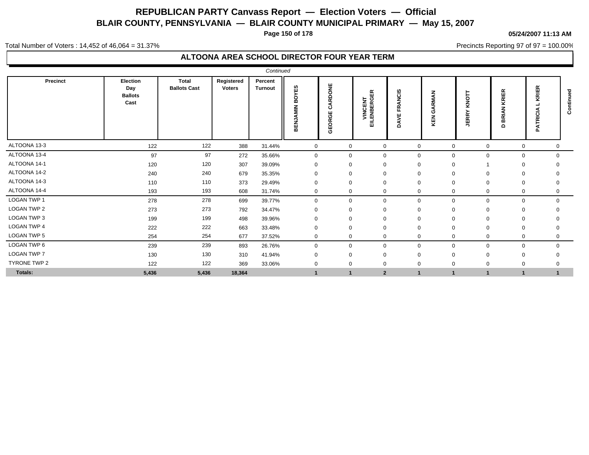**Page 150 of 178**

#### **05/24/2007 11:13 AM**

Precincts Reporting 97 of 97 = 100.00%

Total Number of Voters : 14,452 of 46,064 = 31.37%

|                    |                                           |                              |                             | Continued                 |                       |                           |                                |                                            |                             |                             |                                |                                                |                  |
|--------------------|-------------------------------------------|------------------------------|-----------------------------|---------------------------|-----------------------|---------------------------|--------------------------------|--------------------------------------------|-----------------------------|-----------------------------|--------------------------------|------------------------------------------------|------------------|
| Precinct           | Election<br>Day<br><b>Ballots</b><br>Cast | Total<br><b>Ballots Cast</b> | Registered<br><b>Voters</b> | Percent<br><b>Turnout</b> | OYES<br>m<br>BENJAMIN | ARDONE<br>ت<br>Ш<br>GEORG | <b>VINCENT<br/>EILENBERGER</b> | <b>NCIS</b><br>◀<br>œ<br>щ<br>¥.<br>∢<br>ó | z<br><b>RMA</b><br>O<br>KEN | KNOT<br><b>JERRY</b>        | KRIER<br>z<br>BRIA<br>$\Omega$ | œ<br>面<br>$\sim$<br>$\epsilon$<br>ē<br>হ<br>o. | ᇃ<br>꾿<br>ᅙ<br>ن |
| ALTOONA 13-3       | 122                                       | 122                          | 388                         | 31.44%                    | $\mathbf 0$           | 0                         | $\mathbf{0}$                   |                                            | 0                           | $\mathbf 0$<br>0            | $\mathbf 0$                    | 0                                              |                  |
| ALTOONA 13-4       | 97                                        | 97                           | 272                         | 35.66%                    | $\mathbf 0$           | $\mathbf 0$               | $\Omega$                       |                                            | 0                           | $\mathbf 0$<br>0            | $\mathbf 0$                    |                                                | $\mathbf 0$      |
| ALTOONA 14-1       | 120                                       | 120                          | 307                         | 39.09%                    | 0                     | $\Omega$                  | $\Omega$                       | $\Omega$                                   |                             | $\Omega$                    | $\mathbf{0}$                   | $\Omega$                                       |                  |
| ALTOONA 14-2       | 240                                       | 240                          | 679                         | 35.35%                    | $\mathbf{0}$          | $\Omega$                  | $\Omega$                       | $\Omega$                                   |                             | $\Omega$<br>$\Omega$        | $\Omega$                       |                                                |                  |
| ALTOONA 14-3       | 110                                       | 110                          | 373                         | 29.49%                    | 0                     | $\Omega$                  | $\Omega$                       | $\Omega$                                   |                             | $\Omega$<br>$\mathbf 0$     | $\mathbf 0$                    | $\mathbf 0$                                    |                  |
| ALTOONA 14-4       | 193                                       | 193                          | 608                         | 31.74%                    | $\mathbf 0$           | 0                         | $\Omega$                       | $\mathbf 0$                                |                             | $\mathbf 0$<br>0            | $\mathbf 0$                    | 0                                              |                  |
| <b>LOGAN TWP 1</b> | 278                                       | 278                          | 699                         | 39.77%                    | $\mathbf 0$           | $\mathbf 0$               | $\Omega$                       | $\Omega$                                   |                             | $\mathbf 0$<br>$\mathbf 0$  | $\mathbf 0$                    |                                                | $\mathbf 0$      |
| <b>LOGAN TWP 2</b> | 273                                       | 273                          | 792                         | 34.47%                    | $\Omega$              | $\Omega$                  | $\Omega$                       | $\Omega$                                   |                             | $\Omega$<br>$\Omega$        | $\mathbf 0$                    |                                                |                  |
| LOGAN TWP 3        | 199                                       | 199                          | 498                         | 39.96%                    | 0                     | 0                         |                                | $\Omega$                                   |                             | $\mathbf 0$<br>$\mathbf 0$  | 0                              |                                                |                  |
| LOGAN TWP 4        | 222                                       | 222                          | 663                         | 33.48%                    | 0                     | $\Omega$                  | $\Omega$                       | 0                                          |                             | $\Omega$<br>$\mathbf 0$     | $\overline{0}$                 | $\mathbf 0$                                    |                  |
| LOGAN TWP 5        | 254                                       | 254                          | 677                         | 37.52%                    | $\mathbf 0$           | 0                         | 0                              |                                            | $\mathbf 0$                 | $\mathbf 0$<br>$\mathbf 0$  | 0                              |                                                | 0                |
| LOGAN TWP 6        | 239                                       | 239                          | 893                         | 26.76%                    | $\mathbf 0$           | $\mathbf 0$               | $\Omega$                       | $\mathbf 0$                                |                             | $\mathbf 0$<br>$\mathbf{0}$ | $\mathbf{0}$                   | $\mathbf 0$                                    |                  |
| <b>LOGAN TWP 7</b> | 130                                       | 130                          | 310                         | 41.94%                    |                       | $\Omega$                  |                                |                                            | $\Omega$                    | $\mathbf 0$                 | $\Omega$                       |                                                |                  |
| TYRONE TWP 2       | 122                                       | 122                          | 369                         | 33.06%                    | $\Omega$              | $\Omega$                  | $\Omega$                       | 0                                          |                             | $\mathbf 0$<br>0            | $\overline{0}$                 |                                                |                  |
| Totals:            | 5,436                                     | 5,436                        | 18,364                      |                           |                       |                           | $\overline{2}$                 |                                            | $\blacktriangleleft$        |                             | $\mathbf{1}$                   |                                                |                  |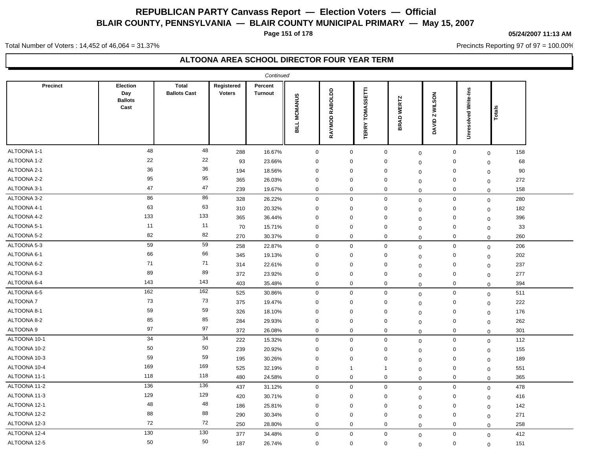**Page 151 of 178**

#### **05/24/2007 11:13 AM**

Precincts Reporting 97 of 97 = 100.00%

Total Number of Voters : 14,452 of 46,064 = 31.37%

|                  |                                           |                                     |                             | Continued                 |                     |                          |                                  |                      |                    |                             |             |     |
|------------------|-------------------------------------------|-------------------------------------|-----------------------------|---------------------------|---------------------|--------------------------|----------------------------------|----------------------|--------------------|-----------------------------|-------------|-----|
| <b>Precinct</b>  | Election<br>Day<br><b>Ballots</b><br>Cast | <b>Total</b><br><b>Ballots Cast</b> | Registered<br><b>Voters</b> | Percent<br><b>Turnout</b> | <b>BILL MCMANUS</b> | RABOLDD<br><b>RAYMOD</b> | <b>TOMASSETTI</b><br><b>ERRY</b> | <b>WERTZ</b><br>BRAD | Z WILSON<br>DAVID. | <b>Unresolved Write-Ins</b> | Totals      |     |
| ALTOONA 1-1      | 48                                        | 48                                  | 288                         | 16.67%                    | $\mathbf 0$         | $\boldsymbol{0}$         |                                  | $\mathbf 0$          | $\boldsymbol{0}$   | 0                           | $\mathbf 0$ | 158 |
| ALTOONA 1-2      | 22                                        | 22                                  | 93                          | 23.66%                    | $\mathbf 0$         | $\mathbf 0$              |                                  | 0                    | $\mathbf 0$        | 0                           | $\mathbf 0$ | 68  |
| ALTOONA 2-1      | 36                                        | 36                                  | 194                         | 18.56%                    | $\mathbf 0$         | $\mathbf 0$              |                                  | $\mathbf 0$          | $\mathbf 0$        | $\mathbf 0$                 | $\mathbf 0$ | 90  |
| ALTOONA 2-2      | 95                                        | 95                                  | 365                         | 26.03%                    | $\mathbf 0$         | $\mathbf 0$              |                                  | $\mathbf 0$          | $\mathbf 0$        | $\mathbf 0$                 | $\mathbf 0$ | 272 |
| ALTOONA 3-1      | 47                                        | 47                                  | 239                         | 19.67%                    | $\mathbf 0$         | $\mathbf 0$              |                                  | $\mathbf 0$          | $\mathbf 0$        | $\mathbf 0$                 | $\mathbf 0$ | 158 |
| ALTOONA 3-2      | 86                                        | 86                                  | 328                         | 26.22%                    | $\mathbf 0$         | $\mathbf 0$              |                                  | $\mathbf 0$          | $\mathbf 0$        | $\mathbf 0$                 | $\mathbf 0$ | 280 |
| ALTOONA 4-1      | 63                                        | 63                                  | 310                         | 20.32%                    | $\mathbf 0$         | $\mathbf 0$              |                                  | 0                    | $\mathbf{0}$       | 0                           | $\mathbf 0$ | 182 |
| ALTOONA 4-2      | 133                                       | 133                                 | 365                         | 36.44%                    | $\mathbf 0$         | $\mathbf 0$              |                                  | 0                    | $\mathbf 0$        | 0                           | $\mathbf 0$ | 396 |
| ALTOONA 5-1      | 11                                        | 11                                  | 70                          | 15.71%                    | $\mathbf 0$         | $\mathbf 0$              |                                  | $\mathbf 0$          | 0                  | 0                           | $\mathbf 0$ | 33  |
| ALTOONA 5-2      | 82                                        | 82                                  | 270                         | 30.37%                    | $\mathbf 0$         | $\mathbf 0$              |                                  | $\mathbf 0$          | $\mathbf 0$        | 0                           | $\mathbf 0$ | 260 |
| ALTOONA 5-3      | 59                                        | 59                                  | 258                         | 22.87%                    | $\mathbf 0$         | $\mathbf 0$              |                                  | $\mathbf 0$          | $\mathbf 0$        | 0                           | $\mathbf 0$ | 206 |
| ALTOONA 6-1      | 66                                        | 66                                  | 345                         | 19.13%                    | $\mathbf 0$         | $\mathbf 0$              |                                  | 0                    | $\mathbf 0$        | 0                           | $\Omega$    | 202 |
| ALTOONA 6-2      | 71                                        | 71                                  | 314                         | 22.61%                    | $\mathbf 0$         | $\mathbf 0$              |                                  | 0                    | $\mathbf 0$        | 0                           | $\mathbf 0$ | 237 |
| ALTOONA 6-3      | 89                                        | 89                                  | 372                         | 23.92%                    | $\mathbf 0$         | $\mathbf 0$              |                                  | $\mathbf 0$          | $\mathbf 0$        | 0                           | $\mathbf 0$ | 277 |
| ALTOONA 6-4      | 143                                       | 143                                 | 403                         | 35.48%                    | $\mathbf 0$         | $\mathbf 0$              |                                  | 0                    | $\mathbf 0$        | $\mathbf 0$                 | $\mathbf 0$ | 394 |
| ALTOONA 6-5      | 162                                       | 162                                 | 525                         | 30.86%                    | $\mathsf{O}\xspace$ | $\mathbf 0$              |                                  | $\mathbf 0$          | $\boldsymbol{0}$   | $\mathsf{O}\xspace$         | $\mathbf 0$ | 511 |
| <b>ALTOONA 7</b> | 73                                        | 73                                  | 375                         | 19.47%                    | $\mathbf 0$         | $\mathbf 0$              |                                  | $\mathbf 0$          | $\mathbf 0$        | $\mathbf 0$                 | $\mathbf 0$ | 222 |
| ALTOONA 8-1      | 59                                        | 59                                  | 326                         | 18.10%                    | $\mathbf 0$         | $\mathbf 0$              |                                  | $\mathbf 0$          | $\mathbf 0$        | $\mathbf 0$                 | $\mathbf 0$ | 176 |
| ALTOONA 8-2      | 85                                        | 85                                  | 284                         | 29.93%                    | $\mathbf 0$         | $\mathbf 0$              |                                  | $\mathbf 0$          | $\mathbf 0$        | $\mathbf 0$                 | $\mathbf 0$ | 262 |
| ALTOONA 9        | 97                                        | 97                                  | 372                         | 26.08%                    | $\mathbf 0$         | $\mathbf 0$              |                                  | $\mathbf 0$          | $\mathbf 0$        | $\mathbf 0$                 | $\mathbf 0$ | 301 |
| ALTOONA 10-1     | 34                                        | 34                                  | 222                         | 15.32%                    | $\mathbf 0$         | $\mathbf 0$              |                                  | $\mathbf 0$          | $\mathbf 0$        | $\mathbf 0$                 | $\mathbf 0$ | 112 |
| ALTOONA 10-2     | 50                                        | 50                                  | 239                         | 20.92%                    | $\mathbf 0$         | $\mathbf 0$              |                                  | 0                    | $\Omega$           | 0                           | $\mathbf 0$ | 155 |
| ALTOONA 10-3     | 59                                        | 59                                  | 195                         | 30.26%                    | $\mathbf 0$         | $\mathbf 0$              |                                  | 0                    | $\mathbf 0$        | 0                           | $\mathbf 0$ | 189 |
| ALTOONA 10-4     | 169                                       | 169                                 | 525                         | 32.19%                    | $\mathbf 0$         | $\overline{1}$           |                                  | $\mathbf{1}$         | $\mathbf 0$        | 0                           | $\mathbf 0$ | 551 |
| ALTOONA 11-1     | 118                                       | 118                                 | 480                         | 24.58%                    | $\mathbf 0$         | $\mathbf 0$              |                                  | $\mathbf 0$          | $\mathbf 0$        | 0                           | $\mathbf 0$ | 365 |
| ALTOONA 11-2     | 136                                       | 136                                 | 437                         | 31.12%                    | $\mathbf 0$         | $\mathbf 0$              |                                  | $\mathbf 0$          | $\mathbf 0$        | 0                           | $\mathbf 0$ | 478 |
| ALTOONA 11-3     | 129                                       | 129                                 | 420                         | 30.71%                    | $\mathbf 0$         | $\mathbf 0$              |                                  | 0                    | $\mathbf 0$        | 0                           | $\mathbf 0$ | 416 |
| ALTOONA 12-1     | 48                                        | 48                                  | 186                         | 25.81%                    | $\mathbf 0$         | $\mathbf 0$              |                                  | $\mathbf 0$          | $\mathbf 0$        | 0                           | $\mathbf 0$ | 142 |
| ALTOONA 12-2     | 88                                        | 88                                  | 290                         | 30.34%                    | $\mathbf 0$         | 0                        |                                  | 0                    | $\mathbf 0$        | 0                           | $\mathbf 0$ | 271 |
| ALTOONA 12-3     | 72                                        | 72                                  | 250                         | 28.80%                    | $\mathbf 0$         | $\mathbf 0$              |                                  | $\mathbf 0$          | $\mathbf 0$        | $\mathbf 0$                 | $\mathbf 0$ | 258 |
| ALTOONA 12-4     | 130                                       | 130                                 | 377                         | 34.48%                    | $\mathbf 0$         | $\mathbf 0$              |                                  | $\mathbf 0$          | $\boldsymbol{0}$   | $\mathbf 0$                 | $\mathbf 0$ | 412 |
| ALTOONA 12-5     | 50                                        | 50                                  | 187                         | 26.74%                    | $\mathbf 0$         | $\mathbf 0$              |                                  | $\mathbf 0$          | $\mathbf 0$        | $\mathbf 0$                 | $\mathbf 0$ | 151 |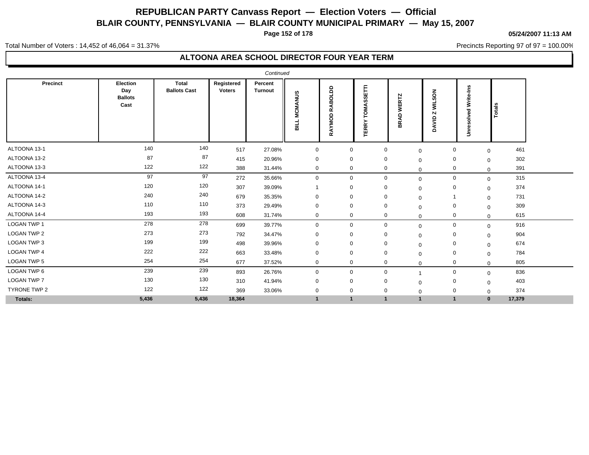**Page 152 of 178**

#### **05/24/2007 11:13 AM**

Precincts Reporting 97 of 97 = 100.00%

Total Number of Voters : 14,452 of 46,064 = 31.37%

|                    |                                                  |                              |                             | Continued                 |                               |                                                      |                                |                             |                                                         |                                    |        |  |
|--------------------|--------------------------------------------------|------------------------------|-----------------------------|---------------------------|-------------------------------|------------------------------------------------------|--------------------------------|-----------------------------|---------------------------------------------------------|------------------------------------|--------|--|
| Precinct           | <b>Election</b><br>Day<br><b>Ballots</b><br>Cast | Total<br><b>Ballots Cast</b> | Registered<br><b>Voters</b> | Percent<br><b>Turnout</b> | <b>MCMANUS</b><br><b>SILL</b> | 5<br>ಕ<br>₹<br>œ<br>$\Omega$<br>ō<br><b>AYM</b><br>≃ | ASSETTI<br>ĪОN<br><b>TERRY</b> | <b>WERTZ</b><br><b>BRAD</b> | <b>WILSON</b><br>$\overline{\mathbf{N}}$<br>ξ<br>ৰ<br>ó | Write-Ins<br>Ѣ<br>ω<br>층<br>œ<br>£ | Totals |  |
| ALTOONA 13-1       | 140                                              | 140                          | 517                         | 27.08%                    | $\mathbf 0$                   | $\mathbf 0$                                          | $\mathbf 0$                    | $\mathbf 0$                 | $\mathbf 0$                                             | $\mathbf{0}$                       | 461    |  |
| ALTOONA 13-2       | 87                                               | 87                           | 415                         | 20.96%                    | $\mathbf 0$                   | $\mathbf 0$                                          | 0                              | $\mathbf 0$                 | 0                                                       | $\mathbf 0$                        | 302    |  |
| ALTOONA 13-3       | 122                                              | 122                          | 388                         | 31.44%                    | $\mathbf{0}$                  | 0                                                    | 0                              | $\mathbf 0$                 | 0                                                       | $\Omega$                           | 391    |  |
| ALTOONA 13-4       | 97                                               | 97                           | 272                         | 35.66%                    | $\mathbf 0$                   | $\mathbf{0}$                                         | $\mathbf 0$                    | $\mathbf 0$                 | 0                                                       | $\mathbf{0}$                       | 315    |  |
| ALTOONA 14-1       | 120                                              | 120                          | 307                         | 39.09%                    |                               | $\mathbf 0$                                          | 0                              | $\Omega$                    | 0                                                       | $\mathbf{0}$                       | 374    |  |
| ALTOONA 14-2       | 240                                              | 240                          | 679                         | 35.35%                    | $\mathbf 0$                   | $\mathbf 0$                                          | $\mathbf 0$                    | 0                           |                                                         | $\mathbf{0}$                       | 731    |  |
| ALTOONA 14-3       | 110                                              | 110                          | 373                         | 29.49%                    | $\mathbf 0$                   | $\mathbf 0$                                          | 0                              | $\Omega$                    | $\mathbf 0$                                             | $\Omega$                           | 309    |  |
| ALTOONA 14-4       | 193                                              | 193                          | 608                         | 31.74%                    | $\overline{0}$                | $\mathbf 0$                                          | $\mathbf 0$                    | $\Omega$                    | $\mathbf 0$                                             | $\mathbf{0}$                       | 615    |  |
| <b>LOGAN TWP 1</b> | 278                                              | 278                          | 699                         | 39.77%                    | $\mathbf 0$                   | $\mathbf 0$                                          | $\mathbf 0$                    | $\mathbf 0$                 | $\mathbf 0$                                             | $\Omega$                           | 916    |  |
| <b>LOGAN TWP 2</b> | 273                                              | 273                          | 792                         | 34.47%                    | $\mathbf 0$                   | $\mathbf 0$                                          | 0                              | $\Omega$                    | 0                                                       | $\mathbf 0$                        | 904    |  |
| <b>LOGAN TWP 3</b> | 199                                              | 199                          | 498                         | 39.96%                    | 0                             | 0                                                    | 0                              | $\Omega$                    | 0                                                       | $\mathbf 0$                        | 674    |  |
| <b>LOGAN TWP 4</b> | 222                                              | 222                          | 663                         | 33.48%                    | $\mathbf 0$                   | $\mathbf 0$                                          | $\mathbf 0$                    | $\Omega$                    | $\mathbf 0$                                             | $\mathbf 0$                        | 784    |  |
| <b>LOGAN TWP 5</b> | 254                                              | 254                          | 677                         | 37.52%                    | $\mathbf 0$                   | $\mathbf 0$                                          | $\mathbf 0$                    | $\Omega$                    | $\mathbf 0$                                             | $\Omega$                           | 805    |  |
| LOGAN TWP 6        | 239                                              | 239                          | 893                         | 26.76%                    | $\mathbf 0$                   | $\mathbf 0$                                          | $\mathbf 0$                    |                             | 0                                                       | $\mathbf 0$                        | 836    |  |
| LOGAN TWP 7        | 130                                              | 130                          | 310                         | 41.94%                    | $\mathbf 0$                   | $\mathbf 0$                                          | 0                              | $\Omega$                    | 0                                                       | $\Omega$                           | 403    |  |
| TYRONE TWP 2       | 122                                              | 122                          | 369                         | 33.06%                    | $\mathbf 0$                   | $\mathbf 0$                                          | $\mathbf 0$                    | $\Omega$                    | 0                                                       | $\Omega$                           | 374    |  |
| Totals:            | 5,436                                            | 5,436                        | 18,364                      |                           | $\mathbf{1}$                  | $\mathbf{1}$                                         | $\mathbf{1}$                   | $\overline{1}$              | $\blacktriangleleft$                                    | $\mathbf{0}$                       | 17,379 |  |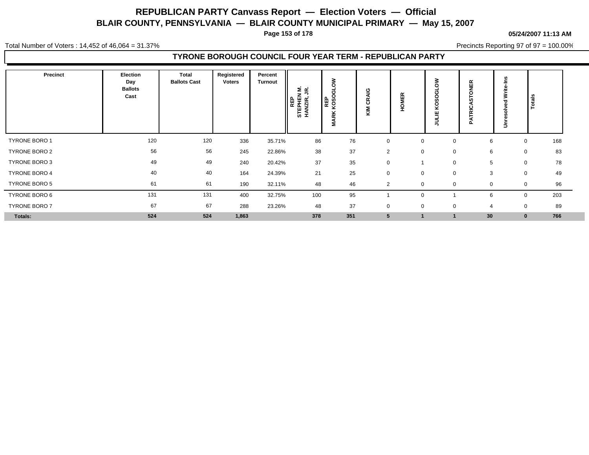**Page 153 of 178**

#### **05/24/2007 11:13 AM**

Total Number of Voters : 14,452 of 46,064 = 31.37%

Precincts Reporting 97 of 97 = 100.00%

### **TYRONE BOROUGH COUNCIL FOUR YEAR TERM - REPUBLICAN PARTY**

| Precinct             | Election<br>Day<br><b>Ballots</b><br>Cast | Total<br><b>Ballots Cast</b> | Registered<br><b>Voters</b> | Percent<br><b>Turnout</b> | Σ ∝<br>REP<br>EPHEN<br>NZIR, J<br><b>STE</b> | C<br>rп<br>c<br><b>REP</b><br>KOSC<br>$\frac{\mathsf{x}}{\mathsf{x}}$<br>Σ | <b>AIG</b><br>$\alpha$<br>ပ<br>KIM | 띥<br>റ<br>÷    |             | ИĘК<br>И<br>o<br>ပ<br>īż<br>o. | ≳<br>5 | Totals              |
|----------------------|-------------------------------------------|------------------------------|-----------------------------|---------------------------|----------------------------------------------|----------------------------------------------------------------------------|------------------------------------|----------------|-------------|--------------------------------|--------|---------------------|
| <b>TYRONE BORO 1</b> | 120                                       | 120                          | 336                         | 35.71%                    | 86                                           | 76                                                                         | $\mathbf 0$                        | $\mathbf 0$    | $\mathbf 0$ | 6                              |        | 168<br>$\mathbf 0$  |
| TYRONE BORO 2        | 56                                        | 56                           | 245                         | 22.86%                    | 38                                           | 37                                                                         | $\overline{2}$                     | $\mathbf 0$    | $\mathbf 0$ | 6                              |        | 83<br>0             |
| TYRONE BORO 3        | 49                                        | 49                           | 240                         | 20.42%                    | 37                                           | 35                                                                         | $\mathbf 0$                        |                | $\mathbf 0$ | 5                              |        | 78<br>$\mathbf 0$   |
| TYRONE BORO 4        | 40                                        | 40                           | 164                         | 24.39%                    | 21                                           | 25                                                                         | $\mathbf 0$                        | $\mathbf 0$    | 0           | 3                              |        | 49<br>$\mathbf 0$   |
| <b>TYRONE BORO 5</b> | 61                                        | 61                           | 190                         | 32.11%                    | 48                                           | 46                                                                         | $\overline{2}$                     | $\Omega$       | 0           |                                |        | 96<br>0             |
| TYRONE BORO 6        | 131                                       | 131                          | 400                         | 32.75%                    | 100                                          | 95                                                                         |                                    | $\Omega$       |             | 6                              |        | 203<br>$\mathbf{0}$ |
| <b>TYRONE BORO 7</b> | 67                                        | 67                           | 288                         | 23.26%                    | 48                                           | 37                                                                         | $\mathbf 0$                        | $\overline{0}$ | $\mathbf 0$ | 4                              |        | 89<br>$\mathbf 0$   |
| Totals:              | 524                                       | 524                          | 1,863                       |                           | 378                                          | 351                                                                        | 5                                  |                |             | 30                             |        | 766<br>$\bf{0}$     |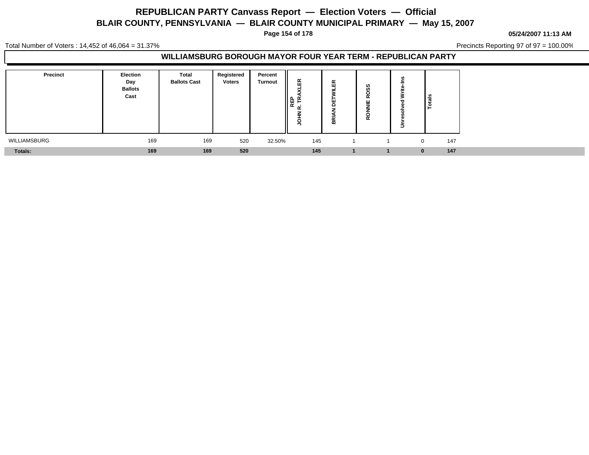**Page 154 of 178**

**05/24/2007 11:13 AM**

Total Number of Voters : 14,452 of 46,064 = 31.37%

Precincts Reporting 97 of 97 = 100.00%

### **WILLIAMSBURG BOROUGH MAYOR FOUR YEAR TERM - REPUBLICAN PARTY**

| <b>Precinct</b> | <b>Election</b><br>Day<br><b>Ballots</b><br>Cast | <b>Total</b><br><b>Ballots Cast</b> | Registered<br><b>Voters</b> | Percent<br><b>Turnout</b> | Æ<br>∥ ఙ | $\propto$<br>ш<br>-<br>m | ທ<br>ഗ<br>с<br>$\alpha$<br>ш<br>O<br>$\alpha$ | ا≝<br>۱è |     |
|-----------------|--------------------------------------------------|-------------------------------------|-----------------------------|---------------------------|----------|--------------------------|-----------------------------------------------|----------|-----|
| WILLIAMSBURG    | 169                                              | 169                                 | 520                         | 32.50%                    | 145      |                          |                                               | 0        | 147 |
| <b>Totals:</b>  | 169                                              | 169                                 | 520                         |                           | 145      |                          |                                               |          | 147 |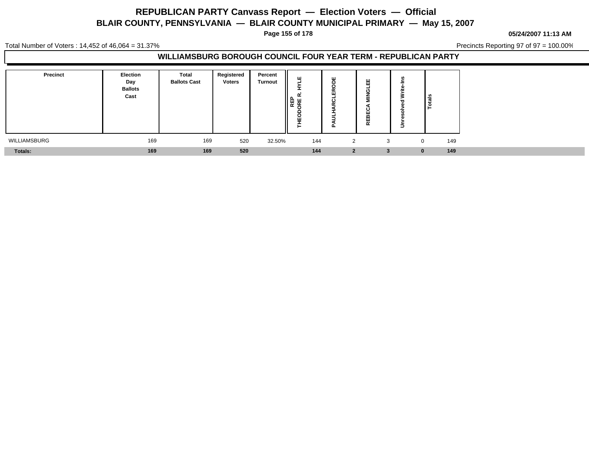**Page 155 of 178**

**05/24/2007 11:13 AM**

Total Number of Voters : 14,452 of 46,064 = 31.37%

Precincts Reporting 97 of 97 = 100.00%

#### **WILLIAMSBURG BOROUGH COUNCIL FOUR YEAR TERM - REPUBLICAN PARTY**

| Precinct     | <b>Election</b><br>Day<br><b>Ballots</b><br>Cast | <b>Total</b><br><b>Ballots Cast</b> | Registered<br><b>Voters</b> | Percent<br><b>Turnout</b> | ш<br>$\sim$<br>   e e e<br>L<br>щ<br>- | ш<br>$\alpha$<br>ш<br>$\circ$<br>- - | Ш<br>-<br>O<br>о<br>ш<br>m<br>퓙 | Totals   |     |
|--------------|--------------------------------------------------|-------------------------------------|-----------------------------|---------------------------|----------------------------------------|--------------------------------------|---------------------------------|----------|-----|
| WILLIAMSBURG | 169                                              | 169                                 | 520                         | 32.50%                    | 144                                    | $\overline{2}$                       | 3                               | 0        | 149 |
| Totals:      | 169                                              | 169                                 | 520                         |                           | 144                                    | $\mathbf{2}$                         | -3                              | $\bf{0}$ | 149 |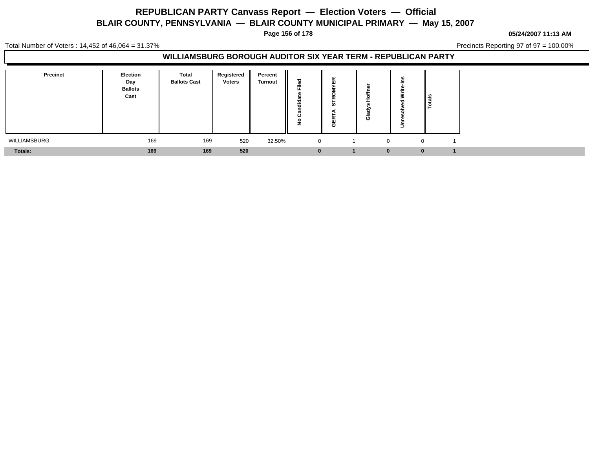**Page 156 of 178**

#### **05/24/2007 11:13 AM**

Total Number of Voters : 14,452 of 46,064 = 31.37%

Precincts Reporting 97 of 97 = 100.00%

### **WILLIAMSBURG BOROUGH AUDITOR SIX YEAR TERM - REPUBLICAN PARTY**

| <b>Precinct</b> | <b>Election</b><br>Day<br><b>Ballots</b><br>Cast | Total<br><b>Ballots Cast</b> | Registered<br><b>Voters</b> | Percent<br><b>Turnout</b> | ÷<br><br>ن   | 岛<br><b>in</b><br>щ<br>Φ | O            | $\frac{1}{2}$ |
|-----------------|--------------------------------------------------|------------------------------|-----------------------------|---------------------------|--------------|--------------------------|--------------|---------------|
| WILLIAMSBURG    | 169                                              | 169                          | 520                         | 32.50%                    | $\mathbf{0}$ |                          | $\Omega$     |               |
| Totals:         | 169                                              | 169                          | 520                         |                           |              |                          | $\mathbf{0}$ |               |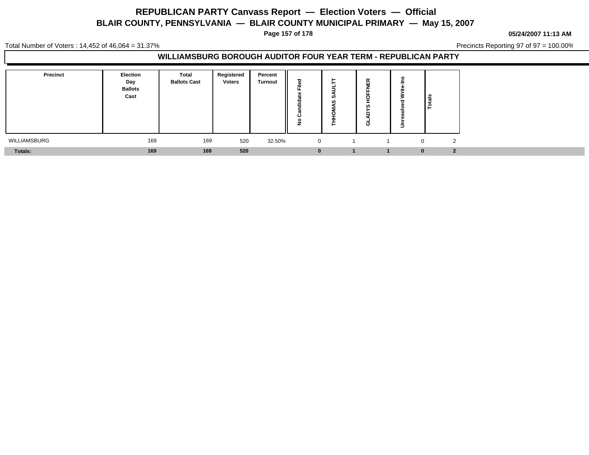**Page 157 of 178**

**05/24/2007 11:13 AM**

Total Number of Voters : 14,452 of 46,064 = 31.37%

Precincts Reporting 97 of 97 = 100.00%

#### **WILLIAMSBURG BOROUGH AUDITOR FOUR YEAR TERM - REPUBLICAN PARTY**

| Precinct     | <b>Election</b><br>Day<br><b>Ballots</b><br>Cast | Total<br><b>Ballots Cast</b> | Registered<br><b>Voters</b> | Percent<br><b>Turnout</b> | -<br>$\sim$<br><br>$\cdot$<br>L | . ဟ | $\alpha$<br>ш<br>cn.<br>O | ۰ | ∎∎<br>۱è     |   |
|--------------|--------------------------------------------------|------------------------------|-----------------------------|---------------------------|---------------------------------|-----|---------------------------|---|--------------|---|
| WILLIAMSBURG | 169                                              | 169                          | 520                         | 32.50%                    | $\mathbf{0}$                    |     |                           |   | $\mathbf{0}$ | ຳ |
| Totals:      | 169                                              | 169                          | 520                         |                           |                                 |     |                           |   |              |   |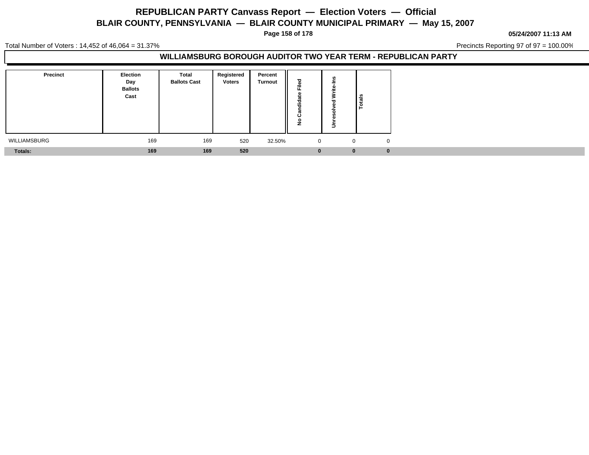**Page 158 of 178**

**05/24/2007 11:13 AM**

Total Number of Voters : 14,452 of 46,064 = 31.37%

Precincts Reporting 97 of 97 = 100.00%

### **WILLIAMSBURG BOROUGH AUDITOR TWO YEAR TERM - REPUBLICAN PARTY**

| <b>Precinct</b> | <b>Election</b><br>Day<br><b>Ballots</b><br>Cast | <b>Total</b><br><b>Ballots Cast</b> | Registered<br><b>Voters</b> | Percent<br><b>Turnout</b> | ᠊ᠣ<br>Ē.<br>ಕ<br><br>⋍<br>7<br>$\mathbf{r}$<br>ن<br>$\circ$<br>-<br>- | ≗           |          |
|-----------------|--------------------------------------------------|-------------------------------------|-----------------------------|---------------------------|-----------------------------------------------------------------------|-------------|----------|
| WILLIAMSBURG    | 169                                              | 169                                 | 520                         | 32.50%                    | $\overline{0}$                                                        | $\mathbf 0$ |          |
| <b>Totals:</b>  | 169                                              | 169                                 | 520                         |                           | $\bf{0}$                                                              | $\bf{0}$    | $\bf{0}$ |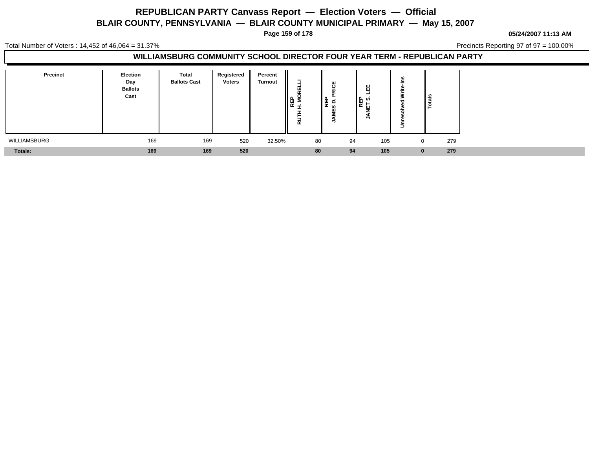**Page 159 of 178**

**05/24/2007 11:13 AM**

Total Number of Voters : 14,452 of 46,064 = 31.37%

Precincts Reporting 97 of 97 = 100.00%

### **WILLIAMSBURG COMMUNITY SCHOOL DIRECTOR FOUR YEAR TERM - REPUBLICAN PARTY**

| <b>Precinct</b> | <b>Election</b><br>Day<br><b>Ballots</b><br>Cast | Total<br><b>Ballots Cast</b> | Registered<br><b>Voters</b> | Percent<br><b>Turnout</b> | $\blacksquare$<br>u<br>∥⊕ ≋<br>∥⊕ ≋<br><u>. на так</u><br>$\alpha$ | ш<br>ᇣᇮ<br>ш | Ш<br> 문 이<br> 도 이 | $\frac{1}{16}$<br>۱è |
|-----------------|--------------------------------------------------|------------------------------|-----------------------------|---------------------------|--------------------------------------------------------------------|--------------|-------------------|----------------------|
| WILLIAMSBURG    | 169                                              | 169                          | 520                         | 32.50%                    | 80                                                                 | 94           | 105               | 279<br>0             |
| Totals:         | 169                                              | 169                          | 520                         |                           | 80                                                                 | 94           | 105               | 279                  |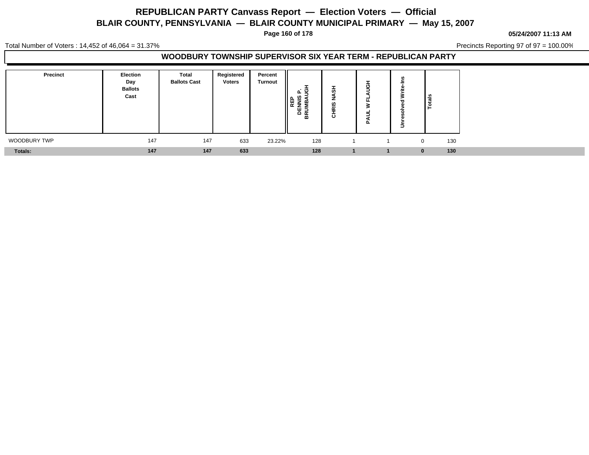**Page 160 of 178**

#### **05/24/2007 11:13 AM**

Total Number of Voters : 14,452 of 46,064 = 31.37%

Precincts Reporting 97 of 97 = 100.00%

#### **WOODBURY TOWNSHIP SUPERVISOR SIX YEAR TERM - REPUBLICAN PARTY**

| <b>Precinct</b> | Election<br>Day<br><b>Ballots</b><br>Cast | Total<br><b>Ballots Cast</b> | Registered<br><b>Voters</b> | Percent<br>Turnout | ູ<br>ய<br>ے ا<br>≏ ≃<br>മ | ഗ<br>-<br>ဖာ<br>-<br>$\tilde{\phantom{a}}$<br>ō | Φ<br>-<br>ш.<br>-<br>ല | Ξ | $\frac{1}{2}$ |     |
|-----------------|-------------------------------------------|------------------------------|-----------------------------|--------------------|---------------------------|-------------------------------------------------|------------------------|---|---------------|-----|
| WOODBURY TWP    | 147                                       | 147                          | 633                         | 23.22%             | 128                       |                                                 |                        |   | $\Omega$      | 130 |
| <b>Totals:</b>  | 147                                       | 147                          | 633                         |                    | 128                       |                                                 |                        |   |               | 130 |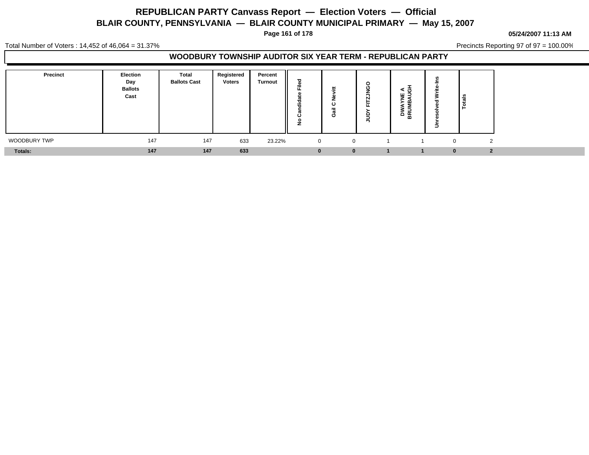**Page 161 of 178**

#### **05/24/2007 11:13 AM**

Total Number of Voters : 14,452 of 46,064 = 31.37%

Precincts Reporting 97 of 97 = 100.00%

#### **WOODBURY TOWNSHIP AUDITOR SIX YEAR TERM - REPUBLICAN PARTY**

| Precinct       | Election<br>Day<br><b>Ballots</b><br>Cast | <b>Total</b><br><b>Ballots Cast</b> | Registered<br><b>Voters</b> | Percent<br><b>Turnout</b> | ठ<br>__<br>≔<br>T<br><br>∼<br>o<br>- | ပ<br>$\sim$<br>O | O<br>ட | י״ ⊅<br>- 및 E<br>z ∢<br>י –<br>5<br>3 동 | ∣ ≌ |  |
|----------------|-------------------------------------------|-------------------------------------|-----------------------------|---------------------------|--------------------------------------|------------------|--------|-----------------------------------------|-----|--|
| WOODBURY TWP   | 147                                       | 147                                 | 633                         | 23.22%                    | $\overline{0}$                       | $\Omega$         |        |                                         | າ   |  |
| <b>Totals:</b> | 147                                       | 147                                 | 633                         |                           | $\bf{0}$                             |                  |        |                                         |     |  |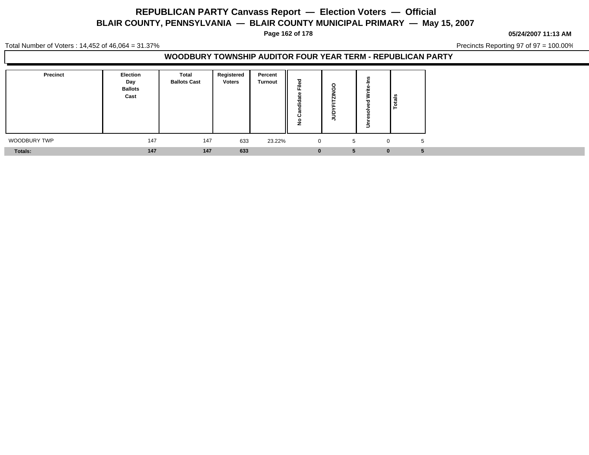**Page 162 of 178**

**05/24/2007 11:13 AM**

Total Number of Voters : 14,452 of 46,064 = 31.37%

Precincts Reporting 97 of 97 = 100.00%

#### **WOODBURY TOWNSHIP AUDITOR FOUR YEAR TERM - REPUBLICAN PARTY**

| Precinct       | <b>Election</b><br>Day<br><b>Ballots</b><br>Cast | <b>Total</b><br><b>Ballots Cast</b> | Registered<br><b>Voters</b> | Percent<br><b>Turnout</b> | --          | c<br>- -<br>- | Ξ | l ≗<br>تب<br><u>o</u> |    |
|----------------|--------------------------------------------------|-------------------------------------|-----------------------------|---------------------------|-------------|---------------|---|-----------------------|----|
| WOODBURY TWP   | 147                                              | 147                                 | 633                         | 23.22%                    | $\mathbf 0$ |               |   | $\Omega$              | -b |
| <b>Totals:</b> | 147                                              | 147                                 | 633                         |                           | U           | b.            |   | $\bf{0}$              |    |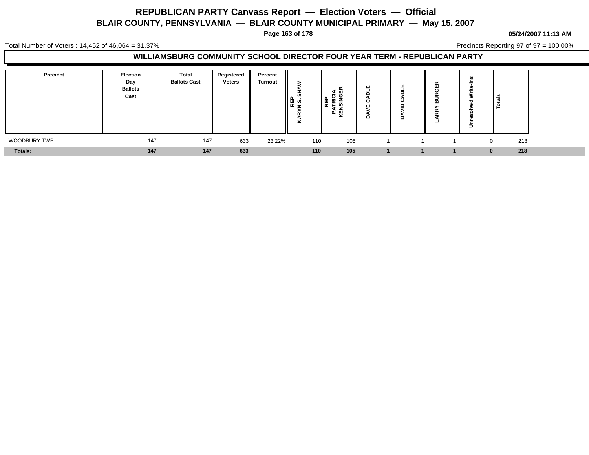**Page 163 of 178**

#### **05/24/2007 11:13 AM**

Total Number of Voters : 14,452 of 46,064 = 31.37%

Precincts Reporting 97 of 97 = 100.00%

#### **WILLIAMSBURG COMMUNITY SCHOOL DIRECTOR FOUR YEAR TERM - REPUBLICAN PARTY**

| Precinct       | Election<br>Day<br><b>Ballots</b><br>Cast | <b>Total</b><br><b>Ballots Cast</b> | Registered<br><b>Voters</b> | Percent<br><b>Turnout</b> | S<br>∥⊯ ∾ूँ<br>$\alpha$<br><b>x</b> | 푼 토 흥<br> | ပ | ш<br>Ο<br>o<br>o | п<br>$\overline{\phantom{0}}$ | - | ڇّ ا            |  |
|----------------|-------------------------------------------|-------------------------------------|-----------------------------|---------------------------|-------------------------------------|-----------|---|------------------|-------------------------------|---|-----------------|--|
| WOODBURY TWP   | 147                                       | 147                                 | 633                         | 23.22%                    | 110                                 | 105       |   |                  |                               |   | 218             |  |
| <b>Totals:</b> | 147                                       | 147                                 | 633                         |                           | 110                                 | 105       |   |                  |                               |   | 218<br>$\Omega$ |  |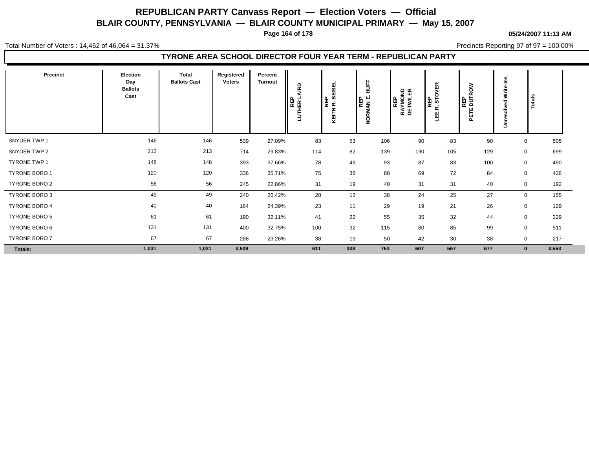**Page 164 of 178**

**05/24/2007 11:13 AM**

Total Number of Voters : 14,452 of 46,064 = 31.37%

Precincts Reporting 97 of 97 = 100.00%

### **TYRONE AREA SCHOOL DIRECTOR FOUR YEAR TERM - REPUBLICAN PARTY**

| Precinct      | Election<br>Day<br><b>Ballots</b><br>Cast | <b>Total</b><br><b>Ballots Cast</b> | Registered<br><b>Voters</b> | Percent<br><b>Turnout</b> | <b>RD</b><br>HER L<br>⊢<br>Ξ | <b>BEISEL</b><br>많은<br>Ŧ,<br>툽<br>⊻ | H <sub>DFF</sub><br> ⊞ ਛੂ<br> ਵੰਡ<br>NORM. | REP<br>RAYMOND<br>DETWILER | 띥<br>റ<br>REP<br>STC<br>œ<br>뿹 | š<br>'많<br>ā<br>٣<br>뛷 | ءِ<br>=<br>Write-<br>ರ<br>n,<br>š<br>ω<br>č<br>$\Rightarrow$ | rotals               |  |
|---------------|-------------------------------------------|-------------------------------------|-----------------------------|---------------------------|------------------------------|-------------------------------------|--------------------------------------------|----------------------------|--------------------------------|------------------------|--------------------------------------------------------------|----------------------|--|
| SNYDER TWP 1  | 146                                       | 146                                 | 539                         | 27.09%                    | 83                           | 53                                  | 106                                        | 90                         | 83                             | 90                     |                                                              | 505<br>$\mathbf 0$   |  |
| SNYDER TWP 2  | 213                                       | 213                                 | 714                         | 29.83%                    | 114                          | 82                                  | 139                                        | 130                        | 105                            | 129                    |                                                              | 699<br>$\mathbf 0$   |  |
| TYRONE TWP 1  | 148                                       | 148                                 | 393                         | 37.66%                    | 78                           | 49                                  | 93                                         | 87                         | 83                             | 100                    |                                                              | 490<br>$\mathbf 0$   |  |
| TYRONE BORO 1 | 120                                       | 120                                 | 336                         | 35.71%                    | 75                           | 38                                  | 88                                         | 69                         | 72                             | 84                     |                                                              | 426<br>0             |  |
| TYRONE BORO 2 | 56                                        | 56                                  | 245                         | 22.86%                    | 31                           | 19                                  | 40                                         | 31                         | 31                             | 40                     |                                                              | 192<br>$\mathbf 0$   |  |
| TYRONE BORO 3 | 49                                        | 49                                  | 240                         | 20.42%                    | 28                           | 13                                  | 38                                         | 24                         | 25                             | 27                     |                                                              | 155<br>$\mathbf 0$   |  |
| TYRONE BORO 4 | 40                                        | 40                                  | 164                         | 24.39%                    | 23                           | 11                                  | 29                                         | 19                         | 21                             | 26                     |                                                              | $\mathbf 0$<br>129   |  |
| TYRONE BORO 5 | 61                                        | 61                                  | 190                         | 32.11%                    | 41                           | 22                                  | 55                                         | 35                         | 32                             | 44                     |                                                              | 229<br>$\mathbf 0$   |  |
| TYRONE BORO 6 | 131                                       | 131                                 | 400                         | 32.75%                    | 100                          | 32                                  | 115                                        | 80                         | 85                             | 99                     |                                                              | 511<br>$\mathbf 0$   |  |
| TYRONE BORO 7 | 67                                        | 67                                  | 288                         | 23.26%                    | 38                           | 19                                  | 50                                         | 42                         | 30                             | 38                     |                                                              | 217<br>$\mathbf 0$   |  |
| Totals:       | 1,031                                     | 1,031                               | 3,509                       |                           | 611                          | 338                                 | 753                                        | 607                        | 567                            | 677                    |                                                              | 3,553<br>$\mathbf 0$ |  |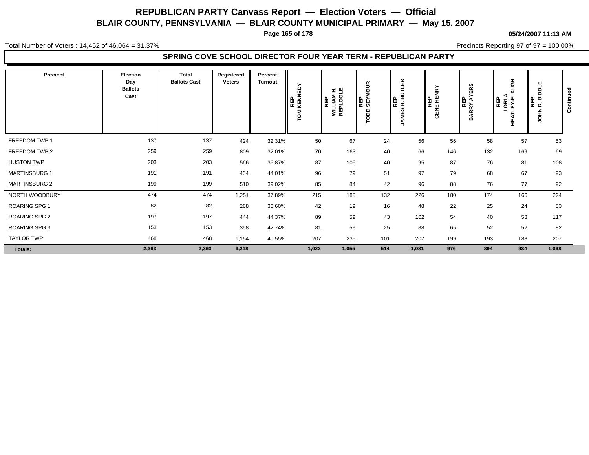**Page 165 of 178**

**05/24/2007 11:13 AM**

Total Number of Voters : 14,452 of 46,064 = 31.37%

Precincts Reporting 97 of 97 = 100.00%

### **SPRING COVE SCHOOL DIRECTOR FOUR YEAR TERM - REPUBLICAN PARTY**

| <b>Precinct</b>      | Election<br>Day<br><b>Ballots</b><br>Cast | <b>Total</b><br><b>Ballots Cast</b> | Registered<br><b>Voters</b> | Percent<br><b>Turnout</b> | KENNEDY<br>REP<br>š | £,<br>쁵<br><b>WILLIAM</b><br>REPLOGI<br>REP | REP<br>SEYMOUR<br>$\frac{6}{5}$ | 띥<br>읇<br>▌ᇣᇳ<br>ທ<br>ш<br>Σ<br>₹ | GENE HENRY | ERS<br>⋩<br>REP<br>BARRY AY | 공<br><b>REP<br/>LORIA.<br/>LEY-FLI</b><br>뿦 | <b>BIDDLE</b><br>이 모<br>이 모<br>모<br>HIOL | ontinue<br>Ŏ |
|----------------------|-------------------------------------------|-------------------------------------|-----------------------------|---------------------------|---------------------|---------------------------------------------|---------------------------------|-----------------------------------|------------|-----------------------------|---------------------------------------------|------------------------------------------|--------------|
| FREEDOM TWP 1        | 137                                       | 137                                 | 424                         | 32.31%                    | 50                  | 67                                          | 24                              | 56                                | 56         | 58                          | 57                                          | 53                                       |              |
| FREEDOM TWP 2        | 259                                       | 259                                 | 809                         | 32.01%                    | 70                  | 163                                         | 40                              | 66                                | 146        | 132                         | 169                                         | 69                                       |              |
| <b>HUSTON TWP</b>    | 203                                       | 203                                 | 566                         | 35.87%                    | 87                  | 105                                         | 40                              | 95                                | 87         | 76                          | 81                                          | 108                                      |              |
| <b>MARTINSBURG 1</b> | 191                                       | 191                                 | 434                         | 44.01%                    | 96                  | 79                                          | 51                              | 97                                | 79         | 68                          | 67                                          | 93                                       |              |
| <b>MARTINSBURG 2</b> | 199                                       | 199                                 | 510                         | 39.02%                    | 85                  | 84                                          | 42                              | 96                                | 88         | 76                          | 77                                          | 92                                       |              |
| NORTH WOODBURY       | 474                                       | 474                                 | 1,251                       | 37.89%                    | 215                 | 185                                         | 132                             | 226                               | 180        | 174                         | 166                                         | 224                                      |              |
| <b>ROARING SPG 1</b> | 82                                        | 82                                  | 268                         | 30.60%                    | 42                  | 19                                          | 16                              | 48                                | 22         | 25                          | 24                                          | 53                                       |              |
| ROARING SPG 2        | 197                                       | 197                                 | 444                         | 44.37%                    | 89                  | 59                                          | 43                              | 102                               | 54         | 40                          | 53                                          | 117                                      |              |
| ROARING SPG 3        | 153                                       | 153                                 | 358                         | 42.74%                    | 81                  | 59                                          | 25                              | 88                                | 65         | 52                          | 52                                          | 82                                       |              |
| <b>TAYLOR TWP</b>    | 468                                       | 468                                 | 1,154                       | 40.55%                    | 207                 | 235                                         | 101                             | 207                               | 199        | 193                         | 188                                         | 207                                      |              |
| Totals:              | 2,363                                     | 2,363                               | 6,218                       |                           | 1,022               | 1,055                                       | 514                             | 1,081                             | 976        | 894                         | 934                                         | 1,098                                    |              |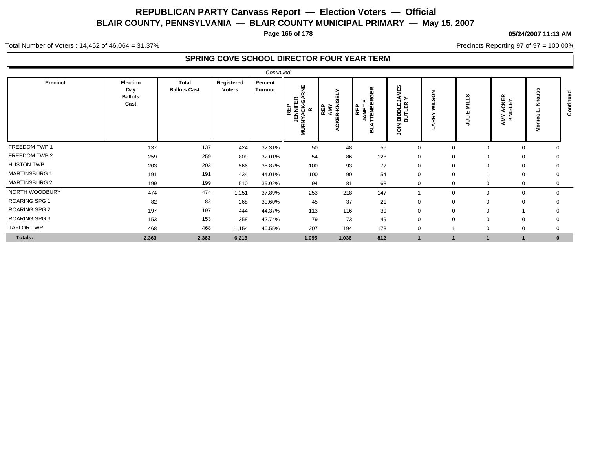**Page 166 of 178**

#### **05/24/2007 11:13 AM**

Precincts Reporting 97 of 97 = 100.00%

Total Number of Voters : 14,452 of 46,064 = 31.37%

### **SPRING COVE SCHOOL DIRECTOR FOUR YEAR TERM**

|                      |                                                  |                              |                             | Continued                 |                                                          |                                        |                                              |                                                          |             |                  |                                 |          |                        |
|----------------------|--------------------------------------------------|------------------------------|-----------------------------|---------------------------|----------------------------------------------------------|----------------------------------------|----------------------------------------------|----------------------------------------------------------|-------------|------------------|---------------------------------|----------|------------------------|
| Precinct             | <b>Election</b><br>Day<br><b>Ballots</b><br>Cast | Total<br><b>Ballots Cast</b> | Registered<br><b>Voters</b> | Percent<br><b>Turnout</b> | ш<br>띥<br>ပု<br><b>JENNIFE</b><br>NYACK-<br>∥⊯<br>$\sim$ | ≻<br>AMY<br>ER-KNISEL<br>REP<br>⊻<br>ပ | 띥<br>Ě<br>ш<br><b>REP</b><br>TENBI<br>∍<br>ᆱ | 69<br>≺≻<br>ন से<br>BIDTLI<br>BUTLI<br>≤<br>$\circ$<br>っ | る<br>ĒΚ     | w<br>를<br>当<br>₹ | <b>MY ACKER</b><br>KNISLEY<br>⋖ | ż.       | ᇃ<br>Έ<br>$\circ$<br>ت |
| FREEDOM TWP 1        | 137                                              | 137                          | 424                         | 32.31%                    | 50                                                       | 48                                     | 56                                           | $\mathbf 0$                                              | $\mathbf 0$ | 0                | $\Omega$                        |          |                        |
| FREEDOM TWP 2        | 259                                              | 259                          | 809                         | 32.01%                    | 54                                                       | 86                                     | 128                                          | $\mathbf 0$                                              | 0           | 0                | 0                               |          |                        |
| <b>HUSTON TWP</b>    | 203                                              | 203                          | 566                         | 35.87%                    | 100                                                      | 93                                     | 77                                           | $\mathbf 0$                                              | $\mathbf 0$ | 0                | $\mathbf 0$                     | 0        |                        |
| <b>MARTINSBURG 1</b> | 191                                              | 191                          | 434                         | 44.01%                    | 100                                                      | 90                                     | 54                                           | $\mathbf 0$                                              | 0           |                  | 0                               | 0        |                        |
| <b>MARTINSBURG 2</b> | 199                                              | 199                          | 510                         | 39.02%                    | 94                                                       | 81                                     | 68                                           | 0                                                        | 0           | 0                | $\mathbf 0$                     | 0        |                        |
| NORTH WOODBURY       | 474                                              | 474                          | 1,251                       | 37.89%                    | 253                                                      | 218                                    | 147                                          |                                                          | 0           | 0                | $\mathbf 0$                     | 0        |                        |
| <b>ROARING SPG 1</b> | 82                                               | 82                           | 268                         | 30.60%                    | 45                                                       | 37                                     | 21                                           | $\mathbf 0$                                              | $\mathbf 0$ | 0                | $\mathbf 0$                     |          |                        |
| <b>ROARING SPG 2</b> | 197                                              | 197                          | 444                         | 44.37%                    | 113                                                      | 116                                    | 39                                           | $\mathbf 0$                                              | $\Omega$    | $\Omega$         |                                 |          |                        |
| ROARING SPG 3        | 153                                              | 153                          | 358                         | 42.74%                    | 79                                                       | 73                                     | 49                                           | $\mathbf 0$                                              | $\mathbf 0$ | $\Omega$         | $\Omega$                        |          |                        |
| <b>TAYLOR TWP</b>    | 468                                              | 468                          | 1,154                       | 40.55%                    | 207                                                      | 194                                    | 173                                          | $\mathbf 0$                                              |             | $\Omega$         |                                 |          |                        |
| Totals:              | 2,363                                            | 2,363                        | 6,218                       |                           | 1,095                                                    | 1,036                                  | 812                                          |                                                          |             |                  |                                 | $\bf{0}$ |                        |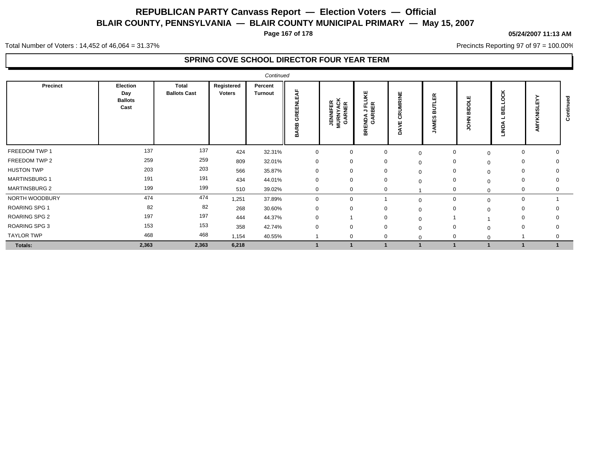**Page 167 of 178**

#### **05/24/2007 11:13 AM**

Precincts Reporting 97 of 97 = 100.00%

Total Number of Voters : 14,452 of 46,064 = 31.37%

### **SPRING COVE SCHOOL DIRECTOR FOUR YEAR TERM**

|                      |                                           |                              |                      | Continued                 |                                                   |                                         |                                                   |                             |                    |                       |             |   |                               |
|----------------------|-------------------------------------------|------------------------------|----------------------|---------------------------|---------------------------------------------------|-----------------------------------------|---------------------------------------------------|-----------------------------|--------------------|-----------------------|-------------|---|-------------------------------|
| <b>Precinct</b>      | Election<br>Day<br><b>Ballots</b><br>Cast | Total<br><b>Ballots Cast</b> | Registered<br>Voters | Percent<br><b>Turnout</b> | ◀<br>шì<br>롦<br>面<br>$\alpha$<br>ত<br>운<br>◀<br>≃ | <b>JENNIFER<br/>MURNYACK<br/>GARNER</b> | ш<br>š<br>또 띥<br>≅ ה<br>NDA.<br>GARI<br>ш<br>BR I | RUMRINE<br>ပ<br>ш<br>><br>≏ | $\alpha$<br>ш<br>m | ш<br>Δ<br>ō<br>ᇑ<br>풍 |             | ξ | $\overline{\phantom{0}}$<br>ن |
| FREEDOM TWP 1        | 137                                       | 137                          | 424                  | 32.31%                    | $\mathbf 0$                                       | 0                                       | $\mathbf 0$                                       | $\mathbf 0$                 | 0                  | $\Omega$              | 0           |   |                               |
| FREEDOM TWP 2        | 259                                       | 259                          | 809                  | 32.01%                    | $\Omega$                                          | $\mathbf 0$                             |                                                   | $\mathbf 0$                 | 0                  | $\mathbf 0$           | 0           |   |                               |
| <b>HUSTON TWP</b>    | 203                                       | 203                          | 566                  | 35.87%                    | $\Omega$                                          | 0                                       |                                                   | 0                           | 0                  | $\Omega$              | 0           |   |                               |
| <b>MARTINSBURG 1</b> | 191                                       | 191                          | 434                  | 44.01%                    | $\mathbf 0$                                       | $\mathbf 0$                             |                                                   | $\Omega$                    | 0                  | $\Omega$              | 0           |   |                               |
| <b>MARTINSBURG 2</b> | 199                                       | 199                          | 510                  | 39.02%                    | $\Omega$                                          | $\mathbf{0}$                            | 0                                                 |                             | 0                  | $\Omega$              | 0           |   |                               |
| NORTH WOODBURY       | 474                                       | 474                          | 1,251                | 37.89%                    | $\Omega$                                          | $\Omega$                                |                                                   | $\Omega$                    | 0                  | $\Omega$              | $\mathbf 0$ |   |                               |
| <b>ROARING SPG 1</b> | 82                                        | 82                           | 268                  | 30.60%                    |                                                   | O                                       |                                                   | 0                           | 0                  | $\Omega$              | 0           |   |                               |
| <b>ROARING SPG 2</b> | 197                                       | 197                          | 444                  | 44.37%                    | $\Omega$                                          |                                         |                                                   |                             |                    |                       | 0           |   |                               |
| ROARING SPG 3        | 153                                       | 153                          | 358                  | 42.74%                    | $\Omega$                                          | $\Omega$                                |                                                   | $\Omega$                    | $\Omega$           | $\Omega$              | $\Omega$    |   |                               |
| <b>TAYLOR TWP</b>    | 468                                       | 468                          | 1,154                | 40.55%                    |                                                   | $\Omega$                                |                                                   |                             | $\Omega$           |                       |             |   |                               |
| Totals:              | 2,363                                     | 2,363                        | 6,218                |                           |                                                   |                                         |                                                   |                             |                    |                       |             |   |                               |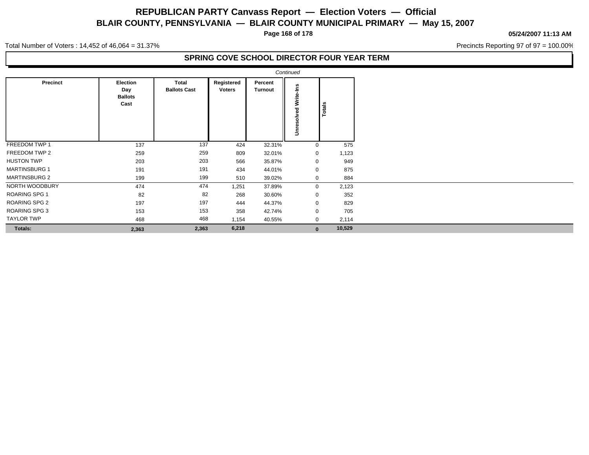**Page 168 of 178**

#### **05/24/2007 11:13 AM**

Precincts Reporting 97 of 97 = 100.00%

Total Number of Voters : 14,452 of 46,064 = 31.37%

### **SPRING COVE SCHOOL DIRECTOR FOUR YEAR TERM**

|                      |                                           |                              |                      |                    | Continued                                             |        |
|----------------------|-------------------------------------------|------------------------------|----------------------|--------------------|-------------------------------------------------------|--------|
| Precinct             | Election<br>Day<br><b>Ballots</b><br>Cast | Total<br><b>Ballots Cast</b> | Registered<br>Voters | Percent<br>Turnout | وم<br>ڪ<br>ω<br>i<br>Š<br>ç<br>ĝ<br>۵Ś<br>$\bar{\xi}$ | Totals |
| FREEDOM TWP 1        | 137                                       | 137                          | 424                  | 32.31%             | $\mathbf 0$                                           | 575    |
| FREEDOM TWP 2        | 259                                       | 259                          | 809                  | 32.01%             | 0                                                     | 1,123  |
| <b>HUSTON TWP</b>    | 203                                       | 203                          | 566                  | 35.87%             | 0                                                     | 949    |
| <b>MARTINSBURG 1</b> | 191                                       | 191                          | 434                  | 44.01%             | $\mathbf 0$                                           | 875    |
| <b>MARTINSBURG 2</b> | 199                                       | 199                          | 510                  | 39.02%             | 0                                                     | 884    |
| NORTH WOODBURY       | 474                                       | 474                          | 1,251                | 37.89%             | $\mathbf 0$                                           | 2,123  |
| <b>ROARING SPG 1</b> | 82                                        | 82                           | 268                  | 30.60%             | $\mathbf 0$                                           | 352    |
| ROARING SPG 2        | 197                                       | 197                          | 444                  | 44.37%             | 0                                                     | 829    |
| <b>ROARING SPG 3</b> | 153                                       | 153                          | 358                  | 42.74%             | $\mathbf 0$                                           | 705    |
| <b>TAYLOR TWP</b>    | 468                                       | 468                          | 1,154                | 40.55%             | $\mathbf 0$                                           | 2,114  |
| Totals:              | 2,363                                     | 2,363                        | 6,218                |                    | $\mathbf{0}$                                          | 10,529 |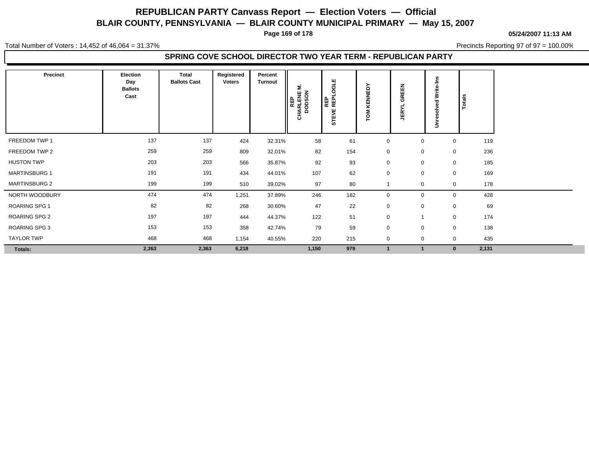**Page 169 of 178**

**05/24/2007 11:13 AM**

Total Number of Voters : 14,452 of 46,064 = 31.37%

Precincts Reporting 97 of 97 = 100.00%

#### **SPRING COVE SCHOOL DIRECTOR TWO YEAR TERM - REPUBLICAN PARTY**

| Precinct             | Election<br>Day<br><b>Ballots</b><br>Cast | Total<br><b>Ballots Cast</b> | Registered<br><b>Voters</b> | Percent<br><b>Turnout</b> | Σ.<br>HARLENE<br>DODSON<br>REP<br>풍 | ш<br>긍<br>$\circ$<br><b>REP</b><br>₩<br>ŠΕ | KENNEDY<br>$\sum_{i=1}^{n}$ | 룹<br><b>GREI</b><br>≻<br>ĒŔ | <b>SC</b><br>ę۴<br>$\Rightarrow$ | Totals   |       |
|----------------------|-------------------------------------------|------------------------------|-----------------------------|---------------------------|-------------------------------------|--------------------------------------------|-----------------------------|-----------------------------|----------------------------------|----------|-------|
| FREEDOM TWP 1        | 137                                       | 137                          | 424                         | 32.31%                    | 58                                  | 61                                         | $\mathbf 0$                 | $\mathbf 0$                 |                                  | 0        | 119   |
| FREEDOM TWP 2        | 259                                       | 259                          | 809                         | 32.01%                    | 82                                  | 154                                        | $\mathbf 0$                 | $\mathbf 0$                 |                                  | 0        | 236   |
| <b>HUSTON TWP</b>    | 203                                       | 203                          | 566                         | 35.87%                    | 92                                  | 93                                         | $\mathbf 0$                 | $\mathbf 0$                 |                                  | 0        | 185   |
| <b>MARTINSBURG 1</b> | 191                                       | 191                          | 434                         | 44.01%                    | 107                                 | 62                                         | $\mathbf 0$                 | $\mathbf 0$                 |                                  | 0        | 169   |
| <b>MARTINSBURG 2</b> | 199                                       | 199                          | 510                         | 39.02%                    | 97                                  | 80                                         |                             | $\mathbf 0$                 |                                  | 0        | 178   |
| NORTH WOODBURY       | 474                                       | 474                          | 1,251                       | 37.89%                    | 246                                 | 182                                        | $\mathbf 0$                 | $\mathbf 0$                 |                                  | 0        | 428   |
| <b>ROARING SPG 1</b> | 82                                        | 82                           | 268                         | 30.60%                    | 47                                  | 22                                         | $\mathbf 0$                 | $\mathbf 0$                 |                                  | 0        | 69    |
| ROARING SPG 2        | 197                                       | 197                          | 444                         | 44.37%                    | 122                                 | 51                                         | $\mathbf 0$                 |                             |                                  | 0        | 174   |
| ROARING SPG 3        | 153                                       | 153                          | 358                         | 42.74%                    | 79                                  | 59                                         | $\mathbf 0$                 | $\mathbf 0$                 |                                  | 0        | 138   |
| <b>TAYLOR TWP</b>    | 468                                       | 468                          | 1,154                       | 40.55%                    | 220                                 | 215                                        | $\mathbf 0$                 | $\mathbf 0$                 |                                  | 0        | 435   |
| Totals:              | 2,363                                     | 2,363                        | 6,218                       |                           | 1,150                               | 979                                        |                             |                             |                                  | $\bf{0}$ | 2,131 |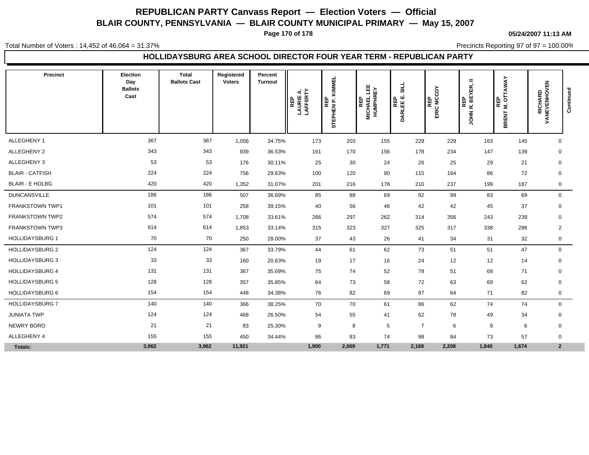**Page 170 of 178**

Total Number of Voters : 14,452 of 46,064 = 31.37%

**05/24/2007 11:13 AM**

Precincts Reporting 97 of 97 = 100.00%

#### **HOLLIDAYSBURG AREA SCHOOL DIRECTOR FOUR YEAR TERM - REPUBLICAN PARTY**

| Precinct               | Election<br>Day<br><b>Ballots</b><br>Cast | <b>Total</b><br><b>Ballots Cast</b> | Registered<br><b>Voters</b> | Percent<br><b>Turnout</b> | <b>REP<br/>LAURIE A.<br/>LAFFERTY</b> | KIMMEL<br>STEPHEN P. I | 쁰<br><b>HUMPHREY</b><br><b>MICHAEL</b><br>REP | <b>SILL</b><br>REP<br>DARLEE E. | δ<br>REP<br>ERIC MC | $\qquad \qquad =\qquad \qquad$<br>YER,<br>JOHN R. BE<br>巴 | <b>M. OTTAWAY</b><br><b>REP</b><br><b>BRENT</b> | <b>RICHARD<br/>VANEVENHOVEN</b> | Continued |
|------------------------|-------------------------------------------|-------------------------------------|-----------------------------|---------------------------|---------------------------------------|------------------------|-----------------------------------------------|---------------------------------|---------------------|-----------------------------------------------------------|-------------------------------------------------|---------------------------------|-----------|
| ALLEGHENY 1            | 367                                       | 367                                 | 1,056                       | 34.75%                    | 173                                   | 203                    | 155                                           | 229                             | 229                 | 163                                                       | 145                                             | $\mathbf 0$                     |           |
| ALLEGHENY 2            | 343                                       | 343                                 | 939                         | 36.53%                    | 161                                   | 170                    | 156                                           | 178                             | 234                 | 147                                                       | 139                                             | $\mathbf 0$                     |           |
| ALLEGHENY 3            | 53                                        | 53                                  | 176                         | 30.11%                    | 25                                    | 30                     | 24                                            | 26                              | 25                  | 29                                                        | 21                                              | 0                               |           |
| <b>BLAIR - CATFISH</b> | 224                                       | 224                                 | 756                         | 29.63%                    | 100                                   | 120                    | 90                                            | 115                             | 164                 | 86                                                        | 72                                              | $\mathbf 0$                     |           |
| <b>BLAIR - E HOLBG</b> | 420                                       | 420                                 | 1,352                       | 31.07%                    | 201                                   | 216                    | 178                                           | 210                             | 237                 | 199                                                       | 187                                             | 0                               |           |
| <b>DUNCANSVILLE</b>    | 186                                       | 186                                 | 507                         | 36.69%                    | 85                                    | 88                     | 69                                            | 92                              | 99                  | 83                                                        | 69                                              | $\mathbf 0$                     |           |
| <b>FRANKSTOWN TWP1</b> | 101                                       | 101                                 | 258                         | 39.15%                    | 40                                    | 56                     | 46                                            | 42                              | 42                  | 45                                                        | 37                                              | 0                               |           |
| <b>FRANKSTOWN TWP2</b> | 574                                       | 574                                 | 1,708                       | 33.61%                    | 266                                   | 297                    | 262                                           | 314                             | 356                 | 243                                                       | 239                                             | $\mathbf 0$                     |           |
| FRANKSTOWN TWP3        | 614                                       | 614                                 | 1,853                       | 33.14%                    | 315                                   | 323                    | 327                                           | 325                             | 317                 | 338                                                       | 286                                             | $\overline{2}$                  |           |
| <b>HOLLIDAYSBURG 1</b> | 70                                        | 70                                  | 250                         | 28.00%                    | 37                                    | 43                     | 26                                            | 41                              | 34                  | 31                                                        | 32                                              | 0                               |           |
| <b>HOLLIDAYSBURG 2</b> | 124                                       | 124                                 | 367                         | 33.79%                    | 44                                    | 61                     | 62                                            | 73                              | 51                  | 51                                                        | 47                                              | $\mathbf 0$                     |           |
| <b>HOLLIDAYSBURG 3</b> | 33                                        | 33                                  | 160                         | 20.63%                    | 19                                    | 17                     | 16                                            | 24                              | 12                  | 12                                                        | 14                                              | 0                               |           |
| <b>HOLLIDAYSBURG 4</b> | 131                                       | 131                                 | 367                         | 35.69%                    | 75                                    | 74                     | 52                                            | 78                              | 51                  | 68                                                        | 71                                              | 0                               |           |
| <b>HOLLIDAYSBURG 5</b> | 128                                       | 128                                 | 357                         | 35.85%                    | 64                                    | 73                     | 58                                            | 72                              | 63                  | 69                                                        | 62                                              | 0                               |           |
| <b>HOLLIDAYSBURG 6</b> | 154                                       | 154                                 | 448                         | 34.38%                    | 76                                    | 82                     | 69                                            | 97                              | 64                  | 71                                                        | 82                                              | 0                               |           |
| <b>HOLLIDAYSBURG 7</b> | 140                                       | 140                                 | 366                         | 38.25%                    | 70                                    | 70                     | 61                                            | 86                              | 62                  | 74                                                        | 74                                              | $\mathbf 0$                     |           |
| <b>JUNIATA TWP</b>     | 124                                       | 124                                 | 468                         | 26.50%                    | 54                                    | 55                     | 41                                            | 62                              | 78                  | 49                                                        | 34                                              | 0                               |           |
| NEWRY BORO             | 21                                        | 21                                  | 83                          | 25.30%                    | 9                                     | 8                      | 5                                             | $\overline{7}$                  | 6                   | 9                                                         | 6                                               | $\mathbf 0$                     |           |
| <b>ALLEGHENY 4</b>     | 155                                       | 155                                 | 450                         | 34.44%                    | 86                                    | 83                     | 74                                            | 98                              | 84                  | 73                                                        | 57                                              | $\mathbf 0$                     |           |
| Totals:                | 3,962                                     | 3,962                               | 11,921                      |                           | 1,900                                 | 2,069                  | 1,771                                         | 2,169                           | 2,208               | 1,840                                                     | 1,674                                           | $\overline{2}$                  |           |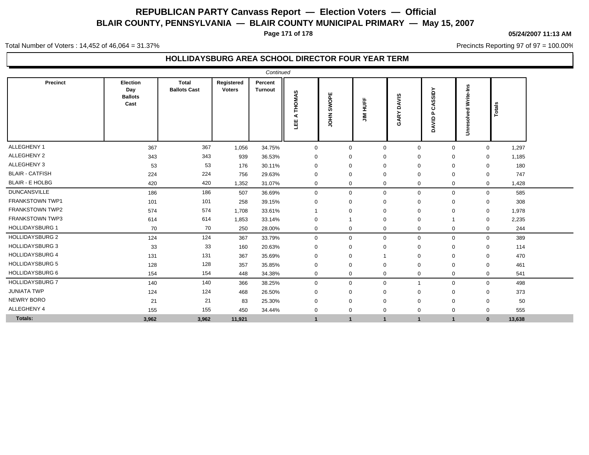**Page 171 of 178**

#### **05/24/2007 11:13 AM**

Precincts Reporting 97 of 97 = 100.00%

Total Number of Voters : 14,452 of 46,064 = 31.37%

### **HOLLIDAYSBURG AREA SCHOOL DIRECTOR FOUR YEAR TERM**

|                        |                                           |                                     |                             | Continued                 |                         |                      |                |                      |                                  |                             |        |  |
|------------------------|-------------------------------------------|-------------------------------------|-----------------------------|---------------------------|-------------------------|----------------------|----------------|----------------------|----------------------------------|-----------------------------|--------|--|
| Precinct               | Election<br>Day<br><b>Ballots</b><br>Cast | <b>Total</b><br><b>Ballots Cast</b> | Registered<br><b>Voters</b> | Percent<br><b>Turnout</b> | <b>THOMAS</b><br>⋖<br>삠 | SWOPE<br><b>NHOL</b> | <b>JIM HUF</b> | <b>DAVIS</b><br>GARY | CASSIDY<br>$\mathbf{r}$<br>DAVID | <b>Unresolved Write-Ins</b> | Totals |  |
| ALLEGHENY 1            | 367                                       | 367                                 | 1,056                       | 34.75%                    | $\mathbf 0$             | $\mathbf 0$          | $\mathbf 0$    | $\mathbf 0$          | $\mathbf 0$                      | $\mathbf 0$                 | 1,297  |  |
| ALLEGHENY 2            | 343                                       | 343                                 | 939                         | 36.53%                    | 0                       | 0                    | 0              | $\mathbf 0$          | $\mathbf 0$                      | $\mathbf 0$                 | 1,185  |  |
| ALLEGHENY 3            | 53                                        | 53                                  | 176                         | 30.11%                    | 0                       | 0                    | 0              | $\mathbf 0$          | $\mathbf 0$                      | $\mathbf 0$                 | 180    |  |
| <b>BLAIR - CATFISH</b> | 224                                       | 224                                 | 756                         | 29.63%                    | 0                       | 0                    | 0              | $\mathbf 0$          | $\mathbf 0$                      | $\mathbf 0$                 | 747    |  |
| <b>BLAIR - E HOLBG</b> | 420                                       | 420                                 | 1,352                       | 31.07%                    | 0                       | $\mathbf 0$          | $\mathbf 0$    | $\mathbf 0$          | $\mathbf 0$                      | $\mathbf 0$                 | 1,428  |  |
| <b>DUNCANSVILLE</b>    | 186                                       | 186                                 | 507                         | 36.69%                    | 0                       | $\mathbf 0$          | $\mathbf 0$    | $\mathbf 0$          | $\mathbf 0$                      | $\mathbf 0$                 | 585    |  |
| <b>FRANKSTOWN TWP1</b> | 101                                       | 101                                 | 258                         | 39.15%                    | 0                       | $\mathbf 0$          | $\mathbf{0}$   | $\mathbf 0$          | $\mathbf 0$                      | 0                           | 308    |  |
| <b>FRANKSTOWN TWP2</b> | 574                                       | 574                                 | 1,708                       | 33.61%                    | -1                      | 0                    | $\mathbf{0}$   | $\mathbf 0$          | $\mathbf 0$                      | $\mathbf 0$                 | 1,978  |  |
| <b>FRANKSTOWN TWP3</b> | 614                                       | 614                                 | 1,853                       | 33.14%                    | 0                       | -1                   | $\mathbf 0$    | $\mathbf 0$          | $\overline{1}$                   | 0                           | 2,235  |  |
| <b>HOLLIDAYSBURG 1</b> | 70                                        | 70                                  | 250                         | 28.00%                    | 0                       | 0                    | 0              | $\mathbf 0$          | 0                                | 0                           | 244    |  |
| <b>HOLLIDAYSBURG 2</b> | 124                                       | 124                                 | 367                         | 33.79%                    | 0                       | 0                    | $\mathbf 0$    | $\mathbf 0$          | $\mathbf 0$                      | $\mathbf 0$                 | 389    |  |
| <b>HOLLIDAYSBURG 3</b> | 33                                        | 33                                  | 160                         | 20.63%                    | 0                       | 0                    | 0              | $\mathbf 0$          | $\mathbf 0$                      | $\mathbf 0$                 | 114    |  |
| <b>HOLLIDAYSBURG 4</b> | 131                                       | 131                                 | 367                         | 35.69%                    | 0                       | 0                    | 1              | $\overline{0}$       | $\mathbf 0$                      | $\mathbf 0$                 | 470    |  |
| <b>HOLLIDAYSBURG 5</b> | 128                                       | 128                                 | 357                         | 35.85%                    | 0                       | $\mathbf 0$          | $\Omega$       | $\mathbf 0$          | $\mathbf 0$                      | $\mathbf 0$                 | 461    |  |
| <b>HOLLIDAYSBURG 6</b> | 154                                       | 154                                 | 448                         | 34.38%                    | 0                       | $\mathbf 0$          | $\mathbf 0$    | $\overline{0}$       | $\mathbf 0$                      | $\mathbf 0$                 | 541    |  |
| <b>HOLLIDAYSBURG 7</b> | 140                                       | 140                                 | 366                         | 38.25%                    | 0                       | 0                    | $\mathbf 0$    | -1                   | $\mathbf 0$                      | $\mathbf 0$                 | 498    |  |
| <b>JUNIATA TWP</b>     | 124                                       | 124                                 | 468                         | 26.50%                    | 0                       | 0                    | 0              | $\mathbf 0$          | $\mathbf 0$                      | 0                           | 373    |  |
| <b>NEWRY BORO</b>      | 21                                        | 21                                  | 83                          | 25.30%                    | 0                       | $\mathbf 0$          | $\mathbf{0}$   | $\mathbf 0$          | $\mathbf 0$                      | $\mathbf 0$                 | 50     |  |
| ALLEGHENY 4            | 155                                       | 155                                 | 450                         | 34.44%                    | 0                       | 0                    | $\mathbf 0$    | $\mathbf 0$          | $\mathbf 0$                      | $\mathbf 0$                 | 555    |  |
| Totals:                | 3,962                                     | 3,962                               | 11,921                      |                           | $\mathbf{1}$            | $\mathbf{1}$         | $\mathbf{1}$   | $\mathbf{1}$         | $\mathbf{1}$                     | $\mathbf{0}$                | 13,638 |  |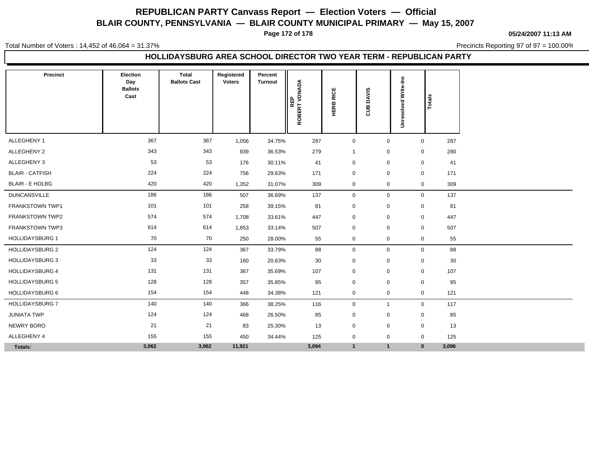**Page 172 of 178**

**05/24/2007 11:13 AM**

Total Number of Voters : 14,452 of 46,064 = 31.37%

Precincts Reporting 97 of 97 = 100.00%

#### **HOLLIDAYSBURG AREA SCHOOL DIRECTOR TWO YEAR TERM - REPUBLICAN PARTY**

| Precinct               | Election<br>Day<br><b>Ballots</b><br>Cast | Total<br><b>Ballots Cast</b> | Registered<br><b>Voters</b> | Percent<br><b>Turnout</b> | ROBERT VONADA<br>REP | <b>RICE</b><br>HERB | <b>DAVIS</b><br>පූ | Write-Ins<br>73<br>층<br>s<br>Φ | Totals       |       |
|------------------------|-------------------------------------------|------------------------------|-----------------------------|---------------------------|----------------------|---------------------|--------------------|--------------------------------|--------------|-------|
|                        |                                           |                              |                             |                           |                      |                     |                    | š                              |              |       |
| ALLEGHENY 1            | 367                                       | 367                          | 1,056                       | 34.75%                    | 287                  | $\mathbf 0$         | $\mathbf 0$        |                                | $\mathbf 0$  | 287   |
| ALLEGHENY 2            | 343                                       | 343                          | 939                         | 36.53%                    | 279                  | $\mathbf{1}$        | $\mathbf 0$        |                                | 0            | 280   |
| ALLEGHENY 3            | 53                                        | 53                           | 176                         | 30.11%                    | 41                   | $\mathbf 0$         | $\mathbf 0$        |                                | $\mathbf 0$  | 41    |
| <b>BLAIR - CATFISH</b> | 224                                       | 224                          | 756                         | 29.63%                    | 171                  | $\mathbf 0$         | $\mathbf 0$        |                                | $\mathbf 0$  | 171   |
| <b>BLAIR - E HOLBG</b> | 420                                       | 420                          | 1,352                       | 31.07%                    | 309                  | 0                   | $\mathbf 0$        |                                | 0            | 309   |
| <b>DUNCANSVILLE</b>    | 186                                       | 186                          | 507                         | 36.69%                    | 137                  | 0                   | $\mathbf 0$        |                                | $\mathbf 0$  | 137   |
| <b>FRANKSTOWN TWP1</b> | 101                                       | 101                          | 258                         | 39.15%                    | 81                   | $\mathbf 0$         | $\mathbf 0$        |                                | $\mathbf 0$  | 81    |
| FRANKSTOWN TWP2        | 574                                       | 574                          | 1,708                       | 33.61%                    | 447                  | $\mathbf 0$         | $\mathbf 0$        |                                | $\mathbf 0$  | 447   |
| FRANKSTOWN TWP3        | 614                                       | 614                          | 1,853                       | 33.14%                    | 507                  | $\mathbf 0$         | $\mathbf 0$        |                                | $\mathbf 0$  | 507   |
| <b>HOLLIDAYSBURG 1</b> | 70                                        | 70                           | 250                         | 28.00%                    | 55                   | $\mathbf 0$         | $\mathbf 0$        |                                | 0            | 55    |
| <b>HOLLIDAYSBURG 2</b> | 124                                       | 124                          | 367                         | 33.79%                    | 88                   | $\mathbf 0$         | $\mathsf 0$        |                                | $\mathbf 0$  | 88    |
| <b>HOLLIDAYSBURG 3</b> | 33                                        | 33                           | 160                         | 20.63%                    | 30                   | $\mathbf 0$         | $\mathbf 0$        |                                | 0            | 30    |
| <b>HOLLIDAYSBURG 4</b> | 131                                       | 131                          | 367                         | 35.69%                    | 107                  | $\mathbf 0$         | $\mathbf 0$        |                                | 0            | 107   |
| <b>HOLLIDAYSBURG 5</b> | 128                                       | 128                          | 357                         | 35.85%                    | 95                   | $\mathbf 0$         | $\mathbf 0$        |                                | $\mathbf 0$  | 95    |
| <b>HOLLIDAYSBURG 6</b> | 154                                       | 154                          | 448                         | 34.38%                    | 121                  | $\mathbf 0$         | $\mathbf 0$        |                                | $\mathbf 0$  | 121   |
| <b>HOLLIDAYSBURG 7</b> | 140                                       | 140                          | 366                         | 38.25%                    | 116                  | $\mathbf 0$         | $\overline{1}$     |                                | $\mathbf 0$  | 117   |
| <b>JUNIATA TWP</b>     | 124                                       | 124                          | 468                         | 26.50%                    | 85                   | 0                   | 0                  |                                | $\mathbf{0}$ | 85    |
| <b>NEWRY BORO</b>      | 21                                        | 21                           | 83                          | 25.30%                    | 13                   | $\mathbf 0$         | $\mathbf 0$        |                                | $\mathbf 0$  | 13    |
| ALLEGHENY 4            | 155                                       | 155                          | 450                         | 34.44%                    | 125                  | $\mathbf 0$         | $\mathbf 0$        |                                | $\mathbf 0$  | 125   |
| Totals:                | 3,962                                     | 3,962                        | 11,921                      |                           | 3,094                | $\mathbf{1}$        | $\mathbf{1}$       |                                | $\mathbf{0}$ | 3,096 |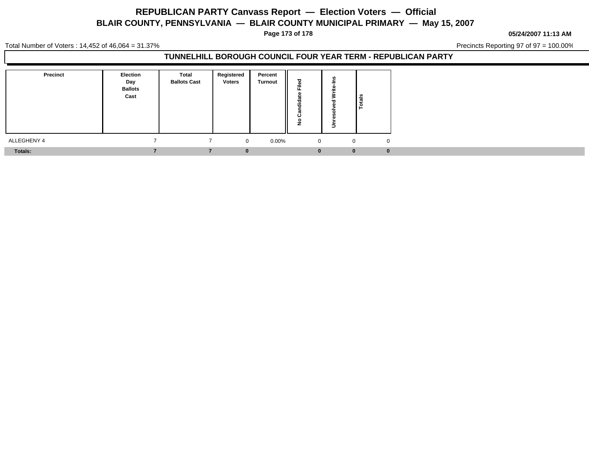**Page 173 of 178**

**05/24/2007 11:13 AM**

Total Number of Voters : 14,452 of 46,064 = 31.37%

Precincts Reporting 97 of 97 = 100.00%

### **TUNNELHILL BOROUGH COUNCIL FOUR YEAR TERM - REPUBLICAN PARTY**

| <b>Precinct</b> | <b>Election</b><br>Day<br><b>Ballots</b><br>Cast | Total<br><b>Ballots Cast</b> | Registered<br><b>Voters</b> | Percent<br>Turnout | ъ<br>$=$<br>∠  | Totals                     |
|-----------------|--------------------------------------------------|------------------------------|-----------------------------|--------------------|----------------|----------------------------|
| ALLEGHENY 4     |                                                  |                              | $\overline{0}$              | $0.00\%$           | $\overline{0}$ | $\Omega$<br>$\overline{0}$ |
| Totals:         |                                                  |                              | $\Omega$                    |                    | $\bf{0}$       | $\mathbf{0}$<br>n          |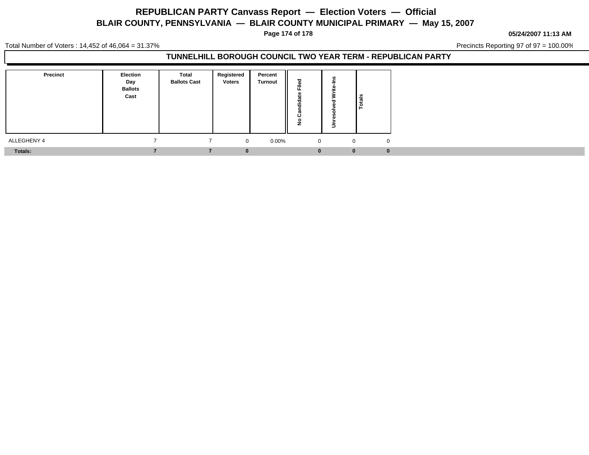**Page 174 of 178**

#### **05/24/2007 11:13 AM**

Total Number of Voters : 14,452 of 46,064 = 31.37%

Precincts Reporting 97 of 97 = 100.00%

### **TUNNELHILL BOROUGH COUNCIL TWO YEAR TERM - REPUBLICAN PARTY**

| <b>Precinct</b> | Election<br>Day<br><b>Ballots</b><br>Cast | <b>Total</b><br><b>Ballots Cast</b> | Registered<br><b>Voters</b> | Percent<br>Turnout | --             | نسد | ြိန်<br>۱ë           |
|-----------------|-------------------------------------------|-------------------------------------|-----------------------------|--------------------|----------------|-----|----------------------|
| ALLEGHENY 4     |                                           |                                     | $\mathbf{0}$                | $0.00\%$           | $\overline{0}$ |     | $\Omega$<br>$\Omega$ |
| Totals:         |                                           |                                     | 0                           |                    | $\bf{0}$       |     | $\bf{0}$<br>0        |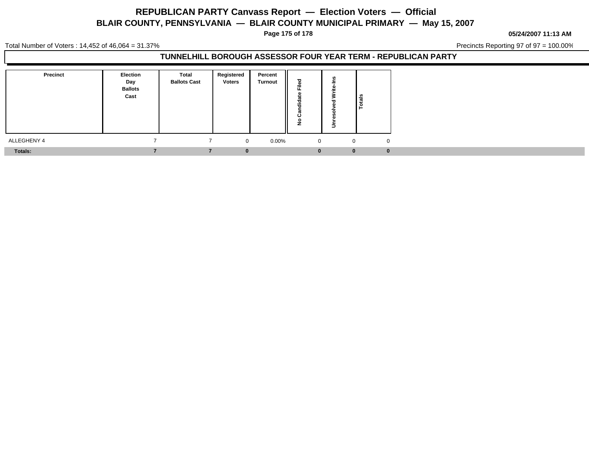**Page 175 of 178**

**05/24/2007 11:13 AM**

Total Number of Voters : 14,452 of 46,064 = 31.37%

Precincts Reporting 97 of 97 = 100.00%

### **TUNNELHILL BOROUGH ASSESSOR FOUR YEAR TERM - REPUBLICAN PARTY**

| <b>Precinct</b> | <b>Election</b><br>Day<br><b>Ballots</b><br>Cast | Total<br><b>Ballots Cast</b> | Registered<br>Voters | Percent<br>Turnout | ு<br>$\sim$  |                | Totals                         |
|-----------------|--------------------------------------------------|------------------------------|----------------------|--------------------|--------------|----------------|--------------------------------|
| ALLEGHENY 4     |                                                  |                              | $\overline{0}$       | $0.00\%$           |              | $\overline{0}$ | $\overline{0}$<br>$\mathbf{0}$ |
| Totals:         |                                                  |                              | $\bf{0}$             |                    | $\mathbf{0}$ |                | $\bf{0}$<br>$\mathbf{0}$       |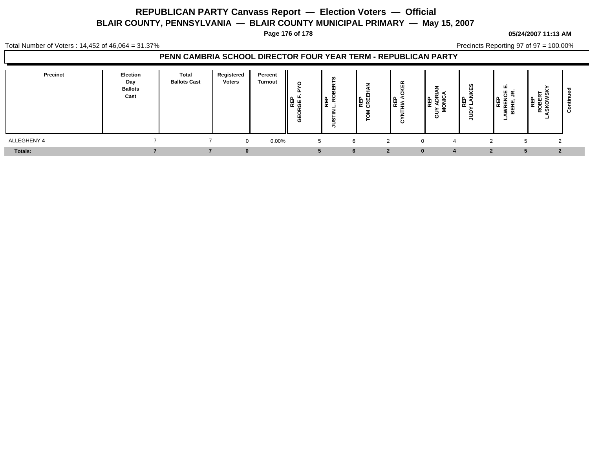**Page 176 of 178**

#### **05/24/2007 11:13 AM**

Total Number of Voters : 14,452 of 46,064 = 31.37%

Precincts Reporting 97 of 97 = 100.00%

### **PENN CAMBRIA SCHOOL DIRECTOR FOUR YEAR TERM - REPUBLICAN PARTY**

| Precinct       | <b>Election</b><br>Day<br><b>Ballots</b><br>Cast | <b>Total</b><br><b>Ballots Cast</b> | Registered<br><b>Voters</b> | Percent<br><b>Turnout</b> | O<br>o<br>щ<br>O | ▌ᡦᢛᢩ | ш<br>ne<br>이 또 | $\tilde{\phantom{a}}$<br> ⊞ୁ ≰<br>ပ | ن ∡<br>⊯ֲ<br>롱<br>н. | cn,<br>ا ⊯ٍ | $\sim$<br>NEI<br>VAREN<br>BEHE,<br>- | ທ<br>≃<br>ــ     | ن |
|----------------|--------------------------------------------------|-------------------------------------|-----------------------------|---------------------------|------------------|------|----------------|-------------------------------------|----------------------|-------------|--------------------------------------|------------------|---|
| ALLEGHENY 4    |                                                  |                                     |                             | $0.00\%$<br>$\Omega$      | 5                |      | 6              |                                     | $\mathbf 4$          |             |                                      | ົ                |   |
| <b>Totals:</b> |                                                  |                                     |                             |                           |                  |      | 6              |                                     |                      |             |                                      | $\mathbf{\cdot}$ |   |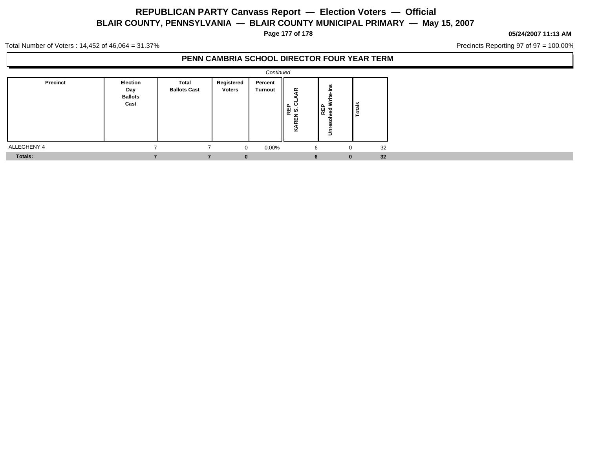**Page 177 of 178**

#### **05/24/2007 11:13 AM**

Precincts Reporting 97 of 97 = 100.00%

Total Number of Voters : 14,452 of 46,064 = 31.37%

### **PENN CAMBRIA SCHOOL DIRECTOR FOUR YEAR TERM**

|             | Continued                                 |                                     |                             |                    |                         |                                 |               |  |  |  |  |  |  |
|-------------|-------------------------------------------|-------------------------------------|-----------------------------|--------------------|-------------------------|---------------------------------|---------------|--|--|--|--|--|--|
| Precinct    | Election<br>Day<br><b>Ballots</b><br>Cast | <b>Total</b><br><b>Ballots Cast</b> | Registered<br><b>Voters</b> | Percent<br>Turnout | ≆<br>않<br>ທ<br>REN<br>× | ۴å<br>뽇<br><b>REP</b><br>ᇃ<br>š | <b>Totals</b> |  |  |  |  |  |  |
| ALLEGHENY 4 |                                           |                                     | $\Omega$                    | $0.00\%$           | 6                       | $\mathbf 0$                     | 32            |  |  |  |  |  |  |
| Totals:     |                                           |                                     | $\bf{0}$                    |                    | 6                       | $\mathbf{0}$                    | 32            |  |  |  |  |  |  |